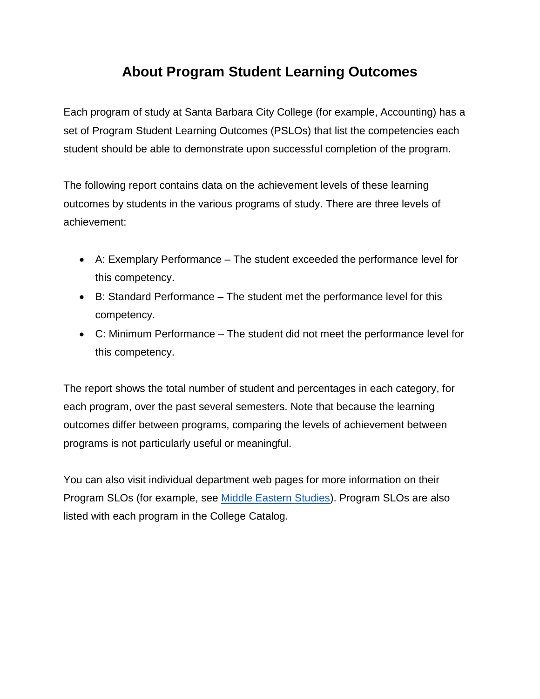# **About Program Student Learning Outcomes**

Each program of study at Santa Barbara City College (for example, Accounting) has a set of Program Student Learning Outcomes (PSLOs) that list the competencies each student should be able to demonstrate upon successful completion of the program.

The following report contains data on the achievement levels of these learning outcomes by students in the various programs of study. There are three levels of achievement:

- A: Exemplary Performance The student exceeded the performance level for this competency.
- B: Standard Performance The student met the performance level for this competency.
- C: Minimum Performance The student did not meet the performance level for this competency.

The report shows the total number of student and percentages in each category, for each program, over the past several semesters. Note that because the learning outcomes differ between programs, comparing the levels of achievement between programs is not particularly useful or meaningful.

You can also visit individual department web pages for more information on their Program SLOs (for example, see [Middle Eastern Studies\)](http://www.sbcc.edu/middleeaststudies/). Program SLOs are also listed with each program in the College Catalog.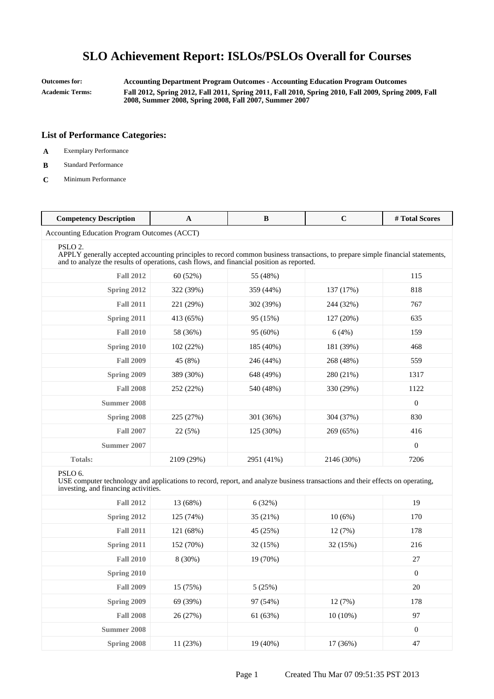**Outcomes for: Accounting Department Program Outcomes - Accounting Education Program Outcomes Academic Terms: Fall 2012, Spring 2012, Fall 2011, Spring 2011, Fall 2010, Spring 2010, Fall 2009, Spring 2009, Fall 2008, Summer 2008, Spring 2008, Fall 2007, Summer 2007**

### **List of Performance Categories:**

- **A** Exemplary Performance
- **B** Standard Performance
- **C** Minimum Performance

| <b>Competency Description</b>                                                                                                                                                                                                                      | $\mathbf{A}$ | $\bf{B}$   | $\mathbf C$ | # Total Scores |
|----------------------------------------------------------------------------------------------------------------------------------------------------------------------------------------------------------------------------------------------------|--------------|------------|-------------|----------------|
| Accounting Education Program Outcomes (ACCT)                                                                                                                                                                                                       |              |            |             |                |
| PSLO <sub>2</sub> .<br>APPLY generally accepted accounting principles to record common business transactions, to prepare simple financial statements,<br>and to analyze the results of operations, cash flows, and financial position as reported. |              |            |             |                |
| <b>Fall 2012</b>                                                                                                                                                                                                                                   | 60 (52%)     | 55 (48%)   |             | 115            |
| Spring 2012                                                                                                                                                                                                                                        | 322 (39%)    | 359 (44%)  | 137 (17%)   | 818            |
| <b>Fall 2011</b>                                                                                                                                                                                                                                   | 221 (29%)    | 302 (39%)  | 244 (32%)   | 767            |
| Spring 2011                                                                                                                                                                                                                                        | 413 (65%)    | 95 (15%)   | 127(20%)    | 635            |
| <b>Fall 2010</b>                                                                                                                                                                                                                                   | 58 (36%)     | 95 (60%)   | 6(4%)       | 159            |
| Spring 2010                                                                                                                                                                                                                                        | 102 (22%)    | 185 (40%)  | 181 (39%)   | 468            |
| <b>Fall 2009</b>                                                                                                                                                                                                                                   | 45 (8%)      | 246 (44%)  | 268 (48%)   | 559            |
| Spring 2009                                                                                                                                                                                                                                        | 389 (30%)    | 648 (49%)  | 280 (21%)   | 1317           |
| <b>Fall 2008</b>                                                                                                                                                                                                                                   | 252 (22%)    | 540 (48%)  | 330 (29%)   | 1122           |
| <b>Summer 2008</b>                                                                                                                                                                                                                                 |              |            |             | $\theta$       |
| Spring 2008                                                                                                                                                                                                                                        | 225 (27%)    | 301 (36%)  | 304 (37%)   | 830            |
| <b>Fall 2007</b>                                                                                                                                                                                                                                   | 22(5%)       | 125 (30%)  | 269 (65%)   | 416            |
| <b>Summer 2007</b>                                                                                                                                                                                                                                 |              |            |             | $\overline{0}$ |
| <b>Totals:</b>                                                                                                                                                                                                                                     | 2109 (29%)   | 2951 (41%) | 2146 (30%)  | 7206           |
| PSLO <sub>6</sub> .<br>USE computer technology and applications to record, report, and analyze business transactions and their effects on operating,<br>investing, and financing activities.                                                       |              |            |             |                |
| <b>Fall 2012</b>                                                                                                                                                                                                                                   | 13 (68%)     | 6(32%)     |             | 19             |
| Spring 2012                                                                                                                                                                                                                                        | 125 (74%)    | 35 (21%)   | 10(6%)      | 170            |
| <b>Fall 2011</b>                                                                                                                                                                                                                                   | 121 (68%)    | 45 (25%)   | 12(7%)      | 178            |
| Spring 2011                                                                                                                                                                                                                                        | 152 (70%)    | 32 (15%)   | 32 (15%)    | 216            |

**Fall 2010** 8 (30%) 19 (70%) 27 **Spring 2010** 0 **Fall 2009** 15 (75%) 5 (25%) 20 **Spring 2009** 69 (39%) 97 (54%) 12 (7%) 178 **Fall 2008** 26 (27%) 61 (63%) 10 (10%) 97 **Summer 2008** 0 **Spring 2008** 11 (23%) 19 (40%) 17 (36%) 47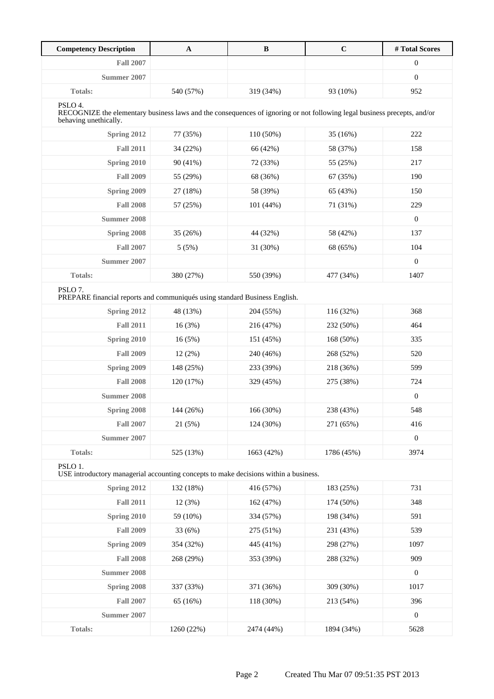| <b>Competency Description</b>                                                                                                                                | $\mathbf{A}$ | $\, {\bf B}$ | $\mathbf C$ | #Total Scores    |
|--------------------------------------------------------------------------------------------------------------------------------------------------------------|--------------|--------------|-------------|------------------|
| <b>Fall 2007</b>                                                                                                                                             |              |              |             | $\boldsymbol{0}$ |
| <b>Summer 2007</b>                                                                                                                                           |              |              |             | $\overline{0}$   |
| Totals:                                                                                                                                                      | 540 (57%)    | 319 (34%)    | 93 (10%)    | 952              |
| PSLO 4.<br>RECOGNIZE the elementary business laws and the consequences of ignoring or not following legal business precepts, and/or<br>behaving unethically. |              |              |             |                  |
| Spring 2012                                                                                                                                                  | 77 (35%)     | 110 (50%)    | 35 (16%)    | 222              |
| <b>Fall 2011</b>                                                                                                                                             | 34 (22%)     | 66 (42%)     | 58 (37%)    | 158              |
| Spring 2010                                                                                                                                                  | 90 (41%)     | 72 (33%)     | 55 (25%)    | 217              |
| <b>Fall 2009</b>                                                                                                                                             | 55 (29%)     | 68 (36%)     | 67 (35%)    | 190              |
| Spring 2009                                                                                                                                                  | 27 (18%)     | 58 (39%)     | 65 (43%)    | 150              |
| <b>Fall 2008</b>                                                                                                                                             | 57 (25%)     | 101 (44%)    | 71 (31%)    | 229              |
| <b>Summer 2008</b>                                                                                                                                           |              |              |             | $\boldsymbol{0}$ |
| Spring 2008                                                                                                                                                  | 35 (26%)     | 44 (32%)     | 58 (42%)    | 137              |
| <b>Fall 2007</b>                                                                                                                                             | 5(5%)        | 31 (30%)     | 68 (65%)    | 104              |
| Summer 2007                                                                                                                                                  |              |              |             | $\overline{0}$   |
| Totals:                                                                                                                                                      | 380 (27%)    | 550 (39%)    | 477 (34%)   | 1407             |
| PSLO <sub>7</sub> .<br>PREPARE financial reports and communiqués using standard Business English.                                                            |              |              |             |                  |
| Spring 2012                                                                                                                                                  | 48 (13%)     | 204 (55%)    | 116 (32%)   | 368              |
| <b>Fall 2011</b>                                                                                                                                             | 16(3%)       | 216 (47%)    | 232 (50%)   | 464              |
| Spring 2010                                                                                                                                                  | 16(5%)       | 151 (45%)    | 168 (50%)   | 335              |
| <b>Fall 2009</b>                                                                                                                                             | 12(2%)       | 240 (46%)    | 268 (52%)   | 520              |
| Spring 2009                                                                                                                                                  | 148 (25%)    | 233 (39%)    | 218 (36%)   | 599              |
| <b>Fall 2008</b>                                                                                                                                             | 120 (17%)    | 329 (45%)    | 275 (38%)   | 724              |
| <b>Summer 2008</b>                                                                                                                                           |              |              |             | $\overline{0}$   |
| <b>Spring 2008</b>                                                                                                                                           | 144 (26%)    | 166 (30%)    | 238 (43%)   | 548              |
| <b>Fall 2007</b>                                                                                                                                             | 21 (5%)      | 124 (30%)    | 271 (65%)   | 416              |
| Summer 2007                                                                                                                                                  |              |              |             | $\boldsymbol{0}$ |
| Totals:                                                                                                                                                      | 525 (13%)    | 1663 (42%)   | 1786 (45%)  | 3974             |
| PSLO 1.<br>USE introductory managerial accounting concepts to make decisions within a business.                                                              |              |              |             |                  |
| Spring 2012                                                                                                                                                  | 132 (18%)    | 416 (57%)    | 183 (25%)   | 731              |
| <b>Fall 2011</b>                                                                                                                                             | 12(3%)       | 162 (47%)    | 174 (50%)   | 348              |
| Spring 2010                                                                                                                                                  | 59 (10%)     | 334 (57%)    | 198 (34%)   | 591              |
| <b>Fall 2009</b>                                                                                                                                             | 33 (6%)      | 275 (51%)    | 231 (43%)   | 539              |
| Spring 2009                                                                                                                                                  | 354 (32%)    | 445 (41%)    | 298 (27%)   | 1097             |
| <b>Fall 2008</b>                                                                                                                                             | 268 (29%)    | 353 (39%)    | 288 (32%)   | 909              |
| <b>Summer 2008</b>                                                                                                                                           |              |              |             | $\boldsymbol{0}$ |
| Spring 2008                                                                                                                                                  | 337 (33%)    | 371 (36%)    | 309 (30%)   | 1017             |
| <b>Fall 2007</b>                                                                                                                                             | 65 (16%)     | 118 (30%)    | 213 (54%)   | 396              |
| <b>Summer 2007</b>                                                                                                                                           |              |              |             | $\boldsymbol{0}$ |
| Totals:                                                                                                                                                      | 1260 (22%)   | 2474 (44%)   | 1894 (34%)  | 5628             |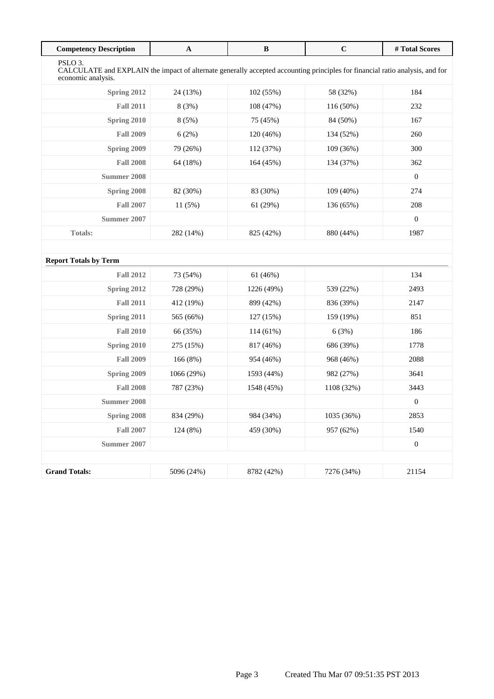| <b>Competency Description</b>                                                                                                                                             | $\mathbf A$ | $\bf{B}$    | $\mathbf C$ | # Total Scores   |
|---------------------------------------------------------------------------------------------------------------------------------------------------------------------------|-------------|-------------|-------------|------------------|
| PSLO <sub>3</sub> .<br>CALCULATE and EXPLAIN the impact of alternate generally accepted accounting principles for financial ratio analysis, and for<br>economic analysis. |             |             |             |                  |
| Spring 2012                                                                                                                                                               | 24 (13%)    | 102 (55%)   | 58 (32%)    | 184              |
| <b>Fall 2011</b>                                                                                                                                                          | 8 (3%)      | 108 (47%)   | 116 (50%)   | 232              |
| Spring 2010                                                                                                                                                               | 8 (5%)      | 75 (45%)    | 84 (50%)    | 167              |
| <b>Fall 2009</b>                                                                                                                                                          | 6(2%)       | 120 (46%)   | 134 (52%)   | 260              |
| Spring 2009                                                                                                                                                               | 79 (26%)    | 112 (37%)   | 109(36%)    | 300              |
| <b>Fall 2008</b>                                                                                                                                                          | 64 (18%)    | 164 (45%)   | 134 (37%)   | 362              |
| Summer 2008                                                                                                                                                               |             |             |             | $\mathbf{0}$     |
| Spring 2008                                                                                                                                                               | 82 (30%)    | 83 (30%)    | 109 (40%)   | 274              |
| <b>Fall 2007</b>                                                                                                                                                          | 11(5%)      | 61 (29%)    | 136 (65%)   | 208              |
| Summer 2007                                                                                                                                                               |             |             |             | $\boldsymbol{0}$ |
| <b>Totals:</b>                                                                                                                                                            | 282 (14%)   | 825 (42%)   | 880 (44%)   | 1987             |
|                                                                                                                                                                           |             |             |             |                  |
| <b>Report Totals by Term</b>                                                                                                                                              |             |             |             |                  |
| <b>Fall 2012</b>                                                                                                                                                          | 73 (54%)    | 61 (46%)    |             | 134              |
| Spring 2012                                                                                                                                                               | 728 (29%)   | 1226 (49%)  | 539 (22%)   | 2493             |
| <b>Fall 2011</b>                                                                                                                                                          | 412 (19%)   | 899 (42%)   | 836 (39%)   | 2147             |
| Spring 2011                                                                                                                                                               | 565 (66%)   | 127 (15%)   | 159 (19%)   | 851              |
| <b>Fall 2010</b>                                                                                                                                                          | 66 (35%)    | $114(61\%)$ | 6(3%)       | 186              |
| Spring 2010                                                                                                                                                               | 275 (15%)   | 817 (46%)   | 686 (39%)   | 1778             |
| <b>Fall 2009</b>                                                                                                                                                          | 166 (8%)    | 954 (46%)   | 968 (46%)   | 2088             |
| Spring 2009                                                                                                                                                               | 1066 (29%)  | 1593 (44%)  | 982 (27%)   | 3641             |
| <b>Fall 2008</b>                                                                                                                                                          | 787 (23%)   | 1548 (45%)  | 1108 (32%)  | 3443             |
| <b>Summer 2008</b>                                                                                                                                                        |             |             |             | $\boldsymbol{0}$ |
| Spring 2008                                                                                                                                                               | 834 (29%)   | 984 (34%)   | 1035 (36%)  | 2853             |
| <b>Fall 2007</b>                                                                                                                                                          | 124 (8%)    | 459 (30%)   | 957 (62%)   | 1540             |
| <b>Summer 2007</b>                                                                                                                                                        |             |             |             | $\boldsymbol{0}$ |
|                                                                                                                                                                           |             |             |             |                  |
| <b>Grand Totals:</b>                                                                                                                                                      | 5096 (24%)  | 8782 (42%)  | 7276 (34%)  | 21154            |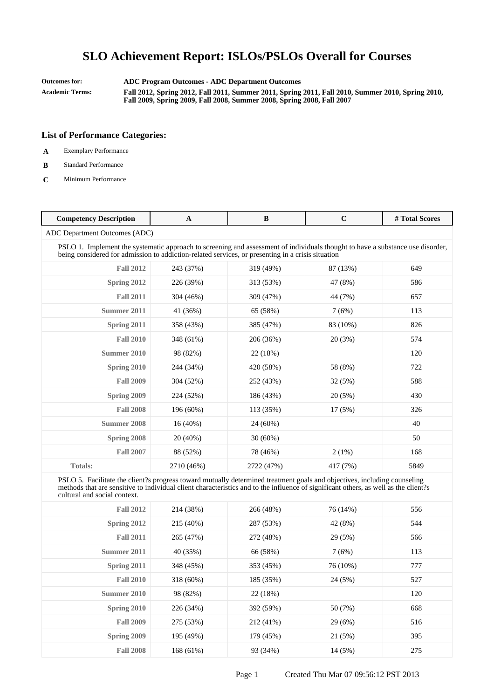**Outcomes for: ADC Program Outcomes - ADC Department Outcomes Academic Terms: Fall 2012, Spring 2012, Fall 2011, Summer 2011, Spring 2011, Fall 2010, Summer 2010, Spring 2010, Fall 2009, Spring 2009, Fall 2008, Summer 2008, Spring 2008, Fall 2007**

- **A** Exemplary Performance
- **B** Standard Performance
- **C** Minimum Performance

| <b>Competency Description</b>                                                                                                                                                                                                                                                                   | $\mathbf{A}$ | B          | $\mathbf C$ | #Total Scores |  |
|-------------------------------------------------------------------------------------------------------------------------------------------------------------------------------------------------------------------------------------------------------------------------------------------------|--------------|------------|-------------|---------------|--|
| ADC Department Outcomes (ADC)                                                                                                                                                                                                                                                                   |              |            |             |               |  |
| PSLO 1. Implement the systematic approach to screening and assessment of individuals thought to have a substance use disorder,<br>being considered for admission to addiction-related services, or presenting in a crisis situation                                                             |              |            |             |               |  |
| <b>Fall 2012</b>                                                                                                                                                                                                                                                                                | 243 (37%)    | 319 (49%)  | 87 (13%)    | 649           |  |
| Spring 2012                                                                                                                                                                                                                                                                                     | 226 (39%)    | 313 (53%)  | 47 (8%)     | 586           |  |
| <b>Fall 2011</b>                                                                                                                                                                                                                                                                                | 304 (46%)    | 309 (47%)  | 44 (7%)     | 657           |  |
| Summer 2011                                                                                                                                                                                                                                                                                     | 41 (36%)     | 65 (58%)   | 7(6%)       | 113           |  |
| Spring 2011                                                                                                                                                                                                                                                                                     | 358 (43%)    | 385 (47%)  | 83 (10%)    | 826           |  |
| <b>Fall 2010</b>                                                                                                                                                                                                                                                                                | 348 (61%)    | 206 (36%)  | 20(3%)      | 574           |  |
| Summer 2010                                                                                                                                                                                                                                                                                     | 98 (82%)     | 22 (18%)   |             | 120           |  |
| Spring 2010                                                                                                                                                                                                                                                                                     | 244 (34%)    | 420 (58%)  | 58 (8%)     | 722           |  |
| <b>Fall 2009</b>                                                                                                                                                                                                                                                                                | 304 (52%)    | 252 (43%)  | 32(5%)      | 588           |  |
| Spring 2009                                                                                                                                                                                                                                                                                     | 224 (52%)    | 186 (43%)  | 20(5%)      | 430           |  |
| <b>Fall 2008</b>                                                                                                                                                                                                                                                                                | 196 (60%)    | 113 (35%)  | 17 (5%)     | 326           |  |
| <b>Summer 2008</b>                                                                                                                                                                                                                                                                              | $16(40\%)$   | 24 (60%)   |             | 40            |  |
| Spring 2008                                                                                                                                                                                                                                                                                     | $20(40\%)$   | $30(60\%)$ |             | 50            |  |
| <b>Fall 2007</b>                                                                                                                                                                                                                                                                                | 88 (52%)     | 78 (46%)   | $2(1\%)$    | 168           |  |
| <b>Totals:</b>                                                                                                                                                                                                                                                                                  | 2710 (46%)   | 2722 (47%) | 417 (7%)    | 5849          |  |
| PSLO 5. Facilitate the client?s progress toward mutually determined treatment goals and objectives, including counseling<br>methods that are sensitive to individual client characteristics and to the influence of significant others, as well as the client?s<br>cultural and social context. |              |            |             |               |  |
| $E_2H_2O(12)$                                                                                                                                                                                                                                                                                   | $214(290\%)$ | 766 (190%) | 76(140%)    | 556           |  |

| <b>Fall 2012</b> | 214 (38%)   | 266 (48%) | 76 (14%) | 556 |
|------------------|-------------|-----------|----------|-----|
| Spring 2012      | 215 (40%)   | 287 (53%) | 42 (8%)  | 544 |
| <b>Fall 2011</b> | 265 (47%)   | 272 (48%) | 29(5%)   | 566 |
| Summer 2011      | 40 (35%)    | 66 (58%)  | 7(6%)    | 113 |
| Spring 2011      | 348 (45%)   | 353 (45%) | 76 (10%) | 777 |
| <b>Fall 2010</b> | $318(60\%)$ | 185 (35%) | 24 (5%)  | 527 |
| Summer 2010      | 98 (82%)    | 22 (18%)  |          | 120 |
| Spring 2010      | 226 (34%)   | 392 (59%) | 50 (7%)  | 668 |
| <b>Fall 2009</b> | 275 (53%)   | 212 (41%) | 29(6%)   | 516 |
| Spring 2009      | 195 (49%)   | 179 (45%) | 21 (5%)  | 395 |
| <b>Fall 2008</b> | 168(61%)    | 93 (34%)  | 14 (5%)  | 275 |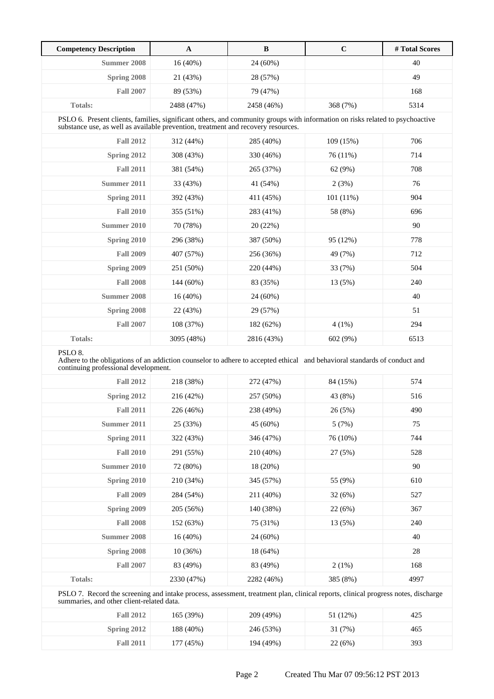| <b>Competency Description</b>                                                                                                                                                                                      | $\mathbf{A}$ | $\, {\bf B}$ | $\mathbf C$ | #Total Scores |  |
|--------------------------------------------------------------------------------------------------------------------------------------------------------------------------------------------------------------------|--------------|--------------|-------------|---------------|--|
| <b>Summer 2008</b>                                                                                                                                                                                                 | 16 (40%)     | 24 (60%)     |             | 40            |  |
| Spring 2008                                                                                                                                                                                                        | 21 (43%)     | 28 (57%)     |             | 49            |  |
| <b>Fall 2007</b>                                                                                                                                                                                                   | 89 (53%)     | 79 (47%)     |             | 168           |  |
| Totals:                                                                                                                                                                                                            | 2488 (47%)   | 2458 (46%)   | 368 (7%)    | 5314          |  |
| PSLO 6. Present clients, families, significant others, and community groups with information on risks related to psychoactive<br>substance use, as well as available prevention, treatment and recovery resources. |              |              |             |               |  |
| <b>Fall 2012</b>                                                                                                                                                                                                   | 312 (44%)    | 285 (40%)    | 109 (15%)   | 706           |  |
| Spring 2012                                                                                                                                                                                                        | 308 (43%)    | 330 (46%)    | 76 (11%)    | 714           |  |
| <b>Fall 2011</b>                                                                                                                                                                                                   | 381 (54%)    | 265 (37%)    | 62 (9%)     | 708           |  |
| Summer 2011                                                                                                                                                                                                        | 33 (43%)     | 41 (54%)     | 2(3%)       | 76            |  |
| Spring 2011                                                                                                                                                                                                        | 392 (43%)    | 411 (45%)    | 101(11%)    | 904           |  |
| <b>Fall 2010</b>                                                                                                                                                                                                   | 355 (51%)    | 283 (41%)    | 58 (8%)     | 696           |  |
| Summer 2010                                                                                                                                                                                                        | 70 (78%)     | 20 (22%)     |             | 90            |  |
| Spring 2010                                                                                                                                                                                                        | 296 (38%)    | 387 (50%)    | 95 (12%)    | 778           |  |
| <b>Fall 2009</b>                                                                                                                                                                                                   | 407 (57%)    | 256 (36%)    | 49 (7%)     | 712           |  |
| Spring 2009                                                                                                                                                                                                        | 251 (50%)    | 220 (44%)    | 33 (7%)     | 504           |  |
| <b>Fall 2008</b>                                                                                                                                                                                                   | 144 (60%)    | 83 (35%)     | 13 (5%)     | 240           |  |
| Summer 2008                                                                                                                                                                                                        | 16(40%)      | 24 (60%)     |             | 40            |  |
| Spring 2008                                                                                                                                                                                                        | 22 (43%)     | 29 (57%)     |             | 51            |  |
| <b>Fall 2007</b>                                                                                                                                                                                                   | 108 (37%)    | 182 (62%)    | $4(1\%)$    | 294           |  |
| <b>Totals:</b>                                                                                                                                                                                                     | 3095 (48%)   | 2816 (43%)   | 602 (9%)    | 6513          |  |
| PSLO <sub>8</sub> .<br>Adhere to the obligations of an addiction counselor to adhere to accepted ethical and behavioral standards of conduct and<br>continuing professional development.                           |              |              |             |               |  |
| <b>Fall 2012</b>                                                                                                                                                                                                   | 218 (38%)    | 272 (47%)    | 84 (15%)    | 574           |  |
| Spring 2012                                                                                                                                                                                                        | 216 (42%)    | 257 (50%)    | 43 (8%)     | 516           |  |
| <b>Fall 2011</b>                                                                                                                                                                                                   | 226 (46%)    | 238 (49%)    | 26 (5%)     | 490           |  |
| Summer 2011                                                                                                                                                                                                        | 25 (33%)     | 45 (60%)     | 5(7%)       | 75            |  |
| Spring 2011                                                                                                                                                                                                        | 322 (43%)    | 346 (47%)    | 76 (10%)    | 744           |  |
| <b>Fall 2010</b>                                                                                                                                                                                                   | 291 (55%)    | 210 (40%)    | 27(5%)      | 528           |  |
| <b>Summer 2010</b>                                                                                                                                                                                                 | 72 (80%)     | 18 (20%)     |             | 90            |  |
| Spring 2010                                                                                                                                                                                                        | 210 (34%)    | 345 (57%)    | 55 (9%)     | 610           |  |
| <b>Fall 2009</b>                                                                                                                                                                                                   | 284 (54%)    | 211 (40%)    | 32 (6%)     | 527           |  |
| <b>Spring 2009</b>                                                                                                                                                                                                 | 205 (56%)    | 140 (38%)    | 22 (6%)     | 367           |  |
| <b>Fall 2008</b>                                                                                                                                                                                                   | 152 (63%)    | 75 (31%)     | 13 (5%)     | 240           |  |
| <b>Summer 2008</b>                                                                                                                                                                                                 | 16(40%)      | 24 (60%)     |             | 40            |  |
| Spring 2008                                                                                                                                                                                                        | 10(36%)      | 18 (64%)     |             | 28            |  |
| <b>Fall 2007</b>                                                                                                                                                                                                   | 83 (49%)     | 83 (49%)     | 2(1%)       | 168           |  |
| Totals:                                                                                                                                                                                                            | 2330 (47%)   | 2282 (46%)   | 385 (8%)    | 4997          |  |

PSLO 7. Record the screening and intake process, assessment, treatment plan, clinical reports, clinical progress notes, discharge summaries, and other client-related data.

| <b>Fall 2012</b> | 165 (39%) | 209 (49%) | 51 (12%) | 425 |
|------------------|-----------|-----------|----------|-----|
| Spring $2012$    | 188 (40%) | 246 (53%) | 31 (7%)  | 465 |
| <b>Fall 2011</b> | 177 (45%) | 194 (49%) | 22(6%)   | 393 |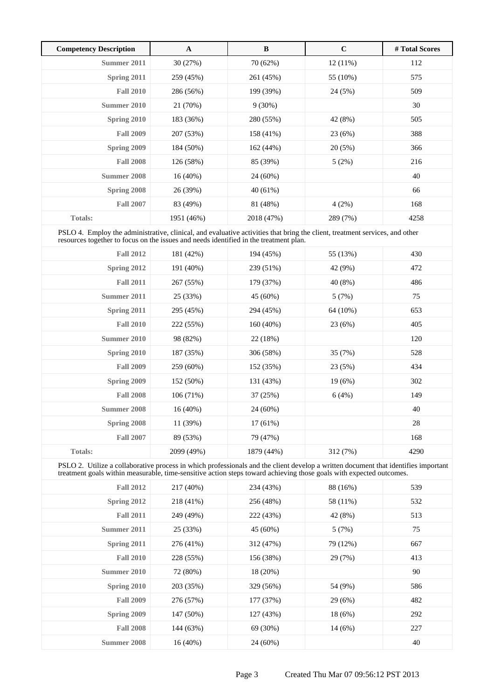| <b>Competency Description</b> | A          | $\bf{B}$   | $\mathbf C$ | # Total Scores |
|-------------------------------|------------|------------|-------------|----------------|
| Summer 2011                   | 30 (27%)   | 70 (62%)   | $12(11\%)$  | 112            |
| Spring 2011                   | 259 (45%)  | 261 (45%)  | 55 (10%)    | 575            |
| <b>Fall 2010</b>              | 286 (56%)  | 199 (39%)  | 24 (5%)     | 509            |
| Summer 2010                   | 21 (70%)   | $9(30\%)$  |             | 30             |
| Spring 2010                   | 183 (36%)  | 280 (55%)  | 42 (8%)     | 505            |
| <b>Fall 2009</b>              | 207 (53%)  | 158 (41%)  | 23(6%)      | 388            |
| Spring 2009                   | 184 (50%)  | 162(44%)   | 20(5%)      | 366            |
| <b>Fall 2008</b>              | 126 (58%)  | 85 (39%)   | 5(2%)       | 216            |
| <b>Summer 2008</b>            | $16(40\%)$ | 24 (60%)   |             | 40             |
| Spring 2008                   | 26 (39%)   | $40(61\%)$ |             | 66             |
| <b>Fall 2007</b>              | 83 (49%)   | 81 (48%)   | 4(2%)       | 168            |
| <b>Totals:</b>                | 1951 (46%) | 2018 (47%) | 289 (7%)    | 4258           |

PSLO 4. Employ the administrative, clinical, and evaluative activities that bring the client, treatment services, and other resources together to focus on the issues and needs identified in the treatment plan.

| <b>Fall 2012</b> | 181 (42%)  | 194 (45%)  | 55 (13%) | 430  |
|------------------|------------|------------|----------|------|
| Spring 2012      | 191 (40%)  | 239 (51%)  | 42 (9%)  | 472  |
| <b>Fall 2011</b> | 267 (55%)  | 179 (37%)  | 40 (8%)  | 486  |
| Summer 2011      | 25 (33%)   | 45 (60%)   | 5(7%)    | 75   |
| Spring 2011      | 295 (45%)  | 294 (45%)  | 64 (10%) | 653  |
| <b>Fall 2010</b> | 222 (55%)  | 160(40%)   | 23(6%)   | 405  |
| Summer 2010      | 98 (82%)   | 22 (18%)   |          | 120  |
| Spring 2010      | 187 (35%)  | 306 (58%)  | 35 (7%)  | 528  |
| <b>Fall 2009</b> | 259 (60%)  | 152 (35%)  | 23 (5%)  | 434  |
| Spring 2009      | 152 (50%)  | 131 (43%)  | 19(6%)   | 302  |
| <b>Fall 2008</b> | 106(71%)   | 37 (25%)   | 6(4%)    | 149  |
| Summer 2008      | $16(40\%)$ | 24 (60%)   |          | 40   |
| Spring 2008      | 11 (39%)   | $17(61\%)$ |          | 28   |
| <b>Fall 2007</b> | 89 (53%)   | 79 (47%)   |          | 168  |
| Totals:          | 2099 (49%) | 1879 (44%) | 312 (7%) | 4290 |

PSLO 2. Utilize a collaborative process in which professionals and the client develop a written document that identifies important treatment goals within measurable, time-sensitive action steps toward achieving those goals with expected outcomes.

| <b>Fall 2012</b> | 217 (40%)  | 234 (43%) | 88 (16%) | 539 |
|------------------|------------|-----------|----------|-----|
| Spring 2012      | 218 (41%)  | 256 (48%) | 58 (11%) | 532 |
| <b>Fall 2011</b> | 249 (49%)  | 222 (43%) | 42 (8%)  | 513 |
| Summer 2011      | 25 (33%)   | 45 (60%)  | 5(7%)    | 75  |
| Spring 2011      | 276 (41%)  | 312 (47%) | 79 (12%) | 667 |
| <b>Fall 2010</b> | 228 (55%)  | 156 (38%) | 29 (7%)  | 413 |
| Summer 2010      | 72 (80%)   | 18 (20%)  |          | 90  |
| Spring 2010      | 203 (35%)  | 329 (56%) | 54 (9%)  | 586 |
| <b>Fall 2009</b> | 276 (57%)  | 177 (37%) | 29(6%)   | 482 |
| Spring 2009      | 147 (50%)  | 127 (43%) | 18(6%)   | 292 |
| <b>Fall 2008</b> | 144 (63%)  | 69 (30%)  | 14(6%)   | 227 |
| Summer 2008      | $16(40\%)$ | 24 (60%)  |          | 40  |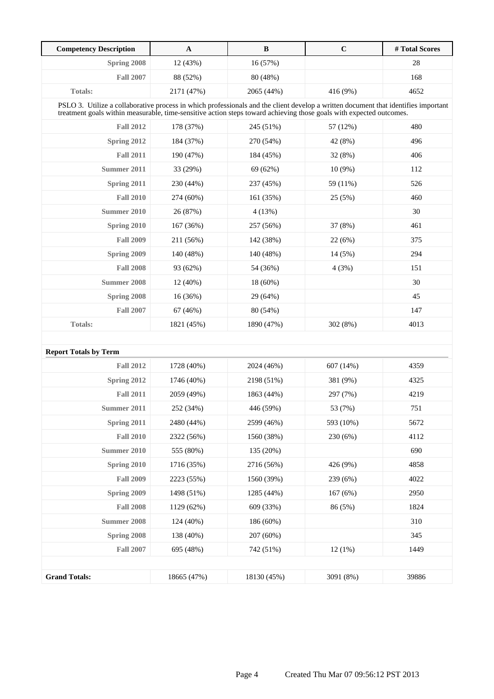| <b>Competency Description</b> | $\mathbf A$                                                                                                                                                                                                                                               | B           | $\mathbf C$ | #Total Scores |  |
|-------------------------------|-----------------------------------------------------------------------------------------------------------------------------------------------------------------------------------------------------------------------------------------------------------|-------------|-------------|---------------|--|
| Spring 2008                   | 12 (43%)                                                                                                                                                                                                                                                  | 16 (57%)    |             | 28            |  |
| <b>Fall 2007</b>              | 88 (52%)                                                                                                                                                                                                                                                  | 80 (48%)    |             | 168           |  |
| <b>Totals:</b>                | 2171 (47%)                                                                                                                                                                                                                                                | 2065 (44%)  | 416 (9%)    | 4652          |  |
|                               | PSLO 3. Utilize a collaborative process in which professionals and the client develop a written document that identifies important<br>treatment goals within measurable, time-sensitive action steps toward achieving those goals with expected outcomes. |             |             |               |  |
| <b>Fall 2012</b>              | 178 (37%)                                                                                                                                                                                                                                                 | 245 (51%)   | 57 (12%)    | 480           |  |
| Spring 2012                   | 184 (37%)                                                                                                                                                                                                                                                 | 270 (54%)   | 42 (8%)     | 496           |  |
| <b>Fall 2011</b>              | 190 (47%)                                                                                                                                                                                                                                                 | 184 (45%)   | 32 (8%)     | 406           |  |
| Summer 2011                   | 33 (29%)                                                                                                                                                                                                                                                  | 69 (62%)    | $10(9\%)$   | 112           |  |
| Spring 2011                   | 230 (44%)                                                                                                                                                                                                                                                 | 237 (45%)   | 59 (11%)    | 526           |  |
| <b>Fall 2010</b>              | 274 (60%)                                                                                                                                                                                                                                                 | 161 (35%)   | 25 (5%)     | 460           |  |
| Summer 2010                   | 26 (87%)                                                                                                                                                                                                                                                  | 4(13%)      |             | 30            |  |
| Spring 2010                   | 167 (36%)                                                                                                                                                                                                                                                 | 257 (56%)   | 37 (8%)     | 461           |  |
| <b>Fall 2009</b>              | 211 (56%)                                                                                                                                                                                                                                                 | 142 (38%)   | 22(6%)      | 375           |  |
| Spring 2009                   | 140 (48%)                                                                                                                                                                                                                                                 | 140 (48%)   | 14(5%)      | 294           |  |
| <b>Fall 2008</b>              | 93 (62%)                                                                                                                                                                                                                                                  | 54 (36%)    | 4(3%)       | 151           |  |
| <b>Summer 2008</b>            | $12(40\%)$                                                                                                                                                                                                                                                | 18 (60%)    |             | 30            |  |
| Spring 2008                   | 16 (36%)                                                                                                                                                                                                                                                  | 29 (64%)    |             | 45            |  |
| <b>Fall 2007</b>              | 67 (46%)                                                                                                                                                                                                                                                  | 80 (54%)    |             | 147           |  |
| <b>Totals:</b>                | 1821 (45%)                                                                                                                                                                                                                                                | 1890 (47%)  | 302 (8%)    | 4013          |  |
|                               |                                                                                                                                                                                                                                                           |             |             |               |  |
| <b>Report Totals by Term</b>  |                                                                                                                                                                                                                                                           |             |             |               |  |
| <b>Fall 2012</b>              | 1728 (40%)                                                                                                                                                                                                                                                | 2024 (46%)  | 607 (14%)   | 4359          |  |
| Spring 2012                   | 1746 (40%)                                                                                                                                                                                                                                                | 2198 (51%)  | 381 (9%)    | 4325          |  |
| <b>Fall 2011</b>              | 2059 (49%)                                                                                                                                                                                                                                                | 1863 (44%)  | 297 (7%)    | 4219          |  |
| Summer 2011                   | 252 (34%)                                                                                                                                                                                                                                                 | 446 (59%)   | 53 (7%)     | 751           |  |
| Spring 2011                   | 2480 (44%)                                                                                                                                                                                                                                                | 2599 (46%)  | 593 (10%)   | 5672          |  |
| <b>Fall 2010</b>              | 2322 (56%)                                                                                                                                                                                                                                                | 1560 (38%)  | 230 (6%)    | 4112          |  |
| <b>Summer 2010</b>            | 555 (80%)                                                                                                                                                                                                                                                 | 135 (20%)   |             | 690           |  |
| Spring 2010                   | 1716 (35%)                                                                                                                                                                                                                                                | 2716 (56%)  | 426 (9%)    | 4858          |  |
| <b>Fall 2009</b>              | 2223 (55%)                                                                                                                                                                                                                                                | 1560 (39%)  | 239 (6%)    | 4022          |  |
| Spring 2009                   | 1498 (51%)                                                                                                                                                                                                                                                | 1285 (44%)  | 167(6%)     | 2950          |  |
| <b>Fall 2008</b>              | 1129 (62%)                                                                                                                                                                                                                                                | 609 (33%)   | 86 (5%)     | 1824          |  |
| <b>Summer 2008</b>            | 124 (40%)                                                                                                                                                                                                                                                 | 186 (60%)   |             | 310           |  |
| Spring 2008                   | 138 (40%)                                                                                                                                                                                                                                                 | 207 (60%)   |             | 345           |  |
| <b>Fall 2007</b>              | 695 (48%)                                                                                                                                                                                                                                                 | 742 (51%)   | 12(1%)      | 1449          |  |
|                               |                                                                                                                                                                                                                                                           |             |             |               |  |
| <b>Grand Totals:</b>          | 18665 (47%)                                                                                                                                                                                                                                               | 18130 (45%) | 3091 (8%)   | 39886         |  |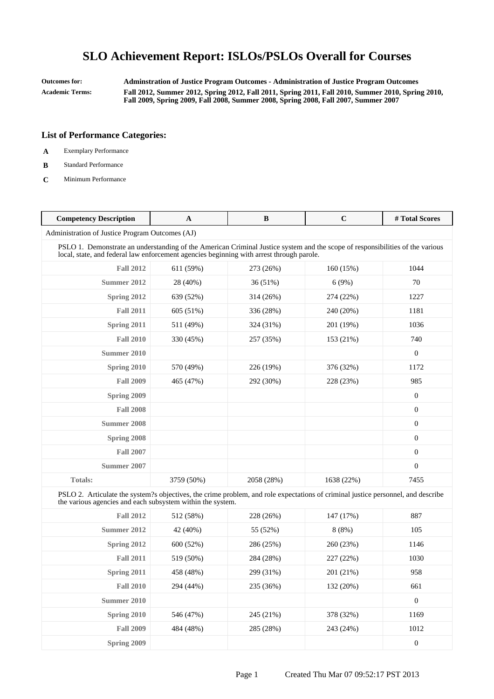**Outcomes for: Adminstration of Justice Program Outcomes - Administration of Justice Program Outcomes Academic Terms: Fall 2012, Summer 2012, Spring 2012, Fall 2011, Spring 2011, Fall 2010, Summer 2010, Spring 2010, Fall 2009, Spring 2009, Fall 2008, Summer 2008, Spring 2008, Fall 2007, Summer 2007**

- **A** Exemplary Performance
- **B** Standard Performance
- **C** Minimum Performance

| <b>Competency Description</b>                                                                                                                                                                                             | A          | B          | $\mathbf C$ | #Total Scores    |
|---------------------------------------------------------------------------------------------------------------------------------------------------------------------------------------------------------------------------|------------|------------|-------------|------------------|
| Administration of Justice Program Outcomes (AJ)                                                                                                                                                                           |            |            |             |                  |
| PSLO 1. Demonstrate an understanding of the American Criminal Justice system and the scope of responsibilities of the various<br>local, state, and federal law enforcement agencies beginning with arrest through parole. |            |            |             |                  |
| <b>Fall 2012</b>                                                                                                                                                                                                          | 611 (59%)  | 273 (26%)  | 160 (15%)   | 1044             |
| Summer 2012                                                                                                                                                                                                               | 28 (40%)   | 36(51%)    | 6(9%)       | 70               |
| <b>Spring 2012</b>                                                                                                                                                                                                        | 639 (52%)  | 314 (26%)  | 274 (22%)   | 1227             |
| <b>Fall 2011</b>                                                                                                                                                                                                          | 605 (51%)  | 336 (28%)  | 240 (20%)   | 1181             |
| Spring 2011                                                                                                                                                                                                               | 511 (49%)  | 324 (31%)  | 201 (19%)   | 1036             |
| <b>Fall 2010</b>                                                                                                                                                                                                          | 330 (45%)  | 257 (35%)  | 153 (21%)   | 740              |
| <b>Summer 2010</b>                                                                                                                                                                                                        |            |            |             | $\boldsymbol{0}$ |
| Spring 2010                                                                                                                                                                                                               | 570 (49%)  | 226 (19%)  | 376 (32%)   | 1172             |
| <b>Fall 2009</b>                                                                                                                                                                                                          | 465 (47%)  | 292 (30%)  | 228 (23%)   | 985              |
| Spring 2009                                                                                                                                                                                                               |            |            |             | $\mathbf{0}$     |
| <b>Fall 2008</b>                                                                                                                                                                                                          |            |            |             | $\mathbf{0}$     |
| <b>Summer 2008</b>                                                                                                                                                                                                        |            |            |             | $\mathbf{0}$     |
| Spring 2008                                                                                                                                                                                                               |            |            |             | $\mathbf{0}$     |
| <b>Fall 2007</b>                                                                                                                                                                                                          |            |            |             | $\boldsymbol{0}$ |
| Summer 2007                                                                                                                                                                                                               |            |            |             | 0                |
| <b>Totals:</b>                                                                                                                                                                                                            | 3759 (50%) | 2058 (28%) | 1638 (22%)  | 7455             |
| PSLO 2. Articulate the system?s objectives, the crime problem, and role expectations of criminal justice personnel, and describe<br>the various agencies and each subsystem within the system.                            |            |            |             |                  |
| <b>Fall 2012</b>                                                                                                                                                                                                          | 512 (58%)  | 228 (26%)  | 147 (17%)   | 887              |
| <b>Summer 2012</b>                                                                                                                                                                                                        | 42 (40%)   | 55 (52%)   | 8(8%)       | 105              |
| Spring 2012                                                                                                                                                                                                               | 600 (52%)  | 286 (25%)  | 260 (23%)   | 1146             |
| <b>Fall 2011</b>                                                                                                                                                                                                          | 519 (50%)  | 284 (28%)  | 227 (22%)   | 1030             |
| Spring 2011                                                                                                                                                                                                               | 458 (48%)  | 299 (31%)  | 201 (21%)   | 958              |
| <b>Fall 2010</b>                                                                                                                                                                                                          | 294 (44%)  | 235 (36%)  | 132 (20%)   | 661              |
| <b>Summer 2010</b>                                                                                                                                                                                                        |            |            |             | $\boldsymbol{0}$ |
| Spring 2010                                                                                                                                                                                                               | 546 (47%)  | 245 (21%)  | 378 (32%)   | 1169             |
| <b>Fall 2009</b>                                                                                                                                                                                                          | 484 (48%)  | 285 (28%)  | 243 (24%)   | 1012             |
| Spring 2009                                                                                                                                                                                                               |            |            |             | $\boldsymbol{0}$ |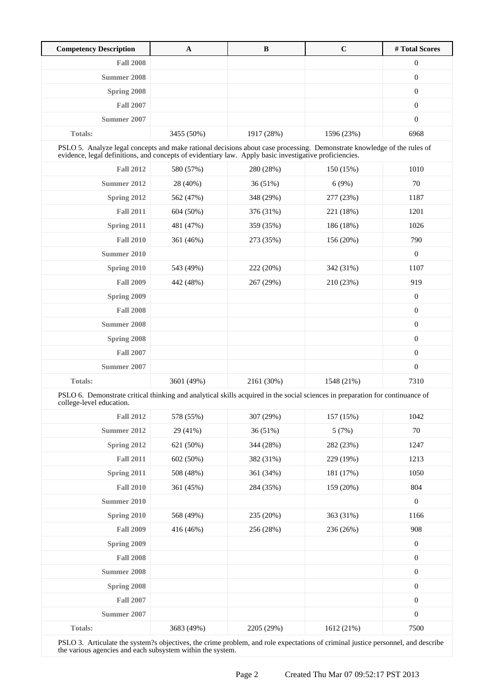| <b>Competency Description</b>                                                                                                                                                                                                     | A          | B          | $\mathbf C$ | # Total Scores   |
|-----------------------------------------------------------------------------------------------------------------------------------------------------------------------------------------------------------------------------------|------------|------------|-------------|------------------|
| <b>Fall 2008</b>                                                                                                                                                                                                                  |            |            |             | $\boldsymbol{0}$ |
| Summer 2008                                                                                                                                                                                                                       |            |            |             | $\boldsymbol{0}$ |
| Spring 2008                                                                                                                                                                                                                       |            |            |             | $\boldsymbol{0}$ |
| <b>Fall 2007</b>                                                                                                                                                                                                                  |            |            |             | $\boldsymbol{0}$ |
| Summer 2007                                                                                                                                                                                                                       |            |            |             | $\boldsymbol{0}$ |
| <b>Totals:</b>                                                                                                                                                                                                                    | 3455 (50%) | 1917 (28%) | 1596 (23%)  | 6968             |
| PSLO 5. Analyze legal concepts and make rational decisions about case processing. Demonstrate knowledge of the rules of<br>evidence, legal definitions, and concepts of evidentiary law. Apply basic investigative proficiencies. |            |            |             |                  |
| <b>Fall 2012</b>                                                                                                                                                                                                                  | 580 (57%)  | 280 (28%)  | 150 (15%)   | 1010             |
| Summer 2012                                                                                                                                                                                                                       | 28 (40%)   | 36 (51%)   | 6(9%)       | 70               |
| Spring 2012                                                                                                                                                                                                                       | 562 (47%)  | 348 (29%)  | 277 (23%)   | 1187             |
| <b>Fall 2011</b>                                                                                                                                                                                                                  | 604 (50%)  | 376 (31%)  | 221 (18%)   | 1201             |
| Spring 2011                                                                                                                                                                                                                       | 481 (47%)  | 359 (35%)  | 186 (18%)   | 1026             |
| <b>Fall 2010</b>                                                                                                                                                                                                                  | 361 (46%)  | 273 (35%)  | 156 (20%)   | 790              |
| Summer 2010                                                                                                                                                                                                                       |            |            |             | $\boldsymbol{0}$ |
| Spring 2010                                                                                                                                                                                                                       | 543 (49%)  | 222 (20%)  | 342 (31%)   | 1107             |
| <b>Fall 2009</b>                                                                                                                                                                                                                  | 442 (48%)  | 267 (29%)  | 210 (23%)   | 919              |
| Spring 2009                                                                                                                                                                                                                       |            |            |             | $\boldsymbol{0}$ |
| <b>Fall 2008</b>                                                                                                                                                                                                                  |            |            |             | $\boldsymbol{0}$ |
| Summer 2008                                                                                                                                                                                                                       |            |            |             | $\boldsymbol{0}$ |
| Spring 2008                                                                                                                                                                                                                       |            |            |             | $\boldsymbol{0}$ |
| <b>Fall 2007</b>                                                                                                                                                                                                                  |            |            |             | $\boldsymbol{0}$ |
| Summer 2007                                                                                                                                                                                                                       |            |            |             | $\overline{0}$   |
| <b>Totals:</b>                                                                                                                                                                                                                    | 3601 (49%) | 2161 (30%) | 1548 (21%)  | 7310             |
| PSLO 6. Demonstrate critical thinking and analytical skills acquired in the social sciences in preparation for continuance of<br>college-level education.                                                                         |            |            |             |                  |
| <b>Fall 2012</b>                                                                                                                                                                                                                  | 578 (55%)  | 307 (29%)  | 157 (15%)   | 1042             |
| <b>Summer 2012</b>                                                                                                                                                                                                                | 29 (41%)   | 36 (51%)   | 5(7%)       | $70\,$           |
| Spring 2012                                                                                                                                                                                                                       | 621 (50%)  | 344 (28%)  | 282 (23%)   | 1247             |
| <b>Fall 2011</b>                                                                                                                                                                                                                  | 602 (50%)  | 382 (31%)  | 229 (19%)   | 1213             |
| Spring 2011                                                                                                                                                                                                                       | 508 (48%)  | 361 (34%)  | 181 (17%)   | 1050             |
| <b>Fall 2010</b>                                                                                                                                                                                                                  | 361 (45%)  | 284 (35%)  | 159 (20%)   | 804              |
| <b>Summer 2010</b>                                                                                                                                                                                                                |            |            |             | $\boldsymbol{0}$ |
| Spring 2010                                                                                                                                                                                                                       | 568 (49%)  | 235 (20%)  | 363 (31%)   | 1166             |
| <b>Fall 2009</b>                                                                                                                                                                                                                  | 416 (46%)  | 256 (28%)  | 236 (26%)   | 908              |
| Spring 2009                                                                                                                                                                                                                       |            |            |             | $\boldsymbol{0}$ |
| <b>Fall 2008</b>                                                                                                                                                                                                                  |            |            |             | $\boldsymbol{0}$ |
| <b>Summer 2008</b>                                                                                                                                                                                                                |            |            |             | $\boldsymbol{0}$ |
| Spring 2008                                                                                                                                                                                                                       |            |            |             | $\boldsymbol{0}$ |
| <b>Fall 2007</b>                                                                                                                                                                                                                  |            |            |             | $\boldsymbol{0}$ |
| <b>Summer 2007</b>                                                                                                                                                                                                                |            |            |             | $\boldsymbol{0}$ |
| Totals:                                                                                                                                                                                                                           | 3683 (49%) | 2205 (29%) | 1612 (21%)  | 7500             |

PSLO 3. Articulate the system?s objectives, the crime problem, and role expectations of criminal justice personnel, and describe the various agencies and each subsystem within the system.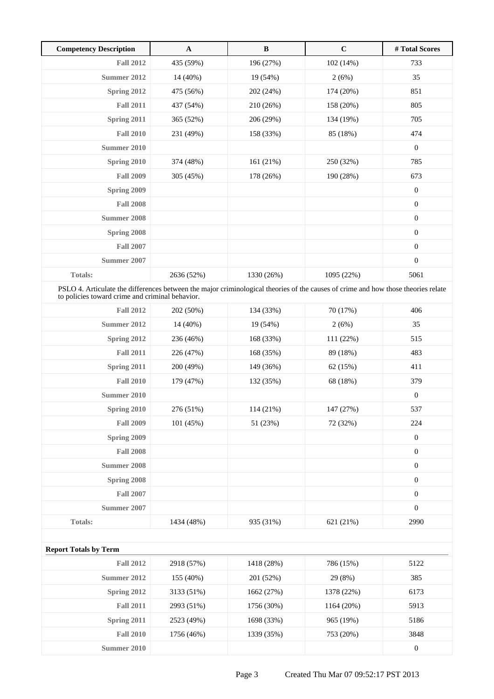| <b>Competency Description</b>                                                                                                                                                        | $\mathbf{A}$ | $\, {\bf B}$ | $\mathbf C$ | # Total Scores   |  |
|--------------------------------------------------------------------------------------------------------------------------------------------------------------------------------------|--------------|--------------|-------------|------------------|--|
| <b>Fall 2012</b>                                                                                                                                                                     | 435 (59%)    | 196 (27%)    | 102 (14%)   | 733              |  |
| Summer 2012                                                                                                                                                                          | 14 (40%)     | 19 (54%)     | 2(6%)       | 35               |  |
| Spring 2012                                                                                                                                                                          | 475 (56%)    | 202 (24%)    | 174 (20%)   | 851              |  |
| <b>Fall 2011</b>                                                                                                                                                                     | 437 (54%)    | 210 (26%)    | 158 (20%)   | 805              |  |
| Spring 2011                                                                                                                                                                          | 365 (52%)    | 206 (29%)    | 134 (19%)   | 705              |  |
| <b>Fall 2010</b>                                                                                                                                                                     | 231 (49%)    | 158 (33%)    | 85 (18%)    | 474              |  |
| Summer 2010                                                                                                                                                                          |              |              |             | $\boldsymbol{0}$ |  |
| Spring 2010                                                                                                                                                                          | 374 (48%)    | 161 (21%)    | 250 (32%)   | 785              |  |
| <b>Fall 2009</b>                                                                                                                                                                     | 305 (45%)    | 178 (26%)    | 190 (28%)   | 673              |  |
| Spring 2009                                                                                                                                                                          |              |              |             | $\boldsymbol{0}$ |  |
| <b>Fall 2008</b>                                                                                                                                                                     |              |              |             | $\boldsymbol{0}$ |  |
| Summer 2008                                                                                                                                                                          |              |              |             | $\boldsymbol{0}$ |  |
| Spring 2008                                                                                                                                                                          |              |              |             | $\boldsymbol{0}$ |  |
| <b>Fall 2007</b>                                                                                                                                                                     |              |              |             | $\boldsymbol{0}$ |  |
| <b>Summer 2007</b>                                                                                                                                                                   |              |              |             | $\boldsymbol{0}$ |  |
| Totals:                                                                                                                                                                              | 2636 (52%)   | 1330 (26%)   | 1095 (22%)  | 5061             |  |
| PSLO 4. Articulate the differences between the major criminological theories of the causes of crime and how those theories relate<br>to policies toward crime and criminal behavior. |              |              |             |                  |  |
| <b>Fall 2012</b>                                                                                                                                                                     | 202 (50%)    | 134 (33%)    | 70 (17%)    | 406              |  |
| Summer 2012                                                                                                                                                                          | 14 (40%)     | 19 (54%)     | 2(6%)       | 35               |  |
| Spring 2012                                                                                                                                                                          | 236 (46%)    | 168 (33%)    | 111 (22%)   | 515              |  |
| <b>Fall 2011</b>                                                                                                                                                                     | 226 (47%)    | 168 (35%)    | 89 (18%)    | 483              |  |
| Spring 2011                                                                                                                                                                          | 200 (49%)    | 149 (36%)    | 62 (15%)    | 411              |  |
| <b>Fall 2010</b>                                                                                                                                                                     | 179 (47%)    | 132 (35%)    | 68 (18%)    | 379              |  |
| Summer 2010                                                                                                                                                                          |              |              |             | $\boldsymbol{0}$ |  |
| <b>Spring 2010</b>                                                                                                                                                                   | 276 (51%)    | 114(21%)     | 147 (27%)   | 537              |  |
| <b>Fall 2009</b>                                                                                                                                                                     | 101 (45%)    | 51 (23%)     | 72 (32%)    | 224              |  |
| Spring 2009                                                                                                                                                                          |              |              |             | $\boldsymbol{0}$ |  |
| <b>Fall 2008</b>                                                                                                                                                                     |              |              |             | $\boldsymbol{0}$ |  |
| <b>Summer 2008</b>                                                                                                                                                                   |              |              |             | $\boldsymbol{0}$ |  |
| Spring 2008                                                                                                                                                                          |              |              |             | $\boldsymbol{0}$ |  |
| <b>Fall 2007</b>                                                                                                                                                                     |              |              |             | $\boldsymbol{0}$ |  |
| <b>Summer 2007</b>                                                                                                                                                                   |              |              |             | $\boldsymbol{0}$ |  |
| Totals:                                                                                                                                                                              | 1434 (48%)   | 935 (31%)    | 621 (21%)   | 2990             |  |
|                                                                                                                                                                                      |              |              |             |                  |  |
| <b>Report Totals by Term</b>                                                                                                                                                         |              |              |             |                  |  |
| <b>Fall 2012</b>                                                                                                                                                                     | 2918 (57%)   | 1418 (28%)   | 786 (15%)   | 5122             |  |
| <b>Summer 2012</b>                                                                                                                                                                   | 155 (40%)    | 201 (52%)    | 29 (8%)     | 385              |  |
| Spring 2012                                                                                                                                                                          | 3133 (51%)   | 1662 (27%)   | 1378 (22%)  | 6173             |  |
| <b>Fall 2011</b>                                                                                                                                                                     | 2993 (51%)   | 1756 (30%)   | 1164 (20%)  | 5913             |  |
| Spring 2011                                                                                                                                                                          | 2523 (49%)   | 1698 (33%)   | 965 (19%)   | 5186             |  |
| <b>Fall 2010</b>                                                                                                                                                                     | 1756 (46%)   | 1339 (35%)   | 753 (20%)   | 3848             |  |
| <b>Summer 2010</b>                                                                                                                                                                   |              |              |             | $\boldsymbol{0}$ |  |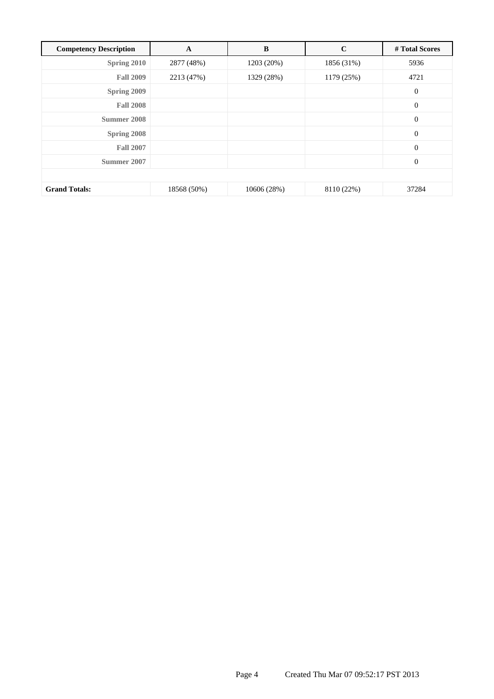| <b>Competency Description</b> | $\mathbf A$ | B           | $\mathbf C$ | # Total Scores   |
|-------------------------------|-------------|-------------|-------------|------------------|
| Spring 2010                   | 2877 (48%)  | 1203 (20%)  | 1856 (31%)  | 5936             |
| <b>Fall 2009</b>              | 2213 (47%)  | 1329 (28%)  | 1179 (25%)  | 4721             |
| Spring 2009                   |             |             |             | $\boldsymbol{0}$ |
| <b>Fall 2008</b>              |             |             |             | $\boldsymbol{0}$ |
| Summer 2008                   |             |             |             | $\boldsymbol{0}$ |
| Spring 2008                   |             |             |             | $\boldsymbol{0}$ |
| <b>Fall 2007</b>              |             |             |             | $\boldsymbol{0}$ |
| Summer 2007                   |             |             |             | $\mathbf{0}$     |
|                               |             |             |             |                  |
| <b>Grand Totals:</b>          | 18568 (50%) | 10606 (28%) | 8110 (22%)  | 37284            |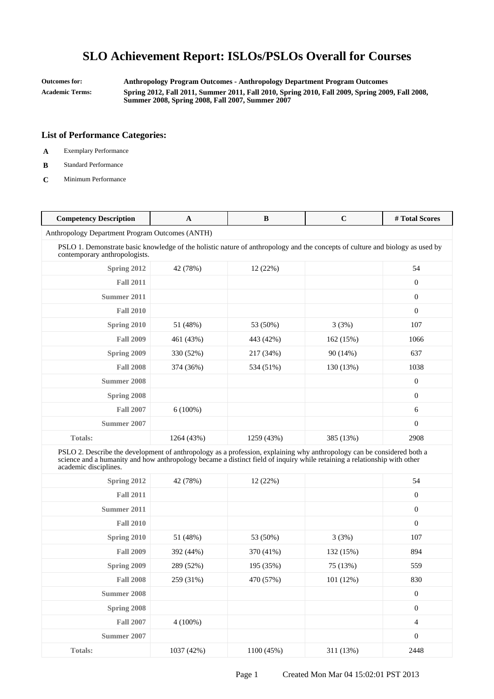**Outcomes for: Anthropology Program Outcomes - Anthropology Department Program Outcomes Academic Terms: Spring 2012, Fall 2011, Summer 2011, Fall 2010, Spring 2010, Fall 2009, Spring 2009, Fall 2008, Summer 2008, Spring 2008, Fall 2007, Summer 2007**

- **A** Exemplary Performance
- **B** Standard Performance
- **C** Minimum Performance

| <b>Competency Description</b>                                                                                                                                                                                                                                               | A          | B          | $\mathbf C$ | #Total Scores    |
|-----------------------------------------------------------------------------------------------------------------------------------------------------------------------------------------------------------------------------------------------------------------------------|------------|------------|-------------|------------------|
| Anthropology Department Program Outcomes (ANTH)                                                                                                                                                                                                                             |            |            |             |                  |
| PSLO 1. Demonstrate basic knowledge of the holistic nature of anthropology and the concepts of culture and biology as used by<br>contemporary anthropologists.                                                                                                              |            |            |             |                  |
| Spring 2012                                                                                                                                                                                                                                                                 | 42 (78%)   | 12 (22%)   |             | 54               |
| <b>Fall 2011</b>                                                                                                                                                                                                                                                            |            |            |             | $\boldsymbol{0}$ |
| Summer 2011                                                                                                                                                                                                                                                                 |            |            |             | $\boldsymbol{0}$ |
| <b>Fall 2010</b>                                                                                                                                                                                                                                                            |            |            |             | $\boldsymbol{0}$ |
| <b>Spring 2010</b>                                                                                                                                                                                                                                                          | 51 (48%)   | 53 (50%)   | 3(3%)       | 107              |
| <b>Fall 2009</b>                                                                                                                                                                                                                                                            | 461 (43%)  | 443 (42%)  | 162 (15%)   | 1066             |
| Spring 2009                                                                                                                                                                                                                                                                 | 330 (52%)  | 217 (34%)  | 90(14%)     | 637              |
| <b>Fall 2008</b>                                                                                                                                                                                                                                                            | 374 (36%)  | 534 (51%)  | 130 (13%)   | 1038             |
| Summer 2008                                                                                                                                                                                                                                                                 |            |            |             | $\boldsymbol{0}$ |
| Spring 2008                                                                                                                                                                                                                                                                 |            |            |             | $\boldsymbol{0}$ |
| <b>Fall 2007</b>                                                                                                                                                                                                                                                            | $6(100\%)$ |            |             | 6                |
| Summer 2007                                                                                                                                                                                                                                                                 |            |            |             | $\overline{0}$   |
| <b>Totals:</b>                                                                                                                                                                                                                                                              | 1264 (43%) | 1259 (43%) | 385 (13%)   | 2908             |
| PSLO 2. Describe the development of anthropology as a profession, explaining why anthropology can be considered both a<br>science and a humanity and how anthropology became a distinct field of inquiry while retaining a relationship with other<br>academic disciplines. |            |            |             |                  |
| Spring 2012                                                                                                                                                                                                                                                                 | 42 (78%)   | 12 (22%)   |             | 54               |
| <b>Fall 2011</b>                                                                                                                                                                                                                                                            |            |            |             | $\boldsymbol{0}$ |
| Summer 2011                                                                                                                                                                                                                                                                 |            |            |             | $\boldsymbol{0}$ |
| <b>Fall 2010</b>                                                                                                                                                                                                                                                            |            |            |             | $\overline{0}$   |
| Spring 2010                                                                                                                                                                                                                                                                 | 51 (48%)   | 53 (50%)   | 3(3%)       | 107              |
| <b>Fall 2009</b>                                                                                                                                                                                                                                                            | 392 (44%)  | 370 (41%)  | 132 (15%)   | 894              |
| Spring 2009                                                                                                                                                                                                                                                                 | 289 (52%)  | 195 (35%)  | 75 (13%)    | 559              |
| <b>Fall 2008</b>                                                                                                                                                                                                                                                            | 259 (31%)  | 470 (57%)  | 101 (12%)   | 830              |
| <b>Summer 2008</b>                                                                                                                                                                                                                                                          |            |            |             | $\boldsymbol{0}$ |
| Spring 2008                                                                                                                                                                                                                                                                 |            |            |             | $\boldsymbol{0}$ |
| <b>Fall 2007</b>                                                                                                                                                                                                                                                            | $4(100\%)$ |            |             | 4                |
| <b>Summer 2007</b>                                                                                                                                                                                                                                                          |            |            |             | $\boldsymbol{0}$ |
| <b>Totals:</b>                                                                                                                                                                                                                                                              | 1037 (42%) | 1100 (45%) | 311 (13%)   | 2448             |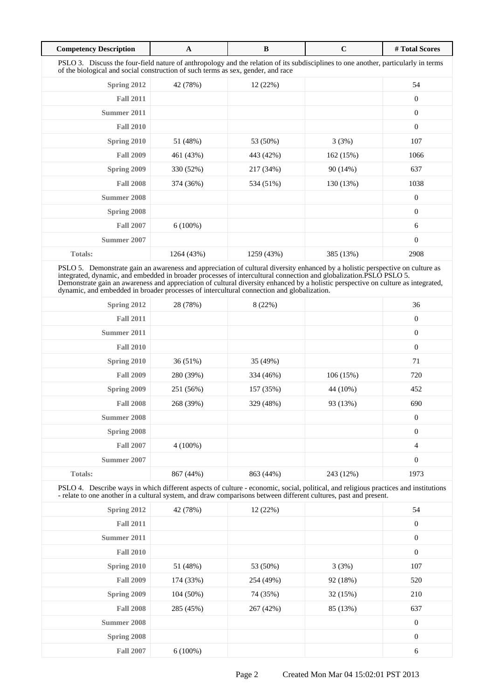| <b>Competency Description</b>                                                                                                                                                                                          | $\mathbf{A}$ | B          | $\mathbf C$ | # Total Scores   |  |
|------------------------------------------------------------------------------------------------------------------------------------------------------------------------------------------------------------------------|--------------|------------|-------------|------------------|--|
| PSLO 3. Discuss the four-field nature of anthropology and the relation of its subdisciplines to one another, particularly in terms<br>of the biological and social construction of such terms as sex, gender, and race |              |            |             |                  |  |
| Spring 2012                                                                                                                                                                                                            | 42 (78%)     | 12(22%)    |             | 54               |  |
| <b>Fall 2011</b>                                                                                                                                                                                                       |              |            |             | $\mathbf{0}$     |  |
| Summer 2011                                                                                                                                                                                                            |              |            |             | $\mathbf{0}$     |  |
| <b>Fall 2010</b>                                                                                                                                                                                                       |              |            |             | $\boldsymbol{0}$ |  |
| Spring 2010                                                                                                                                                                                                            | 51 (48%)     | 53 (50%)   | 3(3%)       | 107              |  |
| <b>Fall 2009</b>                                                                                                                                                                                                       | 461 (43%)    | 443 (42%)  | 162(15%)    | 1066             |  |
| Spring 2009                                                                                                                                                                                                            | 330 (52%)    | 217 (34%)  | 90(14%)     | 637              |  |
| <b>Fall 2008</b>                                                                                                                                                                                                       | 374 (36%)    | 534 (51%)  | 130 (13%)   | 1038             |  |
| Summer 2008                                                                                                                                                                                                            |              |            |             | $\mathbf{0}$     |  |
| Spring 2008                                                                                                                                                                                                            |              |            |             | $\mathbf{0}$     |  |
| <b>Fall 2007</b>                                                                                                                                                                                                       | $6(100\%)$   |            |             | 6                |  |
| <b>Summer 2007</b>                                                                                                                                                                                                     |              |            |             | $\mathbf{0}$     |  |
| <b>Totals:</b>                                                                                                                                                                                                         | 1264 (43%)   | 1259 (43%) | 385 (13%)   | 2908             |  |

PSLO 5. Demonstrate gain an awareness and appreciation of cultural diversity enhanced by a holistic perspective on culture as integrated, dynamic, and embedded in broader processes of intercultural connection and globalization.PSLO PSLO 5. Demonstrate gain an awareness and appreciation of cultural diversity enhanced by a holistic perspective on culture as integrated, dynamic, and embedded in broader processes of intercultural connection and globalization.

| Spring 2012      | 28 (78%)   | 8 (22%)   |           | 36               |
|------------------|------------|-----------|-----------|------------------|
| <b>Fall 2011</b> |            |           |           | $\boldsymbol{0}$ |
| Summer 2011      |            |           |           | $\boldsymbol{0}$ |
| <b>Fall 2010</b> |            |           |           | $\boldsymbol{0}$ |
| Spring 2010      | 36 (51%)   | 35 (49%)  |           | 71               |
| <b>Fall 2009</b> | 280 (39%)  | 334 (46%) | 106(15%)  | 720              |
| Spring 2009      | 251 (56%)  | 157 (35%) | 44 (10%)  | 452              |
| <b>Fall 2008</b> | 268 (39%)  | 329 (48%) | 93 (13%)  | 690              |
| Summer 2008      |            |           |           | $\boldsymbol{0}$ |
| Spring 2008      |            |           |           | $\boldsymbol{0}$ |
| <b>Fall 2007</b> | $4(100\%)$ |           |           | $\overline{4}$   |
| Summer 2007      |            |           |           | $\boldsymbol{0}$ |
| <b>Totals:</b>   | 867 (44%)  | 863 (44%) | 243 (12%) | 1973             |

PSLO 4. Describe ways in which different aspects of culture - economic, social, political, and religious practices and institutions - relate to one another in a cultural system, and draw comparisons between different cultures, past and present.

| Spring 2012      | 42 (78%)   | 12 (22%)  |          | 54               |
|------------------|------------|-----------|----------|------------------|
| <b>Fall 2011</b> |            |           |          | $\boldsymbol{0}$ |
| Summer 2011      |            |           |          | $\boldsymbol{0}$ |
| <b>Fall 2010</b> |            |           |          | $\boldsymbol{0}$ |
| Spring 2010      | 51 (48%)   | 53 (50%)  | 3(3%)    | 107              |
| <b>Fall 2009</b> | 174 (33%)  | 254 (49%) | 92 (18%) | 520              |
| Spring 2009      | 104 (50%)  | 74 (35%)  | 32 (15%) | 210              |
| <b>Fall 2008</b> | 285 (45%)  | 267 (42%) | 85 (13%) | 637              |
| Summer 2008      |            |           |          | $\boldsymbol{0}$ |
| Spring 2008      |            |           |          | $\boldsymbol{0}$ |
| <b>Fall 2007</b> | $6(100\%)$ |           |          | 6                |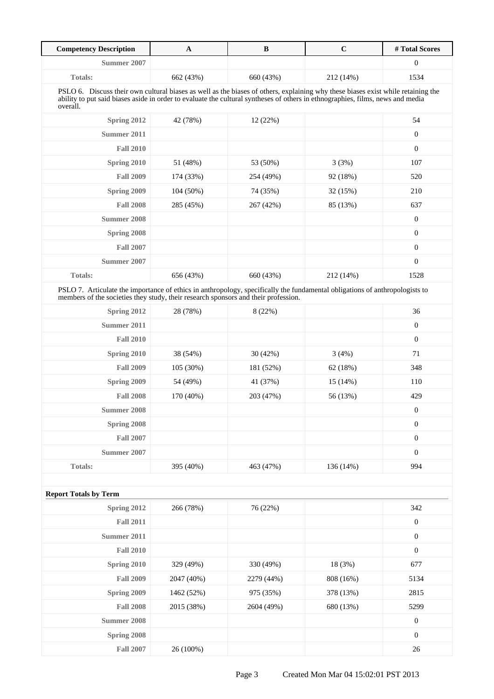| Summer 2007<br>$\mathbf{0}$<br>1534<br><b>Totals:</b><br>662 (43%)<br>660 (43%)<br>212 (14%)<br>PSLO 6. Discuss their own cultural biases as well as the biases of others, explaining why these biases exist while retaining the<br>ability to put said biases aside in order to evaluate the cultural syntheses of others in ethnographies, films, news and media<br>overall.<br>Spring 2012<br>54<br>42 (78%)<br>12 (22%)<br>Summer 2011<br>$\boldsymbol{0}$<br><b>Fall 2010</b><br>$\boldsymbol{0}$<br>Spring 2010<br>51 (48%)<br>53 (50%)<br>3(3%)<br>107<br><b>Fall 2009</b><br>174 (33%)<br>254 (49%)<br>92 (18%)<br>520<br>Spring 2009<br>104 (50%)<br>74 (35%)<br>210<br>32 (15%)<br><b>Fall 2008</b><br>285 (45%)<br>267 (42%)<br>85 (13%)<br>637<br>$\boldsymbol{0}$<br><b>Summer 2008</b><br>$\boldsymbol{0}$<br>Spring 2008<br>$\boldsymbol{0}$<br><b>Fall 2007</b><br>Summer 2007<br>$\boldsymbol{0}$<br>Totals:<br>656 (43%)<br>660 (43%)<br>212 (14%)<br>1528<br>PSLO 7. Articulate the importance of ethics in anthropology, specifically the fundamental obligations of anthropologists to<br>members of the societies they study, their research sponsors and their profession.<br>36<br>Spring 2012<br>28 (78%)<br>8 (22%)<br>$\boldsymbol{0}$<br>Summer 2011<br>$\boldsymbol{0}$<br><b>Fall 2010</b><br>Spring 2010<br>38 (54%)<br>30 (42%)<br>3(4%)<br>71<br><b>Fall 2009</b><br>348<br>105 (30%)<br>181 (52%)<br>62 (18%)<br>Spring 2009<br>54 (49%)<br>41 (37%)<br>15 (14%)<br>110<br><b>Fall 2008</b><br>429<br>170 (40%)<br>203 (47%)<br>56 (13%)<br><b>Summer 2008</b><br>$\boldsymbol{0}$<br>Spring 2008<br>$\boldsymbol{0}$<br><b>Fall 2007</b><br>$\boldsymbol{0}$<br>Summer 2007<br>$\boldsymbol{0}$<br><b>Totals:</b><br>994<br>395 (40%)<br>463 (47%)<br>136 (14%)<br><b>Report Totals by Term</b><br>Spring 2012<br>266 (78%)<br>76 (22%)<br>342<br>$\boldsymbol{0}$<br><b>Fall 2011</b><br><b>Summer 2011</b><br>$\boldsymbol{0}$<br><b>Fall 2010</b><br>$\boldsymbol{0}$<br>677<br>Spring 2010<br>329 (49%)<br>330 (49%)<br>18 (3%)<br><b>Fall 2009</b><br>808 (16%)<br>5134<br>2047 (40%)<br>2279 (44%)<br>Spring 2009<br>2815<br>1462 (52%)<br>975 (35%)<br>378 (13%)<br><b>Fall 2008</b><br>5299<br>2015 (38%)<br>2604 (49%)<br>680 (13%) | <b>Competency Description</b> | $\mathbf A$ | $\, {\bf B}$ | $\mathbf C$ | # Total Scores |
|---------------------------------------------------------------------------------------------------------------------------------------------------------------------------------------------------------------------------------------------------------------------------------------------------------------------------------------------------------------------------------------------------------------------------------------------------------------------------------------------------------------------------------------------------------------------------------------------------------------------------------------------------------------------------------------------------------------------------------------------------------------------------------------------------------------------------------------------------------------------------------------------------------------------------------------------------------------------------------------------------------------------------------------------------------------------------------------------------------------------------------------------------------------------------------------------------------------------------------------------------------------------------------------------------------------------------------------------------------------------------------------------------------------------------------------------------------------------------------------------------------------------------------------------------------------------------------------------------------------------------------------------------------------------------------------------------------------------------------------------------------------------------------------------------------------------------------------------------------------------------------------------------------------------------------------------------------------------------------------------------------------------------------------------------------------------------------------------------------------------------------------------------------------------------------------------------------------------------------------------------------------------------------|-------------------------------|-------------|--------------|-------------|----------------|
|                                                                                                                                                                                                                                                                                                                                                                                                                                                                                                                                                                                                                                                                                                                                                                                                                                                                                                                                                                                                                                                                                                                                                                                                                                                                                                                                                                                                                                                                                                                                                                                                                                                                                                                                                                                                                                                                                                                                                                                                                                                                                                                                                                                                                                                                                 |                               |             |              |             |                |
|                                                                                                                                                                                                                                                                                                                                                                                                                                                                                                                                                                                                                                                                                                                                                                                                                                                                                                                                                                                                                                                                                                                                                                                                                                                                                                                                                                                                                                                                                                                                                                                                                                                                                                                                                                                                                                                                                                                                                                                                                                                                                                                                                                                                                                                                                 |                               |             |              |             |                |
|                                                                                                                                                                                                                                                                                                                                                                                                                                                                                                                                                                                                                                                                                                                                                                                                                                                                                                                                                                                                                                                                                                                                                                                                                                                                                                                                                                                                                                                                                                                                                                                                                                                                                                                                                                                                                                                                                                                                                                                                                                                                                                                                                                                                                                                                                 |                               |             |              |             |                |
|                                                                                                                                                                                                                                                                                                                                                                                                                                                                                                                                                                                                                                                                                                                                                                                                                                                                                                                                                                                                                                                                                                                                                                                                                                                                                                                                                                                                                                                                                                                                                                                                                                                                                                                                                                                                                                                                                                                                                                                                                                                                                                                                                                                                                                                                                 |                               |             |              |             |                |
|                                                                                                                                                                                                                                                                                                                                                                                                                                                                                                                                                                                                                                                                                                                                                                                                                                                                                                                                                                                                                                                                                                                                                                                                                                                                                                                                                                                                                                                                                                                                                                                                                                                                                                                                                                                                                                                                                                                                                                                                                                                                                                                                                                                                                                                                                 |                               |             |              |             |                |
|                                                                                                                                                                                                                                                                                                                                                                                                                                                                                                                                                                                                                                                                                                                                                                                                                                                                                                                                                                                                                                                                                                                                                                                                                                                                                                                                                                                                                                                                                                                                                                                                                                                                                                                                                                                                                                                                                                                                                                                                                                                                                                                                                                                                                                                                                 |                               |             |              |             |                |
|                                                                                                                                                                                                                                                                                                                                                                                                                                                                                                                                                                                                                                                                                                                                                                                                                                                                                                                                                                                                                                                                                                                                                                                                                                                                                                                                                                                                                                                                                                                                                                                                                                                                                                                                                                                                                                                                                                                                                                                                                                                                                                                                                                                                                                                                                 |                               |             |              |             |                |
|                                                                                                                                                                                                                                                                                                                                                                                                                                                                                                                                                                                                                                                                                                                                                                                                                                                                                                                                                                                                                                                                                                                                                                                                                                                                                                                                                                                                                                                                                                                                                                                                                                                                                                                                                                                                                                                                                                                                                                                                                                                                                                                                                                                                                                                                                 |                               |             |              |             |                |
|                                                                                                                                                                                                                                                                                                                                                                                                                                                                                                                                                                                                                                                                                                                                                                                                                                                                                                                                                                                                                                                                                                                                                                                                                                                                                                                                                                                                                                                                                                                                                                                                                                                                                                                                                                                                                                                                                                                                                                                                                                                                                                                                                                                                                                                                                 |                               |             |              |             |                |
|                                                                                                                                                                                                                                                                                                                                                                                                                                                                                                                                                                                                                                                                                                                                                                                                                                                                                                                                                                                                                                                                                                                                                                                                                                                                                                                                                                                                                                                                                                                                                                                                                                                                                                                                                                                                                                                                                                                                                                                                                                                                                                                                                                                                                                                                                 |                               |             |              |             |                |
|                                                                                                                                                                                                                                                                                                                                                                                                                                                                                                                                                                                                                                                                                                                                                                                                                                                                                                                                                                                                                                                                                                                                                                                                                                                                                                                                                                                                                                                                                                                                                                                                                                                                                                                                                                                                                                                                                                                                                                                                                                                                                                                                                                                                                                                                                 |                               |             |              |             |                |
|                                                                                                                                                                                                                                                                                                                                                                                                                                                                                                                                                                                                                                                                                                                                                                                                                                                                                                                                                                                                                                                                                                                                                                                                                                                                                                                                                                                                                                                                                                                                                                                                                                                                                                                                                                                                                                                                                                                                                                                                                                                                                                                                                                                                                                                                                 |                               |             |              |             |                |
|                                                                                                                                                                                                                                                                                                                                                                                                                                                                                                                                                                                                                                                                                                                                                                                                                                                                                                                                                                                                                                                                                                                                                                                                                                                                                                                                                                                                                                                                                                                                                                                                                                                                                                                                                                                                                                                                                                                                                                                                                                                                                                                                                                                                                                                                                 |                               |             |              |             |                |
|                                                                                                                                                                                                                                                                                                                                                                                                                                                                                                                                                                                                                                                                                                                                                                                                                                                                                                                                                                                                                                                                                                                                                                                                                                                                                                                                                                                                                                                                                                                                                                                                                                                                                                                                                                                                                                                                                                                                                                                                                                                                                                                                                                                                                                                                                 |                               |             |              |             |                |
|                                                                                                                                                                                                                                                                                                                                                                                                                                                                                                                                                                                                                                                                                                                                                                                                                                                                                                                                                                                                                                                                                                                                                                                                                                                                                                                                                                                                                                                                                                                                                                                                                                                                                                                                                                                                                                                                                                                                                                                                                                                                                                                                                                                                                                                                                 |                               |             |              |             |                |
|                                                                                                                                                                                                                                                                                                                                                                                                                                                                                                                                                                                                                                                                                                                                                                                                                                                                                                                                                                                                                                                                                                                                                                                                                                                                                                                                                                                                                                                                                                                                                                                                                                                                                                                                                                                                                                                                                                                                                                                                                                                                                                                                                                                                                                                                                 |                               |             |              |             |                |
|                                                                                                                                                                                                                                                                                                                                                                                                                                                                                                                                                                                                                                                                                                                                                                                                                                                                                                                                                                                                                                                                                                                                                                                                                                                                                                                                                                                                                                                                                                                                                                                                                                                                                                                                                                                                                                                                                                                                                                                                                                                                                                                                                                                                                                                                                 |                               |             |              |             |                |
|                                                                                                                                                                                                                                                                                                                                                                                                                                                                                                                                                                                                                                                                                                                                                                                                                                                                                                                                                                                                                                                                                                                                                                                                                                                                                                                                                                                                                                                                                                                                                                                                                                                                                                                                                                                                                                                                                                                                                                                                                                                                                                                                                                                                                                                                                 |                               |             |              |             |                |
|                                                                                                                                                                                                                                                                                                                                                                                                                                                                                                                                                                                                                                                                                                                                                                                                                                                                                                                                                                                                                                                                                                                                                                                                                                                                                                                                                                                                                                                                                                                                                                                                                                                                                                                                                                                                                                                                                                                                                                                                                                                                                                                                                                                                                                                                                 |                               |             |              |             |                |
|                                                                                                                                                                                                                                                                                                                                                                                                                                                                                                                                                                                                                                                                                                                                                                                                                                                                                                                                                                                                                                                                                                                                                                                                                                                                                                                                                                                                                                                                                                                                                                                                                                                                                                                                                                                                                                                                                                                                                                                                                                                                                                                                                                                                                                                                                 |                               |             |              |             |                |
|                                                                                                                                                                                                                                                                                                                                                                                                                                                                                                                                                                                                                                                                                                                                                                                                                                                                                                                                                                                                                                                                                                                                                                                                                                                                                                                                                                                                                                                                                                                                                                                                                                                                                                                                                                                                                                                                                                                                                                                                                                                                                                                                                                                                                                                                                 |                               |             |              |             |                |
|                                                                                                                                                                                                                                                                                                                                                                                                                                                                                                                                                                                                                                                                                                                                                                                                                                                                                                                                                                                                                                                                                                                                                                                                                                                                                                                                                                                                                                                                                                                                                                                                                                                                                                                                                                                                                                                                                                                                                                                                                                                                                                                                                                                                                                                                                 |                               |             |              |             |                |
|                                                                                                                                                                                                                                                                                                                                                                                                                                                                                                                                                                                                                                                                                                                                                                                                                                                                                                                                                                                                                                                                                                                                                                                                                                                                                                                                                                                                                                                                                                                                                                                                                                                                                                                                                                                                                                                                                                                                                                                                                                                                                                                                                                                                                                                                                 |                               |             |              |             |                |
|                                                                                                                                                                                                                                                                                                                                                                                                                                                                                                                                                                                                                                                                                                                                                                                                                                                                                                                                                                                                                                                                                                                                                                                                                                                                                                                                                                                                                                                                                                                                                                                                                                                                                                                                                                                                                                                                                                                                                                                                                                                                                                                                                                                                                                                                                 |                               |             |              |             |                |
|                                                                                                                                                                                                                                                                                                                                                                                                                                                                                                                                                                                                                                                                                                                                                                                                                                                                                                                                                                                                                                                                                                                                                                                                                                                                                                                                                                                                                                                                                                                                                                                                                                                                                                                                                                                                                                                                                                                                                                                                                                                                                                                                                                                                                                                                                 |                               |             |              |             |                |
|                                                                                                                                                                                                                                                                                                                                                                                                                                                                                                                                                                                                                                                                                                                                                                                                                                                                                                                                                                                                                                                                                                                                                                                                                                                                                                                                                                                                                                                                                                                                                                                                                                                                                                                                                                                                                                                                                                                                                                                                                                                                                                                                                                                                                                                                                 |                               |             |              |             |                |
|                                                                                                                                                                                                                                                                                                                                                                                                                                                                                                                                                                                                                                                                                                                                                                                                                                                                                                                                                                                                                                                                                                                                                                                                                                                                                                                                                                                                                                                                                                                                                                                                                                                                                                                                                                                                                                                                                                                                                                                                                                                                                                                                                                                                                                                                                 |                               |             |              |             |                |
|                                                                                                                                                                                                                                                                                                                                                                                                                                                                                                                                                                                                                                                                                                                                                                                                                                                                                                                                                                                                                                                                                                                                                                                                                                                                                                                                                                                                                                                                                                                                                                                                                                                                                                                                                                                                                                                                                                                                                                                                                                                                                                                                                                                                                                                                                 |                               |             |              |             |                |
|                                                                                                                                                                                                                                                                                                                                                                                                                                                                                                                                                                                                                                                                                                                                                                                                                                                                                                                                                                                                                                                                                                                                                                                                                                                                                                                                                                                                                                                                                                                                                                                                                                                                                                                                                                                                                                                                                                                                                                                                                                                                                                                                                                                                                                                                                 |                               |             |              |             |                |
|                                                                                                                                                                                                                                                                                                                                                                                                                                                                                                                                                                                                                                                                                                                                                                                                                                                                                                                                                                                                                                                                                                                                                                                                                                                                                                                                                                                                                                                                                                                                                                                                                                                                                                                                                                                                                                                                                                                                                                                                                                                                                                                                                                                                                                                                                 |                               |             |              |             |                |
|                                                                                                                                                                                                                                                                                                                                                                                                                                                                                                                                                                                                                                                                                                                                                                                                                                                                                                                                                                                                                                                                                                                                                                                                                                                                                                                                                                                                                                                                                                                                                                                                                                                                                                                                                                                                                                                                                                                                                                                                                                                                                                                                                                                                                                                                                 |                               |             |              |             |                |
|                                                                                                                                                                                                                                                                                                                                                                                                                                                                                                                                                                                                                                                                                                                                                                                                                                                                                                                                                                                                                                                                                                                                                                                                                                                                                                                                                                                                                                                                                                                                                                                                                                                                                                                                                                                                                                                                                                                                                                                                                                                                                                                                                                                                                                                                                 |                               |             |              |             |                |
|                                                                                                                                                                                                                                                                                                                                                                                                                                                                                                                                                                                                                                                                                                                                                                                                                                                                                                                                                                                                                                                                                                                                                                                                                                                                                                                                                                                                                                                                                                                                                                                                                                                                                                                                                                                                                                                                                                                                                                                                                                                                                                                                                                                                                                                                                 |                               |             |              |             |                |
|                                                                                                                                                                                                                                                                                                                                                                                                                                                                                                                                                                                                                                                                                                                                                                                                                                                                                                                                                                                                                                                                                                                                                                                                                                                                                                                                                                                                                                                                                                                                                                                                                                                                                                                                                                                                                                                                                                                                                                                                                                                                                                                                                                                                                                                                                 |                               |             |              |             |                |
|                                                                                                                                                                                                                                                                                                                                                                                                                                                                                                                                                                                                                                                                                                                                                                                                                                                                                                                                                                                                                                                                                                                                                                                                                                                                                                                                                                                                                                                                                                                                                                                                                                                                                                                                                                                                                                                                                                                                                                                                                                                                                                                                                                                                                                                                                 |                               |             |              |             |                |
|                                                                                                                                                                                                                                                                                                                                                                                                                                                                                                                                                                                                                                                                                                                                                                                                                                                                                                                                                                                                                                                                                                                                                                                                                                                                                                                                                                                                                                                                                                                                                                                                                                                                                                                                                                                                                                                                                                                                                                                                                                                                                                                                                                                                                                                                                 |                               |             |              |             |                |
|                                                                                                                                                                                                                                                                                                                                                                                                                                                                                                                                                                                                                                                                                                                                                                                                                                                                                                                                                                                                                                                                                                                                                                                                                                                                                                                                                                                                                                                                                                                                                                                                                                                                                                                                                                                                                                                                                                                                                                                                                                                                                                                                                                                                                                                                                 |                               |             |              |             |                |
| $\boldsymbol{0}$<br><b>Summer 2008</b>                                                                                                                                                                                                                                                                                                                                                                                                                                                                                                                                                                                                                                                                                                                                                                                                                                                                                                                                                                                                                                                                                                                                                                                                                                                                                                                                                                                                                                                                                                                                                                                                                                                                                                                                                                                                                                                                                                                                                                                                                                                                                                                                                                                                                                          |                               |             |              |             |                |
| Spring 2008<br>$\boldsymbol{0}$                                                                                                                                                                                                                                                                                                                                                                                                                                                                                                                                                                                                                                                                                                                                                                                                                                                                                                                                                                                                                                                                                                                                                                                                                                                                                                                                                                                                                                                                                                                                                                                                                                                                                                                                                                                                                                                                                                                                                                                                                                                                                                                                                                                                                                                 |                               |             |              |             |                |
| <b>Fall 2007</b><br>26<br>26 (100%)                                                                                                                                                                                                                                                                                                                                                                                                                                                                                                                                                                                                                                                                                                                                                                                                                                                                                                                                                                                                                                                                                                                                                                                                                                                                                                                                                                                                                                                                                                                                                                                                                                                                                                                                                                                                                                                                                                                                                                                                                                                                                                                                                                                                                                             |                               |             |              |             |                |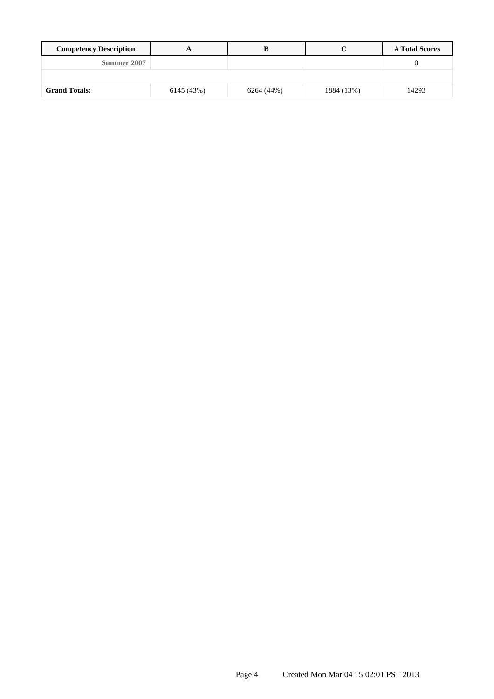| <b>Competency Description</b> |            |            |            | # Total Scores |
|-------------------------------|------------|------------|------------|----------------|
| Summer 2007                   |            |            |            |                |
|                               |            |            |            |                |
| <b>Grand Totals:</b>          | 6145 (43%) | 6264 (44%) | 1884 (13%) | 14293          |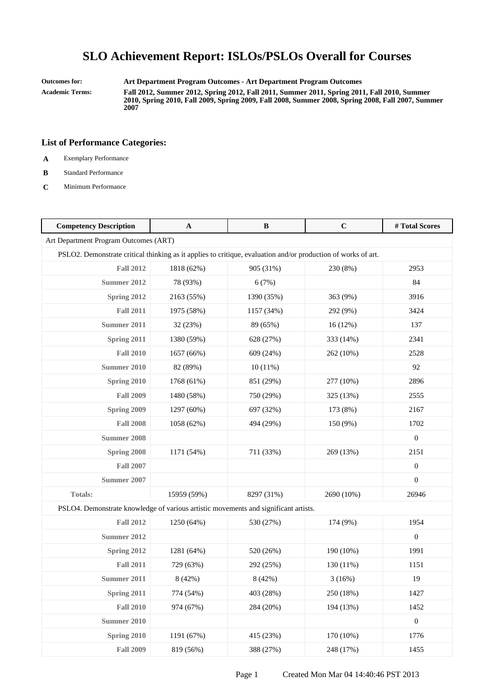**Outcomes for: Art Department Program Outcomes - Art Department Program Outcomes**

**Academic Terms: Fall 2012, Summer 2012, Spring 2012, Fall 2011, Summer 2011, Spring 2011, Fall 2010, Summer 2010, Spring 2010, Fall 2009, Spring 2009, Fall 2008, Summer 2008, Spring 2008, Fall 2007, Summer 2007**

- **A** Exemplary Performance
- **B** Standard Performance
- **C** Minimum Performance

| <b>Competency Description</b>                                                                                 | A           | B          | $\mathbf C$ | #Total Scores    |
|---------------------------------------------------------------------------------------------------------------|-------------|------------|-------------|------------------|
| Art Department Program Outcomes (ART)                                                                         |             |            |             |                  |
| PSLO2. Demonstrate critical thinking as it applies to critique, evaluation and/or production of works of art. |             |            |             |                  |
| <b>Fall 2012</b>                                                                                              | 1818 (62%)  | 905 (31%)  | 230 (8%)    | 2953             |
| <b>Summer 2012</b>                                                                                            | 78 (93%)    | 6(7%)      |             | 84               |
| Spring 2012                                                                                                   | 2163 (55%)  | 1390 (35%) | 363 (9%)    | 3916             |
| <b>Fall 2011</b>                                                                                              | 1975 (58%)  | 1157 (34%) | 292 (9%)    | 3424             |
| Summer 2011                                                                                                   | 32 (23%)    | 89 (65%)   | 16(12%)     | 137              |
| Spring 2011                                                                                                   | 1380 (59%)  | 628 (27%)  | 333 (14%)   | 2341             |
| <b>Fall 2010</b>                                                                                              | 1657 (66%)  | 609 (24%)  | 262 (10%)   | 2528             |
| <b>Summer 2010</b>                                                                                            | 82 (89%)    | 10(11%)    |             | 92               |
| Spring 2010                                                                                                   | 1768 (61%)  | 851 (29%)  | 277 (10%)   | 2896             |
| <b>Fall 2009</b>                                                                                              | 1480 (58%)  | 750 (29%)  | 325 (13%)   | 2555             |
| Spring 2009                                                                                                   | 1297 (60%)  | 697 (32%)  | 173 (8%)    | 2167             |
| <b>Fall 2008</b>                                                                                              | 1058 (62%)  | 494 (29%)  | 150 (9%)    | 1702             |
| <b>Summer 2008</b>                                                                                            |             |            |             | $\boldsymbol{0}$ |
| Spring 2008                                                                                                   | 1171 (54%)  | 711 (33%)  | 269 (13%)   | 2151             |
| <b>Fall 2007</b>                                                                                              |             |            |             | $\boldsymbol{0}$ |
| Summer 2007                                                                                                   |             |            |             | $\overline{0}$   |
| Totals:                                                                                                       | 15959 (59%) | 8297 (31%) | 2690 (10%)  | 26946            |
| PSLO4. Demonstrate knowledge of various artistic movements and significant artists.                           |             |            |             |                  |
| <b>Fall 2012</b>                                                                                              | 1250 (64%)  | 530 (27%)  | 174 (9%)    | 1954             |
| <b>Summer 2012</b>                                                                                            |             |            |             | $\boldsymbol{0}$ |
| Spring 2012                                                                                                   | 1281 (64%)  | 520 (26%)  | 190 (10%)   | 1991             |
| <b>Fall 2011</b>                                                                                              | 729 (63%)   | 292 (25%)  | 130 (11%)   | 1151             |
| Summer 2011                                                                                                   | 8 (42%)     | 8 (42%)    | 3(16%)      | 19               |
| Spring 2011                                                                                                   | 774 (54%)   | 403 (28%)  | 250 (18%)   | 1427             |
| <b>Fall 2010</b>                                                                                              | 974 (67%)   | 284 (20%)  | 194 (13%)   | 1452             |
| <b>Summer 2010</b>                                                                                            |             |            |             | $\boldsymbol{0}$ |
| Spring 2010                                                                                                   | 1191 (67%)  | 415 (23%)  | 170 (10%)   | 1776             |
| <b>Fall 2009</b>                                                                                              | 819 (56%)   | 388 (27%)  | 248 (17%)   | 1455             |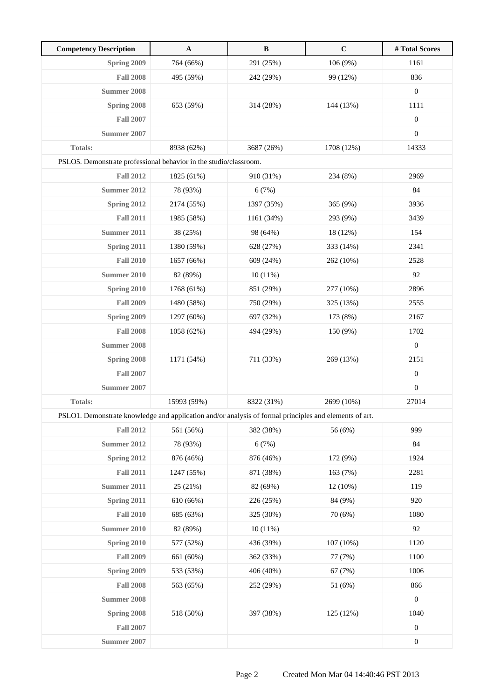| <b>Competency Description</b>                                                                          | $\mathbf{A}$ | $\, {\bf B}$ | $\mathbf C$ | # Total Scores   |
|--------------------------------------------------------------------------------------------------------|--------------|--------------|-------------|------------------|
| Spring 2009                                                                                            | 764 (66%)    | 291 (25%)    | 106 (9%)    | 1161             |
| <b>Fall 2008</b>                                                                                       | 495 (59%)    | 242 (29%)    | 99 (12%)    | 836              |
| <b>Summer 2008</b>                                                                                     |              |              |             | $\boldsymbol{0}$ |
| Spring 2008                                                                                            | 653 (59%)    | 314 (28%)    | 144 (13%)   | 1111             |
| <b>Fall 2007</b>                                                                                       |              |              |             | $\boldsymbol{0}$ |
| Summer 2007                                                                                            |              |              |             | $\boldsymbol{0}$ |
| <b>Totals:</b>                                                                                         | 8938 (62%)   | 3687 (26%)   | 1708 (12%)  | 14333            |
| PSLO5. Demonstrate professional behavior in the studio/classroom.                                      |              |              |             |                  |
| <b>Fall 2012</b>                                                                                       | 1825 (61%)   | 910 (31%)    | 234 (8%)    | 2969             |
| Summer 2012                                                                                            | 78 (93%)     | 6(7%)        |             | 84               |
| Spring 2012                                                                                            | 2174 (55%)   | 1397 (35%)   | 365 (9%)    | 3936             |
| <b>Fall 2011</b>                                                                                       | 1985 (58%)   | 1161 (34%)   | 293 (9%)    | 3439             |
| <b>Summer 2011</b>                                                                                     | 38 (25%)     | 98 (64%)     | 18 (12%)    | 154              |
| Spring 2011                                                                                            | 1380 (59%)   | 628 (27%)    | 333 (14%)   | 2341             |
| <b>Fall 2010</b>                                                                                       | 1657 (66%)   | 609 (24%)    | 262 (10%)   | 2528             |
| Summer 2010                                                                                            | 82 (89%)     | 10(11%)      |             | 92               |
| Spring 2010                                                                                            | 1768 (61%)   | 851 (29%)    | 277 (10%)   | 2896             |
| <b>Fall 2009</b>                                                                                       | 1480 (58%)   | 750 (29%)    | 325 (13%)   | 2555             |
| Spring 2009                                                                                            | 1297 (60%)   | 697 (32%)    | 173 (8%)    | 2167             |
| <b>Fall 2008</b>                                                                                       | 1058 (62%)   | 494 (29%)    | 150 (9%)    | 1702             |
| <b>Summer 2008</b>                                                                                     |              |              |             | $\boldsymbol{0}$ |
| Spring 2008                                                                                            | 1171 (54%)   | 711 (33%)    | 269 (13%)   | 2151             |
| <b>Fall 2007</b>                                                                                       |              |              |             | $\boldsymbol{0}$ |
| Summer 2007                                                                                            |              |              |             | $\boldsymbol{0}$ |
| <b>Totals:</b>                                                                                         | 15993 (59%)  | 8322 (31%)   | 2699 (10%)  | 27014            |
| PSLO1. Demonstrate knowledge and application and/or analysis of formal principles and elements of art. |              |              |             |                  |
| <b>Fall 2012</b>                                                                                       | 561 (56%)    | 382 (38%)    | 56 (6%)     | 999              |
| <b>Summer 2012</b>                                                                                     | 78 (93%)     | 6(7%)        |             | 84               |
| Spring 2012                                                                                            | 876 (46%)    | 876 (46%)    | 172 (9%)    | 1924             |
| <b>Fall 2011</b>                                                                                       | 1247 (55%)   | 871 (38%)    | 163 (7%)    | 2281             |
| <b>Summer 2011</b>                                                                                     | 25(21%)      | 82 (69%)     | 12 (10%)    | 119              |
| Spring 2011                                                                                            | 610 (66%)    | 226 (25%)    | 84 (9%)     | 920              |
| <b>Fall 2010</b>                                                                                       | 685 (63%)    | 325 (30%)    | 70(6%)      | 1080             |
| <b>Summer 2010</b>                                                                                     | 82 (89%)     | $10(11\%)$   |             | 92               |
| Spring 2010                                                                                            | 577 (52%)    | 436 (39%)    | 107(10%)    | 1120             |
| <b>Fall 2009</b>                                                                                       | 661 (60%)    | 362 (33%)    | 77 (7%)     | 1100             |
| Spring 2009                                                                                            | 533 (53%)    | 406 (40%)    | 67 (7%)     | 1006             |
| <b>Fall 2008</b>                                                                                       | 563 (65%)    | 252 (29%)    | 51 (6%)     | 866              |
| <b>Summer 2008</b>                                                                                     |              |              |             | $\boldsymbol{0}$ |
| Spring 2008                                                                                            | 518 (50%)    | 397 (38%)    | 125 (12%)   | 1040             |
| <b>Fall 2007</b>                                                                                       |              |              |             | $\boldsymbol{0}$ |
| <b>Summer 2007</b>                                                                                     |              |              |             | $\boldsymbol{0}$ |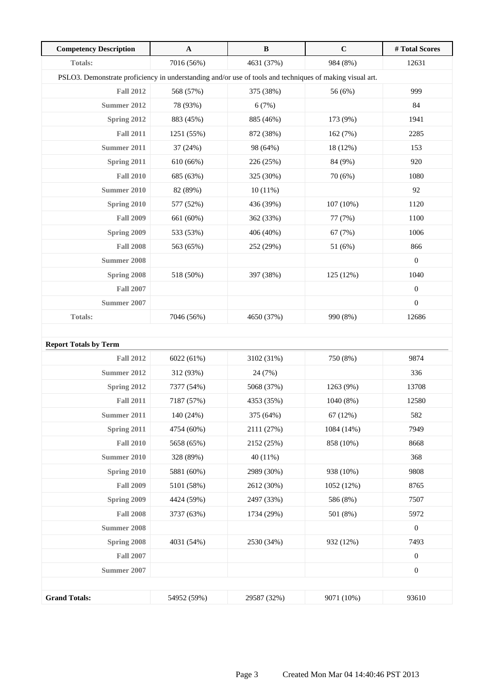| <b>Competency Description</b>                                                                            | $\mathbf{A}$ | $\, {\bf B}$ | $\mathbf C$ | #Total Scores    |
|----------------------------------------------------------------------------------------------------------|--------------|--------------|-------------|------------------|
| <b>Totals:</b>                                                                                           | 7016 (56%)   | 4631 (37%)   | 984 (8%)    | 12631            |
| PSLO3. Demonstrate proficiency in understanding and/or use of tools and techniques of making visual art. |              |              |             |                  |
| <b>Fall 2012</b>                                                                                         | 568 (57%)    | 375 (38%)    | 56 (6%)     | 999              |
| <b>Summer 2012</b>                                                                                       | 78 (93%)     | 6(7%)        |             | 84               |
| Spring 2012                                                                                              | 883 (45%)    | 885 (46%)    | 173 (9%)    | 1941             |
| <b>Fall 2011</b>                                                                                         | 1251 (55%)   | 872 (38%)    | 162 (7%)    | 2285             |
| <b>Summer 2011</b>                                                                                       | 37 (24%)     | 98 (64%)     | 18 (12%)    | 153              |
| Spring 2011                                                                                              | 610 (66%)    | 226 (25%)    | 84 (9%)     | 920              |
| <b>Fall 2010</b>                                                                                         | 685 (63%)    | 325 (30%)    | 70 (6%)     | 1080             |
| <b>Summer 2010</b>                                                                                       | 82 (89%)     | 10(11%)      |             | 92               |
| Spring 2010                                                                                              | 577 (52%)    | 436 (39%)    | 107(10%)    | 1120             |
| <b>Fall 2009</b>                                                                                         | 661 (60%)    | 362 (33%)    | 77 (7%)     | 1100             |
| <b>Spring 2009</b>                                                                                       | 533 (53%)    | 406 (40%)    | 67(7%)      | 1006             |
| <b>Fall 2008</b>                                                                                         | 563 (65%)    | 252 (29%)    | 51 (6%)     | 866              |
| <b>Summer 2008</b>                                                                                       |              |              |             | $\boldsymbol{0}$ |
| Spring 2008                                                                                              | 518 (50%)    | 397 (38%)    | 125 (12%)   | 1040             |
| <b>Fall 2007</b>                                                                                         |              |              |             | $\boldsymbol{0}$ |
| Summer 2007                                                                                              |              |              |             | $\boldsymbol{0}$ |
| <b>Totals:</b>                                                                                           | 7046 (56%)   | 4650 (37%)   | 990 (8%)    | 12686            |
|                                                                                                          |              |              |             |                  |
| <b>Report Totals by Term</b>                                                                             |              |              |             |                  |
| <b>Fall 2012</b>                                                                                         | 6022 (61%)   | 3102 (31%)   | 750 (8%)    | 9874             |
| <b>Summer 2012</b>                                                                                       | 312 (93%)    | 24 (7%)      |             | 336              |
| Spring 2012                                                                                              | 7377 (54%)   | 5068 (37%)   | 1263 (9%)   | 13708            |
| <b>Fall 2011</b>                                                                                         | 7187 (57%)   | 4353 (35%)   | 1040 (8%)   | 12580            |
| <b>Summer 2011</b>                                                                                       | 140 (24%)    | 375 (64%)    | 67 (12%)    | 582              |
| <b>Spring 2011</b>                                                                                       | 4754 (60%)   | 2111 (27%)   | 1084 (14%)  | 7949             |
| <b>Fall 2010</b>                                                                                         | 5658 (65%)   | 2152 (25%)   | 858 (10%)   | 8668             |
| <b>Summer 2010</b>                                                                                       | 328 (89%)    | 40 (11%)     |             | 368              |
| Spring 2010                                                                                              | 5881 (60%)   | 2989 (30%)   | 938 (10%)   | 9808             |
| <b>Fall 2009</b>                                                                                         | 5101 (58%)   | 2612 (30%)   | 1052 (12%)  | 8765             |
| Spring 2009                                                                                              | 4424 (59%)   | 2497 (33%)   | 586 (8%)    | 7507             |
| <b>Fall 2008</b>                                                                                         | 3737 (63%)   | 1734 (29%)   | 501 (8%)    | 5972             |
| <b>Summer 2008</b>                                                                                       |              |              |             | $\boldsymbol{0}$ |
| Spring 2008                                                                                              | 4031 (54%)   | 2530 (34%)   | 932 (12%)   | 7493             |
| <b>Fall 2007</b>                                                                                         |              |              |             | $\boldsymbol{0}$ |
| <b>Summer 2007</b>                                                                                       |              |              |             | $\boldsymbol{0}$ |
|                                                                                                          |              |              |             |                  |
| <b>Grand Totals:</b>                                                                                     | 54952 (59%)  | 29587 (32%)  | 9071 (10%)  | 93610            |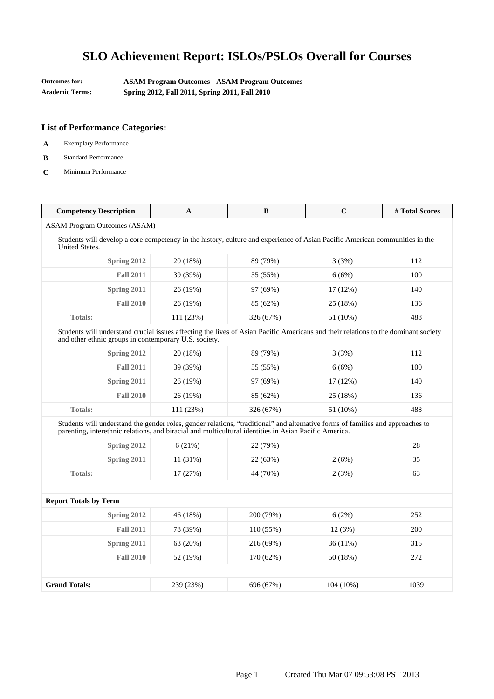**Outcomes for: ASAM Program Outcomes - ASAM Program Outcomes Academic Terms: Spring 2012, Fall 2011, Spring 2011, Fall 2010**

- **A** Exemplary Performance
- **B** Standard Performance
- **C** Minimum Performance

| <b>Competency Description</b>                                                                                                                                                                                                           | A                                   | B         | $\mathbf C$ | #Total Scores |  |  |
|-----------------------------------------------------------------------------------------------------------------------------------------------------------------------------------------------------------------------------------------|-------------------------------------|-----------|-------------|---------------|--|--|
|                                                                                                                                                                                                                                         | <b>ASAM Program Outcomes (ASAM)</b> |           |             |               |  |  |
| Students will develop a core competency in the history, culture and experience of Asian Pacific American communities in the<br><b>United States.</b>                                                                                    |                                     |           |             |               |  |  |
| Spring 2012                                                                                                                                                                                                                             | 20 (18%)                            | 89 (79%)  | 3(3%)       | 112           |  |  |
| <b>Fall 2011</b>                                                                                                                                                                                                                        | 39 (39%)                            | 55 (55%)  | 6(6%)       | 100           |  |  |
| Spring 2011                                                                                                                                                                                                                             | 26 (19%)                            | 97 (69%)  | 17 (12%)    | 140           |  |  |
| <b>Fall 2010</b>                                                                                                                                                                                                                        | 26 (19%)                            | 85 (62%)  | 25 (18%)    | 136           |  |  |
| <b>Totals:</b>                                                                                                                                                                                                                          | 111 (23%)                           | 326 (67%) | 51 (10%)    | 488           |  |  |
| Students will understand crucial issues affecting the lives of Asian Pacific Americans and their relations to the dominant society<br>and other ethnic groups in contemporary U.S. society.                                             |                                     |           |             |               |  |  |
| Spring 2012                                                                                                                                                                                                                             | 20 (18%)                            | 89 (79%)  | 3(3%)       | 112           |  |  |
| <b>Fall 2011</b>                                                                                                                                                                                                                        | 39 (39%)                            | 55 (55%)  | 6(6%)       | 100           |  |  |
| Spring 2011                                                                                                                                                                                                                             | 26 (19%)                            | 97 (69%)  | 17 (12%)    | 140           |  |  |
| <b>Fall 2010</b>                                                                                                                                                                                                                        | 26 (19%)                            | 85 (62%)  | 25 (18%)    | 136           |  |  |
| <b>Totals:</b>                                                                                                                                                                                                                          | 111 (23%)                           | 326 (67%) | 51 (10%)    | 488           |  |  |
| Students will understand the gender roles, gender relations, "traditional" and alternative forms of families and approaches to<br>parenting, interethnic relations, and biracial and multicultural identities in Asian Pacific America. |                                     |           |             |               |  |  |
| Spring 2012                                                                                                                                                                                                                             | 6(21%)                              | 22 (79%)  |             | 28            |  |  |
| <b>Spring 2011</b>                                                                                                                                                                                                                      | 11 (31%)                            | 22 (63%)  | 2(6%)       | 35            |  |  |
| <b>Totals:</b>                                                                                                                                                                                                                          | 17(27%)                             | 44 (70%)  | 2(3%)       | 63            |  |  |
|                                                                                                                                                                                                                                         |                                     |           |             |               |  |  |
| <b>Report Totals by Term</b>                                                                                                                                                                                                            |                                     |           |             |               |  |  |
| Spring 2012                                                                                                                                                                                                                             | 46 (18%)                            | 200 (79%) | 6(2%)       | 252           |  |  |
| <b>Fall 2011</b>                                                                                                                                                                                                                        | 78 (39%)                            | 110 (55%) | 12(6%)      | 200           |  |  |
| Spring 2011                                                                                                                                                                                                                             | 63 (20%)                            | 216 (69%) | 36 (11%)    | 315           |  |  |
| <b>Fall 2010</b>                                                                                                                                                                                                                        | 52 (19%)                            | 170 (62%) | 50 (18%)    | 272           |  |  |
|                                                                                                                                                                                                                                         |                                     |           |             |               |  |  |
| <b>Grand Totals:</b>                                                                                                                                                                                                                    | 239 (23%)                           | 696 (67%) | 104 (10%)   | 1039          |  |  |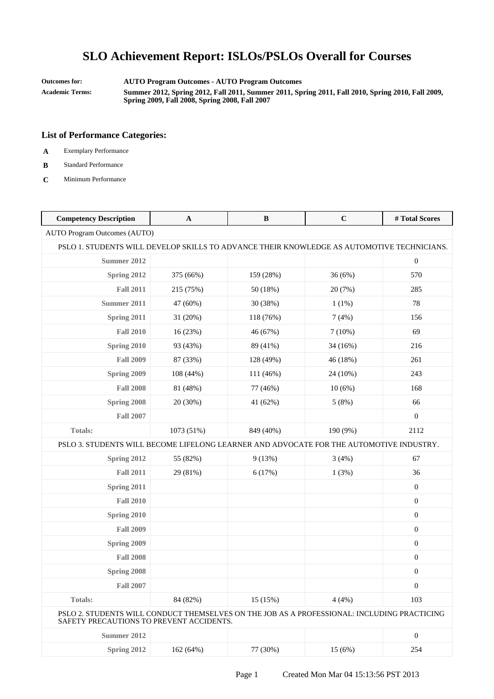**Outcomes for: AUTO Program Outcomes - AUTO Program Outcomes**

**Academic Terms: Summer 2012, Spring 2012, Fall 2011, Summer 2011, Spring 2011, Fall 2010, Spring 2010, Fall 2009, Spring 2009, Fall 2008, Spring 2008, Fall 2007**

### **List of Performance Categories:**

**A** Exemplary Performance

### **B** Standard Performance

**C** Minimum Performance

| <b>Competency Description</b>                                                                                                           | $\mathbf{A}$ | B         | $\mathbf C$ | #Total Scores    |
|-----------------------------------------------------------------------------------------------------------------------------------------|--------------|-----------|-------------|------------------|
| <b>AUTO Program Outcomes (AUTO)</b>                                                                                                     |              |           |             |                  |
| PSLO 1. STUDENTS WILL DEVELOP SKILLS TO ADVANCE THEIR KNOWLEDGE AS AUTOMOTIVE TECHNICIANS.                                              |              |           |             |                  |
| Summer 2012                                                                                                                             |              |           |             | $\boldsymbol{0}$ |
| Spring 2012                                                                                                                             | 375 (66%)    | 159 (28%) | 36(6%)      | 570              |
| <b>Fall 2011</b>                                                                                                                        | 215 (75%)    | 50 (18%)  | 20 (7%)     | 285              |
| Summer 2011                                                                                                                             | 47 (60%)     | 30 (38%)  | $1(1\%)$    | 78               |
| Spring 2011                                                                                                                             | 31 (20%)     | 118 (76%) | 7(4%)       | 156              |
| <b>Fall 2010</b>                                                                                                                        | 16 (23%)     | 46 (67%)  | 7(10%)      | 69               |
| Spring 2010                                                                                                                             | 93 (43%)     | 89 (41%)  | 34 (16%)    | 216              |
| <b>Fall 2009</b>                                                                                                                        | 87 (33%)     | 128 (49%) | 46 (18%)    | 261              |
| <b>Spring 2009</b>                                                                                                                      | 108 (44%)    | 111 (46%) | 24 (10%)    | 243              |
| <b>Fall 2008</b>                                                                                                                        | 81 (48%)     | 77 (46%)  | 10(6%)      | 168              |
| Spring 2008                                                                                                                             | 20 (30%)     | 41 (62%)  | 5(8%)       | 66               |
| <b>Fall 2007</b>                                                                                                                        |              |           |             | $\overline{0}$   |
| <b>Totals:</b>                                                                                                                          | 1073 (51%)   | 849 (40%) | 190 (9%)    | 2112             |
| PSLO 3. STUDENTS WILL BECOME LIFELONG LEARNER AND ADVOCATE FOR THE AUTOMOTIVE INDUSTRY.                                                 |              |           |             |                  |
| Spring 2012                                                                                                                             | 55 (82%)     | 9(13%)    | 3(4%)       | 67               |
| <b>Fall 2011</b>                                                                                                                        | 29 (81%)     | 6(17%)    | 1(3%)       | 36               |
| Spring 2011                                                                                                                             |              |           |             | $\boldsymbol{0}$ |
| <b>Fall 2010</b>                                                                                                                        |              |           |             | $\boldsymbol{0}$ |
| Spring 2010                                                                                                                             |              |           |             | $\boldsymbol{0}$ |
| <b>Fall 2009</b>                                                                                                                        |              |           |             | $\boldsymbol{0}$ |
| <b>Spring 2009</b>                                                                                                                      |              |           |             | $\mathbf{0}$     |
| <b>Fall 2008</b>                                                                                                                        |              |           |             | $\boldsymbol{0}$ |
| Spring 2008                                                                                                                             |              |           |             | $\boldsymbol{0}$ |
| <b>Fall 2007</b>                                                                                                                        |              |           |             | $\mathbf{0}$     |
| Totals:                                                                                                                                 | 84 (82%)     | 15(15%)   | 4(4%)       | 103              |
| PSLO 2. STUDENTS WILL CONDUCT THEMSELVES ON THE JOB AS A PROFESSIONAL: INCLUDING PRACTICING<br>SAFETY PRECAUTIONS TO PREVENT ACCIDENTS. |              |           |             |                  |
| <b>Summer 2012</b>                                                                                                                      |              |           |             | $\boldsymbol{0}$ |
| Spring 2012                                                                                                                             | 162 (64%)    | 77 (30%)  | 15(6%)      | 254              |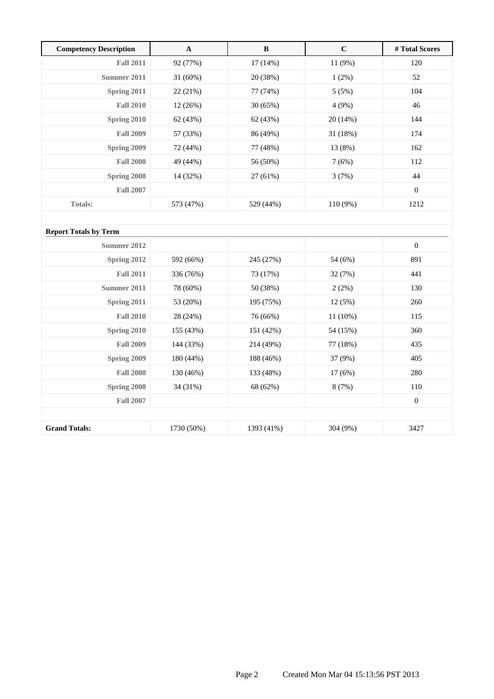| <b>Competency Description</b> | A          | B         | $\mathbf C$ | # Total Scores |
|-------------------------------|------------|-----------|-------------|----------------|
| <b>Fall 2011</b>              | 92 (77%)   | 17(14%)   | 11 (9%)     | 120            |
| Summer 2011                   | $31(60\%)$ | 20 (38%)  | $1(2\%)$    | 52             |
| Spring 2011                   | 22 (21%)   | 77 (74%)  | 5(5%)       | 104            |
| <b>Fall 2010</b>              | 12 (26%)   | 30(65%)   | 4(9%)       | 46             |
| Spring 2010                   | 62 (43%)   | 62 (43%)  | 20(14%)     | 144            |
| <b>Fall 2009</b>              | 57 (33%)   | 86 (49%)  | 31 (18%)    | 174            |
| Spring 2009                   | 72 (44%)   | 77 (48%)  | 13 (8%)     | 162            |
| <b>Fall 2008</b>              | 49 (44%)   | 56 (50%)  | 7(6%)       | 112            |
| Spring 2008                   | 14 (32%)   | 27 (61%)  | 3(7%)       | 44             |
| <b>Fall 2007</b>              |            |           |             | $\mathbf{0}$   |
| <b>Totals:</b>                | 573 (47%)  | 529 (44%) | $110(9\%)$  | 1212           |
|                               |            |           |             |                |

| <b>Report Totals by Term</b> |            |            |            |                  |
|------------------------------|------------|------------|------------|------------------|
| Summer 2012                  |            |            |            | $\mathbf{0}$     |
| <b>Spring 2012</b>           | 592 (66%)  | 245 (27%)  | 54 (6%)    | 891              |
| <b>Fall 2011</b>             | 336 (76%)  | 73 (17%)   | 32 (7%)    | 441              |
| Summer 2011                  | 78 (60%)   | 50 (38%)   | 2(2%)      | 130              |
| Spring 2011                  | 53 (20%)   | 195 (75%)  | 12(5%)     | 260              |
| <b>Fall 2010</b>             | 28 (24%)   | 76 (66%)   | $11(10\%)$ | 115              |
| Spring 2010                  | 155 (43%)  | 151 (42%)  | 54 (15%)   | 360              |
| <b>Fall 2009</b>             | 144 (33%)  | 214 (49%)  | 77 (18%)   | 435              |
| Spring 2009                  | 180 (44%)  | 188 (46%)  | 37 (9%)    | 405              |
| <b>Fall 2008</b>             | 130 (46%)  | 133 (48%)  | 17(6%)     | 280              |
| Spring 2008                  | 34 (31%)   | 68 (62%)   | 8(7%)      | 110              |
| <b>Fall 2007</b>             |            |            |            | $\boldsymbol{0}$ |
|                              |            |            |            |                  |
| <b>Grand Totals:</b>         | 1730 (50%) | 1393 (41%) | 304 (9%)   | 3427             |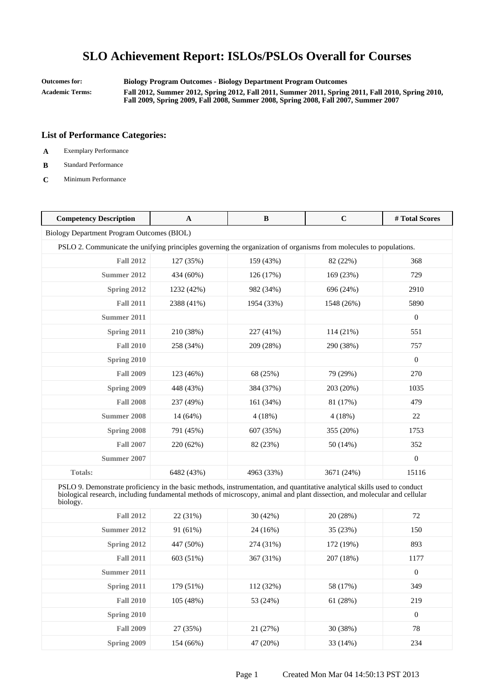**Outcomes for: Biology Program Outcomes - Biology Department Program Outcomes**

**Academic Terms: Fall 2012, Summer 2012, Spring 2012, Fall 2011, Summer 2011, Spring 2011, Fall 2010, Spring 2010, Fall 2009, Spring 2009, Fall 2008, Summer 2008, Spring 2008, Fall 2007, Summer 2007**

- **A** Exemplary Performance
- **B** Standard Performance
- **C** Minimum Performance

| <b>Competency Description</b>                                                                                                                                                                                                                                      | A          | B          | $\mathbf C$ | #Total Scores    |  |
|--------------------------------------------------------------------------------------------------------------------------------------------------------------------------------------------------------------------------------------------------------------------|------------|------------|-------------|------------------|--|
| Biology Department Program Outcomes (BIOL)                                                                                                                                                                                                                         |            |            |             |                  |  |
| PSLO 2. Communicate the unifying principles governing the organization of organisms from molecules to populations.                                                                                                                                                 |            |            |             |                  |  |
| <b>Fall 2012</b>                                                                                                                                                                                                                                                   | 127 (35%)  | 159 (43%)  | 82 (22%)    | 368              |  |
| <b>Summer 2012</b>                                                                                                                                                                                                                                                 | 434 (60%)  | 126 (17%)  | 169 (23%)   | 729              |  |
| Spring 2012                                                                                                                                                                                                                                                        | 1232 (42%) | 982 (34%)  | 696 (24%)   | 2910             |  |
| <b>Fall 2011</b>                                                                                                                                                                                                                                                   | 2388 (41%) | 1954 (33%) | 1548 (26%)  | 5890             |  |
| Summer 2011                                                                                                                                                                                                                                                        |            |            |             | $\boldsymbol{0}$ |  |
| Spring 2011                                                                                                                                                                                                                                                        | 210 (38%)  | 227 (41%)  | 114 (21%)   | 551              |  |
| <b>Fall 2010</b>                                                                                                                                                                                                                                                   | 258 (34%)  | 209 (28%)  | 290 (38%)   | 757              |  |
| Spring 2010                                                                                                                                                                                                                                                        |            |            |             | $\mathbf{0}$     |  |
| <b>Fall 2009</b>                                                                                                                                                                                                                                                   | 123 (46%)  | 68 (25%)   | 79 (29%)    | 270              |  |
| Spring 2009                                                                                                                                                                                                                                                        | 448 (43%)  | 384 (37%)  | 203 (20%)   | 1035             |  |
| <b>Fall 2008</b>                                                                                                                                                                                                                                                   | 237 (49%)  | 161 (34%)  | 81 (17%)    | 479              |  |
| <b>Summer 2008</b>                                                                                                                                                                                                                                                 | 14 (64%)   | 4(18%)     | 4(18%)      | 22               |  |
| Spring 2008                                                                                                                                                                                                                                                        | 791 (45%)  | 607 (35%)  | 355 (20%)   | 1753             |  |
| <b>Fall 2007</b>                                                                                                                                                                                                                                                   | 220 (62%)  | 82 (23%)   | 50 (14%)    | 352              |  |
| <b>Summer 2007</b>                                                                                                                                                                                                                                                 |            |            |             | $\mathbf{0}$     |  |
| <b>Totals:</b>                                                                                                                                                                                                                                                     | 6482 (43%) | 4963 (33%) | 3671 (24%)  | 15116            |  |
| PSLO 9. Demonstrate proficiency in the basic methods, instrumentation, and quantitative analytical skills used to conduct<br>biological research, including fundamental methods of microscopy, animal and plant dissection, and molecular and cellular<br>biology. |            |            |             |                  |  |
| <b>Fall 2012</b>                                                                                                                                                                                                                                                   | 22 (31%)   | 30 (42%)   | 20 (28%)    | 72               |  |
| Summer 2012                                                                                                                                                                                                                                                        | 91 (61%)   | 24 (16%)   | 35 (23%)    | 150              |  |
| Spring 2012                                                                                                                                                                                                                                                        | 447 (50%)  | 274 (31%)  | 172 (19%)   | 893              |  |
| <b>Fall 2011</b>                                                                                                                                                                                                                                                   | 603 (51%)  | 367 (31%)  | 207 (18%)   | 1177             |  |
| Summer 2011                                                                                                                                                                                                                                                        |            |            |             | $\boldsymbol{0}$ |  |
| Spring 2011                                                                                                                                                                                                                                                        | 179 (51%)  | 112 (32%)  | 58 (17%)    | 349              |  |
| <b>Fall 2010</b>                                                                                                                                                                                                                                                   | 105 (48%)  | 53 (24%)   | 61 (28%)    | 219              |  |
| Spring 2010                                                                                                                                                                                                                                                        |            |            |             | $\boldsymbol{0}$ |  |
| <b>Fall 2009</b>                                                                                                                                                                                                                                                   | 27 (35%)   | 21 (27%)   | 30 (38%)    | $78\,$           |  |
| Spring 2009                                                                                                                                                                                                                                                        | 154 (66%)  | 47 (20%)   | 33 (14%)    | 234              |  |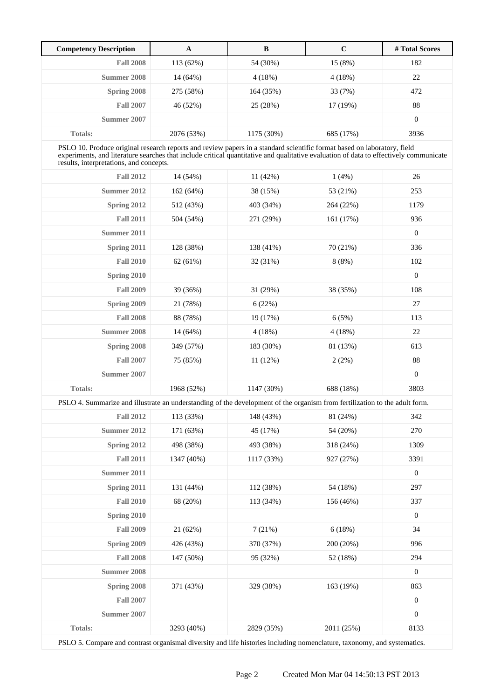| <b>Competency Description</b>                                                                                                                                                                                                                                                                               | $\mathbf{A}$ | $\bf{B}$   | $\mathbf C$ | #Total Scores    |
|-------------------------------------------------------------------------------------------------------------------------------------------------------------------------------------------------------------------------------------------------------------------------------------------------------------|--------------|------------|-------------|------------------|
| <b>Fall 2008</b>                                                                                                                                                                                                                                                                                            | 113 (62%)    | 54 (30%)   | 15 (8%)     | 182              |
| <b>Summer 2008</b>                                                                                                                                                                                                                                                                                          | 14 (64%)     | 4(18%)     | 4(18%)      | 22               |
| Spring 2008                                                                                                                                                                                                                                                                                                 | 275 (58%)    | 164 (35%)  | 33 (7%)     | 472              |
| <b>Fall 2007</b>                                                                                                                                                                                                                                                                                            | 46 (52%)     | 25 (28%)   | 17 (19%)    | 88               |
| Summer 2007                                                                                                                                                                                                                                                                                                 |              |            |             | $\boldsymbol{0}$ |
| <b>Totals:</b>                                                                                                                                                                                                                                                                                              | 2076 (53%)   | 1175 (30%) | 685 (17%)   | 3936             |
| PSLO 10. Produce original research reports and review papers in a standard scientific format based on laboratory, field<br>experiments, and literature searches that include critical quantitative and qualitative evaluation of data to effectively communicate<br>results, interpretations, and concepts. |              |            |             |                  |
| <b>Fall 2012</b>                                                                                                                                                                                                                                                                                            | 14 (54%)     | 11 (42%)   | 1(4%)       | 26               |
| Summer 2012                                                                                                                                                                                                                                                                                                 | 162 (64%)    | 38 (15%)   | 53 (21%)    | 253              |
| Spring 2012                                                                                                                                                                                                                                                                                                 | 512 (43%)    | 403 (34%)  | 264 (22%)   | 1179             |
| <b>Fall 2011</b>                                                                                                                                                                                                                                                                                            | 504 (54%)    | 271 (29%)  | 161(17%)    | 936              |
| Summer 2011                                                                                                                                                                                                                                                                                                 |              |            |             | $\boldsymbol{0}$ |
| Spring 2011                                                                                                                                                                                                                                                                                                 | 128 (38%)    | 138 (41%)  | 70 (21%)    | 336              |
| <b>Fall 2010</b>                                                                                                                                                                                                                                                                                            | 62 (61%)     | 32 (31%)   | 8(8%)       | 102              |
| Spring 2010                                                                                                                                                                                                                                                                                                 |              |            |             | $\overline{0}$   |
| <b>Fall 2009</b>                                                                                                                                                                                                                                                                                            | 39 (36%)     | 31 (29%)   | 38 (35%)    | 108              |
| Spring 2009                                                                                                                                                                                                                                                                                                 | 21 (78%)     | 6(22%)     |             | 27               |
| <b>Fall 2008</b>                                                                                                                                                                                                                                                                                            | 88 (78%)     | 19 (17%)   | 6(5%)       | 113              |
| Summer 2008                                                                                                                                                                                                                                                                                                 | 14 (64%)     | 4(18%)     | 4(18%)      | 22               |
| Spring 2008                                                                                                                                                                                                                                                                                                 | 349 (57%)    | 183 (30%)  | 81 (13%)    | 613              |
| <b>Fall 2007</b>                                                                                                                                                                                                                                                                                            | 75 (85%)     | 11(12%)    | 2(2%)       | 88               |
| Summer 2007                                                                                                                                                                                                                                                                                                 |              |            |             | $\mathbf{0}$     |
| <b>Totals:</b>                                                                                                                                                                                                                                                                                              | 1968 (52%)   | 1147 (30%) | 688 (18%)   | 3803             |
| PSLO 4. Summarize and illustrate an understanding of the development of the organism from fertilization to the adult form.                                                                                                                                                                                  |              |            |             |                  |
| <b>Fall 2012</b>                                                                                                                                                                                                                                                                                            | 113 (33%)    | 148 (43%)  | 81 (24%)    | 342              |
| <b>Summer 2012</b>                                                                                                                                                                                                                                                                                          | 171 (63%)    | 45 (17%)   | 54 (20%)    | 270              |
| Spring 2012                                                                                                                                                                                                                                                                                                 | 498 (38%)    | 493 (38%)  | 318 (24%)   | 1309             |
| <b>Fall 2011</b>                                                                                                                                                                                                                                                                                            | 1347 (40%)   | 1117 (33%) | 927 (27%)   | 3391             |
| <b>Summer 2011</b>                                                                                                                                                                                                                                                                                          |              |            |             | $\boldsymbol{0}$ |
| Spring 2011                                                                                                                                                                                                                                                                                                 | 131 (44%)    | 112 (38%)  | 54 (18%)    | 297              |
| <b>Fall 2010</b>                                                                                                                                                                                                                                                                                            | 68 (20%)     | 113 (34%)  | 156 (46%)   | 337              |
| Spring 2010                                                                                                                                                                                                                                                                                                 |              |            |             | $\boldsymbol{0}$ |
| <b>Fall 2009</b>                                                                                                                                                                                                                                                                                            | 21 (62%)     | 7(21%)     | 6(18%)      | 34               |
| Spring 2009                                                                                                                                                                                                                                                                                                 | 426 (43%)    | 370 (37%)  | 200 (20%)   | 996              |
| <b>Fall 2008</b>                                                                                                                                                                                                                                                                                            | 147 (50%)    | 95 (32%)   | 52 (18%)    | 294              |
| <b>Summer 2008</b>                                                                                                                                                                                                                                                                                          |              |            |             | $\boldsymbol{0}$ |
| Spring 2008                                                                                                                                                                                                                                                                                                 | 371 (43%)    | 329 (38%)  | 163 (19%)   | 863              |
| <b>Fall 2007</b>                                                                                                                                                                                                                                                                                            |              |            |             | $\boldsymbol{0}$ |
| <b>Summer 2007</b>                                                                                                                                                                                                                                                                                          |              |            |             | $\boldsymbol{0}$ |
| Totals:                                                                                                                                                                                                                                                                                                     | 3293 (40%)   | 2829 (35%) | 2011 (25%)  | 8133             |

PSLO 5. Compare and contrast organismal diversity and life histories including nomenclature, taxonomy, and systematics.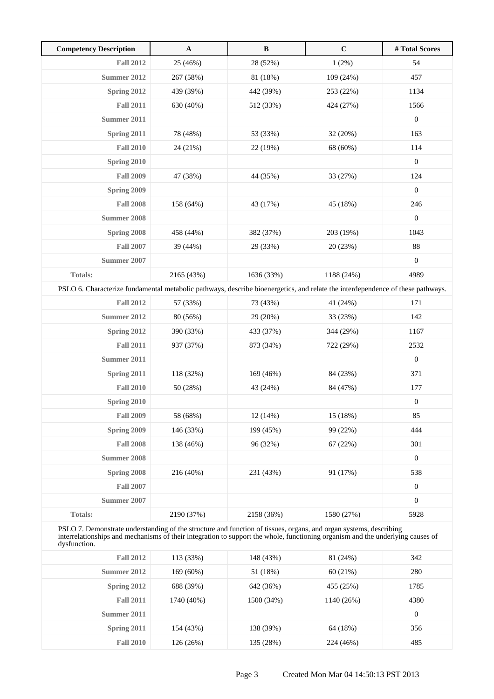| <b>Competency Description</b>                                                                                                  | $\mathbf{A}$                                                                                                                                                                                                                                        | $\bf{B}$   | $\mathbf C$ | #Total Scores    |  |  |
|--------------------------------------------------------------------------------------------------------------------------------|-----------------------------------------------------------------------------------------------------------------------------------------------------------------------------------------------------------------------------------------------------|------------|-------------|------------------|--|--|
| <b>Fall 2012</b>                                                                                                               | 25 (46%)                                                                                                                                                                                                                                            | 28 (52%)   | 1(2%)       | 54               |  |  |
| <b>Summer 2012</b>                                                                                                             | 267 (58%)                                                                                                                                                                                                                                           | 81 (18%)   | 109 (24%)   | 457              |  |  |
| Spring 2012                                                                                                                    | 439 (39%)                                                                                                                                                                                                                                           | 442 (39%)  | 253 (22%)   | 1134             |  |  |
| <b>Fall 2011</b>                                                                                                               | 630 (40%)                                                                                                                                                                                                                                           | 512 (33%)  | 424 (27%)   | 1566             |  |  |
| Summer 2011                                                                                                                    |                                                                                                                                                                                                                                                     |            |             | $\boldsymbol{0}$ |  |  |
| Spring 2011                                                                                                                    | 78 (48%)                                                                                                                                                                                                                                            | 53 (33%)   | 32 (20%)    | 163              |  |  |
| <b>Fall 2010</b>                                                                                                               | 24 (21%)                                                                                                                                                                                                                                            | 22 (19%)   | 68 (60%)    | 114              |  |  |
| Spring 2010                                                                                                                    |                                                                                                                                                                                                                                                     |            |             | $\boldsymbol{0}$ |  |  |
| <b>Fall 2009</b>                                                                                                               | 47 (38%)                                                                                                                                                                                                                                            | 44 (35%)   | 33 (27%)    | 124              |  |  |
| Spring 2009                                                                                                                    |                                                                                                                                                                                                                                                     |            |             | $\boldsymbol{0}$ |  |  |
| <b>Fall 2008</b>                                                                                                               | 158 (64%)                                                                                                                                                                                                                                           | 43 (17%)   | 45 (18%)    | 246              |  |  |
| <b>Summer 2008</b>                                                                                                             |                                                                                                                                                                                                                                                     |            |             | $\boldsymbol{0}$ |  |  |
| Spring 2008                                                                                                                    | 458 (44%)                                                                                                                                                                                                                                           | 382 (37%)  | 203 (19%)   | 1043             |  |  |
| <b>Fall 2007</b>                                                                                                               | 39 (44%)                                                                                                                                                                                                                                            | 29 (33%)   | 20 (23%)    | 88               |  |  |
| <b>Summer 2007</b>                                                                                                             |                                                                                                                                                                                                                                                     |            |             | $\boldsymbol{0}$ |  |  |
| <b>Totals:</b>                                                                                                                 | 2165 (43%)                                                                                                                                                                                                                                          | 1636 (33%) | 1188 (24%)  | 4989             |  |  |
| PSLO 6. Characterize fundamental metabolic pathways, describe bioenergetics, and relate the interdependence of these pathways. |                                                                                                                                                                                                                                                     |            |             |                  |  |  |
| <b>Fall 2012</b>                                                                                                               | 57 (33%)                                                                                                                                                                                                                                            | 73 (43%)   | 41 (24%)    | 171              |  |  |
| <b>Summer 2012</b>                                                                                                             | 80 (56%)                                                                                                                                                                                                                                            | 29 (20%)   | 33 (23%)    | 142              |  |  |
| Spring 2012                                                                                                                    | 390 (33%)                                                                                                                                                                                                                                           | 433 (37%)  | 344 (29%)   | 1167             |  |  |
| <b>Fall 2011</b>                                                                                                               | 937 (37%)                                                                                                                                                                                                                                           | 873 (34%)  | 722 (29%)   | 2532             |  |  |
| Summer 2011                                                                                                                    |                                                                                                                                                                                                                                                     |            |             | $\boldsymbol{0}$ |  |  |
| Spring 2011                                                                                                                    | 118 (32%)                                                                                                                                                                                                                                           | 169 (46%)  | 84 (23%)    | 371              |  |  |
| <b>Fall 2010</b>                                                                                                               | 50 (28%)                                                                                                                                                                                                                                            | 43 (24%)   | 84 (47%)    | 177              |  |  |
| Spring 2010                                                                                                                    |                                                                                                                                                                                                                                                     |            |             | $\boldsymbol{0}$ |  |  |
| <b>Fall 2009</b>                                                                                                               | 58 (68%)                                                                                                                                                                                                                                            | 12(14%)    | 15 (18%)    | 85               |  |  |
| Spring 2009                                                                                                                    | 146 (33%)                                                                                                                                                                                                                                           | 199 (45%)  | 99 (22%)    | 444              |  |  |
| <b>Fall 2008</b>                                                                                                               | 138 (46%)                                                                                                                                                                                                                                           | 96 (32%)   | 67(22%)     | 301              |  |  |
| <b>Summer 2008</b>                                                                                                             |                                                                                                                                                                                                                                                     |            |             | $\boldsymbol{0}$ |  |  |
| Spring 2008                                                                                                                    | 216 (40%)                                                                                                                                                                                                                                           | 231 (43%)  | 91 (17%)    | 538              |  |  |
| <b>Fall 2007</b>                                                                                                               |                                                                                                                                                                                                                                                     |            |             | $\boldsymbol{0}$ |  |  |
| Summer 2007                                                                                                                    |                                                                                                                                                                                                                                                     |            |             | $\boldsymbol{0}$ |  |  |
| <b>Totals:</b>                                                                                                                 | 2190 (37%)                                                                                                                                                                                                                                          | 2158 (36%) | 1580 (27%)  | 5928             |  |  |
| dysfunction.                                                                                                                   | PSLO 7. Demonstrate understanding of the structure and function of tissues, organs, and organ systems, describing<br>interrelationships and mechanisms of their integration to support the whole, functioning organism and the underlying causes of |            |             |                  |  |  |
| <b>Fall 2012</b>                                                                                                               | 113 (33%)                                                                                                                                                                                                                                           | 148 (43%)  | 81 (24%)    | 342              |  |  |
| Summer 2012                                                                                                                    | 169 (60%)                                                                                                                                                                                                                                           | 51 (18%)   | 60 (21%)    | 280              |  |  |
| Spring 2012                                                                                                                    | 688 (39%)                                                                                                                                                                                                                                           | 642 (36%)  | 455 (25%)   | 1785             |  |  |
| <b>Fall 2011</b>                                                                                                               | 1740 (40%)                                                                                                                                                                                                                                          | 1500 (34%) | 1140 (26%)  | 4380             |  |  |
| Summer 2011                                                                                                                    |                                                                                                                                                                                                                                                     |            |             | $\boldsymbol{0}$ |  |  |
| Spring 2011                                                                                                                    | 154 (43%)                                                                                                                                                                                                                                           | 138 (39%)  | 64 (18%)    | 356              |  |  |

**Fall 2010** 126 (26%) 135 (28%) 224 (46%) 485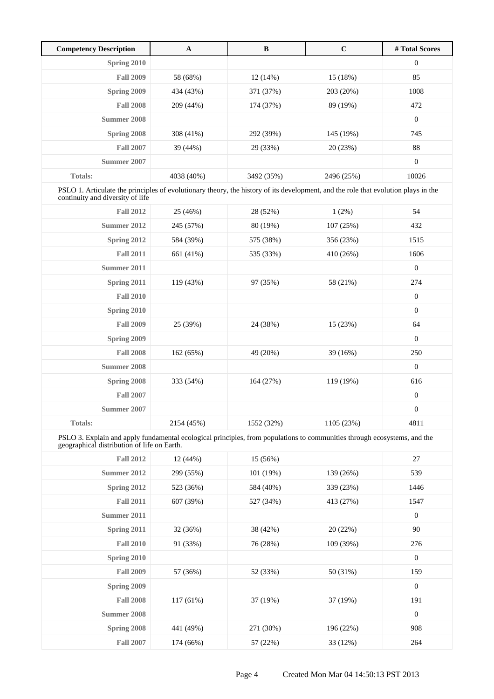| <b>Competency Description</b> | $\mathbf A$ | B          | $\mathbf C$ | # Total Scores   |
|-------------------------------|-------------|------------|-------------|------------------|
| Spring 2010                   |             |            |             | $\boldsymbol{0}$ |
| <b>Fall 2009</b>              | 58 (68%)    | 12(14%)    | 15(18%)     | 85               |
| Spring 2009                   | 434 (43%)   | 371 (37%)  | 203 (20%)   | 1008             |
| <b>Fall 2008</b>              | 209 (44%)   | 174 (37%)  | 89 (19%)    | 472              |
| Summer 2008                   |             |            |             | $\mathbf{0}$     |
| Spring 2008                   | 308 (41%)   | 292 (39%)  | 145 (19%)   | 745              |
| <b>Fall 2007</b>              | 39 (44%)    | 29 (33%)   | 20(23%)     | 88               |
| Summer 2007                   |             |            |             | $\mathbf{0}$     |
| <b>Totals:</b>                | 4038 (40%)  | 3492 (35%) | 2496 (25%)  | 10026            |

PSLO 1. Articulate the principles of evolutionary theory, the history of its development, and the role that evolution plays in the continuity and diversity of life

| <b>Fall 2012</b>   | 25 (46%)   | 28 (52%)   | 1(2%)      | 54               |
|--------------------|------------|------------|------------|------------------|
| Summer 2012        | 245 (57%)  | 80 (19%)   | 107 (25%)  | 432              |
| Spring 2012        | 584 (39%)  | 575 (38%)  | 356 (23%)  | 1515             |
| <b>Fall 2011</b>   | 661 (41%)  | 535 (33%)  | 410 (26%)  | 1606             |
| Summer 2011        |            |            |            | $\mathbf{0}$     |
| Spring 2011        | 119(43%)   | 97 (35%)   | 58 (21%)   | 274              |
| <b>Fall 2010</b>   |            |            |            | $\mathbf{0}$     |
| Spring 2010        |            |            |            | $\boldsymbol{0}$ |
| <b>Fall 2009</b>   | 25 (39%)   | 24 (38%)   | 15(23%)    | 64               |
| Spring 2009        |            |            |            | $\boldsymbol{0}$ |
| <b>Fall 2008</b>   | 162 (65%)  | 49 (20%)   | 39(16%)    | 250              |
| <b>Summer 2008</b> |            |            |            | $\overline{0}$   |
| Spring 2008        | 333 (54%)  | 164 (27%)  | 119 (19%)  | 616              |
| <b>Fall 2007</b>   |            |            |            | $\boldsymbol{0}$ |
| Summer 2007        |            |            |            | $\boldsymbol{0}$ |
| <b>Totals:</b>     | 2154 (45%) | 1552 (32%) | 1105 (23%) | 4811             |

PSLO 3. Explain and apply fundamental ecological principles, from populations to communities through ecosystems, and the geographical distribution of life on Earth.

| <b>Fall 2012</b>   | 12(44%)     | 15 (56%)  |           | 27               |
|--------------------|-------------|-----------|-----------|------------------|
| Summer 2012        | 299 (55%)   | 101 (19%) | 139 (26%) | 539              |
| Spring 2012        | 523 (36%)   | 584 (40%) | 339 (23%) | 1446             |
| <b>Fall 2011</b>   | 607 (39%)   | 527 (34%) | 413 (27%) | 1547             |
| Summer 2011        |             |           |           | $\boldsymbol{0}$ |
| Spring 2011        | 32 (36%)    | 38 (42%)  | 20(22%)   | 90               |
| <b>Fall 2010</b>   | 91 (33%)    | 76 (28%)  | 109 (39%) | 276              |
| Spring 2010        |             |           |           | $\mathbf{0}$     |
| <b>Fall 2009</b>   | 57 (36%)    | 52 (33%)  | 50 (31%)  | 159              |
| Spring 2009        |             |           |           | $\mathbf{0}$     |
| <b>Fall 2008</b>   | $117(61\%)$ | 37 (19%)  | 37 (19%)  | 191              |
| <b>Summer 2008</b> |             |           |           | $\mathbf{0}$     |
| Spring 2008        | 441 (49%)   | 271 (30%) | 196 (22%) | 908              |
| <b>Fall 2007</b>   | 174 (66%)   | 57 (22%)  | 33 (12%)  | 264              |
|                    |             |           |           |                  |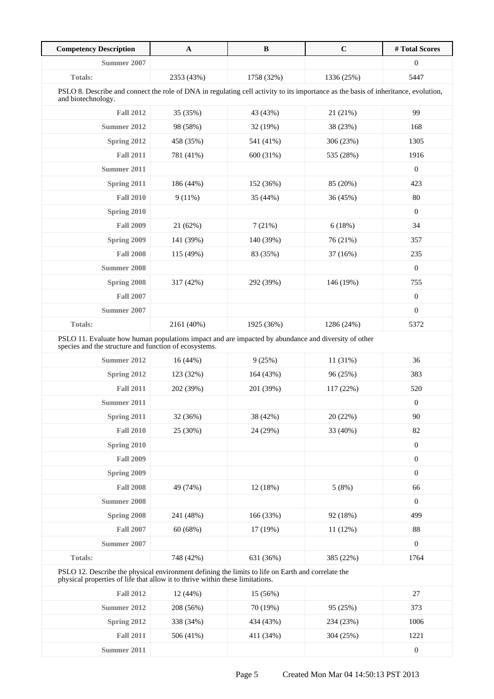| <b>Competency Description</b>                                                                                                                                | $\mathbf{A}$ | $\bf{B}$   | $\mathbf C$ | #Total Scores    |
|--------------------------------------------------------------------------------------------------------------------------------------------------------------|--------------|------------|-------------|------------------|
| <b>Summer 2007</b>                                                                                                                                           |              |            |             | $\boldsymbol{0}$ |
| <b>Totals:</b>                                                                                                                                               | 2353 (43%)   | 1758 (32%) | 1336 (25%)  | 5447             |
| PSLO 8. Describe and connect the role of DNA in regulating cell activity to its importance as the basis of inheritance, evolution,<br>and biotechnology.     |              |            |             |                  |
| <b>Fall 2012</b>                                                                                                                                             | 35 (35%)     | 43 (43%)   | 21 (21%)    | 99               |
| <b>Summer 2012</b>                                                                                                                                           | 98 (58%)     | 32 (19%)   | 38 (23%)    | 168              |
| Spring 2012                                                                                                                                                  | 458 (35%)    | 541 (41%)  | 306 (23%)   | 1305             |
| <b>Fall 2011</b>                                                                                                                                             | 781 (41%)    | 600 (31%)  | 535 (28%)   | 1916             |
| Summer 2011                                                                                                                                                  |              |            |             | $\mathbf{0}$     |
| Spring 2011                                                                                                                                                  | 186 (44%)    | 152 (36%)  | 85 (20%)    | 423              |
| <b>Fall 2010</b>                                                                                                                                             | 9(11%)       | 35 (44%)   | 36 (45%)    | 80               |
| Spring 2010                                                                                                                                                  |              |            |             | $\boldsymbol{0}$ |
| <b>Fall 2009</b>                                                                                                                                             | 21 (62%)     | 7(21%)     | 6(18%)      | 34               |
| Spring 2009                                                                                                                                                  | 141 (39%)    | 140 (39%)  | 76 (21%)    | 357              |
| <b>Fall 2008</b>                                                                                                                                             | 115 (49%)    | 83 (35%)   | 37 (16%)    | 235              |
| <b>Summer 2008</b>                                                                                                                                           |              |            |             | $\overline{0}$   |
| Spring 2008                                                                                                                                                  | 317 (42%)    | 292 (39%)  | 146 (19%)   | 755              |
| <b>Fall 2007</b>                                                                                                                                             |              |            |             | $\boldsymbol{0}$ |
| Summer 2007                                                                                                                                                  |              |            |             | $\overline{0}$   |
| Totals:                                                                                                                                                      | 2161 (40%)   | 1925 (36%) | 1286 (24%)  | 5372             |
| PSLO 11. Evaluate how human populations impact and are impacted by abundance and diversity of other<br>species and the structure and function of ecosystems. |              |            |             |                  |
| Summer 2012                                                                                                                                                  | 16(44%)      | 9(25%)     | 11 (31%)    | 36               |
| Spring 2012                                                                                                                                                  | 123 (32%)    | 164 (43%)  | 96 (25%)    | 383              |
| <b>Fall 2011</b>                                                                                                                                             | 202 (39%)    | 201 (39%)  | 117 (22%)   | 520              |
| Summer 2011                                                                                                                                                  |              |            |             | $\boldsymbol{0}$ |
| Spring 2011                                                                                                                                                  | 32 (36%)     | 38 (42%)   | 20 (22%)    | 90               |
| <b>Fall 2010</b>                                                                                                                                             | 25 (30%)     | 24 (29%)   | 33 (40%)    | 82               |
| Spring 2010                                                                                                                                                  |              |            |             | $\boldsymbol{0}$ |
| <b>Fall 2009</b>                                                                                                                                             |              |            |             | $\boldsymbol{0}$ |
| Spring 2009                                                                                                                                                  |              |            |             | $\boldsymbol{0}$ |
| <b>Fall 2008</b>                                                                                                                                             | 49 (74%)     | 12 (18%)   | 5(8%)       | 66               |
| Summer 2008                                                                                                                                                  |              |            |             | $\boldsymbol{0}$ |
| Spring 2008                                                                                                                                                  | 241 (48%)    | 166 (33%)  | 92 (18%)    | 499              |
|                                                                                                                                                              | 60 (68%)     | 17 (19%)   | 11(12%)     | 88               |
| <b>Fall 2007</b>                                                                                                                                             |              |            |             |                  |
| <b>Summer 2007</b>                                                                                                                                           |              |            |             | $\boldsymbol{0}$ |

| <b>Fall 2012</b> | 12(44%)   | $15(56\%)$ |           | 27       |
|------------------|-----------|------------|-----------|----------|
| Summer 2012      | 208 (56%) | 70 (19%)   | 95 (25%)  | 373      |
| Spring 2012      | 338 (34%) | 434 (43%)  | 234 (23%) | 1006     |
| <b>Fall 2011</b> | 506 (41%) | 411 (34%)  | 304 (25%) | 1221     |
| Summer 2011      |           |            |           | $\theta$ |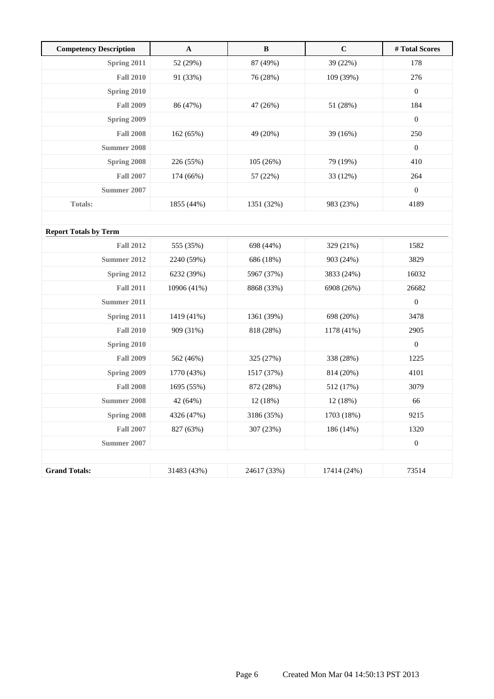| <b>Competency Description</b> | $\mathbf{A}$ | $\, {\bf B}$ | $\mathbf C$ | # Total Scores   |
|-------------------------------|--------------|--------------|-------------|------------------|
| Spring 2011                   | 52 (29%)     | 87 (49%)     | 39 (22%)    | 178              |
| <b>Fall 2010</b>              | 91 (33%)     | 76 (28%)     | 109 (39%)   | 276              |
| Spring 2010                   |              |              |             | $\mathbf{0}$     |
| <b>Fall 2009</b>              | 86 (47%)     | 47 (26%)     | 51 (28%)    | 184              |
| Spring 2009                   |              |              |             | $\boldsymbol{0}$ |
| <b>Fall 2008</b>              | 162 (65%)    | 49 (20%)     | 39 (16%)    | 250              |
| Summer 2008                   |              |              |             | $\boldsymbol{0}$ |
| Spring 2008                   | 226 (55%)    | 105 (26%)    | 79 (19%)    | 410              |
| <b>Fall 2007</b>              | 174 (66%)    | 57 (22%)     | 33 (12%)    | 264              |
| Summer 2007                   |              |              |             | $\boldsymbol{0}$ |
| <b>Totals:</b>                | 1855 (44%)   | 1351 (32%)   | 983 (23%)   | 4189             |
|                               |              |              |             |                  |
| <b>Report Totals by Term</b>  |              |              |             |                  |
| <b>Fall 2012</b>              | 555 (35%)    | 698 (44%)    | 329 (21%)   | 1582             |
| Summer 2012                   | 2240 (59%)   | 686 (18%)    | 903 (24%)   | 3829             |
| Spring 2012                   | 6232 (39%)   | 5967 (37%)   | 3833 (24%)  | 16032            |
| <b>Fall 2011</b>              | 10906 (41%)  | 8868 (33%)   | 6908 (26%)  | 26682            |
| <b>Summer 2011</b>            |              |              |             | $\boldsymbol{0}$ |
| Spring 2011                   | 1419 (41%)   | 1361 (39%)   | 698 (20%)   | 3478             |
| <b>Fall 2010</b>              | 909 (31%)    | 818 (28%)    | 1178 (41%)  | 2905             |
| Spring 2010                   |              |              |             | $\boldsymbol{0}$ |
| <b>Fall 2009</b>              | 562 (46%)    | 325 (27%)    | 338 (28%)   | 1225             |
| Spring 2009                   | 1770 (43%)   | 1517 (37%)   | 814 (20%)   | 4101             |
| <b>Fall 2008</b>              | 1695 (55%)   | 872 (28%)    | 512 (17%)   | 3079             |
| <b>Summer 2008</b>            | 42 (64%)     | 12 (18%)     | 12 (18%)    | 66               |
| Spring 2008                   | 4326 (47%)   | 3186 (35%)   | 1703 (18%)  | 9215             |
| <b>Fall 2007</b>              | 827 (63%)    | 307 (23%)    | 186 (14%)   | 1320             |
| <b>Summer 2007</b>            |              |              |             | $\boldsymbol{0}$ |
|                               |              |              |             |                  |
| <b>Grand Totals:</b>          | 31483 (43%)  | 24617 (33%)  | 17414 (24%) | 73514            |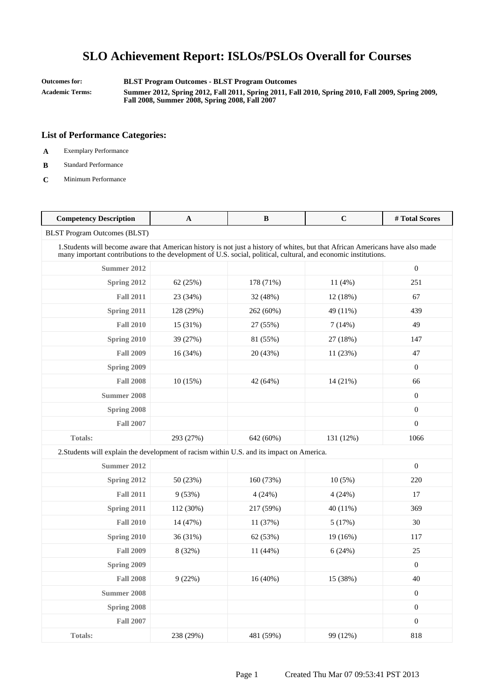**Outcomes for: BLST Program Outcomes - BLST Program Outcomes**

**Academic Terms: Summer 2012, Spring 2012, Fall 2011, Spring 2011, Fall 2010, Spring 2010, Fall 2009, Spring 2009, Fall 2008, Summer 2008, Spring 2008, Fall 2007**

- **A** Exemplary Performance
- **B** Standard Performance
- **C** Minimum Performance

| <b>Competency Description</b>                                                                                                                                                                                                                     | $\mathbf{A}$ | B          | $\mathbf C$ | #Total Scores    |
|---------------------------------------------------------------------------------------------------------------------------------------------------------------------------------------------------------------------------------------------------|--------------|------------|-------------|------------------|
| <b>BLST Program Outcomes (BLST)</b>                                                                                                                                                                                                               |              |            |             |                  |
| 1. Students will become aware that American history is not just a history of whites, but that African Americans have also made<br>many important contributions to the development of U.S. social, political, cultural, and economic institutions. |              |            |             |                  |
| Summer 2012                                                                                                                                                                                                                                       |              |            |             | $\overline{0}$   |
| Spring 2012                                                                                                                                                                                                                                       | 62 (25%)     | 178 (71%)  | 11(4%)      | 251              |
| <b>Fall 2011</b>                                                                                                                                                                                                                                  | 23 (34%)     | 32 (48%)   | 12(18%)     | 67               |
| Spring 2011                                                                                                                                                                                                                                       | 128 (29%)    | 262 (60%)  | 49 (11%)    | 439              |
| <b>Fall 2010</b>                                                                                                                                                                                                                                  | 15 (31%)     | 27 (55%)   | 7(14%)      | 49               |
| Spring 2010                                                                                                                                                                                                                                       | 39 (27%)     | 81 (55%)   | 27 (18%)    | 147              |
| <b>Fall 2009</b>                                                                                                                                                                                                                                  | 16 (34%)     | 20 (43%)   | 11 (23%)    | 47               |
| Spring 2009                                                                                                                                                                                                                                       |              |            |             | $\boldsymbol{0}$ |
| <b>Fall 2008</b>                                                                                                                                                                                                                                  | 10(15%)      | 42 (64%)   | 14 (21%)    | 66               |
| Summer 2008                                                                                                                                                                                                                                       |              |            |             | $\overline{0}$   |
| Spring 2008                                                                                                                                                                                                                                       |              |            |             | $\overline{0}$   |
| <b>Fall 2007</b>                                                                                                                                                                                                                                  |              |            |             | $\overline{0}$   |
| <b>Totals:</b>                                                                                                                                                                                                                                    | 293 (27%)    | 642 (60%)  | 131 (12%)   | 1066             |
| 2. Students will explain the development of racism within U.S. and its impact on America.                                                                                                                                                         |              |            |             |                  |
| Summer 2012                                                                                                                                                                                                                                       |              |            |             | $\overline{0}$   |
| Spring 2012                                                                                                                                                                                                                                       | 50 (23%)     | 160 (73%)  | $10(5\%)$   | 220              |
| <b>Fall 2011</b>                                                                                                                                                                                                                                  | 9(53%)       | 4(24%)     | 4(24%)      | 17               |
| Spring 2011                                                                                                                                                                                                                                       | 112 (30%)    | 217 (59%)  | 40 (11%)    | 369              |
| <b>Fall 2010</b>                                                                                                                                                                                                                                  | 14 (47%)     | 11(37%)    | 5(17%)      | 30               |
| Spring 2010                                                                                                                                                                                                                                       | 36 (31%)     | 62 (53%)   | 19 (16%)    | 117              |
| <b>Fall 2009</b>                                                                                                                                                                                                                                  | 8 (32%)      | 11 (44%)   | 6(24%)      | 25               |
| Spring 2009                                                                                                                                                                                                                                       |              |            |             | $\overline{0}$   |
| <b>Fall 2008</b>                                                                                                                                                                                                                                  | 9(22%)       | $16(40\%)$ | 15 (38%)    | 40               |
| <b>Summer 2008</b>                                                                                                                                                                                                                                |              |            |             | $\boldsymbol{0}$ |
| Spring 2008                                                                                                                                                                                                                                       |              |            |             | $\overline{0}$   |
| <b>Fall 2007</b>                                                                                                                                                                                                                                  |              |            |             | $\overline{0}$   |
| <b>Totals:</b>                                                                                                                                                                                                                                    | 238 (29%)    | 481 (59%)  | 99 (12%)    | 818              |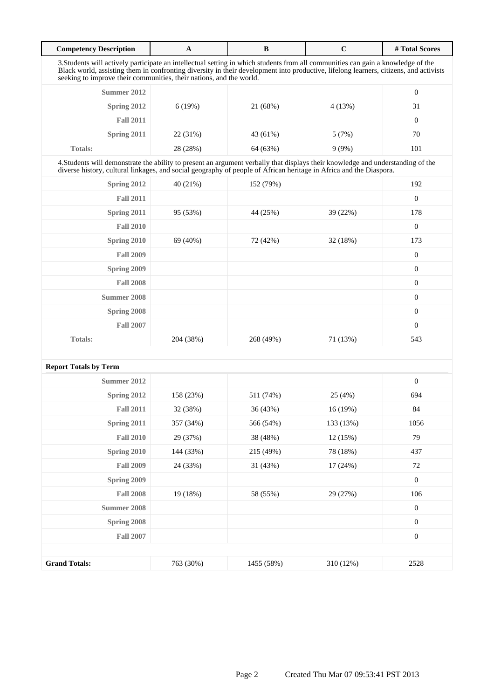| <b>Competency Description</b>                                                                                                                                                                                                                                                                                                                    | $\mathbf{A}$ | $\, {\bf B}$ | $\mathbf C$ | #Total Scores    |  |
|--------------------------------------------------------------------------------------------------------------------------------------------------------------------------------------------------------------------------------------------------------------------------------------------------------------------------------------------------|--------------|--------------|-------------|------------------|--|
| 3. Students will actively participate an intellectual setting in which students from all communities can gain a knowledge of the<br>Black world, assisting them in confronting diversity in their development into productive, lifelong learners, citizens, and activists<br>seeking to improve their communities, their nations, and the world. |              |              |             |                  |  |
| Summer 2012                                                                                                                                                                                                                                                                                                                                      |              |              |             | $\boldsymbol{0}$ |  |
| Spring 2012                                                                                                                                                                                                                                                                                                                                      | 6(19%)       | 21 (68%)     | 4(13%)      | 31               |  |
| <b>Fall 2011</b>                                                                                                                                                                                                                                                                                                                                 |              |              |             | $\boldsymbol{0}$ |  |
| Spring 2011                                                                                                                                                                                                                                                                                                                                      | 22 (31%)     | 43 (61%)     | 5(7%)       | 70               |  |
| <b>Totals:</b>                                                                                                                                                                                                                                                                                                                                   | 28 (28%)     | 64 (63%)     | 9(9%)       | 101              |  |
| 4. Students will demonstrate the ability to present an argument verbally that displays their knowledge and understanding of the<br>diverse history, cultural linkages, and social geography of people of African heritage in Africa and the Diaspora.                                                                                            |              |              |             |                  |  |
| Spring 2012                                                                                                                                                                                                                                                                                                                                      | 40 (21%)     | 152 (79%)    |             | 192              |  |
| <b>Fall 2011</b>                                                                                                                                                                                                                                                                                                                                 |              |              |             | $\mathbf{0}$     |  |
| Spring 2011                                                                                                                                                                                                                                                                                                                                      | 95 (53%)     | 44 (25%)     | 39 (22%)    | 178              |  |
| <b>Fall 2010</b>                                                                                                                                                                                                                                                                                                                                 |              |              |             | $\boldsymbol{0}$ |  |
| Spring 2010                                                                                                                                                                                                                                                                                                                                      | 69 (40%)     | 72 (42%)     | 32 (18%)    | 173              |  |
| <b>Fall 2009</b>                                                                                                                                                                                                                                                                                                                                 |              |              |             | $\boldsymbol{0}$ |  |
| Spring 2009                                                                                                                                                                                                                                                                                                                                      |              |              |             | $\boldsymbol{0}$ |  |
| <b>Fall 2008</b>                                                                                                                                                                                                                                                                                                                                 |              |              |             | $\mathbf{0}$     |  |
| <b>Summer 2008</b>                                                                                                                                                                                                                                                                                                                               |              |              |             | $\mathbf{0}$     |  |
| Spring 2008                                                                                                                                                                                                                                                                                                                                      |              |              |             | $\boldsymbol{0}$ |  |
| <b>Fall 2007</b>                                                                                                                                                                                                                                                                                                                                 |              |              |             | $\mathbf{0}$     |  |
| <b>Totals:</b>                                                                                                                                                                                                                                                                                                                                   | 204 (38%)    | 268 (49%)    | 71 (13%)    | 543              |  |
|                                                                                                                                                                                                                                                                                                                                                  |              |              |             |                  |  |
| <b>Report Totals by Term</b>                                                                                                                                                                                                                                                                                                                     |              |              |             |                  |  |
| Summer 2012                                                                                                                                                                                                                                                                                                                                      |              |              |             | $\boldsymbol{0}$ |  |
| Spring 2012                                                                                                                                                                                                                                                                                                                                      | 158 (23%)    | 511 (74%)    | 25(4%)      | 694              |  |
| <b>Fall 2011</b>                                                                                                                                                                                                                                                                                                                                 | 32 (38%)     | 36 (43%)     | 16(19%)     | 84               |  |
| Spring 2011                                                                                                                                                                                                                                                                                                                                      | 357 (34%)    | 566 (54%)    | 133 (13%)   | 1056             |  |
| <b>Fall 2010</b>                                                                                                                                                                                                                                                                                                                                 | 29 (37%)     | 38 (48%)     | 12 (15%)    | 79               |  |
| Spring 2010                                                                                                                                                                                                                                                                                                                                      | 144 (33%)    | 215 (49%)    | 78 (18%)    | 437              |  |
| <b>Fall 2009</b>                                                                                                                                                                                                                                                                                                                                 | 24 (33%)     | 31 (43%)     | 17 (24%)    | 72               |  |
| Spring 2009                                                                                                                                                                                                                                                                                                                                      |              |              |             | $\boldsymbol{0}$ |  |
| <b>Fall 2008</b>                                                                                                                                                                                                                                                                                                                                 | 19 (18%)     | 58 (55%)     | 29 (27%)    | 106              |  |
| <b>Summer 2008</b>                                                                                                                                                                                                                                                                                                                               |              |              |             | $\boldsymbol{0}$ |  |
| Spring 2008                                                                                                                                                                                                                                                                                                                                      |              |              |             | $\boldsymbol{0}$ |  |
| <b>Fall 2007</b>                                                                                                                                                                                                                                                                                                                                 |              |              |             | $\boldsymbol{0}$ |  |
|                                                                                                                                                                                                                                                                                                                                                  |              |              |             |                  |  |
| <b>Grand Totals:</b>                                                                                                                                                                                                                                                                                                                             | 763 (30%)    | 1455 (58%)   | 310 (12%)   | 2528             |  |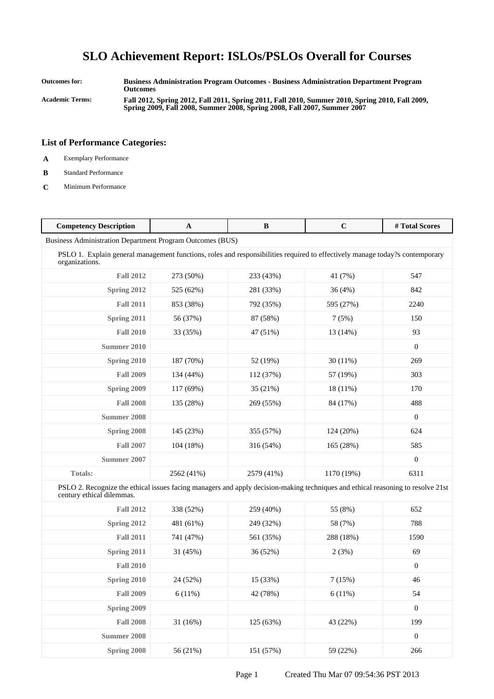**Outcomes for: Business Administration Program Outcomes - Business Administration Department Program Outcomes Academic Terms: Fall 2012, Spring 2012, Fall 2011, Spring 2011, Fall 2010, Summer 2010, Spring 2010, Fall 2009, Spring 2009, Fall 2008, Summer 2008, Spring 2008, Fall 2007, Summer 2007**

- **A** Exemplary Performance
- **B** Standard Performance
- **C** Minimum Performance

| <b>Competency Description</b>                                                                                                                                | A          | B          | $\mathbf C$ | #Total Scores    |
|--------------------------------------------------------------------------------------------------------------------------------------------------------------|------------|------------|-------------|------------------|
| <b>Business Administration Department Program Outcomes (BUS)</b>                                                                                             |            |            |             |                  |
| PSLO 1. Explain general management functions, roles and responsibilities required to effectively manage today?s contemporary<br>organizations.               |            |            |             |                  |
| <b>Fall 2012</b>                                                                                                                                             | 273 (50%)  | 233 (43%)  | 41 (7%)     | 547              |
| Spring 2012                                                                                                                                                  | 525 (62%)  | 281 (33%)  | 36(4%)      | 842              |
| <b>Fall 2011</b>                                                                                                                                             | 853 (38%)  | 792 (35%)  | 595 (27%)   | 2240             |
| Spring 2011                                                                                                                                                  | 56 (37%)   | 87 (58%)   | 7(5%)       | 150              |
| <b>Fall 2010</b>                                                                                                                                             | 33 (35%)   | 47 (51%)   | 13 (14%)    | 93               |
| <b>Summer 2010</b>                                                                                                                                           |            |            |             | $\boldsymbol{0}$ |
| Spring 2010                                                                                                                                                  | 187 (70%)  | 52 (19%)   | 30(11%)     | 269              |
| <b>Fall 2009</b>                                                                                                                                             | 134 (44%)  | 112 (37%)  | 57 (19%)    | 303              |
| Spring 2009                                                                                                                                                  | 117 (69%)  | 35 (21%)   | $18(11\%)$  | 170              |
| <b>Fall 2008</b>                                                                                                                                             | 135 (28%)  | 269 (55%)  | 84 (17%)    | 488              |
| <b>Summer 2008</b>                                                                                                                                           |            |            |             | $\mathbf{0}$     |
| Spring 2008                                                                                                                                                  | 145 (23%)  | 355 (57%)  | 124 (20%)   | 624              |
| <b>Fall 2007</b>                                                                                                                                             | 104 (18%)  | 316 (54%)  | 165 (28%)   | 585              |
| <b>Summer 2007</b>                                                                                                                                           |            |            |             | $\boldsymbol{0}$ |
| Totals:                                                                                                                                                      | 2562 (41%) | 2579 (41%) | 1170 (19%)  | 6311             |
| PSLO 2. Recognize the ethical issues facing managers and apply decision-making techniques and ethical reasoning to resolve 21st<br>century ethical dilemmas. |            |            |             |                  |
| <b>Fall 2012</b>                                                                                                                                             | 338 (52%)  | 259 (40%)  | 55 (8%)     | 652              |
| Spring 2012                                                                                                                                                  | 481 (61%)  | 249 (32%)  | 58 (7%)     | 788              |
| <b>Fall 2011</b>                                                                                                                                             | 741 (47%)  | 561 (35%)  | 288 (18%)   | 1590             |
| Spring 2011                                                                                                                                                  | 31 (45%)   | 36 (52%)   | 2(3%)       | 69               |
| <b>Fall 2010</b>                                                                                                                                             |            |            |             | $\mathbf{0}$     |
| Spring 2010                                                                                                                                                  | 24 (52%)   | 15 (33%)   | 7(15%)      | 46               |
| <b>Fall 2009</b>                                                                                                                                             | 6(11%)     | 42 (78%)   | 6(11%)      | 54               |
| Spring 2009                                                                                                                                                  |            |            |             | $\boldsymbol{0}$ |
| <b>Fall 2008</b>                                                                                                                                             | 31 (16%)   | 125 (63%)  | 43 (22%)    | 199              |
| <b>Summer 2008</b>                                                                                                                                           |            |            |             | $\mathbf{0}$     |
| Spring 2008                                                                                                                                                  | 56 (21%)   | 151 (57%)  | 59 (22%)    | 266              |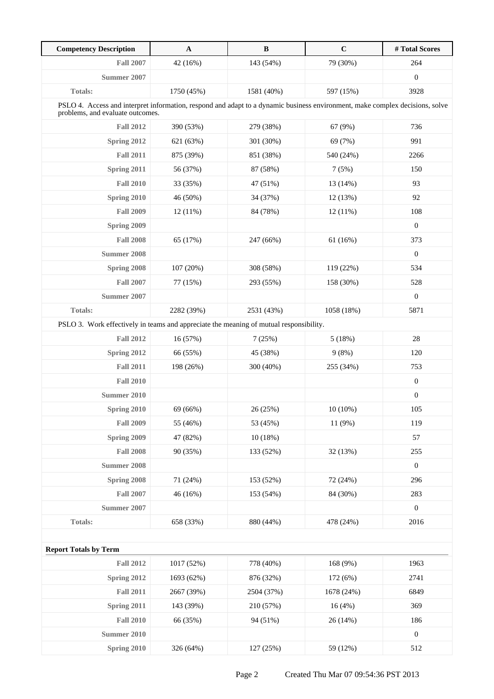| <b>Competency Description</b>                                                                                                                                    | $\mathbf{A}$ | $\, {\bf B}$ | $\mathbf C$ | #Total Scores    |
|------------------------------------------------------------------------------------------------------------------------------------------------------------------|--------------|--------------|-------------|------------------|
| <b>Fall 2007</b>                                                                                                                                                 | 42 (16%)     | 143 (54%)    | 79 (30%)    | 264              |
| Summer 2007                                                                                                                                                      |              |              |             | $\boldsymbol{0}$ |
| Totals:                                                                                                                                                          | 1750 (45%)   | 1581 (40%)   | 597 (15%)   | 3928             |
| PSLO 4. Access and interpret information, respond and adapt to a dynamic business environment, make complex decisions, solve<br>problems, and evaluate outcomes. |              |              |             |                  |
| <b>Fall 2012</b>                                                                                                                                                 | 390 (53%)    | 279 (38%)    | 67 (9%)     | 736              |
| Spring 2012                                                                                                                                                      | 621 (63%)    | 301 (30%)    | 69 (7%)     | 991              |
| <b>Fall 2011</b>                                                                                                                                                 | 875 (39%)    | 851 (38%)    | 540 (24%)   | 2266             |
| Spring 2011                                                                                                                                                      | 56 (37%)     | 87 (58%)     | 7(5%)       | 150              |
| <b>Fall 2010</b>                                                                                                                                                 | 33 (35%)     | 47 (51%)     | 13 (14%)    | 93               |
| Spring 2010                                                                                                                                                      | 46 (50%)     | 34 (37%)     | 12 (13%)    | 92               |
| <b>Fall 2009</b>                                                                                                                                                 | $12(11\%)$   | 84 (78%)     | $12(11\%)$  | 108              |
| <b>Spring 2009</b>                                                                                                                                               |              |              |             | $\mathbf{0}$     |
| <b>Fall 2008</b>                                                                                                                                                 | 65 (17%)     | 247 (66%)    | 61(16%)     | 373              |
| <b>Summer 2008</b>                                                                                                                                               |              |              |             | $\boldsymbol{0}$ |
| Spring 2008                                                                                                                                                      | 107 (20%)    | 308 (58%)    | 119 (22%)   | 534              |
| <b>Fall 2007</b>                                                                                                                                                 | 77 (15%)     | 293 (55%)    | 158 (30%)   | 528              |
| Summer 2007                                                                                                                                                      |              |              |             | $\boldsymbol{0}$ |
| <b>Totals:</b>                                                                                                                                                   | 2282 (39%)   | 2531 (43%)   | 1058 (18%)  | 5871             |
| PSLO 3. Work effectively in teams and appreciate the meaning of mutual responsibility.                                                                           |              |              |             |                  |
| <b>Fall 2012</b>                                                                                                                                                 | 16 (57%)     | 7(25%)       | 5(18%)      | 28               |
| Spring 2012                                                                                                                                                      | 66 (55%)     | 45 (38%)     | 9(8%)       | 120              |
| <b>Fall 2011</b>                                                                                                                                                 | 198 (26%)    | 300 (40%)    | 255 (34%)   | 753              |
| <b>Fall 2010</b>                                                                                                                                                 |              |              |             | $\boldsymbol{0}$ |
| Summer 2010                                                                                                                                                      |              |              |             | $\boldsymbol{0}$ |
| Spring 2010                                                                                                                                                      | 69 (66%)     | 26 (25%)     | $10(10\%)$  | 105              |
| <b>Fall 2009</b>                                                                                                                                                 | 55 (46%)     | 53 (45%)     | 11 (9%)     | 119              |
| Spring 2009                                                                                                                                                      | 47 (82%)     | 10(18%)      |             | 57               |
| <b>Fall 2008</b>                                                                                                                                                 | 90 (35%)     | 133 (52%)    | 32 (13%)    | 255              |
| <b>Summer 2008</b>                                                                                                                                               |              |              |             | $\boldsymbol{0}$ |
| Spring 2008                                                                                                                                                      | 71 (24%)     | 153 (52%)    | 72 (24%)    | 296              |
| <b>Fall 2007</b>                                                                                                                                                 | 46 (16%)     | 153 (54%)    | 84 (30%)    | 283              |
| <b>Summer 2007</b>                                                                                                                                               |              |              |             | $\boldsymbol{0}$ |
| <b>Totals:</b>                                                                                                                                                   | 658 (33%)    | 880 (44%)    | 478 (24%)   | 2016             |
|                                                                                                                                                                  |              |              |             |                  |
| <b>Report Totals by Term</b>                                                                                                                                     |              |              |             |                  |
| <b>Fall 2012</b>                                                                                                                                                 | 1017 (52%)   | 778 (40%)    | 168 (9%)    | 1963             |
| Spring 2012                                                                                                                                                      | 1693 (62%)   | 876 (32%)    | 172 (6%)    | 2741             |
| <b>Fall 2011</b>                                                                                                                                                 | 2667 (39%)   | 2504 (37%)   | 1678 (24%)  | 6849             |
| Spring 2011                                                                                                                                                      | 143 (39%)    | 210 (57%)    | 16(4%)      | 369              |
| <b>Fall 2010</b>                                                                                                                                                 | 66 (35%)     | 94 (51%)     | 26 (14%)    | 186              |
| <b>Summer 2010</b>                                                                                                                                               |              |              |             | $\boldsymbol{0}$ |
| <b>Spring 2010</b>                                                                                                                                               | 326 (64%)    | 127 (25%)    | 59 (12%)    | 512              |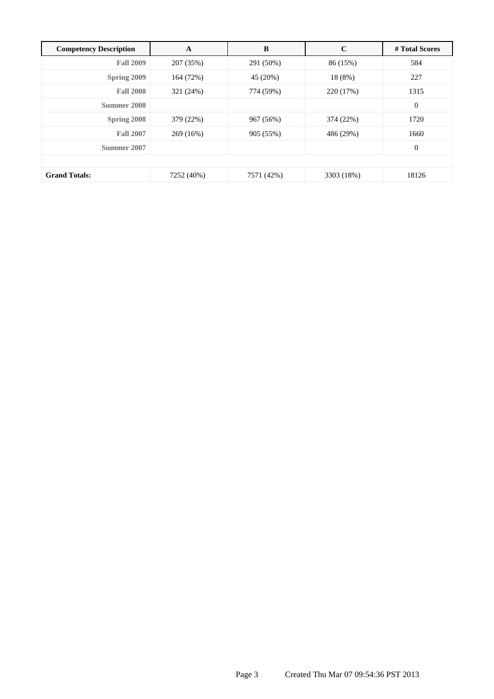| <b>Competency Description</b> | A          | B          | $\mathbf C$ | # Total Scores |
|-------------------------------|------------|------------|-------------|----------------|
| <b>Fall 2009</b>              | 207 (35%)  | 291 (50%)  | 86 (15%)    | 584            |
| Spring 2009                   | 164 (72%)  | 45 (20%)   | 18 (8%)     | 227            |
| <b>Fall 2008</b>              | 321 (24%)  | 774 (59%)  | 220 (17%)   | 1315           |
| Summer 2008                   |            |            |             | $\mathbf{0}$   |
| Spring 2008                   | 379 (22%)  | 967 (56%)  | 374 (22%)   | 1720           |
| <b>Fall 2007</b>              | 269 (16%)  | 905 (55%)  | 486 (29%)   | 1660           |
| Summer 2007                   |            |            |             | $\mathbf{0}$   |
|                               |            |            |             |                |
| <b>Grand Totals:</b>          | 7252 (40%) | 7571 (42%) | 3303 (18%)  | 18126          |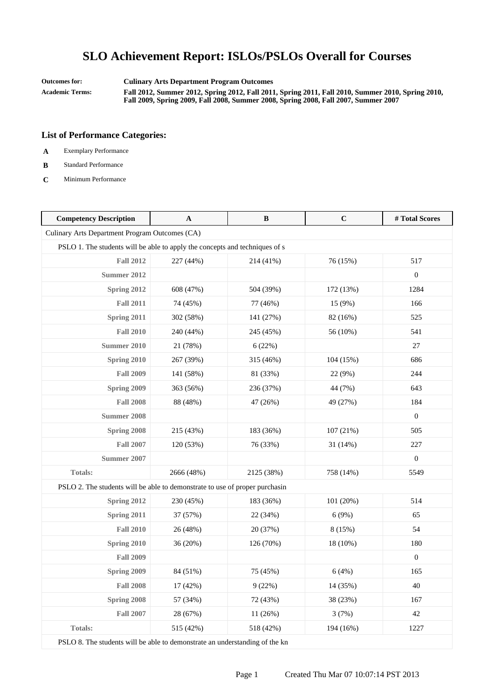**Outcomes for: Culinary Arts Department Program Outcomes Academic Terms: Fall 2012, Summer 2012, Spring 2012, Fall 2011, Spring 2011, Fall 2010, Summer 2010, Spring 2010, Fall 2009, Spring 2009, Fall 2008, Summer 2008, Spring 2008, Fall 2007, Summer 2007**

### **List of Performance Categories:**

- **A** Exemplary Performance
- **B** Standard Performance
- **C** Minimum Performance

| <b>Competency Description</b>                                               | $\mathbf A$ | $\, {\bf B}$ | $\mathbf C$ | #Total Scores    |
|-----------------------------------------------------------------------------|-------------|--------------|-------------|------------------|
| Culinary Arts Department Program Outcomes (CA)                              |             |              |             |                  |
| PSLO 1. The students will be able to apply the concepts and techniques of s |             |              |             |                  |
| <b>Fall 2012</b>                                                            | 227 (44%)   | 214 (41%)    | 76 (15%)    | 517              |
| <b>Summer 2012</b>                                                          |             |              |             | $\mathbf{0}$     |
| Spring 2012                                                                 | 608 (47%)   | 504 (39%)    | 172 (13%)   | 1284             |
| <b>Fall 2011</b>                                                            | 74 (45%)    | 77 (46%)     | 15 (9%)     | 166              |
| Spring 2011                                                                 | 302 (58%)   | 141 (27%)    | 82 (16%)    | 525              |
| <b>Fall 2010</b>                                                            | 240 (44%)   | 245 (45%)    | 56 (10%)    | 541              |
| <b>Summer 2010</b>                                                          | 21 (78%)    | 6(22%)       |             | 27               |
| Spring 2010                                                                 | 267 (39%)   | 315 (46%)    | 104 (15%)   | 686              |
| <b>Fall 2009</b>                                                            | 141 (58%)   | 81 (33%)     | 22 (9%)     | 244              |
| Spring 2009                                                                 | 363 (56%)   | 236 (37%)    | 44 (7%)     | 643              |
| <b>Fall 2008</b>                                                            | 88 (48%)    | 47 (26%)     | 49 (27%)    | 184              |
| <b>Summer 2008</b>                                                          |             |              |             | $\boldsymbol{0}$ |
| <b>Spring 2008</b>                                                          | 215 (43%)   | 183 (36%)    | 107(21%)    | 505              |
| <b>Fall 2007</b>                                                            | 120 (53%)   | 76 (33%)     | 31 (14%)    | 227              |
| <b>Summer 2007</b>                                                          |             |              |             | $\mathbf{0}$     |
| <b>Totals:</b>                                                              | 2666 (48%)  | 2125 (38%)   | 758 (14%)   | 5549             |
| PSLO 2. The students will be able to demonstrate to use of proper purchasin |             |              |             |                  |
| Spring 2012                                                                 | 230 (45%)   | 183 (36%)    | 101 (20%)   | 514              |
| Spring 2011                                                                 | 37 (57%)    | 22 (34%)     | 6(9%)       | 65               |
| <b>Fall 2010</b>                                                            | 26 (48%)    | 20 (37%)     | 8 (15%)     | 54               |
| Spring 2010                                                                 | 36 (20%)    | 126 (70%)    | 18 (10%)    | 180              |
| <b>Fall 2009</b>                                                            |             |              |             | $\overline{0}$   |
| Spring 2009                                                                 | 84 (51%)    | 75 (45%)     | 6(4%)       | 165              |
| <b>Fall 2008</b>                                                            | 17 (42%)    | 9(22%)       | 14 (35%)    | 40               |
| Spring 2008                                                                 | 57 (34%)    | 72 (43%)     | 38 (23%)    | 167              |
| <b>Fall 2007</b>                                                            | 28 (67%)    | 11 (26%)     | 3(7%)       | 42               |
| <b>Totals:</b>                                                              | 515 (42%)   | 518 (42%)    | 194 (16%)   | 1227             |

PSLO 8. The students will be able to demonstrate an understanding of the kn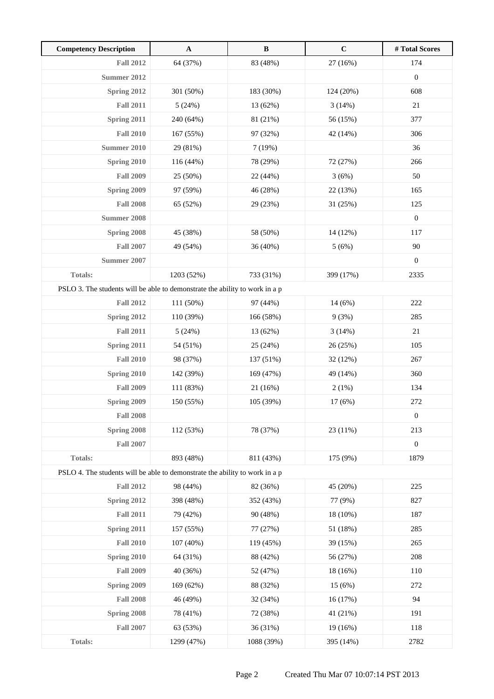| <b>Competency Description</b>                                               | $\mathbf{A}$ | $\, {\bf B}$ | $\mathbf C$ | # Total Scores   |
|-----------------------------------------------------------------------------|--------------|--------------|-------------|------------------|
| <b>Fall 2012</b>                                                            | 64 (37%)     | 83 (48%)     | 27 (16%)    | 174              |
| <b>Summer 2012</b>                                                          |              |              |             | $\boldsymbol{0}$ |
| <b>Spring 2012</b>                                                          | 301 (50%)    | 183 (30%)    | 124(20%)    | 608              |
| <b>Fall 2011</b>                                                            | 5(24%)       | 13 (62%)     | 3(14%)      | 21               |
| Spring 2011                                                                 | 240 (64%)    | 81 (21%)     | 56 (15%)    | 377              |
| <b>Fall 2010</b>                                                            | 167 (55%)    | 97 (32%)     | 42 (14%)    | 306              |
| <b>Summer 2010</b>                                                          | 29 (81%)     | 7(19%)       |             | 36               |
| Spring 2010                                                                 | 116 (44%)    | 78 (29%)     | 72 (27%)    | 266              |
| <b>Fall 2009</b>                                                            | 25 (50%)     | 22 (44%)     | 3(6%)       | 50               |
| Spring 2009                                                                 | 97 (59%)     | 46 (28%)     | 22 (13%)    | 165              |
| <b>Fall 2008</b>                                                            | 65 (52%)     | 29 (23%)     | 31 (25%)    | 125              |
| <b>Summer 2008</b>                                                          |              |              |             | $\boldsymbol{0}$ |
| Spring 2008                                                                 | 45 (38%)     | 58 (50%)     | 14 (12%)    | 117              |
| <b>Fall 2007</b>                                                            | 49 (54%)     | 36 (40%)     | 5(6%)       | 90               |
| Summer 2007                                                                 |              |              |             | $\boldsymbol{0}$ |
| <b>Totals:</b>                                                              | 1203 (52%)   | 733 (31%)    | 399 (17%)   | 2335             |
| PSLO 3. The students will be able to demonstrate the ability to work in a p |              |              |             |                  |
| <b>Fall 2012</b>                                                            | 111 (50%)    | 97 (44%)     | 14 (6%)     | 222              |
| Spring 2012                                                                 | 110 (39%)    | 166 (58%)    | 9(3%)       | 285              |
| <b>Fall 2011</b>                                                            | 5(24%)       | 13 (62%)     | 3(14%)      | $21\,$           |
| Spring 2011                                                                 | 54 (51%)     | 25 (24%)     | 26 (25%)    | 105              |
| <b>Fall 2010</b>                                                            | 98 (37%)     | 137 (51%)    | 32 (12%)    | 267              |
| <b>Spring 2010</b>                                                          | 142 (39%)    | 169 (47%)    | 49 (14%)    | 360              |
| <b>Fall 2009</b>                                                            | 111 (83%)    | 21 (16%)     | 2(1%)       | 134              |
| Spring 2009                                                                 | 150 (55%)    | 105 (39%)    | 17 (6%)     | 272              |
| <b>Fall 2008</b>                                                            |              |              |             | $\boldsymbol{0}$ |
| Spring 2008                                                                 | 112 (53%)    | 78 (37%)     | 23 (11%)    | 213              |
| <b>Fall 2007</b>                                                            |              |              |             | $\boldsymbol{0}$ |
| Totals:                                                                     | 893 (48%)    | 811 (43%)    | 175 (9%)    | 1879             |
| PSLO 4. The students will be able to demonstrate the ability to work in a p |              |              |             |                  |
| <b>Fall 2012</b>                                                            | 98 (44%)     | 82 (36%)     | 45 (20%)    | 225              |
| Spring 2012                                                                 | 398 (48%)    | 352 (43%)    | 77 (9%)     | 827              |
| <b>Fall 2011</b>                                                            | 79 (42%)     | 90 (48%)     | 18 (10%)    | 187              |
| Spring 2011                                                                 | 157 (55%)    | 77 (27%)     | 51 (18%)    | 285              |
| <b>Fall 2010</b>                                                            | 107 (40%)    | 119 (45%)    | 39 (15%)    | 265              |
| Spring 2010                                                                 | 64 (31%)     | 88 (42%)     | 56 (27%)    | 208              |
| <b>Fall 2009</b>                                                            | 40 (36%)     | 52 (47%)     | 18 (16%)    | 110              |
| Spring 2009                                                                 | 169 (62%)    | 88 (32%)     | 15(6%)      | 272              |
| <b>Fall 2008</b>                                                            | 46 (49%)     | 32 (34%)     | 16 (17%)    | 94               |
| Spring 2008                                                                 | 78 (41%)     | 72 (38%)     | 41 (21%)    | 191              |
| <b>Fall 2007</b>                                                            | 63 (53%)     | 36 (31%)     | $19(16\%)$  | 118              |
| Totals:                                                                     | 1299 (47%)   | 1088 (39%)   | 395 (14%)   | 2782             |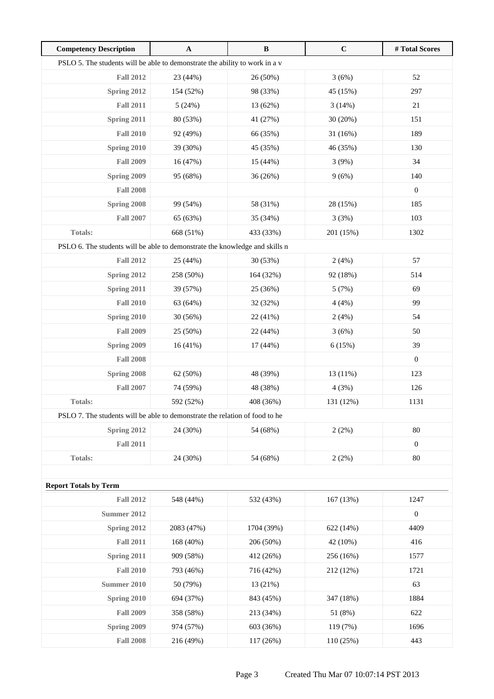| <b>Competency Description</b>                                               | $\mathbf{A}$ | $\, {\bf B}$ | $\mathbf C$ | #Total Scores    |  |
|-----------------------------------------------------------------------------|--------------|--------------|-------------|------------------|--|
| PSLO 5. The students will be able to demonstrate the ability to work in a v |              |              |             |                  |  |
| <b>Fall 2012</b>                                                            | 23 (44%)     | 26 (50%)     | 3(6%)       | 52               |  |
| Spring 2012                                                                 | 154 (52%)    | 98 (33%)     | 45 (15%)    | 297              |  |
| <b>Fall 2011</b>                                                            | 5(24%)       | 13 (62%)     | 3(14%)      | $21\,$           |  |
| Spring 2011                                                                 | 80 (53%)     | 41 (27%)     | 30(20%)     | 151              |  |
| <b>Fall 2010</b>                                                            | 92 (49%)     | 66 (35%)     | 31(16%)     | 189              |  |
| Spring 2010                                                                 | 39 (30%)     | 45 (35%)     | 46 (35%)    | 130              |  |
| <b>Fall 2009</b>                                                            | 16 (47%)     | 15 (44%)     | 3(9%)       | 34               |  |
| Spring 2009                                                                 | 95 (68%)     | 36 (26%)     | 9(6%)       | 140              |  |
| <b>Fall 2008</b>                                                            |              |              |             | $\boldsymbol{0}$ |  |
| Spring 2008                                                                 | 99 (54%)     | 58 (31%)     | 28 (15%)    | 185              |  |
| <b>Fall 2007</b>                                                            | 65 (63%)     | 35 (34%)     | 3(3%)       | 103              |  |
| <b>Totals:</b>                                                              | 668 (51%)    | 433 (33%)    | 201 (15%)   | 1302             |  |
| PSLO 6. The students will be able to demonstrate the knowledge and skills n |              |              |             |                  |  |
| <b>Fall 2012</b>                                                            | 25 (44%)     | 30 (53%)     | 2(4%)       | 57               |  |
| Spring 2012                                                                 | 258 (50%)    | 164 (32%)    | 92 (18%)    | 514              |  |
| Spring 2011                                                                 | 39 (57%)     | 25 (36%)     | 5(7%)       | 69               |  |
| <b>Fall 2010</b>                                                            | 63 (64%)     | 32 (32%)     | 4(4%)       | 99               |  |
| Spring 2010                                                                 | 30 (56%)     | 22 (41%)     | 2(4%)       | 54               |  |
| <b>Fall 2009</b>                                                            | 25 (50%)     | 22 (44%)     | 3(6%)       | 50               |  |
| Spring 2009                                                                 | 16(41%)      | 17 (44%)     | 6(15%)      | 39               |  |
| <b>Fall 2008</b>                                                            |              |              |             | $\boldsymbol{0}$ |  |
| Spring 2008                                                                 | 62 (50%)     | 48 (39%)     | 13 (11%)    | 123              |  |
| <b>Fall 2007</b>                                                            | 74 (59%)     | 48 (38%)     | 4(3%)       | 126              |  |
| Totals:                                                                     | 592 (52%)    | 408 (36%)    | 131 (12%)   | 1131             |  |
| PSLO 7. The students will be able to demonstrate the relation of food to he |              |              |             |                  |  |
| Spring 2012                                                                 | 24 (30%)     | 54 (68%)     | 2(2%)       | 80               |  |
| <b>Fall 2011</b>                                                            |              |              |             | $\boldsymbol{0}$ |  |
| Totals:                                                                     | 24 (30%)     | 54 (68%)     | 2(2%)       | 80               |  |
|                                                                             |              |              |             |                  |  |
| <b>Report Totals by Term</b>                                                |              |              |             |                  |  |
| <b>Fall 2012</b>                                                            | 548 (44%)    | 532 (43%)    | 167 (13%)   | 1247             |  |
| <b>Summer 2012</b>                                                          |              |              |             | $\boldsymbol{0}$ |  |
| Spring 2012                                                                 | 2083 (47%)   | 1704 (39%)   | 622 (14%)   | 4409             |  |
| <b>Fall 2011</b>                                                            | 168 (40%)    | 206 (50%)    | 42 (10%)    | 416              |  |
| Spring 2011                                                                 | 909 (58%)    | 412 (26%)    | 256 (16%)   | 1577             |  |
| <b>Fall 2010</b>                                                            | 793 (46%)    | 716 (42%)    | 212 (12%)   | 1721             |  |
| <b>Summer 2010</b>                                                          | 50 (79%)     | 13 (21%)     |             | 63               |  |
| Spring 2010                                                                 | 694 (37%)    | 843 (45%)    | 347 (18%)   | 1884             |  |
| <b>Fall 2009</b>                                                            | 358 (58%)    | 213 (34%)    | 51 (8%)     | 622              |  |
| Spring 2009                                                                 | 974 (57%)    | 603 (36%)    | 119 (7%)    | 1696             |  |
| <b>Fall 2008</b>                                                            | 216 (49%)    | 117 (26%)    | 110 (25%)   | 443              |  |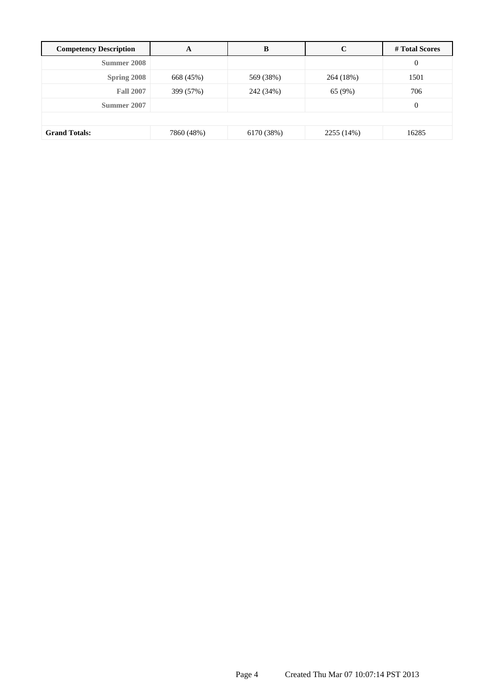| <b>Competency Description</b> | A          | B          | C          | # Total Scores   |
|-------------------------------|------------|------------|------------|------------------|
| Summer 2008                   |            |            |            | $\boldsymbol{0}$ |
| Spring 2008                   | 668 (45%)  | 569 (38%)  | 264 (18%)  | 1501             |
| <b>Fall 2007</b>              | 399 (57%)  | 242 (34%)  | 65 (9%)    | 706              |
| Summer 2007                   |            |            |            | $\mathbf{0}$     |
|                               |            |            |            |                  |
| <b>Grand Totals:</b>          | 7860 (48%) | 6170 (38%) | 2255 (14%) | 16285            |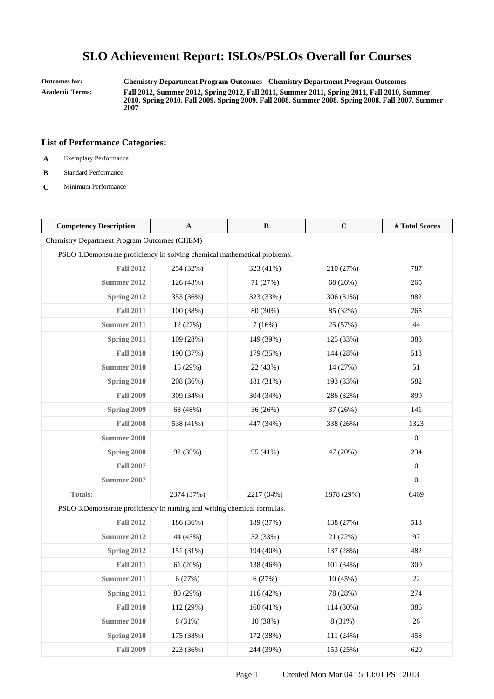**Outcomes for: Chemistry Department Program Outcomes - Chemistry Department Program Outcomes Academic Terms: Fall 2012, Summer 2012, Spring 2012, Fall 2011, Summer 2011, Spring 2011, Fall 2010, Summer 2010, Spring 2010, Fall 2009, Spring 2009, Fall 2008, Summer 2008, Spring 2008, Fall 2007, Summer 2007**

- **A** Exemplary Performance
- **B** Standard Performance
- **C** Minimum Performance

| <b>Competency Description</b>                                              | A          | B          | $\mathbf C$ | #Total Scores    |
|----------------------------------------------------------------------------|------------|------------|-------------|------------------|
| Chemistry Department Program Outcomes (CHEM)                               |            |            |             |                  |
| PSLO 1. Demonstrate proficiency in solving chemical mathematical problems. |            |            |             |                  |
| <b>Fall 2012</b>                                                           | 254 (32%)  | 323 (41%)  | 210 (27%)   | 787              |
| Summer 2012                                                                | 126 (48%)  | 71 (27%)   | 68 (26%)    | 265              |
| Spring 2012                                                                | 353 (36%)  | 323 (33%)  | 306 (31%)   | 982              |
| <b>Fall 2011</b>                                                           | 100 (38%)  | 80 (30%)   | 85 (32%)    | 265              |
| Summer 2011                                                                | 12 (27%)   | 7(16%)     | 25 (57%)    | 44               |
| Spring 2011                                                                | 109 (28%)  | 149 (39%)  | 125 (33%)   | 383              |
| <b>Fall 2010</b>                                                           | 190 (37%)  | 179 (35%)  | 144 (28%)   | 513              |
| <b>Summer 2010</b>                                                         | 15 (29%)   | 22 (43%)   | 14 (27%)    | 51               |
| Spring 2010                                                                | 208 (36%)  | 181 (31%)  | 193 (33%)   | 582              |
| <b>Fall 2009</b>                                                           | 309 (34%)  | 304 (34%)  | 286 (32%)   | 899              |
| Spring 2009                                                                | 68 (48%)   | 36(26%)    | 37 (26%)    | 141              |
| <b>Fall 2008</b>                                                           | 538 (41%)  | 447 (34%)  | 338 (26%)   | 1323             |
| Summer 2008                                                                |            |            |             | $\boldsymbol{0}$ |
| Spring 2008                                                                | 92 (39%)   | 95 (41%)   | 47 (20%)    | 234              |
| <b>Fall 2007</b>                                                           |            |            |             | $\boldsymbol{0}$ |
| Summer 2007                                                                |            |            |             | $\overline{0}$   |
| Totals:                                                                    | 2374 (37%) | 2217 (34%) | 1878 (29%)  | 6469             |
| PSLO 3. Demonstrate proficiency in naming and writing chemical formulas.   |            |            |             |                  |
| <b>Fall 2012</b>                                                           | 186 (36%)  | 189 (37%)  | 138 (27%)   | 513              |
| Summer 2012                                                                | 44 (45%)   | 32 (33%)   | 21 (22%)    | 97               |
| Spring 2012                                                                | 151 (31%)  | 194 (40%)  | 137 (28%)   | 482              |
| <b>Fall 2011</b>                                                           | 61 (20%)   | 138 (46%)  | 101 (34%)   | 300              |
| <b>Summer 2011</b>                                                         | 6(27%)     | 6(27%)     | 10(45%)     | $22\,$           |
| Spring 2011                                                                | 80 (29%)   | 116 (42%)  | 78 (28%)    | 274              |
| <b>Fall 2010</b>                                                           | 112 (29%)  | 160 (41%)  | 114 (30%)   | 386              |
| <b>Summer 2010</b>                                                         | 8 (31%)    | 10(38%)    | 8 (31%)     | $26\,$           |
| Spring 2010                                                                | 175 (38%)  | 172 (38%)  | 111 (24%)   | 458              |
| <b>Fall 2009</b>                                                           | 223 (36%)  | 244 (39%)  | 153 (25%)   | 620              |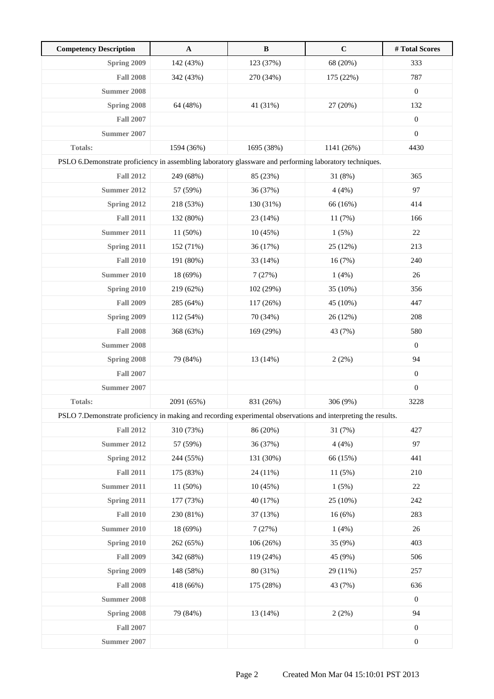| <b>Competency Description</b>                                                                                   | $\mathbf A$ | $\, {\bf B}$ | $\mathbf C$ | #Total Scores    |
|-----------------------------------------------------------------------------------------------------------------|-------------|--------------|-------------|------------------|
| Spring 2009                                                                                                     | 142 (43%)   | 123 (37%)    | 68 (20%)    | 333              |
| <b>Fall 2008</b>                                                                                                | 342 (43%)   | 270 (34%)    | 175 (22%)   | 787              |
| <b>Summer 2008</b>                                                                                              |             |              |             | $\boldsymbol{0}$ |
| Spring 2008                                                                                                     | 64 (48%)    | 41 (31%)     | 27 (20%)    | 132              |
| <b>Fall 2007</b>                                                                                                |             |              |             | $\boldsymbol{0}$ |
| <b>Summer 2007</b>                                                                                              |             |              |             | $\boldsymbol{0}$ |
| Totals:                                                                                                         | 1594 (36%)  | 1695 (38%)   | 1141 (26%)  | 4430             |
| PSLO 6. Demonstrate proficiency in assembling laboratory glassware and performing laboratory techniques.        |             |              |             |                  |
| <b>Fall 2012</b>                                                                                                | 249 (68%)   | 85 (23%)     | 31 (8%)     | 365              |
| Summer 2012                                                                                                     | 57 (59%)    | 36 (37%)     | 4(4%)       | 97               |
| Spring 2012                                                                                                     | 218 (53%)   | 130 (31%)    | 66 (16%)    | 414              |
| <b>Fall 2011</b>                                                                                                | 132 (80%)   | 23 (14%)     | 11 (7%)     | 166              |
| <b>Summer 2011</b>                                                                                              | 11 (50%)    | 10(45%)      | 1(5%)       | $22\,$           |
| Spring 2011                                                                                                     | 152 (71%)   | 36 (17%)     | 25 (12%)    | 213              |
| <b>Fall 2010</b>                                                                                                | 191 (80%)   | 33 (14%)     | 16 (7%)     | 240              |
| <b>Summer 2010</b>                                                                                              | 18 (69%)    | 7(27%)       | 1(4%)       | 26               |
| <b>Spring 2010</b>                                                                                              | 219 (62%)   | 102 (29%)    | 35 (10%)    | 356              |
| <b>Fall 2009</b>                                                                                                | 285 (64%)   | 117 (26%)    | 45 (10%)    | 447              |
| Spring 2009                                                                                                     | 112 (54%)   | 70 (34%)     | 26 (12%)    | 208              |
| <b>Fall 2008</b>                                                                                                | 368 (63%)   | 169 (29%)    | 43 (7%)     | 580              |
| <b>Summer 2008</b>                                                                                              |             |              |             | $\boldsymbol{0}$ |
| Spring 2008                                                                                                     | 79 (84%)    | 13 (14%)     | 2(2%)       | 94               |
| <b>Fall 2007</b>                                                                                                |             |              |             | $\boldsymbol{0}$ |
| <b>Summer 2007</b>                                                                                              |             |              |             | $\boldsymbol{0}$ |
| <b>Totals:</b>                                                                                                  | 2091 (65%)  | 831 (26%)    | 306 (9%)    | 3228             |
| PSLO 7. Demonstrate proficiency in making and recording experimental observations and interpreting the results. |             |              |             |                  |
| <b>Fall 2012</b>                                                                                                | 310 (73%)   | 86 (20%)     | 31 (7%)     | 427              |
| <b>Summer 2012</b>                                                                                              | 57 (59%)    | 36 (37%)     | 4(4%)       | 97               |
| Spring 2012                                                                                                     | 244 (55%)   | 131 (30%)    | 66 (15%)    | 441              |
| <b>Fall 2011</b>                                                                                                | 175 (83%)   | 24 (11%)     | 11 (5%)     | 210              |
| <b>Summer 2011</b>                                                                                              | 11 (50%)    | 10(45%)      | 1(5%)       | $22\,$           |
| Spring 2011                                                                                                     | 177 (73%)   | 40 (17%)     | 25 (10%)    | 242              |
| <b>Fall 2010</b>                                                                                                | 230 (81%)   | 37 (13%)     | 16(6%)      | 283              |
| <b>Summer 2010</b>                                                                                              | 18 (69%)    | 7(27%)       | 1(4%)       | 26               |
| Spring 2010                                                                                                     | 262 (65%)   | 106(26%)     | 35 (9%)     | 403              |
| <b>Fall 2009</b>                                                                                                | 342 (68%)   | 119 (24%)    | 45 (9%)     | 506              |
| Spring 2009                                                                                                     | 148 (58%)   | 80 (31%)     | 29 (11%)    | 257              |
| <b>Fall 2008</b>                                                                                                | 418 (66%)   | 175 (28%)    | 43 (7%)     | 636              |
| <b>Summer 2008</b>                                                                                              |             |              |             | $\mathbf{0}$     |
| Spring 2008                                                                                                     | 79 (84%)    | 13 (14%)     | 2(2%)       | 94               |
| <b>Fall 2007</b>                                                                                                |             |              |             | $\boldsymbol{0}$ |
| <b>Summer 2007</b>                                                                                              |             |              |             | $\boldsymbol{0}$ |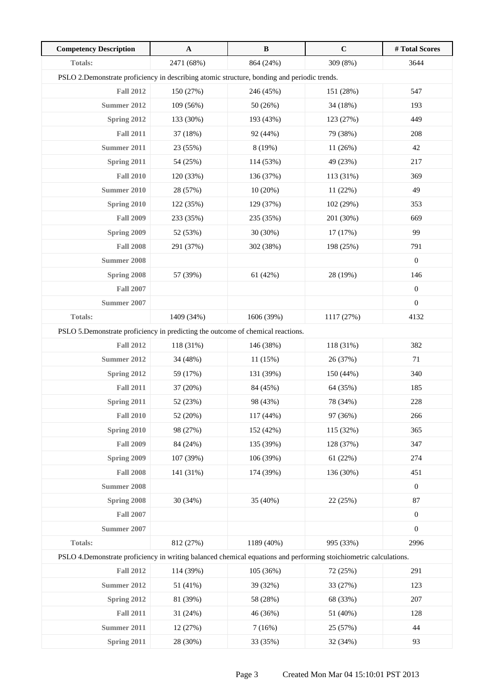| <b>Competency Description</b>                                                                                      | $\mathbf{A}$ | $\, {\bf B}$ | $\mathbf C$ | #Total Scores    |
|--------------------------------------------------------------------------------------------------------------------|--------------|--------------|-------------|------------------|
| Totals:                                                                                                            | 2471 (68%)   | 864 (24%)    | 309 (8%)    | 3644             |
| PSLO 2. Demonstrate proficiency in describing atomic structure, bonding and periodic trends.                       |              |              |             |                  |
| <b>Fall 2012</b>                                                                                                   | 150 (27%)    | 246 (45%)    | 151 (28%)   | 547              |
| Summer 2012                                                                                                        | 109 (56%)    | 50 (26%)     | 34 (18%)    | 193              |
| Spring 2012                                                                                                        | 133 (30%)    | 193 (43%)    | 123 (27%)   | 449              |
| <b>Fall 2011</b>                                                                                                   | 37 (18%)     | 92 (44%)     | 79 (38%)    | 208              |
| <b>Summer 2011</b>                                                                                                 | 23 (55%)     | 8 (19%)      | 11(26%)     | $42\,$           |
| Spring 2011                                                                                                        | 54 (25%)     | 114 (53%)    | 49 (23%)    | 217              |
| <b>Fall 2010</b>                                                                                                   | 120 (33%)    | 136 (37%)    | 113 (31%)   | 369              |
| <b>Summer 2010</b>                                                                                                 | 28 (57%)     | 10(20%)      | 11(22%)     | 49               |
| Spring 2010                                                                                                        | 122 (35%)    | 129 (37%)    | 102 (29%)   | 353              |
| <b>Fall 2009</b>                                                                                                   | 233 (35%)    | 235 (35%)    | 201 (30%)   | 669              |
| <b>Spring 2009</b>                                                                                                 | 52 (53%)     | 30 (30%)     | 17 (17%)    | 99               |
| <b>Fall 2008</b>                                                                                                   | 291 (37%)    | 302 (38%)    | 198 (25%)   | 791              |
| <b>Summer 2008</b>                                                                                                 |              |              |             | $\boldsymbol{0}$ |
| Spring 2008                                                                                                        | 57 (39%)     | 61 (42%)     | 28 (19%)    | 146              |
| <b>Fall 2007</b>                                                                                                   |              |              |             | $\boldsymbol{0}$ |
| <b>Summer 2007</b>                                                                                                 |              |              |             | $\boldsymbol{0}$ |
| Totals:                                                                                                            | 1409 (34%)   | 1606 (39%)   | 1117 (27%)  | 4132             |
| PSLO 5. Demonstrate proficiency in predicting the outcome of chemical reactions.                                   |              |              |             |                  |
| <b>Fall 2012</b>                                                                                                   | 118 (31%)    | 146 (38%)    | 118 (31%)   | 382              |
| <b>Summer 2012</b>                                                                                                 | 34 (48%)     | 11(15%)      | 26 (37%)    | 71               |
| Spring 2012                                                                                                        | 59 (17%)     | 131 (39%)    | 150 (44%)   | 340              |
| <b>Fall 2011</b>                                                                                                   | 37 (20%)     | 84 (45%)     | 64 (35%)    | 185              |
| Spring 2011                                                                                                        | 52 (23%)     | 98 (43%)     | 78 (34%)    | 228              |
| <b>Fall 2010</b>                                                                                                   | 52 (20%)     | 117 (44%)    | 97 (36%)    | 266              |
| Spring 2010                                                                                                        | 98 (27%)     | 152 (42%)    | 115 (32%)   | 365              |
| <b>Fall 2009</b>                                                                                                   | 84 (24%)     | 135 (39%)    | 128 (37%)   | 347              |
| Spring 2009                                                                                                        | 107 (39%)    | 106 (39%)    | 61(22%)     | 274              |
| <b>Fall 2008</b>                                                                                                   | 141 (31%)    | 174 (39%)    | 136 (30%)   | 451              |
| <b>Summer 2008</b>                                                                                                 |              |              |             | $\boldsymbol{0}$ |
| Spring 2008                                                                                                        | 30 (34%)     | 35 (40%)     | 22 (25%)    | 87               |
| <b>Fall 2007</b>                                                                                                   |              |              |             | $\boldsymbol{0}$ |
| <b>Summer 2007</b>                                                                                                 |              |              |             | $\boldsymbol{0}$ |
| Totals:                                                                                                            | 812 (27%)    | 1189 (40%)   | 995 (33%)   | 2996             |
| PSLO 4. Demonstrate proficiency in writing balanced chemical equations and performing stoichiometric calculations. |              |              |             |                  |
| <b>Fall 2012</b>                                                                                                   | 114 (39%)    | 105 (36%)    | 72 (25%)    | 291              |
| <b>Summer 2012</b>                                                                                                 | 51 (41%)     | 39 (32%)     | 33 (27%)    | 123              |
| Spring 2012                                                                                                        | 81 (39%)     | 58 (28%)     | 68 (33%)    | 207              |
| <b>Fall 2011</b>                                                                                                   | 31 (24%)     | 46 (36%)     | 51 (40%)    | 128              |
| <b>Summer 2011</b>                                                                                                 | 12 (27%)     | 7(16%)       | 25 (57%)    | 44               |
| Spring 2011                                                                                                        | 28 (30%)     | 33 (35%)     | 32 (34%)    | 93               |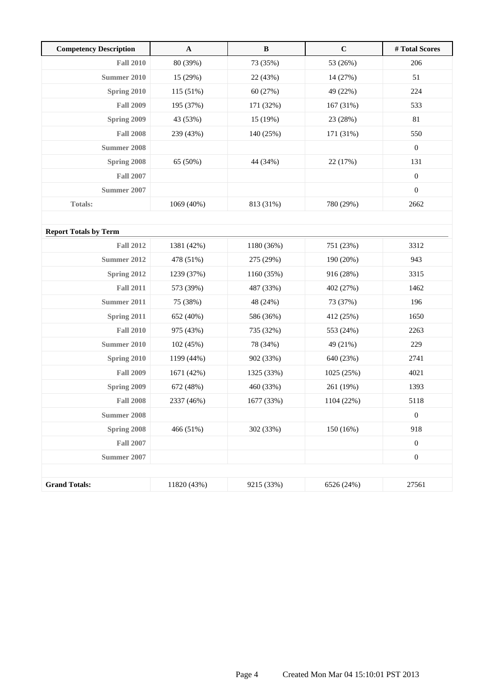| <b>Competency Description</b> | $\mathbf{A}$ | $\, {\bf B}$ | $\mathbf C$ | # Total Scores   |
|-------------------------------|--------------|--------------|-------------|------------------|
| <b>Fall 2010</b>              | 80 (39%)     | 73 (35%)     | 53 (26%)    | 206              |
| <b>Summer 2010</b>            | 15 (29%)     | 22 (43%)     | 14 (27%)    | 51               |
| <b>Spring 2010</b>            | 115 (51%)    | 60 (27%)     | 49 (22%)    | 224              |
| <b>Fall 2009</b>              | 195 (37%)    | 171 (32%)    | 167 (31%)   | 533              |
| Spring 2009                   | 43 (53%)     | 15 (19%)     | 23 (28%)    | 81               |
| <b>Fall 2008</b>              | 239 (43%)    | 140 (25%)    | 171 (31%)   | 550              |
| Summer 2008                   |              |              |             | $\boldsymbol{0}$ |
| Spring 2008                   | 65 (50%)     | 44 (34%)     | 22 (17%)    | 131              |
| <b>Fall 2007</b>              |              |              |             | $\boldsymbol{0}$ |
| <b>Summer 2007</b>            |              |              |             | $\boldsymbol{0}$ |
| <b>Totals:</b>                | 1069 (40%)   | 813 (31%)    | 780 (29%)   | 2662             |
|                               |              |              |             |                  |
| <b>Report Totals by Term</b>  |              |              |             |                  |
| <b>Fall 2012</b>              | 1381 (42%)   | 1180 (36%)   | 751 (23%)   | 3312             |
| <b>Summer 2012</b>            | 478 (51%)    | 275 (29%)    | 190 (20%)   | 943              |
| Spring 2012                   | 1239 (37%)   | 1160 (35%)   | 916 (28%)   | 3315             |
| <b>Fall 2011</b>              | 573 (39%)    | 487 (33%)    | 402 (27%)   | 1462             |
| <b>Summer 2011</b>            | 75 (38%)     | 48 (24%)     | 73 (37%)    | 196              |
| Spring 2011                   | 652 (40%)    | 586 (36%)    | 412 (25%)   | 1650             |
| <b>Fall 2010</b>              | 975 (43%)    | 735 (32%)    | 553 (24%)   | 2263             |
| <b>Summer 2010</b>            | 102 (45%)    | 78 (34%)     | 49 (21%)    | 229              |
| Spring 2010                   | 1199 (44%)   | 902 (33%)    | 640 (23%)   | 2741             |
| <b>Fall 2009</b>              | 1671 (42%)   | 1325 (33%)   | 1025 (25%)  | 4021             |
| Spring 2009                   | 672 (48%)    | 460 (33%)    | 261 (19%)   | 1393             |
| <b>Fall 2008</b>              | 2337 (46%)   | 1677 (33%)   | 1104 (22%)  | 5118             |
| <b>Summer 2008</b>            |              |              |             | $\boldsymbol{0}$ |
| Spring 2008                   | 466 (51%)    | 302 (33%)    | 150 (16%)   | 918              |
| <b>Fall 2007</b>              |              |              |             | $\boldsymbol{0}$ |
| <b>Summer 2007</b>            |              |              |             | $\boldsymbol{0}$ |
|                               |              |              |             |                  |
| <b>Grand Totals:</b>          | 11820 (43%)  | 9215 (33%)   | 6526 (24%)  | 27561            |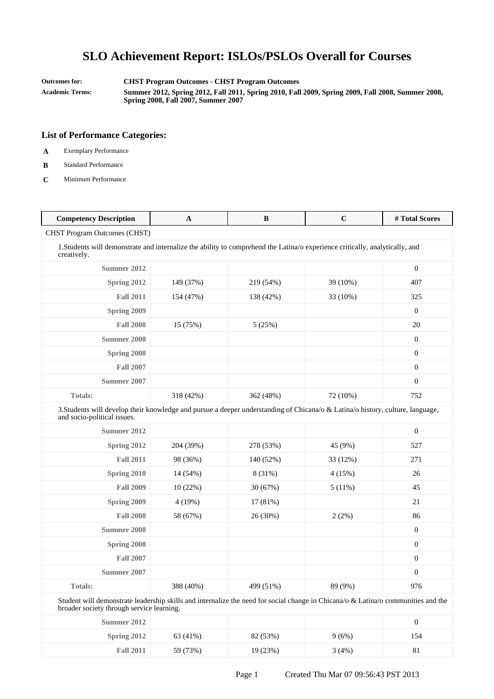**Outcomes for: CHST Program Outcomes - CHST Program Outcomes**

**Academic Terms: Summer 2012, Spring 2012, Fall 2011, Spring 2010, Fall 2009, Spring 2009, Fall 2008, Summer 2008, Spring 2008, Fall 2007, Summer 2007**

- **A** Exemplary Performance
- **B** Standard Performance
- **C** Minimum Performance

| <b>Competency Description</b>                                                                                                                                                  | $\mathbf{A}$ | $\bf{B}$  | $\mathbf C$ | #Total Scores    |
|--------------------------------------------------------------------------------------------------------------------------------------------------------------------------------|--------------|-----------|-------------|------------------|
| <b>CHST Program Outcomes (CHST)</b>                                                                                                                                            |              |           |             |                  |
| 1. Students will demonstrate and internalize the ability to comprehend the Latina/o experience critically, analytically, and<br>creatively.                                    |              |           |             |                  |
| Summer 2012                                                                                                                                                                    |              |           |             | $\boldsymbol{0}$ |
| Spring 2012                                                                                                                                                                    | 149 (37%)    | 219 (54%) | 39 (10%)    | 407              |
| <b>Fall 2011</b>                                                                                                                                                               | 154 (47%)    | 138 (42%) | 33 (10%)    | 325              |
| Spring 2009                                                                                                                                                                    |              |           |             | $\mathbf{0}$     |
| <b>Fall 2008</b>                                                                                                                                                               | 15 (75%)     | 5(25%)    |             | 20               |
| <b>Summer 2008</b>                                                                                                                                                             |              |           |             | $\mathbf{0}$     |
| Spring 2008                                                                                                                                                                    |              |           |             | $\mathbf{0}$     |
| <b>Fall 2007</b>                                                                                                                                                               |              |           |             | $\mathbf{0}$     |
| <b>Summer 2007</b>                                                                                                                                                             |              |           |             | $\mathbf{0}$     |
| <b>Totals:</b>                                                                                                                                                                 | 318 (42%)    | 362 (48%) | 72 (10%)    | 752              |
| 3. Students will develop their knowledge and pursue a deeper understanding of Chicana/o & Latina/o history, culture, language,<br>and socio-political issues.                  |              |           |             |                  |
| Summer 2012                                                                                                                                                                    |              |           |             | $\mathbf{0}$     |
| Spring 2012                                                                                                                                                                    | 204 (39%)    | 278 (53%) | 45 (9%)     | 527              |
| <b>Fall 2011</b>                                                                                                                                                               | 98 (36%)     | 140 (52%) | 33 (12%)    | 271              |
| Spring 2010                                                                                                                                                                    | 14 (54%)     | 8 (31%)   | 4(15%)      | 26               |
| <b>Fall 2009</b>                                                                                                                                                               | 10(22%)      | 30 (67%)  | 5(11%)      | 45               |
| Spring 2009                                                                                                                                                                    | 4(19%)       | 17 (81%)  |             | 21               |
| <b>Fall 2008</b>                                                                                                                                                               | 58 (67%)     | 26 (30%)  | 2(2%)       | 86               |
| <b>Summer 2008</b>                                                                                                                                                             |              |           |             | $\mathbf{0}$     |
| Spring 2008                                                                                                                                                                    |              |           |             | $\mathbf{0}$     |
| <b>Fall 2007</b>                                                                                                                                                               |              |           |             | $\mathbf{0}$     |
| <b>Summer 2007</b>                                                                                                                                                             |              |           |             | $\mathbf{0}$     |
| <b>Totals:</b>                                                                                                                                                                 | 388 (40%)    | 499 (51%) | 89 (9%)     | 976              |
| Student will demonstrate leadership skills and internalize the need for social change in Chicana/o & Latina/o communities and the<br>broader society through service learning. |              |           |             |                  |
|                                                                                                                                                                                |              |           |             | $\Omega$         |

| Summer $2012$    |          |          |       | v   |
|------------------|----------|----------|-------|-----|
| Spring $2012$    | 63 (41%) | 82 (53%) | 9(6%) | 154 |
| <b>Fall 2011</b> | 59 (73%) | 19(23%)  | 3(4%) | 81  |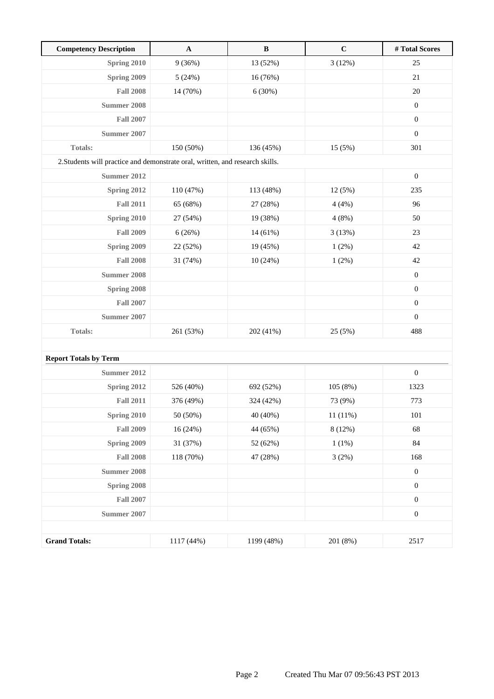| <b>Competency Description</b>                                                 | $\boldsymbol{\rm A}$ | $\, {\bf B}$ | $\mathbf C$ | # Total Scores   |
|-------------------------------------------------------------------------------|----------------------|--------------|-------------|------------------|
| <b>Spring 2010</b>                                                            | 9(36%)               | 13 (52%)     | 3(12%)      | 25               |
| Spring 2009                                                                   | 5(24%)               | 16 (76%)     |             | $21\,$           |
| <b>Fall 2008</b>                                                              | 14 (70%)             | 6(30%)       |             | 20               |
| <b>Summer 2008</b>                                                            |                      |              |             | $\boldsymbol{0}$ |
| <b>Fall 2007</b>                                                              |                      |              |             | $\boldsymbol{0}$ |
| <b>Summer 2007</b>                                                            |                      |              |             | $\boldsymbol{0}$ |
| Totals:                                                                       | 150 (50%)            | 136 (45%)    | 15 (5%)     | 301              |
| 2. Students will practice and demonstrate oral, written, and research skills. |                      |              |             |                  |
| <b>Summer 2012</b>                                                            |                      |              |             | $\boldsymbol{0}$ |
| Spring 2012                                                                   | 110 (47%)            | 113 (48%)    | 12 (5%)     | 235              |
| <b>Fall 2011</b>                                                              | 65 (68%)             | 27 (28%)     | 4(4%)       | 96               |
| Spring 2010                                                                   | 27 (54%)             | 19 (38%)     | 4(8%)       | 50               |
| <b>Fall 2009</b>                                                              | 6(26%)               | 14 (61%)     | 3(13%)      | 23               |
| Spring 2009                                                                   | 22 (52%)             | 19 (45%)     | 1(2%)       | 42               |
| <b>Fall 2008</b>                                                              | 31 (74%)             | 10(24%)      | 1(2%)       | 42               |
| <b>Summer 2008</b>                                                            |                      |              |             | $\boldsymbol{0}$ |
| Spring 2008                                                                   |                      |              |             | $\boldsymbol{0}$ |
| <b>Fall 2007</b>                                                              |                      |              |             | $\boldsymbol{0}$ |
| <b>Summer 2007</b>                                                            |                      |              |             | $\boldsymbol{0}$ |
| <b>Totals:</b>                                                                | 261 (53%)            | 202 (41%)    | 25 (5%)     | 488              |
|                                                                               |                      |              |             |                  |
| <b>Report Totals by Term</b>                                                  |                      |              |             |                  |
| Summer 2012                                                                   |                      |              |             | $\boldsymbol{0}$ |
| <b>Spring 2012</b>                                                            | 526 (40%)            | 692 (52%)    | 105 (8%)    | 1323             |
| <b>Fall 2011</b>                                                              | 376 (49%)            | 324 (42%)    | 73 (9%)     | 773              |
| Spring 2010                                                                   | 50 (50%)             | 40 (40%)     | 11 (11%)    | 101              |
| <b>Fall 2009</b>                                                              | 16 (24%)             | 44 (65%)     | 8(12%)      | 68               |
| Spring 2009                                                                   | 31 (37%)             | 52 (62%)     | 1(1%)       | 84               |
| <b>Fall 2008</b>                                                              | 118 (70%)            | 47 (28%)     | 3(2%)       | 168              |
| <b>Summer 2008</b>                                                            |                      |              |             | $\boldsymbol{0}$ |
| Spring 2008                                                                   |                      |              |             | $\boldsymbol{0}$ |
| <b>Fall 2007</b>                                                              |                      |              |             | $\boldsymbol{0}$ |
| <b>Summer 2007</b>                                                            |                      |              |             | $\boldsymbol{0}$ |
|                                                                               |                      |              |             |                  |
| <b>Grand Totals:</b>                                                          | 1117 (44%)           | 1199 (48%)   | 201 (8%)    | 2517             |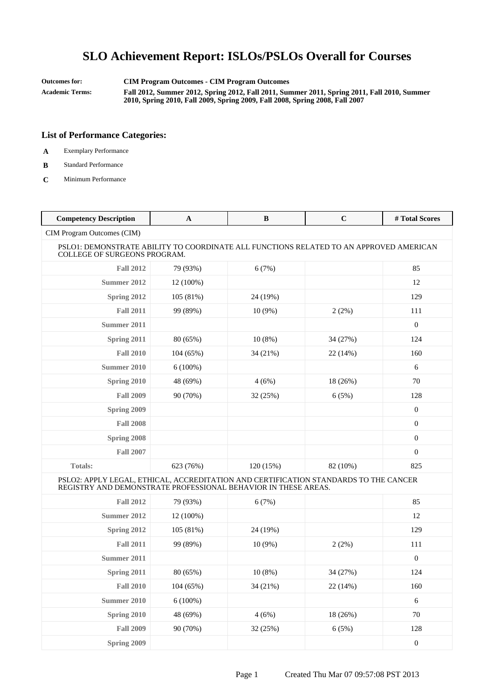**Outcomes for: CIM Program Outcomes - CIM Program Outcomes Academic Terms: Fall 2012, Summer 2012, Spring 2012, Fall 2011, Summer 2011, Spring 2011, Fall 2010, Summer 2010, Spring 2010, Fall 2009, Spring 2009, Fall 2008, Spring 2008, Fall 2007**

- **A** Exemplary Performance
- **B** Standard Performance
- **C** Minimum Performance

| <b>Competency Description</b>                                                                                                                          | $\mathbf{A}$ | $\bf{B}$  | $\mathbf C$ | # Total Scores   |
|--------------------------------------------------------------------------------------------------------------------------------------------------------|--------------|-----------|-------------|------------------|
| CIM Program Outcomes (CIM)                                                                                                                             |              |           |             |                  |
| PSLO1: DEMONSTRATE ABILITY TO COORDINATE ALL FUNCTIONS RELATED TO AN APPROVED AMERICAN<br>COLLEGE OF SURGEONS PROGRAM.                                 |              |           |             |                  |
| <b>Fall 2012</b>                                                                                                                                       | 79 (93%)     | 6(7%)     |             | 85               |
| Summer 2012                                                                                                                                            | 12 (100%)    |           |             | 12               |
| Spring 2012                                                                                                                                            | 105 (81%)    | 24 (19%)  |             | 129              |
| <b>Fall 2011</b>                                                                                                                                       | 99 (89%)     | $10(9\%)$ | 2(2%)       | 111              |
| Summer 2011                                                                                                                                            |              |           |             | $\mathbf{0}$     |
| Spring 2011                                                                                                                                            | 80 (65%)     | $10(8\%)$ | 34 (27%)    | 124              |
| <b>Fall 2010</b>                                                                                                                                       | 104(65%)     | 34 (21%)  | 22 (14%)    | 160              |
| <b>Summer 2010</b>                                                                                                                                     | $6(100\%)$   |           |             | 6                |
| Spring 2010                                                                                                                                            | 48 (69%)     | 4(6%)     | 18 (26%)    | 70               |
| <b>Fall 2009</b>                                                                                                                                       | 90 (70%)     | 32(25%)   | 6(5%)       | 128              |
| Spring 2009                                                                                                                                            |              |           |             | $\mathbf{0}$     |
| <b>Fall 2008</b>                                                                                                                                       |              |           |             | $\boldsymbol{0}$ |
| Spring 2008                                                                                                                                            |              |           |             | $\boldsymbol{0}$ |
| <b>Fall 2007</b>                                                                                                                                       |              |           |             | $\overline{0}$   |
| <b>Totals:</b>                                                                                                                                         | 623 (76%)    | 120 (15%) | 82 (10%)    | 825              |
| PSLO2: APPLY LEGAL, ETHICAL, ACCREDITATION AND CERTIFICATION STANDARDS TO THE CANCER<br>REGISTRY AND DEMONSTRATE PROFESSIONAL BEHAVIOR IN THESE AREAS. |              |           |             |                  |
| <b>Fall 2012</b>                                                                                                                                       | 79 (93%)     | 6(7%)     |             | 85               |
| Summer 2012                                                                                                                                            | 12 (100%)    |           |             | 12               |
| Spring 2012                                                                                                                                            | 105(81%)     | 24 (19%)  |             | 129              |
| <b>Fall 2011</b>                                                                                                                                       | 99 (89%)     | $10(9\%)$ | 2(2%)       | 111              |
| Summer 2011                                                                                                                                            |              |           |             | $\overline{0}$   |
| Spring 2011                                                                                                                                            | 80 (65%)     | $10(8\%)$ | 34 (27%)    | 124              |
| <b>Fall 2010</b>                                                                                                                                       | 104 (65%)    | 34 (21%)  | 22 (14%)    | 160              |
| <b>Summer 2010</b>                                                                                                                                     | $6(100\%)$   |           |             | $\sqrt{6}$       |
| Spring 2010                                                                                                                                            | 48 (69%)     | 4(6%)     | 18 (26%)    | 70               |
| <b>Fall 2009</b>                                                                                                                                       | 90 (70%)     | 32 (25%)  | 6(5%)       | 128              |
| <b>Spring 2009</b>                                                                                                                                     |              |           |             | $\boldsymbol{0}$ |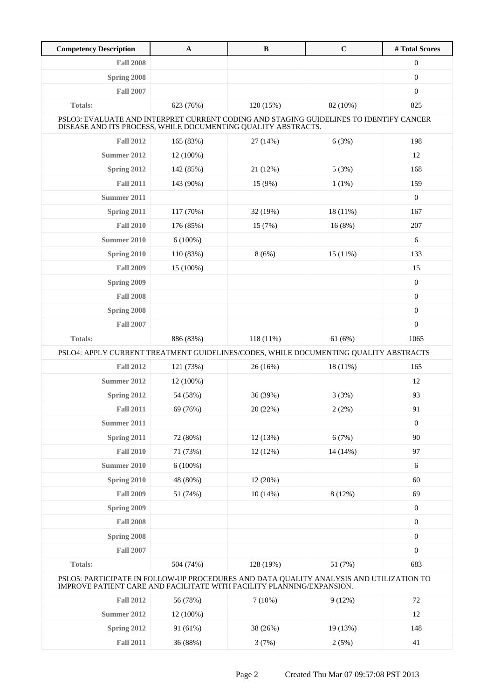| <b>Competency Description</b>                                                                                                                           | $\mathbf A$                                                                                                                                                      | $\, {\bf B}$ | $\mathbf C$ | # Total Scores   |  |
|---------------------------------------------------------------------------------------------------------------------------------------------------------|------------------------------------------------------------------------------------------------------------------------------------------------------------------|--------------|-------------|------------------|--|
| <b>Fall 2008</b>                                                                                                                                        |                                                                                                                                                                  |              |             | $\boldsymbol{0}$ |  |
| <b>Spring 2008</b>                                                                                                                                      |                                                                                                                                                                  |              |             | $\boldsymbol{0}$ |  |
| <b>Fall 2007</b>                                                                                                                                        |                                                                                                                                                                  |              |             | $\boldsymbol{0}$ |  |
| <b>Totals:</b>                                                                                                                                          | 623 (76%)                                                                                                                                                        | 120 (15%)    | 82 (10%)    | 825              |  |
| PSLO3: EVALUATE AND INTERPRET CURRENT CODING AND STAGING GUIDELINES TO IDENTIFY CANCER<br>DISEASE AND ITS PROCESS, WHILE DOCUMENTING QUALITY ABSTRACTS. |                                                                                                                                                                  |              |             |                  |  |
| <b>Fall 2012</b>                                                                                                                                        | 165 (83%)                                                                                                                                                        | 27 (14%)     | 6(3%)       | 198              |  |
| Summer 2012                                                                                                                                             | 12 (100%)                                                                                                                                                        |              |             | 12               |  |
| Spring 2012                                                                                                                                             | 142 (85%)                                                                                                                                                        | 21 (12%)     | 5(3%)       | 168              |  |
| <b>Fall 2011</b>                                                                                                                                        | 143 (90%)                                                                                                                                                        | 15 (9%)      | $1(1\%)$    | 159              |  |
| Summer 2011                                                                                                                                             |                                                                                                                                                                  |              |             | $\mathbf{0}$     |  |
| Spring 2011                                                                                                                                             | 117 (70%)                                                                                                                                                        | 32 (19%)     | 18 (11%)    | 167              |  |
| <b>Fall 2010</b>                                                                                                                                        | 176 (85%)                                                                                                                                                        | 15 (7%)      | 16(8%)      | 207              |  |
| Summer 2010                                                                                                                                             | $6(100\%)$                                                                                                                                                       |              |             | 6                |  |
| Spring 2010                                                                                                                                             | 110 (83%)                                                                                                                                                        | 8(6%)        | 15(11%)     | 133              |  |
| <b>Fall 2009</b>                                                                                                                                        | 15 (100%)                                                                                                                                                        |              |             | 15               |  |
| Spring 2009                                                                                                                                             |                                                                                                                                                                  |              |             | $\boldsymbol{0}$ |  |
| <b>Fall 2008</b>                                                                                                                                        |                                                                                                                                                                  |              |             | $\boldsymbol{0}$ |  |
| Spring 2008                                                                                                                                             |                                                                                                                                                                  |              |             | $\boldsymbol{0}$ |  |
| <b>Fall 2007</b>                                                                                                                                        |                                                                                                                                                                  |              |             | $\boldsymbol{0}$ |  |
| Totals:                                                                                                                                                 | 886 (83%)                                                                                                                                                        | 118 (11%)    | 61(6%)      | 1065             |  |
| PSLO4: APPLY CURRENT TREATMENT GUIDELINES/CODES, WHILE DOCUMENTING QUALITY ABSTRACTS                                                                    |                                                                                                                                                                  |              |             |                  |  |
| <b>Fall 2012</b>                                                                                                                                        | 121 (73%)                                                                                                                                                        | 26(16%)      | 18 (11%)    | 165              |  |
| <b>Summer 2012</b>                                                                                                                                      | 12 (100%)                                                                                                                                                        |              |             | 12               |  |
| Spring 2012                                                                                                                                             | 54 (58%)                                                                                                                                                         | 36 (39%)     | 3(3%)       | 93               |  |
| <b>Fall 2011</b>                                                                                                                                        | 69 (76%)                                                                                                                                                         | 20 (22%)     | 2(2%)       | 91               |  |
| Summer 2011                                                                                                                                             |                                                                                                                                                                  |              |             | $\boldsymbol{0}$ |  |
| Spring 2011                                                                                                                                             | 72 (80%)                                                                                                                                                         | 12 (13%)     | 6(7%)       | 90               |  |
| <b>Fall 2010</b>                                                                                                                                        | 71 (73%)                                                                                                                                                         | 12 (12%)     | 14 (14%)    | 97               |  |
| <b>Summer 2010</b>                                                                                                                                      | $6(100\%)$                                                                                                                                                       |              |             | 6                |  |
| Spring 2010                                                                                                                                             | 48 (80%)                                                                                                                                                         | 12 (20%)     |             | 60               |  |
| <b>Fall 2009</b>                                                                                                                                        | 51 (74%)                                                                                                                                                         | 10(14%)      | 8 (12%)     | 69               |  |
| Spring 2009                                                                                                                                             |                                                                                                                                                                  |              |             | $\boldsymbol{0}$ |  |
| <b>Fall 2008</b>                                                                                                                                        |                                                                                                                                                                  |              |             | $\boldsymbol{0}$ |  |
| Spring 2008                                                                                                                                             |                                                                                                                                                                  |              |             | $\boldsymbol{0}$ |  |
| <b>Fall 2007</b>                                                                                                                                        |                                                                                                                                                                  |              |             | $\boldsymbol{0}$ |  |
| Totals:                                                                                                                                                 | 504 (74%)                                                                                                                                                        | 128 (19%)    | 51 (7%)     | 683              |  |
|                                                                                                                                                         | PSLO5: PARTICIPATE IN FOLLOW-UP PROCEDURES AND DATA QUALITY ANALYSIS AND UTILIZATION TO<br>IMPROVE PATIENT CARE AND FACILITATE WITH FACILITY PLANNING/EXPANSION. |              |             |                  |  |
| <b>Fall 2012</b>                                                                                                                                        | 56 (78%)                                                                                                                                                         | $7(10\%)$    | 9(12%)      | $72\,$           |  |
| <b>Summer 2012</b>                                                                                                                                      | 12 (100%)                                                                                                                                                        |              |             | 12               |  |
| Spring 2012                                                                                                                                             | 91 (61%)                                                                                                                                                         | 38 (26%)     | 19 (13%)    | 148              |  |
| <b>Fall 2011</b>                                                                                                                                        | 36 (88%)                                                                                                                                                         | 3(7%)        | 2(5%)       | 41               |  |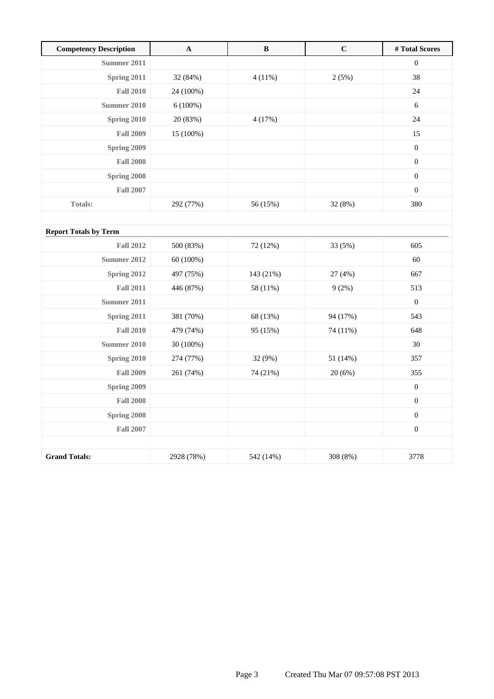| <b>Competency Description</b> | $\mathbf A$ | $\, {\bf B}$ | $\mathbf C$ | #Total Scores    |
|-------------------------------|-------------|--------------|-------------|------------------|
| Summer 2011                   |             |              |             | $\mathbf{0}$     |
| Spring 2011                   | 32 (84%)    | 4(11%)       | 2(5%)       | 38               |
| <b>Fall 2010</b>              | 24 (100%)   |              |             | 24               |
| <b>Summer 2010</b>            | $6(100\%)$  |              |             | 6                |
| Spring 2010                   | 20 (83%)    | 4(17%)       |             | 24               |
| <b>Fall 2009</b>              | 15 (100%)   |              |             | 15               |
| Spring 2009                   |             |              |             | $\boldsymbol{0}$ |
| <b>Fall 2008</b>              |             |              |             | $\boldsymbol{0}$ |
| Spring 2008                   |             |              |             | $\boldsymbol{0}$ |
| <b>Fall 2007</b>              |             |              |             | $\boldsymbol{0}$ |
| <b>Totals:</b>                | 292 (77%)   | 56 (15%)     | 32 (8%)     | 380              |
|                               |             |              |             |                  |
| <b>Report Totals by Term</b>  |             |              |             |                  |
| <b>Fall 2012</b>              | 500 (83%)   | 72 (12%)     | 33 (5%)     | 605              |
| <b>Summer 2012</b>            | 60 (100%)   |              |             | 60               |
| Spring 2012                   | 497 (75%)   | 143 (21%)    | 27 (4%)     | 667              |
| <b>Fall 2011</b>              | 446 (87%)   | 58 (11%)     | 9(2%)       | 513              |
| Summer 2011                   |             |              |             | $\boldsymbol{0}$ |
| Spring 2011                   | 381 (70%)   | 68 (13%)     | 94 (17%)    | 543              |
| <b>Fall 2010</b>              | 479 (74%)   | 95 (15%)     | 74 (11%)    | 648              |
| <b>Summer 2010</b>            | 30 (100%)   |              |             | 30               |
| Spring 2010                   | 274 (77%)   | 32 (9%)      | 51 (14%)    | 357              |
| <b>Fall 2009</b>              | 261 (74%)   | 74 (21%)     | 20(6%)      | 355              |
| Spring 2009                   |             |              |             | $\boldsymbol{0}$ |
| <b>Fall 2008</b>              |             |              |             | $\boldsymbol{0}$ |
| Spring 2008                   |             |              |             | $\boldsymbol{0}$ |
| <b>Fall 2007</b>              |             |              |             | $\boldsymbol{0}$ |
|                               |             |              |             |                  |
| <b>Grand Totals:</b>          | 2928 (78%)  | 542 (14%)    | 308 (8%)    | 3778             |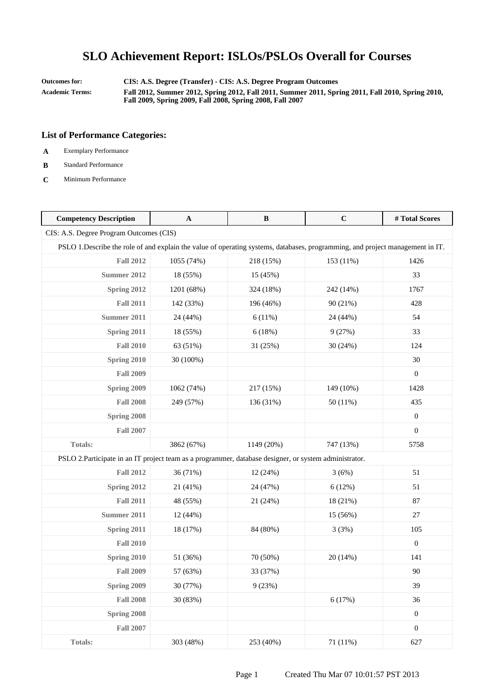**Outcomes for: CIS: A.S. Degree (Transfer) - CIS: A.S. Degree Program Outcomes Academic Terms: Fall 2012, Summer 2012, Spring 2012, Fall 2011, Summer 2011, Spring 2011, Fall 2010, Spring 2010, Fall 2009, Spring 2009, Fall 2008, Spring 2008, Fall 2007**

- **A** Exemplary Performance
- **B** Standard Performance
- **C** Minimum Performance

| <b>Competency Description</b>                                                                                                  | $\mathbf{A}$ | B          | $\mathbf C$ | #Total Scores    |  |
|--------------------------------------------------------------------------------------------------------------------------------|--------------|------------|-------------|------------------|--|
| CIS: A.S. Degree Program Outcomes (CIS)                                                                                        |              |            |             |                  |  |
| PSLO 1. Describe the role of and explain the value of operating systems, databases, programming, and project management in IT. |              |            |             |                  |  |
| <b>Fall 2012</b>                                                                                                               | 1055 (74%)   | 218 (15%)  | 153 (11%)   | 1426             |  |
| <b>Summer 2012</b>                                                                                                             | 18 (55%)     | 15 (45%)   |             | 33               |  |
| Spring 2012                                                                                                                    | 1201 (68%)   | 324 (18%)  | 242 (14%)   | 1767             |  |
| <b>Fall 2011</b>                                                                                                               | 142 (33%)    | 196 (46%)  | 90 (21%)    | 428              |  |
| <b>Summer 2011</b>                                                                                                             | 24 (44%)     | 6(11%)     | 24 (44%)    | 54               |  |
| Spring 2011                                                                                                                    | 18 (55%)     | 6(18%)     | 9(27%)      | 33               |  |
| <b>Fall 2010</b>                                                                                                               | 63 (51%)     | 31 (25%)   | 30 (24%)    | 124              |  |
| Spring 2010                                                                                                                    | 30 (100%)    |            |             | 30               |  |
| <b>Fall 2009</b>                                                                                                               |              |            |             | $\boldsymbol{0}$ |  |
| Spring 2009                                                                                                                    | 1062 (74%)   | 217 (15%)  | 149 (10%)   | 1428             |  |
| <b>Fall 2008</b>                                                                                                               | 249 (57%)    | 136 (31%)  | 50 (11%)    | 435              |  |
| Spring 2008                                                                                                                    |              |            |             | $\overline{0}$   |  |
| <b>Fall 2007</b>                                                                                                               |              |            |             | $\overline{0}$   |  |
| <b>Totals:</b>                                                                                                                 | 3862 (67%)   | 1149 (20%) | 747 (13%)   | 5758             |  |
| PSLO 2. Participate in an IT project team as a programmer, database designer, or system administrator.                         |              |            |             |                  |  |
| <b>Fall 2012</b>                                                                                                               | 36 (71%)     | 12 (24%)   | 3(6%)       | 51               |  |
| Spring 2012                                                                                                                    | 21 (41%)     | 24 (47%)   | 6(12%)      | 51               |  |
| <b>Fall 2011</b>                                                                                                               | 48 (55%)     | 21 (24%)   | 18 (21%)    | 87               |  |
| <b>Summer 2011</b>                                                                                                             | 12 (44%)     |            | 15 (56%)    | 27               |  |
| Spring 2011                                                                                                                    | 18 (17%)     | 84 (80%)   | 3(3%)       | 105              |  |
| <b>Fall 2010</b>                                                                                                               |              |            |             | $\boldsymbol{0}$ |  |
| Spring 2010                                                                                                                    | 51 (36%)     | 70 (50%)   | 20 (14%)    | 141              |  |
| <b>Fall 2009</b>                                                                                                               | 57 (63%)     | 33 (37%)   |             | 90               |  |
| Spring 2009                                                                                                                    | 30 (77%)     | 9(23%)     |             | 39               |  |
| <b>Fall 2008</b>                                                                                                               | 30 (83%)     |            | 6(17%)      | 36               |  |
| Spring 2008                                                                                                                    |              |            |             | $\boldsymbol{0}$ |  |
| <b>Fall 2007</b>                                                                                                               |              |            |             | $\boldsymbol{0}$ |  |
| Totals:                                                                                                                        | 303 (48%)    | 253 (40%)  | 71 (11%)    | 627              |  |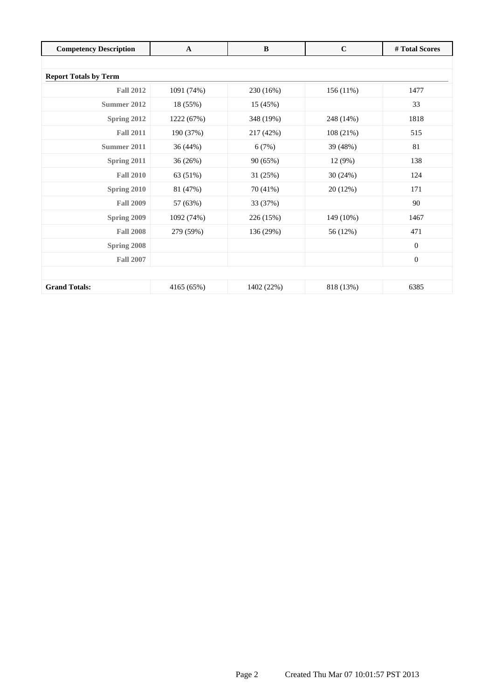| <b>Competency Description</b> | $\mathbf{A}$ | $\bf{B}$   | $\mathbf C$ | # Total Scores   |  |  |
|-------------------------------|--------------|------------|-------------|------------------|--|--|
|                               |              |            |             |                  |  |  |
| <b>Report Totals by Term</b>  |              |            |             |                  |  |  |
| <b>Fall 2012</b>              | 1091 (74%)   | 230 (16%)  | $156(11\%)$ | 1477             |  |  |
| Summer 2012                   | 18 (55%)     | 15 (45%)   |             | 33               |  |  |
| Spring 2012                   | 1222 (67%)   | 348 (19%)  | 248 (14%)   | 1818             |  |  |
| <b>Fall 2011</b>              | 190 (37%)    | 217 (42%)  | 108(21%)    | 515              |  |  |
| Summer 2011                   | 36 (44%)     | 6(7%)      | 39 (48%)    | 81               |  |  |
| Spring 2011                   | 36 (26%)     | 90 (65%)   | 12 (9%)     | 138              |  |  |
| <b>Fall 2010</b>              | 63 (51%)     | 31 (25%)   | 30(24%)     | 124              |  |  |
| Spring 2010                   | 81 (47%)     | 70 (41%)   | 20 (12%)    | 171              |  |  |
| <b>Fall 2009</b>              | 57 (63%)     | 33 (37%)   |             | 90               |  |  |
| <b>Spring 2009</b>            | 1092 (74%)   | 226 (15%)  | 149 (10%)   | 1467             |  |  |
| <b>Fall 2008</b>              | 279 (59%)    | 136 (29%)  | 56 (12%)    | 471              |  |  |
| Spring 2008                   |              |            |             | $\mathbf{0}$     |  |  |
| <b>Fall 2007</b>              |              |            |             | $\boldsymbol{0}$ |  |  |
|                               |              |            |             |                  |  |  |
| <b>Grand Totals:</b>          | 4165 (65%)   | 1402 (22%) | 818 (13%)   | 6385             |  |  |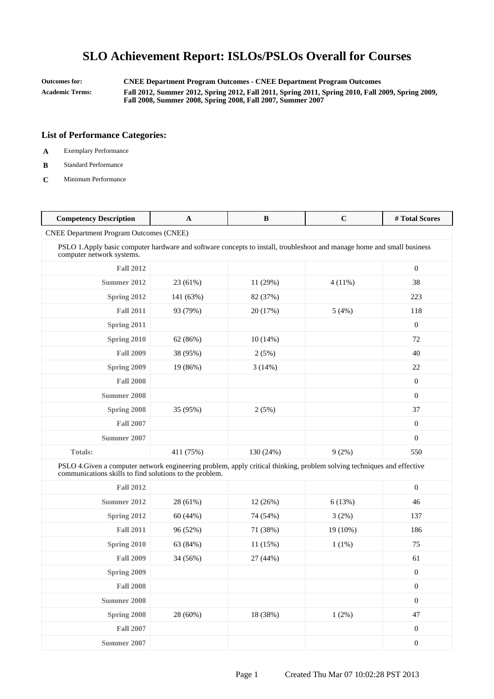**Outcomes for: CNEE Department Program Outcomes - CNEE Department Program Outcomes Academic Terms: Fall 2012, Summer 2012, Spring 2012, Fall 2011, Spring 2011, Spring 2010, Fall 2009, Spring 2009, Fall 2008, Summer 2008, Spring 2008, Fall 2007, Summer 2007**

- **A** Exemplary Performance
- **B** Standard Performance
- **C** Minimum Performance

| <b>Competency Description</b>                                                                                                                                                      | $\mathbf{A}$ | B         | $\mathbf C$ | #Total Scores    |
|------------------------------------------------------------------------------------------------------------------------------------------------------------------------------------|--------------|-----------|-------------|------------------|
| <b>CNEE Department Program Outcomes (CNEE)</b>                                                                                                                                     |              |           |             |                  |
| PSLO 1. Apply basic computer hardware and software concepts to install, troubleshoot and manage home and small business<br>computer network systems.                               |              |           |             |                  |
| <b>Fall 2012</b>                                                                                                                                                                   |              |           |             | $\boldsymbol{0}$ |
| <b>Summer 2012</b>                                                                                                                                                                 | 23 (61%)     | 11(29%)   | $4(11\%)$   | 38               |
| Spring 2012                                                                                                                                                                        | 141 (63%)    | 82 (37%)  |             | 223              |
| <b>Fall 2011</b>                                                                                                                                                                   | 93 (79%)     | 20 (17%)  | 5(4%)       | 118              |
| Spring 2011                                                                                                                                                                        |              |           |             | $\boldsymbol{0}$ |
| Spring 2010                                                                                                                                                                        | 62 (86%)     | 10(14%)   |             | 72               |
| <b>Fall 2009</b>                                                                                                                                                                   | 38 (95%)     | 2(5%)     |             | 40               |
| Spring 2009                                                                                                                                                                        | 19 (86%)     | 3(14%)    |             | 22               |
| <b>Fall 2008</b>                                                                                                                                                                   |              |           |             | $\mathbf{0}$     |
| <b>Summer 2008</b>                                                                                                                                                                 |              |           |             | $\overline{0}$   |
| Spring 2008                                                                                                                                                                        | 35 (95%)     | 2(5%)     |             | 37               |
| <b>Fall 2007</b>                                                                                                                                                                   |              |           |             | $\mathbf{0}$     |
| Summer 2007                                                                                                                                                                        |              |           |             | $\overline{0}$   |
| <b>Totals:</b>                                                                                                                                                                     | 411 (75%)    | 130 (24%) | 9(2%)       | 550              |
| PSLO 4. Given a computer network engineering problem, apply critical thinking, problem solving techniques and effective<br>communications skills to find solutions to the problem. |              |           |             |                  |
| <b>Fall 2012</b>                                                                                                                                                                   |              |           |             | $\boldsymbol{0}$ |
| <b>Summer 2012</b>                                                                                                                                                                 | 28 (61%)     | 12 (26%)  | 6(13%)      | 46               |
| Spring 2012                                                                                                                                                                        | 60 (44%)     | 74 (54%)  | 3(2%)       | 137              |
| <b>Fall 2011</b>                                                                                                                                                                   | 96 (52%)     | 71 (38%)  | 19 (10%)    | 186              |
| Spring 2010                                                                                                                                                                        | 63 (84%)     | 11 (15%)  | $1(1\%)$    | 75               |
| <b>Fall 2009</b>                                                                                                                                                                   | 34 (56%)     | 27 (44%)  |             | 61               |
| Spring 2009                                                                                                                                                                        |              |           |             | $\boldsymbol{0}$ |
| <b>Fall 2008</b>                                                                                                                                                                   |              |           |             | $\boldsymbol{0}$ |
| <b>Summer 2008</b>                                                                                                                                                                 |              |           |             | $\boldsymbol{0}$ |
| Spring 2008                                                                                                                                                                        | 28 (60%)     | 18 (38%)  | 1(2%)       | $47\,$           |
| <b>Fall 2007</b>                                                                                                                                                                   |              |           |             | $\boldsymbol{0}$ |
| <b>Summer 2007</b>                                                                                                                                                                 |              |           |             | $\boldsymbol{0}$ |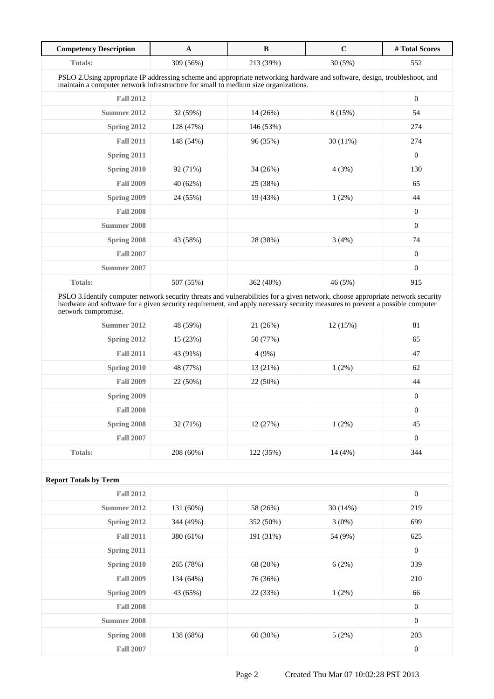| <b>Competency Description</b>                                                                                                                                                                                                                                                          | $\mathbf{A}$ | $\bf{B}$  | $\mathbf C$ | #Total Scores  |  |
|----------------------------------------------------------------------------------------------------------------------------------------------------------------------------------------------------------------------------------------------------------------------------------------|--------------|-----------|-------------|----------------|--|
| Totals:                                                                                                                                                                                                                                                                                | 309 (56%)    | 213 (39%) | 30 (5%)     | 552            |  |
| PSLO 2. Using appropriate IP addressing scheme and appropriate networking hardware and software, design, troubleshoot, and<br>maintain a computer network infrastructure for small to medium size organizations.                                                                       |              |           |             |                |  |
| <b>Fall 2012</b>                                                                                                                                                                                                                                                                       |              |           |             | $\mathbf{0}$   |  |
| Summer 2012                                                                                                                                                                                                                                                                            | 32 (59%)     | 14 (26%)  | 8(15%)      | 54             |  |
| Spring 2012                                                                                                                                                                                                                                                                            | 128 (47%)    | 146 (53%) |             | 274            |  |
| <b>Fall 2011</b>                                                                                                                                                                                                                                                                       | 148 (54%)    | 96 (35%)  | 30(11%)     | 274            |  |
| Spring 2011                                                                                                                                                                                                                                                                            |              |           |             | $\overline{0}$ |  |
| Spring 2010                                                                                                                                                                                                                                                                            | 92 (71%)     | 34 (26%)  | 4(3%)       | 130            |  |
| <b>Fall 2009</b>                                                                                                                                                                                                                                                                       | 40 (62%)     | 25 (38%)  |             | 65             |  |
| Spring 2009                                                                                                                                                                                                                                                                            | 24 (55%)     | 19 (43%)  | $1(2\%)$    | 44             |  |
| <b>Fall 2008</b>                                                                                                                                                                                                                                                                       |              |           |             | $\mathbf{0}$   |  |
| <b>Summer 2008</b>                                                                                                                                                                                                                                                                     |              |           |             | $\overline{0}$ |  |
| Spring 2008                                                                                                                                                                                                                                                                            | 43 (58%)     | 28 (38%)  | 3(4%)       | 74             |  |
| <b>Fall 2007</b>                                                                                                                                                                                                                                                                       |              |           |             | $\overline{0}$ |  |
| Summer 2007                                                                                                                                                                                                                                                                            |              |           |             | $\overline{0}$ |  |
| <b>Totals:</b>                                                                                                                                                                                                                                                                         | 507 (55%)    | 362 (40%) | 46 (5%)     | 915            |  |
| PSLO 3. Identify computer network security threats and vulnerabilities for a given network, choose appropriate network security<br>hardware and software for a given security requirement, and apply necessary security measures to prevent a possible computer<br>network compromise. |              |           |             |                |  |
| Summer 2012                                                                                                                                                                                                                                                                            | 48 (59%)     | 21(26%)   | 12(15%)     | 81             |  |
| Spring 2012                                                                                                                                                                                                                                                                            | 15 (23%)     | 50 (77%)  |             | 65             |  |
| <b>Fall 2011</b>                                                                                                                                                                                                                                                                       | 43 (91%)     | 4(9%)     |             | 47             |  |
| Spring 2010                                                                                                                                                                                                                                                                            | 48 (77%)     | 13 (21%)  | $1(2\%)$    | 62             |  |
| <b>Fall 2009</b>                                                                                                                                                                                                                                                                       | 22 (50%)     | 22 (50%)  |             | 44             |  |

| <b>Fall 2009</b> | 22 (50%)  | 22 (50%)  |          | 44  |  |
|------------------|-----------|-----------|----------|-----|--|
| Spring 2009      |           |           |          | 0   |  |
| <b>Fall 2008</b> |           |           |          | 0   |  |
| Spring 2008      | 32 (71%)  | 12(27%)   | $1(2\%)$ | 45  |  |
| <b>Fall 2007</b> |           |           |          | 0   |  |
| <b>Totals:</b>   | 208 (60%) | 122 (35%) | 14 (4%)  | 344 |  |
|                  |           |           |          |     |  |

| <b>Report Totals by Term</b> |           |           |          |                  |
|------------------------------|-----------|-----------|----------|------------------|
| <b>Fall 2012</b>             |           |           |          | $\boldsymbol{0}$ |
| Summer 2012                  | 131 (60%) | 58 (26%)  | 30(14%)  | 219              |
| Spring 2012                  | 344 (49%) | 352 (50%) | $3(0\%)$ | 699              |
| <b>Fall 2011</b>             | 380 (61%) | 191 (31%) | 54 (9%)  | 625              |
| Spring 2011                  |           |           |          | $\mathbf{0}$     |
| Spring 2010                  | 265 (78%) | 68 (20%)  | 6(2%)    | 339              |
| <b>Fall 2009</b>             | 134 (64%) | 76 (36%)  |          | 210              |
| Spring 2009                  | 43 (65%)  | 22 (33%)  | $1(2\%)$ | 66               |
| <b>Fall 2008</b>             |           |           |          | $\boldsymbol{0}$ |
| Summer 2008                  |           |           |          | $\boldsymbol{0}$ |
| Spring 2008                  | 138 (68%) | 60(30%)   | 5(2%)    | 203              |
| <b>Fall 2007</b>             |           |           |          | $\boldsymbol{0}$ |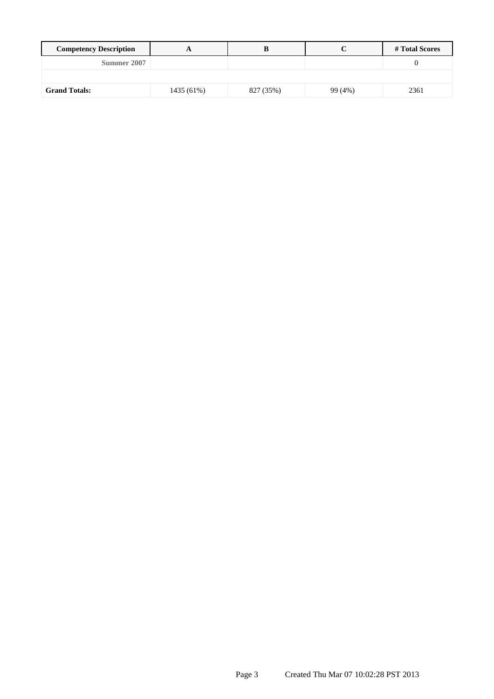| <b>Competency Description</b> |            |           |         | # Total Scores |
|-------------------------------|------------|-----------|---------|----------------|
| Summer 2007                   |            |           |         |                |
|                               |            |           |         |                |
| <b>Grand Totals:</b>          | 1435 (61%) | 827 (35%) | 99 (4%) | 2361           |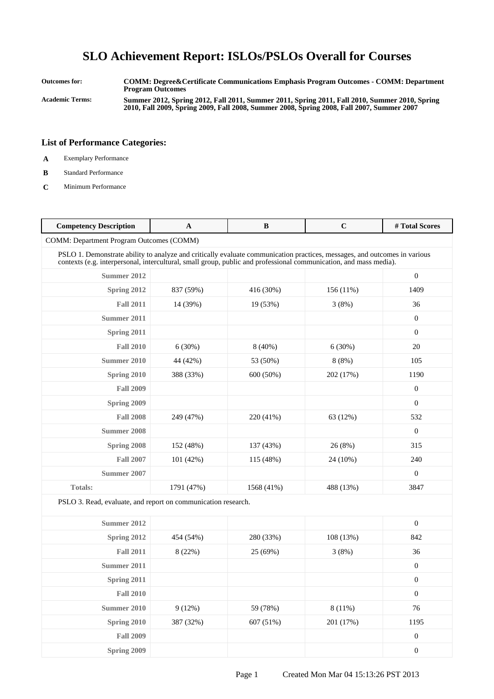**Outcomes for: COMM: Degree&Certificate Communications Emphasis Program Outcomes - COMM: Department Program Outcomes Academic Terms: Summer 2012, Spring 2012, Fall 2011, Summer 2011, Spring 2011, Fall 2010, Summer 2010, Spring 2010, Fall 2009, Spring 2009, Fall 2008, Summer 2008, Spring 2008, Fall 2007, Summer 2007**

- **A** Exemplary Performance
- **B** Standard Performance
- **C** Minimum Performance

| <b>Competency Description</b>                                                                                                                                                                                                                  | A          | B          | $\mathbf C$ | #Total Scores    |
|------------------------------------------------------------------------------------------------------------------------------------------------------------------------------------------------------------------------------------------------|------------|------------|-------------|------------------|
| <b>COMM: Department Program Outcomes (COMM)</b>                                                                                                                                                                                                |            |            |             |                  |
| PSLO 1. Demonstrate ability to analyze and critically evaluate communication practices, messages, and outcomes in various<br>contexts (e.g. interpersonal, intercultural, small group, public and professional communication, and mass media). |            |            |             |                  |
| Summer 2012                                                                                                                                                                                                                                    |            |            |             | $\mathbf{0}$     |
| Spring 2012                                                                                                                                                                                                                                    | 837 (59%)  | 416 (30%)  | $156(11\%)$ | 1409             |
| <b>Fall 2011</b>                                                                                                                                                                                                                               | 14 (39%)   | 19 (53%)   | 3(8%)       | 36               |
| Summer 2011                                                                                                                                                                                                                                    |            |            |             | $\boldsymbol{0}$ |
| Spring 2011                                                                                                                                                                                                                                    |            |            |             | $\boldsymbol{0}$ |
| <b>Fall 2010</b>                                                                                                                                                                                                                               | 6(30%)     | $8(40\%)$  | 6(30%)      | 20               |
| Summer 2010                                                                                                                                                                                                                                    | 44 (42%)   | 53 (50%)   | 8(8%)       | 105              |
| Spring 2010                                                                                                                                                                                                                                    | 388 (33%)  | 600 (50%)  | 202 (17%)   | 1190             |
| <b>Fall 2009</b>                                                                                                                                                                                                                               |            |            |             | $\mathbf{0}$     |
| Spring 2009                                                                                                                                                                                                                                    |            |            |             | $\theta$         |
| <b>Fall 2008</b>                                                                                                                                                                                                                               | 249 (47%)  | 220 (41%)  | 63 (12%)    | 532              |
| <b>Summer 2008</b>                                                                                                                                                                                                                             |            |            |             | $\overline{0}$   |
| Spring 2008                                                                                                                                                                                                                                    | 152 (48%)  | 137 (43%)  | 26 (8%)     | 315              |
| <b>Fall 2007</b>                                                                                                                                                                                                                               | 101 (42%)  | 115 (48%)  | 24 (10%)    | 240              |
| Summer 2007                                                                                                                                                                                                                                    |            |            |             | $\mathbf{0}$     |
| Totals:                                                                                                                                                                                                                                        | 1791 (47%) | 1568 (41%) | 488 (13%)   | 3847             |
| PSLO 3. Read, evaluate, and report on communication research.                                                                                                                                                                                  |            |            |             |                  |
| Summer 2012                                                                                                                                                                                                                                    |            |            |             | $\overline{0}$   |
| Spring 2012                                                                                                                                                                                                                                    | 454 (54%)  | 280 (33%)  | 108 (13%)   | 842              |
| <b>Fall 2011</b>                                                                                                                                                                                                                               | 8 (22%)    | 25 (69%)   | 3(8%)       | 36               |
| Summer 2011                                                                                                                                                                                                                                    |            |            |             | $\boldsymbol{0}$ |
| Spring 2011                                                                                                                                                                                                                                    |            |            |             | $\boldsymbol{0}$ |
| <b>Fall 2010</b>                                                                                                                                                                                                                               |            |            |             | $\boldsymbol{0}$ |
| <b>Summer 2010</b>                                                                                                                                                                                                                             | 9(12%)     | 59 (78%)   | 8(11%)      | 76               |
| Spring 2010                                                                                                                                                                                                                                    | 387 (32%)  | 607 (51%)  | 201 (17%)   | 1195             |
| <b>Fall 2009</b>                                                                                                                                                                                                                               |            |            |             | $\boldsymbol{0}$ |
| Spring 2009                                                                                                                                                                                                                                    |            |            |             | $\boldsymbol{0}$ |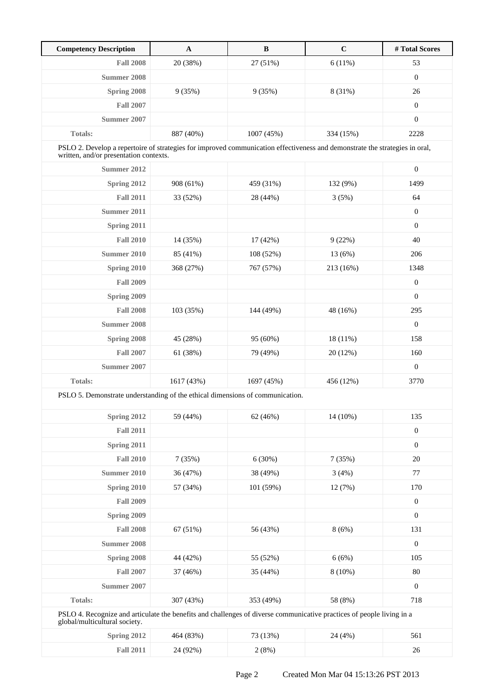| <b>Competency Description</b>                                                                                                                                         | $\mathbf{A}$ | $\, {\bf B}$ | $\mathbf C$ | # Total Scores   |
|-----------------------------------------------------------------------------------------------------------------------------------------------------------------------|--------------|--------------|-------------|------------------|
| <b>Fall 2008</b>                                                                                                                                                      | 20 (38%)     | 27 (51%)     | 6(11%)      | 53               |
| <b>Summer 2008</b>                                                                                                                                                    |              |              |             | $\boldsymbol{0}$ |
| Spring 2008                                                                                                                                                           | 9(35%)       | 9(35%)       | 8 (31%)     | 26               |
| <b>Fall 2007</b>                                                                                                                                                      |              |              |             | $\boldsymbol{0}$ |
| Summer 2007                                                                                                                                                           |              |              |             | $\boldsymbol{0}$ |
| <b>Totals:</b>                                                                                                                                                        | 887 (40%)    | 1007 (45%)   | 334 (15%)   | 2228             |
| PSLO 2. Develop a repertoire of strategies for improved communication effectiveness and demonstrate the strategies in oral,<br>written, and/or presentation contexts. |              |              |             |                  |
| Summer 2012                                                                                                                                                           |              |              |             | $\boldsymbol{0}$ |
| Spring 2012                                                                                                                                                           | 908 (61%)    | 459 (31%)    | 132 (9%)    | 1499             |
| <b>Fall 2011</b>                                                                                                                                                      | 33 (52%)     | 28 (44%)     | 3(5%)       | 64               |
| Summer 2011                                                                                                                                                           |              |              |             | $\boldsymbol{0}$ |
| Spring 2011                                                                                                                                                           |              |              |             | $\mathbf{0}$     |
| <b>Fall 2010</b>                                                                                                                                                      | 14 (35%)     | 17 (42%)     | 9(22%)      | 40               |
| Summer 2010                                                                                                                                                           | 85 (41%)     | 108 (52%)    | 13 (6%)     | 206              |
| Spring 2010                                                                                                                                                           | 368 (27%)    | 767 (57%)    | 213 (16%)   | 1348             |
| <b>Fall 2009</b>                                                                                                                                                      |              |              |             | $\boldsymbol{0}$ |
| Spring 2009                                                                                                                                                           |              |              |             | $\boldsymbol{0}$ |
| <b>Fall 2008</b>                                                                                                                                                      | 103 (35%)    | 144 (49%)    | 48 (16%)    | 295              |
| <b>Summer 2008</b>                                                                                                                                                    |              |              |             | $\boldsymbol{0}$ |
| Spring 2008                                                                                                                                                           | 45 (28%)     | 95 (60%)     | 18 (11%)    | 158              |
| <b>Fall 2007</b>                                                                                                                                                      | 61 (38%)     | 79 (49%)     | 20 (12%)    | 160              |
| <b>Summer 2007</b>                                                                                                                                                    |              |              |             | $\boldsymbol{0}$ |
| <b>Totals:</b>                                                                                                                                                        | 1617 (43%)   | 1697 (45%)   | 456 (12%)   | 3770             |
| PSLO 5. Demonstrate understanding of the ethical dimensions of communication.                                                                                         |              |              |             |                  |
| Spring 2012                                                                                                                                                           | 59 (44%)     | 62 (46%)     | 14 (10%)    | 135              |
| <b>Fall 2011</b>                                                                                                                                                      |              |              |             | $\boldsymbol{0}$ |
| <b>Spring 2011</b>                                                                                                                                                    |              |              |             | $\boldsymbol{0}$ |
| <b>Fall 2010</b>                                                                                                                                                      | 7(35%)       | 6(30%)       | 7(35%)      | 20               |
| <b>Summer 2010</b>                                                                                                                                                    | 36 (47%)     | 38 (49%)     | 3(4%)       | 77               |
| Spring 2010                                                                                                                                                           | 57 (34%)     | 101 (59%)    | 12 (7%)     | 170              |
| <b>Fall 2009</b>                                                                                                                                                      |              |              |             | $\boldsymbol{0}$ |
| Spring 2009                                                                                                                                                           |              |              |             | $\boldsymbol{0}$ |
| <b>Fall 2008</b>                                                                                                                                                      | 67 (51%)     | 56 (43%)     | 8(6%)       | 131              |
| <b>Summer 2008</b>                                                                                                                                                    |              |              |             | $\mathbf{0}$     |
| Spring 2008                                                                                                                                                           | 44 (42%)     | 55 (52%)     | 6(6%)       | 105              |
| <b>Fall 2007</b>                                                                                                                                                      | 37 (46%)     | 35 (44%)     | $8(10\%)$   | 80               |
| <b>Summer 2007</b>                                                                                                                                                    |              |              |             | $\boldsymbol{0}$ |
| Totals:                                                                                                                                                               | 307 (43%)    | 353 (49%)    | 58 (8%)     | 718              |
| PSLO 4. Recognize and articulate the benefits and challenges of diverse communicative practices of people living in a<br>global/multicultural society.                |              |              |             |                  |
| Spring 2012                                                                                                                                                           | 464 (83%)    | 73 (13%)     | 24 (4%)     | 561              |

**Fall 2011** 24 (92%) 2 (8%) 2 (8%) 26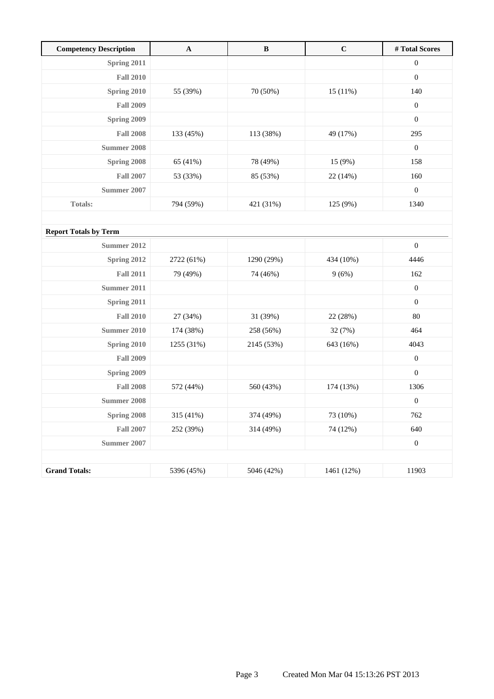| <b>Competency Description</b> | $\mathbf{A}$ | $\bf{B}$   | $\mathbf C$ | # Total Scores   |
|-------------------------------|--------------|------------|-------------|------------------|
| Spring 2011                   |              |            |             | $\boldsymbol{0}$ |
| <b>Fall 2010</b>              |              |            |             | $\boldsymbol{0}$ |
| Spring 2010                   | 55 (39%)     | 70 (50%)   | 15(11%)     | 140              |
| <b>Fall 2009</b>              |              |            |             | $\boldsymbol{0}$ |
| Spring 2009                   |              |            |             | $\boldsymbol{0}$ |
| <b>Fall 2008</b>              | 133 (45%)    | 113 (38%)  | 49 (17%)    | 295              |
| <b>Summer 2008</b>            |              |            |             | $\boldsymbol{0}$ |
| Spring 2008                   | 65 (41%)     | 78 (49%)   | 15 (9%)     | 158              |
| <b>Fall 2007</b>              | 53 (33%)     | 85 (53%)   | 22 (14%)    | 160              |
| <b>Summer 2007</b>            |              |            |             | $\boldsymbol{0}$ |
| <b>Totals:</b>                | 794 (59%)    | 421 (31%)  | 125 (9%)    | 1340             |
|                               |              |            |             |                  |
| <b>Report Totals by Term</b>  |              |            |             |                  |
| <b>Summer 2012</b>            |              |            |             | $\boldsymbol{0}$ |
| Spring 2012                   | 2722 (61%)   | 1290 (29%) | 434 (10%)   | 4446             |
| <b>Fall 2011</b>              | 79 (49%)     | 74 (46%)   | 9(6%)       | 162              |
| <b>Summer 2011</b>            |              |            |             | $\boldsymbol{0}$ |
| Spring 2011                   |              |            |             | $\boldsymbol{0}$ |
| <b>Fall 2010</b>              | 27 (34%)     | 31 (39%)   | 22 (28%)    | $80\,$           |
| <b>Summer 2010</b>            | 174 (38%)    | 258 (56%)  | 32 (7%)     | 464              |
| Spring 2010                   | 1255 (31%)   | 2145 (53%) | 643 (16%)   | 4043             |
| <b>Fall 2009</b>              |              |            |             | $\boldsymbol{0}$ |
| Spring 2009                   |              |            |             | $\boldsymbol{0}$ |
| <b>Fall 2008</b>              | 572 (44%)    | 560 (43%)  | 174 (13%)   | 1306             |
| <b>Summer 2008</b>            |              |            |             | $\boldsymbol{0}$ |
| Spring 2008                   | 315 (41%)    | 374 (49%)  | 73 (10%)    | 762              |
| <b>Fall 2007</b>              | 252 (39%)    | 314 (49%)  | 74 (12%)    | 640              |
| <b>Summer 2007</b>            |              |            |             | $\boldsymbol{0}$ |
|                               |              |            |             |                  |
| <b>Grand Totals:</b>          | 5396 (45%)   | 5046 (42%) | 1461 (12%)  | 11903            |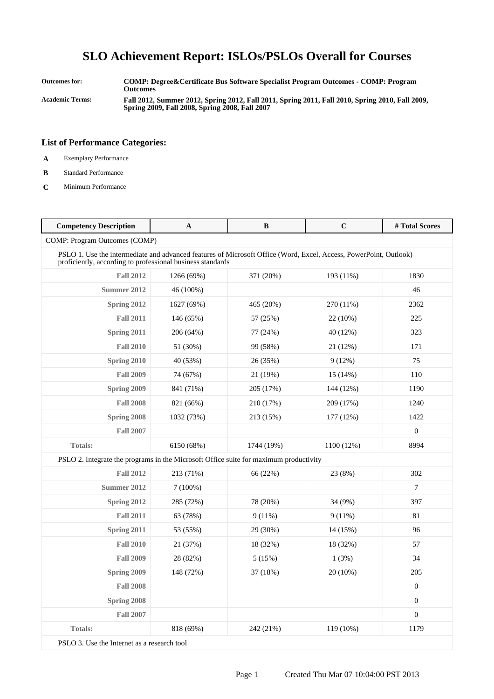**Outcomes for: COMP: Degree&Certificate Bus Software Specialist Program Outcomes - COMP: Program Outcomes Academic Terms: Fall 2012, Summer 2012, Spring 2012, Fall 2011, Spring 2011, Fall 2010, Spring 2010, Fall 2009, Spring 2009, Fall 2008, Spring 2008, Fall 2007**

#### **List of Performance Categories:**

- **A** Exemplary Performance
- **B** Standard Performance
- **C** Minimum Performance

| <b>Competency Description</b>                                                         | A                                                                                                                                                                               | $\, {\bf B}$ | $\mathbf C$ | #Total Scores    |  |
|---------------------------------------------------------------------------------------|---------------------------------------------------------------------------------------------------------------------------------------------------------------------------------|--------------|-------------|------------------|--|
| COMP: Program Outcomes (COMP)                                                         |                                                                                                                                                                                 |              |             |                  |  |
|                                                                                       | PSLO 1. Use the intermediate and advanced features of Microsoft Office (Word, Excel, Access, PowerPoint, Outlook)<br>proficiently, according to professional business standards |              |             |                  |  |
| <b>Fall 2012</b>                                                                      | 1266 (69%)                                                                                                                                                                      | 371 (20%)    | 193 (11%)   | 1830             |  |
| <b>Summer 2012</b>                                                                    | 46 (100%)                                                                                                                                                                       |              |             | 46               |  |
| Spring 2012                                                                           | 1627 (69%)                                                                                                                                                                      | 465 (20%)    | 270 (11%)   | 2362             |  |
| <b>Fall 2011</b>                                                                      | 146 (65%)                                                                                                                                                                       | 57 (25%)     | 22 (10%)    | 225              |  |
| Spring 2011                                                                           | 206 (64%)                                                                                                                                                                       | 77 (24%)     | 40 (12%)    | 323              |  |
| <b>Fall 2010</b>                                                                      | 51 (30%)                                                                                                                                                                        | 99 (58%)     | 21 (12%)    | 171              |  |
| Spring 2010                                                                           | 40 (53%)                                                                                                                                                                        | 26 (35%)     | 9(12%)      | 75               |  |
| <b>Fall 2009</b>                                                                      | 74 (67%)                                                                                                                                                                        | 21 (19%)     | 15(14%)     | 110              |  |
| Spring 2009                                                                           | 841 (71%)                                                                                                                                                                       | 205 (17%)    | 144 (12%)   | 1190             |  |
| <b>Fall 2008</b>                                                                      | 821 (66%)                                                                                                                                                                       | 210 (17%)    | 209 (17%)   | 1240             |  |
| Spring 2008                                                                           | 1032 (73%)                                                                                                                                                                      | 213 (15%)    | 177 (12%)   | 1422             |  |
| <b>Fall 2007</b>                                                                      |                                                                                                                                                                                 |              |             | $\boldsymbol{0}$ |  |
| Totals:                                                                               | 6150 (68%)                                                                                                                                                                      | 1744 (19%)   | 1100 (12%)  | 8994             |  |
| PSLO 2. Integrate the programs in the Microsoft Office suite for maximum productivity |                                                                                                                                                                                 |              |             |                  |  |
| <b>Fall 2012</b>                                                                      | 213 (71%)                                                                                                                                                                       | 66 (22%)     | 23 (8%)     | 302              |  |
| <b>Summer 2012</b>                                                                    | 7(100%)                                                                                                                                                                         |              |             | $\tau$           |  |
| Spring 2012                                                                           | 285 (72%)                                                                                                                                                                       | 78 (20%)     | 34 (9%)     | 397              |  |
| <b>Fall 2011</b>                                                                      | 63 (78%)                                                                                                                                                                        | $9(11\%)$    | $9(11\%)$   | 81               |  |
| Spring 2011                                                                           | 53 (55%)                                                                                                                                                                        | 29 (30%)     | 14 (15%)    | 96               |  |
| <b>Fall 2010</b>                                                                      | 21 (37%)                                                                                                                                                                        | 18 (32%)     | 18 (32%)    | 57               |  |
| <b>Fall 2009</b>                                                                      | 28 (82%)                                                                                                                                                                        | 5(15%)       | 1(3%)       | 34               |  |
| Spring 2009                                                                           | 148 (72%)                                                                                                                                                                       | 37 (18%)     | 20 (10%)    | 205              |  |
| <b>Fall 2008</b>                                                                      |                                                                                                                                                                                 |              |             | $\mathbf{0}$     |  |
| Spring 2008                                                                           |                                                                                                                                                                                 |              |             | $\boldsymbol{0}$ |  |
| <b>Fall 2007</b>                                                                      |                                                                                                                                                                                 |              |             | $\boldsymbol{0}$ |  |
| <b>Totals:</b>                                                                        | 818 (69%)                                                                                                                                                                       | 242 (21%)    | 119 (10%)   | 1179             |  |
| $\mathbf{D} \cap \mathbf{D} \cap \mathbf{D}$                                          | $1 \cdot 1$                                                                                                                                                                     |              |             |                  |  |

PSLO 3. Use the Internet as a research tool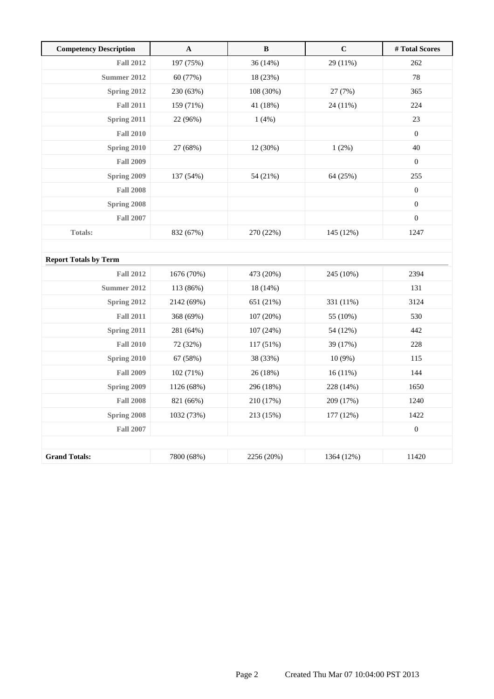| <b>Competency Description</b> | $\mathbf A$ | $\, {\bf B}$ | $\mathbf C$ | #Total Scores    |
|-------------------------------|-------------|--------------|-------------|------------------|
| <b>Fall 2012</b>              | 197 (75%)   | 36 (14%)     | 29 (11%)    | 262              |
| <b>Summer 2012</b>            | 60 (77%)    | 18 (23%)     |             | 78               |
| Spring 2012                   | 230 (63%)   | 108 (30%)    | 27 (7%)     | 365              |
| <b>Fall 2011</b>              | 159 (71%)   | 41 (18%)     | 24 (11%)    | 224              |
| Spring 2011                   | 22 (96%)    | 1(4%)        |             | $23\,$           |
| <b>Fall 2010</b>              |             |              |             | $\mathbf{0}$     |
| Spring 2010                   | 27 (68%)    | 12 (30%)     | 1(2%)       | 40               |
| <b>Fall 2009</b>              |             |              |             | $\mathbf{0}$     |
| Spring 2009                   | 137 (54%)   | 54 (21%)     | 64 (25%)    | 255              |
| <b>Fall 2008</b>              |             |              |             | $\boldsymbol{0}$ |
| Spring 2008                   |             |              |             | $\boldsymbol{0}$ |
| <b>Fall 2007</b>              |             |              |             | $\mathbf{0}$     |
| Totals:                       | 832 (67%)   | 270 (22%)    | 145 (12%)   | 1247             |
|                               |             |              |             |                  |
| <b>Report Totals by Term</b>  |             |              |             |                  |
| <b>Fall 2012</b>              | 1676 (70%)  | 473 (20%)    | 245 (10%)   | 2394             |
| <b>Summer 2012</b>            | 113 (86%)   | 18 (14%)     |             | 131              |
| Spring 2012                   | 2142 (69%)  | 651 (21%)    | 331 (11%)   | 3124             |
| <b>Fall 2011</b>              | 368 (69%)   | 107 (20%)    | 55 (10%)    | 530              |
| Spring 2011                   | 281 (64%)   | 107 (24%)    | 54 (12%)    | 442              |
| <b>Fall 2010</b>              | 72 (32%)    | 117 (51%)    | 39 (17%)    | 228              |
| Spring 2010                   | 67 (58%)    | 38 (33%)     | $10(9\%)$   | 115              |
| <b>Fall 2009</b>              | 102 (71%)   | 26 (18%)     | 16(11%)     | 144              |
| Spring 2009                   | 1126 (68%)  | 296 (18%)    | 228 (14%)   | 1650             |
| <b>Fall 2008</b>              | 821 (66%)   | 210 (17%)    | 209 (17%)   | 1240             |
| Spring 2008                   | 1032 (73%)  | 213 (15%)    | 177 (12%)   | 1422             |
| <b>Fall 2007</b>              |             |              |             | $\boldsymbol{0}$ |
|                               |             |              |             |                  |
| <b>Grand Totals:</b>          | 7800 (68%)  | 2256 (20%)   | 1364 (12%)  | 11420            |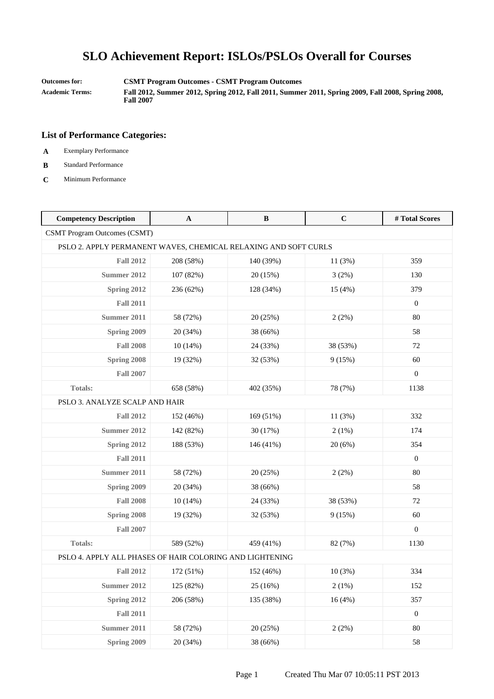**Outcomes for: CSMT Program Outcomes - CSMT Program Outcomes**

**Academic Terms: Fall 2012, Summer 2012, Spring 2012, Fall 2011, Summer 2011, Spring 2009, Fall 2008, Spring 2008, Fall 2007**

- **A** Exemplary Performance
- **B** Standard Performance
- **C** Minimum Performance

| <b>Competency Description</b>                                   | $\mathbf{A}$ | B         | $\mathbf C$ | #Total Scores    |
|-----------------------------------------------------------------|--------------|-----------|-------------|------------------|
| <b>CSMT Program Outcomes (CSMT)</b>                             |              |           |             |                  |
| PSLO 2. APPLY PERMANENT WAVES, CHEMICAL RELAXING AND SOFT CURLS |              |           |             |                  |
| <b>Fall 2012</b>                                                | 208 (58%)    | 140 (39%) | 11 (3%)     | 359              |
| <b>Summer 2012</b>                                              | 107 (82%)    | 20 (15%)  | 3(2%)       | 130              |
| Spring 2012                                                     | 236 (62%)    | 128 (34%) | 15 (4%)     | 379              |
| <b>Fall 2011</b>                                                |              |           |             | $\boldsymbol{0}$ |
| Summer 2011                                                     | 58 (72%)     | 20 (25%)  | 2(2%)       | 80               |
| <b>Spring 2009</b>                                              | 20 (34%)     | 38 (66%)  |             | 58               |
| <b>Fall 2008</b>                                                | 10(14%)      | 24 (33%)  | 38 (53%)    | 72               |
| Spring 2008                                                     | 19 (32%)     | 32 (53%)  | 9(15%)      | 60               |
| <b>Fall 2007</b>                                                |              |           |             | $\boldsymbol{0}$ |
| <b>Totals:</b>                                                  | 658 (58%)    | 402 (35%) | 78 (7%)     | 1138             |
| PSLO 3. ANALYZE SCALP AND HAIR                                  |              |           |             |                  |
| <b>Fall 2012</b>                                                | 152 (46%)    | 169 (51%) | 11(3%)      | 332              |
| <b>Summer 2012</b>                                              | 142 (82%)    | 30 (17%)  | 2(1%)       | 174              |
| Spring 2012                                                     | 188 (53%)    | 146 (41%) | 20 (6%)     | 354              |
| <b>Fall 2011</b>                                                |              |           |             | $\boldsymbol{0}$ |
| Summer 2011                                                     | 58 (72%)     | 20 (25%)  | 2(2%)       | 80               |
| Spring 2009                                                     | 20 (34%)     | 38 (66%)  |             | 58               |
| <b>Fall 2008</b>                                                | 10(14%)      | 24 (33%)  | 38 (53%)    | 72               |
| Spring 2008                                                     | 19 (32%)     | 32 (53%)  | 9(15%)      | 60               |
| <b>Fall 2007</b>                                                |              |           |             | $\boldsymbol{0}$ |
| <b>Totals:</b>                                                  | 589 (52%)    | 459 (41%) | 82 (7%)     | 1130             |
| PSLO 4. APPLY ALL PHASES OF HAIR COLORING AND LIGHTENING        |              |           |             |                  |
| <b>Fall 2012</b>                                                | 172 (51%)    | 152 (46%) | 10(3%)      | 334              |
| <b>Summer 2012</b>                                              | 125 (82%)    | 25 (16%)  | 2(1%)       | 152              |
| Spring 2012                                                     | 206 (58%)    | 135 (38%) | 16(4%)      | 357              |
| <b>Fall 2011</b>                                                |              |           |             | $\boldsymbol{0}$ |
| <b>Summer 2011</b>                                              | 58 (72%)     | 20 (25%)  | 2(2%)       | $80\,$           |
| Spring 2009                                                     | 20 (34%)     | 38 (66%)  |             | 58               |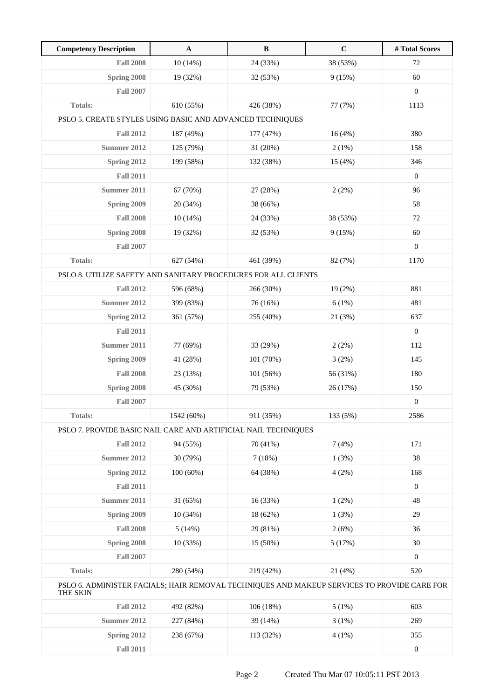| <b>Competency Description</b>                                                                           | $\mathbf{A}$ | $\, {\bf B}$ | $\mathbf C$ | #Total Scores    |
|---------------------------------------------------------------------------------------------------------|--------------|--------------|-------------|------------------|
| <b>Fall 2008</b>                                                                                        | 10(14%)      | 24 (33%)     | 38 (53%)    | 72               |
| Spring 2008                                                                                             | 19 (32%)     | 32 (53%)     | 9(15%)      | 60               |
| <b>Fall 2007</b>                                                                                        |              |              |             | $\boldsymbol{0}$ |
| <b>Totals:</b>                                                                                          | 610 (55%)    | 426 (38%)    | 77 (7%)     | 1113             |
| PSLO 5. CREATE STYLES USING BASIC AND ADVANCED TECHNIQUES                                               |              |              |             |                  |
| <b>Fall 2012</b>                                                                                        | 187 (49%)    | 177 (47%)    | 16(4%)      | 380              |
| <b>Summer 2012</b>                                                                                      | 125 (79%)    | 31 (20%)     | 2(1%)       | 158              |
| Spring 2012                                                                                             | 199 (58%)    | 132 (38%)    | 15 (4%)     | 346              |
| <b>Fall 2011</b>                                                                                        |              |              |             | $\boldsymbol{0}$ |
| Summer 2011                                                                                             | 67 (70%)     | 27 (28%)     | 2(2%)       | 96               |
| Spring 2009                                                                                             | 20 (34%)     | 38 (66%)     |             | 58               |
| <b>Fall 2008</b>                                                                                        | 10(14%)      | 24 (33%)     | 38 (53%)    | 72               |
| Spring 2008                                                                                             | 19 (32%)     | 32 (53%)     | 9(15%)      | 60               |
| <b>Fall 2007</b>                                                                                        |              |              |             | $\overline{0}$   |
| Totals:                                                                                                 | 627 (54%)    | 461 (39%)    | 82 (7%)     | 1170             |
| PSLO 8. UTILIZE SAFETY AND SANITARY PROCEDURES FOR ALL CLIENTS                                          |              |              |             |                  |
| <b>Fall 2012</b>                                                                                        | 596 (68%)    | 266 (30%)    | $19(2\%)$   | 881              |
| <b>Summer 2012</b>                                                                                      | 399 (83%)    | 76 (16%)     | 6(1%)       | 481              |
| Spring 2012                                                                                             | 361 (57%)    | 255 (40%)    | 21 (3%)     | 637              |
| <b>Fall 2011</b>                                                                                        |              |              |             | $\mathbf{0}$     |
| Summer 2011                                                                                             | 77 (69%)     | 33 (29%)     | 2(2%)       | 112              |
| Spring 2009                                                                                             | 41 (28%)     | 101 (70%)    | 3(2%)       | 145              |
| <b>Fall 2008</b>                                                                                        | 23 (13%)     | 101 (56%)    | 56 (31%)    | 180              |
| <b>Spring 2008</b>                                                                                      | 45 (30%)     | 79 (53%)     | 26 (17%)    | 150              |
| <b>Fall 2007</b>                                                                                        |              |              |             | $\boldsymbol{0}$ |
| Totals:                                                                                                 | 1542 (60%)   | 911 (35%)    | 133 (5%)    | 2586             |
| PSLO 7. PROVIDE BASIC NAIL CARE AND ARTIFICIAL NAIL TECHNIQUES                                          |              |              |             |                  |
| <b>Fall 2012</b>                                                                                        | 94 (55%)     | 70 (41%)     | 7(4%)       | 171              |
| <b>Summer 2012</b>                                                                                      | 30 (79%)     | 7(18%)       | 1(3%)       | 38               |
| Spring 2012                                                                                             | 100(60%)     | 64 (38%)     | 4(2%)       | 168              |
| <b>Fall 2011</b>                                                                                        |              |              |             | $\boldsymbol{0}$ |
| <b>Summer 2011</b>                                                                                      | 31 (65%)     | 16 (33%)     | 1(2%)       | 48               |
| Spring 2009                                                                                             | 10(34%)      | 18 (62%)     | 1(3%)       | 29               |
| <b>Fall 2008</b>                                                                                        | 5(14%)       | 29 (81%)     | 2(6%)       | 36               |
| Spring 2008                                                                                             | 10 (33%)     | 15 (50%)     | 5(17%)      | 30               |
| <b>Fall 2007</b>                                                                                        |              |              |             | $\boldsymbol{0}$ |
| Totals:                                                                                                 | 280 (54%)    | 219 (42%)    | 21(4%)      | 520              |
| PSLO 6. ADMINISTER FACIALS; HAIR REMOVAL TECHNIQUES AND MAKEUP SERVICES TO PROVIDE CARE FOR<br>THE SKIN |              |              |             |                  |
| <b>Fall 2012</b>                                                                                        | 492 (82%)    | 106 (18%)    | 5(1%)       | 603              |
| <b>Summer 2012</b>                                                                                      | 227 (84%)    | 39 (14%)     | 3(1%)       | 269              |
| Spring 2012                                                                                             | 238 (67%)    | 113 (32%)    | 4(1%)       | 355              |

**Fall 2011** 0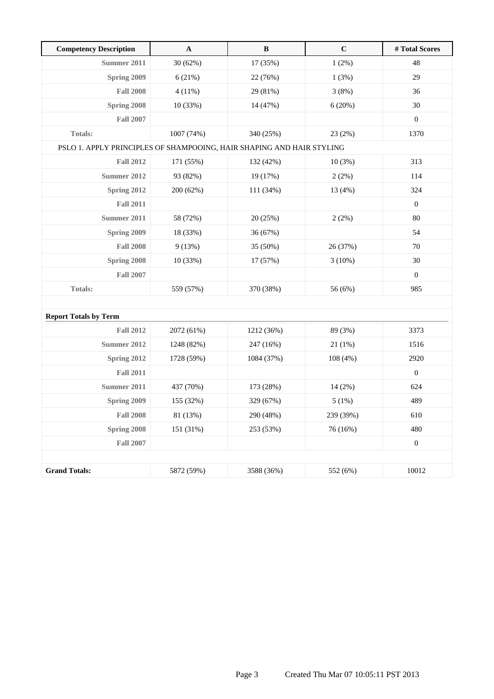| <b>Competency Description</b>                                         | $\mathbf A$ | $\, {\bf B}$ | $\mathbf C$ | # Total Scores   |
|-----------------------------------------------------------------------|-------------|--------------|-------------|------------------|
| Summer 2011                                                           | 30 (62%)    | 17 (35%)     | 1(2%)       | 48               |
| <b>Spring 2009</b>                                                    | 6(21%)      | 22 (76%)     | 1(3%)       | 29               |
| <b>Fall 2008</b>                                                      | $4(11\%)$   | 29 (81%)     | 3(8%)       | 36               |
| Spring 2008                                                           | 10 (33%)    | 14 (47%)     | 6(20%)      | 30               |
| <b>Fall 2007</b>                                                      |             |              |             | $\boldsymbol{0}$ |
| <b>Totals:</b>                                                        | 1007 (74%)  | 340 (25%)    | 23 (2%)     | 1370             |
| PSLO 1. APPLY PRINCIPLES OF SHAMPOOING, HAIR SHAPING AND HAIR STYLING |             |              |             |                  |
| <b>Fall 2012</b>                                                      | 171 (55%)   | 132 (42%)    | 10(3%)      | 313              |
| <b>Summer 2012</b>                                                    | 93 (82%)    | 19 (17%)     | 2(2%)       | 114              |
| Spring 2012                                                           | 200 (62%)   | 111 (34%)    | 13 (4%)     | 324              |
| <b>Fall 2011</b>                                                      |             |              |             | $\boldsymbol{0}$ |
| Summer 2011                                                           | 58 (72%)    | 20 (25%)     | 2(2%)       | 80               |
| Spring 2009                                                           | 18 (33%)    | 36 (67%)     |             | 54               |
| <b>Fall 2008</b>                                                      | 9(13%)      | 35 (50%)     | 26 (37%)    | 70               |
| Spring 2008                                                           | 10 (33%)    | 17 (57%)     | 3(10%)      | $30\,$           |
| <b>Fall 2007</b>                                                      |             |              |             | $\boldsymbol{0}$ |
| <b>Totals:</b>                                                        | 559 (57%)   | 370 (38%)    | 56 (6%)     | 985              |
|                                                                       |             |              |             |                  |
| <b>Report Totals by Term</b>                                          |             |              |             |                  |
| <b>Fall 2012</b>                                                      | 2072 (61%)  | 1212 (36%)   | 89 (3%)     | 3373             |
| Summer 2012                                                           | 1248 (82%)  | 247 (16%)    | 21(1%)      | 1516             |
| <b>Spring 2012</b>                                                    | 1728 (59%)  | 1084 (37%)   | 108 (4%)    | 2920             |
| <b>Fall 2011</b>                                                      |             |              |             | $\boldsymbol{0}$ |
| <b>Summer 2011</b>                                                    | 437 (70%)   | 173 (28%)    | 14 (2%)     | 624              |
| <b>Spring 2009</b>                                                    | 155 (32%)   | 329 (67%)    | 5(1%)       | 489              |
| <b>Fall 2008</b>                                                      | 81 (13%)    | 290 (48%)    | 239 (39%)   | 610              |
| Spring 2008                                                           | 151 (31%)   | 253 (53%)    | 76 (16%)    | 480              |
| <b>Fall 2007</b>                                                      |             |              |             | $\boldsymbol{0}$ |
|                                                                       |             |              |             |                  |
| <b>Grand Totals:</b>                                                  | 5872 (59%)  | 3588 (36%)   | 552 (6%)    | 10012            |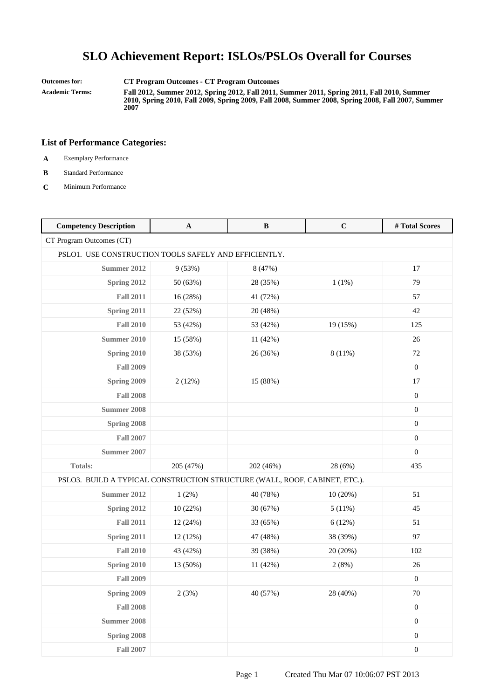**Outcomes for: CT Program Outcomes - CT Program Outcomes**

**Academic Terms: Fall 2012, Summer 2012, Spring 2012, Fall 2011, Summer 2011, Spring 2011, Fall 2010, Summer 2010, Spring 2010, Fall 2009, Spring 2009, Fall 2008, Summer 2008, Spring 2008, Fall 2007, Summer 2007**

- **A** Exemplary Performance
- **B** Standard Performance
- **C** Minimum Performance

| <b>Competency Description</b>                                              | $\mathbf{A}$ | $\, {\bf B}$ | $\mathbf C$ | #Total Scores    |
|----------------------------------------------------------------------------|--------------|--------------|-------------|------------------|
| CT Program Outcomes (CT)                                                   |              |              |             |                  |
| PSLO1. USE CONSTRUCTION TOOLS SAFELY AND EFFICIENTLY.                      |              |              |             |                  |
| <b>Summer 2012</b>                                                         | 9(53%)       | 8 (47%)      |             | 17               |
| Spring 2012                                                                | 50 (63%)     | 28 (35%)     | 1(1%)       | 79               |
| <b>Fall 2011</b>                                                           | 16 (28%)     | 41 (72%)     |             | 57               |
| Spring 2011                                                                | 22 (52%)     | 20 (48%)     |             | 42               |
| <b>Fall 2010</b>                                                           | 53 (42%)     | 53 (42%)     | 19 (15%)    | 125              |
| <b>Summer 2010</b>                                                         | 15 (58%)     | 11 (42%)     |             | 26               |
| Spring 2010                                                                | 38 (53%)     | 26 (36%)     | 8(11%)      | 72               |
| <b>Fall 2009</b>                                                           |              |              |             | $\boldsymbol{0}$ |
| Spring 2009                                                                | 2(12%)       | 15 (88%)     |             | 17               |
| <b>Fall 2008</b>                                                           |              |              |             | $\mathbf{0}$     |
| <b>Summer 2008</b>                                                         |              |              |             | $\boldsymbol{0}$ |
| Spring 2008                                                                |              |              |             | $\boldsymbol{0}$ |
| <b>Fall 2007</b>                                                           |              |              |             | $\boldsymbol{0}$ |
| Summer 2007                                                                |              |              |             | $\boldsymbol{0}$ |
| Totals:                                                                    | 205 (47%)    | 202 (46%)    | 28 (6%)     | 435              |
| PSLO3. BUILD A TYPICAL CONSTRUCTION STRUCTURE (WALL, ROOF, CABINET, ETC.). |              |              |             |                  |
| <b>Summer 2012</b>                                                         | 1(2%)        | 40 (78%)     | 10(20%)     | 51               |
| Spring 2012                                                                | 10(22%)      | 30 (67%)     | 5(11%)      | 45               |
| <b>Fall 2011</b>                                                           | 12 (24%)     | 33 (65%)     | 6(12%)      | 51               |
| Spring 2011                                                                | 12 (12%)     | 47 (48%)     | 38 (39%)    | 97               |
| <b>Fall 2010</b>                                                           | 43 (42%)     | 39 (38%)     | 20 (20%)    | 102              |
| <b>Spring 2010</b>                                                         | 13 (50%)     | 11 (42%)     | 2(8%)       | $26\,$           |
| <b>Fall 2009</b>                                                           |              |              |             | $\boldsymbol{0}$ |
| Spring 2009                                                                | 2(3%)        | 40 (57%)     | 28 (40%)    | 70               |
| <b>Fall 2008</b>                                                           |              |              |             | $\boldsymbol{0}$ |
| <b>Summer 2008</b>                                                         |              |              |             | $\boldsymbol{0}$ |
| Spring 2008                                                                |              |              |             | $\boldsymbol{0}$ |
| <b>Fall 2007</b>                                                           |              |              |             | $\boldsymbol{0}$ |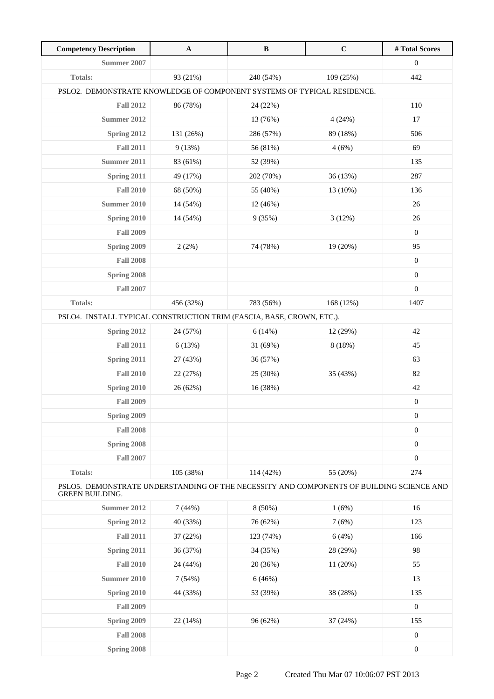| <b>Competency Description</b>                                                                               | $\mathbf{A}$ | $\, {\bf B}$ | $\mathbf C$ | #Total Scores    |
|-------------------------------------------------------------------------------------------------------------|--------------|--------------|-------------|------------------|
| <b>Summer 2007</b>                                                                                          |              |              |             | $\boldsymbol{0}$ |
| <b>Totals:</b>                                                                                              | 93 (21%)     | 240 (54%)    | 109 (25%)   | 442              |
| PSLO2. DEMONSTRATE KNOWLEDGE OF COMPONENT SYSTEMS OF TYPICAL RESIDENCE.                                     |              |              |             |                  |
| <b>Fall 2012</b>                                                                                            | 86 (78%)     | 24 (22%)     |             | 110              |
| Summer 2012                                                                                                 |              | 13 (76%)     | 4(24%)      | 17               |
| Spring 2012                                                                                                 | 131 (26%)    | 286 (57%)    | 89 (18%)    | 506              |
| <b>Fall 2011</b>                                                                                            | 9(13%)       | 56 (81%)     | 4(6%)       | 69               |
| Summer 2011                                                                                                 | 83 (61%)     | 52 (39%)     |             | 135              |
| Spring 2011                                                                                                 | 49 (17%)     | 202 (70%)    | 36 (13%)    | 287              |
| <b>Fall 2010</b>                                                                                            | 68 (50%)     | 55 (40%)     | 13 (10%)    | 136              |
| <b>Summer 2010</b>                                                                                          | 14 (54%)     | 12 (46%)     |             | 26               |
| Spring 2010                                                                                                 | 14 (54%)     | 9(35%)       | 3(12%)      | 26               |
| <b>Fall 2009</b>                                                                                            |              |              |             | $\boldsymbol{0}$ |
| Spring 2009                                                                                                 | 2(2%)        | 74 (78%)     | 19 (20%)    | 95               |
| <b>Fall 2008</b>                                                                                            |              |              |             | $\mathbf{0}$     |
| Spring 2008                                                                                                 |              |              |             | $\boldsymbol{0}$ |
| <b>Fall 2007</b>                                                                                            |              |              |             | $\boldsymbol{0}$ |
| <b>Totals:</b>                                                                                              | 456 (32%)    | 783 (56%)    | 168 (12%)   | 1407             |
| PSLO4. INSTALL TYPICAL CONSTRUCTION TRIM (FASCIA, BASE, CROWN, ETC.).                                       |              |              |             |                  |
| Spring 2012                                                                                                 | 24 (57%)     | 6(14%)       | 12 (29%)    | 42               |
| <b>Fall 2011</b>                                                                                            | 6(13%)       | 31 (69%)     | 8 (18%)     | 45               |
| Spring 2011                                                                                                 | 27 (43%)     | 36 (57%)     |             | 63               |
| <b>Fall 2010</b>                                                                                            | 22 (27%)     | 25 (30%)     | 35 (43%)    | 82               |
| Spring 2010                                                                                                 | 26 (62%)     | 16 (38%)     |             | 42               |
| <b>Fall 2009</b>                                                                                            |              |              |             | $\boldsymbol{0}$ |
| Spring 2009                                                                                                 |              |              |             | $\boldsymbol{0}$ |
| <b>Fall 2008</b>                                                                                            |              |              |             | $\boldsymbol{0}$ |
| Spring 2008                                                                                                 |              |              |             | $\boldsymbol{0}$ |
| <b>Fall 2007</b>                                                                                            |              |              |             | $\boldsymbol{0}$ |
| <b>Totals:</b>                                                                                              | 105 (38%)    | 114 (42%)    | 55 (20%)    | 274              |
| PSLO5. DEMONSTRATE UNDERSTANDING OF THE NECESSITY AND COMPONENTS OF BUILDING SCIENCE AND<br>GREEN BUILDING. |              |              |             |                  |
| Summer 2012                                                                                                 | 7(44%)       | 8 (50%)      | 1(6%)       | 16               |
| Spring 2012                                                                                                 | 40 (33%)     | 76 (62%)     | 7(6%)       | 123              |
| <b>Fall 2011</b>                                                                                            | 37 (22%)     | 123 (74%)    | 6(4%)       | 166              |
| Spring 2011                                                                                                 | 36 (37%)     | 34 (35%)     | 28 (29%)    | 98               |
| <b>Fall 2010</b>                                                                                            | 24 (44%)     | 20 (36%)     | 11 (20%)    | 55               |
| <b>Summer 2010</b>                                                                                          | 7(54%)       | 6(46%)       |             | 13               |
| Spring 2010                                                                                                 | 44 (33%)     | 53 (39%)     | 38 (28%)    | 135              |
| <b>Fall 2009</b>                                                                                            |              |              |             | $\boldsymbol{0}$ |
| Spring 2009                                                                                                 | 22 (14%)     | 96 (62%)     | 37 (24%)    | 155              |
| <b>Fall 2008</b>                                                                                            |              |              |             | $\boldsymbol{0}$ |
| Spring 2008                                                                                                 |              |              |             | $\boldsymbol{0}$ |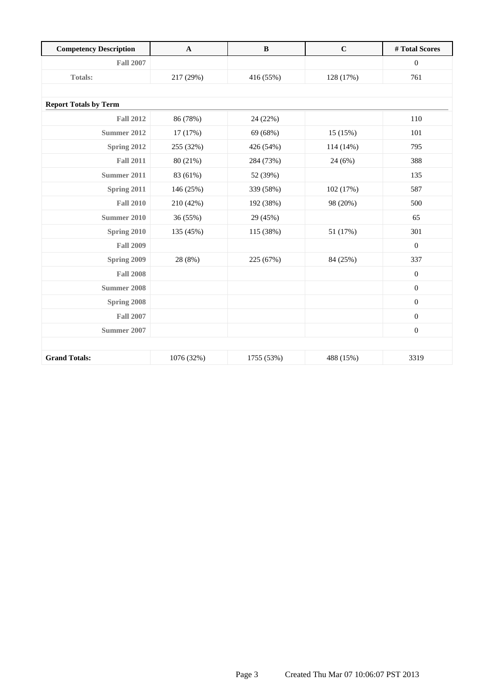| <b>Competency Description</b> | $\mathbf A$ | $\bf{B}$   | $\mathbf C$ | #Total Scores    |
|-------------------------------|-------------|------------|-------------|------------------|
| <b>Fall 2007</b>              |             |            |             | $\mathbf{0}$     |
| <b>Totals:</b>                | 217 (29%)   | 416 (55%)  | 128 (17%)   | 761              |
|                               |             |            |             |                  |
| <b>Report Totals by Term</b>  |             |            |             |                  |
| <b>Fall 2012</b>              | 86 (78%)    | 24 (22%)   |             | 110              |
| Summer 2012                   | 17 (17%)    | 69 (68%)   | 15 (15%)    | 101              |
| Spring 2012                   | 255 (32%)   | 426 (54%)  | 114 (14%)   | 795              |
| <b>Fall 2011</b>              | 80 (21%)    | 284 (73%)  | 24 (6%)     | 388              |
| Summer 2011                   | 83 (61%)    | 52 (39%)   |             | 135              |
| Spring 2011                   | 146 (25%)   | 339 (58%)  | 102 (17%)   | 587              |
| <b>Fall 2010</b>              | 210 (42%)   | 192 (38%)  | 98 (20%)    | 500              |
| <b>Summer 2010</b>            | 36 (55%)    | 29 (45%)   |             | 65               |
| Spring 2010                   | 135 (45%)   | 115 (38%)  | 51 (17%)    | 301              |
| <b>Fall 2009</b>              |             |            |             | $\mathbf{0}$     |
| Spring 2009                   | 28 (8%)     | 225 (67%)  | 84 (25%)    | 337              |
| <b>Fall 2008</b>              |             |            |             | $\boldsymbol{0}$ |
| Summer 2008                   |             |            |             | $\boldsymbol{0}$ |
| Spring 2008                   |             |            |             | $\mathbf{0}$     |
| <b>Fall 2007</b>              |             |            |             | $\boldsymbol{0}$ |
| Summer 2007                   |             |            |             | $\boldsymbol{0}$ |
|                               |             |            |             |                  |
| <b>Grand Totals:</b>          | 1076 (32%)  | 1755 (53%) | 488 (15%)   | 3319             |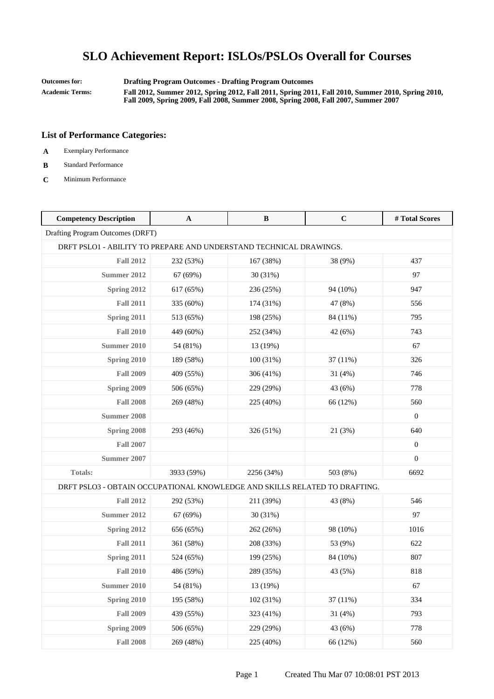**Outcomes for: Drafting Program Outcomes - Drafting Program Outcomes**

**Academic Terms: Fall 2012, Summer 2012, Spring 2012, Fall 2011, Spring 2011, Fall 2010, Summer 2010, Spring 2010, Fall 2009, Spring 2009, Fall 2008, Summer 2008, Spring 2008, Fall 2007, Summer 2007**

- **A** Exemplary Performance
- **B** Standard Performance
- **C** Minimum Performance

| <b>Competency Description</b>                                              | $\mathbf{A}$ | $\, {\bf B}$ | $\mathbf C$ | #Total Scores    |
|----------------------------------------------------------------------------|--------------|--------------|-------------|------------------|
| Drafting Program Outcomes (DRFT)                                           |              |              |             |                  |
| DRFT PSLO1 - ABILITY TO PREPARE AND UNDERSTAND TECHNICAL DRAWINGS.         |              |              |             |                  |
| <b>Fall 2012</b>                                                           | 232 (53%)    | 167 (38%)    | 38 (9%)     | 437              |
| <b>Summer 2012</b>                                                         | 67 (69%)     | 30 (31%)     |             | 97               |
| Spring 2012                                                                | 617 (65%)    | 236 (25%)    | 94 (10%)    | 947              |
| <b>Fall 2011</b>                                                           | 335 (60%)    | 174 (31%)    | 47 (8%)     | 556              |
| Spring 2011                                                                | 513 (65%)    | 198 (25%)    | 84 (11%)    | 795              |
| <b>Fall 2010</b>                                                           | 449 (60%)    | 252 (34%)    | 42 (6%)     | 743              |
| <b>Summer 2010</b>                                                         | 54 (81%)     | 13 (19%)     |             | 67               |
| Spring 2010                                                                | 189 (58%)    | 100 (31%)    | 37 (11%)    | 326              |
| <b>Fall 2009</b>                                                           | 409 (55%)    | 306 (41%)    | 31 (4%)     | 746              |
| Spring 2009                                                                | 506 (65%)    | 229 (29%)    | 43 (6%)     | 778              |
| <b>Fall 2008</b>                                                           | 269 (48%)    | 225 (40%)    | 66 (12%)    | 560              |
| <b>Summer 2008</b>                                                         |              |              |             | $\mathbf{0}$     |
| Spring 2008                                                                | 293 (46%)    | 326 (51%)    | 21 (3%)     | 640              |
| <b>Fall 2007</b>                                                           |              |              |             | $\boldsymbol{0}$ |
| <b>Summer 2007</b>                                                         |              |              |             | $\theta$         |
| Totals:                                                                    | 3933 (59%)   | 2256 (34%)   | 503 (8%)    | 6692             |
| DRFT PSLO3 - OBTAIN OCCUPATIONAL KNOWLEDGE AND SKILLS RELATED TO DRAFTING. |              |              |             |                  |
| <b>Fall 2012</b>                                                           | 292 (53%)    | 211 (39%)    | 43 (8%)     | 546              |
| <b>Summer 2012</b>                                                         | 67 (69%)     | 30 (31%)     |             | 97               |
| Spring 2012                                                                | 656 (65%)    | 262 (26%)    | 98 (10%)    | 1016             |
| <b>Fall 2011</b>                                                           | 361 (58%)    | 208 (33%)    | 53 (9%)     | 622              |
| Spring 2011                                                                | 524 (65%)    | 199 (25%)    | 84 (10%)    | 807              |
| <b>Fall 2010</b>                                                           | 486 (59%)    | 289 (35%)    | 43 (5%)     | 818              |
| Summer 2010                                                                | 54 (81%)     | 13 (19%)     |             | 67               |
| Spring 2010                                                                | 195 (58%)    | 102 (31%)    | 37 (11%)    | 334              |
| <b>Fall 2009</b>                                                           | 439 (55%)    | 323 (41%)    | 31(4%)      | 793              |
| Spring 2009                                                                | 506 (65%)    | 229 (29%)    | 43 (6%)     | 778              |
| <b>Fall 2008</b>                                                           | 269 (48%)    | 225 (40%)    | 66 (12%)    | 560              |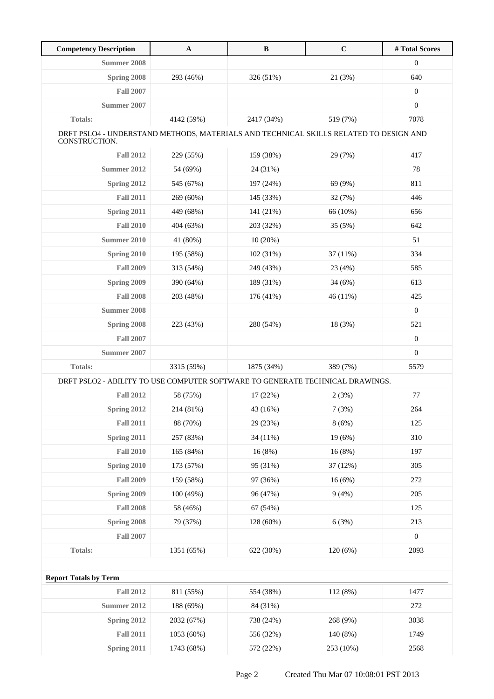| <b>Competency Description</b>                                                                          | $\mathbf{A}$ | $\, {\bf B}$ | $\mathbf C$ | # Total Scores   |
|--------------------------------------------------------------------------------------------------------|--------------|--------------|-------------|------------------|
| <b>Summer 2008</b>                                                                                     |              |              |             | $\boldsymbol{0}$ |
| Spring 2008                                                                                            | 293 (46%)    | 326 (51%)    | 21 (3%)     | 640              |
| <b>Fall 2007</b>                                                                                       |              |              |             | $\boldsymbol{0}$ |
| Summer 2007                                                                                            |              |              |             | $\boldsymbol{0}$ |
| <b>Totals:</b>                                                                                         | 4142 (59%)   | 2417 (34%)   | 519 (7%)    | 7078             |
| DRFT PSLO4 - UNDERSTAND METHODS, MATERIALS AND TECHNICAL SKILLS RELATED TO DESIGN AND<br>CONSTRUCTION. |              |              |             |                  |
| <b>Fall 2012</b>                                                                                       | 229 (55%)    | 159 (38%)    | 29 (7%)     | 417              |
| Summer 2012                                                                                            | 54 (69%)     | 24 (31%)     |             | 78               |
| Spring 2012                                                                                            | 545 (67%)    | 197 (24%)    | 69 (9%)     | 811              |
| <b>Fall 2011</b>                                                                                       | 269 (60%)    | 145 (33%)    | 32 (7%)     | 446              |
| Spring 2011                                                                                            | 449 (68%)    | 141 (21%)    | 66 (10%)    | 656              |
| <b>Fall 2010</b>                                                                                       | 404 (63%)    | 203 (32%)    | 35(5%)      | 642              |
| Summer 2010                                                                                            | 41 (80%)     | 10(20%)      |             | 51               |
| Spring 2010                                                                                            | 195 (58%)    | 102 (31%)    | 37 (11%)    | 334              |
| <b>Fall 2009</b>                                                                                       | 313 (54%)    | 249 (43%)    | 23 (4%)     | 585              |
| Spring 2009                                                                                            | 390 (64%)    | 189 (31%)    | 34 (6%)     | 613              |
| <b>Fall 2008</b>                                                                                       | 203 (48%)    | 176 (41%)    | 46 (11%)    | 425              |
| <b>Summer 2008</b>                                                                                     |              |              |             | $\boldsymbol{0}$ |
| Spring 2008                                                                                            | 223 (43%)    | 280 (54%)    | 18 (3%)     | 521              |
| <b>Fall 2007</b>                                                                                       |              |              |             | $\boldsymbol{0}$ |
| Summer 2007                                                                                            |              |              |             | $\boldsymbol{0}$ |
| <b>Totals:</b>                                                                                         | 3315 (59%)   | 1875 (34%)   | 389 (7%)    | 5579             |
| DRFT PSLO2 - ABILITY TO USE COMPUTER SOFTWARE TO GENERATE TECHNICAL DRAWINGS.                          |              |              |             |                  |
| <b>Fall 2012</b>                                                                                       | 58 (75%)     | 17 (22%)     | 2(3%)       | 77               |
| Spring 2012                                                                                            | 214 (81%)    | 43 (16%)     | 7(3%)       | 264              |
| <b>Fall 2011</b>                                                                                       | 88 (70%)     | 29 (23%)     | 8(6%)       | 125              |
| Spring 2011                                                                                            | 257 (83%)    | 34 (11%)     | 19(6%)      | 310              |
| <b>Fall 2010</b>                                                                                       | 165 (84%)    | 16(8%)       | 16(8%)      | 197              |
| Spring 2010                                                                                            | 173 (57%)    | 95 (31%)     | 37 (12%)    | 305              |
| <b>Fall 2009</b>                                                                                       | 159 (58%)    | 97 (36%)     | 16(6%)      | 272              |
| Spring 2009                                                                                            | 100 (49%)    | 96 (47%)     | 9(4%)       | 205              |
| <b>Fall 2008</b>                                                                                       | 58 (46%)     | 67 (54%)     |             | 125              |
| Spring 2008                                                                                            | 79 (37%)     | 128 (60%)    | 6(3%)       | 213              |
| <b>Fall 2007</b>                                                                                       |              |              |             | $\boldsymbol{0}$ |
| Totals:                                                                                                | 1351 (65%)   | 622 (30%)    | 120(6%)     | 2093             |
|                                                                                                        |              |              |             |                  |
| <b>Report Totals by Term</b>                                                                           |              |              |             |                  |
| <b>Fall 2012</b>                                                                                       | 811 (55%)    | 554 (38%)    | 112 (8%)    | 1477             |
| <b>Summer 2012</b>                                                                                     | 188 (69%)    | 84 (31%)     |             | 272              |
| <b>Spring 2012</b>                                                                                     | 2032 (67%)   | 738 (24%)    | 268 (9%)    | 3038             |
| <b>Fall 2011</b>                                                                                       | 1053 (60%)   | 556 (32%)    | 140 (8%)    | 1749             |
| <b>Spring 2011</b>                                                                                     | 1743 (68%)   | 572 (22%)    | 253 (10%)   | 2568             |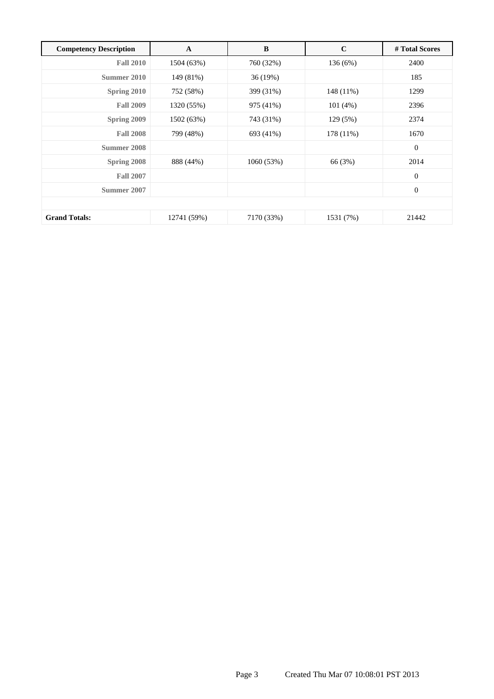| <b>Competency Description</b> | A           | B          | $\mathbf C$ | # Total Scores   |
|-------------------------------|-------------|------------|-------------|------------------|
| <b>Fall 2010</b>              | 1504 (63%)  | 760 (32%)  | 136(6%)     | 2400             |
| Summer 2010                   | 149 (81%)   | 36 (19%)   |             | 185              |
| Spring 2010                   | 752 (58%)   | 399 (31%)  | 148 (11%)   | 1299             |
| <b>Fall 2009</b>              | 1320 (55%)  | 975 (41%)  | 101(4%)     | 2396             |
| Spring 2009                   | 1502 (63%)  | 743 (31%)  | 129(5%)     | 2374             |
| <b>Fall 2008</b>              | 799 (48%)   | 693 (41%)  | 178 (11%)   | 1670             |
| Summer 2008                   |             |            |             | $\boldsymbol{0}$ |
| Spring 2008                   | 888 (44%)   | 1060 (53%) | 66 (3%)     | 2014             |
| <b>Fall 2007</b>              |             |            |             | $\theta$         |
| Summer 2007                   |             |            |             | $\boldsymbol{0}$ |
|                               |             |            |             |                  |
| <b>Grand Totals:</b>          | 12741 (59%) | 7170 (33%) | 1531 (7%)   | 21442            |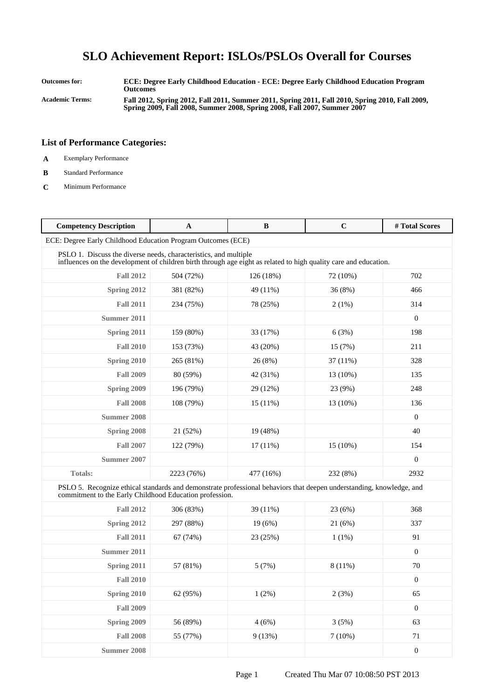**Outcomes for: ECE: Degree Early Childhood Education - ECE: Degree Early Childhood Education Program Outcomes Academic Terms: Fall 2012, Spring 2012, Fall 2011, Summer 2011, Spring 2011, Fall 2010, Spring 2010, Fall 2009, Spring 2009, Fall 2008, Summer 2008, Spring 2008, Fall 2007, Summer 2007**

- **A** Exemplary Performance
- **B** Standard Performance
- **C** Minimum Performance

| <b>Competency Description</b>                                                                                                                                                        | A          | B          | $\mathbf C$ | #Total Scores    |
|--------------------------------------------------------------------------------------------------------------------------------------------------------------------------------------|------------|------------|-------------|------------------|
| ECE: Degree Early Childhood Education Program Outcomes (ECE)                                                                                                                         |            |            |             |                  |
| PSLO 1. Discuss the diverse needs, characteristics, and multiple<br>influences on the development of children birth through age eight as related to high quality care and education. |            |            |             |                  |
| <b>Fall 2012</b>                                                                                                                                                                     | 504 (72%)  | 126 (18%)  | 72 (10%)    | 702              |
| Spring 2012                                                                                                                                                                          | 381 (82%)  | 49 (11%)   | 36 (8%)     | 466              |
| <b>Fall 2011</b>                                                                                                                                                                     | 234 (75%)  | 78 (25%)   | 2(1%)       | 314              |
| Summer 2011                                                                                                                                                                          |            |            |             | $\mathbf{0}$     |
| Spring 2011                                                                                                                                                                          | 159 (80%)  | 33 (17%)   | 6(3%)       | 198              |
| <b>Fall 2010</b>                                                                                                                                                                     | 153 (73%)  | 43 (20%)   | 15 (7%)     | 211              |
| Spring 2010                                                                                                                                                                          | 265 (81%)  | 26 (8%)    | 37 (11%)    | 328              |
| <b>Fall 2009</b>                                                                                                                                                                     | 80 (59%)   | 42 (31%)   | 13 (10%)    | 135              |
| Spring 2009                                                                                                                                                                          | 196 (79%)  | 29 (12%)   | 23 (9%)     | 248              |
| <b>Fall 2008</b>                                                                                                                                                                     | 108 (79%)  | 15(11%)    | 13 (10%)    | 136              |
| <b>Summer 2008</b>                                                                                                                                                                   |            |            |             | $\mathbf{0}$     |
| Spring 2008                                                                                                                                                                          | 21 (52%)   | 19 (48%)   |             | 40               |
| <b>Fall 2007</b>                                                                                                                                                                     | 122 (79%)  | $17(11\%)$ | 15 (10%)    | 154              |
| Summer 2007                                                                                                                                                                          |            |            |             | $\mathbf{0}$     |
| Totals:                                                                                                                                                                              | 2223 (76%) | 477 (16%)  | 232 (8%)    | 2932             |
| PSLO 5. Recognize ethical standards and demonstrate professional behaviors that deepen understanding, knowledge, and<br>commitment to the Early Childhood Education profession.      |            |            |             |                  |
| <b>Fall 2012</b>                                                                                                                                                                     | 306 (83%)  | 39 (11%)   | 23 (6%)     | 368              |
| Spring 2012                                                                                                                                                                          | 297 (88%)  | 19(6%)     | 21 (6%)     | 337              |
| <b>Fall 2011</b>                                                                                                                                                                     | 67 (74%)   | 23 (25%)   | $1(1\%)$    | 91               |
| Summer 2011                                                                                                                                                                          |            |            |             | $\mathbf{0}$     |
| Spring 2011                                                                                                                                                                          | 57 (81%)   | 5(7%)      | 8 (11%)     | 70               |
| <b>Fall 2010</b>                                                                                                                                                                     |            |            |             | $\boldsymbol{0}$ |
| Spring 2010                                                                                                                                                                          | 62 (95%)   | 1(2%)      | 2(3%)       | 65               |
| <b>Fall 2009</b>                                                                                                                                                                     |            |            |             | $\boldsymbol{0}$ |
| Spring 2009                                                                                                                                                                          | 56 (89%)   | 4(6%)      | 3(5%)       | 63               |
| <b>Fall 2008</b>                                                                                                                                                                     | 55 (77%)   | 9(13%)     | 7(10%)      | 71               |
| <b>Summer 2008</b>                                                                                                                                                                   |            |            |             | $\boldsymbol{0}$ |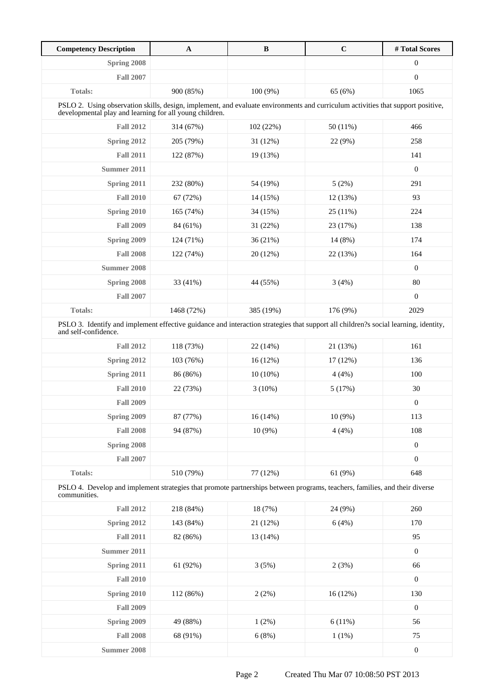| <b>Competency Description</b>                                                                                                                                                              | $\mathbf A$ | $\, {\bf B}$ | $\mathbf C$ | # Total Scores   |
|--------------------------------------------------------------------------------------------------------------------------------------------------------------------------------------------|-------------|--------------|-------------|------------------|
| Spring 2008                                                                                                                                                                                |             |              |             | 0                |
| <b>Fall 2007</b>                                                                                                                                                                           |             |              |             | $\boldsymbol{0}$ |
| <b>Totals:</b>                                                                                                                                                                             | 900 (85%)   | 100 (9%)     | 65 (6%)     | 1065             |
| PSLO 2. Using observation skills, design, implement, and evaluate environments and curriculum activities that support positive,<br>developmental play and learning for all young children. |             |              |             |                  |
| <b>Fall 2012</b>                                                                                                                                                                           | 314 (67%)   | 102 (22%)    | 50 (11%)    | 466              |
| Spring 2012                                                                                                                                                                                | 205 (79%)   | 31 (12%)     | 22 (9%)     | 258              |
| <b>Fall 2011</b>                                                                                                                                                                           | 122 (87%)   | 19 (13%)     |             | 141              |
| Summer 2011                                                                                                                                                                                |             |              |             | $\boldsymbol{0}$ |
| Spring 2011                                                                                                                                                                                | 232 (80%)   | 54 (19%)     | 5(2%)       | 291              |
| <b>Fall 2010</b>                                                                                                                                                                           | 67 (72%)    | 14 (15%)     | 12 (13%)    | 93               |
| Spring 2010                                                                                                                                                                                | 165 (74%)   | 34 (15%)     | 25(11%)     | 224              |
| <b>Fall 2009</b>                                                                                                                                                                           | 84 (61%)    | 31 (22%)     | 23 (17%)    | 138              |
| Spring 2009                                                                                                                                                                                | 124 (71%)   | 36(21%)      | 14 (8%)     | 174              |
| <b>Fall 2008</b>                                                                                                                                                                           | 122 (74%)   | 20 (12%)     | 22 (13%)    | 164              |
| <b>Summer 2008</b>                                                                                                                                                                         |             |              |             | $\mathbf{0}$     |
| Spring 2008                                                                                                                                                                                | 33 (41%)    | 44 (55%)     | 3(4%)       | 80               |
| <b>Fall 2007</b>                                                                                                                                                                           |             |              |             | $\boldsymbol{0}$ |
| <b>Totals:</b>                                                                                                                                                                             | 1468 (72%)  | 385 (19%)    | 176 (9%)    | 2029             |
| PSLO 3. Identify and implement effective guidance and interaction strategies that support all children?s social learning, identity,<br>and self-confidence.                                |             |              |             |                  |
| <b>Fall 2012</b>                                                                                                                                                                           | 118 (73%)   | 22 (14%)     | 21 (13%)    | 161              |
| Spring 2012                                                                                                                                                                                | 103 (76%)   | 16(12%)      | 17 (12%)    | 136              |
| Spring 2011                                                                                                                                                                                | 86 (86%)    | $10(10\%)$   | 4(4%)       | 100              |
| <b>Fall 2010</b>                                                                                                                                                                           | 22 (73%)    | 3(10%)       | 5(17%)      | 30               |
| <b>Fall 2009</b>                                                                                                                                                                           |             |              |             | $\boldsymbol{0}$ |
| Spring 2009                                                                                                                                                                                | 87 (77%)    | 16(14%)      | $10(9\%)$   | 113              |
| <b>Fall 2008</b>                                                                                                                                                                           | 94 (87%)    | $10(9\%)$    | 4(4%)       | 108              |
| Spring 2008                                                                                                                                                                                |             |              |             | $\boldsymbol{0}$ |
| <b>Fall 2007</b>                                                                                                                                                                           |             |              |             | $\boldsymbol{0}$ |
| <b>Totals:</b>                                                                                                                                                                             | 510 (79%)   | 77 (12%)     | 61(9%)      | 648              |
| PSLO 4. Develop and implement strategies that promote partnerships between programs, teachers, families, and their diverse<br>communities.                                                 |             |              |             |                  |
| <b>Fall 2012</b>                                                                                                                                                                           | 218 (84%)   | 18 (7%)      | 24 (9%)     | 260              |
| Spring 2012                                                                                                                                                                                | 143 (84%)   | 21 (12%)     | 6(4%)       | 170              |
| <b>Fall 2011</b>                                                                                                                                                                           | 82 (86%)    | 13 (14%)     |             | 95               |
| <b>Summer 2011</b>                                                                                                                                                                         |             |              |             | $\boldsymbol{0}$ |
| Spring 2011                                                                                                                                                                                | 61 (92%)    | 3(5%)        | 2(3%)       | 66               |
| <b>Fall 2010</b>                                                                                                                                                                           |             |              |             | $\boldsymbol{0}$ |
| Spring 2010                                                                                                                                                                                | 112 (86%)   | 2(2%)        | 16(12%)     | 130              |
| <b>Fall 2009</b>                                                                                                                                                                           |             |              |             | $\boldsymbol{0}$ |
| Spring 2009                                                                                                                                                                                | 49 (88%)    | 1(2%)        | 6(11%)      | 56               |
| <b>Fall 2008</b>                                                                                                                                                                           | 68 (91%)    | 6(8%)        | 1(1%)       | 75               |
| <b>Summer 2008</b>                                                                                                                                                                         |             |              |             | $\boldsymbol{0}$ |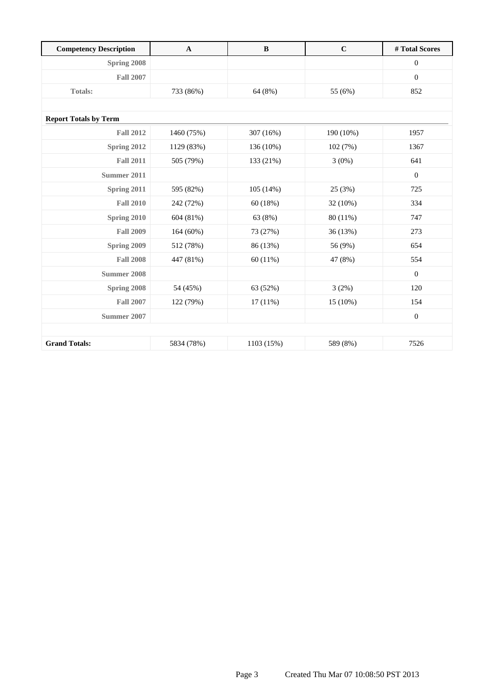| <b>Competency Description</b> | $\mathbf A$ | $\bf{B}$   | $\mathbf C$ | #Total Scores    |
|-------------------------------|-------------|------------|-------------|------------------|
| Spring 2008                   |             |            |             | $\mathbf{0}$     |
| <b>Fall 2007</b>              |             |            |             | $\overline{0}$   |
| <b>Totals:</b>                | 733 (86%)   | 64 (8%)    | 55 (6%)     | 852              |
|                               |             |            |             |                  |
| <b>Report Totals by Term</b>  |             |            |             |                  |
| <b>Fall 2012</b>              | 1460 (75%)  | 307 (16%)  | 190 (10%)   | 1957             |
| Spring 2012                   | 1129 (83%)  | 136 (10%)  | 102 (7%)    | 1367             |
| <b>Fall 2011</b>              | 505 (79%)   | 133 (21%)  | 3(0%)       | 641              |
| <b>Summer 2011</b>            |             |            |             | $\overline{0}$   |
| Spring 2011                   | 595 (82%)   | 105 (14%)  | 25 (3%)     | 725              |
| <b>Fall 2010</b>              | 242 (72%)   | 60 (18%)   | 32 (10%)    | 334              |
| Spring 2010                   | 604 (81%)   | 63 (8%)    | 80 (11%)    | 747              |
| <b>Fall 2009</b>              | 164 (60%)   | 73 (27%)   | 36 (13%)    | 273              |
| <b>Spring 2009</b>            | 512 (78%)   | 86 (13%)   | 56 (9%)     | 654              |
| <b>Fall 2008</b>              | 447 (81%)   | 60 (11%)   | 47 (8%)     | 554              |
| <b>Summer 2008</b>            |             |            |             | $\boldsymbol{0}$ |
| Spring 2008                   | 54 (45%)    | 63 (52%)   | 3(2%)       | 120              |
| <b>Fall 2007</b>              | 122 (79%)   | $17(11\%)$ | 15 (10%)    | 154              |
| Summer 2007                   |             |            |             | $\mathbf{0}$     |
|                               |             |            |             |                  |
| <b>Grand Totals:</b>          | 5834 (78%)  | 1103 (15%) | 589 (8%)    | 7526             |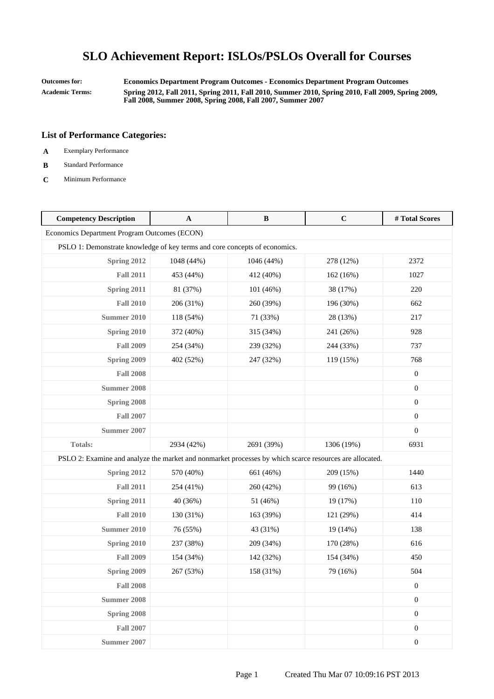**Outcomes for: Economics Department Program Outcomes - Economics Department Program Outcomes Academic Terms: Spring 2012, Fall 2011, Spring 2011, Fall 2010, Summer 2010, Spring 2010, Fall 2009, Spring 2009, Fall 2008, Summer 2008, Spring 2008, Fall 2007, Summer 2007**

- **A** Exemplary Performance
- **B** Standard Performance
- **C** Minimum Performance

| <b>Competency Description</b>                                                                           | A          | B          | $\mathbf C$ | #Total Scores    |
|---------------------------------------------------------------------------------------------------------|------------|------------|-------------|------------------|
| Economics Department Program Outcomes (ECON)                                                            |            |            |             |                  |
| PSLO 1: Demonstrate knowledge of key terms and core concepts of economics.                              |            |            |             |                  |
| Spring 2012                                                                                             | 1048 (44%) | 1046 (44%) | 278 (12%)   | 2372             |
| <b>Fall 2011</b>                                                                                        | 453 (44%)  | 412 (40%)  | 162 (16%)   | 1027             |
| Spring 2011                                                                                             | 81 (37%)   | 101 (46%)  | 38 (17%)    | 220              |
| <b>Fall 2010</b>                                                                                        | 206 (31%)  | 260 (39%)  | 196 (30%)   | 662              |
| <b>Summer 2010</b>                                                                                      | 118 (54%)  | 71 (33%)   | 28 (13%)    | 217              |
| <b>Spring 2010</b>                                                                                      | 372 (40%)  | 315 (34%)  | 241 (26%)   | 928              |
| <b>Fall 2009</b>                                                                                        | 254 (34%)  | 239 (32%)  | 244 (33%)   | 737              |
| Spring 2009                                                                                             | 402 (52%)  | 247 (32%)  | 119 (15%)   | 768              |
| <b>Fall 2008</b>                                                                                        |            |            |             | $\boldsymbol{0}$ |
| <b>Summer 2008</b>                                                                                      |            |            |             | $\boldsymbol{0}$ |
| Spring 2008                                                                                             |            |            |             | $\boldsymbol{0}$ |
| <b>Fall 2007</b>                                                                                        |            |            |             | $\boldsymbol{0}$ |
| Summer 2007                                                                                             |            |            |             | $\boldsymbol{0}$ |
| <b>Totals:</b>                                                                                          | 2934 (42%) | 2691 (39%) | 1306 (19%)  | 6931             |
| PSLO 2: Examine and analyze the market and nonmarket processes by which scarce resources are allocated. |            |            |             |                  |
| Spring 2012                                                                                             | 570 (40%)  | 661 (46%)  | 209 (15%)   | 1440             |
| <b>Fall 2011</b>                                                                                        | 254 (41%)  | 260 (42%)  | 99 (16%)    | 613              |
| Spring 2011                                                                                             | 40 (36%)   | 51 (46%)   | 19 (17%)    | 110              |
| <b>Fall 2010</b>                                                                                        | 130 (31%)  | 163 (39%)  | 121 (29%)   | 414              |
| <b>Summer 2010</b>                                                                                      | 76 (55%)   | 43 (31%)   | 19(14%)     | 138              |
| Spring 2010                                                                                             | 237 (38%)  | 209 (34%)  | 170 (28%)   | 616              |
| <b>Fall 2009</b>                                                                                        | 154 (34%)  | 142 (32%)  | 154 (34%)   | 450              |
| Spring 2009                                                                                             | 267 (53%)  | 158 (31%)  | 79 (16%)    | 504              |
| <b>Fall 2008</b>                                                                                        |            |            |             | $\boldsymbol{0}$ |
| <b>Summer 2008</b>                                                                                      |            |            |             | $\boldsymbol{0}$ |
| Spring 2008                                                                                             |            |            |             | $\boldsymbol{0}$ |
| <b>Fall 2007</b>                                                                                        |            |            |             | $\boldsymbol{0}$ |
| <b>Summer 2007</b>                                                                                      |            |            |             | $\boldsymbol{0}$ |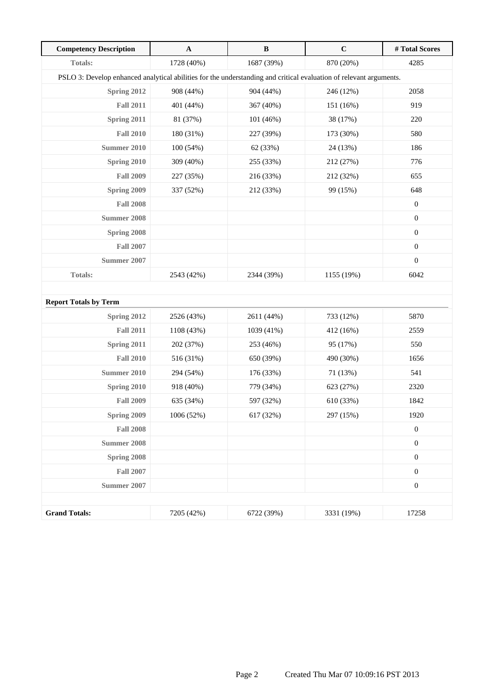| <b>Competency Description</b>                                                                                      | $\mathbf{A}$ | $\, {\bf B}$ | $\mathbf C$ | # Total Scores   |  |  |
|--------------------------------------------------------------------------------------------------------------------|--------------|--------------|-------------|------------------|--|--|
| Totals:                                                                                                            | 1728 (40%)   | 1687 (39%)   | 870 (20%)   | 4285             |  |  |
| PSLO 3: Develop enhanced analytical abilities for the understanding and critical evaluation of relevant arguments. |              |              |             |                  |  |  |
| Spring 2012                                                                                                        | 908 (44%)    | 904 (44%)    | 246 (12%)   | 2058             |  |  |
| <b>Fall 2011</b>                                                                                                   | 401 (44%)    | 367 (40%)    | 151 (16%)   | 919              |  |  |
| Spring 2011                                                                                                        | 81 (37%)     | 101 (46%)    | 38 (17%)    | 220              |  |  |
| <b>Fall 2010</b>                                                                                                   | 180 (31%)    | 227 (39%)    | 173 (30%)   | 580              |  |  |
| <b>Summer 2010</b>                                                                                                 | 100 (54%)    | 62 (33%)     | 24 (13%)    | 186              |  |  |
| <b>Spring 2010</b>                                                                                                 | 309 (40%)    | 255 (33%)    | 212 (27%)   | 776              |  |  |
| <b>Fall 2009</b>                                                                                                   | 227 (35%)    | 216 (33%)    | 212 (32%)   | 655              |  |  |
| Spring 2009                                                                                                        | 337 (52%)    | 212 (33%)    | 99 (15%)    | 648              |  |  |
| <b>Fall 2008</b>                                                                                                   |              |              |             | $\boldsymbol{0}$ |  |  |
| Summer 2008                                                                                                        |              |              |             | $\boldsymbol{0}$ |  |  |
| Spring 2008                                                                                                        |              |              |             | $\boldsymbol{0}$ |  |  |
| <b>Fall 2007</b>                                                                                                   |              |              |             | $\boldsymbol{0}$ |  |  |
| Summer 2007                                                                                                        |              |              |             | $\boldsymbol{0}$ |  |  |
| <b>Totals:</b>                                                                                                     | 2543 (42%)   | 2344 (39%)   | 1155 (19%)  | 6042             |  |  |
|                                                                                                                    |              |              |             |                  |  |  |
| <b>Report Totals by Term</b>                                                                                       |              |              |             |                  |  |  |
| Spring 2012                                                                                                        | 2526 (43%)   | 2611 (44%)   | 733 (12%)   | 5870             |  |  |
| <b>Fall 2011</b>                                                                                                   | 1108 (43%)   | 1039 (41%)   | 412 (16%)   | 2559             |  |  |
| Spring 2011                                                                                                        | 202 (37%)    | 253 (46%)    | 95 (17%)    | 550              |  |  |
| <b>Fall 2010</b>                                                                                                   | 516 (31%)    | 650 (39%)    | 490 (30%)   | 1656             |  |  |
| Summer 2010                                                                                                        | 294 (54%)    | 176 (33%)    | 71 (13%)    | 541              |  |  |
| Spring 2010                                                                                                        | 918 (40%)    | 779 (34%)    | 623 (27%)   | 2320             |  |  |
| <b>Fall 2009</b>                                                                                                   | 635 (34%)    | 597 (32%)    | 610 (33%)   | 1842             |  |  |
| Spring 2009                                                                                                        | 1006 (52%)   | 617 (32%)    | 297 (15%)   | 1920             |  |  |
| <b>Fall 2008</b>                                                                                                   |              |              |             | $\boldsymbol{0}$ |  |  |
| <b>Summer 2008</b>                                                                                                 |              |              |             | $\boldsymbol{0}$ |  |  |
| Spring 2008                                                                                                        |              |              |             | $\boldsymbol{0}$ |  |  |
| <b>Fall 2007</b>                                                                                                   |              |              |             | $\boldsymbol{0}$ |  |  |
| <b>Summer 2007</b>                                                                                                 |              |              |             | $\boldsymbol{0}$ |  |  |
|                                                                                                                    |              |              |             |                  |  |  |
| <b>Grand Totals:</b>                                                                                               | 7205 (42%)   | 6722 (39%)   | 3331 (19%)  | 17258            |  |  |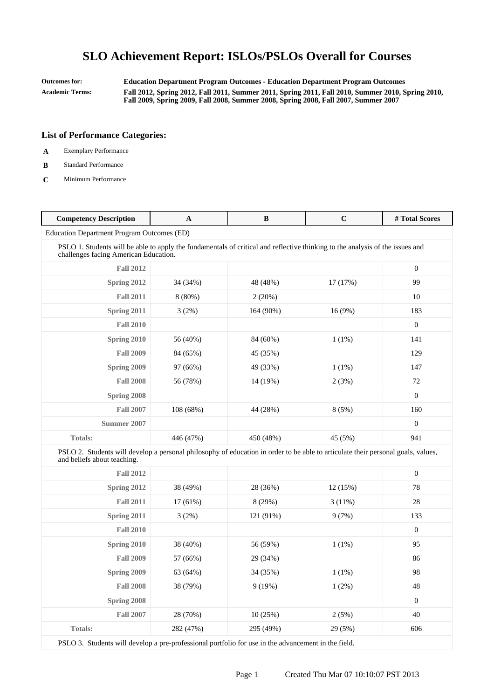**Outcomes for: Education Department Program Outcomes - Education Department Program Outcomes Academic Terms: Fall 2012, Spring 2012, Fall 2011, Summer 2011, Spring 2011, Fall 2010, Summer 2010, Spring 2010, Fall 2009, Spring 2009, Fall 2008, Summer 2008, Spring 2008, Fall 2007, Summer 2007**

### **List of Performance Categories:**

- **A** Exemplary Performance
- **B** Standard Performance
- **C** Minimum Performance

| <b>Competency Description</b>                                                                                                                                          | A          | B         | $\mathbf C$ | # Total Scores   |  |  |  |
|------------------------------------------------------------------------------------------------------------------------------------------------------------------------|------------|-----------|-------------|------------------|--|--|--|
| Education Department Program Outcomes (ED)                                                                                                                             |            |           |             |                  |  |  |  |
| PSLO 1. Students will be able to apply the fundamentals of critical and reflective thinking to the analysis of the issues and<br>challenges facing American Education. |            |           |             |                  |  |  |  |
| <b>Fall 2012</b>                                                                                                                                                       |            |           |             | $\boldsymbol{0}$ |  |  |  |
| Spring 2012                                                                                                                                                            | 34 (34%)   | 48 (48%)  | 17 (17%)    | 99               |  |  |  |
| <b>Fall 2011</b>                                                                                                                                                       | $8(80\%)$  | 2(20%)    |             | 10               |  |  |  |
| Spring 2011                                                                                                                                                            | 3(2%)      | 164 (90%) | 16 (9%)     | 183              |  |  |  |
| <b>Fall 2010</b>                                                                                                                                                       |            |           |             | $\boldsymbol{0}$ |  |  |  |
| Spring 2010                                                                                                                                                            | 56 (40%)   | 84 (60%)  | $1(1\%)$    | 141              |  |  |  |
| <b>Fall 2009</b>                                                                                                                                                       | 84 (65%)   | 45 (35%)  |             | 129              |  |  |  |
| Spring 2009                                                                                                                                                            | 97 (66%)   | 49 (33%)  | $1(1\%)$    | 147              |  |  |  |
| <b>Fall 2008</b>                                                                                                                                                       | 56 (78%)   | 14 (19%)  | 2(3%)       | 72               |  |  |  |
| Spring 2008                                                                                                                                                            |            |           |             | $\mathbf{0}$     |  |  |  |
| <b>Fall 2007</b>                                                                                                                                                       | 108 (68%)  | 44 (28%)  | 8(5%)       | 160              |  |  |  |
| <b>Summer 2007</b>                                                                                                                                                     |            |           |             | $\mathbf{0}$     |  |  |  |
| <b>Totals:</b>                                                                                                                                                         | 446 (47%)  | 450 (48%) | 45 (5%)     | 941              |  |  |  |
| PSLO 2. Students will develop a personal philosophy of education in order to be able to articulate their personal goals, values,<br>and beliefs about teaching.        |            |           |             |                  |  |  |  |
| <b>Fall 2012</b>                                                                                                                                                       |            |           |             | $\mathbf{0}$     |  |  |  |
| <b>Spring 2012</b>                                                                                                                                                     | 38 (49%)   | 28 (36%)  | 12(15%)     | 78               |  |  |  |
| <b>Fall 2011</b>                                                                                                                                                       | $17(61\%)$ | 8 (29%)   | $3(11\%)$   | 28               |  |  |  |
| Spring 2011                                                                                                                                                            | 3(2%)      | 121 (91%) | 9(7%)       | 133              |  |  |  |
| <b>Fall 2010</b>                                                                                                                                                       |            |           |             | $\boldsymbol{0}$ |  |  |  |
| Spring 2010                                                                                                                                                            | 38 (40%)   | 56 (59%)  | $1(1\%)$    | 95               |  |  |  |
| <b>Fall 2009</b>                                                                                                                                                       | 57 (66%)   | 29 (34%)  |             | 86               |  |  |  |
| Spring 2009                                                                                                                                                            | 63 (64%)   | 34 (35%)  | $1(1\%)$    | 98               |  |  |  |
| <b>Fall 2008</b>                                                                                                                                                       | 38 (79%)   | 9(19%)    | $1(2\%)$    | 48               |  |  |  |
| Spring 2008                                                                                                                                                            |            |           |             | $\mathbf{0}$     |  |  |  |
| <b>Fall 2007</b>                                                                                                                                                       | 28 (70%)   | 10(25%)   | 2(5%)       | 40               |  |  |  |
| <b>Totals:</b>                                                                                                                                                         | 282 (47%)  | 295 (49%) | 29 (5%)     | 606              |  |  |  |

PSLO 3. Students will develop a pre-professional portfolio for use in the advancement in the field.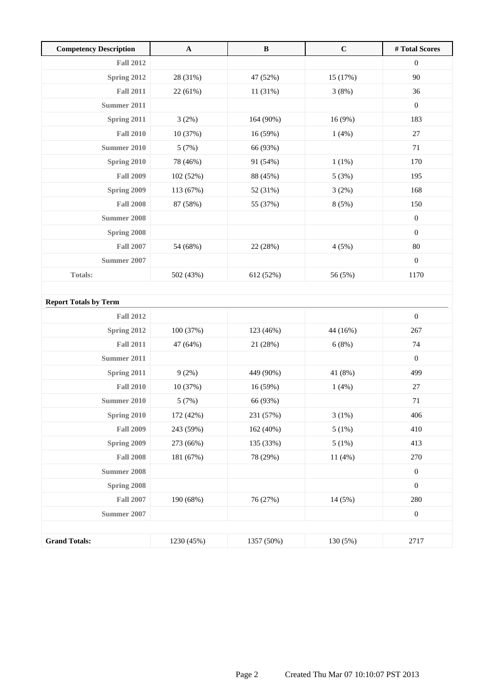| <b>Competency Description</b> | $\mathbf A$ | $\bf{B}$   | $\mathbf C$ | #Total Scores    |
|-------------------------------|-------------|------------|-------------|------------------|
| <b>Fall 2012</b>              |             |            |             | $\boldsymbol{0}$ |
| Spring 2012                   | 28 (31%)    | 47 (52%)   | 15 (17%)    | 90               |
| <b>Fall 2011</b>              | 22 (61%)    | 11 (31%)   | 3(8%)       | 36               |
| Summer 2011                   |             |            |             | $\mathbf{0}$     |
| Spring 2011                   | 3(2%)       | 164 (90%)  | 16 (9%)     | 183              |
| <b>Fall 2010</b>              | 10 (37%)    | 16 (59%)   | 1(4%)       | 27               |
| Summer 2010                   | 5(7%)       | 66 (93%)   |             | 71               |
| Spring 2010                   | 78 (46%)    | 91 (54%)   | 1(1%)       | 170              |
| <b>Fall 2009</b>              | 102 (52%)   | 88 (45%)   | 5(3%)       | 195              |
| Spring 2009                   | 113 (67%)   | 52 (31%)   | 3(2%)       | 168              |
| <b>Fall 2008</b>              | 87 (58%)    | 55 (37%)   | 8 (5%)      | 150              |
| <b>Summer 2008</b>            |             |            |             | $\boldsymbol{0}$ |
| Spring 2008                   |             |            |             | $\boldsymbol{0}$ |
| <b>Fall 2007</b>              | 54 (68%)    | 22 (28%)   | 4(5%)       | 80               |
| Summer 2007                   |             |            |             | $\boldsymbol{0}$ |
| <b>Totals:</b>                | 502 (43%)   | 612 (52%)  | 56 (5%)     | 1170             |
|                               |             |            |             |                  |
| <b>Report Totals by Term</b>  |             |            |             |                  |
| <b>Fall 2012</b>              |             |            |             | $\boldsymbol{0}$ |
| Spring 2012                   | 100 (37%)   | 123 (46%)  | 44 (16%)    | 267              |
| <b>Fall 2011</b>              | 47 (64%)    | 21 (28%)   | 6(8%)       | 74               |
| <b>Summer 2011</b>            |             |            |             | $\boldsymbol{0}$ |
| Spring 2011                   | 9(2%)       | 449 (90%)  | 41 (8%)     | 499              |
| <b>Fall 2010</b>              | 10 (37%)    | 16 (59%)   | 1(4%)       | 27               |
| <b>Summer 2010</b>            | 5(7%)       | 66 (93%)   |             | $71\,$           |
| Spring 2010                   | 172 (42%)   | 231 (57%)  | 3(1%)       | 406              |
| <b>Fall 2009</b>              | 243 (59%)   | 162 (40%)  | 5(1%)       | 410              |
| Spring 2009                   | 273 (66%)   | 135 (33%)  | 5(1%)       | 413              |
| <b>Fall 2008</b>              | 181 (67%)   | 78 (29%)   | 11 (4%)     | 270              |
| <b>Summer 2008</b>            |             |            |             | $\boldsymbol{0}$ |
| Spring 2008                   |             |            |             | $\boldsymbol{0}$ |
| <b>Fall 2007</b>              | 190 (68%)   | 76 (27%)   | 14 (5%)     | 280              |
| <b>Summer 2007</b>            |             |            |             | $\boldsymbol{0}$ |
|                               |             |            |             |                  |
| <b>Grand Totals:</b>          | 1230 (45%)  | 1357 (50%) | 130 (5%)    | 2717             |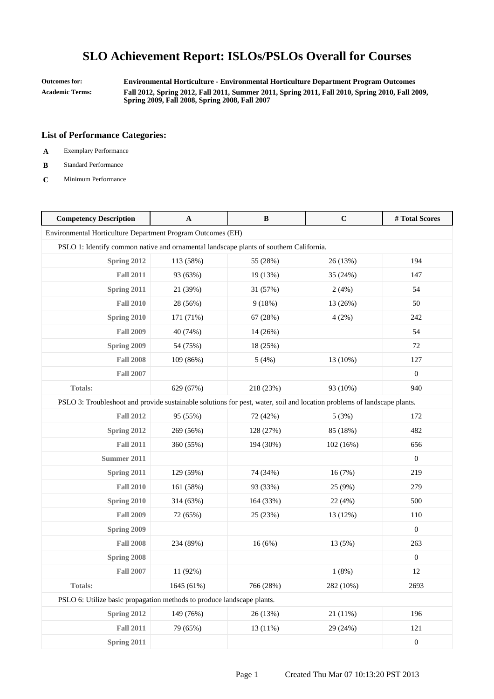**Outcomes for: Environmental Horticulture - Environmental Horticulture Department Program Outcomes Academic Terms: Fall 2012, Spring 2012, Fall 2011, Summer 2011, Spring 2011, Fall 2010, Spring 2010, Fall 2009,**

**Spring 2009, Fall 2008, Spring 2008, Fall 2007**

- **A** Exemplary Performance
- **B** Standard Performance
- **C** Minimum Performance

| <b>Competency Description</b>                                                                                           | A          | $\, {\bf B}$ | $\mathbf C$ | # Total Scores   |
|-------------------------------------------------------------------------------------------------------------------------|------------|--------------|-------------|------------------|
| Environmental Horticulture Department Program Outcomes (EH)                                                             |            |              |             |                  |
| PSLO 1: Identify common native and ornamental landscape plants of southern California.                                  |            |              |             |                  |
| Spring 2012                                                                                                             | 113 (58%)  | 55 (28%)     | 26 (13%)    | 194              |
| <b>Fall 2011</b>                                                                                                        | 93 (63%)   | 19 (13%)     | 35 (24%)    | 147              |
| Spring 2011                                                                                                             | 21 (39%)   | 31 (57%)     | 2(4%)       | 54               |
| <b>Fall 2010</b>                                                                                                        | 28 (56%)   | 9(18%)       | 13 (26%)    | 50               |
| Spring 2010                                                                                                             | 171 (71%)  | 67 (28%)     | 4(2%)       | 242              |
| <b>Fall 2009</b>                                                                                                        | 40 (74%)   | 14 (26%)     |             | 54               |
| Spring 2009                                                                                                             | 54 (75%)   | 18 (25%)     |             | 72               |
| <b>Fall 2008</b>                                                                                                        | 109 (86%)  | 5(4%)        | 13 (10%)    | 127              |
| <b>Fall 2007</b>                                                                                                        |            |              |             | $\boldsymbol{0}$ |
| <b>Totals:</b>                                                                                                          | 629 (67%)  | 218 (23%)    | 93 (10%)    | 940              |
| PSLO 3: Troubleshoot and provide sustainable solutions for pest, water, soil and location problems of landscape plants. |            |              |             |                  |
| <b>Fall 2012</b>                                                                                                        | 95 (55%)   | 72 (42%)     | 5(3%)       | 172              |
| Spring 2012                                                                                                             | 269 (56%)  | 128 (27%)    | 85 (18%)    | 482              |
| <b>Fall 2011</b>                                                                                                        | 360 (55%)  | 194 (30%)    | 102(16%)    | 656              |
| Summer 2011                                                                                                             |            |              |             | $\boldsymbol{0}$ |
| Spring 2011                                                                                                             | 129 (59%)  | 74 (34%)     | 16(7%)      | 219              |
| <b>Fall 2010</b>                                                                                                        | 161 (58%)  | 93 (33%)     | 25 (9%)     | 279              |
| Spring 2010                                                                                                             | 314 (63%)  | 164 (33%)    | 22 (4%)     | 500              |
| <b>Fall 2009</b>                                                                                                        | 72 (65%)   | 25 (23%)     | 13 (12%)    | 110              |
| Spring 2009                                                                                                             |            |              |             | $\mathbf{0}$     |
| <b>Fall 2008</b>                                                                                                        | 234 (89%)  | 16(6%)       | 13 (5%)     | 263              |
| Spring 2008                                                                                                             |            |              |             | $\boldsymbol{0}$ |
| <b>Fall 2007</b>                                                                                                        | 11 (92%)   |              | 1(8%)       | 12               |
| Totals:                                                                                                                 | 1645 (61%) | 766 (28%)    | 282 (10%)   | 2693             |
| PSLO 6: Utilize basic propagation methods to produce landscape plants.                                                  |            |              |             |                  |
| <b>Spring 2012</b>                                                                                                      | 149 (76%)  | 26 (13%)     | 21(11%)     | 196              |
| <b>Fall 2011</b>                                                                                                        | 79 (65%)   | 13 (11%)     | 29 (24%)    | 121              |
| <b>Spring 2011</b>                                                                                                      |            |              |             | $\boldsymbol{0}$ |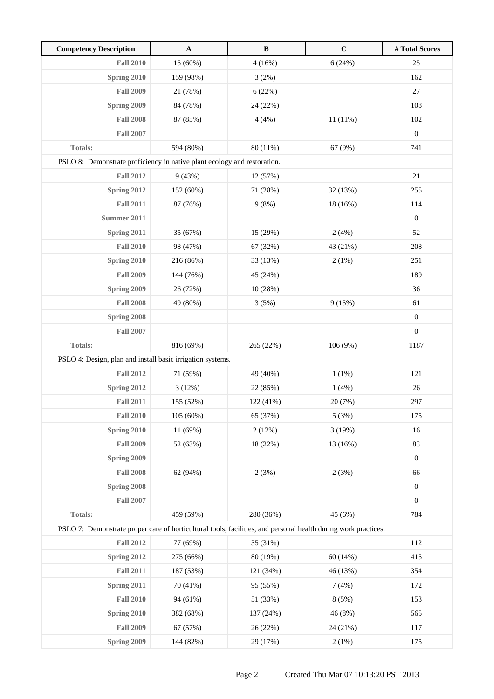| <b>Competency Description</b>                                                                                  | $\mathbf A$ | $\, {\bf B}$ | $\mathbf C$ | #Total Scores    |
|----------------------------------------------------------------------------------------------------------------|-------------|--------------|-------------|------------------|
| <b>Fall 2010</b>                                                                                               | 15 (60%)    | 4(16%)       | 6(24%)      | 25               |
| Spring 2010                                                                                                    | 159 (98%)   | 3(2%)        |             | 162              |
| <b>Fall 2009</b>                                                                                               | 21 (78%)    | 6(22%)       |             | 27               |
| Spring 2009                                                                                                    | 84 (78%)    | 24 (22%)     |             | 108              |
| <b>Fall 2008</b>                                                                                               | 87 (85%)    | 4(4%)        | 11(11%)     | 102              |
| <b>Fall 2007</b>                                                                                               |             |              |             | $\boldsymbol{0}$ |
| Totals:                                                                                                        | 594 (80%)   | 80 (11%)     | 67 (9%)     | 741              |
| PSLO 8: Demonstrate proficiency in native plant ecology and restoration.                                       |             |              |             |                  |
| <b>Fall 2012</b>                                                                                               | 9(43%)      | 12 (57%)     |             | 21               |
| Spring 2012                                                                                                    | 152 (60%)   | 71 (28%)     | 32(13%)     | 255              |
| <b>Fall 2011</b>                                                                                               | 87 (76%)    | 9(8%)        | 18 (16%)    | 114              |
| Summer 2011                                                                                                    |             |              |             | $\boldsymbol{0}$ |
| Spring 2011                                                                                                    | 35 (67%)    | 15 (29%)     | 2(4%)       | 52               |
| <b>Fall 2010</b>                                                                                               | 98 (47%)    | 67 (32%)     | 43 (21%)    | 208              |
| Spring 2010                                                                                                    | 216 (86%)   | 33 (13%)     | 2(1%)       | 251              |
| <b>Fall 2009</b>                                                                                               | 144 (76%)   | 45 (24%)     |             | 189              |
| Spring 2009                                                                                                    | 26 (72%)    | 10(28%)      |             | 36               |
| <b>Fall 2008</b>                                                                                               | 49 (80%)    | 3(5%)        | 9(15%)      | 61               |
| Spring 2008                                                                                                    |             |              |             | $\boldsymbol{0}$ |
| <b>Fall 2007</b>                                                                                               |             |              |             | $\boldsymbol{0}$ |
| <b>Totals:</b>                                                                                                 | 816 (69%)   | 265 (22%)    | 106(9%)     | 1187             |
| PSLO 4: Design, plan and install basic irrigation systems.                                                     |             |              |             |                  |
| <b>Fall 2012</b>                                                                                               | 71 (59%)    | 49 (40%)     | 1(1%)       | 121              |
| Spring 2012                                                                                                    | 3(12%)      | 22 (85%)     | 1(4%)       | 26               |
| <b>Fall 2011</b>                                                                                               | 155 (52%)   | 122 (41%)    | 20 (7%)     | 297              |
| <b>Fall 2010</b>                                                                                               | 105 (60%)   | 65 (37%)     | 5(3%)       | 175              |
| Spring 2010                                                                                                    | 11 (69%)    | 2(12%)       | 3(19%)      | 16               |
| <b>Fall 2009</b>                                                                                               | 52 (63%)    | 18 (22%)     | 13 (16%)    | 83               |
| Spring 2009                                                                                                    |             |              |             | $\boldsymbol{0}$ |
| <b>Fall 2008</b>                                                                                               | 62 (94%)    | 2(3%)        | 2(3%)       | 66               |
| Spring 2008                                                                                                    |             |              |             | $\boldsymbol{0}$ |
| <b>Fall 2007</b>                                                                                               |             |              |             | $\boldsymbol{0}$ |
| Totals:                                                                                                        | 459 (59%)   | 280 (36%)    | 45 (6%)     | 784              |
| PSLO 7: Demonstrate proper care of horticultural tools, facilities, and personal health during work practices. |             |              |             |                  |
| <b>Fall 2012</b>                                                                                               | 77 (69%)    | 35 (31%)     |             | 112              |
| Spring 2012                                                                                                    | 275 (66%)   | 80 (19%)     | 60(14%)     | 415              |
| <b>Fall 2011</b>                                                                                               | 187 (53%)   | 121 (34%)    | 46 (13%)    | 354              |
| Spring 2011                                                                                                    | 70 (41%)    | 95 (55%)     | 7(4%)       | 172              |
| <b>Fall 2010</b>                                                                                               | 94 (61%)    | 51 (33%)     | 8(5%)       | 153              |
| Spring 2010                                                                                                    | 382 (68%)   | 137 (24%)    | 46 (8%)     | 565              |
| <b>Fall 2009</b>                                                                                               | 67 (57%)    | 26 (22%)     | 24 (21%)    | 117              |
| Spring 2009                                                                                                    | 144 (82%)   | 29 (17%)     | 2(1%)       | 175              |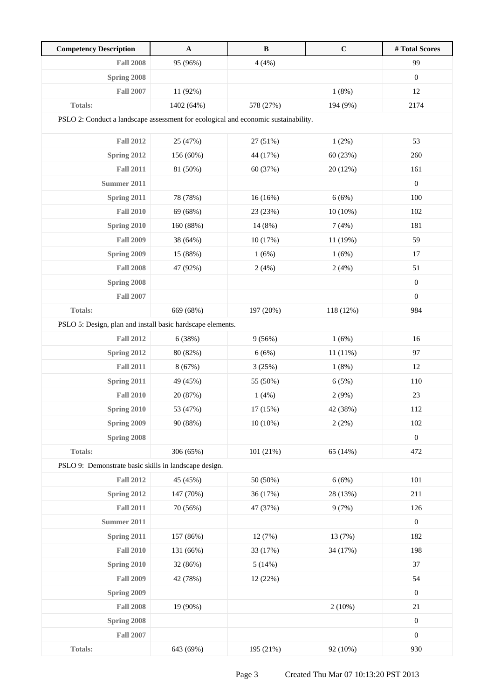| <b>Competency Description</b>                                                      | $\mathbf A$ | $\, {\bf B}$ | $\mathbf C$ | # Total Scores   |
|------------------------------------------------------------------------------------|-------------|--------------|-------------|------------------|
| <b>Fall 2008</b>                                                                   | 95 (96%)    | 4(4%)        |             | 99               |
| Spring 2008                                                                        |             |              |             | $\boldsymbol{0}$ |
| <b>Fall 2007</b>                                                                   | 11 (92%)    |              | 1(8%)       | 12               |
| Totals:                                                                            | 1402 (64%)  | 578 (27%)    | 194 (9%)    | 2174             |
| PSLO 2: Conduct a landscape assessment for ecological and economic sustainability. |             |              |             |                  |
| <b>Fall 2012</b>                                                                   | 25 (47%)    | 27 (51%)     | 1(2%)       | 53               |
| Spring 2012                                                                        | 156 (60%)   | 44 (17%)     | 60(23%)     | 260              |
| <b>Fall 2011</b>                                                                   | 81 (50%)    | 60 (37%)     | 20 (12%)    | 161              |
| <b>Summer 2011</b>                                                                 |             |              |             | $\boldsymbol{0}$ |
| Spring 2011                                                                        | 78 (78%)    | 16(16%)      | 6(6%)       | 100              |
| <b>Fall 2010</b>                                                                   | 69 (68%)    | 23 (23%)     | $10(10\%)$  | 102              |
| Spring 2010                                                                        | 160 (88%)   | 14 (8%)      | 7(4%)       | 181              |
| <b>Fall 2009</b>                                                                   | 38 (64%)    | 10(17%)      | 11 (19%)    | 59               |
| Spring 2009                                                                        | 15 (88%)    | 1(6%)        | 1(6%)       | 17               |
| <b>Fall 2008</b>                                                                   | 47 (92%)    | 2(4%)        | 2(4%)       | 51               |
| Spring 2008                                                                        |             |              |             | $\boldsymbol{0}$ |
| <b>Fall 2007</b>                                                                   |             |              |             | $\boldsymbol{0}$ |
| Totals:                                                                            | 669 (68%)   | 197 (20%)    | 118 (12%)   | 984              |
| PSLO 5: Design, plan and install basic hardscape elements.                         |             |              |             |                  |
| <b>Fall 2012</b>                                                                   | 6 (38%)     | 9(56%)       | 1(6%)       | 16               |
| Spring 2012                                                                        | 80 (82%)    | 6(6%)        | 11 (11%)    | 97               |
| <b>Fall 2011</b>                                                                   | 8 (67%)     | 3(25%)       | 1(8%)       | 12               |
| Spring 2011                                                                        | 49 (45%)    | 55 (50%)     | 6(5%)       | 110              |
| <b>Fall 2010</b>                                                                   | 20 (87%)    | 1(4%)        | 2(9%)       | 23               |
| <b>Spring 2010</b>                                                                 | 53 (47%)    | 17 (15%)     | 42 (38%)    | 112              |
| Spring 2009                                                                        | 90 (88%)    | $10(10\%)$   | 2(2%)       | 102              |
| Spring 2008                                                                        |             |              |             | $\boldsymbol{0}$ |
| Totals:                                                                            | 306 (65%)   | 101 (21%)    | 65 (14%)    | 472              |
| PSLO 9: Demonstrate basic skills in landscape design.                              |             |              |             |                  |
| <b>Fall 2012</b>                                                                   | 45 (45%)    | 50 (50%)     | 6(6%)       | 101              |
| Spring 2012                                                                        | 147 (70%)   | 36 (17%)     | 28 (13%)    | 211              |
| <b>Fall 2011</b>                                                                   | 70 (56%)    | 47 (37%)     | 9(7%)       | 126              |
| <b>Summer 2011</b>                                                                 |             |              |             | $\boldsymbol{0}$ |
| Spring 2011                                                                        | 157 (86%)   | 12(7%)       | 13 (7%)     | 182              |
| <b>Fall 2010</b>                                                                   | 131 (66%)   | 33 (17%)     | 34 (17%)    | 198              |
| Spring 2010                                                                        | 32 (86%)    | 5(14%)       |             | 37               |
| <b>Fall 2009</b>                                                                   | 42 (78%)    | 12 (22%)     |             | 54               |
| Spring 2009                                                                        |             |              |             | $\boldsymbol{0}$ |
| <b>Fall 2008</b>                                                                   | 19 (90%)    |              | 2(10%)      | 21               |
| Spring 2008                                                                        |             |              |             | $\boldsymbol{0}$ |
| <b>Fall 2007</b>                                                                   |             |              |             | $\boldsymbol{0}$ |
| Totals:                                                                            | 643 (69%)   | 195 (21%)    | 92 (10%)    | 930              |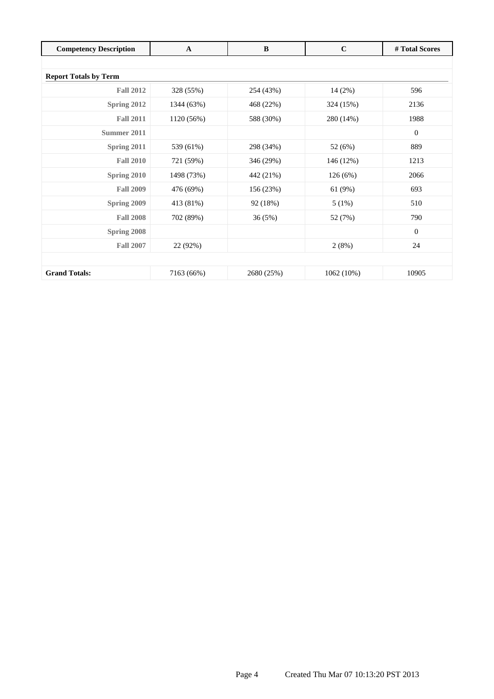| <b>Competency Description</b> | $\mathbf{A}$ | $\bf{B}$   | $\mathbf C$ | # Total Scores |
|-------------------------------|--------------|------------|-------------|----------------|
|                               |              |            |             |                |
| <b>Report Totals by Term</b>  |              |            |             |                |
| <b>Fall 2012</b>              | 328 (55%)    | 254 (43%)  | 14(2%)      | 596            |
| Spring 2012                   | 1344 (63%)   | 468 (22%)  | 324 (15%)   | 2136           |
| <b>Fall 2011</b>              | 1120 (56%)   | 588 (30%)  | 280 (14%)   | 1988           |
| Summer 2011                   |              |            |             | $\overline{0}$ |
| Spring 2011                   | 539 (61%)    | 298 (34%)  | 52 (6%)     | 889            |
| <b>Fall 2010</b>              | 721 (59%)    | 346 (29%)  | 146 (12%)   | 1213           |
| Spring 2010                   | 1498 (73%)   | 442 (21%)  | 126(6%)     | 2066           |
| <b>Fall 2009</b>              | 476 (69%)    | 156 (23%)  | 61(9%)      | 693            |
| Spring 2009                   | 413 (81%)    | 92 (18%)   | 5(1%)       | 510            |
| <b>Fall 2008</b>              | 702 (89%)    | 36(5%)     | 52 (7%)     | 790            |
| Spring 2008                   |              |            |             | $\overline{0}$ |
| <b>Fall 2007</b>              | 22 (92%)     |            | 2(8%)       | 24             |
|                               |              |            |             |                |
| <b>Grand Totals:</b>          | 7163 (66%)   | 2680 (25%) | 1062 (10%)  | 10905          |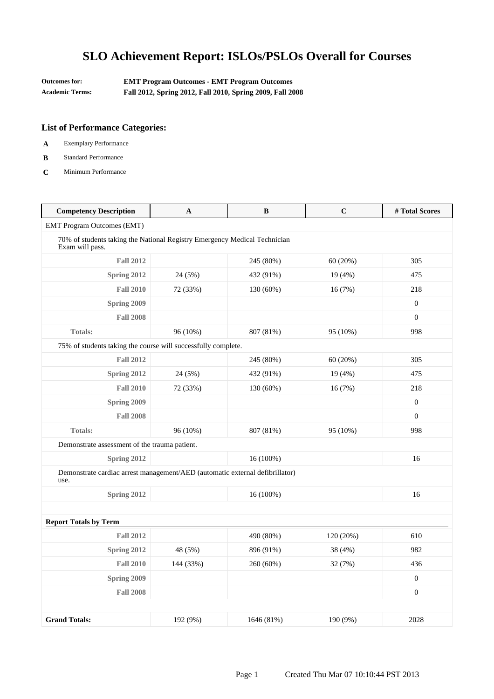| Outcomes for:          | <b>EMT Program Outcomes - EMT Program Outcomes</b>        |
|------------------------|-----------------------------------------------------------|
| <b>Academic Terms:</b> | Fall 2012, Spring 2012, Fall 2010, Spring 2009, Fall 2008 |

- **A** Exemplary Performance
- **B** Standard Performance
- **C** Minimum Performance

| <b>Competency Description</b>                                                                | $\mathbf A$ | $\bf{B}$   | $\mathbf C$ | #Total Scores    |
|----------------------------------------------------------------------------------------------|-------------|------------|-------------|------------------|
| <b>EMT Program Outcomes (EMT)</b>                                                            |             |            |             |                  |
| 70% of students taking the National Registry Emergency Medical Technician<br>Exam will pass. |             |            |             |                  |
| <b>Fall 2012</b>                                                                             |             | 245 (80%)  | 60(20%)     | 305              |
| Spring 2012                                                                                  | 24 (5%)     | 432 (91%)  | 19(4%)      | 475              |
| <b>Fall 2010</b>                                                                             | 72 (33%)    | 130 (60%)  | 16 (7%)     | 218              |
| Spring 2009                                                                                  |             |            |             | $\boldsymbol{0}$ |
| <b>Fall 2008</b>                                                                             |             |            |             | $\boldsymbol{0}$ |
| <b>Totals:</b>                                                                               | 96 (10%)    | 807 (81%)  | 95 (10%)    | 998              |
| 75% of students taking the course will successfully complete.                                |             |            |             |                  |
| <b>Fall 2012</b>                                                                             |             | 245 (80%)  | 60 (20%)    | 305              |
| Spring 2012                                                                                  | 24 (5%)     | 432 (91%)  | 19 (4%)     | 475              |
| <b>Fall 2010</b>                                                                             | 72 (33%)    | 130 (60%)  | 16 (7%)     | 218              |
| Spring 2009                                                                                  |             |            |             | $\overline{0}$   |
| <b>Fall 2008</b>                                                                             |             |            |             | $\Omega$         |
| <b>Totals:</b>                                                                               | 96 (10%)    | 807 (81%)  | 95 (10%)    | 998              |
| Demonstrate assessment of the trauma patient.                                                |             |            |             |                  |
| Spring 2012                                                                                  |             | 16 (100%)  |             | 16               |
| Demonstrate cardiac arrest management/AED (automatic external defibrillator)<br>use.         |             |            |             |                  |
| Spring 2012                                                                                  |             | 16 (100%)  |             | 16               |
|                                                                                              |             |            |             |                  |
| <b>Report Totals by Term</b>                                                                 |             |            |             |                  |
| <b>Fall 2012</b>                                                                             |             | 490 (80%)  | 120 (20%)   | 610              |
| Spring 2012                                                                                  | 48 (5%)     | 896 (91%)  | 38 (4%)     | 982              |
| <b>Fall 2010</b>                                                                             | 144 (33%)   | 260 (60%)  | 32 (7%)     | 436              |
| Spring 2009                                                                                  |             |            |             | $\mathbf{0}$     |
| <b>Fall 2008</b>                                                                             |             |            |             | $\boldsymbol{0}$ |
|                                                                                              |             |            |             |                  |
| <b>Grand Totals:</b>                                                                         | 192 (9%)    | 1646 (81%) | 190 (9%)    | 2028             |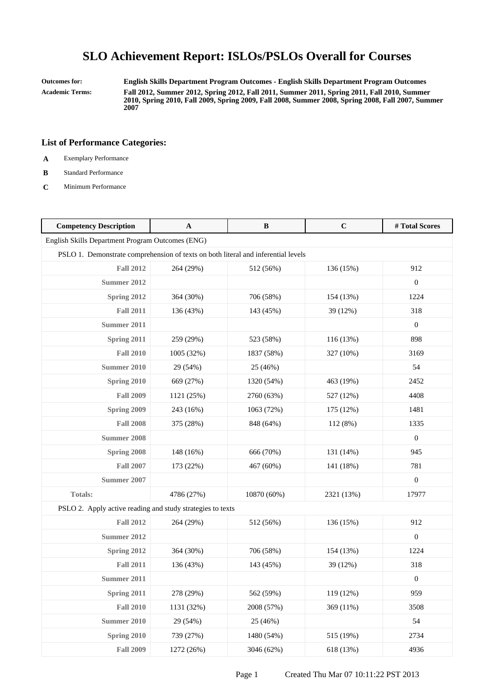**Outcomes for: English Skills Department Program Outcomes - English Skills Department Program Outcomes Academic Terms: Fall 2012, Summer 2012, Spring 2012, Fall 2011, Summer 2011, Spring 2011, Fall 2010, Summer 2010, Spring 2010, Fall 2009, Spring 2009, Fall 2008, Summer 2008, Spring 2008, Fall 2007, Summer 2007**

- **A** Exemplary Performance
- **B** Standard Performance
- **C** Minimum Performance

| <b>Competency Description</b>                                                     | A          | B           | $\mathbf C$ | #Total Scores    |
|-----------------------------------------------------------------------------------|------------|-------------|-------------|------------------|
| English Skills Department Program Outcomes (ENG)                                  |            |             |             |                  |
| PSLO 1. Demonstrate comprehension of texts on both literal and inferential levels |            |             |             |                  |
| <b>Fall 2012</b>                                                                  | 264 (29%)  | 512 (56%)   | 136 (15%)   | 912              |
| <b>Summer 2012</b>                                                                |            |             |             | $\boldsymbol{0}$ |
| Spring 2012                                                                       | 364 (30%)  | 706 (58%)   | 154 (13%)   | 1224             |
| <b>Fall 2011</b>                                                                  | 136 (43%)  | 143 (45%)   | 39 (12%)    | 318              |
| Summer 2011                                                                       |            |             |             | $\boldsymbol{0}$ |
| Spring 2011                                                                       | 259 (29%)  | 523 (58%)   | 116 (13%)   | 898              |
| <b>Fall 2010</b>                                                                  | 1005 (32%) | 1837 (58%)  | 327 (10%)   | 3169             |
| <b>Summer 2010</b>                                                                | 29 (54%)   | 25 (46%)    |             | 54               |
| Spring 2010                                                                       | 669 (27%)  | 1320 (54%)  | 463 (19%)   | 2452             |
| <b>Fall 2009</b>                                                                  | 1121 (25%) | 2760 (63%)  | 527 (12%)   | 4408             |
| Spring 2009                                                                       | 243 (16%)  | 1063 (72%)  | 175 (12%)   | 1481             |
| <b>Fall 2008</b>                                                                  | 375 (28%)  | 848 (64%)   | 112 (8%)    | 1335             |
| <b>Summer 2008</b>                                                                |            |             |             | $\mathbf{0}$     |
| Spring 2008                                                                       | 148 (16%)  | 666 (70%)   | 131 (14%)   | 945              |
| <b>Fall 2007</b>                                                                  | 173 (22%)  | 467 (60%)   | 141 (18%)   | 781              |
| <b>Summer 2007</b>                                                                |            |             |             | $\boldsymbol{0}$ |
| Totals:                                                                           | 4786 (27%) | 10870 (60%) | 2321 (13%)  | 17977            |
| PSLO 2. Apply active reading and study strategies to texts                        |            |             |             |                  |
| <b>Fall 2012</b>                                                                  | 264 (29%)  | 512 (56%)   | 136 (15%)   | 912              |
| <b>Summer 2012</b>                                                                |            |             |             | $\boldsymbol{0}$ |
| Spring 2012                                                                       | 364 (30%)  | 706 (58%)   | 154 (13%)   | 1224             |
| <b>Fall 2011</b>                                                                  | 136 (43%)  | 143 (45%)   | 39 (12%)    | 318              |
| Summer 2011                                                                       |            |             |             | $\boldsymbol{0}$ |
| Spring 2011                                                                       | 278 (29%)  | 562 (59%)   | 119 (12%)   | 959              |
| <b>Fall 2010</b>                                                                  | 1131 (32%) | 2008 (57%)  | 369 (11%)   | 3508             |
| <b>Summer 2010</b>                                                                | 29 (54%)   | 25 (46%)    |             | 54               |
| Spring 2010                                                                       | 739 (27%)  | 1480 (54%)  | 515 (19%)   | 2734             |
| <b>Fall 2009</b>                                                                  | 1272 (26%) | 3046 (62%)  | 618 (13%)   | 4936             |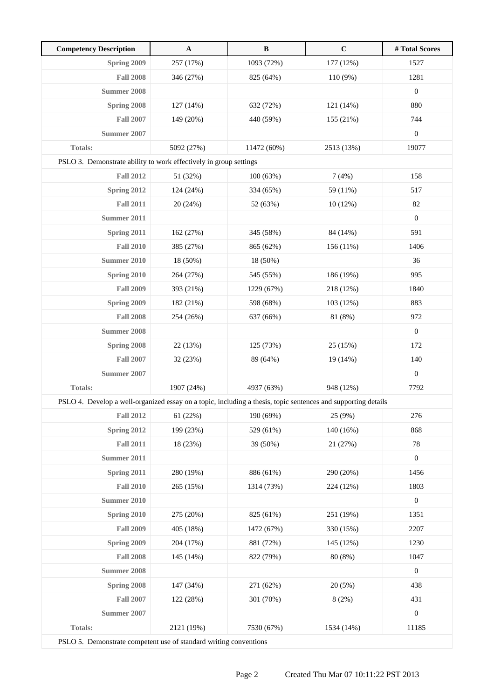| <b>Competency Description</b>                                                                                 | $\mathbf{A}$ | $\, {\bf B}$ | $\mathbf C$ | # Total Scores   |
|---------------------------------------------------------------------------------------------------------------|--------------|--------------|-------------|------------------|
| Spring 2009                                                                                                   | 257 (17%)    | 1093 (72%)   | 177 (12%)   | 1527             |
| <b>Fall 2008</b>                                                                                              | 346 (27%)    | 825 (64%)    | 110 (9%)    | 1281             |
| <b>Summer 2008</b>                                                                                            |              |              |             | $\boldsymbol{0}$ |
| Spring 2008                                                                                                   | 127 (14%)    | 632 (72%)    | 121 (14%)   | 880              |
| <b>Fall 2007</b>                                                                                              | 149 (20%)    | 440 (59%)    | 155 (21%)   | 744              |
| <b>Summer 2007</b>                                                                                            |              |              |             | $\boldsymbol{0}$ |
| <b>Totals:</b>                                                                                                | 5092 (27%)   | 11472 (60%)  | 2513 (13%)  | 19077            |
| PSLO 3. Demonstrate ability to work effectively in group settings                                             |              |              |             |                  |
| <b>Fall 2012</b>                                                                                              | 51 (32%)     | 100 (63%)    | 7(4%)       | 158              |
| Spring 2012                                                                                                   | 124 (24%)    | 334 (65%)    | 59 (11%)    | 517              |
| <b>Fall 2011</b>                                                                                              | 20 (24%)     | 52 (63%)     | 10(12%)     | 82               |
| Summer 2011                                                                                                   |              |              |             | $\boldsymbol{0}$ |
| Spring 2011                                                                                                   | 162 (27%)    | 345 (58%)    | 84 (14%)    | 591              |
| <b>Fall 2010</b>                                                                                              | 385 (27%)    | 865 (62%)    | 156 (11%)   | 1406             |
| <b>Summer 2010</b>                                                                                            | 18 (50%)     | 18 (50%)     |             | 36               |
| Spring 2010                                                                                                   | 264 (27%)    | 545 (55%)    | 186 (19%)   | 995              |
| <b>Fall 2009</b>                                                                                              | 393 (21%)    | 1229 (67%)   | 218 (12%)   | 1840             |
| Spring 2009                                                                                                   | 182 (21%)    | 598 (68%)    | 103 (12%)   | 883              |
| <b>Fall 2008</b>                                                                                              | 254 (26%)    | 637 (66%)    | 81 (8%)     | 972              |
| <b>Summer 2008</b>                                                                                            |              |              |             | $\boldsymbol{0}$ |
| <b>Spring 2008</b>                                                                                            | 22 (13%)     | 125 (73%)    | 25 (15%)    | 172              |
| <b>Fall 2007</b>                                                                                              | 32 (23%)     | 89 (64%)     | 19 (14%)    | 140              |
| <b>Summer 2007</b>                                                                                            |              |              |             | $\boldsymbol{0}$ |
| Totals:                                                                                                       | 1907 (24%)   | 4937 (63%)   | 948 (12%)   | 7792             |
| PSLO 4. Develop a well-organized essay on a topic, including a thesis, topic sentences and supporting details |              |              |             |                  |
| <b>Fall 2012</b>                                                                                              | 61 (22%)     | 190 (69%)    | 25 (9%)     | 276              |
| Spring 2012                                                                                                   | 199 (23%)    | 529 (61%)    | 140 (16%)   | 868              |
| <b>Fall 2011</b>                                                                                              | 18 (23%)     | 39 (50%)     | 21 (27%)    | 78               |
| <b>Summer 2011</b>                                                                                            |              |              |             | $\boldsymbol{0}$ |
| Spring 2011                                                                                                   | 280 (19%)    | 886 (61%)    | 290 (20%)   | 1456             |
| <b>Fall 2010</b>                                                                                              | 265 (15%)    | 1314 (73%)   | 224 (12%)   | 1803             |
| <b>Summer 2010</b>                                                                                            |              |              |             | $\boldsymbol{0}$ |
| Spring 2010                                                                                                   | 275 (20%)    | 825 (61%)    | 251 (19%)   | 1351             |
| <b>Fall 2009</b>                                                                                              | 405 (18%)    | 1472 (67%)   | 330 (15%)   | 2207             |
| Spring 2009                                                                                                   | 204 (17%)    | 881 (72%)    | 145 (12%)   | 1230             |
| <b>Fall 2008</b>                                                                                              | 145 (14%)    | 822 (79%)    | 80 (8%)     | 1047             |
| <b>Summer 2008</b>                                                                                            |              |              |             | $\boldsymbol{0}$ |
| Spring 2008                                                                                                   | 147 (34%)    | 271 (62%)    | 20(5%)      | 438              |
| <b>Fall 2007</b>                                                                                              | 122 (28%)    | 301 (70%)    | 8(2%)       | 431              |
| <b>Summer 2007</b>                                                                                            |              |              |             | $\boldsymbol{0}$ |
| Totals:                                                                                                       | 2121 (19%)   | 7530 (67%)   | 1534 (14%)  | 11185            |
| $PST \cap 5$ Demonstrate competent use of standard writing conventions                                        |              |              |             |                  |

PSLO 5. Demonstrate competent use of standard writing conventions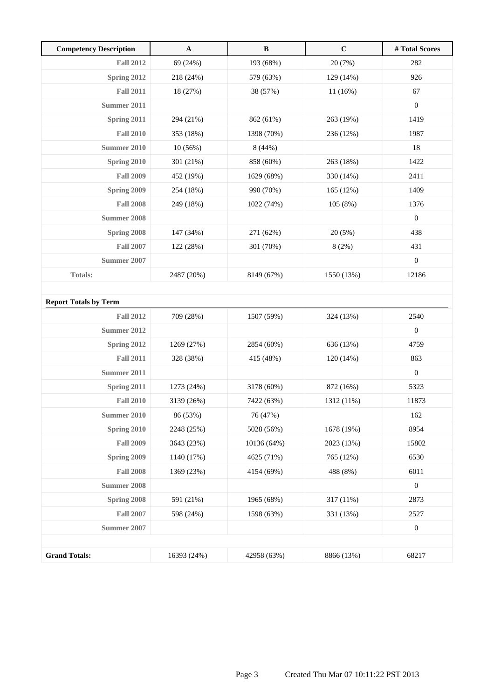| <b>Competency Description</b> | A           | $\, {\bf B}$ | $\mathbf C$ | #Total Scores    |
|-------------------------------|-------------|--------------|-------------|------------------|
| <b>Fall 2012</b>              | 69 (24%)    | 193 (68%)    | 20 (7%)     | 282              |
| Spring 2012                   | 218 (24%)   | 579 (63%)    | 129 (14%)   | 926              |
| <b>Fall 2011</b>              | 18 (27%)    | 38 (57%)     | 11(16%)     | 67               |
| <b>Summer 2011</b>            |             |              |             | $\boldsymbol{0}$ |
| Spring 2011                   | 294 (21%)   | 862 (61%)    | 263 (19%)   | 1419             |
| <b>Fall 2010</b>              | 353 (18%)   | 1398 (70%)   | 236 (12%)   | 1987             |
| <b>Summer 2010</b>            | 10(56%)     | 8(44%)       |             | 18               |
| Spring 2010                   | 301 (21%)   | 858 (60%)    | 263 (18%)   | 1422             |
| <b>Fall 2009</b>              | 452 (19%)   | 1629 (68%)   | 330 (14%)   | 2411             |
| Spring 2009                   | 254 (18%)   | 990 (70%)    | 165 (12%)   | 1409             |
| <b>Fall 2008</b>              | 249 (18%)   | 1022 (74%)   | 105(8%)     | 1376             |
| <b>Summer 2008</b>            |             |              |             | $\boldsymbol{0}$ |
| Spring 2008                   | 147 (34%)   | 271 (62%)    | 20(5%)      | 438              |
| <b>Fall 2007</b>              | 122 (28%)   | 301 (70%)    | 8(2%)       | 431              |
| Summer 2007                   |             |              |             | $\boldsymbol{0}$ |
| <b>Totals:</b>                | 2487 (20%)  | 8149 (67%)   | 1550 (13%)  | 12186            |
|                               |             |              |             |                  |
| <b>Report Totals by Term</b>  |             |              |             |                  |
| <b>Fall 2012</b>              | 709 (28%)   | 1507 (59%)   | 324 (13%)   | 2540             |
| Summer 2012                   |             |              |             | $\boldsymbol{0}$ |
| Spring 2012                   | 1269 (27%)  | 2854 (60%)   | 636 (13%)   | 4759             |
| <b>Fall 2011</b>              | 328 (38%)   | 415 (48%)    | 120 (14%)   | 863              |
| Summer 2011                   |             |              |             | $\boldsymbol{0}$ |
| Spring 2011                   | 1273 (24%)  | 3178 (60%)   | 872 (16%)   | 5323             |
| <b>Fall 2010</b>              | 3139 (26%)  | 7422 (63%)   | 1312 (11%)  | 11873            |
| <b>Summer 2010</b>            | 86 (53%)    | 76 (47%)     |             | 162              |
| Spring 2010                   | 2248 (25%)  | 5028 (56%)   | 1678 (19%)  | 8954             |
| <b>Fall 2009</b>              | 3643 (23%)  | 10136 (64%)  | 2023 (13%)  | 15802            |
| Spring 2009                   | 1140 (17%)  | 4625 (71%)   | 765 (12%)   | 6530             |
| <b>Fall 2008</b>              | 1369 (23%)  | 4154 (69%)   | 488 (8%)    | 6011             |
| <b>Summer 2008</b>            |             |              |             | $\boldsymbol{0}$ |
| Spring 2008                   | 591 (21%)   | 1965 (68%)   | 317 (11%)   | 2873             |
| <b>Fall 2007</b>              | 598 (24%)   | 1598 (63%)   | 331 (13%)   | 2527             |
| <b>Summer 2007</b>            |             |              |             | $\boldsymbol{0}$ |
|                               |             |              |             |                  |
| <b>Grand Totals:</b>          | 16393 (24%) | 42958 (63%)  | 8866 (13%)  | 68217            |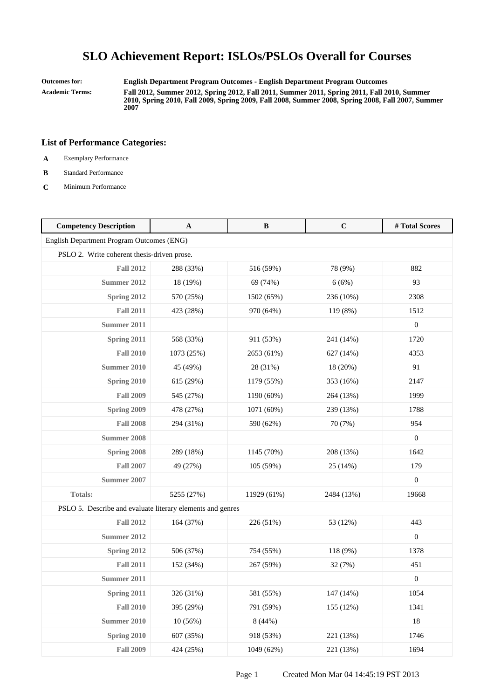**Outcomes for: English Department Program Outcomes - English Department Program Outcomes**

**Academic Terms: Fall 2012, Summer 2012, Spring 2012, Fall 2011, Summer 2011, Spring 2011, Fall 2010, Summer 2010, Spring 2010, Fall 2009, Spring 2009, Fall 2008, Summer 2008, Spring 2008, Fall 2007, Summer 2007**

- **A** Exemplary Performance
- **B** Standard Performance
- **C** Minimum Performance

| <b>Competency Description</b>                              | $\mathbf{A}$ | B           | $\mathbf C$ | #Total Scores    |
|------------------------------------------------------------|--------------|-------------|-------------|------------------|
| English Department Program Outcomes (ENG)                  |              |             |             |                  |
| PSLO 2. Write coherent thesis-driven prose.                |              |             |             |                  |
| <b>Fall 2012</b>                                           | 288 (33%)    | 516 (59%)   | 78 (9%)     | 882              |
| <b>Summer 2012</b>                                         | 18 (19%)     | 69 (74%)    | 6(6%)       | 93               |
| Spring 2012                                                | 570 (25%)    | 1502 (65%)  | 236 (10%)   | 2308             |
| <b>Fall 2011</b>                                           | 423 (28%)    | 970 (64%)   | 119 (8%)    | 1512             |
| <b>Summer 2011</b>                                         |              |             |             | $\boldsymbol{0}$ |
| Spring 2011                                                | 568 (33%)    | 911 (53%)   | 241 (14%)   | 1720             |
| <b>Fall 2010</b>                                           | 1073 (25%)   | 2653 (61%)  | 627 (14%)   | 4353             |
| <b>Summer 2010</b>                                         | 45 (49%)     | 28 (31%)    | 18 (20%)    | 91               |
| Spring 2010                                                | 615 (29%)    | 1179 (55%)  | 353 (16%)   | 2147             |
| <b>Fall 2009</b>                                           | 545 (27%)    | 1190 (60%)  | 264 (13%)   | 1999             |
| Spring 2009                                                | 478 (27%)    | 1071 (60%)  | 239 (13%)   | 1788             |
| <b>Fall 2008</b>                                           | 294 (31%)    | 590 (62%)   | 70 (7%)     | 954              |
| <b>Summer 2008</b>                                         |              |             |             | $\overline{0}$   |
| Spring 2008                                                | 289 (18%)    | 1145 (70%)  | 208 (13%)   | 1642             |
| <b>Fall 2007</b>                                           | 49 (27%)     | 105 (59%)   | 25 (14%)    | 179              |
| <b>Summer 2007</b>                                         |              |             |             | $\overline{0}$   |
| Totals:                                                    | 5255 (27%)   | 11929 (61%) | 2484 (13%)  | 19668            |
| PSLO 5. Describe and evaluate literary elements and genres |              |             |             |                  |
| <b>Fall 2012</b>                                           | 164 (37%)    | 226 (51%)   | 53 (12%)    | 443              |
| <b>Summer 2012</b>                                         |              |             |             | $\boldsymbol{0}$ |
| Spring 2012                                                | 506 (37%)    | 754 (55%)   | 118 (9%)    | 1378             |
| <b>Fall 2011</b>                                           | 152 (34%)    | 267 (59%)   | 32 (7%)     | 451              |
| Summer 2011                                                |              |             |             | $\boldsymbol{0}$ |
| Spring 2011                                                | 326 (31%)    | 581 (55%)   | 147 (14%)   | 1054             |
| <b>Fall 2010</b>                                           | 395 (29%)    | 791 (59%)   | 155 (12%)   | 1341             |
| <b>Summer 2010</b>                                         | 10(56%)      | 8(44%)      |             | 18               |
| Spring 2010                                                | 607 (35%)    | 918 (53%)   | 221 (13%)   | 1746             |
| <b>Fall 2009</b>                                           | 424 (25%)    | 1049 (62%)  | 221 (13%)   | 1694             |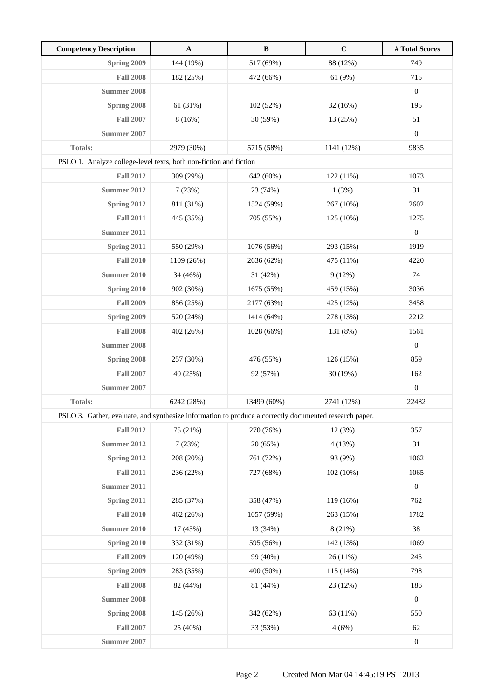| <b>Competency Description</b>                                                                          | $\mathbf{A}$ | $\, {\bf B}$ | $\mathbf C$ | # Total Scores   |
|--------------------------------------------------------------------------------------------------------|--------------|--------------|-------------|------------------|
| Spring 2009                                                                                            | 144 (19%)    | 517 (69%)    | 88 (12%)    | 749              |
| <b>Fall 2008</b>                                                                                       | 182 (25%)    | 472 (66%)    | 61 (9%)     | 715              |
| Summer 2008                                                                                            |              |              |             | $\boldsymbol{0}$ |
| Spring 2008                                                                                            | 61 (31%)     | 102 (52%)    | 32 (16%)    | 195              |
| <b>Fall 2007</b>                                                                                       | 8(16%)       | 30 (59%)     | 13 (25%)    | 51               |
| Summer 2007                                                                                            |              |              |             | $\boldsymbol{0}$ |
| <b>Totals:</b>                                                                                         | 2979 (30%)   | 5715 (58%)   | 1141 (12%)  | 9835             |
| PSLO 1. Analyze college-level texts, both non-fiction and fiction                                      |              |              |             |                  |
| <b>Fall 2012</b>                                                                                       | 309 (29%)    | 642 (60%)    | 122(11%)    | 1073             |
| <b>Summer 2012</b>                                                                                     | 7(23%)       | 23 (74%)     | 1(3%)       | 31               |
| Spring 2012                                                                                            | 811 (31%)    | 1524 (59%)   | 267 (10%)   | 2602             |
| <b>Fall 2011</b>                                                                                       | 445 (35%)    | 705 (55%)    | 125 (10%)   | 1275             |
| Summer 2011                                                                                            |              |              |             | $\boldsymbol{0}$ |
| Spring 2011                                                                                            | 550 (29%)    | 1076 (56%)   | 293 (15%)   | 1919             |
| <b>Fall 2010</b>                                                                                       | 1109 (26%)   | 2636 (62%)   | 475 (11%)   | 4220             |
| <b>Summer 2010</b>                                                                                     | 34 (46%)     | 31 (42%)     | 9(12%)      | 74               |
| <b>Spring 2010</b>                                                                                     | 902 (30%)    | 1675 (55%)   | 459 (15%)   | 3036             |
| <b>Fall 2009</b>                                                                                       | 856 (25%)    | 2177 (63%)   | 425 (12%)   | 3458             |
| Spring 2009                                                                                            | 520 (24%)    | 1414 (64%)   | 278 (13%)   | 2212             |
| <b>Fall 2008</b>                                                                                       | 402 (26%)    | 1028 (66%)   | 131 (8%)    | 1561             |
| Summer 2008                                                                                            |              |              |             | $\boldsymbol{0}$ |
| Spring 2008                                                                                            | 257 (30%)    | 476 (55%)    | 126 (15%)   | 859              |
| <b>Fall 2007</b>                                                                                       | 40 (25%)     | 92 (57%)     | 30 (19%)    | 162              |
| Summer 2007                                                                                            |              |              |             | $\boldsymbol{0}$ |
| <b>Totals:</b>                                                                                         | 6242 (28%)   | 13499 (60%)  | 2741 (12%)  | 22482            |
| PSLO 3. Gather, evaluate, and synthesize information to produce a correctly documented research paper. |              |              |             |                  |
| <b>Fall 2012</b>                                                                                       | 75 (21%)     | 270 (76%)    | 12 (3%)     | 357              |
| <b>Summer 2012</b>                                                                                     | 7(23%)       | 20 (65%)     | 4(13%)      | 31               |
| Spring 2012                                                                                            | 208 (20%)    | 761 (72%)    | 93 (9%)     | 1062             |
| <b>Fall 2011</b>                                                                                       | 236 (22%)    | 727 (68%)    | 102 (10%)   | 1065             |
| <b>Summer 2011</b>                                                                                     |              |              |             | $\boldsymbol{0}$ |
| Spring 2011                                                                                            | 285 (37%)    | 358 (47%)    | 119 (16%)   | 762              |
| <b>Fall 2010</b>                                                                                       | 462 (26%)    | 1057 (59%)   | 263 (15%)   | 1782             |
| <b>Summer 2010</b>                                                                                     | 17 (45%)     | 13 (34%)     | 8 (21%)     | 38               |
| Spring 2010                                                                                            | 332 (31%)    | 595 (56%)    | 142 (13%)   | 1069             |
| <b>Fall 2009</b>                                                                                       | 120 (49%)    | 99 (40%)     | 26(11%)     | 245              |
| Spring 2009                                                                                            | 283 (35%)    | 400 (50%)    | 115 (14%)   | 798              |
| <b>Fall 2008</b>                                                                                       | 82 (44%)     | 81 (44%)     | 23 (12%)    | 186              |
| <b>Summer 2008</b>                                                                                     |              |              |             | $\boldsymbol{0}$ |
| Spring 2008                                                                                            | 145 (26%)    | 342 (62%)    | 63 (11%)    | 550              |
| <b>Fall 2007</b>                                                                                       | 25 (40%)     | 33 (53%)     | 4(6%)       | 62               |
| <b>Summer 2007</b>                                                                                     |              |              |             | $\boldsymbol{0}$ |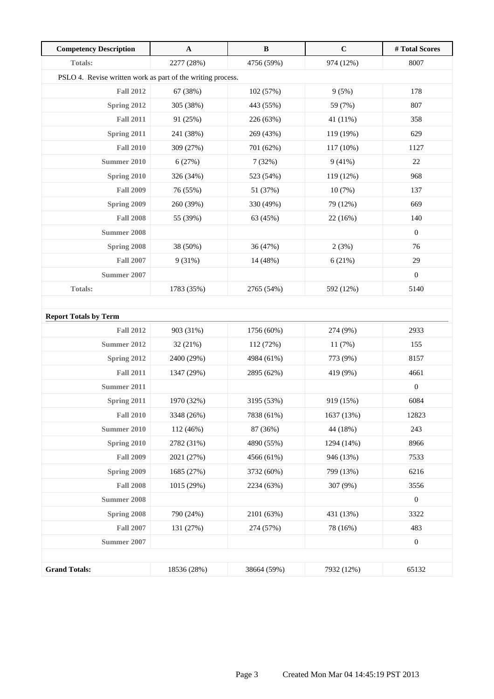| <b>Competency Description</b>                               | $\mathbf A$ | $\, {\bf B}$ | $\mathbf C$ | # Total Scores   |
|-------------------------------------------------------------|-------------|--------------|-------------|------------------|
| <b>Totals:</b>                                              | 2277 (28%)  | 4756 (59%)   | 974 (12%)   | 8007             |
| PSLO 4. Revise written work as part of the writing process. |             |              |             |                  |
| <b>Fall 2012</b>                                            | 67 (38%)    | 102(57%)     | 9(5%)       | 178              |
| Spring 2012                                                 | 305 (38%)   | 443 (55%)    | 59 (7%)     | 807              |
| <b>Fall 2011</b>                                            | 91 (25%)    | 226 (63%)    | 41 (11%)    | 358              |
| Spring 2011                                                 | 241 (38%)   | 269 (43%)    | 119 (19%)   | 629              |
| <b>Fall 2010</b>                                            | 309 (27%)   | 701 (62%)    | 117 (10%)   | 1127             |
| <b>Summer 2010</b>                                          | 6(27%)      | 7(32%)       | 9(41%)      | $22\,$           |
| Spring 2010                                                 | 326 (34%)   | 523 (54%)    | 119 (12%)   | 968              |
| <b>Fall 2009</b>                                            | 76 (55%)    | 51 (37%)     | 10(7%)      | 137              |
| Spring 2009                                                 | 260 (39%)   | 330 (49%)    | 79 (12%)    | 669              |
| <b>Fall 2008</b>                                            | 55 (39%)    | 63 (45%)     | 22 (16%)    | 140              |
| <b>Summer 2008</b>                                          |             |              |             | $\boldsymbol{0}$ |
| Spring 2008                                                 | 38 (50%)    | 36 (47%)     | 2(3%)       | 76               |
| <b>Fall 2007</b>                                            | 9(31%)      | 14 (48%)     | 6(21%)      | 29               |
| Summer 2007                                                 |             |              |             | $\boldsymbol{0}$ |
| <b>Totals:</b>                                              | 1783 (35%)  | 2765 (54%)   | 592 (12%)   | 5140             |
|                                                             |             |              |             |                  |
| <b>Report Totals by Term</b>                                |             |              |             |                  |
| <b>Fall 2012</b>                                            | 903 (31%)   | 1756 (60%)   | 274 (9%)    | 2933             |
| Summer 2012                                                 | 32 (21%)    | 112 (72%)    | 11(7%)      | 155              |
| Spring 2012                                                 | 2400 (29%)  | 4984 (61%)   | 773 (9%)    | 8157             |
| <b>Fall 2011</b>                                            | 1347 (29%)  | 2895 (62%)   | 419 (9%)    | 4661             |
| <b>Summer 2011</b>                                          |             |              |             | $\boldsymbol{0}$ |
| Spring 2011                                                 | 1970 (32%)  | 3195 (53%)   | 919 (15%)   | 6084             |
| <b>Fall 2010</b>                                            | 3348 (26%)  | 7838 (61%)   | 1637 (13%)  | 12823            |
| <b>Summer 2010</b>                                          | 112 (46%)   | 87 (36%)     | 44 (18%)    | 243              |
| Spring 2010                                                 | 2782 (31%)  | 4890 (55%)   | 1294 (14%)  | 8966             |
| <b>Fall 2009</b>                                            | 2021 (27%)  | 4566 (61%)   | 946 (13%)   | 7533             |
| Spring 2009                                                 | 1685 (27%)  | 3732 (60%)   | 799 (13%)   | 6216             |
| <b>Fall 2008</b>                                            | 1015 (29%)  | 2234 (63%)   | 307 (9%)    | 3556             |
| <b>Summer 2008</b>                                          |             |              |             | $\boldsymbol{0}$ |
| Spring 2008                                                 | 790 (24%)   | 2101 (63%)   | 431 (13%)   | 3322             |
| <b>Fall 2007</b>                                            | 131 (27%)   | 274 (57%)    | 78 (16%)    | 483              |
| <b>Summer 2007</b>                                          |             |              |             | $\boldsymbol{0}$ |
|                                                             |             |              |             |                  |
| <b>Grand Totals:</b>                                        | 18536 (28%) | 38664 (59%)  | 7932 (12%)  | 65132            |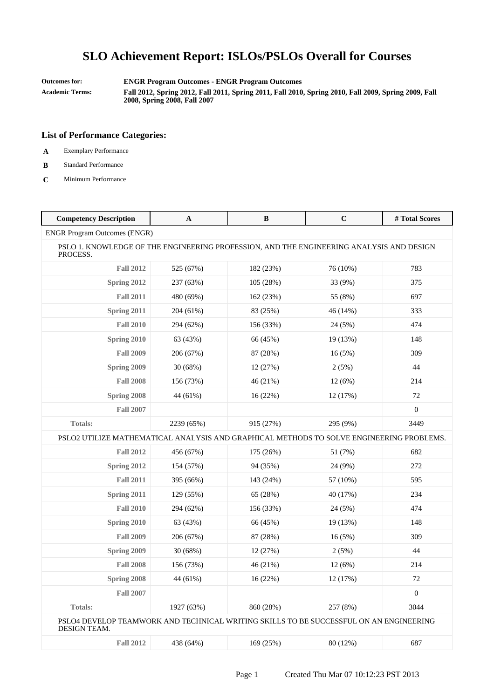**Outcomes for: ENGR Program Outcomes - ENGR Program Outcomes**

**Academic Terms: Fall 2012, Spring 2012, Fall 2011, Spring 2011, Fall 2010, Spring 2010, Fall 2009, Spring 2009, Fall 2008, Spring 2008, Fall 2007**

### **List of Performance Categories:**

**A** Exemplary Performance

#### **B** Standard Performance

**C** Minimum Performance

| <b>Competency Description</b>                                                                          | $\mathbf A$ | $\, {\bf B}$ | $\mathbf C$ | # Total Scores   |
|--------------------------------------------------------------------------------------------------------|-------------|--------------|-------------|------------------|
| <b>ENGR Program Outcomes (ENGR)</b>                                                                    |             |              |             |                  |
| PSLO 1. KNOWLEDGE OF THE ENGINEERING PROFESSION, AND THE ENGINEERING ANALYSIS AND DESIGN<br>PROCESS.   |             |              |             |                  |
| <b>Fall 2012</b>                                                                                       | 525 (67%)   | 182 (23%)    | 76 (10%)    | 783              |
| Spring 2012                                                                                            | 237 (63%)   | 105 (28%)    | 33 (9%)     | 375              |
| <b>Fall 2011</b>                                                                                       | 480 (69%)   | 162 (23%)    | 55 (8%)     | 697              |
| Spring 2011                                                                                            | 204 (61%)   | 83 (25%)     | 46 (14%)    | 333              |
| <b>Fall 2010</b>                                                                                       | 294 (62%)   | 156 (33%)    | 24 (5%)     | 474              |
| Spring 2010                                                                                            | 63 (43%)    | 66 (45%)     | 19 (13%)    | 148              |
| <b>Fall 2009</b>                                                                                       | 206 (67%)   | 87 (28%)     | 16(5%)      | 309              |
| Spring 2009                                                                                            | 30 (68%)    | 12 (27%)     | 2(5%)       | 44               |
| <b>Fall 2008</b>                                                                                       | 156 (73%)   | 46 (21%)     | 12(6%)      | 214              |
| Spring 2008                                                                                            | 44 (61%)    | 16 (22%)     | 12 (17%)    | 72               |
| <b>Fall 2007</b>                                                                                       |             |              |             | $\boldsymbol{0}$ |
| <b>Totals:</b>                                                                                         | 2239 (65%)  | 915 (27%)    | 295 (9%)    | 3449             |
| PSLO2 UTILIZE MATHEMATICAL ANALYSIS AND GRAPHICAL METHODS TO SOLVE ENGINEERING PROBLEMS.               |             |              |             |                  |
| <b>Fall 2012</b>                                                                                       | 456 (67%)   | 175 (26%)    | 51 (7%)     | 682              |
| Spring 2012                                                                                            | 154 (57%)   | 94 (35%)     | 24 (9%)     | 272              |
| <b>Fall 2011</b>                                                                                       | 395 (66%)   | 143 (24%)    | 57 (10%)    | 595              |
| Spring 2011                                                                                            | 129 (55%)   | 65 (28%)     | 40 (17%)    | 234              |
| <b>Fall 2010</b>                                                                                       | 294 (62%)   | 156 (33%)    | 24 (5%)     | 474              |
| Spring 2010                                                                                            | 63 (43%)    | 66 (45%)     | 19 (13%)    | 148              |
| <b>Fall 2009</b>                                                                                       | 206 (67%)   | 87 (28%)     | 16(5%)      | 309              |
| Spring 2009                                                                                            | 30 (68%)    | 12 (27%)     | 2(5%)       | 44               |
| <b>Fall 2008</b>                                                                                       | 156 (73%)   | 46 (21%)     | 12(6%)      | 214              |
| <b>Spring 2008</b>                                                                                     | 44 (61%)    | 16(22%)      | 12 (17%)    | 72               |
| <b>Fall 2007</b>                                                                                       |             |              |             | $\boldsymbol{0}$ |
| <b>Totals:</b>                                                                                         | 1927 (63%)  | 860 (28%)    | 257 (8%)    | 3044             |
| PSLO4 DEVELOP TEAMWORK AND TECHNICAL WRITING SKILLS TO BE SUCCESSFUL ON AN ENGINEERING<br>DESIGN TEAM. |             |              |             |                  |
| <b>Fall 2012</b>                                                                                       | 438 (64%)   | 169 (25%)    | 80 (12%)    | 687              |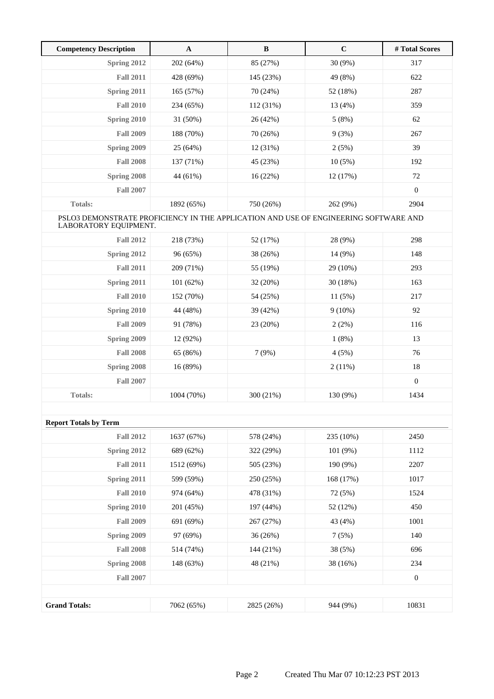| <b>Competency Description</b>                                                                                 | $\mathbf{A}$ | $\, {\bf B}$ | $\mathbf C$ | #Total Scores    |
|---------------------------------------------------------------------------------------------------------------|--------------|--------------|-------------|------------------|
| Spring 2012                                                                                                   | 202 (64%)    | 85 (27%)     | 30 (9%)     | 317              |
| <b>Fall 2011</b>                                                                                              | 428 (69%)    | 145 (23%)    | 49 (8%)     | 622              |
| Spring 2011                                                                                                   | 165 (57%)    | 70 (24%)     | 52 (18%)    | 287              |
| <b>Fall 2010</b>                                                                                              | 234 (65%)    | 112 (31%)    | 13 (4%)     | 359              |
| Spring 2010                                                                                                   | 31 (50%)     | 26 (42%)     | 5(8%)       | 62               |
| <b>Fall 2009</b>                                                                                              | 188 (70%)    | 70 (26%)     | 9(3%)       | 267              |
| Spring 2009                                                                                                   | 25 (64%)     | 12(31%)      | 2(5%)       | 39               |
| <b>Fall 2008</b>                                                                                              | 137 (71%)    | 45 (23%)     | 10(5%)      | 192              |
| Spring 2008                                                                                                   | 44 (61%)     | 16(22%)      | 12 (17%)    | 72               |
| <b>Fall 2007</b>                                                                                              |              |              |             | $\boldsymbol{0}$ |
| <b>Totals:</b>                                                                                                | 1892 (65%)   | 750 (26%)    | 262 (9%)    | 2904             |
| PSLO3 DEMONSTRATE PROFICIENCY IN THE APPLICATION AND USE OF ENGINEERING SOFTWARE AND<br>LABORATORY EQUIPMENT. |              |              |             |                  |
| <b>Fall 2012</b>                                                                                              | 218 (73%)    | 52 (17%)     | 28 (9%)     | 298              |
| Spring 2012                                                                                                   | 96 (65%)     | 38 (26%)     | 14 (9%)     | 148              |
| <b>Fall 2011</b>                                                                                              | 209 (71%)    | 55 (19%)     | 29 (10%)    | 293              |
| Spring 2011                                                                                                   | 101(62%)     | 32 (20%)     | 30 (18%)    | 163              |
| <b>Fall 2010</b>                                                                                              | 152 (70%)    | 54 (25%)     | 11(5%)      | 217              |
| Spring 2010                                                                                                   | 44 (48%)     | 39 (42%)     | $9(10\%)$   | 92               |
| <b>Fall 2009</b>                                                                                              | 91 (78%)     | 23 (20%)     | 2(2%)       | 116              |
| Spring 2009                                                                                                   | 12 (92%)     |              | 1(8%)       | 13               |
| <b>Fall 2008</b>                                                                                              | 65 (86%)     | 7(9%)        | 4(5%)       | 76               |
| Spring 2008                                                                                                   | 16 (89%)     |              | 2(11%)      | 18               |
| <b>Fall 2007</b>                                                                                              |              |              |             | $\boldsymbol{0}$ |
| <b>Totals:</b>                                                                                                | 1004 (70%)   | 300 (21%)    | 130 (9%)    | 1434             |
|                                                                                                               |              |              |             |                  |
| <b>Report Totals by Term</b>                                                                                  |              |              |             |                  |
| <b>Fall 2012</b>                                                                                              | 1637 (67%)   | 578 (24%)    | 235 (10%)   | 2450             |
| Spring 2012                                                                                                   | 689 (62%)    | 322 (29%)    | 101 (9%)    | 1112             |
| <b>Fall 2011</b>                                                                                              | 1512 (69%)   | 505 (23%)    | 190 (9%)    | 2207             |
| Spring 2011                                                                                                   | 599 (59%)    | 250 (25%)    | 168 (17%)   | 1017             |
| <b>Fall 2010</b>                                                                                              | 974 (64%)    | 478 (31%)    | 72 (5%)     | 1524             |
| <b>Spring 2010</b>                                                                                            | 201 (45%)    | 197 (44%)    | 52 (12%)    | 450              |
| <b>Fall 2009</b>                                                                                              | 691 (69%)    | 267 (27%)    | 43 (4%)     | 1001             |
| Spring 2009                                                                                                   | 97 (69%)     | 36 (26%)     | 7(5%)       | 140              |
| <b>Fall 2008</b>                                                                                              | 514 (74%)    | 144 (21%)    | 38 (5%)     | 696              |
| Spring 2008                                                                                                   | 148 (63%)    | 48 (21%)     | 38 (16%)    | 234              |
| <b>Fall 2007</b>                                                                                              |              |              |             | $\boldsymbol{0}$ |
|                                                                                                               |              |              |             |                  |
| <b>Grand Totals:</b>                                                                                          | 7062 (65%)   | 2825 (26%)   | 944 (9%)    | 10831            |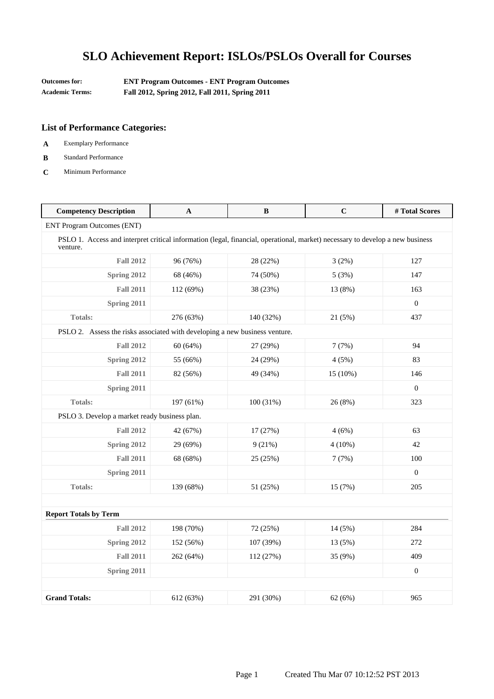| <b>Outcomes for:</b> | <b>ENT Program Outcomes - ENT Program Outcomes</b> |
|----------------------|----------------------------------------------------|
| Academic Terms:      | Fall 2012, Spring 2012, Fall 2011, Spring 2011     |

- **A** Exemplary Performance
- **B** Standard Performance
- **C** Minimum Performance

| <b>Competency Description</b>                                                                                                             | A         | B         | $\mathbf C$ | #Total Scores    |
|-------------------------------------------------------------------------------------------------------------------------------------------|-----------|-----------|-------------|------------------|
| <b>ENT Program Outcomes (ENT)</b>                                                                                                         |           |           |             |                  |
| PSLO 1. Access and interpret critical information (legal, financial, operational, market) necessary to develop a new business<br>venture. |           |           |             |                  |
| <b>Fall 2012</b>                                                                                                                          | 96 (76%)  | 28 (22%)  | 3(2%)       | 127              |
| Spring 2012                                                                                                                               | 68 (46%)  | 74 (50%)  | 5(3%)       | 147              |
| <b>Fall 2011</b>                                                                                                                          | 112 (69%) | 38 (23%)  | 13 (8%)     | 163              |
| Spring 2011                                                                                                                               |           |           |             | $\boldsymbol{0}$ |
| <b>Totals:</b>                                                                                                                            | 276 (63%) | 140 (32%) | 21 (5%)     | 437              |
| PSLO 2. Assess the risks associated with developing a new business venture.                                                               |           |           |             |                  |
| <b>Fall 2012</b>                                                                                                                          | 60 (64%)  | 27 (29%)  | 7(7%)       | 94               |
| Spring 2012                                                                                                                               | 55 (66%)  | 24 (29%)  | 4(5%)       | 83               |
| <b>Fall 2011</b>                                                                                                                          | 82 (56%)  | 49 (34%)  | 15 (10%)    | 146              |
| Spring 2011                                                                                                                               |           |           |             | $\boldsymbol{0}$ |
| <b>Totals:</b>                                                                                                                            | 197 (61%) | 100 (31%) | 26 (8%)     | 323              |
| PSLO 3. Develop a market ready business plan.                                                                                             |           |           |             |                  |
| <b>Fall 2012</b>                                                                                                                          | 42 (67%)  | 17 (27%)  | 4(6%)       | 63               |
| <b>Spring 2012</b>                                                                                                                        | 29 (69%)  | 9(21%)    | $4(10\%)$   | 42               |
| <b>Fall 2011</b>                                                                                                                          | 68 (68%)  | 25 (25%)  | 7(7%)       | 100              |
| Spring 2011                                                                                                                               |           |           |             | $\boldsymbol{0}$ |
| <b>Totals:</b>                                                                                                                            | 139 (68%) | 51 (25%)  | 15(7%)      | 205              |
|                                                                                                                                           |           |           |             |                  |
| <b>Report Totals by Term</b>                                                                                                              |           |           |             |                  |
| <b>Fall 2012</b>                                                                                                                          | 198 (70%) | 72 (25%)  | 14 (5%)     | 284              |
| Spring 2012                                                                                                                               | 152 (56%) | 107 (39%) | 13 (5%)     | 272              |
| <b>Fall 2011</b>                                                                                                                          | 262 (64%) | 112 (27%) | 35 (9%)     | 409              |
| Spring 2011                                                                                                                               |           |           |             | $\boldsymbol{0}$ |
|                                                                                                                                           |           |           |             |                  |
| <b>Grand Totals:</b>                                                                                                                      | 612 (63%) | 291 (30%) | 62(6%)      | 965              |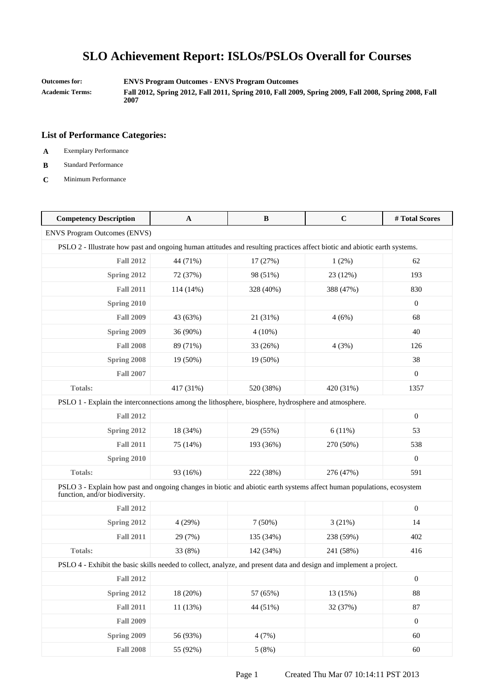**Outcomes for: ENVS Program Outcomes - ENVS Program Outcomes**

**Academic Terms: Fall 2012, Spring 2012, Fall 2011, Spring 2010, Fall 2009, Spring 2009, Fall 2008, Spring 2008, Fall 2007**

- **A** Exemplary Performance
- **B** Standard Performance
- **C** Minimum Performance

| <b>Competency Description</b>                                                                                                                           | A         | B         | $\mathbf C$ | #Total Scores    |
|---------------------------------------------------------------------------------------------------------------------------------------------------------|-----------|-----------|-------------|------------------|
| <b>ENVS Program Outcomes (ENVS)</b>                                                                                                                     |           |           |             |                  |
| PSLO 2 - Illustrate how past and ongoing human attitudes and resulting practices affect biotic and abiotic earth systems.                               |           |           |             |                  |
| <b>Fall 2012</b>                                                                                                                                        | 44 (71%)  | 17 (27%)  | 1(2%)       | 62               |
| Spring 2012                                                                                                                                             | 72 (37%)  | 98 (51%)  | 23 (12%)    | 193              |
| <b>Fall 2011</b>                                                                                                                                        | 114 (14%) | 328 (40%) | 388 (47%)   | 830              |
| Spring 2010                                                                                                                                             |           |           |             | $\mathbf{0}$     |
| <b>Fall 2009</b>                                                                                                                                        | 43 (63%)  | 21 (31%)  | 4(6%)       | 68               |
| Spring 2009                                                                                                                                             | 36 (90%)  | $4(10\%)$ |             | 40               |
| <b>Fall 2008</b>                                                                                                                                        | 89 (71%)  | 33 (26%)  | 4(3%)       | 126              |
| Spring 2008                                                                                                                                             | 19 (50%)  | 19 (50%)  |             | 38               |
| <b>Fall 2007</b>                                                                                                                                        |           |           |             | $\mathbf{0}$     |
| <b>Totals:</b>                                                                                                                                          | 417 (31%) | 520 (38%) | 420 (31%)   | 1357             |
| PSLO 1 - Explain the interconnections among the lithosphere, biosphere, hydrosphere and atmosphere.                                                     |           |           |             |                  |
| <b>Fall 2012</b>                                                                                                                                        |           |           |             | $\mathbf{0}$     |
| Spring 2012                                                                                                                                             | 18 (34%)  | 29 (55%)  | 6(11%)      | 53               |
| <b>Fall 2011</b>                                                                                                                                        | 75 (14%)  | 193 (36%) | 270 (50%)   | 538              |
| Spring 2010                                                                                                                                             |           |           |             | $\mathbf{0}$     |
| <b>Totals:</b>                                                                                                                                          | 93 (16%)  | 222 (38%) | 276 (47%)   | 591              |
| PSLO 3 - Explain how past and ongoing changes in biotic and abiotic earth systems affect human populations, ecosystem<br>function, and/or biodiversity. |           |           |             |                  |
| <b>Fall 2012</b>                                                                                                                                        |           |           |             | $\mathbf{0}$     |
| Spring 2012                                                                                                                                             | 4 (29%)   | 7(50%)    | 3(21%)      | 14               |
| <b>Fall 2011</b>                                                                                                                                        | 29 (7%)   | 135 (34%) | 238 (59%)   | 402              |
| <b>Totals:</b>                                                                                                                                          | 33 (8%)   | 142 (34%) | 241 (58%)   | 416              |
| PSLO 4 - Exhibit the basic skills needed to collect, analyze, and present data and design and implement a project.                                      |           |           |             |                  |
| <b>Fall 2012</b>                                                                                                                                        |           |           |             | $\boldsymbol{0}$ |
| Spring 2012                                                                                                                                             | 18 (20%)  | 57 (65%)  | 13 (15%)    | 88               |
| <b>Fall 2011</b>                                                                                                                                        | 11 (13%)  | 44 (51%)  | 32 (37%)    | $87\,$           |
| <b>Fall 2009</b>                                                                                                                                        |           |           |             | $\boldsymbol{0}$ |
| Spring 2009                                                                                                                                             | 56 (93%)  | 4(7%)     |             | 60               |
| <b>Fall 2008</b>                                                                                                                                        | 55 (92%)  | 5(8%)     |             | 60               |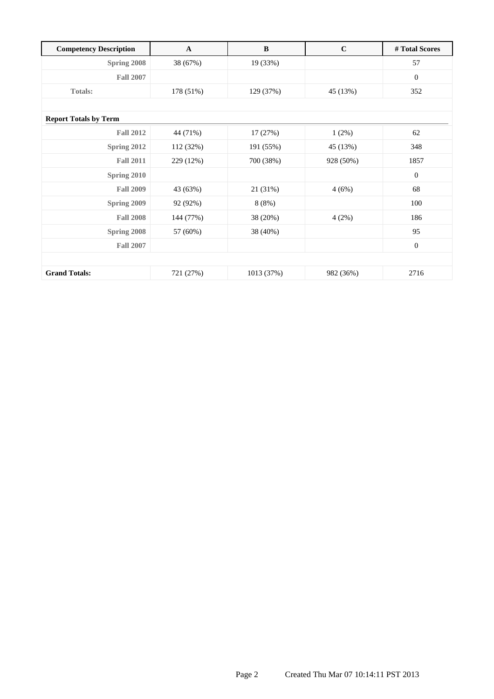| <b>Competency Description</b> | $\mathbf A$ | B          | $\mathbf C$ | # Total Scores   |
|-------------------------------|-------------|------------|-------------|------------------|
| Spring 2008                   | 38 (67%)    | 19 (33%)   |             | 57               |
| <b>Fall 2007</b>              |             |            |             | $\mathbf{0}$     |
| <b>Totals:</b>                | 178 (51%)   | 129 (37%)  | 45 (13%)    | 352              |
|                               |             |            |             |                  |
| <b>Report Totals by Term</b>  |             |            |             |                  |
| <b>Fall 2012</b>              | 44 (71%)    | 17 (27%)   | 1(2%)       | 62               |
| Spring 2012                   | 112 (32%)   | 191 (55%)  | 45 (13%)    | 348              |
| <b>Fall 2011</b>              | 229 (12%)   | 700 (38%)  | 928 (50%)   | 1857             |
| Spring 2010                   |             |            |             | $\mathbf{0}$     |
| <b>Fall 2009</b>              | 43 (63%)    | 21 (31%)   | 4(6%)       | 68               |
| Spring 2009                   | 92 (92%)    | 8(8%)      |             | 100              |
| <b>Fall 2008</b>              | 144 (77%)   | 38 (20%)   | 4(2%)       | 186              |
| Spring 2008                   | 57 (60%)    | 38 (40%)   |             | 95               |
| <b>Fall 2007</b>              |             |            |             | $\boldsymbol{0}$ |
|                               |             |            |             |                  |
| <b>Grand Totals:</b>          | 721 (27%)   | 1013 (37%) | 982 (36%)   | 2716             |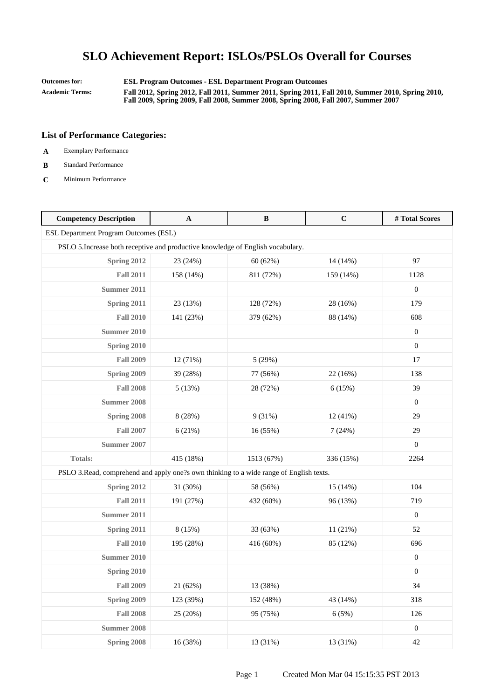**Outcomes for: ESL Program Outcomes - ESL Department Program Outcomes Academic Terms: Fall 2012, Spring 2012, Fall 2011, Summer 2011, Spring 2011, Fall 2010, Summer 2010, Spring 2010, Fall 2009, Spring 2009, Fall 2008, Summer 2008, Spring 2008, Fall 2007, Summer 2007**

- **A** Exemplary Performance
- **B** Standard Performance
- **C** Minimum Performance

| <b>Competency Description</b>                                                           | $\mathbf A$ | $\, {\bf B}$ | $\mathbf C$ | #Total Scores    |
|-----------------------------------------------------------------------------------------|-------------|--------------|-------------|------------------|
| ESL Department Program Outcomes (ESL)                                                   |             |              |             |                  |
| PSLO 5. Increase both receptive and productive knowledge of English vocabulary.         |             |              |             |                  |
| Spring 2012                                                                             | 23 (24%)    | 60 (62%)     | 14 (14%)    | 97               |
| <b>Fall 2011</b>                                                                        | 158 (14%)   | 811 (72%)    | 159 (14%)   | 1128             |
| Summer 2011                                                                             |             |              |             | $\boldsymbol{0}$ |
| Spring 2011                                                                             | 23 (13%)    | 128 (72%)    | 28 (16%)    | 179              |
| <b>Fall 2010</b>                                                                        | 141 (23%)   | 379 (62%)    | 88 (14%)    | 608              |
| <b>Summer 2010</b>                                                                      |             |              |             | $\boldsymbol{0}$ |
| Spring 2010                                                                             |             |              |             | $\boldsymbol{0}$ |
| <b>Fall 2009</b>                                                                        | 12 (71%)    | 5(29%)       |             | 17               |
| Spring 2009                                                                             | 39 (28%)    | 77 (56%)     | 22 (16%)    | 138              |
| <b>Fall 2008</b>                                                                        | 5(13%)      | 28 (72%)     | 6(15%)      | 39               |
| <b>Summer 2008</b>                                                                      |             |              |             | $\mathbf{0}$     |
| Spring 2008                                                                             | 8(28%)      | 9(31%)       | 12(41%)     | 29               |
| <b>Fall 2007</b>                                                                        | 6(21%)      | 16 (55%)     | 7(24%)      | 29               |
| <b>Summer 2007</b>                                                                      |             |              |             | $\boldsymbol{0}$ |
| Totals:                                                                                 | 415 (18%)   | 1513 (67%)   | 336 (15%)   | 2264             |
| PSLO 3. Read, comprehend and apply one?s own thinking to a wide range of English texts. |             |              |             |                  |
| Spring 2012                                                                             | 31 (30%)    | 58 (56%)     | 15(14%)     | 104              |
| <b>Fall 2011</b>                                                                        | 191 (27%)   | 432 (60%)    | 96 (13%)    | 719              |
| <b>Summer 2011</b>                                                                      |             |              |             | $\mathbf{0}$     |
| Spring 2011                                                                             | 8(15%)      | 33 (63%)     | 11(21%)     | 52               |
| <b>Fall 2010</b>                                                                        | 195 (28%)   | 416 (60%)    | 85 (12%)    | 696              |
| <b>Summer 2010</b>                                                                      |             |              |             | $\boldsymbol{0}$ |
| Spring 2010                                                                             |             |              |             | $\boldsymbol{0}$ |
| <b>Fall 2009</b>                                                                        | 21 (62%)    | 13 (38%)     |             | 34               |
| Spring 2009                                                                             | 123 (39%)   | 152 (48%)    | 43 (14%)    | 318              |
| <b>Fall 2008</b>                                                                        | 25 (20%)    | 95 (75%)     | 6(5%)       | 126              |
| <b>Summer 2008</b>                                                                      |             |              |             | $\boldsymbol{0}$ |
| Spring 2008                                                                             | 16 (38%)    | 13 (31%)     | 13 (31%)    | $42\,$           |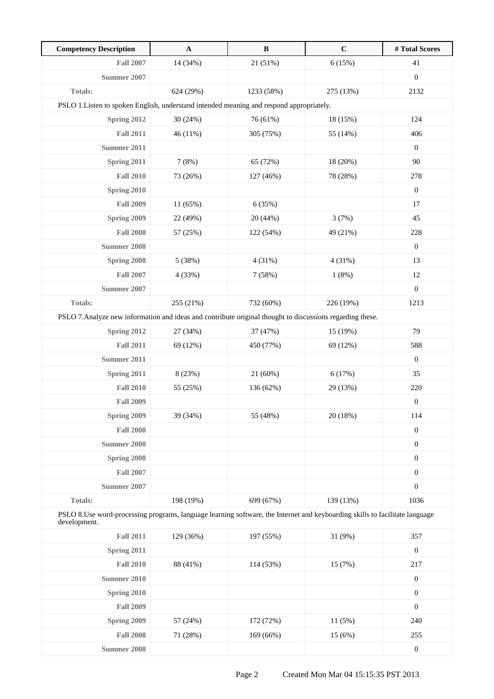| <b>Competency Description</b>                                                                                                                | $\mathbf A$ | $\, {\bf B}$ | $\mathbf C$ | # Total Scores   |
|----------------------------------------------------------------------------------------------------------------------------------------------|-------------|--------------|-------------|------------------|
| <b>Fall 2007</b>                                                                                                                             | 14 (34%)    | 21 (51%)     | 6(15%)      | 41               |
| <b>Summer 2007</b>                                                                                                                           |             |              |             | $\boldsymbol{0}$ |
| Totals:                                                                                                                                      | 624 (29%)   | 1233 (58%)   | 275 (13%)   | 2132             |
| PSLO 1. Listen to spoken English, understand intended meaning and respond appropriately.                                                     |             |              |             |                  |
| Spring 2012                                                                                                                                  | 30 (24%)    | 76 (61%)     | 18 (15%)    | 124              |
| <b>Fall 2011</b>                                                                                                                             | 46 (11%)    | 305 (75%)    | 55 (14%)    | 406              |
| <b>Summer 2011</b>                                                                                                                           |             |              |             | $\mathbf{0}$     |
| Spring 2011                                                                                                                                  | 7(8%)       | 65 (72%)     | 18(20%)     | 90               |
| <b>Fall 2010</b>                                                                                                                             | 73 (26%)    | 127 (46%)    | 78 (28%)    | 278              |
| Spring 2010                                                                                                                                  |             |              |             | $\boldsymbol{0}$ |
| <b>Fall 2009</b>                                                                                                                             | 11 (65%)    | 6(35%)       |             | 17               |
| Spring 2009                                                                                                                                  | 22 (49%)    | 20 (44%)     | 3(7%)       | 45               |
| <b>Fall 2008</b>                                                                                                                             | 57 (25%)    | 122 (54%)    | 49 (21%)    | 228              |
| Summer 2008                                                                                                                                  |             |              |             | $\boldsymbol{0}$ |
| Spring 2008                                                                                                                                  | 5 (38%)     | 4(31%)       | 4(31%)      | 13               |
| <b>Fall 2007</b>                                                                                                                             | 4 (33%)     | 7(58%)       | 1(8%)       | 12               |
| <b>Summer 2007</b>                                                                                                                           |             |              |             | $\boldsymbol{0}$ |
| Totals:                                                                                                                                      | 255 (21%)   | 732 (60%)    | 226 (19%)   | 1213             |
| PSLO 7. Analyze new information and ideas and contribute original thought to discussions regarding these.                                    |             |              |             |                  |
| Spring 2012                                                                                                                                  | 27 (34%)    | 37 (47%)     | 15(19%)     | 79               |
| <b>Fall 2011</b>                                                                                                                             | 69 (12%)    | 450 (77%)    | 69 (12%)    | 588              |
| <b>Summer 2011</b>                                                                                                                           |             |              |             | $\boldsymbol{0}$ |
| Spring 2011                                                                                                                                  | 8 (23%)     | 21 (60%)     | 6(17%)      | 35               |
| <b>Fall 2010</b>                                                                                                                             | 55 (25%)    | 136 (62%)    | 29 (13%)    | 220              |
| <b>Fall 2009</b>                                                                                                                             |             |              |             | $\boldsymbol{0}$ |
| <b>Spring 2009</b>                                                                                                                           | 39 (34%)    | 55 (48%)     | 20 (18%)    | 114              |
| <b>Fall 2008</b>                                                                                                                             |             |              |             | $\boldsymbol{0}$ |
| <b>Summer 2008</b>                                                                                                                           |             |              |             | $\boldsymbol{0}$ |
| Spring 2008                                                                                                                                  |             |              |             | $\boldsymbol{0}$ |
| <b>Fall 2007</b>                                                                                                                             |             |              |             | $\boldsymbol{0}$ |
| <b>Summer 2007</b>                                                                                                                           |             |              |             | $\boldsymbol{0}$ |
| Totals:                                                                                                                                      | 198 (19%)   | 699 (67%)    | 139 (13%)   | 1036             |
| PSLO 8. Use word-processing programs, language learning software, the Internet and keyboarding skills to facilitate language<br>development. |             |              |             |                  |
| <b>Fall 2011</b>                                                                                                                             | 129 (36%)   | 197 (55%)    | 31 (9%)     | 357              |
| Spring 2011                                                                                                                                  |             |              |             | $\boldsymbol{0}$ |
| <b>Fall 2010</b>                                                                                                                             | 88 (41%)    | 114 (53%)    | 15 (7%)     | 217              |
| <b>Summer 2010</b>                                                                                                                           |             |              |             | $\boldsymbol{0}$ |
| Spring 2010                                                                                                                                  |             |              |             | $\boldsymbol{0}$ |
| <b>Fall 2009</b>                                                                                                                             |             |              |             | $\boldsymbol{0}$ |
| Spring 2009                                                                                                                                  | 57 (24%)    | 172 (72%)    | 11(5%)      | 240              |
| <b>Fall 2008</b>                                                                                                                             | 71 (28%)    | 169(66%)     | 15 (6%)     | 255              |
| <b>Summer 2008</b>                                                                                                                           |             |              |             | $\boldsymbol{0}$ |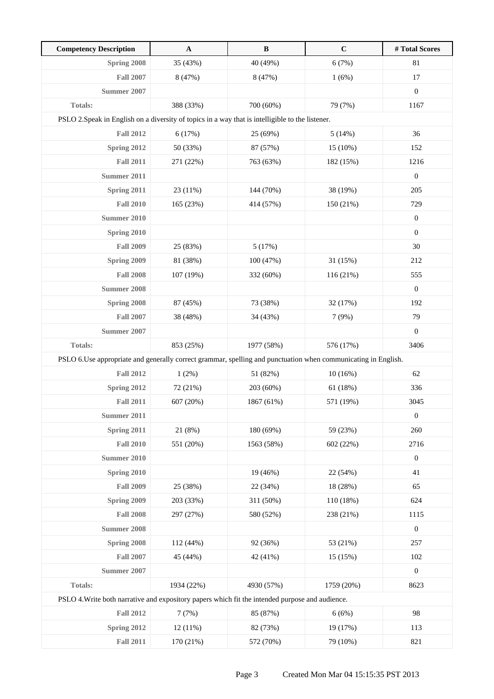| <b>Competency Description</b>                                                                                  | $\mathbf A$ | $\, {\bf B}$ | $\mathbf C$ | # Total Scores   |
|----------------------------------------------------------------------------------------------------------------|-------------|--------------|-------------|------------------|
| Spring 2008                                                                                                    | 35 (43%)    | 40 (49%)     | 6(7%)       | 81               |
| <b>Fall 2007</b>                                                                                               | 8 (47%)     | 8 (47%)      | 1(6%)       | 17               |
| Summer 2007                                                                                                    |             |              |             | $\boldsymbol{0}$ |
| <b>Totals:</b>                                                                                                 | 388 (33%)   | 700 (60%)    | 79 (7%)     | 1167             |
| PSLO 2. Speak in English on a diversity of topics in a way that is intelligible to the listener.               |             |              |             |                  |
| <b>Fall 2012</b>                                                                                               | 6(17%)      | 25 (69%)     | 5(14%)      | 36               |
| <b>Spring 2012</b>                                                                                             | 50 (33%)    | 87 (57%)     | 15 (10%)    | 152              |
| <b>Fall 2011</b>                                                                                               | 271 (22%)   | 763 (63%)    | 182 (15%)   | 1216             |
| Summer 2011                                                                                                    |             |              |             | $\boldsymbol{0}$ |
| <b>Spring 2011</b>                                                                                             | 23 (11%)    | 144 (70%)    | 38 (19%)    | 205              |
| <b>Fall 2010</b>                                                                                               | 165 (23%)   | 414 (57%)    | 150 (21%)   | 729              |
| <b>Summer 2010</b>                                                                                             |             |              |             | $\boldsymbol{0}$ |
| <b>Spring 2010</b>                                                                                             |             |              |             | $\boldsymbol{0}$ |
| <b>Fall 2009</b>                                                                                               | 25 (83%)    | 5(17%)       |             | 30               |
| Spring 2009                                                                                                    | 81 (38%)    | 100(47%)     | 31(15%)     | 212              |
| <b>Fall 2008</b>                                                                                               | 107 (19%)   | 332 (60%)    | 116 (21%)   | 555              |
| <b>Summer 2008</b>                                                                                             |             |              |             | $\boldsymbol{0}$ |
| Spring 2008                                                                                                    | 87 (45%)    | 73 (38%)     | 32 (17%)    | 192              |
| <b>Fall 2007</b>                                                                                               | 38 (48%)    | 34 (43%)     | 7(9%)       | 79               |
| <b>Summer 2007</b>                                                                                             |             |              |             | $\boldsymbol{0}$ |
| <b>Totals:</b>                                                                                                 | 853 (25%)   | 1977 (58%)   | 576 (17%)   | 3406             |
| PSLO 6. Use appropriate and generally correct grammar, spelling and punctuation when communicating in English. |             |              |             |                  |
| <b>Fall 2012</b>                                                                                               | 1(2%)       | 51 (82%)     | 10(16%)     | 62               |
| Spring 2012                                                                                                    | 72 (21%)    | 203 (60%)    | 61 (18%)    | 336              |
| <b>Fall 2011</b>                                                                                               | 607 (20%)   | 1867 (61%)   | 571 (19%)   | 3045             |
| <b>Summer 2011</b>                                                                                             |             |              |             | $\boldsymbol{0}$ |
| Spring 2011                                                                                                    | 21 (8%)     | 180 (69%)    | 59 (23%)    | 260              |
| <b>Fall 2010</b>                                                                                               | 551 (20%)   | 1563 (58%)   | 602 (22%)   | 2716             |
| <b>Summer 2010</b>                                                                                             |             |              |             | $\boldsymbol{0}$ |
| Spring 2010                                                                                                    |             | 19 (46%)     | 22 (54%)    | 41               |
| <b>Fall 2009</b>                                                                                               | 25 (38%)    | 22 (34%)     | 18 (28%)    | 65               |
| Spring 2009                                                                                                    | 203 (33%)   | 311 (50%)    | 110 (18%)   | 624              |
| <b>Fall 2008</b>                                                                                               | 297 (27%)   | 580 (52%)    | 238 (21%)   | 1115             |
| <b>Summer 2008</b>                                                                                             |             |              |             | $\boldsymbol{0}$ |
| Spring 2008                                                                                                    | 112 (44%)   | 92 (36%)     | 53 (21%)    | 257              |
| <b>Fall 2007</b>                                                                                               | 45 (44%)    | 42 (41%)     | 15 (15%)    | 102              |
| <b>Summer 2007</b>                                                                                             |             |              |             | $\boldsymbol{0}$ |
| <b>Totals:</b>                                                                                                 | 1934 (22%)  | 4930 (57%)   | 1759 (20%)  | 8623             |
| PSLO 4. Write both narrative and expository papers which fit the intended purpose and audience.                |             |              |             |                  |
| <b>Fall 2012</b>                                                                                               | 7(7%)       | 85 (87%)     | 6(6%)       | 98               |
| Spring 2012                                                                                                    | 12(11%)     | 82 (73%)     | 19 (17%)    | 113              |
| <b>Fall 2011</b>                                                                                               | 170 (21%)   | 572 (70%)    | 79 (10%)    | 821              |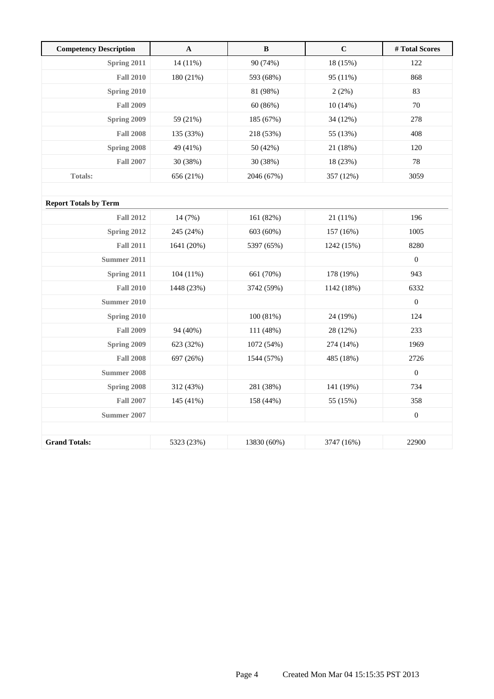| <b>Competency Description</b> | $\mathbf{A}$ | B           | $\mathbf C$ | # Total Scores   |
|-------------------------------|--------------|-------------|-------------|------------------|
| Spring 2011                   | 14 (11%)     | 90 (74%)    | 18 (15%)    | 122              |
| <b>Fall 2010</b>              | 180 (21%)    | 593 (68%)   | 95 (11%)    | 868              |
| Spring 2010                   |              | 81 (98%)    | 2(2%)       | 83               |
| <b>Fall 2009</b>              |              | 60(86%)     | 10(14%)     | 70               |
| Spring 2009                   | 59 (21%)     | 185 (67%)   | 34 (12%)    | 278              |
| <b>Fall 2008</b>              | 135 (33%)    | 218 (53%)   | 55 (13%)    | 408              |
| Spring 2008                   | 49 (41%)     | 50 (42%)    | 21 (18%)    | 120              |
| <b>Fall 2007</b>              | 30 (38%)     | 30 (38%)    | 18 (23%)    | 78               |
| <b>Totals:</b>                | 656 (21%)    | 2046 (67%)  | 357 (12%)   | 3059             |
|                               |              |             |             |                  |
| <b>Report Totals by Term</b>  |              |             |             |                  |
| <b>Fall 2012</b>              | 14 (7%)      | 161 (82%)   | $21(11\%)$  | 196              |
| Spring 2012                   | 245 (24%)    | 603 (60%)   | 157 (16%)   | 1005             |
| <b>Fall 2011</b>              | 1641 (20%)   | 5397 (65%)  | 1242 (15%)  | 8280             |
| <b>Summer 2011</b>            |              |             |             | $\boldsymbol{0}$ |
| Spring 2011                   | 104(11%)     | 661 (70%)   | 178 (19%)   | 943              |
| <b>Fall 2010</b>              | 1448 (23%)   | 3742 (59%)  | 1142 (18%)  | 6332             |
| <b>Summer 2010</b>            |              |             |             | $\boldsymbol{0}$ |
| Spring 2010                   |              | 100 (81%)   | 24 (19%)    | 124              |
| <b>Fall 2009</b>              | 94 (40%)     | 111 (48%)   | 28 (12%)    | 233              |
| Spring 2009                   | 623 (32%)    | 1072 (54%)  | 274 (14%)   | 1969             |
| <b>Fall 2008</b>              | 697 (26%)    | 1544 (57%)  | 485 (18%)   | 2726             |
| <b>Summer 2008</b>            |              |             |             | $\boldsymbol{0}$ |
| Spring 2008                   | 312 (43%)    | 281 (38%)   | 141 (19%)   | 734              |
| <b>Fall 2007</b>              | 145 (41%)    | 158 (44%)   | 55 (15%)    | 358              |
| <b>Summer 2007</b>            |              |             |             | $\boldsymbol{0}$ |
|                               |              |             |             |                  |
| <b>Grand Totals:</b>          | 5323 (23%)   | 13830 (60%) | 3747 (16%)  | 22900            |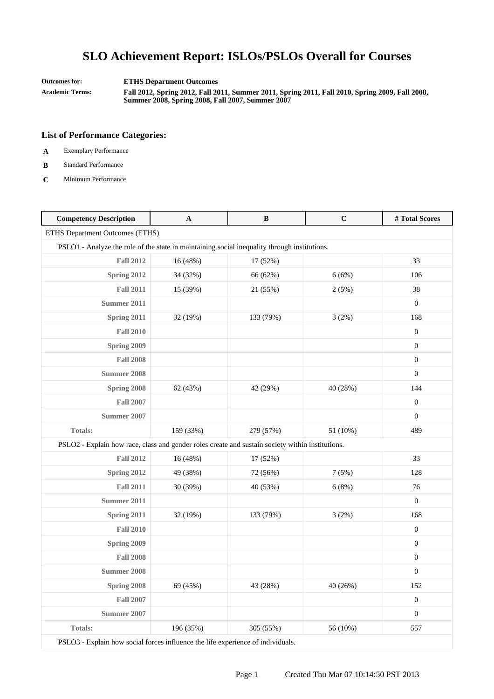**Outcomes for: ETHS Department Outcomes**

**Academic Terms: Fall 2012, Spring 2012, Fall 2011, Summer 2011, Spring 2011, Fall 2010, Spring 2009, Fall 2008, Summer 2008, Spring 2008, Fall 2007, Summer 2007**

### **List of Performance Categories:**

- **A** Exemplary Performance
- **B** Standard Performance
- **C** Minimum Performance

| <b>Competency Description</b>                                                                    | $\mathbf A$ | $\bf{B}$  | $\mathbf C$ | #Total Scores    |
|--------------------------------------------------------------------------------------------------|-------------|-----------|-------------|------------------|
| ETHS Department Outcomes (ETHS)                                                                  |             |           |             |                  |
| PSLO1 - Analyze the role of the state in maintaining social inequality through institutions.     |             |           |             |                  |
| <b>Fall 2012</b>                                                                                 | 16 (48%)    | 17 (52%)  |             | 33               |
| Spring 2012                                                                                      | 34 (32%)    | 66 (62%)  | 6(6%)       | 106              |
| <b>Fall 2011</b>                                                                                 | 15 (39%)    | 21 (55%)  | 2(5%)       | 38               |
| <b>Summer 2011</b>                                                                               |             |           |             | $\boldsymbol{0}$ |
| Spring 2011                                                                                      | 32 (19%)    | 133 (79%) | 3(2%)       | 168              |
| <b>Fall 2010</b>                                                                                 |             |           |             | $\mathbf{0}$     |
| Spring 2009                                                                                      |             |           |             | $\boldsymbol{0}$ |
| <b>Fall 2008</b>                                                                                 |             |           |             | $\boldsymbol{0}$ |
| <b>Summer 2008</b>                                                                               |             |           |             | $\overline{0}$   |
| Spring 2008                                                                                      | 62 (43%)    | 42 (29%)  | 40 (28%)    | 144              |
| <b>Fall 2007</b>                                                                                 |             |           |             | $\overline{0}$   |
| Summer 2007                                                                                      |             |           |             | $\overline{0}$   |
| <b>Totals:</b>                                                                                   | 159 (33%)   | 279 (57%) | 51 (10%)    | 489              |
| PSLO2 - Explain how race, class and gender roles create and sustain society within institutions. |             |           |             |                  |
| <b>Fall 2012</b>                                                                                 | 16 (48%)    | 17 (52%)  |             | 33               |
| <b>Spring 2012</b>                                                                               | 49 (38%)    | 72 (56%)  | 7(5%)       | 128              |
| <b>Fall 2011</b>                                                                                 | 30 (39%)    | 40 (53%)  | 6(8%)       | 76               |
| <b>Summer 2011</b>                                                                               |             |           |             | $\overline{0}$   |
| Spring 2011                                                                                      | 32 (19%)    | 133 (79%) | 3(2%)       | 168              |
| <b>Fall 2010</b>                                                                                 |             |           |             | $\boldsymbol{0}$ |
| Spring 2009                                                                                      |             |           |             | $\boldsymbol{0}$ |
| <b>Fall 2008</b>                                                                                 |             |           |             | $\overline{0}$   |
| <b>Summer 2008</b>                                                                               |             |           |             | $\boldsymbol{0}$ |
| Spring 2008                                                                                      | 69 (45%)    | 43 (28%)  | 40 (26%)    | 152              |
| <b>Fall 2007</b>                                                                                 |             |           |             | $\boldsymbol{0}$ |
| <b>Summer 2007</b>                                                                               |             |           |             | $\boldsymbol{0}$ |
| <b>Totals:</b>                                                                                   | 196 (35%)   | 305 (55%) | 56 (10%)    | 557              |

PSLO3 - Explain how social forces influence the life experience of individuals.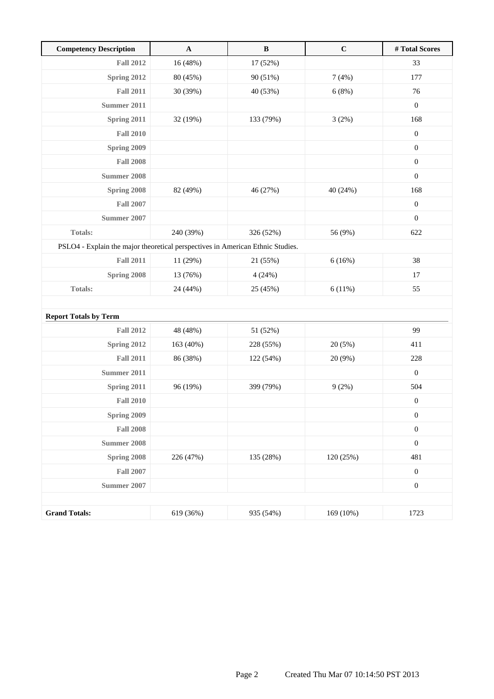| <b>Competency Description</b>                                                  | $\mathbf A$ | $\bf{B}$  | $\mathbf C$ | #Total Scores    |
|--------------------------------------------------------------------------------|-------------|-----------|-------------|------------------|
| <b>Fall 2012</b>                                                               | 16(48%)     | 17 (52%)  |             | 33               |
| Spring 2012                                                                    | 80 (45%)    | 90 (51%)  | 7(4%)       | 177              |
| <b>Fall 2011</b>                                                               | 30 (39%)    | 40 (53%)  | 6(8%)       | 76               |
| <b>Summer 2011</b>                                                             |             |           |             | $\boldsymbol{0}$ |
| Spring 2011                                                                    | 32 (19%)    | 133 (79%) | 3(2%)       | 168              |
| <b>Fall 2010</b>                                                               |             |           |             | $\boldsymbol{0}$ |
| Spring 2009                                                                    |             |           |             | $\boldsymbol{0}$ |
| <b>Fall 2008</b>                                                               |             |           |             | $\boldsymbol{0}$ |
| <b>Summer 2008</b>                                                             |             |           |             | $\boldsymbol{0}$ |
| Spring 2008                                                                    | 82 (49%)    | 46 (27%)  | 40 (24%)    | 168              |
| <b>Fall 2007</b>                                                               |             |           |             | $\boldsymbol{0}$ |
| <b>Summer 2007</b>                                                             |             |           |             | $\boldsymbol{0}$ |
| <b>Totals:</b>                                                                 | 240 (39%)   | 326 (52%) | 56 (9%)     | 622              |
| PSLO4 - Explain the major theoretical perspectives in American Ethnic Studies. |             |           |             |                  |
| <b>Fall 2011</b>                                                               | 11 (29%)    | 21 (55%)  | 6(16%)      | 38               |
| Spring 2008                                                                    | 13 (76%)    | 4(24%)    |             | 17               |
| Totals:                                                                        | 24 (44%)    | 25 (45%)  | 6(11%)      | 55               |
|                                                                                |             |           |             |                  |
| <b>Report Totals by Term</b>                                                   |             |           |             |                  |
| <b>Fall 2012</b>                                                               | 48 (48%)    | 51 (52%)  |             | 99               |
| Spring 2012                                                                    | 163 (40%)   | 228 (55%) | 20(5%)      | 411              |
| <b>Fall 2011</b>                                                               | 86 (38%)    | 122 (54%) | 20 (9%)     | 228              |
| <b>Summer 2011</b>                                                             |             |           |             | $\boldsymbol{0}$ |
| Spring 2011                                                                    | 96 (19%)    | 399 (79%) | 9(2%)       | 504              |
| <b>Fall 2010</b>                                                               |             |           |             | $\boldsymbol{0}$ |
| Spring 2009                                                                    |             |           |             | $\boldsymbol{0}$ |
| <b>Fall 2008</b>                                                               |             |           |             | $\boldsymbol{0}$ |
| <b>Summer 2008</b>                                                             |             |           |             | $\boldsymbol{0}$ |
| Spring 2008                                                                    | 226 (47%)   | 135 (28%) | 120 (25%)   | 481              |
| <b>Fall 2007</b>                                                               |             |           |             | $\boldsymbol{0}$ |
| <b>Summer 2007</b>                                                             |             |           |             | $\boldsymbol{0}$ |
|                                                                                |             |           |             |                  |
| <b>Grand Totals:</b>                                                           | 619 (36%)   | 935 (54%) | 169 (10%)   | 1723             |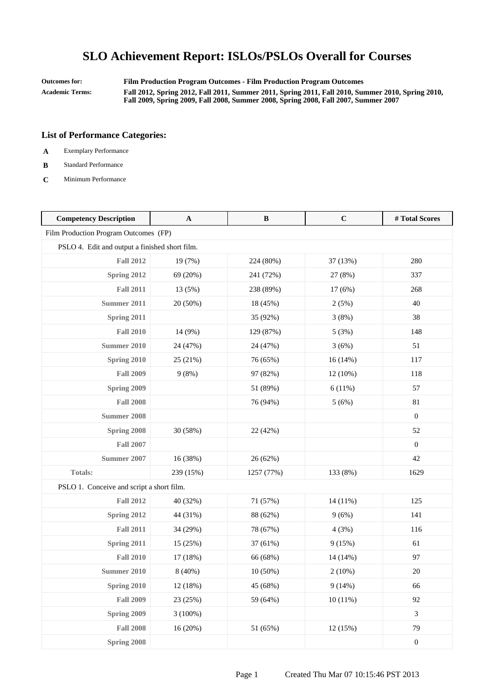**Outcomes for: Film Production Program Outcomes - Film Production Program Outcomes Academic Terms: Fall 2012, Spring 2012, Fall 2011, Summer 2011, Spring 2011, Fall 2010, Summer 2010, Spring 2010, Fall 2009, Spring 2009, Fall 2008, Summer 2008, Spring 2008, Fall 2007, Summer 2007**

- **A** Exemplary Performance
- **B** Standard Performance
- **C** Minimum Performance

| <b>Competency Description</b>                  | $\mathbf A$ | $\bf{B}$   | $\mathbf C$ | #Total Scores    |
|------------------------------------------------|-------------|------------|-------------|------------------|
| Film Production Program Outcomes (FP)          |             |            |             |                  |
| PSLO 4. Edit and output a finished short film. |             |            |             |                  |
| <b>Fall 2012</b>                               | 19 (7%)     | 224 (80%)  | 37 (13%)    | 280              |
| Spring 2012                                    | 69 (20%)    | 241 (72%)  | 27 (8%)     | 337              |
| <b>Fall 2011</b>                               | 13 (5%)     | 238 (89%)  | 17 (6%)     | 268              |
| Summer 2011                                    | 20 (50%)    | 18 (45%)   | 2(5%)       | 40               |
| Spring 2011                                    |             | 35 (92%)   | 3(8%)       | 38               |
| <b>Fall 2010</b>                               | 14 (9%)     | 129 (87%)  | 5(3%)       | 148              |
| <b>Summer 2010</b>                             | 24 (47%)    | 24 (47%)   | 3(6%)       | 51               |
| Spring 2010                                    | 25 (21%)    | 76 (65%)   | 16(14%)     | 117              |
| <b>Fall 2009</b>                               | 9(8%)       | 97 (82%)   | 12 (10%)    | 118              |
| Spring 2009                                    |             | 51 (89%)   | 6(11%)      | 57               |
| <b>Fall 2008</b>                               |             | 76 (94%)   | 5(6%)       | 81               |
| <b>Summer 2008</b>                             |             |            |             | $\boldsymbol{0}$ |
| Spring 2008                                    | 30 (58%)    | 22 (42%)   |             | 52               |
| <b>Fall 2007</b>                               |             |            |             | $\boldsymbol{0}$ |
| <b>Summer 2007</b>                             | 16 (38%)    | 26 (62%)   |             | 42               |
| Totals:                                        | 239 (15%)   | 1257 (77%) | 133 (8%)    | 1629             |
| PSLO 1. Conceive and script a short film.      |             |            |             |                  |
| <b>Fall 2012</b>                               | 40 (32%)    | 71 (57%)   | 14 (11%)    | 125              |
| Spring 2012                                    | 44 (31%)    | 88 (62%)   | 9(6%)       | 141              |
| <b>Fall 2011</b>                               | 34 (29%)    | 78 (67%)   | 4(3%)       | 116              |
| Spring 2011                                    | 15 (25%)    | 37 (61%)   | 9(15%)      | 61               |
| <b>Fall 2010</b>                               | 17 (18%)    | 66 (68%)   | 14 (14%)    | 97               |
| <b>Summer 2010</b>                             | 8 (40%)     | $10(50\%)$ | 2(10%)      | $20\,$           |
| Spring 2010                                    | 12 (18%)    | 45 (68%)   | 9(14%)      | 66               |
| <b>Fall 2009</b>                               | 23 (25%)    | 59 (64%)   | 10(11%)     | 92               |
| Spring 2009                                    | $3(100\%)$  |            |             | 3                |
| <b>Fall 2008</b>                               | 16 (20%)    | 51 (65%)   | 12(15%)     | 79               |
| Spring 2008                                    |             |            |             | $\boldsymbol{0}$ |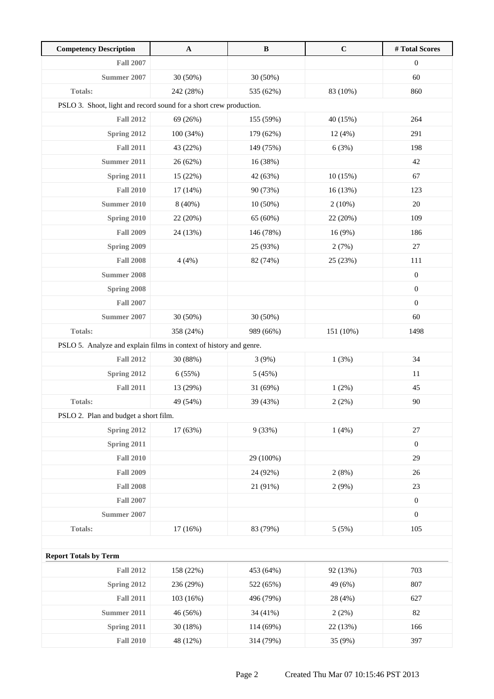| <b>Competency Description</b>                                      | $\mathbf A$ | $\bf{B}$   | $\mathbf C$ | # Total Scores   |
|--------------------------------------------------------------------|-------------|------------|-------------|------------------|
| <b>Fall 2007</b>                                                   |             |            |             | $\boldsymbol{0}$ |
| <b>Summer 2007</b>                                                 | 30 (50%)    | 30 (50%)   |             | 60               |
| Totals:                                                            | 242 (28%)   | 535 (62%)  | 83 (10%)    | 860              |
| PSLO 3. Shoot, light and record sound for a short crew production. |             |            |             |                  |
| <b>Fall 2012</b>                                                   | 69 (26%)    | 155 (59%)  | 40 (15%)    | 264              |
| Spring 2012                                                        | 100 (34%)   | 179 (62%)  | 12(4%)      | 291              |
| <b>Fall 2011</b>                                                   | 43 (22%)    | 149 (75%)  | 6(3%)       | 198              |
| <b>Summer 2011</b>                                                 | 26 (62%)    | 16 (38%)   |             | 42               |
| Spring 2011                                                        | 15 (22%)    | 42 (63%)   | 10(15%)     | 67               |
| <b>Fall 2010</b>                                                   | 17 (14%)    | 90 (73%)   | 16(13%)     | 123              |
| <b>Summer 2010</b>                                                 | 8 (40%)     | $10(50\%)$ | $2(10\%)$   | 20               |
| Spring 2010                                                        | 22 (20%)    | 65 (60%)   | 22 (20%)    | 109              |
| <b>Fall 2009</b>                                                   | 24 (13%)    | 146 (78%)  | 16 (9%)     | 186              |
| Spring 2009                                                        |             | 25 (93%)   | 2(7%)       | 27               |
| <b>Fall 2008</b>                                                   | 4(4%)       | 82 (74%)   | 25 (23%)    | 111              |
| <b>Summer 2008</b>                                                 |             |            |             | $\boldsymbol{0}$ |
| Spring 2008                                                        |             |            |             | $\boldsymbol{0}$ |
| <b>Fall 2007</b>                                                   |             |            |             | $\boldsymbol{0}$ |
| Summer 2007                                                        | 30 (50%)    | 30 (50%)   |             | 60               |
| Totals:                                                            | 358 (24%)   | 989 (66%)  | 151 (10%)   | 1498             |
| PSLO 5. Analyze and explain films in context of history and genre. |             |            |             |                  |
| <b>Fall 2012</b>                                                   | 30 (88%)    | 3(9%)      | 1(3%)       | 34               |
| Spring 2012                                                        | 6(55%)      | 5(45%)     |             | 11               |
| <b>Fall 2011</b>                                                   | 13 (29%)    | 31 (69%)   | 1(2%)       | 45               |
| <b>Totals:</b>                                                     | 49 (54%)    | 39 (43%)   | 2(2%)       | $90\,$           |
| PSLO 2. Plan and budget a short film.                              |             |            |             |                  |
| Spring 2012                                                        | 17(63%)     | 9(33%)     | 1(4%)       | 27               |
| Spring 2011                                                        |             |            |             | $\boldsymbol{0}$ |
| <b>Fall 2010</b>                                                   |             | 29 (100%)  |             | 29               |
| <b>Fall 2009</b>                                                   |             | 24 (92%)   | 2(8%)       | 26               |
| <b>Fall 2008</b>                                                   |             | 21 (91%)   | 2(9%)       | 23               |
| <b>Fall 2007</b>                                                   |             |            |             | $\boldsymbol{0}$ |
| <b>Summer 2007</b>                                                 |             |            |             | $\boldsymbol{0}$ |
| Totals:                                                            | 17 (16%)    | 83 (79%)   | 5(5%)       | 105              |
|                                                                    |             |            |             |                  |
| <b>Report Totals by Term</b>                                       |             |            |             |                  |
| <b>Fall 2012</b>                                                   | 158 (22%)   | 453 (64%)  | 92 (13%)    | 703              |
| Spring 2012                                                        | 236 (29%)   | 522 (65%)  | 49 (6%)     | 807              |
| <b>Fall 2011</b>                                                   | 103 (16%)   | 496 (79%)  | 28 (4%)     | 627              |
| <b>Summer 2011</b>                                                 | 46 (56%)    | 34 (41%)   | 2(2%)       | 82               |
| Spring 2011                                                        | 30 (18%)    | 114 (69%)  | 22 (13%)    | 166              |
| <b>Fall 2010</b>                                                   | 48 (12%)    | 314 (79%)  | 35 (9%)     | 397              |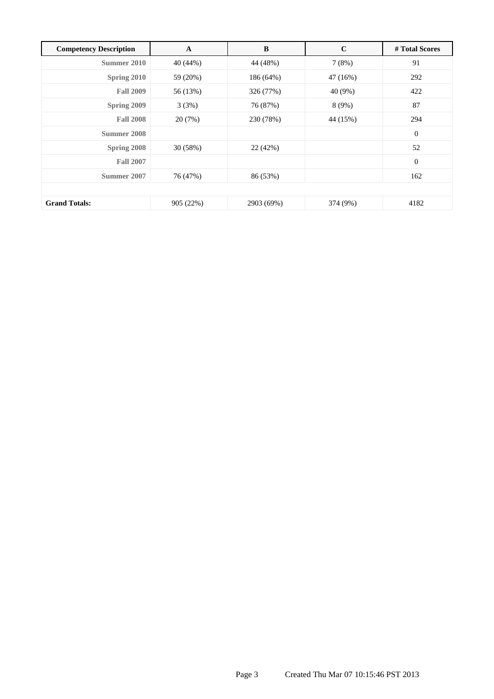| <b>Competency Description</b> | A         | B          | $\mathbf C$ | # Total Scores |
|-------------------------------|-----------|------------|-------------|----------------|
| Summer 2010                   | 40 (44%)  | 44 (48%)   | 7(8%)       | 91             |
| Spring 2010                   | 59 (20%)  | 186 (64%)  | 47 (16%)    | 292            |
| <b>Fall 2009</b>              | 56 (13%)  | 326 (77%)  | 40 (9%)     | 422            |
| Spring 2009                   | 3(3%)     | 76 (87%)   | 8(9%)       | 87             |
| <b>Fall 2008</b>              | 20(7%)    | 230 (78%)  | 44 (15%)    | 294            |
| Summer 2008                   |           |            |             | $\mathbf{0}$   |
| Spring 2008                   | 30 (58%)  | 22 (42%)   |             | 52             |
| <b>Fall 2007</b>              |           |            |             | $\mathbf{0}$   |
| Summer 2007                   | 76 (47%)  | 86 (53%)   |             | 162            |
|                               |           |            |             |                |
| <b>Grand Totals:</b>          | 905 (22%) | 2903 (69%) | 374 (9%)    | 4182           |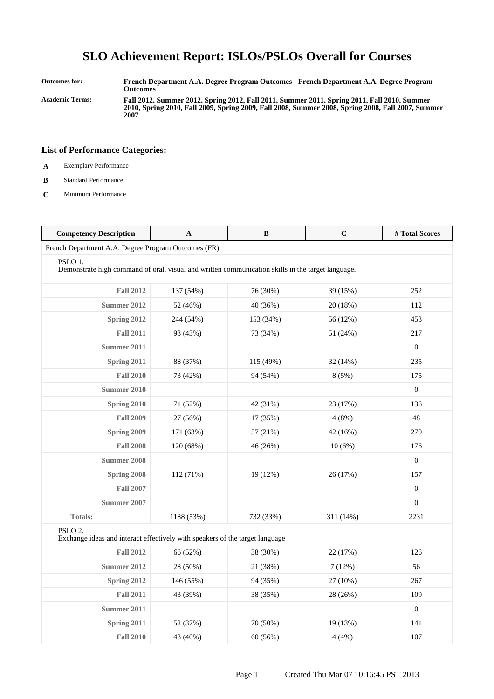**Outcomes for: French Department A.A. Degree Program Outcomes - French Department A.A. Degree Program Outcomes Academic Terms: Fall 2012, Summer 2012, Spring 2012, Fall 2011, Summer 2011, Spring 2011, Fall 2010, Summer 2010, Spring 2010, Fall 2009, Spring 2009, Fall 2008, Summer 2008, Spring 2008, Fall 2007, Summer 2007**

- **A** Exemplary Performance
- **B** Standard Performance
- **C** Minimum Performance

| <b>Competency Description</b>                                                                                | A          | B         | $\mathbf C$ | # Total Scores   |  |
|--------------------------------------------------------------------------------------------------------------|------------|-----------|-------------|------------------|--|
| French Department A.A. Degree Program Outcomes (FR)                                                          |            |           |             |                  |  |
| PSLO 1.<br>Demonstrate high command of oral, visual and written communication skills in the target language. |            |           |             |                  |  |
| <b>Fall 2012</b>                                                                                             | 137 (54%)  | 76 (30%)  | 39 (15%)    | 252              |  |
| <b>Summer 2012</b>                                                                                           | 52 (46%)   | 40 (36%)  | 20 (18%)    | 112              |  |
| Spring 2012                                                                                                  | 244 (54%)  | 153 (34%) | 56 (12%)    | 453              |  |
| <b>Fall 2011</b>                                                                                             | 93 (43%)   | 73 (34%)  | 51 (24%)    | 217              |  |
| <b>Summer 2011</b>                                                                                           |            |           |             | $\overline{0}$   |  |
| Spring 2011                                                                                                  | 88 (37%)   | 115 (49%) | 32 (14%)    | 235              |  |
| <b>Fall 2010</b>                                                                                             | 73 (42%)   | 94 (54%)  | 8(5%)       | 175              |  |
| <b>Summer 2010</b>                                                                                           |            |           |             | $\mathbf{0}$     |  |
| Spring 2010                                                                                                  | 71 (52%)   | 42 (31%)  | 23 (17%)    | 136              |  |
| <b>Fall 2009</b>                                                                                             | 27 (56%)   | 17 (35%)  | 4(8%)       | 48               |  |
| Spring 2009                                                                                                  | 171 (63%)  | 57 (21%)  | 42 (16%)    | 270              |  |
| <b>Fall 2008</b>                                                                                             | 120 (68%)  | 46 (26%)  | 10(6%)      | 176              |  |
| <b>Summer 2008</b>                                                                                           |            |           |             | $\overline{0}$   |  |
| <b>Spring 2008</b>                                                                                           | 112 (71%)  | 19 (12%)  | 26 (17%)    | 157              |  |
| <b>Fall 2007</b>                                                                                             |            |           |             | $\boldsymbol{0}$ |  |
| <b>Summer 2007</b>                                                                                           |            |           |             | $\mathbf{0}$     |  |
| <b>Totals:</b>                                                                                               | 1188 (53%) | 732 (33%) | 311 (14%)   | 2231             |  |
| PSLO <sub>2</sub> .<br>Exchange ideas and interact effectively with speakers of the target language          |            |           |             |                  |  |
| <b>Fall 2012</b>                                                                                             | 66 (52%)   | 38 (30%)  | 22 (17%)    | 126              |  |
| <b>Summer 2012</b>                                                                                           | 28 (50%)   | 21 (38%)  | 7(12%)      | 56               |  |
| Spring 2012                                                                                                  | 146 (55%)  | 94 (35%)  | 27 (10%)    | 267              |  |
| <b>Fall 2011</b>                                                                                             | 43 (39%)   | 38 (35%)  | 28 (26%)    | 109              |  |
| <b>Summer 2011</b>                                                                                           |            |           |             | $\mathbf{0}$     |  |
| Spring 2011                                                                                                  | 52 (37%)   | 70 (50%)  | 19 (13%)    | 141              |  |
| <b>Fall 2010</b>                                                                                             | 43 (40%)   | 60(56%)   | 4(4%)       | 107              |  |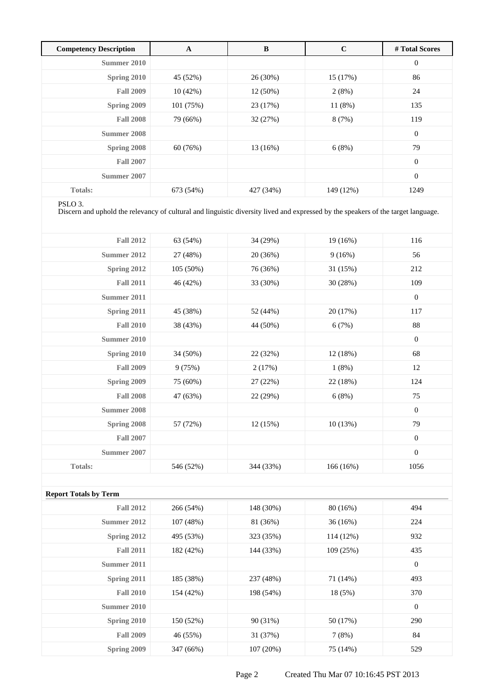| <b>Competency Description</b> | A         | B          | $\mathbf C$ | # Total Scores   |
|-------------------------------|-----------|------------|-------------|------------------|
| Summer 2010                   |           |            |             | $\mathbf{0}$     |
| Spring 2010                   | 45 (52%)  | 26 (30%)   | 15(17%)     | 86               |
| <b>Fall 2009</b>              | 10(42%)   | $12(50\%)$ | 2(8%)       | 24               |
| Spring 2009                   | 101 (75%) | 23 (17%)   | 11(8%)      | 135              |
| <b>Fall 2008</b>              | 79 (66%)  | 32(27%)    | 8(7%)       | 119              |
| Summer 2008                   |           |            |             | $\mathbf{0}$     |
| Spring 2008                   | 60 (76%)  | 13(16%)    | 6(8%)       | 79               |
| <b>Fall 2007</b>              |           |            |             | $\boldsymbol{0}$ |
| Summer 2007                   |           |            |             | $\overline{0}$   |
| <b>Totals:</b>                | 673 (54%) | 427 (34%)  | 149 (12%)   | 1249             |

#### PSLO 3.

Discern and uphold the relevancy of cultural and linguistic diversity lived and expressed by the speakers of the target language.

| <b>Fall 2012</b>   | 63 (54%)  | 34 (29%)  | 19 (16%)  | 116              |
|--------------------|-----------|-----------|-----------|------------------|
| Summer 2012        | 27 (48%)  | 20(36%)   | 9(16%)    | 56               |
| Spring 2012        | 105(50%)  | 76 (36%)  | 31 (15%)  | 212              |
| <b>Fall 2011</b>   | 46 (42%)  | 33 (30%)  | 30 (28%)  | 109              |
| Summer 2011        |           |           |           | $\overline{0}$   |
| Spring 2011        | 45 (38%)  | 52 (44%)  | 20 (17%)  | 117              |
| <b>Fall 2010</b>   | 38 (43%)  | 44 (50%)  | 6(7%)     | 88               |
| Summer 2010        |           |           |           | $\overline{0}$   |
| Spring 2010        | 34 (50%)  | 22 (32%)  | 12 (18%)  | 68               |
| <b>Fall 2009</b>   | 9(75%)    | 2(17%)    | $1(8\%)$  | 12               |
| Spring 2009        | 75 (60%)  | 27 (22%)  | 22 (18%)  | 124              |
| <b>Fall 2008</b>   | 47 (63%)  | 22 (29%)  | 6(8%)     | 75               |
| <b>Summer 2008</b> |           |           |           | $\mathbf{0}$     |
| Spring 2008        | 57 (72%)  | 12(15%)   | 10(13%)   | 79               |
| <b>Fall 2007</b>   |           |           |           | $\boldsymbol{0}$ |
| Summer 2007        |           |           |           | $\mathbf{0}$     |
| <b>Totals:</b>     | 546 (52%) | 344 (33%) | 166 (16%) | 1056             |

| <b>Report Totals by Term</b> |           |           |             |              |
|------------------------------|-----------|-----------|-------------|--------------|
| <b>Fall 2012</b>             | 266 (54%) | 148 (30%) | 80(16%)     | 494          |
| Summer 2012                  | 107(48%)  | 81 (36%)  | 36(16%)     | 224          |
| Spring 2012                  | 495 (53%) | 323 (35%) | $114(12\%)$ | 932          |
| <b>Fall 2011</b>             | 182 (42%) | 144 (33%) | 109(25%)    | 435          |
| Summer 2011                  |           |           |             | $\mathbf{0}$ |
| Spring 2011                  | 185 (38%) | 237 (48%) | 71 (14%)    | 493          |
| <b>Fall 2010</b>             | 154 (42%) | 198 (54%) | 18 (5%)     | 370          |
| Summer 2010                  |           |           |             | $\mathbf{0}$ |
| Spring 2010                  | 150 (52%) | 90 (31%)  | 50 (17%)    | 290          |
| <b>Fall 2009</b>             | 46 (55%)  | 31 (37%)  | 7(8%)       | 84           |
| Spring 2009                  | 347 (66%) | 107(20%)  | 75 (14%)    | 529          |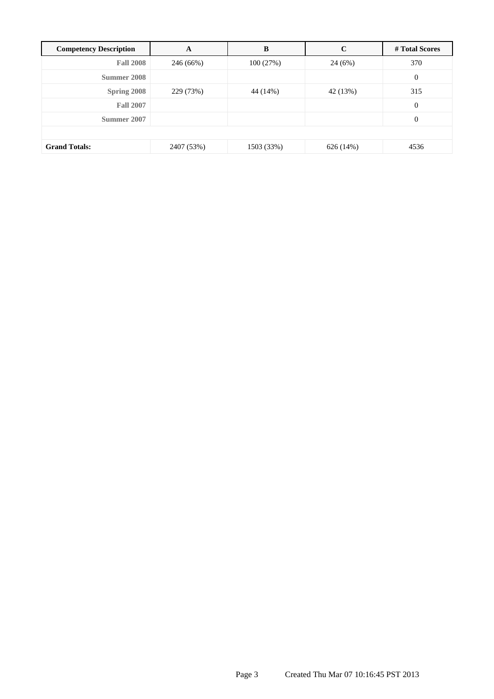| <b>Competency Description</b> | A          | B          | $\mathbf C$ | # Total Scores   |
|-------------------------------|------------|------------|-------------|------------------|
| <b>Fall 2008</b>              | 246 (66%)  | 100(27%)   | 24(6%)      | 370              |
| Summer 2008                   |            |            |             | $\boldsymbol{0}$ |
| Spring 2008                   | 229 (73%)  | 44 (14%)   | 42 (13%)    | 315              |
| <b>Fall 2007</b>              |            |            |             | $\mathbf{0}$     |
| Summer 2007                   |            |            |             | $\mathbf{0}$     |
|                               |            |            |             |                  |
| <b>Grand Totals:</b>          | 2407 (53%) | 1503 (33%) | 626 (14%)   | 4536             |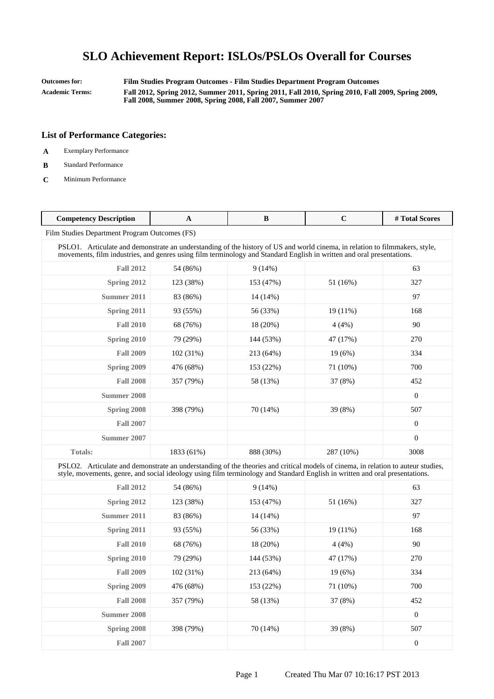**Outcomes for: Film Studies Program Outcomes - Film Studies Department Program Outcomes Academic Terms: Fall 2012, Spring 2012, Summer 2011, Spring 2011, Fall 2010, Spring 2010, Fall 2009, Spring 2009, Fall 2008, Summer 2008, Spring 2008, Fall 2007, Summer 2007**

- **A** Exemplary Performance
- **B** Standard Performance
- **C** Minimum Performance

| <b>Competency Description</b>                                                                                                                                                                                                                                   | A          | B          | $\mathbf C$ | # Total Scores   |
|-----------------------------------------------------------------------------------------------------------------------------------------------------------------------------------------------------------------------------------------------------------------|------------|------------|-------------|------------------|
| Film Studies Department Program Outcomes (FS)                                                                                                                                                                                                                   |            |            |             |                  |
| PSLO1. Articulate and demonstrate an understanding of the history of US and world cinema, in relation to filmmakers, style,<br>movements, film industries, and genres using film terminology and Standard English in written and oral presentations.            |            |            |             |                  |
| <b>Fall 2012</b>                                                                                                                                                                                                                                                | 54 (86%)   | 9(14%)     |             | 63               |
| Spring 2012                                                                                                                                                                                                                                                     | 123 (38%)  | 153 (47%)  | 51 (16%)    | 327              |
| <b>Summer 2011</b>                                                                                                                                                                                                                                              | 83 (86%)   | $14(14\%)$ |             | 97               |
| Spring 2011                                                                                                                                                                                                                                                     | 93 (55%)   | 56 (33%)   | $19(11\%)$  | 168              |
| <b>Fall 2010</b>                                                                                                                                                                                                                                                | 68 (76%)   | 18 (20%)   | 4(4%)       | 90               |
| Spring 2010                                                                                                                                                                                                                                                     | 79 (29%)   | 144 (53%)  | 47 (17%)    | 270              |
| <b>Fall 2009</b>                                                                                                                                                                                                                                                | 102(31%)   | 213 (64%)  | 19(6%)      | 334              |
| Spring 2009                                                                                                                                                                                                                                                     | 476 (68%)  | 153 (22%)  | 71 (10%)    | 700              |
| <b>Fall 2008</b>                                                                                                                                                                                                                                                | 357 (79%)  | 58 (13%)   | 37 (8%)     | 452              |
| <b>Summer 2008</b>                                                                                                                                                                                                                                              |            |            |             | $\boldsymbol{0}$ |
| Spring 2008                                                                                                                                                                                                                                                     | 398 (79%)  | 70 (14%)   | 39 (8%)     | 507              |
| <b>Fall 2007</b>                                                                                                                                                                                                                                                |            |            |             | $\boldsymbol{0}$ |
| Summer 2007                                                                                                                                                                                                                                                     |            |            |             | $\boldsymbol{0}$ |
| <b>Totals:</b>                                                                                                                                                                                                                                                  | 1833 (61%) | 888 (30%)  | 287 (10%)   | 3008             |
| PSLO2. Articulate and demonstrate an understanding of the theories and critical models of cinema, in relation to auteur studies,<br>style, movements, genre, and social ideology using film terminology and Standard English in written and oral presentations. |            |            |             |                  |
| <b>Fall 2012</b>                                                                                                                                                                                                                                                | 54 (86%)   | 9(14%)     |             | 63               |
| Spring 2012                                                                                                                                                                                                                                                     | 123 (38%)  | 153 (47%)  | 51 (16%)    | 327              |
| Summer 2011                                                                                                                                                                                                                                                     | 83 (86%)   | 14 (14%)   |             | 97               |
| Spring 2011                                                                                                                                                                                                                                                     | 93 (55%)   | 56 (33%)   | $19(11\%)$  | 168              |
| <b>Fall 2010</b>                                                                                                                                                                                                                                                | 68 (76%)   | 18 (20%)   | 4(4%)       | 90               |
| <b>Spring 2010</b>                                                                                                                                                                                                                                              | 79 (29%)   | 144 (53%)  | 47 (17%)    | 270              |
| <b>Fall 2009</b>                                                                                                                                                                                                                                                | 102 (31%)  | 213 (64%)  | 19 (6%)     | 334              |
| <b>Spring 2009</b>                                                                                                                                                                                                                                              | 476 (68%)  | 153 (22%)  | 71 (10%)    | 700              |
| <b>Fall 2008</b>                                                                                                                                                                                                                                                | 357 (79%)  | 58 (13%)   | 37 (8%)     | 452              |
| <b>Summer 2008</b>                                                                                                                                                                                                                                              |            |            |             | $\boldsymbol{0}$ |
| Spring 2008                                                                                                                                                                                                                                                     | 398 (79%)  | 70 (14%)   | 39 (8%)     | 507              |
| <b>Fall 2007</b>                                                                                                                                                                                                                                                |            |            |             | $\boldsymbol{0}$ |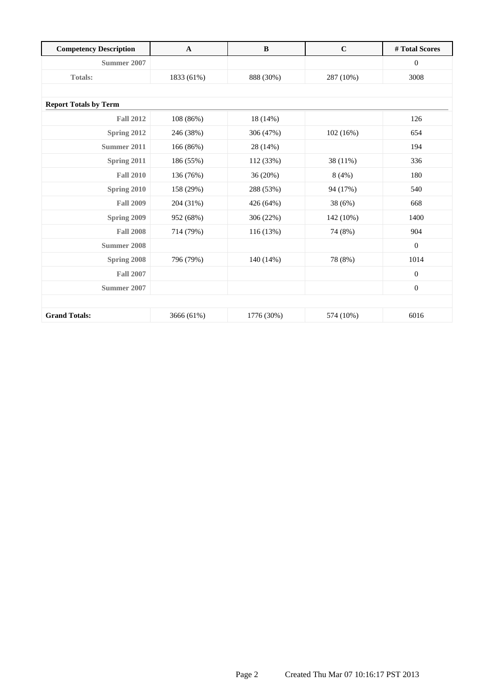| <b>Competency Description</b> | $\mathbf{A}$ | $\bf{B}$   | $\mathbf C$ | # Total Scores   |
|-------------------------------|--------------|------------|-------------|------------------|
| Summer 2007                   |              |            |             | $\mathbf{0}$     |
| <b>Totals:</b>                | 1833 (61%)   | 888 (30%)  | 287 (10%)   | 3008             |
|                               |              |            |             |                  |
| <b>Report Totals by Term</b>  |              |            |             |                  |
| <b>Fall 2012</b>              | 108 (86%)    | 18 (14%)   |             | 126              |
| Spring 2012                   | 246 (38%)    | 306 (47%)  | 102(16%)    | 654              |
| Summer 2011                   | 166 (86%)    | 28 (14%)   |             | 194              |
| Spring 2011                   | 186 (55%)    | 112 (33%)  | 38 (11%)    | 336              |
| <b>Fall 2010</b>              | 136 (76%)    | 36 (20%)   | 8(4%)       | 180              |
| <b>Spring 2010</b>            | 158 (29%)    | 288 (53%)  | 94 (17%)    | 540              |
| <b>Fall 2009</b>              | 204 (31%)    | 426 (64%)  | 38 (6%)     | 668              |
| Spring 2009                   | 952 (68%)    | 306 (22%)  | 142 (10%)   | 1400             |
| <b>Fall 2008</b>              | 714 (79%)    | 116 (13%)  | 74 (8%)     | 904              |
| <b>Summer 2008</b>            |              |            |             | $\mathbf{0}$     |
| Spring 2008                   | 796 (79%)    | 140 (14%)  | 78 (8%)     | 1014             |
| <b>Fall 2007</b>              |              |            |             | $\mathbf{0}$     |
| Summer 2007                   |              |            |             | $\boldsymbol{0}$ |
|                               |              |            |             |                  |
| <b>Grand Totals:</b>          | 3666 (61%)   | 1776 (30%) | 574 (10%)   | 6016             |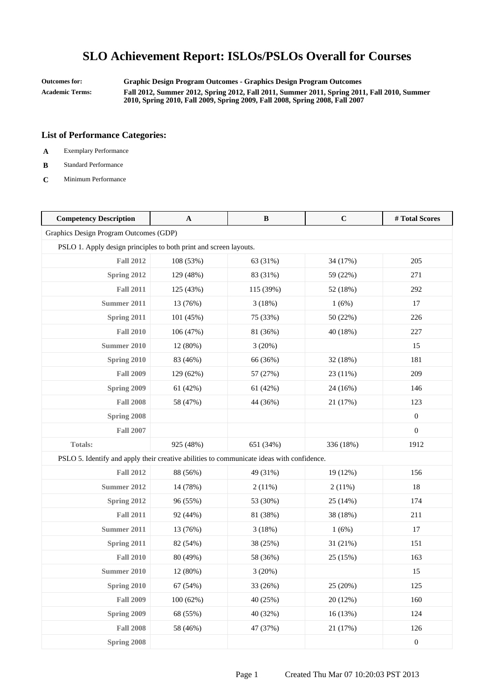**Outcomes for: Graphic Design Program Outcomes - Graphics Design Program Outcomes Academic Terms: Fall 2012, Summer 2012, Spring 2012, Fall 2011, Summer 2011, Spring 2011, Fall 2010, Summer 2010, Spring 2010, Fall 2009, Spring 2009, Fall 2008, Spring 2008, Fall 2007**

- **A** Exemplary Performance
- **B** Standard Performance
- **C** Minimum Performance

| <b>Competency Description</b>                                                             | A         | $\, {\bf B}$ | $\mathbf C$ | #Total Scores    |
|-------------------------------------------------------------------------------------------|-----------|--------------|-------------|------------------|
| Graphics Design Program Outcomes (GDP)                                                    |           |              |             |                  |
| PSLO 1. Apply design principles to both print and screen layouts.                         |           |              |             |                  |
| <b>Fall 2012</b>                                                                          | 108 (53%) | 63 (31%)     | 34 (17%)    | 205              |
| Spring 2012                                                                               | 129 (48%) | 83 (31%)     | 59 (22%)    | 271              |
| <b>Fall 2011</b>                                                                          | 125 (43%) | 115 (39%)    | 52 (18%)    | 292              |
| <b>Summer 2011</b>                                                                        | 13 (76%)  | 3(18%)       | 1(6%)       | 17               |
| Spring 2011                                                                               | 101 (45%) | 75 (33%)     | 50 (22%)    | 226              |
| <b>Fall 2010</b>                                                                          | 106 (47%) | 81 (36%)     | 40 (18%)    | 227              |
| <b>Summer 2010</b>                                                                        | 12 (80%)  | 3(20%)       |             | 15               |
| Spring 2010                                                                               | 83 (46%)  | 66 (36%)     | 32 (18%)    | 181              |
| <b>Fall 2009</b>                                                                          | 129 (62%) | 57 (27%)     | 23 (11%)    | 209              |
| Spring 2009                                                                               | 61 (42%)  | 61 (42%)     | 24 (16%)    | 146              |
| <b>Fall 2008</b>                                                                          | 58 (47%)  | 44 (36%)     | 21 (17%)    | 123              |
| Spring 2008                                                                               |           |              |             | $\boldsymbol{0}$ |
| <b>Fall 2007</b>                                                                          |           |              |             | $\boldsymbol{0}$ |
| <b>Totals:</b>                                                                            | 925 (48%) | 651 (34%)    | 336 (18%)   | 1912             |
| PSLO 5. Identify and apply their creative abilities to communicate ideas with confidence. |           |              |             |                  |
| <b>Fall 2012</b>                                                                          | 88 (56%)  | 49 (31%)     | 19 (12%)    | 156              |
| <b>Summer 2012</b>                                                                        | 14 (78%)  | 2(11%)       | 2(11%)      | 18               |
| Spring 2012                                                                               | 96 (55%)  | 53 (30%)     | 25 (14%)    | 174              |
| <b>Fall 2011</b>                                                                          | 92 (44%)  | 81 (38%)     | 38 (18%)    | 211              |
| Summer 2011                                                                               | 13 (76%)  | 3(18%)       | 1(6%)       | 17               |
| Spring 2011                                                                               | 82 (54%)  | 38 (25%)     | 31 (21%)    | 151              |
| <b>Fall 2010</b>                                                                          | 80 (49%)  | 58 (36%)     | 25 (15%)    | 163              |
| Summer 2010                                                                               | 12 (80%)  | 3(20%)       |             | 15               |
| Spring 2010                                                                               | 67 (54%)  | 33 (26%)     | 25 (20%)    | 125              |
| <b>Fall 2009</b>                                                                          | 100 (62%) | 40 (25%)     | 20 (12%)    | 160              |
| Spring 2009                                                                               | 68 (55%)  | 40 (32%)     | 16(13%)     | 124              |
| <b>Fall 2008</b>                                                                          | 58 (46%)  | 47 (37%)     | 21 (17%)    | 126              |
| Spring 2008                                                                               |           |              |             | $\boldsymbol{0}$ |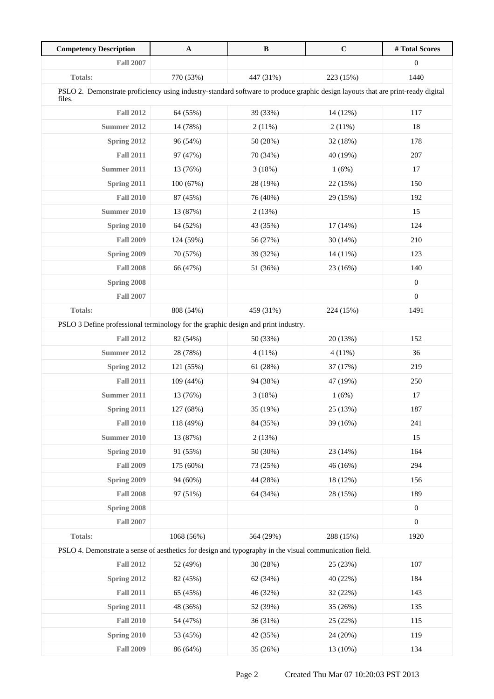| <b>Competency Description</b>                                                                                                             | $\mathbf A$ | $\, {\bf B}$ | $\mathbf C$ | #Total Scores    |
|-------------------------------------------------------------------------------------------------------------------------------------------|-------------|--------------|-------------|------------------|
| <b>Fall 2007</b>                                                                                                                          |             |              |             | $\boldsymbol{0}$ |
| Totals:                                                                                                                                   | 770 (53%)   | 447 (31%)    | 223 (15%)   | 1440             |
| PSLO 2. Demonstrate proficiency using industry-standard software to produce graphic design layouts that are print-ready digital<br>files. |             |              |             |                  |
| <b>Fall 2012</b>                                                                                                                          | 64 (55%)    | 39 (33%)     | 14 (12%)    | 117              |
| <b>Summer 2012</b>                                                                                                                        | 14 (78%)    | 2(11%)       | 2(11%)      | 18               |
| Spring 2012                                                                                                                               | 96 (54%)    | 50 (28%)     | 32 (18%)    | 178              |
| <b>Fall 2011</b>                                                                                                                          | 97 (47%)    | 70 (34%)     | 40 (19%)    | 207              |
| <b>Summer 2011</b>                                                                                                                        | 13 (76%)    | 3(18%)       | 1(6%)       | 17               |
| Spring 2011                                                                                                                               | 100 (67%)   | 28 (19%)     | 22 (15%)    | 150              |
| <b>Fall 2010</b>                                                                                                                          | 87 (45%)    | 76 (40%)     | 29 (15%)    | 192              |
| <b>Summer 2010</b>                                                                                                                        | 13 (87%)    | 2(13%)       |             | 15               |
| Spring 2010                                                                                                                               | 64 (52%)    | 43 (35%)     | $17(14\%)$  | 124              |
| <b>Fall 2009</b>                                                                                                                          | 124 (59%)   | 56 (27%)     | 30(14%)     | 210              |
| Spring 2009                                                                                                                               | 70 (57%)    | 39 (32%)     | 14 (11%)    | 123              |
| <b>Fall 2008</b>                                                                                                                          | 66 (47%)    | 51 (36%)     | 23 (16%)    | 140              |
| Spring 2008                                                                                                                               |             |              |             | $\boldsymbol{0}$ |
| <b>Fall 2007</b>                                                                                                                          |             |              |             | $\boldsymbol{0}$ |
| <b>Totals:</b>                                                                                                                            | 808 (54%)   | 459 (31%)    | 224 (15%)   | 1491             |
| PSLO 3 Define professional terminology for the graphic design and print industry.                                                         |             |              |             |                  |
| <b>Fall 2012</b>                                                                                                                          | 82 (54%)    | 50 (33%)     | 20 (13%)    | 152              |
| <b>Summer 2012</b>                                                                                                                        | 28 (78%)    | 4(11%)       | $4(11\%)$   | 36               |
| Spring 2012                                                                                                                               | 121 (55%)   | 61(28%)      | 37 (17%)    | 219              |
| <b>Fall 2011</b>                                                                                                                          | 109 (44%)   | 94 (38%)     | 47 (19%)    | 250              |
| <b>Summer 2011</b>                                                                                                                        | 13 (76%)    | 3(18%)       | 1(6%)       | 17               |
| Spring 2011                                                                                                                               | 127 (68%)   | 35 (19%)     | 25 (13%)    | 187              |
| <b>Fall 2010</b>                                                                                                                          | 118 (49%)   | 84 (35%)     | 39 (16%)    | 241              |
| <b>Summer 2010</b>                                                                                                                        | 13 (87%)    | 2(13%)       |             | 15               |
| <b>Spring 2010</b>                                                                                                                        | 91 (55%)    | 50 (30%)     | 23 (14%)    | 164              |
| <b>Fall 2009</b>                                                                                                                          | 175 (60%)   | 73 (25%)     | 46 (16%)    | 294              |
| Spring 2009                                                                                                                               | 94 (60%)    | 44 (28%)     | 18 (12%)    | 156              |
| <b>Fall 2008</b>                                                                                                                          | 97 (51%)    | 64 (34%)     | 28 (15%)    | 189              |
| Spring 2008                                                                                                                               |             |              |             | $\boldsymbol{0}$ |
| <b>Fall 2007</b>                                                                                                                          |             |              |             | $\boldsymbol{0}$ |
| Totals:                                                                                                                                   | 1068 (56%)  | 564 (29%)    | 288 (15%)   | 1920             |
| PSLO 4. Demonstrate a sense of aesthetics for design and typography in the visual communication field.                                    |             |              |             |                  |
| <b>Fall 2012</b>                                                                                                                          | 52 (49%)    | 30 (28%)     | 25 (23%)    | 107              |
| <b>Spring 2012</b>                                                                                                                        | 82 (45%)    | 62 (34%)     | 40 (22%)    | 184              |
| <b>Fall 2011</b>                                                                                                                          | 65 (45%)    | 46 (32%)     | 32 (22%)    | 143              |
| <b>Spring 2011</b>                                                                                                                        | 48 (36%)    | 52 (39%)     | 35 (26%)    | 135              |
| <b>Fall 2010</b>                                                                                                                          | 54 (47%)    | 36 (31%)     | 25 (22%)    | 115              |
| Spring 2010                                                                                                                               | 53 (45%)    | 42 (35%)     | 24 (20%)    | 119              |
| <b>Fall 2009</b>                                                                                                                          | 86 (64%)    | 35 (26%)     | 13 (10%)    | 134              |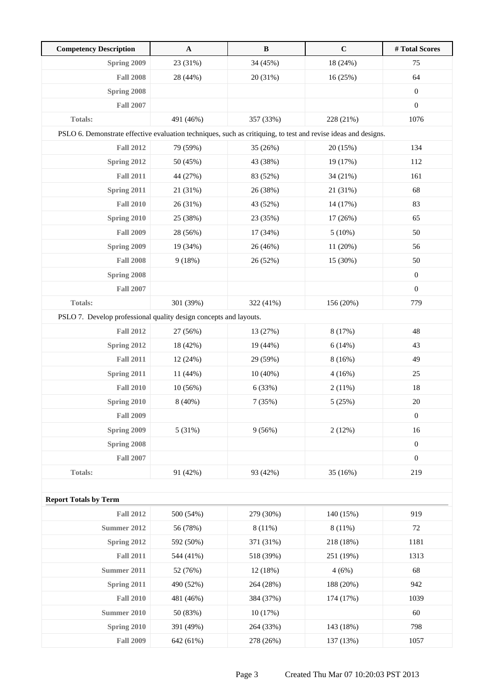| <b>Competency Description</b>                                                                                  | $\mathbf A$ | $\, {\bf B}$ | $\mathbf C$ | #Total Scores    |  |
|----------------------------------------------------------------------------------------------------------------|-------------|--------------|-------------|------------------|--|
| Spring 2009                                                                                                    | 23 (31%)    | 34 (45%)     | 18 (24%)    | 75               |  |
| <b>Fall 2008</b>                                                                                               | 28 (44%)    | 20 (31%)     | 16(25%)     | 64               |  |
| Spring 2008                                                                                                    |             |              |             | $\boldsymbol{0}$ |  |
| <b>Fall 2007</b>                                                                                               |             |              |             | $\boldsymbol{0}$ |  |
| Totals:                                                                                                        | 491 (46%)   | 357 (33%)    | 228 (21%)   | 1076             |  |
| PSLO 6. Demonstrate effective evaluation techniques, such as critiquing, to test and revise ideas and designs. |             |              |             |                  |  |
| <b>Fall 2012</b>                                                                                               | 79 (59%)    | 35 (26%)     | 20 (15%)    | 134              |  |
| Spring 2012                                                                                                    | 50 (45%)    | 43 (38%)     | 19 (17%)    | 112              |  |
| <b>Fall 2011</b>                                                                                               | 44 (27%)    | 83 (52%)     | 34 (21%)    | 161              |  |
| Spring 2011                                                                                                    | 21 (31%)    | 26 (38%)     | 21 (31%)    | 68               |  |
| <b>Fall 2010</b>                                                                                               | 26 (31%)    | 43 (52%)     | 14 (17%)    | 83               |  |
| Spring 2010                                                                                                    | 25 (38%)    | 23 (35%)     | 17 (26%)    | 65               |  |
| <b>Fall 2009</b>                                                                                               | 28 (56%)    | 17 (34%)     | 5(10%)      | 50               |  |
| Spring 2009                                                                                                    | 19 (34%)    | 26 (46%)     | 11 (20%)    | 56               |  |
| <b>Fall 2008</b>                                                                                               | 9(18%)      | 26 (52%)     | 15 (30%)    | 50               |  |
| Spring 2008                                                                                                    |             |              |             | $\boldsymbol{0}$ |  |
| <b>Fall 2007</b>                                                                                               |             |              |             | $\boldsymbol{0}$ |  |
| <b>Totals:</b>                                                                                                 | 301 (39%)   | 322 (41%)    | 156 (20%)   | 779              |  |
| PSLO 7. Develop professional quality design concepts and layouts.                                              |             |              |             |                  |  |
| <b>Fall 2012</b>                                                                                               | 27 (56%)    | 13 (27%)     | 8 (17%)     | 48               |  |
| Spring 2012                                                                                                    | 18 (42%)    | 19 (44%)     | 6(14%)      | 43               |  |
| <b>Fall 2011</b>                                                                                               | 12 (24%)    | 29 (59%)     | 8(16%)      | 49               |  |
| <b>Spring 2011</b>                                                                                             | 11 (44%)    | $10(40\%)$   | 4(16%)      | 25               |  |
| <b>Fall 2010</b>                                                                                               | 10(56%)     | 6 (33%)      | 2(11%)      | 18               |  |
| Spring 2010                                                                                                    | 8 (40%)     | 7(35%)       | 5(25%)      | $20\,$           |  |
| <b>Fall 2009</b>                                                                                               |             |              |             | $\boldsymbol{0}$ |  |
| Spring 2009                                                                                                    | 5(31%)      | 9(56%)       | 2(12%)      | 16               |  |
| Spring 2008                                                                                                    |             |              |             | $\boldsymbol{0}$ |  |
| <b>Fall 2007</b>                                                                                               |             |              |             | $\boldsymbol{0}$ |  |
| <b>Totals:</b>                                                                                                 | 91 (42%)    | 93 (42%)     | 35 (16%)    | 219              |  |
|                                                                                                                |             |              |             |                  |  |
| <b>Report Totals by Term</b>                                                                                   |             |              |             |                  |  |
| <b>Fall 2012</b>                                                                                               | 500 (54%)   | 279 (30%)    | 140 (15%)   | 919              |  |
| <b>Summer 2012</b>                                                                                             | 56 (78%)    | 8(11%)       | 8(11%)      | 72               |  |
| Spring 2012                                                                                                    | 592 (50%)   | 371 (31%)    | 218 (18%)   | 1181             |  |
| <b>Fall 2011</b>                                                                                               | 544 (41%)   | 518 (39%)    | 251 (19%)   | 1313             |  |
| <b>Summer 2011</b>                                                                                             | 52 (76%)    | 12 (18%)     | 4(6%)       | 68               |  |
| Spring 2011                                                                                                    | 490 (52%)   | 264 (28%)    | 188 (20%)   | 942              |  |
| <b>Fall 2010</b>                                                                                               | 481 (46%)   | 384 (37%)    | 174 (17%)   | 1039             |  |
| Summer 2010                                                                                                    | 50 (83%)    | 10(17%)      |             | 60               |  |
| Spring 2010                                                                                                    | 391 (49%)   | 264 (33%)    | 143 (18%)   | 798              |  |
| <b>Fall 2009</b>                                                                                               | 642 (61%)   | 278 (26%)    | 137 (13%)   | 1057             |  |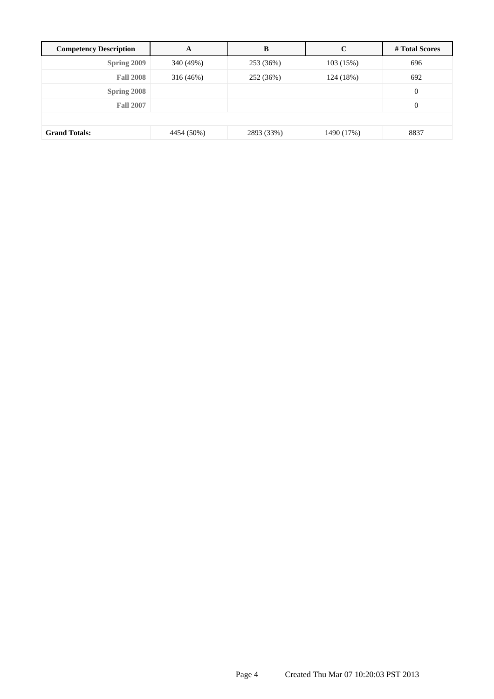| <b>Competency Description</b> | A          | B          | C          | # Total Scores   |  |
|-------------------------------|------------|------------|------------|------------------|--|
| Spring 2009                   | 340 (49%)  | 253 (36%)  | 103 (15%)  | 696              |  |
| <b>Fall 2008</b>              | 316 (46%)  | 252 (36%)  | 124 (18%)  | 692              |  |
| Spring 2008                   |            |            |            | $\mathbf{0}$     |  |
| <b>Fall 2007</b>              |            |            |            | $\boldsymbol{0}$ |  |
|                               |            |            |            |                  |  |
| <b>Grand Totals:</b>          | 4454 (50%) | 2893 (33%) | 1490 (17%) | 8837             |  |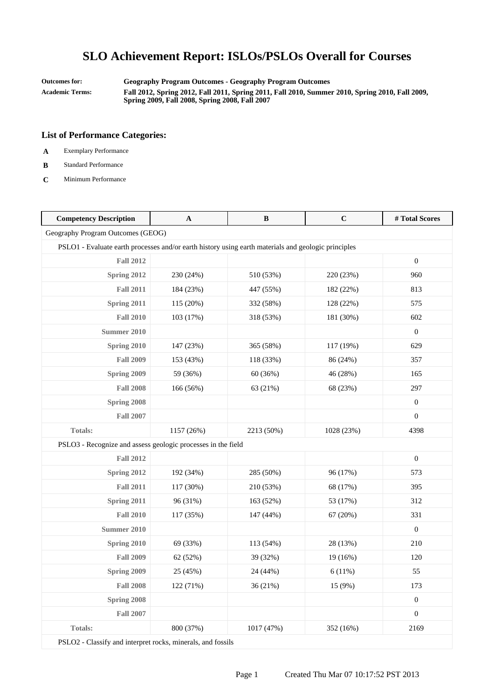**Outcomes for: Geography Program Outcomes - Geography Program Outcomes Academic Terms: Fall 2012, Spring 2012, Fall 2011, Spring 2011, Fall 2010, Summer 2010, Spring 2010, Fall 2009, Spring 2009, Fall 2008, Spring 2008, Fall 2007**

### **List of Performance Categories:**

- **A** Exemplary Performance
- **B** Standard Performance
- **C** Minimum Performance

| <b>Competency Description</b>                                                                       | $\mathbf A$ | $\, {\bf B}$ | $\mathbf C$ | #Total Scores    |  |
|-----------------------------------------------------------------------------------------------------|-------------|--------------|-------------|------------------|--|
| Geography Program Outcomes (GEOG)                                                                   |             |              |             |                  |  |
| PSLO1 - Evaluate earth processes and/or earth history using earth materials and geologic principles |             |              |             |                  |  |
| <b>Fall 2012</b>                                                                                    |             |              |             | $\overline{0}$   |  |
| <b>Spring 2012</b>                                                                                  | 230 (24%)   | 510 (53%)    | 220 (23%)   | 960              |  |
| <b>Fall 2011</b>                                                                                    | 184 (23%)   | 447 (55%)    | 182 (22%)   | 813              |  |
| Spring 2011                                                                                         | 115 (20%)   | 332 (58%)    | 128 (22%)   | 575              |  |
| <b>Fall 2010</b>                                                                                    | 103 (17%)   | 318 (53%)    | 181 (30%)   | 602              |  |
| <b>Summer 2010</b>                                                                                  |             |              |             | $\boldsymbol{0}$ |  |
| <b>Spring 2010</b>                                                                                  | 147 (23%)   | 365 (58%)    | 117 (19%)   | 629              |  |
| <b>Fall 2009</b>                                                                                    | 153 (43%)   | 118 (33%)    | 86 (24%)    | 357              |  |
| Spring 2009                                                                                         | 59 (36%)    | 60 (36%)     | 46 (28%)    | 165              |  |
| <b>Fall 2008</b>                                                                                    | 166 (56%)   | 63 (21%)     | 68 (23%)    | 297              |  |
| <b>Spring 2008</b>                                                                                  |             |              |             | $\mathbf{0}$     |  |
| <b>Fall 2007</b>                                                                                    |             |              |             | $\Omega$         |  |
| Totals:                                                                                             | 1157 (26%)  | 2213 (50%)   | 1028 (23%)  | 4398             |  |
| PSLO3 - Recognize and assess geologic processes in the field                                        |             |              |             |                  |  |
| <b>Fall 2012</b>                                                                                    |             |              |             | $\mathbf{0}$     |  |
| Spring 2012                                                                                         | 192 (34%)   | 285 (50%)    | 96 (17%)    | 573              |  |
| <b>Fall 2011</b>                                                                                    | 117 (30%)   | 210 (53%)    | 68 (17%)    | 395              |  |
| Spring 2011                                                                                         | 96 (31%)    | 163 (52%)    | 53 (17%)    | 312              |  |
| <b>Fall 2010</b>                                                                                    | 117 (35%)   | 147 (44%)    | 67(20%)     | 331              |  |
| Summer 2010                                                                                         |             |              |             | $\overline{0}$   |  |
| Spring 2010                                                                                         | 69 (33%)    | 113 (54%)    | 28 (13%)    | 210              |  |
| <b>Fall 2009</b>                                                                                    | 62 (52%)    | 39 (32%)     | 19 (16%)    | 120              |  |
| Spring 2009                                                                                         | 25 (45%)    | 24 (44%)     | 6(11%)      | 55               |  |
| <b>Fall 2008</b>                                                                                    | 122 (71%)   | 36 (21%)     | 15 (9%)     | 173              |  |
| Spring 2008                                                                                         |             |              |             | $\boldsymbol{0}$ |  |
| <b>Fall 2007</b>                                                                                    |             |              |             | $\boldsymbol{0}$ |  |
| <b>Totals:</b>                                                                                      | 800 (37%)   | 1017 (47%)   | 352 (16%)   | 2169             |  |

PSLO2 - Classify and interpret rocks, minerals, and fossils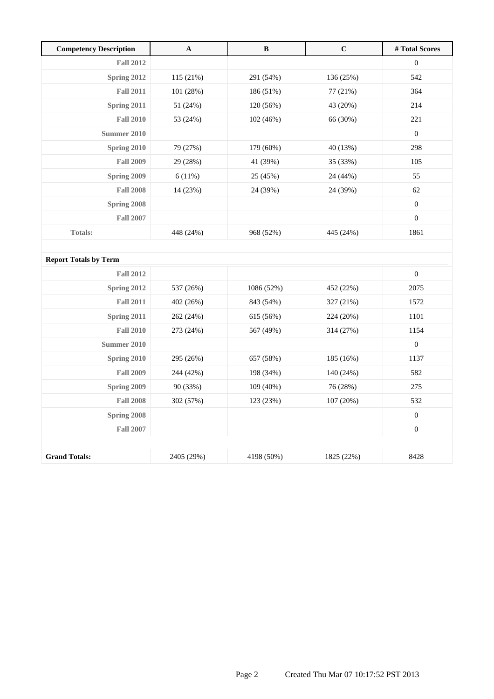| <b>Competency Description</b> | A          | B          | $\mathbf C$ | # Total Scores   |
|-------------------------------|------------|------------|-------------|------------------|
| <b>Fall 2012</b>              |            |            |             | $\boldsymbol{0}$ |
| Spring 2012                   | 115 (21%)  | 291 (54%)  | 136 (25%)   | 542              |
| <b>Fall 2011</b>              | 101 (28%)  | 186 (51%)  | 77 (21%)    | 364              |
| Spring 2011                   | 51 (24%)   | 120 (56%)  | 43 (20%)    | 214              |
| <b>Fall 2010</b>              | 53 (24%)   | 102 (46%)  | 66 (30%)    | 221              |
| <b>Summer 2010</b>            |            |            |             | $\mathbf{0}$     |
| Spring 2010                   | 79 (27%)   | 179 (60%)  | 40 (13%)    | 298              |
| <b>Fall 2009</b>              | 29 (28%)   | 41 (39%)   | 35 (33%)    | 105              |
| Spring 2009                   | 6(11%)     | 25 (45%)   | 24 (44%)    | 55               |
| <b>Fall 2008</b>              | 14 (23%)   | 24 (39%)   | 24 (39%)    | 62               |
| Spring 2008                   |            |            |             | $\boldsymbol{0}$ |
| <b>Fall 2007</b>              |            |            |             | $\boldsymbol{0}$ |
| <b>Totals:</b>                | 448 (24%)  | 968 (52%)  | 445 (24%)   | 1861             |
|                               |            |            |             |                  |
| <b>Report Totals by Term</b>  |            |            |             |                  |
| <b>Fall 2012</b>              |            |            |             | $\boldsymbol{0}$ |
| Spring 2012                   | 537 (26%)  | 1086 (52%) | 452 (22%)   | 2075             |
| <b>Fall 2011</b>              | 402 (26%)  | 843 (54%)  | 327 (21%)   | 1572             |
| Spring 2011                   | 262 (24%)  | 615 (56%)  | 224 (20%)   | 1101             |
| <b>Fall 2010</b>              | 273 (24%)  | 567 (49%)  | 314 (27%)   | 1154             |
| Summer 2010                   |            |            |             | $\boldsymbol{0}$ |
| Spring 2010                   | 295 (26%)  | 657 (58%)  | 185 (16%)   | 1137             |
| <b>Fall 2009</b>              | 244 (42%)  | 198 (34%)  | 140 (24%)   | 582              |
| Spring 2009                   | 90 (33%)   | 109 (40%)  | 76 (28%)    | 275              |
| <b>Fall 2008</b>              | 302 (57%)  | 123 (23%)  | 107 (20%)   | 532              |
| Spring 2008                   |            |            |             | $\boldsymbol{0}$ |
| <b>Fall 2007</b>              |            |            |             | $\boldsymbol{0}$ |
|                               |            |            |             |                  |
| <b>Grand Totals:</b>          | 2405 (29%) | 4198 (50%) | 1825 (22%)  | 8428             |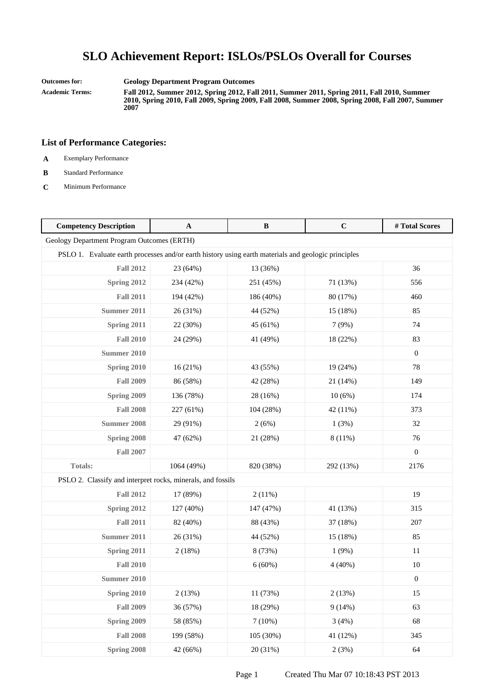**Outcomes for: Geology Department Program Outcomes**

**Academic Terms: Fall 2012, Summer 2012, Spring 2012, Fall 2011, Summer 2011, Spring 2011, Fall 2010, Summer 2010, Spring 2010, Fall 2009, Spring 2009, Fall 2008, Summer 2008, Spring 2008, Fall 2007, Summer 2007**

- **A** Exemplary Performance
- **B** Standard Performance
- **C** Minimum Performance

| <b>Competency Description</b>                                                                       | $\mathbf{A}$ | $\, {\bf B}$ | $\mathbf C$ | #Total Scores    |
|-----------------------------------------------------------------------------------------------------|--------------|--------------|-------------|------------------|
| Geology Department Program Outcomes (ERTH)                                                          |              |              |             |                  |
| PSLO 1. Evaluate earth processes and/or earth history using earth materials and geologic principles |              |              |             |                  |
| <b>Fall 2012</b>                                                                                    | 23 (64%)     | 13 (36%)     |             | 36               |
| Spring 2012                                                                                         | 234 (42%)    | 251 (45%)    | 71 (13%)    | 556              |
| <b>Fall 2011</b>                                                                                    | 194 (42%)    | 186 (40%)    | 80 (17%)    | 460              |
| <b>Summer 2011</b>                                                                                  | 26 (31%)     | 44 (52%)     | 15 (18%)    | 85               |
| Spring 2011                                                                                         | 22 (30%)     | 45 (61%)     | 7(9%)       | 74               |
| <b>Fall 2010</b>                                                                                    | 24 (29%)     | 41 (49%)     | 18 (22%)    | 83               |
| <b>Summer 2010</b>                                                                                  |              |              |             | $\boldsymbol{0}$ |
| Spring 2010                                                                                         | 16(21%)      | 43 (55%)     | 19 (24%)    | 78               |
| <b>Fall 2009</b>                                                                                    | 86 (58%)     | 42 (28%)     | 21 (14%)    | 149              |
| Spring 2009                                                                                         | 136 (78%)    | 28 (16%)     | 10(6%)      | 174              |
| <b>Fall 2008</b>                                                                                    | 227 (61%)    | 104 (28%)    | 42 (11%)    | 373              |
| <b>Summer 2008</b>                                                                                  | 29 (91%)     | 2(6%)        | 1(3%)       | 32               |
| Spring 2008                                                                                         | 47 (62%)     | 21 (28%)     | 8 (11%)     | 76               |
| <b>Fall 2007</b>                                                                                    |              |              |             | $\mathbf{0}$     |
| Totals:                                                                                             | 1064 (49%)   | 820 (38%)    | 292 (13%)   | 2176             |
| PSLO 2. Classify and interpret rocks, minerals, and fossils                                         |              |              |             |                  |
| <b>Fall 2012</b>                                                                                    | 17 (89%)     | 2(11%)       |             | 19               |
| Spring 2012                                                                                         | 127 (40%)    | 147 (47%)    | 41 (13%)    | 315              |
| <b>Fall 2011</b>                                                                                    | 82 (40%)     | 88 (43%)     | 37 (18%)    | 207              |
| <b>Summer 2011</b>                                                                                  | 26 (31%)     | 44 (52%)     | 15 (18%)    | 85               |
| Spring 2011                                                                                         | 2(18%)       | 8 (73%)      | 1(9%)       | 11               |
| <b>Fall 2010</b>                                                                                    |              | 6(60%)       | 4(40%)      | $10\,$           |
| <b>Summer 2010</b>                                                                                  |              |              |             | $\boldsymbol{0}$ |
| <b>Spring 2010</b>                                                                                  | 2(13%)       | 11 (73%)     | 2(13%)      | 15               |
| <b>Fall 2009</b>                                                                                    | 36 (57%)     | 18 (29%)     | 9(14%)      | 63               |
| Spring 2009                                                                                         | 58 (85%)     | 7(10%)       | 3(4%)       | 68               |
| <b>Fall 2008</b>                                                                                    | 199 (58%)    | 105 (30%)    | 41 (12%)    | 345              |
| Spring 2008                                                                                         | 42 (66%)     | 20 (31%)     | 2(3%)       | 64               |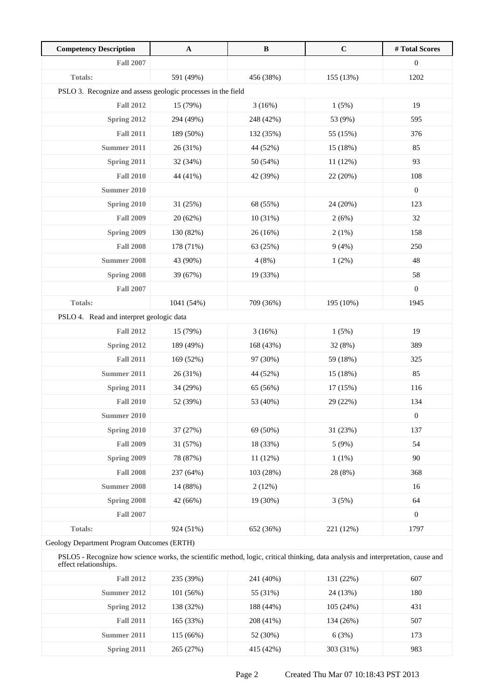| <b>Competency Description</b>                                | $\mathbf A$ | $\, {\bf B}$ | $\mathbf C$ | # Total Scores   |
|--------------------------------------------------------------|-------------|--------------|-------------|------------------|
| <b>Fall 2007</b>                                             |             |              |             | $\boldsymbol{0}$ |
| <b>Totals:</b>                                               | 591 (49%)   | 456 (38%)    | 155 (13%)   | 1202             |
| PSLO 3. Recognize and assess geologic processes in the field |             |              |             |                  |
| <b>Fall 2012</b>                                             | 15 (79%)    | 3(16%)       | 1(5%)       | 19               |
| Spring 2012                                                  | 294 (49%)   | 248 (42%)    | 53 (9%)     | 595              |
| <b>Fall 2011</b>                                             | 189 (50%)   | 132 (35%)    | 55 (15%)    | 376              |
| <b>Summer 2011</b>                                           | 26 (31%)    | 44 (52%)     | 15 (18%)    | 85               |
| Spring 2011                                                  | 32 (34%)    | 50 (54%)     | 11(12%)     | 93               |
| <b>Fall 2010</b>                                             | 44 (41%)    | 42 (39%)     | 22 (20%)    | 108              |
| Summer 2010                                                  |             |              |             | $\boldsymbol{0}$ |
| Spring 2010                                                  | 31 (25%)    | 68 (55%)     | 24 (20%)    | 123              |
| <b>Fall 2009</b>                                             | 20 (62%)    | 10 (31%)     | 2(6%)       | 32               |
| Spring 2009                                                  | 130 (82%)   | 26 (16%)     | 2(1%)       | 158              |
| <b>Fall 2008</b>                                             | 178 (71%)   | 63 (25%)     | 9(4%)       | 250              |
| <b>Summer 2008</b>                                           | 43 (90%)    | 4(8%)        | 1(2%)       | 48               |
| Spring 2008                                                  | 39 (67%)    | 19 (33%)     |             | 58               |
| <b>Fall 2007</b>                                             |             |              |             | $\boldsymbol{0}$ |
| <b>Totals:</b>                                               | 1041 (54%)  | 709 (36%)    | 195 (10%)   | 1945             |
| PSLO 4. Read and interpret geologic data                     |             |              |             |                  |
| <b>Fall 2012</b>                                             | 15 (79%)    | 3(16%)       | 1(5%)       | 19               |
| Spring 2012                                                  | 189 (49%)   | 168 (43%)    | 32 (8%)     | 389              |
| <b>Fall 2011</b>                                             | 169 (52%)   | 97 (30%)     | 59 (18%)    | 325              |
| <b>Summer 2011</b>                                           | 26 (31%)    | 44 (52%)     | 15 (18%)    | 85               |
| <b>Spring 2011</b>                                           | 34 (29%)    | 65 (56%)     | 17(15%)     | 116              |
| <b>Fall 2010</b>                                             | 52 (39%)    | 53 (40%)     | 29 (22%)    | 134              |
| Summer 2010                                                  |             |              |             | $\boldsymbol{0}$ |
| Spring 2010                                                  | 37 (27%)    | 69 (50%)     | 31 (23%)    | 137              |
| <b>Fall 2009</b>                                             | 31 (57%)    | 18 (33%)     | 5(9%)       | 54               |
| Spring 2009                                                  | 78 (87%)    | 11 (12%)     | 1(1%)       | 90               |
| <b>Fall 2008</b>                                             | 237 (64%)   | 103 (28%)    | 28 (8%)     | 368              |
| <b>Summer 2008</b>                                           | 14 (88%)    | 2(12%)       |             | 16               |
| Spring 2008                                                  | 42 (66%)    | 19 (30%)     | 3(5%)       | 64               |
| <b>Fall 2007</b>                                             |             |              |             | $\boldsymbol{0}$ |
| <b>Totals:</b>                                               | 924 (51%)   | 652 (36%)    | 221 (12%)   | 1797             |
| Geology Department Program Outcomes (FRTH)                   |             |              |             |                  |

Geology Department Program Outcomes (ERTH)

PSLO5 - Recognize how science works, the scientific method, logic, critical thinking, data analysis and interpretation, cause and effect relationships.

| <b>Fall 2012</b> | 235 (39%)   | 241 (40%) | 131 (22%) | 607 |
|------------------|-------------|-----------|-----------|-----|
| Summer 2012      | 101(56%)    | 55 (31%)  | 24 (13%)  | 180 |
| Spring 2012      | 138 (32%)   | 188 (44%) | 105(24%)  | 431 |
| <b>Fall 2011</b> | 165 (33%)   | 208 (41%) | 134 (26%) | 507 |
| Summer 2011      | $115(66\%)$ | 52 (30%)  | 6(3%)     | 173 |
| Spring 2011      | 265 (27%)   | 415 (42%) | 303 (31%) | 983 |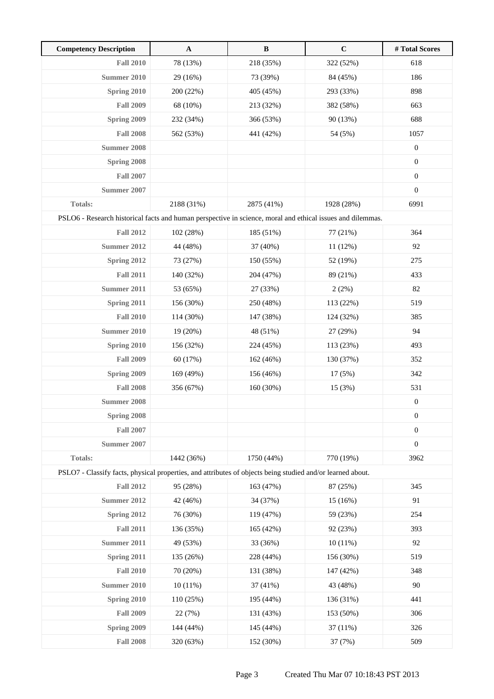| <b>Competency Description</b>                                                                              | $\mathbf{A}$ | $\, {\bf B}$ | $\mathbf C$ | #Total Scores    |
|------------------------------------------------------------------------------------------------------------|--------------|--------------|-------------|------------------|
| <b>Fall 2010</b>                                                                                           | 78 (13%)     | 218 (35%)    | 322 (52%)   | 618              |
| <b>Summer 2010</b>                                                                                         | 29 (16%)     | 73 (39%)     | 84 (45%)    | 186              |
| Spring 2010                                                                                                | 200 (22%)    | 405 (45%)    | 293 (33%)   | 898              |
| <b>Fall 2009</b>                                                                                           | 68 (10%)     | 213 (32%)    | 382 (58%)   | 663              |
| Spring 2009                                                                                                | 232 (34%)    | 366 (53%)    | 90 (13%)    | 688              |
| <b>Fall 2008</b>                                                                                           | 562 (53%)    | 441 (42%)    | 54 (5%)     | 1057             |
| Summer 2008                                                                                                |              |              |             | $\boldsymbol{0}$ |
| Spring 2008                                                                                                |              |              |             | $\boldsymbol{0}$ |
| <b>Fall 2007</b>                                                                                           |              |              |             | $\boldsymbol{0}$ |
| <b>Summer 2007</b>                                                                                         |              |              |             | $\boldsymbol{0}$ |
| Totals:                                                                                                    | 2188 (31%)   | 2875 (41%)   | 1928 (28%)  | 6991             |
| PSLO6 - Research historical facts and human perspective in science, moral and ethical issues and dilemmas. |              |              |             |                  |
| <b>Fall 2012</b>                                                                                           | 102 (28%)    | 185 (51%)    | 77 (21%)    | 364              |
| Summer 2012                                                                                                | 44 (48%)     | 37 (40%)     | $11(12\%)$  | 92               |
| Spring 2012                                                                                                | 73 (27%)     | 150 (55%)    | 52 (19%)    | 275              |
| <b>Fall 2011</b>                                                                                           | 140 (32%)    | 204 (47%)    | 89 (21%)    | 433              |
| Summer 2011                                                                                                | 53 (65%)     | 27 (33%)     | 2(2%)       | 82               |
| Spring 2011                                                                                                | 156 (30%)    | 250 (48%)    | 113 (22%)   | 519              |
| <b>Fall 2010</b>                                                                                           | 114 (30%)    | 147 (38%)    | 124 (32%)   | 385              |
| <b>Summer 2010</b>                                                                                         | 19 (20%)     | 48 (51%)     | 27 (29%)    | 94               |
| Spring 2010                                                                                                | 156 (32%)    | 224 (45%)    | 113 (23%)   | 493              |
| <b>Fall 2009</b>                                                                                           | 60 (17%)     | 162 (46%)    | 130 (37%)   | 352              |
| Spring 2009                                                                                                | 169 (49%)    | 156 (46%)    | 17(5%)      | 342              |
| <b>Fall 2008</b>                                                                                           | 356 (67%)    | 160 (30%)    | 15 (3%)     | 531              |
| <b>Summer 2008</b>                                                                                         |              |              |             | $\boldsymbol{0}$ |
| Spring 2008                                                                                                |              |              |             | $\boldsymbol{0}$ |
| <b>Fall 2007</b>                                                                                           |              |              |             | $\boldsymbol{0}$ |
| <b>Summer 2007</b>                                                                                         |              |              |             | $\boldsymbol{0}$ |
| Totals:                                                                                                    | 1442 (36%)   | 1750 (44%)   | 770 (19%)   | 3962             |
| PSLO7 - Classify facts, physical properties, and attributes of objects being studied and/or learned about. |              |              |             |                  |
| <b>Fall 2012</b>                                                                                           | 95 (28%)     | 163 (47%)    | 87 (25%)    | 345              |
| <b>Summer 2012</b>                                                                                         | 42 (46%)     | 34 (37%)     | 15 (16%)    | 91               |
| <b>Spring 2012</b>                                                                                         | 76 (30%)     | 119 (47%)    | 59 (23%)    | 254              |
| <b>Fall 2011</b>                                                                                           | 136 (35%)    | 165 (42%)    | 92 (23%)    | 393              |
| <b>Summer 2011</b>                                                                                         | 49 (53%)     | 33 (36%)     | $10(11\%)$  | 92               |
| Spring 2011                                                                                                | 135 (26%)    | 228 (44%)    | 156 (30%)   | 519              |
| <b>Fall 2010</b>                                                                                           | 70 (20%)     | 131 (38%)    | 147 (42%)   | 348              |
| <b>Summer 2010</b>                                                                                         | $10(11\%)$   | 37 (41%)     | 43 (48%)    | 90               |
| Spring 2010                                                                                                | 110 (25%)    | 195 (44%)    | 136 (31%)   | 441              |
| <b>Fall 2009</b>                                                                                           | 22 (7%)      | 131 (43%)    | 153 (50%)   | 306              |
| Spring 2009                                                                                                | 144 (44%)    | 145 (44%)    | 37 (11%)    | 326              |
| <b>Fall 2008</b>                                                                                           | 320 (63%)    | 152 (30%)    | 37 (7%)     | 509              |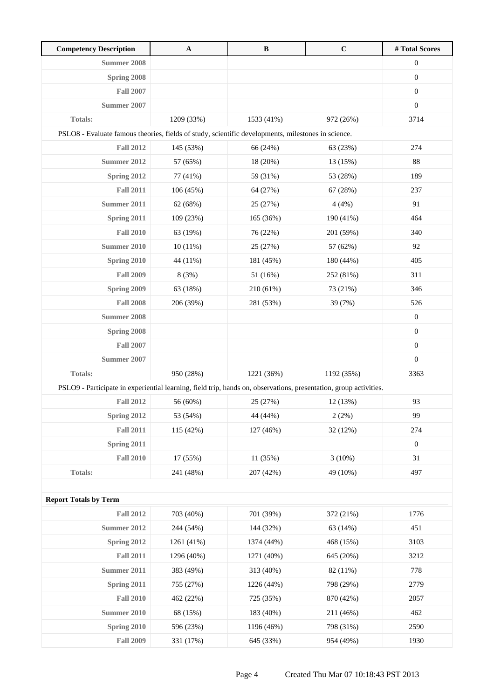| <b>Competency Description</b>                                                                                     | $\mathbf{A}$ | $\, {\bf B}$ | $\mathbf C$ | #Total Scores    |
|-------------------------------------------------------------------------------------------------------------------|--------------|--------------|-------------|------------------|
| <b>Summer 2008</b>                                                                                                |              |              |             | $\boldsymbol{0}$ |
| Spring 2008                                                                                                       |              |              |             | $\boldsymbol{0}$ |
| <b>Fall 2007</b>                                                                                                  |              |              |             | $\boldsymbol{0}$ |
| Summer 2007                                                                                                       |              |              |             | $\boldsymbol{0}$ |
| <b>Totals:</b>                                                                                                    | 1209 (33%)   | 1533 (41%)   | 972 (26%)   | 3714             |
| PSLO8 - Evaluate famous theories, fields of study, scientific developments, milestones in science.                |              |              |             |                  |
| <b>Fall 2012</b>                                                                                                  | 145 (53%)    | 66 (24%)     | 63 (23%)    | 274              |
| Summer 2012                                                                                                       | 57 (65%)     | 18 (20%)     | 13 (15%)    | 88               |
| Spring 2012                                                                                                       | 77 (41%)     | 59 (31%)     | 53 (28%)    | 189              |
| <b>Fall 2011</b>                                                                                                  | 106 (45%)    | 64 (27%)     | 67 (28%)    | 237              |
| Summer 2011                                                                                                       | 62 (68%)     | 25 (27%)     | 4(4%)       | 91               |
| Spring 2011                                                                                                       | 109 (23%)    | 165 (36%)    | 190 (41%)   | 464              |
| <b>Fall 2010</b>                                                                                                  | 63 (19%)     | 76 (22%)     | 201 (59%)   | 340              |
| Summer 2010                                                                                                       | 10(11%)      | 25 (27%)     | 57 (62%)    | 92               |
| Spring 2010                                                                                                       | 44 (11%)     | 181 (45%)    | 180 (44%)   | 405              |
| <b>Fall 2009</b>                                                                                                  | 8 (3%)       | 51 (16%)     | 252 (81%)   | 311              |
| Spring 2009                                                                                                       | 63 (18%)     | 210 (61%)    | 73 (21%)    | 346              |
| <b>Fall 2008</b>                                                                                                  | 206 (39%)    | 281 (53%)    | 39 (7%)     | 526              |
| Summer 2008                                                                                                       |              |              |             | $\boldsymbol{0}$ |
| Spring 2008                                                                                                       |              |              |             | $\overline{0}$   |
| <b>Fall 2007</b>                                                                                                  |              |              |             | $\boldsymbol{0}$ |
| Summer 2007                                                                                                       |              |              |             | $\boldsymbol{0}$ |
| Totals:                                                                                                           | 950 (28%)    | 1221 (36%)   | 1192 (35%)  | 3363             |
| PSLO9 - Participate in experiential learning, field trip, hands on, observations, presentation, group activities. |              |              |             |                  |
| <b>Fall 2012</b>                                                                                                  | 56 (60%)     | 25 (27%)     | 12 (13%)    | 93               |
| Spring 2012                                                                                                       | 53 (54%)     | 44 (44%)     | 2(2%)       | 99               |
| <b>Fall 2011</b>                                                                                                  | 115 (42%)    | 127 (46%)    | 32 (12%)    | 274              |
| Spring 2011                                                                                                       |              |              |             | $\boldsymbol{0}$ |
| <b>Fall 2010</b>                                                                                                  | 17 (55%)     | 11 (35%)     | 3(10%)      | 31               |
| Totals:                                                                                                           | 241 (48%)    | 207 (42%)    | 49 (10%)    | 497              |
|                                                                                                                   |              |              |             |                  |
| <b>Report Totals by Term</b>                                                                                      |              |              |             |                  |
| <b>Fall 2012</b>                                                                                                  | 703 (40%)    | 701 (39%)    | 372 (21%)   | 1776             |
| <b>Summer 2012</b>                                                                                                | 244 (54%)    | 144 (32%)    | 63 (14%)    | 451              |
| <b>Spring 2012</b>                                                                                                | 1261 (41%)   | 1374 (44%)   | 468 (15%)   | 3103             |
| <b>Fall 2011</b>                                                                                                  | 1296 (40%)   | 1271 (40%)   | 645 (20%)   | 3212             |
| <b>Summer 2011</b>                                                                                                | 383 (49%)    | 313 (40%)    | 82 (11%)    | 778              |
| Spring 2011                                                                                                       | 755 (27%)    | 1226 (44%)   | 798 (29%)   | 2779             |
| <b>Fall 2010</b>                                                                                                  | 462 (22%)    | 725 (35%)    | 870 (42%)   | 2057             |
| <b>Summer 2010</b>                                                                                                | 68 (15%)     | 183 (40%)    | 211 (46%)   | 462              |
| Spring 2010                                                                                                       | 596 (23%)    | 1196 (46%)   | 798 (31%)   | 2590             |
| <b>Fall 2009</b>                                                                                                  | 331 (17%)    | 645 (33%)    | 954 (49%)   | 1930             |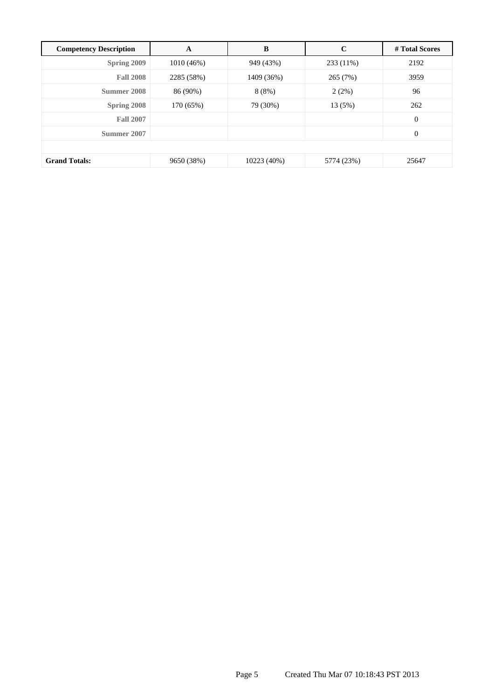| <b>Competency Description</b> | A            | B           | $\mathbf C$ | # Total Scores   |
|-------------------------------|--------------|-------------|-------------|------------------|
| Spring 2009                   | $1010(46\%)$ | 949 (43%)   | 233 (11%)   | 2192             |
| <b>Fall 2008</b>              | 2285 (58%)   | 1409 (36%)  | 265 (7%)    | 3959             |
| Summer 2008                   | 86 (90%)     | 8(8%)       | 2(2%)       | 96               |
| Spring 2008                   | 170 (65%)    | 79 (30%)    | 13 (5%)     | 262              |
| <b>Fall 2007</b>              |              |             |             | $\boldsymbol{0}$ |
| Summer 2007                   |              |             |             | $\boldsymbol{0}$ |
|                               |              |             |             |                  |
| <b>Grand Totals:</b>          | 9650 (38%)   | 10223 (40%) | 5774 (23%)  | 25647            |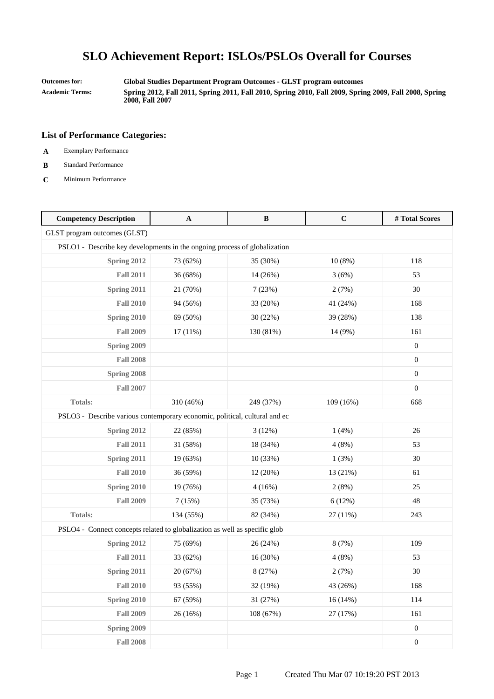**Outcomes for: Global Studies Department Program Outcomes - GLST program outcomes Academic Terms: Spring 2012, Fall 2011, Spring 2011, Fall 2010, Spring 2010, Fall 2009, Spring 2009, Fall 2008, Spring 2008, Fall 2007**

- **A** Exemplary Performance
- **B** Standard Performance
- **C** Minimum Performance

| <b>Competency Description</b>                                              | $\mathbf{A}$ | B         | $\mathbf C$ | #Total Scores    |
|----------------------------------------------------------------------------|--------------|-----------|-------------|------------------|
| GLST program outcomes (GLST)                                               |              |           |             |                  |
| PSLO1 - Describe key developments in the ongoing process of globalization  |              |           |             |                  |
| <b>Spring 2012</b>                                                         | 73 (62%)     | 35 (30%)  | $10(8\%)$   | 118              |
| <b>Fall 2011</b>                                                           | 36 (68%)     | 14 (26%)  | 3(6%)       | 53               |
| Spring 2011                                                                | 21 (70%)     | 7(23%)    | 2(7%)       | 30               |
| <b>Fall 2010</b>                                                           | 94 (56%)     | 33 (20%)  | 41 (24%)    | 168              |
| Spring 2010                                                                | 69 (50%)     | 30 (22%)  | 39 (28%)    | 138              |
| <b>Fall 2009</b>                                                           | 17(11%)      | 130 (81%) | 14 (9%)     | 161              |
| Spring 2009                                                                |              |           |             | $\mathbf{0}$     |
| <b>Fall 2008</b>                                                           |              |           |             | $\boldsymbol{0}$ |
| Spring 2008                                                                |              |           |             | $\boldsymbol{0}$ |
| <b>Fall 2007</b>                                                           |              |           |             | $\boldsymbol{0}$ |
| <b>Totals:</b>                                                             | 310 (46%)    | 249 (37%) | 109 (16%)   | 668              |
| PSLO3 - Describe various contemporary economic, political, cultural and ec |              |           |             |                  |
| Spring 2012                                                                | 22 (85%)     | 3(12%)    | 1(4%)       | 26               |
| <b>Fall 2011</b>                                                           | 31 (58%)     | 18 (34%)  | 4(8%)       | 53               |
| Spring 2011                                                                | 19 (63%)     | 10 (33%)  | 1(3%)       | 30               |
| <b>Fall 2010</b>                                                           | 36 (59%)     | 12 (20%)  | 13 (21%)    | 61               |
| Spring 2010                                                                | 19 (76%)     | 4(16%)    | 2(8%)       | 25               |
| <b>Fall 2009</b>                                                           | 7(15%)       | 35 (73%)  | 6(12%)      | 48               |
| Totals:                                                                    | 134 (55%)    | 82 (34%)  | 27 (11%)    | 243              |
| PSLO4 - Connect concepts related to globalization as well as specific glob |              |           |             |                  |
| Spring 2012                                                                | 75 (69%)     | 26 (24%)  | 8 (7%)      | 109              |
| <b>Fall 2011</b>                                                           | 33 (62%)     | 16 (30%)  | 4(8%)       | 53               |
| Spring 2011                                                                | 20 (67%)     | 8 (27%)   | 2(7%)       | 30               |
| <b>Fall 2010</b>                                                           | 93 (55%)     | 32 (19%)  | 43 (26%)    | 168              |
| Spring 2010                                                                | 67 (59%)     | 31 (27%)  | 16(14%)     | 114              |
| <b>Fall 2009</b>                                                           | 26 (16%)     | 108 (67%) | 27 (17%)    | 161              |
| Spring 2009                                                                |              |           |             | $\boldsymbol{0}$ |
| <b>Fall 2008</b>                                                           |              |           |             | $\boldsymbol{0}$ |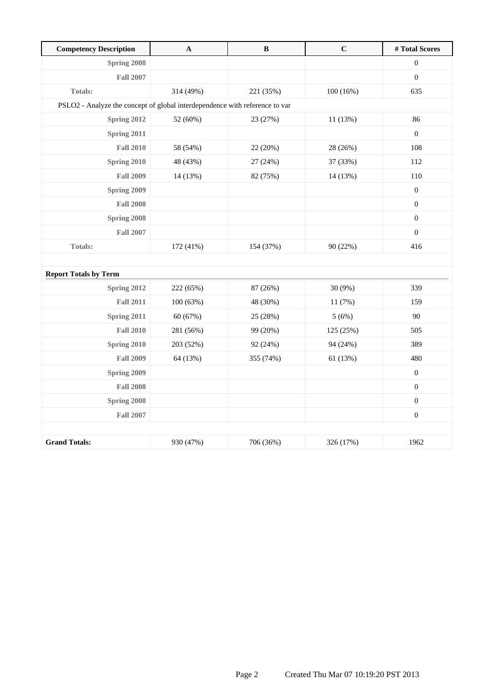| <b>Competency Description</b>                                               | $\mathbf A$ | $\bf{B}$  | $\mathbf C$ | #Total Scores    |  |
|-----------------------------------------------------------------------------|-------------|-----------|-------------|------------------|--|
| Spring 2008                                                                 |             |           |             | $\boldsymbol{0}$ |  |
| <b>Fall 2007</b>                                                            |             |           |             | $\boldsymbol{0}$ |  |
| Totals:                                                                     | 314 (49%)   | 221 (35%) | 100(16%)    | 635              |  |
| PSLO2 - Analyze the concept of global interdependence with reference to var |             |           |             |                  |  |
| <b>Spring 2012</b>                                                          | 52 (60%)    | 23 (27%)  | 11 (13%)    | 86               |  |
| Spring 2011                                                                 |             |           |             | $\boldsymbol{0}$ |  |
| <b>Fall 2010</b>                                                            | 58 (54%)    | 22 (20%)  | 28 (26%)    | 108              |  |
| Spring 2010                                                                 | 48 (43%)    | 27 (24%)  | 37 (33%)    | 112              |  |
| <b>Fall 2009</b>                                                            | 14 (13%)    | 82 (75%)  | 14 (13%)    | 110              |  |
| Spring 2009                                                                 |             |           |             | $\mathbf{0}$     |  |
| <b>Fall 2008</b>                                                            |             |           |             | $\boldsymbol{0}$ |  |
| Spring 2008                                                                 |             |           |             | $\boldsymbol{0}$ |  |
| <b>Fall 2007</b>                                                            |             |           |             | $\boldsymbol{0}$ |  |
| Totals:                                                                     | 172 (41%)   | 154 (37%) | 90 (22%)    | 416              |  |
|                                                                             |             |           |             |                  |  |
| <b>Report Totals by Term</b>                                                |             |           |             |                  |  |
| Spring 2012                                                                 | 222 (65%)   | 87 (26%)  | 30 (9%)     | 339              |  |
| <b>Fall 2011</b>                                                            | 100 (63%)   | 48 (30%)  | 11 (7%)     | 159              |  |
| Spring 2011                                                                 | 60 (67%)    | 25 (28%)  | 5(6%)       | 90               |  |
| <b>Fall 2010</b>                                                            | 281 (56%)   | 99 (20%)  | 125 (25%)   | 505              |  |
| Spring 2010                                                                 | 203 (52%)   | 92 (24%)  | 94 (24%)    | 389              |  |
| <b>Fall 2009</b>                                                            | 64 (13%)    | 355 (74%) | 61 (13%)    | 480              |  |
| <b>Spring 2009</b>                                                          |             |           |             | $\boldsymbol{0}$ |  |
| <b>Fall 2008</b>                                                            |             |           |             | $\boldsymbol{0}$ |  |
| Spring 2008                                                                 |             |           |             | $\boldsymbol{0}$ |  |
| <b>Fall 2007</b>                                                            |             |           |             | $\boldsymbol{0}$ |  |
|                                                                             |             |           |             |                  |  |
| <b>Grand Totals:</b>                                                        | 930 (47%)   | 706 (36%) | 326 (17%)   | 1962             |  |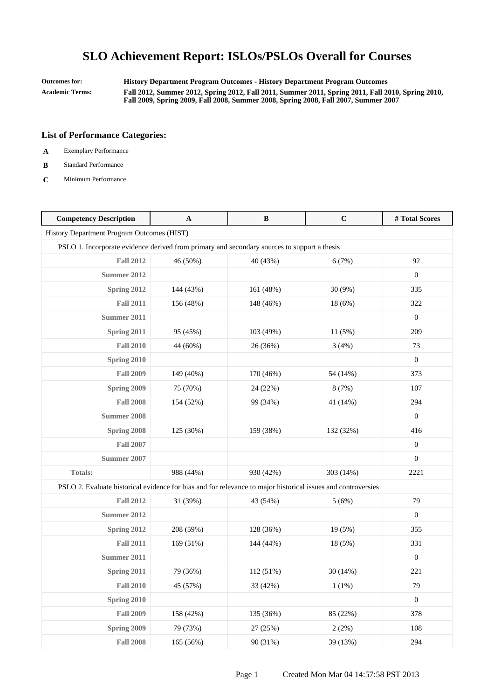**Outcomes for: History Department Program Outcomes - History Department Program Outcomes Academic Terms: Fall 2012, Summer 2012, Spring 2012, Fall 2011, Summer 2011, Spring 2011, Fall 2010, Spring 2010, Fall 2009, Spring 2009, Fall 2008, Summer 2008, Spring 2008, Fall 2007, Summer 2007**

- **A** Exemplary Performance
- **B** Standard Performance
- **C** Minimum Performance

| <b>Competency Description</b>                                                                                | A         | $\bf{B}$  | $\mathbf C$ | #Total Scores    |
|--------------------------------------------------------------------------------------------------------------|-----------|-----------|-------------|------------------|
| History Department Program Outcomes (HIST)                                                                   |           |           |             |                  |
| PSLO 1. Incorporate evidence derived from primary and secondary sources to support a thesis                  |           |           |             |                  |
| <b>Fall 2012</b>                                                                                             | 46 (50%)  | 40 (43%)  | 6(7%)       | 92               |
| <b>Summer 2012</b>                                                                                           |           |           |             | $\boldsymbol{0}$ |
| Spring 2012                                                                                                  | 144 (43%) | 161 (48%) | 30 (9%)     | 335              |
| <b>Fall 2011</b>                                                                                             | 156 (48%) | 148 (46%) | 18 (6%)     | 322              |
| Summer 2011                                                                                                  |           |           |             | $\boldsymbol{0}$ |
| Spring 2011                                                                                                  | 95 (45%)  | 103 (49%) | 11(5%)      | 209              |
| <b>Fall 2010</b>                                                                                             | 44 (60%)  | 26 (36%)  | 3(4%)       | 73               |
| Spring 2010                                                                                                  |           |           |             | $\boldsymbol{0}$ |
| <b>Fall 2009</b>                                                                                             | 149 (40%) | 170 (46%) | 54 (14%)    | 373              |
| Spring 2009                                                                                                  | 75 (70%)  | 24 (22%)  | 8(7%)       | 107              |
| <b>Fall 2008</b>                                                                                             | 154 (52%) | 99 (34%)  | 41 (14%)    | 294              |
| <b>Summer 2008</b>                                                                                           |           |           |             | $\boldsymbol{0}$ |
| Spring 2008                                                                                                  | 125 (30%) | 159 (38%) | 132 (32%)   | 416              |
| <b>Fall 2007</b>                                                                                             |           |           |             | $\boldsymbol{0}$ |
| Summer 2007                                                                                                  |           |           |             | $\boldsymbol{0}$ |
| Totals:                                                                                                      | 988 (44%) | 930 (42%) | 303 (14%)   | 2221             |
| PSLO 2. Evaluate historical evidence for bias and for relevance to major historical issues and controversies |           |           |             |                  |
| <b>Fall 2012</b>                                                                                             | 31 (39%)  | 43 (54%)  | 5(6%)       | 79               |
| <b>Summer 2012</b>                                                                                           |           |           |             | $\mathbf{0}$     |
| Spring 2012                                                                                                  | 208 (59%) | 128 (36%) | 19 (5%)     | 355              |
| <b>Fall 2011</b>                                                                                             | 169 (51%) | 144 (44%) | 18 (5%)     | 331              |
| Summer 2011                                                                                                  |           |           |             | $\boldsymbol{0}$ |
| Spring 2011                                                                                                  | 79 (36%)  | 112 (51%) | 30(14%)     | 221              |
| <b>Fall 2010</b>                                                                                             | 45 (57%)  | 33 (42%)  | 1(1%)       | 79               |
| Spring 2010                                                                                                  |           |           |             | $\mathbf{0}$     |
| <b>Fall 2009</b>                                                                                             | 158 (42%) | 135 (36%) | 85 (22%)    | 378              |
| Spring 2009                                                                                                  | 79 (73%)  | 27 (25%)  | 2(2%)       | 108              |
| <b>Fall 2008</b>                                                                                             | 165 (56%) | 90 (31%)  | 39 (13%)    | 294              |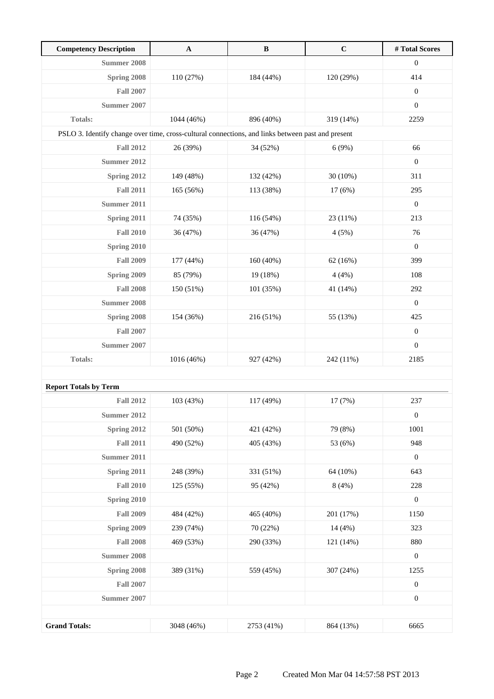| <b>Competency Description</b>                                                                     | $\mathbf A$ | $\, {\bf B}$ | $\mathbf C$ | # Total Scores   |
|---------------------------------------------------------------------------------------------------|-------------|--------------|-------------|------------------|
| Summer 2008                                                                                       |             |              |             | $\boldsymbol{0}$ |
| Spring 2008                                                                                       | 110 (27%)   | 184 (44%)    | 120 (29%)   | 414              |
| <b>Fall 2007</b>                                                                                  |             |              |             | $\boldsymbol{0}$ |
| Summer 2007                                                                                       |             |              |             | $\boldsymbol{0}$ |
| <b>Totals:</b>                                                                                    | 1044 (46%)  | 896 (40%)    | 319 (14%)   | 2259             |
| PSLO 3. Identify change over time, cross-cultural connections, and links between past and present |             |              |             |                  |
| <b>Fall 2012</b>                                                                                  | 26 (39%)    | 34 (52%)     | 6(9%)       | 66               |
| <b>Summer 2012</b>                                                                                |             |              |             | $\boldsymbol{0}$ |
| Spring 2012                                                                                       | 149 (48%)   | 132 (42%)    | $30(10\%)$  | 311              |
| <b>Fall 2011</b>                                                                                  | 165 (56%)   | 113 (38%)    | 17(6%)      | 295              |
| Summer 2011                                                                                       |             |              |             | $\boldsymbol{0}$ |
| Spring 2011                                                                                       | 74 (35%)    | 116 (54%)    | 23 (11%)    | 213              |
| <b>Fall 2010</b>                                                                                  | 36 (47%)    | 36 (47%)     | 4(5%)       | 76               |
| Spring 2010                                                                                       |             |              |             | $\mathbf{0}$     |
| <b>Fall 2009</b>                                                                                  | 177 (44%)   | 160(40%)     | 62(16%)     | 399              |
| Spring 2009                                                                                       | 85 (79%)    | 19 (18%)     | 4(4%)       | 108              |
| <b>Fall 2008</b>                                                                                  | 150 (51%)   | 101 (35%)    | 41 (14%)    | 292              |
| Summer 2008                                                                                       |             |              |             | $\boldsymbol{0}$ |
| Spring 2008                                                                                       | 154 (36%)   | 216 (51%)    | 55 (13%)    | 425              |
| <b>Fall 2007</b>                                                                                  |             |              |             | $\boldsymbol{0}$ |
| Summer 2007                                                                                       |             |              |             | $\boldsymbol{0}$ |
| <b>Totals:</b>                                                                                    | 1016 (46%)  | 927 (42%)    | 242 (11%)   | 2185             |
|                                                                                                   |             |              |             |                  |
| <b>Report Totals by Term</b>                                                                      |             |              |             |                  |
| <b>Fall 2012</b>                                                                                  | 103 (43%)   | 117 (49%)    | 17 (7%)     | 237              |
| <b>Summer 2012</b>                                                                                |             |              |             | $\boldsymbol{0}$ |
| Spring 2012                                                                                       | 501 (50%)   | 421 (42%)    | 79 (8%)     | 1001             |
| <b>Fall 2011</b>                                                                                  | 490 (52%)   | 405 (43%)    | 53 (6%)     | 948              |
| <b>Summer 2011</b>                                                                                |             |              |             | $\boldsymbol{0}$ |
| Spring 2011                                                                                       | 248 (39%)   | 331 (51%)    | 64 (10%)    | 643              |
| <b>Fall 2010</b>                                                                                  | 125 (55%)   | 95 (42%)     | 8(4%)       | 228              |
| Spring 2010                                                                                       |             |              |             | $\boldsymbol{0}$ |
| <b>Fall 2009</b>                                                                                  | 484 (42%)   | 465 (40%)    | 201 (17%)   | 1150             |
| Spring 2009                                                                                       | 239 (74%)   | 70 (22%)     | 14 (4%)     | 323              |
| <b>Fall 2008</b>                                                                                  | 469 (53%)   | 290 (33%)    | 121 (14%)   | 880              |
| <b>Summer 2008</b>                                                                                |             |              |             | $\boldsymbol{0}$ |
| Spring 2008                                                                                       | 389 (31%)   | 559 (45%)    | 307 (24%)   | 1255             |
| <b>Fall 2007</b>                                                                                  |             |              |             | $\boldsymbol{0}$ |
| <b>Summer 2007</b>                                                                                |             |              |             | $\boldsymbol{0}$ |
|                                                                                                   |             |              |             |                  |
| <b>Grand Totals:</b>                                                                              | 3048 (46%)  | 2753 (41%)   | 864 (13%)   | 6665             |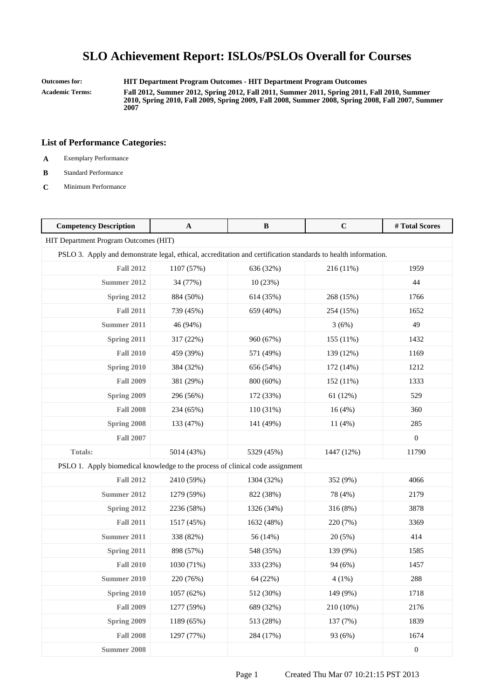**Outcomes for: HIT Department Program Outcomes - HIT Department Program Outcomes**

**Academic Terms: Fall 2012, Summer 2012, Spring 2012, Fall 2011, Summer 2011, Spring 2011, Fall 2010, Summer 2010, Spring 2010, Fall 2009, Spring 2009, Fall 2008, Summer 2008, Spring 2008, Fall 2007, Summer 2007**

- **A** Exemplary Performance
- **B** Standard Performance
- **C** Minimum Performance

| <b>Competency Description</b>                                                                                  | A          | $\, {\bf B}$ | $\mathbf C$ | # Total Scores   |
|----------------------------------------------------------------------------------------------------------------|------------|--------------|-------------|------------------|
| HIT Department Program Outcomes (HIT)                                                                          |            |              |             |                  |
| PSLO 3. Apply and demonstrate legal, ethical, accreditation and certification standards to health information. |            |              |             |                  |
| <b>Fall 2012</b>                                                                                               | 1107 (57%) | 636 (32%)    | 216 (11%)   | 1959             |
| <b>Summer 2012</b>                                                                                             | 34 (77%)   | 10(23%)      |             | 44               |
| Spring 2012                                                                                                    | 884 (50%)  | 614 (35%)    | 268 (15%)   | 1766             |
| <b>Fall 2011</b>                                                                                               | 739 (45%)  | 659 (40%)    | 254 (15%)   | 1652             |
| <b>Summer 2011</b>                                                                                             | 46 (94%)   |              | 3(6%)       | 49               |
| Spring 2011                                                                                                    | 317 (22%)  | 960 (67%)    | 155 (11%)   | 1432             |
| <b>Fall 2010</b>                                                                                               | 459 (39%)  | 571 (49%)    | 139 (12%)   | 1169             |
| Spring 2010                                                                                                    | 384 (32%)  | 656 (54%)    | 172 (14%)   | 1212             |
| <b>Fall 2009</b>                                                                                               | 381 (29%)  | 800 (60%)    | 152 (11%)   | 1333             |
| Spring 2009                                                                                                    | 296 (56%)  | 172 (33%)    | 61 (12%)    | 529              |
| <b>Fall 2008</b>                                                                                               | 234 (65%)  | 110 (31%)    | 16(4%)      | 360              |
| Spring 2008                                                                                                    | 133 (47%)  | 141 (49%)    | 11 (4%)     | 285              |
| <b>Fall 2007</b>                                                                                               |            |              |             | $\boldsymbol{0}$ |
| <b>Totals:</b>                                                                                                 | 5014 (43%) | 5329 (45%)   | 1447 (12%)  | 11790            |
| PSLO 1. Apply biomedical knowledge to the process of clinical code assignment                                  |            |              |             |                  |
| <b>Fall 2012</b>                                                                                               | 2410 (59%) | 1304 (32%)   | 352 (9%)    | 4066             |
| <b>Summer 2012</b>                                                                                             | 1279 (59%) | 822 (38%)    | 78 (4%)     | 2179             |
| Spring 2012                                                                                                    | 2236 (58%) | 1326 (34%)   | 316 (8%)    | 3878             |
| <b>Fall 2011</b>                                                                                               | 1517 (45%) | 1632 (48%)   | 220 (7%)    | 3369             |
| Summer 2011                                                                                                    | 338 (82%)  | 56 (14%)     | 20(5%)      | 414              |
| Spring 2011                                                                                                    | 898 (57%)  | 548 (35%)    | 139 (9%)    | 1585             |
| <b>Fall 2010</b>                                                                                               | 1030 (71%) | 333 (23%)    | 94 (6%)     | 1457             |
| Summer 2010                                                                                                    | 220 (76%)  | 64 (22%)     | 4(1%)       | 288              |
| Spring 2010                                                                                                    | 1057 (62%) | 512 (30%)    | 149 (9%)    | 1718             |
| <b>Fall 2009</b>                                                                                               | 1277 (59%) | 689 (32%)    | 210 (10%)   | 2176             |
| Spring 2009                                                                                                    | 1189 (65%) | 513 (28%)    | 137 (7%)    | 1839             |
| <b>Fall 2008</b>                                                                                               | 1297 (77%) | 284 (17%)    | 93 (6%)     | 1674             |
| <b>Summer 2008</b>                                                                                             |            |              |             | $\boldsymbol{0}$ |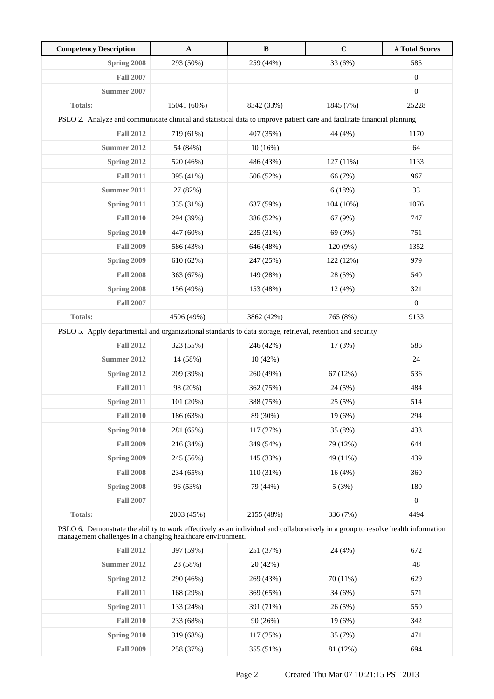| <b>Competency Description</b>                                                                                                                                                                    | $\mathbf A$ | $\, {\bf B}$ | $\mathbf C$ | #Total Scores    |
|--------------------------------------------------------------------------------------------------------------------------------------------------------------------------------------------------|-------------|--------------|-------------|------------------|
| Spring 2008                                                                                                                                                                                      | 293 (50%)   | 259 (44%)    | 33 (6%)     | 585              |
| <b>Fall 2007</b>                                                                                                                                                                                 |             |              |             | $\boldsymbol{0}$ |
| Summer 2007                                                                                                                                                                                      |             |              |             | $\boldsymbol{0}$ |
| <b>Totals:</b>                                                                                                                                                                                   | 15041 (60%) | 8342 (33%)   | 1845 (7%)   | 25228            |
| PSLO 2. Analyze and communicate clinical and statistical data to improve patient care and facilitate financial planning                                                                          |             |              |             |                  |
| <b>Fall 2012</b>                                                                                                                                                                                 | 719 (61%)   | 407 (35%)    | 44 (4%)     | 1170             |
| Summer 2012                                                                                                                                                                                      | 54 (84%)    | $10(16\%)$   |             | 64               |
| Spring 2012                                                                                                                                                                                      | 520 (46%)   | 486 (43%)    | 127 (11%)   | 1133             |
| <b>Fall 2011</b>                                                                                                                                                                                 | 395 (41%)   | 506 (52%)    | 66 (7%)     | 967              |
| Summer 2011                                                                                                                                                                                      | 27 (82%)    |              | 6(18%)      | 33               |
| Spring 2011                                                                                                                                                                                      | 335 (31%)   | 637 (59%)    | 104 (10%)   | 1076             |
| <b>Fall 2010</b>                                                                                                                                                                                 | 294 (39%)   | 386 (52%)    | 67 (9%)     | 747              |
| Spring 2010                                                                                                                                                                                      | 447 (60%)   | 235 (31%)    | 69 (9%)     | 751              |
| <b>Fall 2009</b>                                                                                                                                                                                 | 586 (43%)   | 646 (48%)    | 120 (9%)    | 1352             |
| <b>Spring 2009</b>                                                                                                                                                                               | 610 (62%)   | 247 (25%)    | 122 (12%)   | 979              |
| <b>Fall 2008</b>                                                                                                                                                                                 | 363 (67%)   | 149 (28%)    | 28 (5%)     | 540              |
| Spring 2008                                                                                                                                                                                      | 156 (49%)   | 153 (48%)    | 12(4%)      | 321              |
| <b>Fall 2007</b>                                                                                                                                                                                 |             |              |             | $\boldsymbol{0}$ |
| <b>Totals:</b>                                                                                                                                                                                   | 4506 (49%)  | 3862 (42%)   | 765 (8%)    | 9133             |
| PSLO 5. Apply departmental and organizational standards to data storage, retrieval, retention and security                                                                                       |             |              |             |                  |
| <b>Fall 2012</b>                                                                                                                                                                                 | 323 (55%)   | 246 (42%)    | 17(3%)      | 586              |
| Summer 2012                                                                                                                                                                                      | 14 (58%)    | 10(42%)      |             | 24               |
| Spring 2012                                                                                                                                                                                      | 209 (39%)   | 260 (49%)    | 67 (12%)    | 536              |
| <b>Fall 2011</b>                                                                                                                                                                                 | 98 (20%)    | 362 (75%)    | 24 (5%)     | 484              |
| Spring 2011                                                                                                                                                                                      | 101 (20%)   | 388 (75%)    | 25 (5%)     | 514              |
| <b>Fall 2010</b>                                                                                                                                                                                 | 186 (63%)   | 89 (30%)     | 19 (6%)     | 294              |
| Spring 2010                                                                                                                                                                                      | 281 (65%)   | 117 (27%)    | 35 (8%)     | 433              |
| <b>Fall 2009</b>                                                                                                                                                                                 | 216 (34%)   | 349 (54%)    | 79 (12%)    | 644              |
| Spring 2009                                                                                                                                                                                      | 245 (56%)   | 145 (33%)    | 49 (11%)    | 439              |
| <b>Fall 2008</b>                                                                                                                                                                                 | 234 (65%)   | 110 (31%)    | 16(4%)      | 360              |
| Spring 2008                                                                                                                                                                                      | 96 (53%)    | 79 (44%)     | 5(3%)       | 180              |
| <b>Fall 2007</b>                                                                                                                                                                                 |             |              |             | $\boldsymbol{0}$ |
| Totals:                                                                                                                                                                                          | 2003 (45%)  | 2155 (48%)   | 336 (7%)    | 4494             |
| PSLO 6. Demonstrate the ability to work effectively as an individual and collaboratively in a group to resolve health information<br>management challenges in a changing healthcare environment. |             |              |             |                  |
| <b>Fall 2012</b>                                                                                                                                                                                 | 397 (59%)   | 251 (37%)    | 24 (4%)     | 672              |
| <b>Summer 2012</b>                                                                                                                                                                               | 28 (58%)    | 20 (42%)     |             | 48               |
| Spring 2012                                                                                                                                                                                      | 290 (46%)   | 269 (43%)    | 70 (11%)    | 629              |
| <b>Fall 2011</b>                                                                                                                                                                                 | 168 (29%)   | 369 (65%)    | 34 (6%)     | 571              |
| Spring 2011                                                                                                                                                                                      | 133 (24%)   | 391 (71%)    | 26 (5%)     | 550              |
| <b>Fall 2010</b>                                                                                                                                                                                 | 233 (68%)   | 90 (26%)     | 19(6%)      | 342              |
| Spring 2010                                                                                                                                                                                      | 319 (68%)   | 117 (25%)    | 35 (7%)     | 471              |
| <b>Fall 2009</b>                                                                                                                                                                                 | 258 (37%)   | 355 (51%)    | 81 (12%)    | 694              |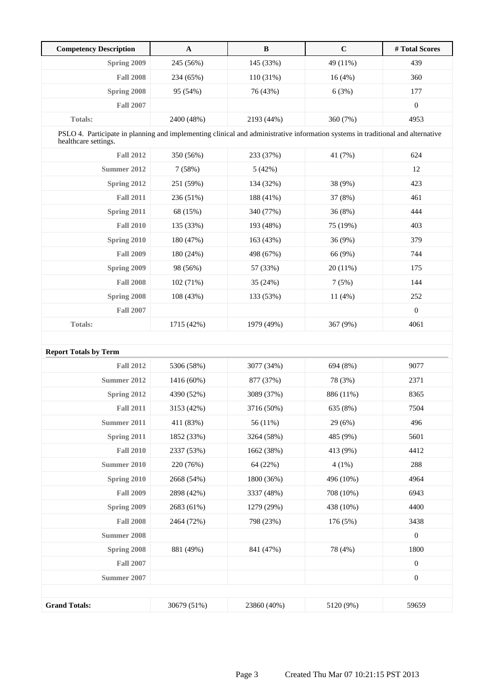| <b>Competency Description</b>                                                                                                                           | $\mathbf A$ | $\bf{B}$    | $\mathbf C$ | #Total Scores    |
|---------------------------------------------------------------------------------------------------------------------------------------------------------|-------------|-------------|-------------|------------------|
| Spring 2009                                                                                                                                             | 245 (56%)   | 145 (33%)   | 49 (11%)    | 439              |
| <b>Fall 2008</b>                                                                                                                                        | 234 (65%)   | 110 (31%)   | 16(4%)      | 360              |
| Spring 2008                                                                                                                                             | 95 (54%)    | 76 (43%)    | 6(3%)       | 177              |
| <b>Fall 2007</b>                                                                                                                                        |             |             |             | $\boldsymbol{0}$ |
| Totals:                                                                                                                                                 | 2400 (48%)  | 2193 (44%)  | 360 (7%)    | 4953             |
| PSLO 4. Participate in planning and implementing clinical and administrative information systems in traditional and alternative<br>healthcare settings. |             |             |             |                  |
| <b>Fall 2012</b>                                                                                                                                        | 350 (56%)   | 233 (37%)   | 41 (7%)     | 624              |
| <b>Summer 2012</b>                                                                                                                                      | 7(58%)      | 5(42%)      |             | 12               |
| Spring 2012                                                                                                                                             | 251 (59%)   | 134 (32%)   | 38 (9%)     | 423              |
| <b>Fall 2011</b>                                                                                                                                        | 236 (51%)   | 188 (41%)   | 37 (8%)     | 461              |
| Spring 2011                                                                                                                                             | 68 (15%)    | 340 (77%)   | 36 (8%)     | 444              |
| <b>Fall 2010</b>                                                                                                                                        | 135 (33%)   | 193 (48%)   | 75 (19%)    | 403              |
| Spring 2010                                                                                                                                             | 180 (47%)   | 163 (43%)   | 36 (9%)     | 379              |
| <b>Fall 2009</b>                                                                                                                                        | 180 (24%)   | 498 (67%)   | 66 (9%)     | 744              |
| Spring 2009                                                                                                                                             | 98 (56%)    | 57 (33%)    | 20(11%)     | 175              |
| <b>Fall 2008</b>                                                                                                                                        | 102 (71%)   | 35 (24%)    | 7(5%)       | 144              |
| Spring 2008                                                                                                                                             | 108 (43%)   | 133 (53%)   | 11(4%)      | 252              |
| <b>Fall 2007</b>                                                                                                                                        |             |             |             | $\boldsymbol{0}$ |
| Totals:                                                                                                                                                 | 1715 (42%)  | 1979 (49%)  | 367 (9%)    | 4061             |
|                                                                                                                                                         |             |             |             |                  |
| <b>Report Totals by Term</b>                                                                                                                            |             |             |             |                  |
| <b>Fall 2012</b>                                                                                                                                        | 5306 (58%)  | 3077 (34%)  | 694 (8%)    | 9077             |
| <b>Summer 2012</b>                                                                                                                                      | 1416 (60%)  | 877 (37%)   | 78 (3%)     | 2371             |
| Spring 2012                                                                                                                                             | 4390 (52%)  | 3089 (37%)  | 886 (11%)   | 8365             |
| <b>Fall 2011</b>                                                                                                                                        | 3153 (42%)  | 3716 (50%)  | 635 (8%)    | 7504             |
| <b>Summer 2011</b>                                                                                                                                      | 411 (83%)   | 56 (11%)    | 29 (6%)     | 496              |
| Spring 2011                                                                                                                                             | 1852 (33%)  | 3264 (58%)  | 485 (9%)    | 5601             |
| <b>Fall 2010</b>                                                                                                                                        | 2337 (53%)  | 1662 (38%)  | 413 (9%)    | 4412             |
| <b>Summer 2010</b>                                                                                                                                      | 220 (76%)   | 64 (22%)    | $4(1\%)$    | 288              |
| Spring 2010                                                                                                                                             | 2668 (54%)  | 1800 (36%)  | 496 (10%)   | 4964             |
| <b>Fall 2009</b>                                                                                                                                        | 2898 (42%)  | 3337 (48%)  | 708 (10%)   | 6943             |
| Spring 2009                                                                                                                                             | 2683 (61%)  | 1279 (29%)  | 438 (10%)   | 4400             |
| <b>Fall 2008</b>                                                                                                                                        | 2464 (72%)  | 798 (23%)   | 176 (5%)    | 3438             |
| <b>Summer 2008</b>                                                                                                                                      |             |             |             | $\boldsymbol{0}$ |
| Spring 2008                                                                                                                                             | 881 (49%)   | 841 (47%)   | 78 (4%)     | 1800             |
| <b>Fall 2007</b>                                                                                                                                        |             |             |             | $\boldsymbol{0}$ |
| <b>Summer 2007</b>                                                                                                                                      |             |             |             | $\boldsymbol{0}$ |
|                                                                                                                                                         |             |             |             |                  |
| <b>Grand Totals:</b>                                                                                                                                    | 30679 (51%) | 23860 (40%) | 5120 (9%)   | 59659            |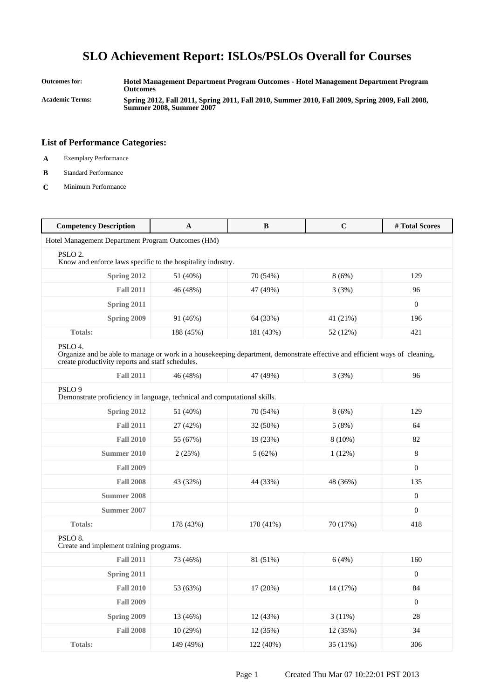**Outcomes for: Hotel Management Department Program Outcomes - Hotel Management Department Program Outcomes Academic Terms: Spring 2012, Fall 2011, Spring 2011, Fall 2010, Summer 2010, Fall 2009, Spring 2009, Fall 2008,**

**Summer 2008, Summer 2007**

- **A** Exemplary Performance
- **B** Standard Performance
- **C** Minimum Performance

| <b>Competency Description</b>                                                                                                                                                             | $\mathbf A$ | $\, {\bf B}$ | $\mathbf C$ | #Total Scores    |
|-------------------------------------------------------------------------------------------------------------------------------------------------------------------------------------------|-------------|--------------|-------------|------------------|
| Hotel Management Department Program Outcomes (HM)                                                                                                                                         |             |              |             |                  |
| PSLO <sub>2</sub> .<br>Know and enforce laws specific to the hospitality industry.                                                                                                        |             |              |             |                  |
| Spring 2012                                                                                                                                                                               | 51 (40%)    | 70 (54%)     | 8(6%)       | 129              |
| <b>Fall 2011</b>                                                                                                                                                                          | 46 (48%)    | 47 (49%)     | 3(3%)       | 96               |
| Spring 2011                                                                                                                                                                               |             |              |             | $\boldsymbol{0}$ |
| Spring 2009                                                                                                                                                                               | 91 (46%)    | 64 (33%)     | 41 (21%)    | 196              |
| <b>Totals:</b>                                                                                                                                                                            | 188 (45%)   | 181 (43%)    | 52 (12%)    | 421              |
| PSLO 4.<br>Organize and be able to manage or work in a housekeeping department, demonstrate effective and efficient ways of cleaning,<br>create productivity reports and staff schedules. |             |              |             |                  |
| <b>Fall 2011</b>                                                                                                                                                                          | 46 (48%)    | 47 (49%)     | 3(3%)       | 96               |
| PSLO <sub>9</sub><br>Demonstrate proficiency in language, technical and computational skills.                                                                                             |             |              |             |                  |
| Spring 2012                                                                                                                                                                               | 51 (40%)    | 70 (54%)     | 8(6%)       | 129              |
| <b>Fall 2011</b>                                                                                                                                                                          | 27 (42%)    | 32 (50%)     | 5(8%)       | 64               |
| <b>Fall 2010</b>                                                                                                                                                                          | 55 (67%)    | 19 (23%)     | $8(10\%)$   | 82               |
| Summer 2010                                                                                                                                                                               | 2(25%)      | 5(62%)       | 1(12%)      | 8                |
| <b>Fall 2009</b>                                                                                                                                                                          |             |              |             | $\boldsymbol{0}$ |
| <b>Fall 2008</b>                                                                                                                                                                          | 43 (32%)    | 44 (33%)     | 48 (36%)    | 135              |
| Summer 2008                                                                                                                                                                               |             |              |             | $\mathbf{0}$     |
| Summer 2007                                                                                                                                                                               |             |              |             | $\overline{0}$   |
| <b>Totals:</b>                                                                                                                                                                            | 178 (43%)   | 170 (41%)    | 70 (17%)    | 418              |
| PSLO <sub>8</sub> .<br>Create and implement training programs.                                                                                                                            |             |              |             |                  |
| <b>Fall 2011</b>                                                                                                                                                                          | 73 (46%)    | 81 (51%)     | 6(4%)       | 160              |
| Spring 2011                                                                                                                                                                               |             |              |             | $\mathbf{0}$     |
| <b>Fall 2010</b>                                                                                                                                                                          | 53 (63%)    | 17 (20%)     | 14 (17%)    | 84               |
| <b>Fall 2009</b>                                                                                                                                                                          |             |              |             | $\boldsymbol{0}$ |
| Spring 2009                                                                                                                                                                               | 13 (46%)    | 12 (43%)     | 3(11%)      | $28\,$           |
| <b>Fall 2008</b>                                                                                                                                                                          | 10(29%)     | 12 (35%)     | 12 (35%)    | 34               |
| Totals:                                                                                                                                                                                   | 149 (49%)   | 122 (40%)    | 35 (11%)    | 306              |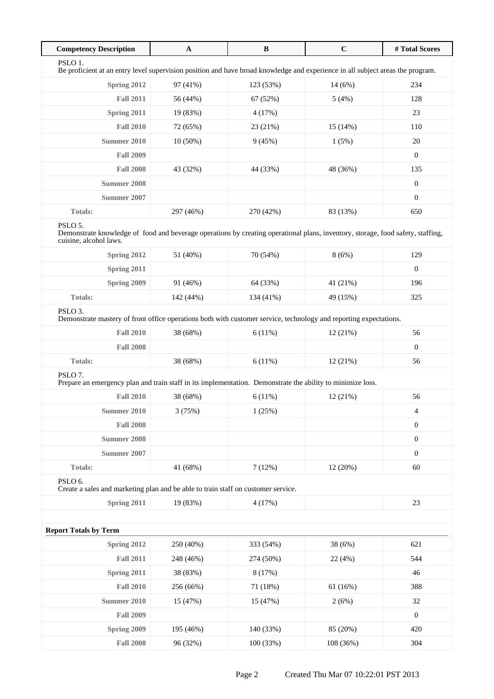| <b>Competency Description</b>                                                                                                                                        | $\mathbf A$ | $\bf{B}$  | $\mathbf C$ | # Total Scores   |
|----------------------------------------------------------------------------------------------------------------------------------------------------------------------|-------------|-----------|-------------|------------------|
| PSLO <sub>1</sub> .<br>Be proficient at an entry level supervision position and have broad knowledge and experience in all subject areas the program.                |             |           |             |                  |
| Spring 2012                                                                                                                                                          | 97 (41%)    | 123 (53%) | 14 (6%)     | 234              |
| <b>Fall 2011</b>                                                                                                                                                     | 56 (44%)    | 67 (52%)  | 5(4%)       | 128              |
| Spring 2011                                                                                                                                                          | 19 (83%)    | 4(17%)    |             | 23               |
| <b>Fall 2010</b>                                                                                                                                                     | 72 (65%)    | 23 (21%)  | 15(14%)     | 110              |
| <b>Summer 2010</b>                                                                                                                                                   | $10(50\%)$  | 9(45%)    | 1(5%)       | 20               |
| <b>Fall 2009</b>                                                                                                                                                     |             |           |             | $\boldsymbol{0}$ |
| <b>Fall 2008</b>                                                                                                                                                     | 43 (32%)    | 44 (33%)  | 48 (36%)    | 135              |
| <b>Summer 2008</b>                                                                                                                                                   |             |           |             | $\boldsymbol{0}$ |
| Summer 2007                                                                                                                                                          |             |           |             | $\boldsymbol{0}$ |
| <b>Totals:</b>                                                                                                                                                       | 297 (46%)   | 270 (42%) | 83 (13%)    | 650              |
| PSLO 5.<br>Demonstrate knowledge of food and beverage operations by creating operational plans, inventory, storage, food safety, staffing,<br>cuisine, alcohol laws. |             |           |             |                  |
| Spring 2012                                                                                                                                                          | 51 (40%)    | 70 (54%)  | 8(6%)       | 129              |
| Spring 2011                                                                                                                                                          |             |           |             | $\boldsymbol{0}$ |
| <b>Spring 2009</b>                                                                                                                                                   | 91 (46%)    | 64 (33%)  | 41 (21%)    | 196              |
| Totals:                                                                                                                                                              | 142 (44%)   | 134 (41%) | 49 (15%)    | 325              |
| PSLO <sub>3</sub> .<br>Demonstrate mastery of front office operations both with customer service, technology and reporting expectations.                             |             |           |             |                  |
| <b>Fall 2010</b>                                                                                                                                                     | 38 (68%)    | 6(11%)    | 12(21%)     | 56               |
| <b>Fall 2008</b>                                                                                                                                                     |             |           |             | $\mathbf{0}$     |
| Totals:                                                                                                                                                              | 38 (68%)    | 6(11%)    | 12(21%)     | 56               |
| PSLO <sub>7</sub> .<br>Prepare an emergency plan and train staff in its implementation. Demonstrate the ability to minimize loss.                                    |             |           |             |                  |
| <b>Fall 2010</b>                                                                                                                                                     | 38 (68%)    | 6(11%)    | 12(21%)     | 56               |
| Summer 2010                                                                                                                                                          | 3 (75%)     | 1(25%)    |             | 4                |
| <b>Fall 2008</b>                                                                                                                                                     |             |           |             | $\boldsymbol{0}$ |
| <b>Summer 2008</b>                                                                                                                                                   |             |           |             | $\boldsymbol{0}$ |
| <b>Summer 2007</b>                                                                                                                                                   |             |           |             | $\boldsymbol{0}$ |
| Totals:                                                                                                                                                              | 41 (68%)    | 7(12%)    | 12 (20%)    | 60               |
| PSLO 6.<br>Create a sales and marketing plan and be able to train staff on customer service.                                                                         |             |           |             |                  |
| <b>Spring 2011</b>                                                                                                                                                   | 19 (83%)    | 4(17%)    |             | 23               |
|                                                                                                                                                                      |             |           |             |                  |
| <b>Report Totals by Term</b>                                                                                                                                         |             |           |             |                  |
| Spring 2012                                                                                                                                                          | 250 (40%)   | 333 (54%) | 38 (6%)     | 621              |
| <b>Fall 2011</b>                                                                                                                                                     | 248 (46%)   | 274 (50%) | 22 (4%)     | 544              |
| Spring 2011                                                                                                                                                          | 38 (83%)    | 8(17%)    |             | 46               |
| <b>Fall 2010</b>                                                                                                                                                     | 256 (66%)   | 71 (18%)  | 61(16%)     | 388              |
| <b>Summer 2010</b>                                                                                                                                                   | 15 (47%)    | 15 (47%)  | 2(6%)       | 32               |
| <b>Fall 2009</b>                                                                                                                                                     |             |           |             | $\boldsymbol{0}$ |
| Spring 2009                                                                                                                                                          | 195 (46%)   | 140 (33%) | 85 (20%)    | 420              |
| <b>Fall 2008</b>                                                                                                                                                     | 96 (32%)    | 100 (33%) | 108 (36%)   | 304              |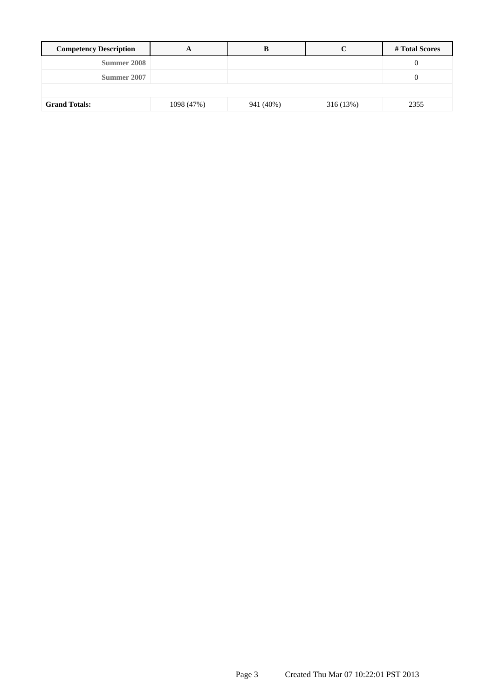| <b>Competency Description</b> |            |           |           | # Total Scores |
|-------------------------------|------------|-----------|-----------|----------------|
| Summer 2008                   |            |           |           | v              |
| Summer 2007                   |            |           |           | 0              |
|                               |            |           |           |                |
| <b>Grand Totals:</b>          | 1098 (47%) | 941 (40%) | 316 (13%) | 2355           |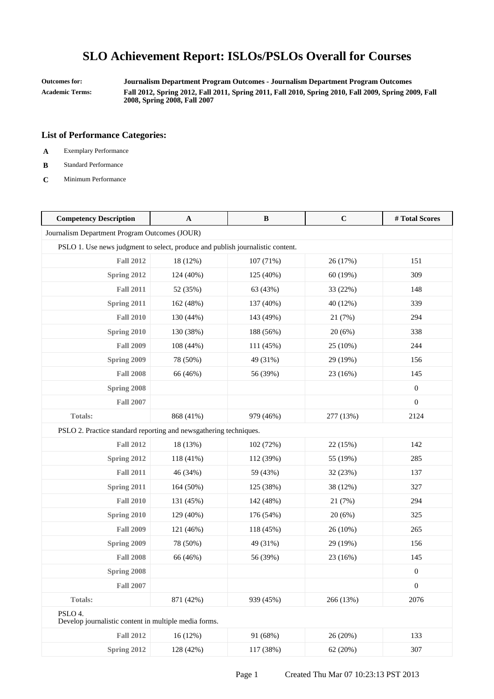**Outcomes for: Journalism Department Program Outcomes - Journalism Department Program Outcomes Academic Terms: Fall 2012, Spring 2012, Fall 2011, Spring 2011, Fall 2010, Spring 2010, Fall 2009, Spring 2009, Fall 2008, Spring 2008, Fall 2007**

- **A** Exemplary Performance
- **B** Standard Performance
- **C** Minimum Performance

| <b>Competency Description</b>                                                  | A         | $\, {\bf B}$ | $\mathbf C$ | #Total Scores    |
|--------------------------------------------------------------------------------|-----------|--------------|-------------|------------------|
| Journalism Department Program Outcomes (JOUR)                                  |           |              |             |                  |
| PSLO 1. Use news judgment to select, produce and publish journalistic content. |           |              |             |                  |
| <b>Fall 2012</b>                                                               | 18 (12%)  | 107 (71%)    | 26 (17%)    | 151              |
| Spring 2012                                                                    | 124 (40%) | 125 (40%)    | 60 (19%)    | 309              |
| <b>Fall 2011</b>                                                               | 52 (35%)  | 63 (43%)     | 33 (22%)    | 148              |
| Spring 2011                                                                    | 162 (48%) | 137 (40%)    | 40 (12%)    | 339              |
| <b>Fall 2010</b>                                                               | 130 (44%) | 143 (49%)    | 21 (7%)     | 294              |
| Spring 2010                                                                    | 130 (38%) | 188 (56%)    | 20(6%)      | 338              |
| <b>Fall 2009</b>                                                               | 108 (44%) | 111 (45%)    | 25 (10%)    | 244              |
| Spring 2009                                                                    | 78 (50%)  | 49 (31%)     | 29 (19%)    | 156              |
| <b>Fall 2008</b>                                                               | 66 (46%)  | 56 (39%)     | 23 (16%)    | 145              |
| Spring 2008                                                                    |           |              |             | $\mathbf{0}$     |
| <b>Fall 2007</b>                                                               |           |              |             | $\boldsymbol{0}$ |
| Totals:                                                                        | 868 (41%) | 979 (46%)    | 277 (13%)   | 2124             |
| PSLO 2. Practice standard reporting and newsgathering techniques.              |           |              |             |                  |
| <b>Fall 2012</b>                                                               | 18 (13%)  | 102 (72%)    | 22 (15%)    | 142              |
| Spring 2012                                                                    | 118 (41%) | 112 (39%)    | 55 (19%)    | 285              |
| <b>Fall 2011</b>                                                               | 46 (34%)  | 59 (43%)     | 32 (23%)    | 137              |
| Spring 2011                                                                    | 164 (50%) | 125 (38%)    | 38 (12%)    | 327              |
| <b>Fall 2010</b>                                                               | 131 (45%) | 142 (48%)    | 21 (7%)     | 294              |
| <b>Spring 2010</b>                                                             | 129 (40%) | 176 (54%)    | 20(6%)      | 325              |
| <b>Fall 2009</b>                                                               | 121 (46%) | 118 (45%)    | 26 (10%)    | 265              |
| Spring 2009                                                                    | 78 (50%)  | 49 (31%)     | 29 (19%)    | 156              |
| <b>Fall 2008</b>                                                               | 66 (46%)  | 56 (39%)     | 23 (16%)    | 145              |
| Spring 2008                                                                    |           |              |             | $\boldsymbol{0}$ |
| <b>Fall 2007</b>                                                               |           |              |             | $\boldsymbol{0}$ |
| Totals:                                                                        | 871 (42%) | 939 (45%)    | 266 (13%)   | 2076             |
| PSLO 4.<br>Develop journalistic content in multiple media forms.               |           |              |             |                  |
| <b>Fall 2012</b>                                                               | 16(12%)   | 91 (68%)     | 26 (20%)    | 133              |
| Spring 2012                                                                    | 128 (42%) | 117 (38%)    | 62(20%)     | 307              |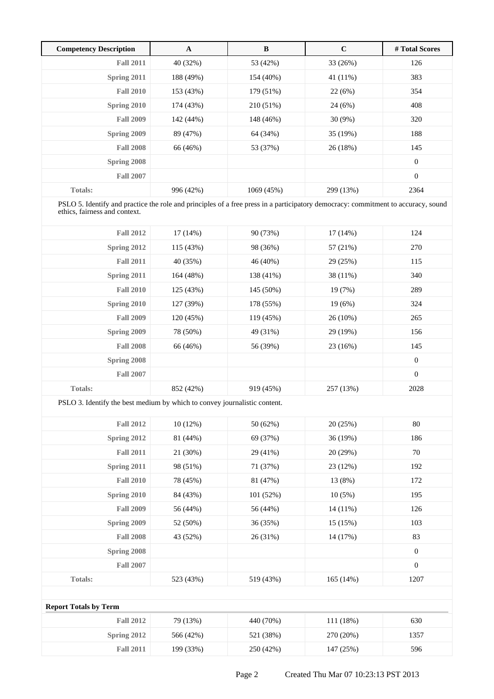| <b>Competency Description</b> | A         | B          | $\mathbf C$ | # Total Scores   |
|-------------------------------|-----------|------------|-------------|------------------|
| <b>Fall 2011</b>              | 40 (32%)  | 53 (42%)   | 33 (26%)    | 126              |
| Spring 2011                   | 188 (49%) | 154 (40%)  | 41 (11%)    | 383              |
| <b>Fall 2010</b>              | 153 (43%) | 179 (51%)  | 22(6%)      | 354              |
| Spring 2010                   | 174 (43%) | 210 (51%)  | 24(6%)      | 408              |
| <b>Fall 2009</b>              | 142 (44%) | 148 (46%)  | $30(9\%)$   | 320              |
| Spring 2009                   | 89 (47%)  | 64 (34%)   | 35 (19%)    | 188              |
| <b>Fall 2008</b>              | 66 (46%)  | 53 (37%)   | 26(18%)     | 145              |
| Spring 2008                   |           |            |             | $\boldsymbol{0}$ |
| <b>Fall 2007</b>              |           |            |             | $\overline{0}$   |
| <b>Totals:</b>                | 996 (42%) | 1069 (45%) | 299 (13%)   | 2364             |

PSLO 5. Identify and practice the role and principles of a free press in a participatory democracy: commitment to accuracy, sound ethics, fairness and context.

| <b>Fall 2012</b> | 17(14%)   | 90 (73%)  | $17(14\%)$ | 124              |
|------------------|-----------|-----------|------------|------------------|
| Spring 2012      | 115(43%)  | 98 (36%)  | 57 (21%)   | 270              |
| <b>Fall 2011</b> | 40 (35%)  | 46 (40%)  | 29 (25%)   | 115              |
| Spring 2011      | 164 (48%) | 138 (41%) | 38 (11%)   | 340              |
| <b>Fall 2010</b> | 125 (43%) | 145 (50%) | 19 (7%)    | 289              |
| Spring 2010      | 127 (39%) | 178 (55%) | 19(6%)     | 324              |
| <b>Fall 2009</b> | 120(45%)  | 119 (45%) | $26(10\%)$ | 265              |
| Spring 2009      | 78 (50%)  | 49 (31%)  | 29 (19%)   | 156              |
| <b>Fall 2008</b> | 66 (46%)  | 56 (39%)  | 23(16%)    | 145              |
| Spring 2008      |           |           |            | $\boldsymbol{0}$ |
| <b>Fall 2007</b> |           |           |            | $\mathbf{0}$     |
| <b>Totals:</b>   | 852 (42%) | 919 (45%) | 257 (13%)  | 2028             |

PSLO 3. Identify the best medium by which to convey journalistic content.

| <b>Fall 2012</b> | 10(12%)   | 50 (62%)  | 20(25%)   | 80               |
|------------------|-----------|-----------|-----------|------------------|
| Spring 2012      | 81 (44%)  | 69 (37%)  | 36(19%)   | 186              |
| <b>Fall 2011</b> | 21 (30%)  | 29 (41%)  | 20(29%)   | 70               |
| Spring 2011      | 98 (51%)  | 71 (37%)  | 23(12%)   | 192              |
| <b>Fall 2010</b> | 78 (45%)  | 81 (47%)  | 13 (8%)   | 172              |
| Spring 2010      | 84 (43%)  | 101(52%)  | $10(5\%)$ | 195              |
| <b>Fall 2009</b> | 56 (44%)  | 56 (44%)  | 14 (11%)  | 126              |
| Spring 2009      | 52 (50%)  | 36 (35%)  | 15(15%)   | 103              |
| <b>Fall 2008</b> | 43 (52%)  | 26 (31%)  | 14 (17%)  | 83               |
| Spring 2008      |           |           |           | $\boldsymbol{0}$ |
| <b>Fall 2007</b> |           |           |           | $\boldsymbol{0}$ |
| <b>Totals:</b>   | 523 (43%) | 519 (43%) | 165(14%)  | 1207             |
|                  |           |           |           |                  |

## **Report Totals by Term** Fall 2012 79 (13%) 440 (70%) 111 (18%) 630 **Spring 2012** 566 (42%) 521 (38%) 270 (20%) 1357 Fall 2011 199 (33%) 250 (42%) 147 (25%) 596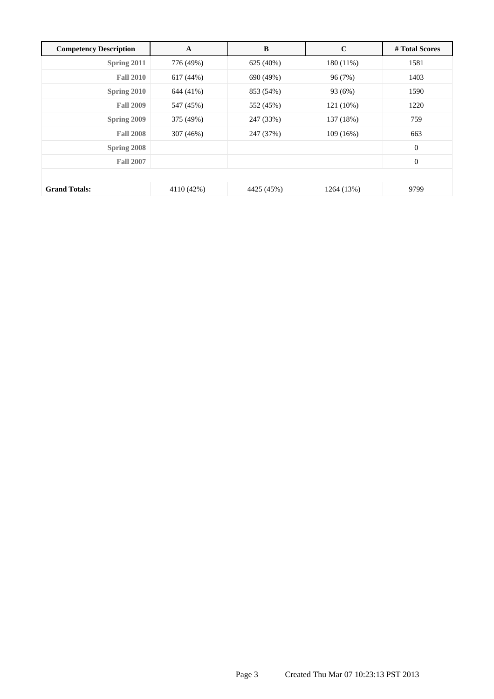| <b>Competency Description</b> | A          | B          | $\mathbf C$ | # Total Scores |
|-------------------------------|------------|------------|-------------|----------------|
| Spring 2011                   | 776 (49%)  | 625 (40%)  | 180 (11%)   | 1581           |
| <b>Fall 2010</b>              | 617(44%)   | 690 (49%)  | 96 (7%)     | 1403           |
| Spring 2010                   | 644 (41%)  | 853 (54%)  | 93 (6%)     | 1590           |
| <b>Fall 2009</b>              | 547 (45%)  | 552 (45%)  | 121 (10%)   | 1220           |
| Spring 2009                   | 375 (49%)  | 247 (33%)  | 137 (18%)   | 759            |
| <b>Fall 2008</b>              | 307 (46%)  | 247 (37%)  | 109(16%)    | 663            |
| Spring 2008                   |            |            |             | $\mathbf{0}$   |
| <b>Fall 2007</b>              |            |            |             | $\overline{0}$ |
|                               |            |            |             |                |
| <b>Grand Totals:</b>          | 4110 (42%) | 4425 (45%) | 1264 (13%)  | 9799           |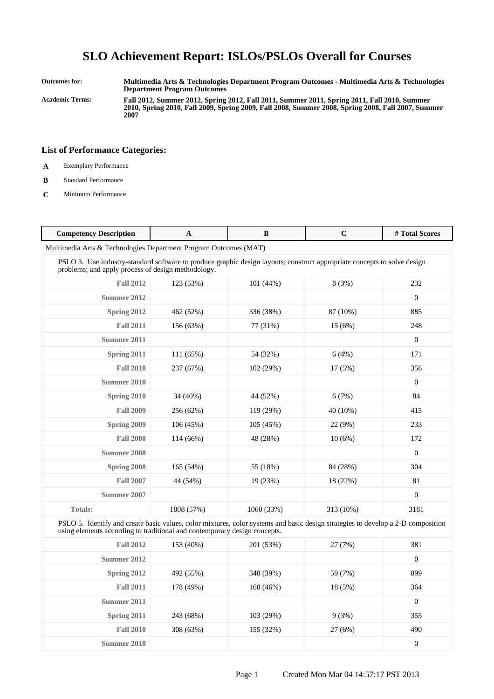**Outcomes for: Multimedia Arts & Technologies Department Program Outcomes - Multimedia Arts & Technologies Department Program Outcomes**

**Academic Terms: Fall 2012, Summer 2012, Spring 2012, Fall 2011, Summer 2011, Spring 2011, Fall 2010, Summer 2010, Spring 2010, Fall 2009, Spring 2009, Fall 2008, Summer 2008, Spring 2008, Fall 2007, Summer 2007**

### **List of Performance Categories:**

- **A** Exemplary Performance
- **B** Standard Performance
- **C** Minimum Performance

| <b>Competency Description</b> | $\mathbf{A}$                                                                                                                                                                   | B          | $\mathbf C$ | # Total Scores |  |  |
|-------------------------------|--------------------------------------------------------------------------------------------------------------------------------------------------------------------------------|------------|-------------|----------------|--|--|
|                               | Multimedia Arts & Technologies Department Program Outcomes (MAT)                                                                                                               |            |             |                |  |  |
|                               | PSLO 3. Use industry-standard software to produce graphic design layouts; construct appropriate concepts to solve design<br>problems; and apply process of design methodology. |            |             |                |  |  |
| <b>Fall 2012</b>              | 123 (53%)                                                                                                                                                                      | 101(44%)   | 8(3%)       | 232            |  |  |
| Summer 2012                   |                                                                                                                                                                                |            |             | $\mathbf{0}$   |  |  |
| Spring 2012                   | 462 (52%)                                                                                                                                                                      | 336 (38%)  | 87 (10%)    | 885            |  |  |
| <b>Fall 2011</b>              | 156 (63%)                                                                                                                                                                      | 77 (31%)   | 15(6%)      | 248            |  |  |
| <b>Summer 2011</b>            |                                                                                                                                                                                |            |             | $\mathbf{0}$   |  |  |
| Spring 2011                   | 111 (65%)                                                                                                                                                                      | 54 (32%)   | 6(4%)       | 171            |  |  |
| <b>Fall 2010</b>              | 237 (67%)                                                                                                                                                                      | 102 (29%)  | 17(5%)      | 356            |  |  |
| Summer 2010                   |                                                                                                                                                                                |            |             | $\mathbf{0}$   |  |  |
| Spring 2010                   | 34 (40%)                                                                                                                                                                       | 44 (52%)   | 6(7%)       | 84             |  |  |
| <b>Fall 2009</b>              | 256 (62%)                                                                                                                                                                      | 119 (29%)  | 40 (10%)    | 415            |  |  |
| Spring 2009                   | 106 (45%)                                                                                                                                                                      | 105 (45%)  | 22 (9%)     | 233            |  |  |
| <b>Fall 2008</b>              | 114 (66%)                                                                                                                                                                      | 48 (28%)   | 10(6%)      | 172            |  |  |
| <b>Summer 2008</b>            |                                                                                                                                                                                |            |             | $\mathbf{0}$   |  |  |
| Spring 2008                   | 165 (54%)                                                                                                                                                                      | 55 (18%)   | 84 (28%)    | 304            |  |  |
| <b>Fall 2007</b>              | 44 (54%)                                                                                                                                                                       | 19 (23%)   | 18 (22%)    | 81             |  |  |
| Summer 2007                   |                                                                                                                                                                                |            |             | $\mathbf{0}$   |  |  |
| <b>Totals:</b>                | 1808 (57%)                                                                                                                                                                     | 1060 (33%) | 313 (10%)   | 3181           |  |  |

PSLO 5. Identify and create basic values, color mixtures, color systems and basic design strategies to develop a 2-D composition using elements according to traditional and contemporary design concepts.

| <b>Fall 2012</b> | 153 (40%) | 201 (53%) | 27 (7%) | 381              |
|------------------|-----------|-----------|---------|------------------|
| Summer 2012      |           |           |         | $\boldsymbol{0}$ |
| Spring 2012      | 492 (55%) | 348 (39%) | 59 (7%) | 899              |
| <b>Fall 2011</b> | 178 (49%) | 168 (46%) | 18 (5%) | 364              |
| Summer 2011      |           |           |         | $\boldsymbol{0}$ |
| Spring 2011      | 243 (68%) | 103(29%)  | 9(3%)   | 355              |
| <b>Fall 2010</b> | 308 (63%) | 155 (32%) | 27(6%)  | 490              |
| Summer 2010      |           |           |         | $\mathbf{0}$     |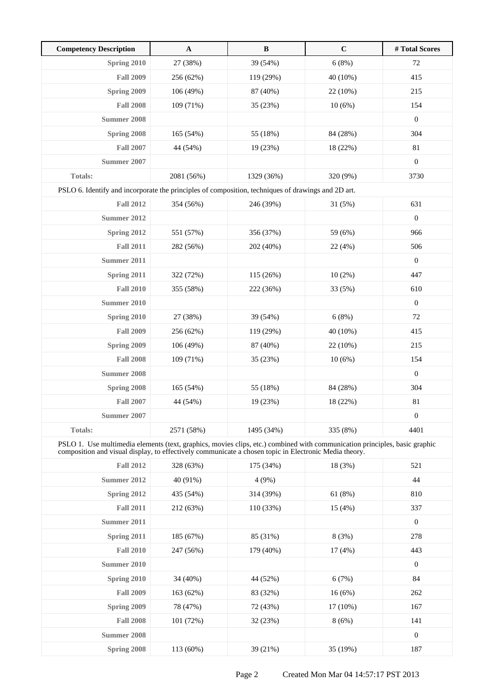| <b>Competency Description</b>                                                                                                                                                                                                       | $\mathbf A$ | $\, {\bf B}$ | $\mathbf C$ | # Total Scores   |
|-------------------------------------------------------------------------------------------------------------------------------------------------------------------------------------------------------------------------------------|-------------|--------------|-------------|------------------|
| Spring 2010                                                                                                                                                                                                                         | 27 (38%)    | 39 (54%)     | 6(8%)       | 72               |
| <b>Fall 2009</b>                                                                                                                                                                                                                    | 256 (62%)   | 119 (29%)    | 40 (10%)    | 415              |
| Spring 2009                                                                                                                                                                                                                         | 106 (49%)   | 87 (40%)     | 22 (10%)    | 215              |
| <b>Fall 2008</b>                                                                                                                                                                                                                    | 109 (71%)   | 35 (23%)     | 10(6%)      | 154              |
| <b>Summer 2008</b>                                                                                                                                                                                                                  |             |              |             | $\boldsymbol{0}$ |
| Spring 2008                                                                                                                                                                                                                         | 165 (54%)   | 55 (18%)     | 84 (28%)    | 304              |
| <b>Fall 2007</b>                                                                                                                                                                                                                    | 44 (54%)    | 19 (23%)     | 18 (22%)    | 81               |
| Summer 2007                                                                                                                                                                                                                         |             |              |             | $\boldsymbol{0}$ |
| Totals:                                                                                                                                                                                                                             | 2081 (56%)  | 1329 (36%)   | 320 (9%)    | 3730             |
| PSLO 6. Identify and incorporate the principles of composition, techniques of drawings and 2D art.                                                                                                                                  |             |              |             |                  |
| <b>Fall 2012</b>                                                                                                                                                                                                                    | 354 (56%)   | 246 (39%)    | 31(5%)      | 631              |
| Summer 2012                                                                                                                                                                                                                         |             |              |             | $\boldsymbol{0}$ |
| Spring 2012                                                                                                                                                                                                                         | 551 (57%)   | 356 (37%)    | 59 (6%)     | 966              |
| <b>Fall 2011</b>                                                                                                                                                                                                                    | 282 (56%)   | 202 (40%)    | 22 (4%)     | 506              |
| <b>Summer 2011</b>                                                                                                                                                                                                                  |             |              |             | $\boldsymbol{0}$ |
| Spring 2011                                                                                                                                                                                                                         | 322 (72%)   | 115 (26%)    | 10(2%)      | 447              |
| <b>Fall 2010</b>                                                                                                                                                                                                                    | 355 (58%)   | 222 (36%)    | 33 (5%)     | 610              |
| Summer 2010                                                                                                                                                                                                                         |             |              |             | $\boldsymbol{0}$ |
| Spring 2010                                                                                                                                                                                                                         | 27 (38%)    | 39 (54%)     | 6(8%)       | 72               |
| <b>Fall 2009</b>                                                                                                                                                                                                                    | 256 (62%)   | 119 (29%)    | 40 (10%)    | 415              |
| Spring 2009                                                                                                                                                                                                                         | 106 (49%)   | 87 (40%)     | 22 (10%)    | 215              |
| <b>Fall 2008</b>                                                                                                                                                                                                                    | 109 (71%)   | 35 (23%)     | 10(6%)      | 154              |
| <b>Summer 2008</b>                                                                                                                                                                                                                  |             |              |             | $\boldsymbol{0}$ |
| Spring 2008                                                                                                                                                                                                                         | 165 (54%)   | 55 (18%)     | 84 (28%)    | 304              |
| <b>Fall 2007</b>                                                                                                                                                                                                                    | 44 (54%)    | 19 (23%)     | 18 (22%)    | 81               |
| <b>Summer 2007</b>                                                                                                                                                                                                                  |             |              |             | $\boldsymbol{0}$ |
| <b>Totals:</b>                                                                                                                                                                                                                      | 2571 (58%)  | 1495 (34%)   | 335 (8%)    | 4401             |
| PSLO 1. Use multimedia elements (text, graphics, movies clips, etc.) combined with communication principles, basic graphic<br>composition and visual display, to effectively communicate a chosen topic in Electronic Media theory. |             |              |             |                  |
| <b>Fall 2012</b>                                                                                                                                                                                                                    | 328 (63%)   | 175 (34%)    | 18 (3%)     | 521              |
| <b>Summer 2012</b>                                                                                                                                                                                                                  | 40 (91%)    | 4(9%)        |             | 44               |
| Spring 2012                                                                                                                                                                                                                         | 435 (54%)   | 314 (39%)    | 61(8%)      | 810              |
| <b>Fall 2011</b>                                                                                                                                                                                                                    | 212 (63%)   | 110 (33%)    | 15(4%)      | 337              |
| <b>Summer 2011</b>                                                                                                                                                                                                                  |             |              |             | $\boldsymbol{0}$ |
| Spring 2011                                                                                                                                                                                                                         | 185 (67%)   | 85 (31%)     | 8(3%)       | 278              |
| <b>Fall 2010</b>                                                                                                                                                                                                                    | 247 (56%)   | 179 (40%)    | 17(4%)      | 443              |
| <b>Summer 2010</b>                                                                                                                                                                                                                  |             |              |             | $\mathbf{0}$     |
| Spring 2010                                                                                                                                                                                                                         | 34 (40%)    | 44 (52%)     | 6(7%)       | 84               |
| <b>Fall 2009</b>                                                                                                                                                                                                                    | 163 (62%)   | 83 (32%)     | 16(6%)      | 262              |
| Spring 2009                                                                                                                                                                                                                         | 78 (47%)    | 72 (43%)     | $17(10\%)$  | 167              |
| <b>Fall 2008</b>                                                                                                                                                                                                                    | 101 (72%)   | 32 (23%)     | 8(6%)       | 141              |
| <b>Summer 2008</b>                                                                                                                                                                                                                  |             |              |             | $\mathbf{0}$     |
| Spring 2008                                                                                                                                                                                                                         | 113 (60%)   | 39 (21%)     | 35 (19%)    | 187              |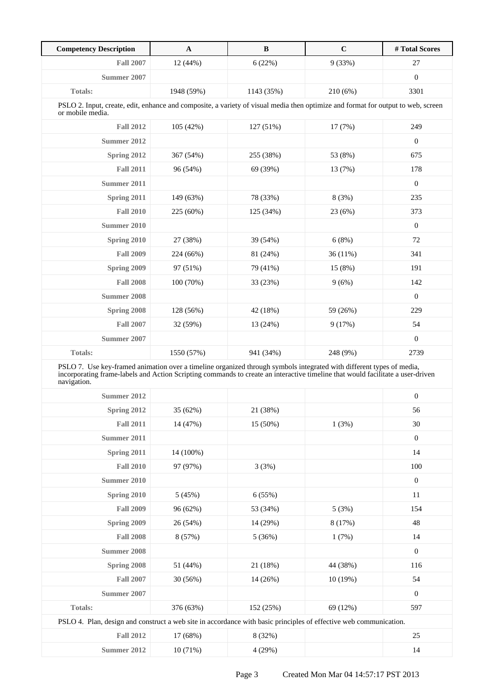| <b>Competency Description</b>                                                                                                                                                                                                                                         | $\mathbf{A}$ | B          | $\mathbf C$ | # Total Scores   |
|-----------------------------------------------------------------------------------------------------------------------------------------------------------------------------------------------------------------------------------------------------------------------|--------------|------------|-------------|------------------|
| <b>Fall 2007</b>                                                                                                                                                                                                                                                      | 12 (44%)     | 6(22%)     | 9(33%)      | 27               |
| Summer 2007                                                                                                                                                                                                                                                           |              |            |             | $\boldsymbol{0}$ |
| <b>Totals:</b>                                                                                                                                                                                                                                                        | 1948 (59%)   | 1143 (35%) | 210 (6%)    | 3301             |
| PSLO 2. Input, create, edit, enhance and composite, a variety of visual media then optimize and format for output to web, screen<br>or mobile media.                                                                                                                  |              |            |             |                  |
| <b>Fall 2012</b>                                                                                                                                                                                                                                                      | 105 (42%)    | 127 (51%)  | 17 (7%)     | 249              |
| Summer 2012                                                                                                                                                                                                                                                           |              |            |             | $\boldsymbol{0}$ |
| Spring 2012                                                                                                                                                                                                                                                           | 367 (54%)    | 255 (38%)  | 53 (8%)     | 675              |
| <b>Fall 2011</b>                                                                                                                                                                                                                                                      | 96 (54%)     | 69 (39%)   | 13 (7%)     | 178              |
| Summer 2011                                                                                                                                                                                                                                                           |              |            |             | $\mathbf{0}$     |
| Spring 2011                                                                                                                                                                                                                                                           | 149 (63%)    | 78 (33%)   | 8(3%)       | 235              |
| <b>Fall 2010</b>                                                                                                                                                                                                                                                      | 225 (60%)    | 125 (34%)  | 23 (6%)     | 373              |
| <b>Summer 2010</b>                                                                                                                                                                                                                                                    |              |            |             | $\boldsymbol{0}$ |
| Spring 2010                                                                                                                                                                                                                                                           | 27 (38%)     | 39 (54%)   | 6(8%)       | 72               |
| <b>Fall 2009</b>                                                                                                                                                                                                                                                      | 224 (66%)    | 81 (24%)   | 36 (11%)    | 341              |
| Spring 2009                                                                                                                                                                                                                                                           | 97 (51%)     | 79 (41%)   | 15 (8%)     | 191              |
| <b>Fall 2008</b>                                                                                                                                                                                                                                                      | 100 (70%)    | 33 (23%)   | 9(6%)       | 142              |
| <b>Summer 2008</b>                                                                                                                                                                                                                                                    |              |            |             | $\boldsymbol{0}$ |
| Spring 2008                                                                                                                                                                                                                                                           | 128 (56%)    | 42 (18%)   | 59 (26%)    | 229              |
| <b>Fall 2007</b>                                                                                                                                                                                                                                                      | 32 (59%)     | 13 (24%)   | 9(17%)      | 54               |
| Summer 2007                                                                                                                                                                                                                                                           |              |            |             | $\boldsymbol{0}$ |
| Totals:                                                                                                                                                                                                                                                               | 1550 (57%)   | 941 (34%)  | 248 (9%)    | 2739             |
| PSLO 7. Use key-framed animation over a timeline organized through symbols integrated with different types of media,<br>incorporating frame-labels and Action Scripting commands to create an interactive timeline that would facilitate a user-driven<br>navigation. |              |            |             |                  |
| Summer 2012                                                                                                                                                                                                                                                           |              |            |             | $\boldsymbol{0}$ |
| Spring 2012                                                                                                                                                                                                                                                           | 35 (62%)     | 21 (38%)   |             | 56               |
| <b>Fall 2011</b>                                                                                                                                                                                                                                                      | 14 (47%)     | 15 (50%)   | 1(3%)       | $30\,$           |
| <b>Summer 2011</b>                                                                                                                                                                                                                                                    |              |            |             | $\boldsymbol{0}$ |
| Spring 2011                                                                                                                                                                                                                                                           | 14 (100%)    |            |             | 14               |
| <b>Fall 2010</b>                                                                                                                                                                                                                                                      | 97 (97%)     | 3(3%)      |             | 100              |
| <b>Summer 2010</b>                                                                                                                                                                                                                                                    |              |            |             | $\boldsymbol{0}$ |
| <b>Spring 2010</b>                                                                                                                                                                                                                                                    | 5(45%)       | 6(55%)     |             | 11               |
| <b>Fall 2009</b>                                                                                                                                                                                                                                                      | 96 (62%)     | 53 (34%)   | 5(3%)       | 154              |
| Spring 2009                                                                                                                                                                                                                                                           | 26 (54%)     | 14 (29%)   | 8 (17%)     | 48               |
| <b>Fall 2008</b>                                                                                                                                                                                                                                                      | 8 (57%)      | 5(36%)     | 1(7%)       | 14               |
| <b>Summer 2008</b>                                                                                                                                                                                                                                                    |              |            |             | $\boldsymbol{0}$ |
| Spring 2008                                                                                                                                                                                                                                                           | 51 (44%)     | 21 (18%)   | 44 (38%)    | 116              |
| <b>Fall 2007</b>                                                                                                                                                                                                                                                      | 30 (56%)     | 14 (26%)   | 10(19%)     | 54               |
| <b>Summer 2007</b>                                                                                                                                                                                                                                                    |              |            |             | $\boldsymbol{0}$ |
| Totals:                                                                                                                                                                                                                                                               | 376 (63%)    | 152 (25%)  | 69 (12%)    | 597              |
| PSLO 4. Plan, design and construct a web site in accordance with basic principles of effective web communication.                                                                                                                                                     |              |            |             |                  |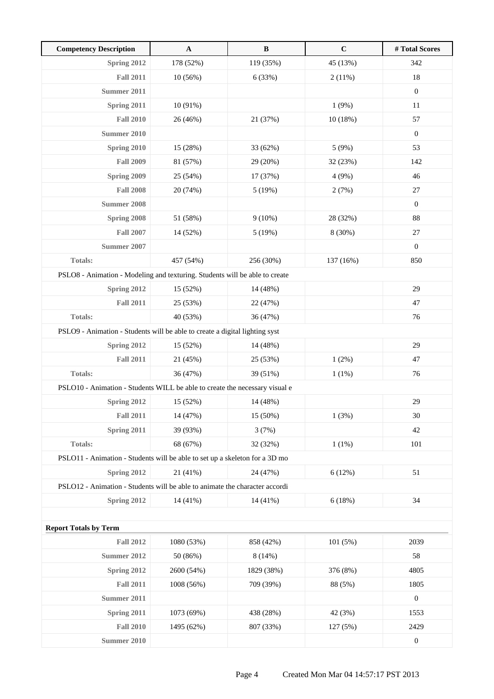| <b>Competency Description</b>                                               | $\mathbf{A}$ | $\, {\bf B}$ | $\mathbf C$ | # Total Scores   |
|-----------------------------------------------------------------------------|--------------|--------------|-------------|------------------|
| <b>Spring 2012</b>                                                          | 178 (52%)    | 119 (35%)    | 45 (13%)    | 342              |
| <b>Fall 2011</b>                                                            | 10(56%)      | 6(33%)       | 2(11%)      | 18               |
| Summer 2011                                                                 |              |              |             | $\boldsymbol{0}$ |
| Spring 2011                                                                 | 10 (91%)     |              | 1(9%)       | 11               |
| <b>Fall 2010</b>                                                            | 26 (46%)     | 21 (37%)     | 10(18%)     | 57               |
| <b>Summer 2010</b>                                                          |              |              |             | $\boldsymbol{0}$ |
| <b>Spring 2010</b>                                                          | 15 (28%)     | 33 (62%)     | 5(9%)       | 53               |
| <b>Fall 2009</b>                                                            | 81 (57%)     | 29 (20%)     | 32 (23%)    | 142              |
| Spring 2009                                                                 | 25 (54%)     | 17 (37%)     | 4(9%)       | 46               |
| <b>Fall 2008</b>                                                            | 20 (74%)     | 5(19%)       | 2(7%)       | $27\,$           |
| <b>Summer 2008</b>                                                          |              |              |             | $\boldsymbol{0}$ |
| Spring 2008                                                                 | 51 (58%)     | $9(10\%)$    | 28 (32%)    | 88               |
| <b>Fall 2007</b>                                                            | 14 (52%)     | 5(19%)       | 8 (30%)     | 27               |
| <b>Summer 2007</b>                                                          |              |              |             | $\mathbf{0}$     |
| <b>Totals:</b>                                                              | 457 (54%)    | 256 (30%)    | 137 (16%)   | 850              |
| PSLO8 - Animation - Modeling and texturing. Students will be able to create |              |              |             |                  |
| Spring 2012                                                                 | 15 (52%)     | 14 (48%)     |             | 29               |
| <b>Fall 2011</b>                                                            | 25 (53%)     | 22 (47%)     |             | 47               |
| Totals:                                                                     | 40 (53%)     | 36 (47%)     |             | 76               |
| PSLO9 - Animation - Students will be able to create a digital lighting syst |              |              |             |                  |
| Spring 2012                                                                 | 15 (52%)     | 14 (48%)     |             | 29               |
| <b>Fall 2011</b>                                                            | 21 (45%)     | 25 (53%)     | 1(2%)       | 47               |
| <b>Totals:</b>                                                              | 36 (47%)     | 39 (51%)     | 1(1%)       | 76               |
| PSLO10 - Animation - Students WILL be able to create the necessary visual e |              |              |             |                  |
| Spring 2012                                                                 | 15 (52%)     | 14 (48%)     |             | 29               |
| <b>Fall 2011</b>                                                            | 14 (47%)     | 15 (50%)     | 1(3%)       | 30               |
| Spring 2011                                                                 | 39 (93%)     | 3(7%)        |             | 42               |
| Totals:                                                                     | 68 (67%)     | 32 (32%)     | $1(1\%)$    | 101              |
| PSLO11 - Animation - Students will be able to set up a skeleton for a 3D mo |              |              |             |                  |
| Spring 2012                                                                 | 21 (41%)     | 24 (47%)     | 6(12%)      | 51               |
| PSLO12 - Animation - Students will be able to animate the character accordi |              |              |             |                  |
| <b>Spring 2012</b>                                                          | 14 (41%)     | 14 (41%)     | 6(18%)      | 34               |
|                                                                             |              |              |             |                  |
| <b>Report Totals by Term</b>                                                |              |              |             |                  |
| <b>Fall 2012</b>                                                            | 1080 (53%)   | 858 (42%)    | 101(5%)     | 2039             |
| <b>Summer 2012</b>                                                          | 50 (86%)     | 8(14%)       |             | 58               |
| Spring 2012                                                                 | 2600 (54%)   | 1829 (38%)   | 376 (8%)    | 4805             |
| <b>Fall 2011</b>                                                            | 1008 (56%)   | 709 (39%)    | 88 (5%)     | 1805             |
| <b>Summer 2011</b>                                                          |              |              |             | $\boldsymbol{0}$ |
| Spring 2011                                                                 | 1073 (69%)   | 438 (28%)    | 42 (3%)     | 1553             |
| <b>Fall 2010</b>                                                            | 1495 (62%)   | 807 (33%)    | 127 (5%)    | 2429             |
| <b>Summer 2010</b>                                                          |              |              |             | $\boldsymbol{0}$ |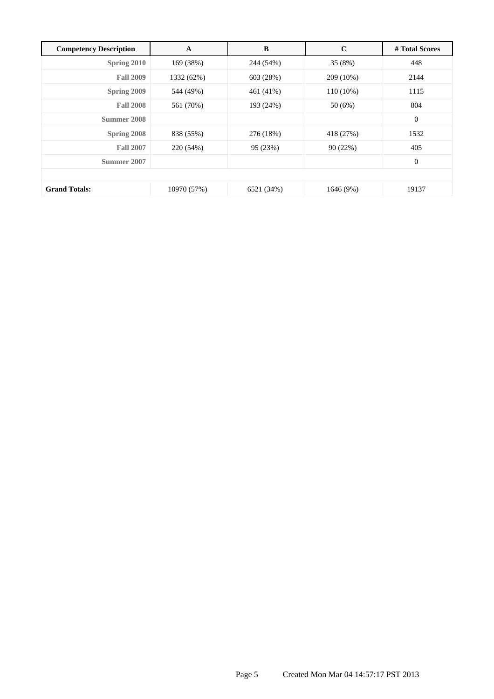| <b>Competency Description</b> | A           | B          | $\mathbf C$ | # Total Scores |  |
|-------------------------------|-------------|------------|-------------|----------------|--|
| Spring 2010                   | 169 (38%)   | 244 (54%)  | 35 (8%)     | 448            |  |
| <b>Fall 2009</b>              | 1332 (62%)  | 603 (28%)  | 209 (10%)   | 2144           |  |
| Spring 2009                   | 544 (49%)   | 461 (41%)  | $110(10\%)$ | 1115           |  |
| <b>Fall 2008</b>              | 561 (70%)   | 193 (24%)  | 50 (6%)     | 804            |  |
| Summer 2008                   |             |            |             | $\mathbf{0}$   |  |
| <b>Spring 2008</b>            | 838 (55%)   | 276 (18%)  | 418 (27%)   | 1532           |  |
| <b>Fall 2007</b>              | 220 (54%)   | 95 (23%)   | 90(22%)     | 405            |  |
| Summer 2007                   |             |            |             | $\mathbf{0}$   |  |
|                               |             |            |             |                |  |
| <b>Grand Totals:</b>          | 10970 (57%) | 6521 (34%) | 1646 (9%)   | 19137          |  |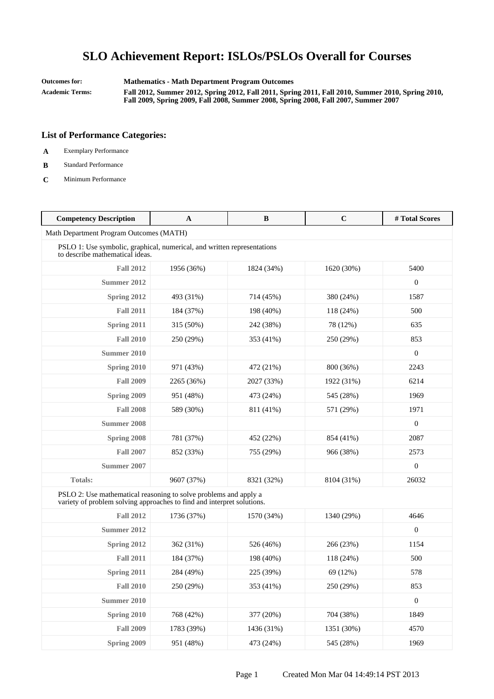**Outcomes for: Mathematics - Math Department Program Outcomes**

**Academic Terms: Fall 2012, Summer 2012, Spring 2012, Fall 2011, Spring 2011, Fall 2010, Summer 2010, Spring 2010, Fall 2009, Spring 2009, Fall 2008, Summer 2008, Spring 2008, Fall 2007, Summer 2007**

- **A** Exemplary Performance
- **B** Standard Performance
- **C** Minimum Performance

| <b>Competency Description</b>                                                                                                              | A          | B          | $\mathbf C$ | #Total Scores    |
|--------------------------------------------------------------------------------------------------------------------------------------------|------------|------------|-------------|------------------|
| Math Department Program Outcomes (MATH)                                                                                                    |            |            |             |                  |
| PSLO 1: Use symbolic, graphical, numerical, and written representations<br>to describe mathematical ideas.                                 |            |            |             |                  |
| <b>Fall 2012</b>                                                                                                                           | 1956 (36%) | 1824 (34%) | 1620 (30%)  | 5400             |
| Summer 2012                                                                                                                                |            |            |             | $\boldsymbol{0}$ |
| Spring 2012                                                                                                                                | 493 (31%)  | 714 (45%)  | 380 (24%)   | 1587             |
| <b>Fall 2011</b>                                                                                                                           | 184 (37%)  | 198 (40%)  | 118(24%)    | 500              |
| Spring 2011                                                                                                                                | 315 (50%)  | 242 (38%)  | 78 (12%)    | 635              |
| <b>Fall 2010</b>                                                                                                                           | 250 (29%)  | 353 (41%)  | 250 (29%)   | 853              |
| Summer 2010                                                                                                                                |            |            |             | $\boldsymbol{0}$ |
| Spring 2010                                                                                                                                | 971 (43%)  | 472 (21%)  | 800 (36%)   | 2243             |
| <b>Fall 2009</b>                                                                                                                           | 2265 (36%) | 2027 (33%) | 1922 (31%)  | 6214             |
| Spring 2009                                                                                                                                | 951 (48%)  | 473 (24%)  | 545 (28%)   | 1969             |
| <b>Fall 2008</b>                                                                                                                           | 589 (30%)  | 811 (41%)  | 571 (29%)   | 1971             |
| <b>Summer 2008</b>                                                                                                                         |            |            |             | $\boldsymbol{0}$ |
| Spring 2008                                                                                                                                | 781 (37%)  | 452 (22%)  | 854 (41%)   | 2087             |
| <b>Fall 2007</b>                                                                                                                           | 852 (33%)  | 755 (29%)  | 966 (38%)   | 2573             |
| Summer 2007                                                                                                                                |            |            |             | $\mathbf{0}$     |
| Totals:                                                                                                                                    | 9607 (37%) | 8321 (32%) | 8104 (31%)  | 26032            |
| PSLO 2: Use mathematical reasoning to solve problems and apply a<br>variety of problem solving approaches to find and interpret solutions. |            |            |             |                  |
| <b>Fall 2012</b>                                                                                                                           | 1736 (37%) | 1570 (34%) | 1340 (29%)  | 4646             |
| Summer 2012                                                                                                                                |            |            |             | $\mathbf{0}$     |
| Spring 2012                                                                                                                                | 362 (31%)  | 526 (46%)  | 266 (23%)   | 1154             |
| <b>Fall 2011</b>                                                                                                                           | 184 (37%)  | 198 (40%)  | 118 (24%)   | 500              |
| Spring 2011                                                                                                                                | 284 (49%)  | 225 (39%)  | 69 (12%)    | 578              |
| <b>Fall 2010</b>                                                                                                                           | 250 (29%)  | 353 (41%)  | 250 (29%)   | 853              |
| <b>Summer 2010</b>                                                                                                                         |            |            |             | $\boldsymbol{0}$ |
| Spring 2010                                                                                                                                | 768 (42%)  | 377 (20%)  | 704 (38%)   | 1849             |
| <b>Fall 2009</b>                                                                                                                           | 1783 (39%) | 1436 (31%) | 1351 (30%)  | 4570             |
| Spring 2009                                                                                                                                | 951 (48%)  | 473 (24%)  | 545 (28%)   | 1969             |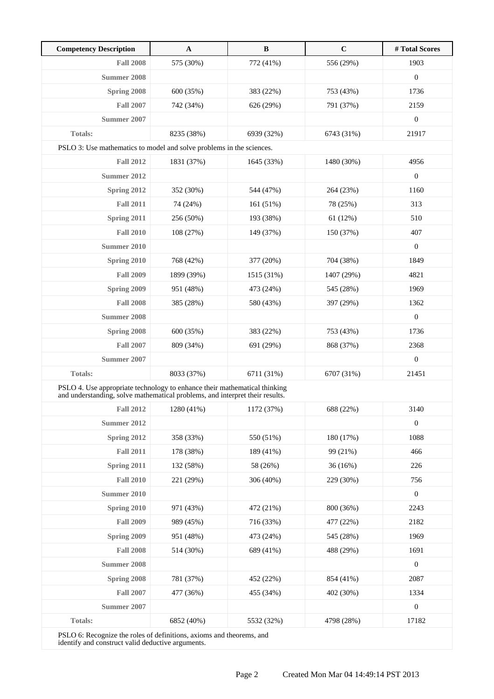| <b>Competency Description</b>                                                                                                                             | $\mathbf{A}$ | $\, {\bf B}$ | $\mathbf C$ | # Total Scores   |
|-----------------------------------------------------------------------------------------------------------------------------------------------------------|--------------|--------------|-------------|------------------|
| <b>Fall 2008</b>                                                                                                                                          | 575 (30%)    | 772 (41%)    | 556 (29%)   | 1903             |
| <b>Summer 2008</b>                                                                                                                                        |              |              |             | $\boldsymbol{0}$ |
| Spring 2008                                                                                                                                               | 600 (35%)    | 383 (22%)    | 753 (43%)   | 1736             |
| <b>Fall 2007</b>                                                                                                                                          | 742 (34%)    | 626 (29%)    | 791 (37%)   | 2159             |
| Summer 2007                                                                                                                                               |              |              |             | $\boldsymbol{0}$ |
| <b>Totals:</b>                                                                                                                                            | 8235 (38%)   | 6939 (32%)   | 6743 (31%)  | 21917            |
| PSLO 3: Use mathematics to model and solve problems in the sciences.                                                                                      |              |              |             |                  |
| <b>Fall 2012</b>                                                                                                                                          | 1831 (37%)   | 1645 (33%)   | 1480 (30%)  | 4956             |
| Summer 2012                                                                                                                                               |              |              |             | $\boldsymbol{0}$ |
| Spring 2012                                                                                                                                               | 352 (30%)    | 544 (47%)    | 264 (23%)   | 1160             |
| <b>Fall 2011</b>                                                                                                                                          | 74 (24%)     | 161 (51%)    | 78 (25%)    | 313              |
| Spring 2011                                                                                                                                               | 256 (50%)    | 193 (38%)    | 61(12%)     | 510              |
| <b>Fall 2010</b>                                                                                                                                          | 108 (27%)    | 149 (37%)    | 150 (37%)   | 407              |
| Summer 2010                                                                                                                                               |              |              |             | $\mathbf{0}$     |
| Spring 2010                                                                                                                                               | 768 (42%)    | 377 (20%)    | 704 (38%)   | 1849             |
| <b>Fall 2009</b>                                                                                                                                          | 1899 (39%)   | 1515 (31%)   | 1407 (29%)  | 4821             |
| Spring 2009                                                                                                                                               | 951 (48%)    | 473 (24%)    | 545 (28%)   | 1969             |
| <b>Fall 2008</b>                                                                                                                                          | 385 (28%)    | 580 (43%)    | 397 (29%)   | 1362             |
| <b>Summer 2008</b>                                                                                                                                        |              |              |             | $\boldsymbol{0}$ |
| Spring 2008                                                                                                                                               | 600 (35%)    | 383 (22%)    | 753 (43%)   | 1736             |
| <b>Fall 2007</b>                                                                                                                                          | 809 (34%)    | 691 (29%)    | 868 (37%)   | 2368             |
| Summer 2007                                                                                                                                               |              |              |             | $\mathbf{0}$     |
| <b>Totals:</b>                                                                                                                                            | 8033 (37%)   | 6711 (31%)   | 6707 (31%)  | 21451            |
| PSLO 4. Use appropriate technology to enhance their mathematical thinking<br>and understanding, solve mathematical problems, and interpret their results. |              |              |             |                  |
| <b>Fall 2012</b>                                                                                                                                          | 1280 (41%)   | 1172 (37%)   | 688 (22%)   | 3140             |
| <b>Summer 2012</b>                                                                                                                                        |              |              |             | $\boldsymbol{0}$ |
| Spring 2012                                                                                                                                               | 358 (33%)    | 550 (51%)    | 180 (17%)   | 1088             |
| <b>Fall 2011</b>                                                                                                                                          | 178 (38%)    | 189 (41%)    | 99 (21%)    | 466              |
| Spring 2011                                                                                                                                               | 132 (58%)    | 58 (26%)     | 36(16%)     | 226              |
| <b>Fall 2010</b>                                                                                                                                          | 221 (29%)    | 306 (40%)    | 229 (30%)   | 756              |
| <b>Summer 2010</b>                                                                                                                                        |              |              |             | $\boldsymbol{0}$ |
| Spring 2010                                                                                                                                               | 971 (43%)    | 472 (21%)    | 800 (36%)   | 2243             |
| <b>Fall 2009</b>                                                                                                                                          | 989 (45%)    | 716 (33%)    | 477 (22%)   | 2182             |
| Spring 2009                                                                                                                                               | 951 (48%)    | 473 (24%)    | 545 (28%)   | 1969             |
| <b>Fall 2008</b>                                                                                                                                          | 514 (30%)    | 689 (41%)    | 488 (29%)   | 1691             |
| <b>Summer 2008</b>                                                                                                                                        |              |              |             | $\boldsymbol{0}$ |
| Spring 2008                                                                                                                                               | 781 (37%)    | 452 (22%)    | 854 (41%)   | 2087             |
| <b>Fall 2007</b>                                                                                                                                          | 477 (36%)    | 455 (34%)    | 402 (30%)   | 1334             |
| <b>Summer 2007</b>                                                                                                                                        |              |              |             | $\boldsymbol{0}$ |
| <b>Totals:</b>                                                                                                                                            | 6852 (40%)   | 5532 (32%)   | 4798 (28%)  | 17182            |

PSLO 6: Recognize the roles of definitions, axioms and theorems, and identify and construct valid deductive arguments.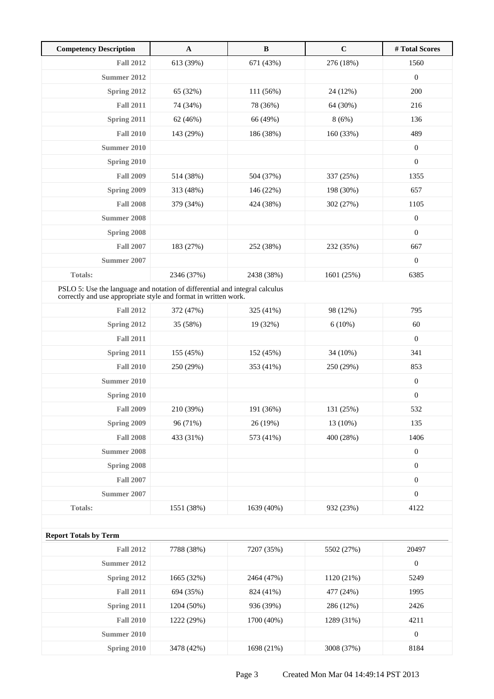| <b>Competency Description</b>                                                                                                                  | $\mathbf A$ | $\, {\bf B}$ | $\mathbf C$ | #Total Scores    |
|------------------------------------------------------------------------------------------------------------------------------------------------|-------------|--------------|-------------|------------------|
| <b>Fall 2012</b>                                                                                                                               | 613 (39%)   | 671 (43%)    | 276 (18%)   | 1560             |
| Summer 2012                                                                                                                                    |             |              |             | $\boldsymbol{0}$ |
| Spring 2012                                                                                                                                    | 65 (32%)    | 111 (56%)    | 24 (12%)    | 200              |
| <b>Fall 2011</b>                                                                                                                               | 74 (34%)    | 78 (36%)     | 64 (30%)    | 216              |
| <b>Spring 2011</b>                                                                                                                             | 62 (46%)    | 66 (49%)     | 8(6%)       | 136              |
| <b>Fall 2010</b>                                                                                                                               | 143 (29%)   | 186 (38%)    | 160 (33%)   | 489              |
| <b>Summer 2010</b>                                                                                                                             |             |              |             | $\boldsymbol{0}$ |
| Spring 2010                                                                                                                                    |             |              |             | $\boldsymbol{0}$ |
| <b>Fall 2009</b>                                                                                                                               | 514 (38%)   | 504 (37%)    | 337 (25%)   | 1355             |
| Spring 2009                                                                                                                                    | 313 (48%)   | 146 (22%)    | 198 (30%)   | 657              |
| <b>Fall 2008</b>                                                                                                                               | 379 (34%)   | 424 (38%)    | 302 (27%)   | 1105             |
| Summer 2008                                                                                                                                    |             |              |             | $\boldsymbol{0}$ |
| Spring 2008                                                                                                                                    |             |              |             | $\boldsymbol{0}$ |
| <b>Fall 2007</b>                                                                                                                               | 183 (27%)   | 252 (38%)    | 232 (35%)   | 667              |
| Summer 2007                                                                                                                                    |             |              |             | $\boldsymbol{0}$ |
| <b>Totals:</b>                                                                                                                                 | 2346 (37%)  | 2438 (38%)   | 1601 (25%)  | 6385             |
| PSLO 5: Use the language and notation of differential and integral calculus<br>correctly and use appropriate style and format in written work. |             |              |             |                  |
| <b>Fall 2012</b>                                                                                                                               | 372 (47%)   | 325 (41%)    | 98 (12%)    | 795              |
| Spring 2012                                                                                                                                    | 35 (58%)    | 19 (32%)     | 6(10%)      | 60               |
| <b>Fall 2011</b>                                                                                                                               |             |              |             | $\boldsymbol{0}$ |
| Spring 2011                                                                                                                                    | 155 (45%)   | 152 (45%)    | 34 (10%)    | 341              |
| <b>Fall 2010</b>                                                                                                                               | 250 (29%)   | 353 (41%)    | 250 (29%)   | 853              |
| <b>Summer 2010</b>                                                                                                                             |             |              |             | $\boldsymbol{0}$ |
| Spring 2010                                                                                                                                    |             |              |             | $\boldsymbol{0}$ |
| <b>Fall 2009</b>                                                                                                                               | 210 (39%)   | 191 (36%)    | 131 (25%)   | 532              |
| Spring 2009                                                                                                                                    | 96 (71%)    | 26 (19%)     | 13 (10%)    | 135              |
| <b>Fall 2008</b>                                                                                                                               | 433 (31%)   | 573 (41%)    | 400 (28%)   | 1406             |
| <b>Summer 2008</b>                                                                                                                             |             |              |             | $\boldsymbol{0}$ |
| Spring 2008                                                                                                                                    |             |              |             | $\boldsymbol{0}$ |
| <b>Fall 2007</b>                                                                                                                               |             |              |             | $\overline{0}$   |
| <b>Summer 2007</b>                                                                                                                             |             |              |             | $\boldsymbol{0}$ |
| Totals:                                                                                                                                        | 1551 (38%)  | 1639 (40%)   | 932 (23%)   | 4122             |
|                                                                                                                                                |             |              |             |                  |
| <b>Report Totals by Term</b>                                                                                                                   |             |              |             |                  |
| <b>Fall 2012</b>                                                                                                                               | 7788 (38%)  | 7207 (35%)   | 5502 (27%)  | 20497            |
| <b>Summer 2012</b>                                                                                                                             |             |              |             | $\boldsymbol{0}$ |
| Spring 2012                                                                                                                                    | 1665 (32%)  | 2464 (47%)   | 1120 (21%)  | 5249             |
| <b>Fall 2011</b>                                                                                                                               | 694 (35%)   | 824 (41%)    | 477 (24%)   | 1995             |
| Spring 2011                                                                                                                                    | 1204 (50%)  | 936 (39%)    | 286 (12%)   | 2426             |
| <b>Fall 2010</b>                                                                                                                               | 1222 (29%)  | 1700 (40%)   | 1289 (31%)  | 4211             |
| <b>Summer 2010</b>                                                                                                                             |             |              |             | $\boldsymbol{0}$ |
| Spring 2010                                                                                                                                    | 3478 (42%)  | 1698 (21%)   | 3008 (37%)  | 8184             |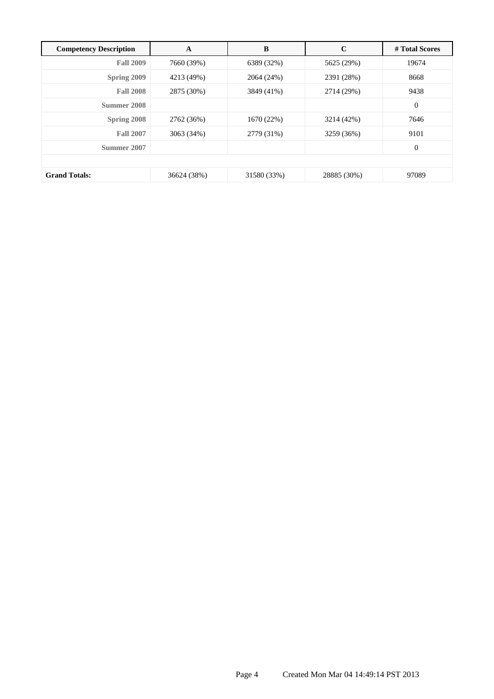| <b>Competency Description</b> | A           | B           | $\mathbf C$ | # Total Scores |
|-------------------------------|-------------|-------------|-------------|----------------|
| <b>Fall 2009</b>              | 7660 (39%)  | 6389 (32%)  | 5625 (29%)  | 19674          |
| Spring 2009                   | 4213 (49%)  | 2064 (24%)  | 2391 (28%)  | 8668           |
| <b>Fall 2008</b>              | 2875 (30%)  | 3849 (41%)  | 2714 (29%)  | 9438           |
| Summer 2008                   |             |             |             | $\overline{0}$ |
| <b>Spring 2008</b>            | 2762 (36%)  | 1670 (22%)  | 3214 (42%)  | 7646           |
| <b>Fall 2007</b>              | 3063 (34%)  | 2779 (31%)  | 3259 (36%)  | 9101           |
| Summer 2007                   |             |             |             | $\mathbf{0}$   |
|                               |             |             |             |                |
| <b>Grand Totals:</b>          | 36624 (38%) | 31580 (33%) | 28885 (30%) | 97089          |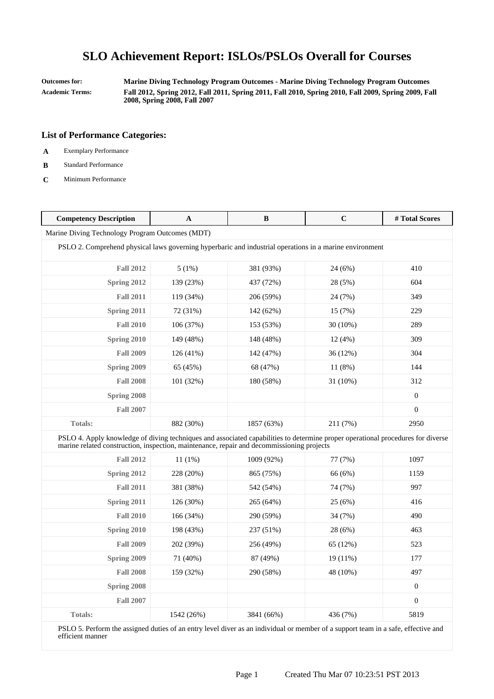**Outcomes for: Marine Diving Technology Program Outcomes - Marine Diving Technology Program Outcomes Academic Terms: Fall 2012, Spring 2012, Fall 2011, Spring 2011, Fall 2010, Spring 2010, Fall 2009, Spring 2009, Fall 2008, Spring 2008, Fall 2007**

### **List of Performance Categories:**

- **A** Exemplary Performance
- **B** Standard Performance
- **C** Minimum Performance

| <b>Competency Description</b>                                                                                                                                                                                                | A          | B          | $\mathbf C$ | #Total Scores    |
|------------------------------------------------------------------------------------------------------------------------------------------------------------------------------------------------------------------------------|------------|------------|-------------|------------------|
| Marine Diving Technology Program Outcomes (MDT)                                                                                                                                                                              |            |            |             |                  |
| PSLO 2. Comprehend physical laws governing hyperbaric and industrial operations in a marine environment                                                                                                                      |            |            |             |                  |
| <b>Fall 2012</b>                                                                                                                                                                                                             | 5(1%)      | 381 (93%)  | 24 (6%)     | 410              |
| Spring 2012                                                                                                                                                                                                                  | 139 (23%)  | 437 (72%)  | 28 (5%)     | 604              |
| <b>Fall 2011</b>                                                                                                                                                                                                             | 119 (34%)  | 206 (59%)  | 24 (7%)     | 349              |
| Spring 2011                                                                                                                                                                                                                  | 72 (31%)   | 142 (62%)  | 15 (7%)     | 229              |
| <b>Fall 2010</b>                                                                                                                                                                                                             | 106 (37%)  | 153 (53%)  | 30 (10%)    | 289              |
| Spring 2010                                                                                                                                                                                                                  | 149 (48%)  | 148 (48%)  | 12(4%)      | 309              |
| <b>Fall 2009</b>                                                                                                                                                                                                             | 126 (41%)  | 142 (47%)  | 36 (12%)    | 304              |
| <b>Spring 2009</b>                                                                                                                                                                                                           | 65 (45%)   | 68 (47%)   | 11 (8%)     | 144              |
| <b>Fall 2008</b>                                                                                                                                                                                                             | 101 (32%)  | 180 (58%)  | 31 (10%)    | 312              |
| Spring 2008                                                                                                                                                                                                                  |            |            |             | $\boldsymbol{0}$ |
| <b>Fall 2007</b>                                                                                                                                                                                                             |            |            |             | $\overline{0}$   |
| <b>Totals:</b>                                                                                                                                                                                                               | 882 (30%)  | 1857 (63%) | 211 (7%)    | 2950             |
| PSLO 4. Apply knowledge of diving techniques and associated capabilities to determine proper operational procedures for diverse<br>marine related construction, inspection, maintenance, repair and decommissioning projects |            |            |             |                  |
| <b>Fall 2012</b>                                                                                                                                                                                                             | 11(1%)     | 1009 (92%) | 77 (7%)     | 1097             |
| Spring 2012                                                                                                                                                                                                                  | 228 (20%)  | 865 (75%)  | 66 (6%)     | 1159             |
| <b>Fall 2011</b>                                                                                                                                                                                                             | 381 (38%)  | 542 (54%)  | 74 (7%)     | 997              |
| Spring 2011                                                                                                                                                                                                                  | 126 (30%)  | 265 (64%)  | 25(6%)      | 416              |
| <b>Fall 2010</b>                                                                                                                                                                                                             | 166 (34%)  | 290 (59%)  | 34 (7%)     | 490              |
| Spring 2010                                                                                                                                                                                                                  | 198 (43%)  | 237 (51%)  | 28 (6%)     | 463              |
| <b>Fall 2009</b>                                                                                                                                                                                                             | 202 (39%)  | 256 (49%)  | 65 (12%)    | 523              |
| Spring 2009                                                                                                                                                                                                                  | 71 (40%)   | 87 (49%)   | 19 (11%)    | 177              |
| <b>Fall 2008</b>                                                                                                                                                                                                             | 159 (32%)  | 290 (58%)  | 48 (10%)    | 497              |
| Spring 2008                                                                                                                                                                                                                  |            |            |             | $\boldsymbol{0}$ |
| <b>Fall 2007</b>                                                                                                                                                                                                             |            |            |             | $\boldsymbol{0}$ |
| <b>Totals:</b>                                                                                                                                                                                                               | 1542 (26%) | 3841 (66%) | 436 (7%)    | 5819             |

PSLO 5. Perform the assigned duties of an entry level diver as an individual or member of a support team in a safe, effective and efficient manner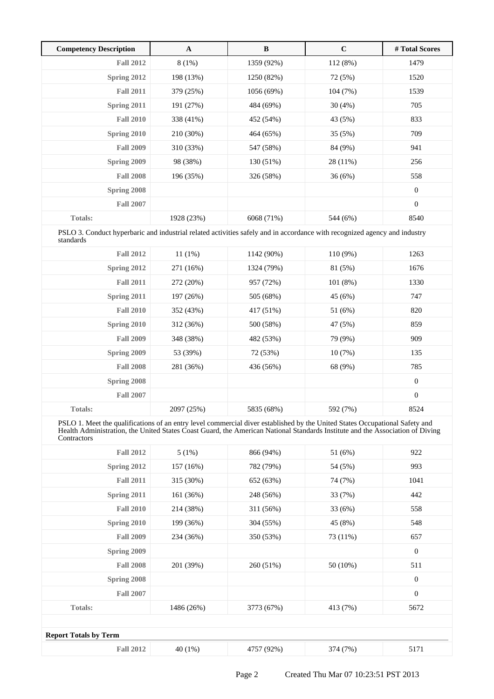| <b>Competency Description</b> | A          | B          | $\mathbf C$ | # Total Scores   |
|-------------------------------|------------|------------|-------------|------------------|
| <b>Fall 2012</b>              | $8(1\%)$   | 1359 (92%) | 112(8%)     | 1479             |
| Spring 2012                   | 198 (13%)  | 1250 (82%) | 72 (5%)     | 1520             |
| <b>Fall 2011</b>              | 379 (25%)  | 1056 (69%) | 104(7%)     | 1539             |
| Spring 2011                   | 191 (27%)  | 484 (69%)  | 30(4%)      | 705              |
| <b>Fall 2010</b>              | 338 (41%)  | 452 (54%)  | 43 (5%)     | 833              |
| Spring 2010                   | 210 (30%)  | 464 (65%)  | 35 (5%)     | 709              |
| <b>Fall 2009</b>              | 310 (33%)  | 547 (58%)  | 84 (9%)     | 941              |
| Spring 2009                   | 98 (38%)   | 130 (51%)  | 28 (11%)    | 256              |
| <b>Fall 2008</b>              | 196 (35%)  | 326 (58%)  | 36(6%)      | 558              |
| Spring 2008                   |            |            |             | $\mathbf{0}$     |
| <b>Fall 2007</b>              |            |            |             | $\boldsymbol{0}$ |
| <b>Totals:</b>                | 1928 (23%) | 6068 (71%) | 544 (6%)    | 8540             |

PSLO 3. Conduct hyperbaric and industrial related activities safely and in accordance with recognized agency and industry standards

| <b>Fall 2012</b> | $11(1\%)$  | 1142 (90%) | $110(9\%)$ | 1263             |  |
|------------------|------------|------------|------------|------------------|--|
| Spring 2012      | 271 (16%)  | 1324 (79%) | 81 (5%)    | 1676             |  |
| <b>Fall 2011</b> | 272 (20%)  | 957 (72%)  | 101(8%)    | 1330             |  |
| Spring 2011      | 197 (26%)  | 505 (68%)  | 45 (6%)    | 747              |  |
| <b>Fall 2010</b> | 352 (43%)  | 417 (51%)  | 51 (6%)    | 820              |  |
| Spring 2010      | 312 (36%)  | 500 (58%)  | 47 (5%)    | 859              |  |
| <b>Fall 2009</b> | 348 (38%)  | 482 (53%)  | 79 (9%)    | 909              |  |
| Spring 2009      | 53 (39%)   | 72 (53%)   | 10(7%)     | 135              |  |
| <b>Fall 2008</b> | 281 (36%)  | 436 (56%)  | 68 (9%)    | 785              |  |
| Spring 2008      |            |            |            | $\boldsymbol{0}$ |  |
| <b>Fall 2007</b> |            |            |            | $\boldsymbol{0}$ |  |
| <b>Totals:</b>   | 2097 (25%) | 5835 (68%) | 592 (7%)   | 8524             |  |
|                  |            |            |            |                  |  |

PSLO 1. Meet the qualifications of an entry level commercial diver established by the United States Occupational Safety and Health Administration, the United States Coast Guard, the American National Standards Institute and the Association of Diving **Contractors** 

| <b>Fall 2012</b>             | 5(1%)      | 866 (94%)  | 51 (6%)  | 922            |  |  |  |
|------------------------------|------------|------------|----------|----------------|--|--|--|
| Spring 2012                  | 157 (16%)  | 782 (79%)  | 54 (5%)  | 993            |  |  |  |
| <b>Fall 2011</b>             | 315 (30%)  | 652 (63%)  | 74 (7%)  | 1041           |  |  |  |
| Spring 2011                  | 161 (36%)  | 248 (56%)  | 33 (7%)  | 442            |  |  |  |
| <b>Fall 2010</b>             | 214 (38%)  | 311 (56%)  | 33(6%)   | 558            |  |  |  |
| Spring 2010                  | 199 (36%)  | 304 (55%)  | 45 (8%)  | 548            |  |  |  |
| <b>Fall 2009</b>             | 234 (36%)  | 350 (53%)  | 73 (11%) | 657            |  |  |  |
| Spring 2009                  |            |            |          | $\overline{0}$ |  |  |  |
| <b>Fall 2008</b>             | 201 (39%)  | 260 (51%)  | 50 (10%) | 511            |  |  |  |
| Spring 2008                  |            |            |          | $\mathbf{0}$   |  |  |  |
| <b>Fall 2007</b>             |            |            |          | $\overline{0}$ |  |  |  |
| <b>Totals:</b>               | 1486 (26%) | 3773 (67%) | 413 (7%) | 5672           |  |  |  |
|                              |            |            |          |                |  |  |  |
| <b>Report Totals by Term</b> |            |            |          |                |  |  |  |
| <b>Fall 2012</b>             | 40 (1%)    | 4757 (92%) | 374 (7%) | 5171           |  |  |  |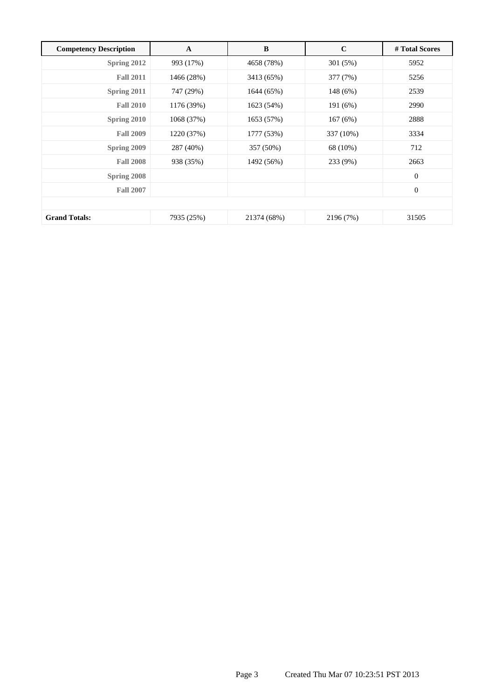| <b>Competency Description</b> | $\mathbf A$ | B           | $\mathbf C$ | # Total Scores   |  |
|-------------------------------|-------------|-------------|-------------|------------------|--|
| Spring 2012                   | 993 (17%)   | 4658 (78%)  | 301 (5%)    | 5952             |  |
| <b>Fall 2011</b>              | 1466 (28%)  | 3413 (65%)  | 377 (7%)    | 5256             |  |
| Spring 2011                   | 747 (29%)   | 1644 (65%)  | 148 (6%)    | 2539             |  |
| <b>Fall 2010</b>              | 1176 (39%)  | 1623 (54%)  | 191 (6%)    | 2990             |  |
| Spring 2010                   | 1068 (37%)  | 1653 (57%)  | 167(6%)     | 2888             |  |
| <b>Fall 2009</b>              | 1220 (37%)  | 1777 (53%)  | 337 (10%)   | 3334             |  |
| Spring 2009                   | 287 (40%)   | 357 (50%)   | 68 (10%)    | 712              |  |
| <b>Fall 2008</b>              | 938 (35%)   | 1492 (56%)  | 233 (9%)    | 2663             |  |
| Spring 2008                   |             |             |             | $\mathbf{0}$     |  |
| <b>Fall 2007</b>              |             |             |             | $\boldsymbol{0}$ |  |
|                               |             |             |             |                  |  |
| <b>Grand Totals:</b>          | 7935 (25%)  | 21374 (68%) | 2196 (7%)   | 31505            |  |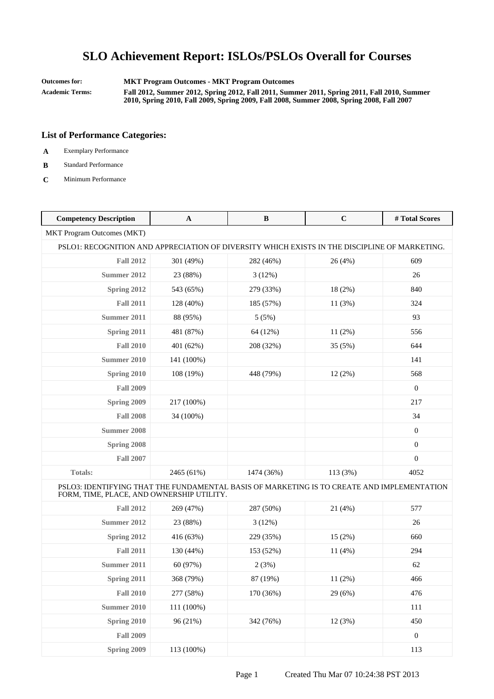**Outcomes for: MKT Program Outcomes - MKT Program Outcomes**

**Academic Terms: Fall 2012, Summer 2012, Spring 2012, Fall 2011, Summer 2011, Spring 2011, Fall 2010, Summer 2010, Spring 2010, Fall 2009, Spring 2009, Fall 2008, Summer 2008, Spring 2008, Fall 2007**

- **A** Exemplary Performance
- **B** Standard Performance
- **C** Minimum Performance

| <b>Competency Description</b>                                                                                                           | A          | $\bf{B}$   | $\mathbf C$ | #Total Scores    |  |  |
|-----------------------------------------------------------------------------------------------------------------------------------------|------------|------------|-------------|------------------|--|--|
| <b>MKT Program Outcomes (MKT)</b>                                                                                                       |            |            |             |                  |  |  |
| PSLO1: RECOGNITION AND APPRECIATION OF DIVERSITY WHICH EXISTS IN THE DISCIPLINE OF MARKETING.                                           |            |            |             |                  |  |  |
| <b>Fall 2012</b>                                                                                                                        | 301 (49%)  | 282 (46%)  | 26 (4%)     | 609              |  |  |
| <b>Summer 2012</b>                                                                                                                      | 23 (88%)   | 3(12%)     |             | 26               |  |  |
| Spring 2012                                                                                                                             | 543 (65%)  | 279 (33%)  | 18 (2%)     | 840              |  |  |
| <b>Fall 2011</b>                                                                                                                        | 128 (40%)  | 185 (57%)  | 11(3%)      | 324              |  |  |
| Summer 2011                                                                                                                             | 88 (95%)   | 5(5%)      |             | 93               |  |  |
| Spring 2011                                                                                                                             | 481 (87%)  | 64 (12%)   | 11(2%)      | 556              |  |  |
| <b>Fall 2010</b>                                                                                                                        | 401 (62%)  | 208 (32%)  | 35 (5%)     | 644              |  |  |
| Summer 2010                                                                                                                             | 141 (100%) |            |             | 141              |  |  |
| Spring 2010                                                                                                                             | 108 (19%)  | 448 (79%)  | 12(2%)      | 568              |  |  |
| <b>Fall 2009</b>                                                                                                                        |            |            |             | $\overline{0}$   |  |  |
| Spring 2009                                                                                                                             | 217 (100%) |            |             | 217              |  |  |
| <b>Fall 2008</b>                                                                                                                        | 34 (100%)  |            |             | 34               |  |  |
| <b>Summer 2008</b>                                                                                                                      |            |            |             | $\mathbf{0}$     |  |  |
| Spring 2008                                                                                                                             |            |            |             | $\boldsymbol{0}$ |  |  |
| <b>Fall 2007</b>                                                                                                                        |            |            |             | $\boldsymbol{0}$ |  |  |
| Totals:                                                                                                                                 | 2465 (61%) | 1474 (36%) | 113(3%)     | 4052             |  |  |
| PSLO3: IDENTIFYING THAT THE FUNDAMENTAL BASIS OF MARKETING IS TO CREATE AND IMPLEMENTATION<br>FORM, TIME, PLACE, AND OWNERSHIP UTILITY. |            |            |             |                  |  |  |
| <b>Fall 2012</b>                                                                                                                        | 269 (47%)  | 287 (50%)  | 21 (4%)     | 577              |  |  |
| <b>Summer 2012</b>                                                                                                                      | 23 (88%)   | 3(12%)     |             | 26               |  |  |
| Spring 2012                                                                                                                             | 416 (63%)  | 229 (35%)  | 15(2%)      | 660              |  |  |
| <b>Fall 2011</b>                                                                                                                        | 130 (44%)  | 153 (52%)  | 11(4%)      | 294              |  |  |
| <b>Summer 2011</b>                                                                                                                      | 60 (97%)   | 2(3%)      |             | 62               |  |  |
| Spring 2011                                                                                                                             | 368 (79%)  | 87 (19%)   | $11(2\%)$   | 466              |  |  |
| <b>Fall 2010</b>                                                                                                                        | 277 (58%)  | 170 (36%)  | 29 (6%)     | 476              |  |  |
| <b>Summer 2010</b>                                                                                                                      | 111 (100%) |            |             | 111              |  |  |
| Spring 2010                                                                                                                             | 96 (21%)   | 342 (76%)  | 12(3%)      | 450              |  |  |
| <b>Fall 2009</b>                                                                                                                        |            |            |             | $\boldsymbol{0}$ |  |  |
| Spring 2009                                                                                                                             | 113 (100%) |            |             | 113              |  |  |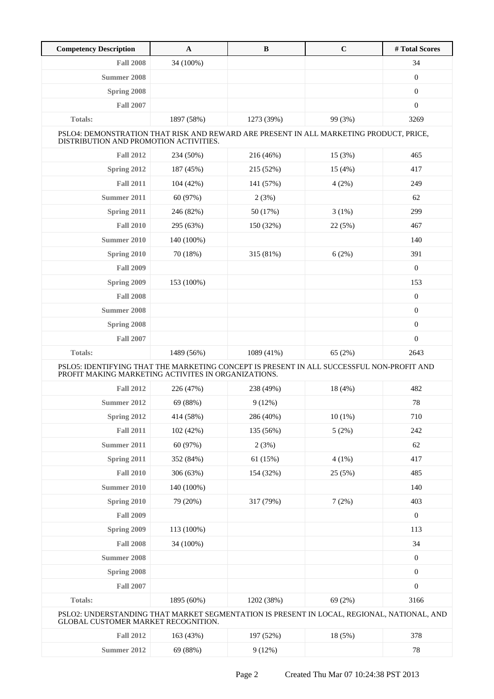| <b>Competency Description</b>                                                                                                                    | $\mathbf A$ | $\bf{B}$   | $\mathbf C$ | #Total Scores    |  |  |
|--------------------------------------------------------------------------------------------------------------------------------------------------|-------------|------------|-------------|------------------|--|--|
| <b>Fall 2008</b>                                                                                                                                 | 34 (100%)   |            |             | 34               |  |  |
| Summer 2008                                                                                                                                      |             |            |             | $\boldsymbol{0}$ |  |  |
| Spring 2008                                                                                                                                      |             |            |             | $\mathbf{0}$     |  |  |
| <b>Fall 2007</b>                                                                                                                                 |             |            |             | $\mathbf{0}$     |  |  |
| <b>Totals:</b>                                                                                                                                   | 1897 (58%)  | 1273 (39%) | 99 (3%)     | 3269             |  |  |
| PSLO4: DEMONSTRATION THAT RISK AND REWARD ARE PRESENT IN ALL MARKETING PRODUCT, PRICE,<br>DISTRIBUTION AND PROMOTION ACTIVITIES.                 |             |            |             |                  |  |  |
| <b>Fall 2012</b>                                                                                                                                 | 234 (50%)   | 216 (46%)  | 15 (3%)     | 465              |  |  |
| Spring 2012                                                                                                                                      | 187 (45%)   | 215 (52%)  | 15(4%)      | 417              |  |  |
| <b>Fall 2011</b>                                                                                                                                 | 104 (42%)   | 141 (57%)  | 4(2%)       | 249              |  |  |
| Summer 2011                                                                                                                                      | 60 (97%)    | 2(3%)      |             | 62               |  |  |
| Spring 2011                                                                                                                                      | 246 (82%)   | 50 (17%)   | $3(1\%)$    | 299              |  |  |
| <b>Fall 2010</b>                                                                                                                                 | 295 (63%)   | 150 (32%)  | 22 (5%)     | 467              |  |  |
| Summer 2010                                                                                                                                      | 140 (100%)  |            |             | 140              |  |  |
| Spring 2010                                                                                                                                      | 70 (18%)    | 315 (81%)  | 6(2%)       | 391              |  |  |
| <b>Fall 2009</b>                                                                                                                                 |             |            |             | $\mathbf{0}$     |  |  |
| Spring 2009                                                                                                                                      | 153 (100%)  |            |             | 153              |  |  |
| <b>Fall 2008</b>                                                                                                                                 |             |            |             | $\mathbf{0}$     |  |  |
| Summer 2008                                                                                                                                      |             |            |             | $\mathbf{0}$     |  |  |
| Spring 2008                                                                                                                                      |             |            |             | $\mathbf{0}$     |  |  |
| <b>Fall 2007</b>                                                                                                                                 |             |            |             | $\boldsymbol{0}$ |  |  |
| <b>Totals:</b>                                                                                                                                   | 1489 (56%)  | 1089 (41%) | 65 (2%)     | 2643             |  |  |
| PSLO5: IDENTIFYING THAT THE MARKETING CONCEPT IS PRESENT IN ALL SUCCESSFUL NON-PROFIT AND<br>PROFIT MAKING MARKETING ACTIVITES IN ORGANIZATIONS. |             |            |             |                  |  |  |
| <b>Fall 2012</b>                                                                                                                                 | 226 (47%)   | 238 (49%)  | 18 (4%)     | 482              |  |  |
| Summer 2012                                                                                                                                      | 69 (88%)    | 9(12%)     |             | 78               |  |  |
| Spring 2012                                                                                                                                      | 414 (58%)   | 286 (40%)  | $10(1\%)$   | 710              |  |  |
| <b>Fall 2011</b>                                                                                                                                 | 102 (42%)   | 135 (56%)  | 5(2%)       | 242              |  |  |
| Summer 2011                                                                                                                                      | 60 (97%)    | 2(3%)      |             | 62               |  |  |
| Spring 2011                                                                                                                                      | 352 (84%)   | 61 (15%)   | $4(1\%)$    | 417              |  |  |
| <b>Fall 2010</b>                                                                                                                                 | 306 (63%)   | 154 (32%)  | 25 (5%)     | 485              |  |  |
| <b>Summer 2010</b>                                                                                                                               | 140 (100%)  |            |             | 140              |  |  |
| Spring 2010                                                                                                                                      | 79 (20%)    | 317 (79%)  | 7(2%)       | 403              |  |  |
| <b>Fall 2009</b>                                                                                                                                 |             |            |             | $\mathbf{0}$     |  |  |
| Spring 2009                                                                                                                                      | 113 (100%)  |            |             | 113              |  |  |
| <b>Fall 2008</b>                                                                                                                                 | 34 (100%)   |            |             | 34               |  |  |
| <b>Summer 2008</b>                                                                                                                               |             |            |             | $\boldsymbol{0}$ |  |  |
| Spring 2008                                                                                                                                      |             |            |             | $\boldsymbol{0}$ |  |  |
| <b>Fall 2007</b>                                                                                                                                 |             |            |             | $\boldsymbol{0}$ |  |  |
| Totals:                                                                                                                                          | 1895 (60%)  | 1202 (38%) | 69 (2%)     | 3166             |  |  |
| PSLO2: UNDERSTANDING THAT MARKET SEGMENTATION IS PRESENT IN LOCAL, REGIONAL, NATIONAL, AND<br>GLOBAL CUSTOMER MARKET RECOGNITION.                |             |            |             |                  |  |  |
| <b>Fall 2012</b>                                                                                                                                 | 163 (43%)   | 197 (52%)  | 18 (5%)     | 378              |  |  |
| <b>Summer 2012</b>                                                                                                                               | 69 (88%)    | 9(12%)     |             | 78               |  |  |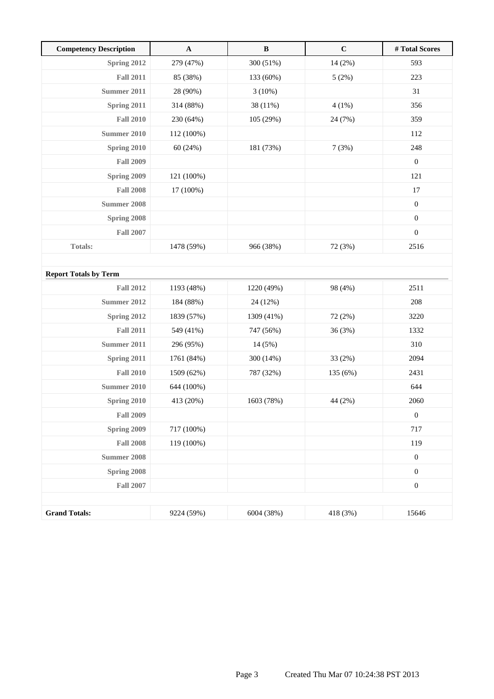| <b>Competency Description</b> | $\mathbf A$ | $\, {\bf B}$ | $\mathbf C$ | # Total Scores   |
|-------------------------------|-------------|--------------|-------------|------------------|
| Spring 2012                   | 279 (47%)   | 300 (51%)    | 14 (2%)     | 593              |
| <b>Fall 2011</b>              | 85 (38%)    | 133 (60%)    | 5(2%)       | 223              |
| Summer 2011                   | 28 (90%)    | 3(10%)       |             | 31               |
| Spring 2011                   | 314 (88%)   | 38 (11%)     | 4(1%)       | 356              |
| <b>Fall 2010</b>              | 230 (64%)   | 105 (29%)    | 24 (7%)     | 359              |
| Summer 2010                   | 112 (100%)  |              |             | 112              |
| Spring 2010                   | 60(24%)     | 181 (73%)    | 7(3%)       | 248              |
| <b>Fall 2009</b>              |             |              |             | $\boldsymbol{0}$ |
| Spring 2009                   | 121 (100%)  |              |             | 121              |
| <b>Fall 2008</b>              | 17 (100%)   |              |             | 17               |
| <b>Summer 2008</b>            |             |              |             | $\boldsymbol{0}$ |
| Spring 2008                   |             |              |             | $\boldsymbol{0}$ |
| <b>Fall 2007</b>              |             |              |             | $\boldsymbol{0}$ |
| <b>Totals:</b>                | 1478 (59%)  | 966 (38%)    | 72 (3%)     | 2516             |
|                               |             |              |             |                  |
| <b>Report Totals by Term</b>  |             |              |             |                  |
| <b>Fall 2012</b>              | 1193 (48%)  | 1220 (49%)   | 98 (4%)     | 2511             |
| Summer 2012                   | 184 (88%)   | 24 (12%)     |             | 208              |
| Spring 2012                   | 1839 (57%)  | 1309 (41%)   | 72 (2%)     | 3220             |
| <b>Fall 2011</b>              | 549 (41%)   | 747 (56%)    | 36 (3%)     | 1332             |
| <b>Summer 2011</b>            | 296 (95%)   | 14 (5%)      |             | 310              |
| Spring 2011                   | 1761 (84%)  | 300 (14%)    | 33 (2%)     | 2094             |
| <b>Fall 2010</b>              | 1509 (62%)  | 787 (32%)    | 135 (6%)    | 2431             |
| <b>Summer 2010</b>            | 644 (100%)  |              |             | 644              |
| Spring 2010                   | 413 (20%)   | 1603 (78%)   | 44 (2%)     | 2060             |
| <b>Fall 2009</b>              |             |              |             | $\boldsymbol{0}$ |
| Spring 2009                   | 717 (100%)  |              |             | 717              |
| <b>Fall 2008</b>              | 119 (100%)  |              |             | 119              |
| Summer 2008                   |             |              |             | $\boldsymbol{0}$ |
| Spring 2008                   |             |              |             | $\boldsymbol{0}$ |
| <b>Fall 2007</b>              |             |              |             | $\boldsymbol{0}$ |
|                               |             |              |             |                  |
| <b>Grand Totals:</b>          | 9224 (59%)  | 6004 (38%)   | 418 (3%)    | 15646            |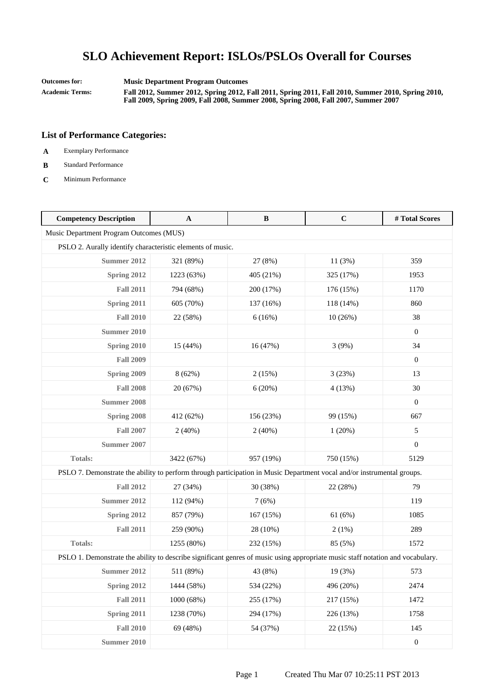**Outcomes for: Music Department Program Outcomes Academic Terms: Fall 2012, Summer 2012, Spring 2012, Fall 2011, Spring 2011, Fall 2010, Summer 2010, Spring 2010,**

**Fall 2009, Spring 2009, Fall 2008, Summer 2008, Spring 2008, Fall 2007, Summer 2007**

- **A** Exemplary Performance
- **B** Standard Performance
- **C** Minimum Performance

| <b>Competency Description</b>                                                                                                  | $\mathbf{A}$ | $\bf{B}$  | $\mathbf C$ | #Total Scores    |
|--------------------------------------------------------------------------------------------------------------------------------|--------------|-----------|-------------|------------------|
| Music Department Program Outcomes (MUS)                                                                                        |              |           |             |                  |
| PSLO 2. Aurally identify characteristic elements of music.                                                                     |              |           |             |                  |
| <b>Summer 2012</b>                                                                                                             | 321 (89%)    | 27 (8%)   | 11(3%)      | 359              |
| Spring 2012                                                                                                                    | 1223 (63%)   | 405 (21%) | 325 (17%)   | 1953             |
| <b>Fall 2011</b>                                                                                                               | 794 (68%)    | 200 (17%) | 176 (15%)   | 1170             |
| Spring 2011                                                                                                                    | 605 (70%)    | 137 (16%) | 118 (14%)   | 860              |
| <b>Fall 2010</b>                                                                                                               | 22 (58%)     | 6(16%)    | 10(26%)     | 38               |
| <b>Summer 2010</b>                                                                                                             |              |           |             | $\boldsymbol{0}$ |
| Spring 2010                                                                                                                    | 15 (44%)     | 16 (47%)  | 3(9%)       | 34               |
| <b>Fall 2009</b>                                                                                                               |              |           |             | $\boldsymbol{0}$ |
| Spring 2009                                                                                                                    | 8(62%)       | 2(15%)    | 3(23%)      | 13               |
| <b>Fall 2008</b>                                                                                                               | 20 (67%)     | 6(20%)    | 4(13%)      | 30               |
| <b>Summer 2008</b>                                                                                                             |              |           |             | $\boldsymbol{0}$ |
| Spring 2008                                                                                                                    | 412 (62%)    | 156 (23%) | 99 (15%)    | 667              |
| <b>Fall 2007</b>                                                                                                               | 2(40%)       | 2(40%)    | 1(20%)      | 5                |
| Summer 2007                                                                                                                    |              |           |             | $\mathbf{0}$     |
| <b>Totals:</b>                                                                                                                 | 3422 (67%)   | 957 (19%) | 750 (15%)   | 5129             |
| PSLO 7. Demonstrate the ability to perform through participation in Music Department vocal and/or instrumental groups.         |              |           |             |                  |
| <b>Fall 2012</b>                                                                                                               | 27 (34%)     | 30 (38%)  | 22 (28%)    | 79               |
| Summer 2012                                                                                                                    | 112 (94%)    | 7(6%)     |             | 119              |
| Spring 2012                                                                                                                    | 857 (79%)    | 167 (15%) | 61 (6%)     | 1085             |
| <b>Fall 2011</b>                                                                                                               | 259 (90%)    | 28 (10%)  | 2(1%)       | 289              |
| <b>Totals:</b>                                                                                                                 | 1255 (80%)   | 232 (15%) | 85 (5%)     | 1572             |
| PSLO 1. Demonstrate the ability to describe significant genres of music using appropriate music staff notation and vocabulary. |              |           |             |                  |
| Summer 2012                                                                                                                    | 511 (89%)    | 43 (8%)   | 19 (3%)     | 573              |
| Spring 2012                                                                                                                    | 1444 (58%)   | 534 (22%) | 496 (20%)   | 2474             |
| <b>Fall 2011</b>                                                                                                               | 1000 (68%)   | 255 (17%) | 217 (15%)   | 1472             |
| Spring 2011                                                                                                                    | 1238 (70%)   | 294 (17%) | 226 (13%)   | 1758             |
| <b>Fall 2010</b>                                                                                                               | 69 (48%)     | 54 (37%)  | 22 (15%)    | 145              |
| <b>Summer 2010</b>                                                                                                             |              |           |             | $\boldsymbol{0}$ |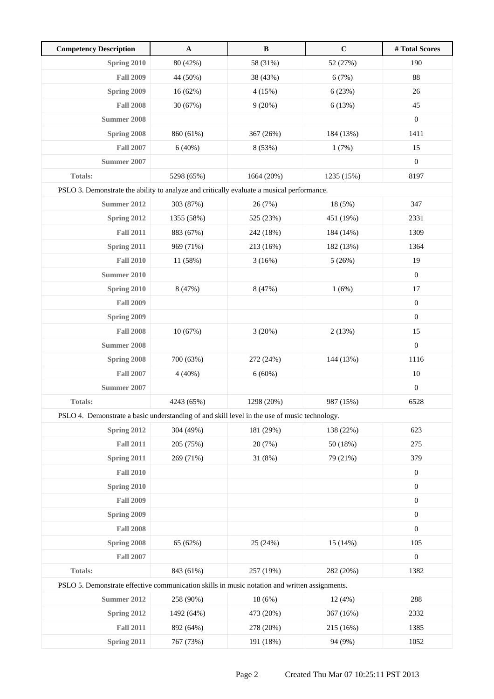| <b>Competency Description</b>                                                                 | $\mathbf{A}$ | $\, {\bf B}$ | $\mathbf C$ | # Total Scores   |
|-----------------------------------------------------------------------------------------------|--------------|--------------|-------------|------------------|
| Spring 2010                                                                                   | 80 (42%)     | 58 (31%)     | 52 (27%)    | 190              |
| <b>Fall 2009</b>                                                                              | 44 (50%)     | 38 (43%)     | 6(7%)       | 88               |
| Spring 2009                                                                                   | 16(62%)      | 4(15%)       | 6(23%)      | 26               |
| <b>Fall 2008</b>                                                                              | 30 (67%)     | 9(20%)       | 6(13%)      | 45               |
| <b>Summer 2008</b>                                                                            |              |              |             | $\boldsymbol{0}$ |
| Spring 2008                                                                                   | 860 (61%)    | 367 (26%)    | 184 (13%)   | 1411             |
| <b>Fall 2007</b>                                                                              | 6(40%)       | 8 (53%)      | 1(7%)       | 15               |
| Summer 2007                                                                                   |              |              |             | $\boldsymbol{0}$ |
| <b>Totals:</b>                                                                                | 5298 (65%)   | 1664 (20%)   | 1235 (15%)  | 8197             |
| PSLO 3. Demonstrate the ability to analyze and critically evaluate a musical performance.     |              |              |             |                  |
| Summer 2012                                                                                   | 303 (87%)    | 26 (7%)      | 18 (5%)     | 347              |
| <b>Spring 2012</b>                                                                            | 1355 (58%)   | 525 (23%)    | 451 (19%)   | 2331             |
| <b>Fall 2011</b>                                                                              | 883 (67%)    | 242 (18%)    | 184 (14%)   | 1309             |
| Spring 2011                                                                                   | 969 (71%)    | 213 (16%)    | 182 (13%)   | 1364             |
| <b>Fall 2010</b>                                                                              | 11 (58%)     | 3(16%)       | 5(26%)      | 19               |
| <b>Summer 2010</b>                                                                            |              |              |             | $\boldsymbol{0}$ |
| Spring 2010                                                                                   | 8 (47%)      | 8 (47%)      | 1(6%)       | 17               |
| <b>Fall 2009</b>                                                                              |              |              |             | $\boldsymbol{0}$ |
| Spring 2009                                                                                   |              |              |             | $\boldsymbol{0}$ |
| <b>Fall 2008</b>                                                                              | 10(67%)      | 3(20%)       | 2(13%)      | 15               |
| Summer 2008                                                                                   |              |              |             | $\boldsymbol{0}$ |
| Spring 2008                                                                                   | 700 (63%)    | 272 (24%)    | 144 (13%)   | 1116             |
| <b>Fall 2007</b>                                                                              | 4(40%)       | 6(60%)       |             | $10\,$           |
| Summer 2007                                                                                   |              |              |             | $\boldsymbol{0}$ |
| <b>Totals:</b>                                                                                | 4243 (65%)   | 1298 (20%)   | 987 (15%)   | 6528             |
| PSLO 4. Demonstrate a basic understanding of and skill level in the use of music technology.  |              |              |             |                  |
| Spring 2012                                                                                   | 304 (49%)    | 181 (29%)    | 138 (22%)   | 623              |
| <b>Fall 2011</b>                                                                              | 205 (75%)    | 20 (7%)      | 50 (18%)    | 275              |
| Spring 2011                                                                                   | 269 (71%)    | 31 (8%)      | 79 (21%)    | 379              |
| <b>Fall 2010</b>                                                                              |              |              |             | $\boldsymbol{0}$ |
| Spring 2010                                                                                   |              |              |             | $\boldsymbol{0}$ |
| <b>Fall 2009</b>                                                                              |              |              |             | $\boldsymbol{0}$ |
| Spring 2009                                                                                   |              |              |             | $\boldsymbol{0}$ |
| <b>Fall 2008</b>                                                                              |              |              |             | $\boldsymbol{0}$ |
| Spring 2008                                                                                   | 65 (62%)     | 25 (24%)     | 15(14%)     | 105              |
| <b>Fall 2007</b>                                                                              |              |              |             | $\boldsymbol{0}$ |
| Totals:                                                                                       | 843 (61%)    | 257 (19%)    | 282 (20%)   | 1382             |
| PSLO 5. Demonstrate effective communication skills in music notation and written assignments. |              |              |             |                  |
| <b>Summer 2012</b>                                                                            | 258 (90%)    | 18 (6%)      | 12(4%)      | 288              |
| Spring 2012                                                                                   | 1492 (64%)   | 473 (20%)    | 367 (16%)   | 2332             |
| <b>Fall 2011</b>                                                                              | 892 (64%)    | 278 (20%)    | 215 (16%)   | 1385             |
| Spring 2011                                                                                   | 767 (73%)    | 191 (18%)    | 94 (9%)     | 1052             |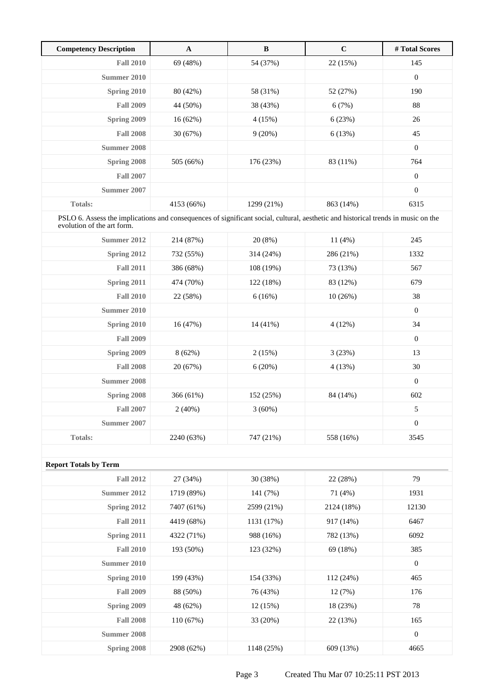| <b>Competency Description</b> | $\mathbf A$ | B          | $\mathbf C$ | # Total Scores   |
|-------------------------------|-------------|------------|-------------|------------------|
| <b>Fall 2010</b>              | 69 (48%)    | 54 (37%)   | 22(15%)     | 145              |
| Summer 2010                   |             |            |             | $\boldsymbol{0}$ |
| Spring 2010                   | 80 (42%)    | 58 (31%)   | 52 (27%)    | 190              |
| <b>Fall 2009</b>              | 44 (50%)    | 38 (43%)   | 6(7%)       | 88               |
| Spring 2009                   | 16(62%)     | 4(15%)     | 6(23%)      | 26               |
| <b>Fall 2008</b>              | 30(67%)     | 9(20%)     | 6(13%)      | 45               |
| Summer 2008                   |             |            |             | $\boldsymbol{0}$ |
| Spring 2008                   | 505 (66%)   | 176 (23%)  | 83 (11%)    | 764              |
| <b>Fall 2007</b>              |             |            |             | $\boldsymbol{0}$ |
| Summer 2007                   |             |            |             | $\boldsymbol{0}$ |
| <b>Totals:</b>                | 4153 (66%)  | 1299 (21%) | 863 (14%)   | 6315             |

PSLO 6. Assess the implications and consequences of significant social, cultural, aesthetic and historical trends in music on the evolution of the art form.

| Summer 2012      | 214 (87%)  | 20(8%)     | 11(4%)    | 245              |  |
|------------------|------------|------------|-----------|------------------|--|
| Spring 2012      | 732 (55%)  | 314 (24%)  | 286 (21%) | 1332             |  |
| <b>Fall 2011</b> | 386 (68%)  | 108 (19%)  | 73 (13%)  | 567              |  |
| Spring 2011      | 474 (70%)  | 122(18%)   | 83 (12%)  | 679              |  |
| <b>Fall 2010</b> | 22 (58%)   | 6(16%)     | 10(26%)   | 38               |  |
| Summer 2010      |            |            |           | $\boldsymbol{0}$ |  |
| Spring 2010      | 16(47%)    | $14(41\%)$ | 4(12%)    | 34               |  |
| <b>Fall 2009</b> |            |            |           | $\boldsymbol{0}$ |  |
| Spring 2009      | 8(62%)     | 2(15%)     | 3(23%)    | 13               |  |
| <b>Fall 2008</b> | 20 (67%)   | 6(20%)     | 4(13%)    | 30               |  |
| Summer 2008      |            |            |           | $\boldsymbol{0}$ |  |
| Spring 2008      | 366(61%)   | 152 (25%)  | 84 (14%)  | 602              |  |
| <b>Fall 2007</b> | 2(40%)     | 3(60%)     |           | 5                |  |
| Summer 2007      |            |            |           | $\boldsymbol{0}$ |  |
| <b>Totals:</b>   | 2240 (63%) | 747 (21%)  | 558 (16%) | 3545             |  |
|                  |            |            |           |                  |  |

| <b>Report Totals by Term</b> |            |            |            |              |
|------------------------------|------------|------------|------------|--------------|
| <b>Fall 2012</b>             | 27 (34%)   | 30 (38%)   | 22 (28%)   | 79           |
| Summer 2012                  | 1719 (89%) | 141 (7%)   | 71 (4%)    | 1931         |
| Spring 2012                  | 7407 (61%) | 2599 (21%) | 2124 (18%) | 12130        |
| <b>Fall 2011</b>             | 4419 (68%) | 1131 (17%) | 917 (14%)  | 6467         |
| Spring 2011                  | 4322 (71%) | 988 (16%)  | 782 (13%)  | 6092         |
| <b>Fall 2010</b>             | 193 (50%)  | 123 (32%)  | 69 (18%)   | 385          |
| Summer 2010                  |            |            |            | $\mathbf{0}$ |
| Spring 2010                  | 199 (43%)  | 154 (33%)  | 112(24%)   | 465          |
| <b>Fall 2009</b>             | 88 (50%)   | 76 (43%)   | 12(7%)     | 176          |
| Spring 2009                  | 48 (62%)   | 12(15%)    | 18 (23%)   | 78           |
| <b>Fall 2008</b>             | 110(67%)   | 33 (20%)   | 22 (13%)   | 165          |
| Summer 2008                  |            |            |            | $\theta$     |
| Spring 2008                  | 2908 (62%) | 1148 (25%) | 609 (13%)  | 4665         |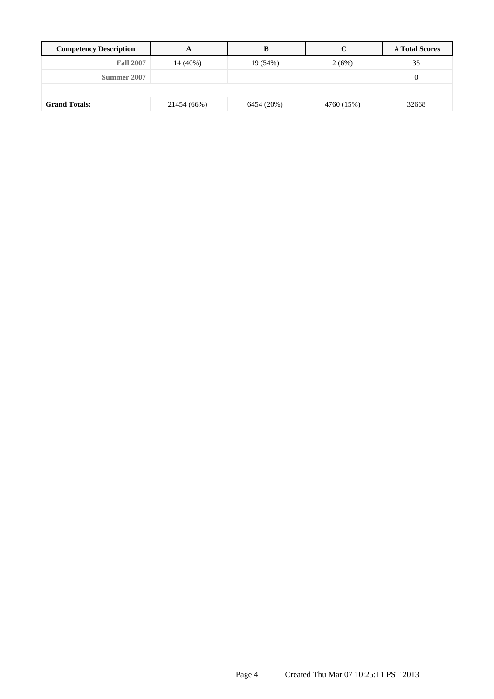| <b>Competency Description</b> |             | В          |            | # Total Scores   |
|-------------------------------|-------------|------------|------------|------------------|
| <b>Fall 2007</b>              | 14 (40%)    | 19 (54%)   | 2(6%)      | 35               |
| Summer 2007                   |             |            |            | $\boldsymbol{0}$ |
|                               |             |            |            |                  |
| <b>Grand Totals:</b>          | 21454 (66%) | 6454 (20%) | 4760 (15%) | 32668            |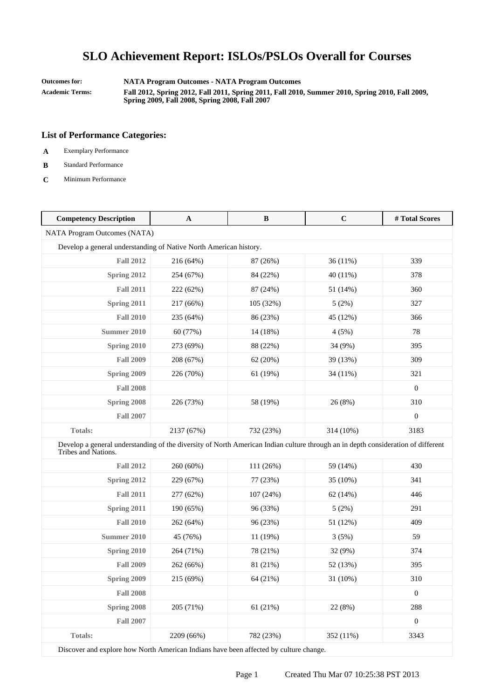**Outcomes for: NATA Program Outcomes - NATA Program Outcomes**

**Academic Terms: Fall 2012, Spring 2012, Fall 2011, Spring 2011, Fall 2010, Summer 2010, Spring 2010, Fall 2009, Spring 2009, Fall 2008, Spring 2008, Fall 2007**

#### **List of Performance Categories:**

- **A** Exemplary Performance
- **B** Standard Performance
- **C** Minimum Performance

| $\mathbf A$                  | $\bf{B}$  | $\mathbf C$                                                       | #Total Scores                                                                                                                    |
|------------------------------|-----------|-------------------------------------------------------------------|----------------------------------------------------------------------------------------------------------------------------------|
| NATA Program Outcomes (NATA) |           |                                                                   |                                                                                                                                  |
|                              |           |                                                                   |                                                                                                                                  |
| 216 (64%)                    | 87 (26%)  | 36(11%)                                                           | 339                                                                                                                              |
| 254 (67%)                    | 84 (22%)  | 40 (11%)                                                          | 378                                                                                                                              |
| 222 (62%)                    | 87 (24%)  | 51 (14%)                                                          | 360                                                                                                                              |
| 217 (66%)                    | 105 (32%) | 5(2%)                                                             | 327                                                                                                                              |
| 235 (64%)                    | 86 (23%)  | 45 (12%)                                                          | 366                                                                                                                              |
| 60 (77%)                     | 14 (18%)  | 4(5%)                                                             | 78                                                                                                                               |
| 273 (69%)                    | 88 (22%)  | 34 (9%)                                                           | 395                                                                                                                              |
| 208 (67%)                    | 62 (20%)  | 39 (13%)                                                          | 309                                                                                                                              |
| 226 (70%)                    | 61 (19%)  | 34 (11%)                                                          | 321                                                                                                                              |
|                              |           |                                                                   | $\boldsymbol{0}$                                                                                                                 |
| 226 (73%)                    | 58 (19%)  | 26 (8%)                                                           | 310                                                                                                                              |
|                              |           |                                                                   | $\boldsymbol{0}$                                                                                                                 |
| 2137 (67%)                   | 732 (23%) | 314 (10%)                                                         | 3183                                                                                                                             |
|                              |           |                                                                   |                                                                                                                                  |
| 260 (60%)                    | 111 (26%) | 59 (14%)                                                          | 430                                                                                                                              |
| 229 (67%)                    | 77 (23%)  | 35 (10%)                                                          | 341                                                                                                                              |
| 277 (62%)                    | 107 (24%) | 62 (14%)                                                          | 446                                                                                                                              |
| 190 (65%)                    | 96 (33%)  | 5(2%)                                                             | 291                                                                                                                              |
| 262 (64%)                    | 96 (23%)  | 51 (12%)                                                          | 409                                                                                                                              |
| 45 (76%)                     | 11 (19%)  | 3(5%)                                                             | 59                                                                                                                               |
| 264 (71%)                    | 78 (21%)  | 32 (9%)                                                           | 374                                                                                                                              |
| 262 (66%)                    | 81 (21%)  | 52 (13%)                                                          | 395                                                                                                                              |
| 215 (69%)                    | 64 (21%)  | 31 (10%)                                                          | 310                                                                                                                              |
|                              |           |                                                                   | $\boldsymbol{0}$                                                                                                                 |
| 205 (71%)                    | 61(21%)   | 22 (8%)                                                           | 288                                                                                                                              |
|                              |           |                                                                   | $\boldsymbol{0}$                                                                                                                 |
| 2209 (66%)                   | 782 (23%) | 352 (11%)                                                         | 3343                                                                                                                             |
|                              |           | Develop a general understanding of Native North American history. | Develop a general understanding of the diversity of North American Indian culture through an in depth consideration of different |

Discover and explore how North American Indians have been affected by culture change.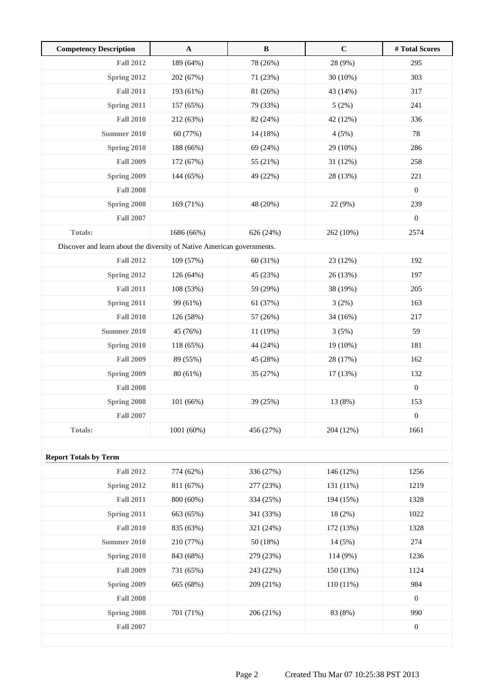| <b>Competency Description</b>                                          | $\mathbf{A}$ | $\, {\bf B}$ | $\mathbf C$ | # Total Scores   |
|------------------------------------------------------------------------|--------------|--------------|-------------|------------------|
| <b>Fall 2012</b>                                                       | 189 (64%)    | 78 (26%)     | 28 (9%)     | 295              |
| Spring 2012                                                            | 202 (67%)    | 71 (23%)     | 30 (10%)    | 303              |
| <b>Fall 2011</b>                                                       | 193 (61%)    | 81 (26%)     | 43 (14%)    | 317              |
| <b>Spring 2011</b>                                                     | 157 (65%)    | 79 (33%)     | 5(2%)       | 241              |
| <b>Fall 2010</b>                                                       | 212 (63%)    | 82 (24%)     | 42 (12%)    | 336              |
| <b>Summer 2010</b>                                                     | 60 (77%)     | 14 (18%)     | 4(5%)       | 78               |
| Spring 2010                                                            | 188 (66%)    | 69 (24%)     | 29 (10%)    | 286              |
| <b>Fall 2009</b>                                                       | 172 (67%)    | 55 (21%)     | 31 (12%)    | 258              |
| Spring 2009                                                            | 144 (65%)    | 49 (22%)     | 28 (13%)    | 221              |
| <b>Fall 2008</b>                                                       |              |              |             | $\boldsymbol{0}$ |
| Spring 2008                                                            | 169 (71%)    | 48 (20%)     | 22 (9%)     | 239              |
| <b>Fall 2007</b>                                                       |              |              |             | $\boldsymbol{0}$ |
| <b>Totals:</b>                                                         | 1686 (66%)   | 626 (24%)    | 262 (10%)   | 2574             |
| Discover and learn about the diversity of Native American governments. |              |              |             |                  |
| <b>Fall 2012</b>                                                       | 109 (57%)    | 60 (31%)     | 23 (12%)    | 192              |
| Spring 2012                                                            | 126 (64%)    | 45 (23%)     | 26 (13%)    | 197              |
| <b>Fall 2011</b>                                                       | 108 (53%)    | 59 (29%)     | 38 (19%)    | 205              |
| Spring 2011                                                            | 99 (61%)     | 61 (37%)     | 3(2%)       | 163              |
| <b>Fall 2010</b>                                                       | 126 (58%)    | 57 (26%)     | 34 (16%)    | 217              |
| <b>Summer 2010</b>                                                     | 45 (76%)     | 11 (19%)     | 3(5%)       | 59               |
| Spring 2010                                                            | 118 (65%)    | 44 (24%)     | 19 (10%)    | 181              |
| <b>Fall 2009</b>                                                       | 89 (55%)     | 45 (28%)     | 28 (17%)    | 162              |
| Spring 2009                                                            | 80 (61%)     | 35 (27%)     | 17 (13%)    | 132              |
| <b>Fall 2008</b>                                                       |              |              |             | $\boldsymbol{0}$ |
| <b>Spring 2008</b>                                                     | 101 (66%)    | 39 (25%)     | 13 (8%)     | 153              |
| <b>Fall 2007</b>                                                       |              |              |             | $\boldsymbol{0}$ |
| Totals:                                                                | 1001 (60%)   | 456 (27%)    | 204 (12%)   | 1661             |
|                                                                        |              |              |             |                  |
| <b>Report Totals by Term</b>                                           |              |              |             |                  |
| <b>Fall 2012</b>                                                       | 774 (62%)    | 336 (27%)    | 146 (12%)   | 1256             |
| Spring 2012                                                            | 811 (67%)    | 277 (23%)    | 131 (11%)   | 1219             |
| <b>Fall 2011</b>                                                       | 800 (60%)    | 334 (25%)    | 194 (15%)   | 1328             |
| Spring 2011                                                            | 663 (65%)    | 341 (33%)    | 18(2%)      | 1022             |
| <b>Fall 2010</b>                                                       | 835 (63%)    | 321 (24%)    | 172 (13%)   | 1328             |
| <b>Summer 2010</b>                                                     | 210 (77%)    | 50 (18%)     | 14(5%)      | 274              |
| Spring 2010                                                            | 843 (68%)    | 279 (23%)    | 114 (9%)    | 1236             |
| <b>Fall 2009</b>                                                       | 731 (65%)    | 243 (22%)    | 150 (13%)   | 1124             |
| Spring 2009                                                            | 665 (68%)    | 209 (21%)    | $110(11\%)$ | 984              |
| <b>Fall 2008</b>                                                       |              |              |             | $\mathbf{0}$     |
| Spring 2008                                                            | 701 (71%)    | 206 (21%)    | 83 (8%)     | 990              |
| <b>Fall 2007</b>                                                       |              |              |             | $\boldsymbol{0}$ |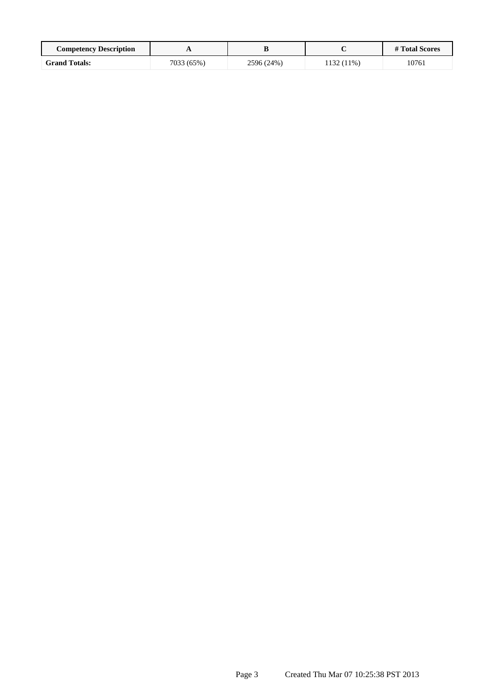| <b>Competency Description</b> | . .        |            |            | # Total Scores |
|-------------------------------|------------|------------|------------|----------------|
| <b>Grand Totals:</b>          | 7033 (65%) | 2596 (24%) | 1132 (11%) | 10761          |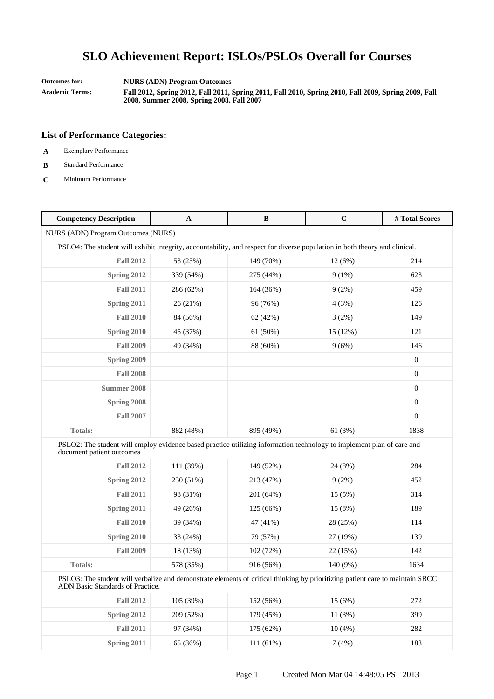**Outcomes for: NURS (ADN) Program Outcomes**

**Academic Terms: Fall 2012, Spring 2012, Fall 2011, Spring 2011, Fall 2010, Spring 2010, Fall 2009, Spring 2009, Fall 2008, Summer 2008, Spring 2008, Fall 2007**

- **A** Exemplary Performance
- **B** Standard Performance
- **C** Minimum Performance

| <b>Competency Description</b>                                                                                                                                     | $\mathbf{A}$ | $\bf{B}$  | $\mathbf C$ | #Total Scores    |
|-------------------------------------------------------------------------------------------------------------------------------------------------------------------|--------------|-----------|-------------|------------------|
| NURS (ADN) Program Outcomes (NURS)                                                                                                                                |              |           |             |                  |
| PSLO4: The student will exhibit integrity, accountability, and respect for diverse population in both theory and clinical.                                        |              |           |             |                  |
| <b>Fall 2012</b>                                                                                                                                                  | 53 (25%)     | 149 (70%) | 12 (6%)     | 214              |
| Spring 2012                                                                                                                                                       | 339 (54%)    | 275 (44%) | $9(1\%)$    | 623              |
| <b>Fall 2011</b>                                                                                                                                                  | 286 (62%)    | 164 (36%) | 9(2%)       | 459              |
| Spring 2011                                                                                                                                                       | 26 (21%)     | 96 (76%)  | 4(3%)       | 126              |
| <b>Fall 2010</b>                                                                                                                                                  | 84 (56%)     | 62 (42%)  | 3(2%)       | 149              |
| Spring 2010                                                                                                                                                       | 45 (37%)     | 61 (50%)  | 15 (12%)    | 121              |
| <b>Fall 2009</b>                                                                                                                                                  | 49 (34%)     | 88 (60%)  | 9(6%)       | 146              |
| Spring 2009                                                                                                                                                       |              |           |             | $\boldsymbol{0}$ |
| <b>Fall 2008</b>                                                                                                                                                  |              |           |             | $\boldsymbol{0}$ |
| <b>Summer 2008</b>                                                                                                                                                |              |           |             | $\boldsymbol{0}$ |
| Spring 2008                                                                                                                                                       |              |           |             | $\boldsymbol{0}$ |
| <b>Fall 2007</b>                                                                                                                                                  |              |           |             | $\boldsymbol{0}$ |
| <b>Totals:</b>                                                                                                                                                    | 882 (48%)    | 895 (49%) | 61(3%)      | 1838             |
| PSLO2: The student will employ evidence based practice utilizing information technology to implement plan of care and<br>document patient outcomes                |              |           |             |                  |
| <b>Fall 2012</b>                                                                                                                                                  | 111 (39%)    | 149 (52%) | 24 (8%)     | 284              |
| Spring 2012                                                                                                                                                       | 230 (51%)    | 213 (47%) | 9(2%)       | 452              |
| <b>Fall 2011</b>                                                                                                                                                  | 98 (31%)     | 201 (64%) | 15 (5%)     | 314              |
| Spring 2011                                                                                                                                                       | 49 (26%)     | 125 (66%) | 15(8%)      | 189              |
| <b>Fall 2010</b>                                                                                                                                                  | 39 (34%)     | 47 (41%)  | 28 (25%)    | 114              |
| Spring 2010                                                                                                                                                       | 33 (24%)     | 79 (57%)  | 27 (19%)    | 139              |
| <b>Fall 2009</b>                                                                                                                                                  | 18 (13%)     | 102 (72%) | 22 (15%)    | 142              |
| <b>Totals:</b>                                                                                                                                                    | 578 (35%)    | 916 (56%) | 140 (9%)    | 1634             |
| PSLO3: The student will verbalize and demonstrate elements of critical thinking by prioritizing patient care to maintain SBCC<br>ADN Basic Standards of Practice. |              |           |             |                  |
| <b>Fall 2012</b>                                                                                                                                                  | 105 (39%)    | 152 (56%) | 15 (6%)     | 272              |
| Spring 2012                                                                                                                                                       | 209 (52%)    | 179 (45%) | 11(3%)      | 399              |
| <b>Fall 2011</b>                                                                                                                                                  | 97 (34%)     | 175 (62%) | 10(4%)      | 282              |
| Spring 2011                                                                                                                                                       | 65 (36%)     | 111 (61%) | 7(4%)       | 183              |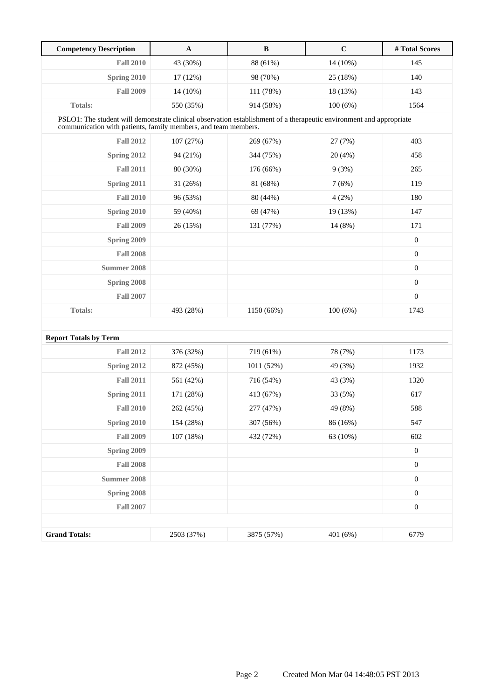| <b>Competency Description</b> | $\mathbf A$                                                                                                                                                                           | $\bf{B}$   | $\mathbf C$ | # Total Scores   |  |  |
|-------------------------------|---------------------------------------------------------------------------------------------------------------------------------------------------------------------------------------|------------|-------------|------------------|--|--|
| <b>Fall 2010</b>              | 43 (30%)                                                                                                                                                                              | 88 (61%)   | 14 (10%)    | 145              |  |  |
| Spring 2010                   | 17 (12%)                                                                                                                                                                              | 98 (70%)   | 25 (18%)    | 140              |  |  |
| <b>Fall 2009</b>              | 14 (10%)                                                                                                                                                                              | 111 (78%)  | 18 (13%)    | 143              |  |  |
| <b>Totals:</b>                | 550 (35%)                                                                                                                                                                             | 914 (58%)  | 100(6%)     | 1564             |  |  |
|                               | PSLO1: The student will demonstrate clinical observation establishment of a therapeutic environment and appropriate<br>communication with patients, family members, and team members. |            |             |                  |  |  |
| <b>Fall 2012</b>              | 107 (27%)                                                                                                                                                                             | 269 (67%)  | 27 (7%)     | 403              |  |  |
| Spring 2012                   | 94 (21%)                                                                                                                                                                              | 344 (75%)  | 20 (4%)     | 458              |  |  |
| <b>Fall 2011</b>              | 80 (30%)                                                                                                                                                                              | 176 (66%)  | 9(3%)       | 265              |  |  |
| Spring 2011                   | 31 (26%)                                                                                                                                                                              | 81 (68%)   | 7(6%)       | 119              |  |  |
| <b>Fall 2010</b>              | 96 (53%)                                                                                                                                                                              | 80 (44%)   | 4(2%)       | 180              |  |  |
| Spring 2010                   | 59 (40%)                                                                                                                                                                              | 69 (47%)   | 19 (13%)    | 147              |  |  |
| <b>Fall 2009</b>              | 26 (15%)                                                                                                                                                                              | 131 (77%)  | 14 (8%)     | 171              |  |  |
| Spring 2009                   |                                                                                                                                                                                       |            |             | $\boldsymbol{0}$ |  |  |
| <b>Fall 2008</b>              |                                                                                                                                                                                       |            |             | $\boldsymbol{0}$ |  |  |
| Summer 2008                   |                                                                                                                                                                                       |            |             | $\boldsymbol{0}$ |  |  |
| Spring 2008                   |                                                                                                                                                                                       |            |             | $\boldsymbol{0}$ |  |  |
| <b>Fall 2007</b>              |                                                                                                                                                                                       |            |             | $\boldsymbol{0}$ |  |  |
| <b>Totals:</b>                | 493 (28%)                                                                                                                                                                             | 1150 (66%) | 100(6%)     | 1743             |  |  |
|                               |                                                                                                                                                                                       |            |             |                  |  |  |
| <b>Report Totals by Term</b>  |                                                                                                                                                                                       |            |             |                  |  |  |
| <b>Fall 2012</b>              | 376 (32%)                                                                                                                                                                             | 719 (61%)  | 78 (7%)     | 1173             |  |  |
| Spring 2012                   | 872 (45%)                                                                                                                                                                             | 1011 (52%) | 49 (3%)     | 1932             |  |  |
| <b>Fall 2011</b>              | 561 (42%)                                                                                                                                                                             | 716 (54%)  | 43 (3%)     | 1320             |  |  |
| Spring 2011                   | 171 (28%)                                                                                                                                                                             | 413 (67%)  | 33 (5%)     | 617              |  |  |
| <b>Fall 2010</b>              | 262 (45%)                                                                                                                                                                             | 277 (47%)  | 49 (8%)     | 588              |  |  |
| Spring 2010                   | 154 (28%)                                                                                                                                                                             | 307 (56%)  | 86 (16%)    | 547              |  |  |
| <b>Fall 2009</b>              | 107 (18%)                                                                                                                                                                             | 432 (72%)  | 63 (10%)    | 602              |  |  |
| Spring 2009                   |                                                                                                                                                                                       |            |             | $\boldsymbol{0}$ |  |  |
| <b>Fall 2008</b>              |                                                                                                                                                                                       |            |             | $\boldsymbol{0}$ |  |  |
| <b>Summer 2008</b>            |                                                                                                                                                                                       |            |             | $\boldsymbol{0}$ |  |  |
| Spring 2008                   |                                                                                                                                                                                       |            |             | $\boldsymbol{0}$ |  |  |
| <b>Fall 2007</b>              |                                                                                                                                                                                       |            |             | $\boldsymbol{0}$ |  |  |
|                               |                                                                                                                                                                                       |            |             |                  |  |  |
| <b>Grand Totals:</b>          | 2503 (37%)                                                                                                                                                                            | 3875 (57%) | 401 (6%)    | 6779             |  |  |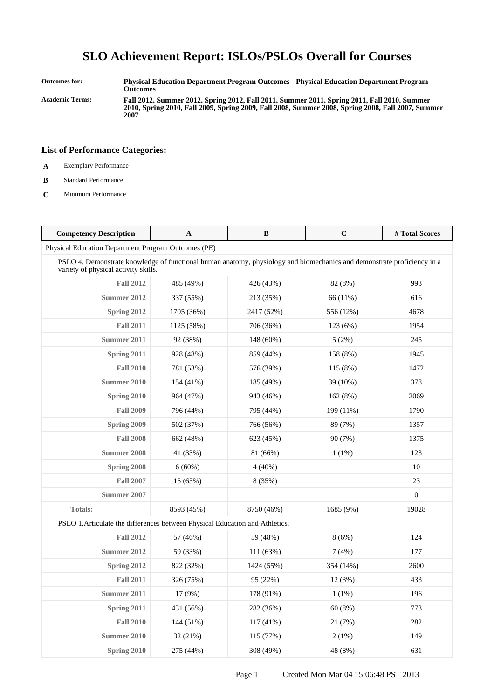**Outcomes for: Physical Education Department Program Outcomes - Physical Education Department Program Outcomes Academic Terms: Fall 2012, Summer 2012, Spring 2012, Fall 2011, Summer 2011, Spring 2011, Fall 2010, Summer**

**2010, Spring 2010, Fall 2009, Spring 2009, Fall 2008, Summer 2008, Spring 2008, Fall 2007, Summer 2007**

- **A** Exemplary Performance
- **B** Standard Performance
- **C** Minimum Performance

| <b>Competency Description</b>                                                                                                                                   | $\mathbf{A}$ | $\bf{B}$   | $\mathbf C$ | # Total Scores   |  |
|-----------------------------------------------------------------------------------------------------------------------------------------------------------------|--------------|------------|-------------|------------------|--|
| Physical Education Department Program Outcomes (PE)                                                                                                             |              |            |             |                  |  |
| PSLO 4. Demonstrate knowledge of functional human anatomy, physiology and biomechanics and demonstrate proficiency in a<br>variety of physical activity skills. |              |            |             |                  |  |
| <b>Fall 2012</b>                                                                                                                                                | 485 (49%)    | 426 (43%)  | 82 (8%)     | 993              |  |
| Summer 2012                                                                                                                                                     | 337 (55%)    | 213 (35%)  | 66 (11%)    | 616              |  |
| Spring 2012                                                                                                                                                     | 1705 (36%)   | 2417 (52%) | 556 (12%)   | 4678             |  |
| <b>Fall 2011</b>                                                                                                                                                | 1125 (58%)   | 706 (36%)  | 123 (6%)    | 1954             |  |
| Summer 2011                                                                                                                                                     | 92 (38%)     | 148 (60%)  | 5(2%)       | 245              |  |
| Spring 2011                                                                                                                                                     | 928 (48%)    | 859 (44%)  | 158 (8%)    | 1945             |  |
| <b>Fall 2010</b>                                                                                                                                                | 781 (53%)    | 576 (39%)  | 115 (8%)    | 1472             |  |
| Summer 2010                                                                                                                                                     | 154 (41%)    | 185 (49%)  | 39 (10%)    | 378              |  |
| Spring 2010                                                                                                                                                     | 964 (47%)    | 943 (46%)  | 162 (8%)    | 2069             |  |
| <b>Fall 2009</b>                                                                                                                                                | 796 (44%)    | 795 (44%)  | 199 (11%)   | 1790             |  |
| Spring 2009                                                                                                                                                     | 502 (37%)    | 766 (56%)  | 89 (7%)     | 1357             |  |
| <b>Fall 2008</b>                                                                                                                                                | 662 (48%)    | 623 (45%)  | 90 (7%)     | 1375             |  |
| <b>Summer 2008</b>                                                                                                                                              | 41 (33%)     | 81 (66%)   | $1(1\%)$    | 123              |  |
| Spring 2008                                                                                                                                                     | $6(60\%)$    | $4(40\%)$  |             | 10               |  |
| <b>Fall 2007</b>                                                                                                                                                | 15 (65%)     | 8 (35%)    |             | 23               |  |
| Summer 2007                                                                                                                                                     |              |            |             | $\boldsymbol{0}$ |  |
| <b>Totals:</b>                                                                                                                                                  | 8593 (45%)   | 8750 (46%) | 1685 (9%)   | 19028            |  |
| PSLO 1. Articulate the differences between Physical Education and Athletics.                                                                                    |              |            |             |                  |  |
| <b>Fall 2012</b>                                                                                                                                                | 57 (46%)     | 59 (48%)   | 8(6%)       | 124              |  |
| Summer 2012                                                                                                                                                     | 59 (33%)     | 111(63%)   | 7(4%)       | 177              |  |
| Spring 2012                                                                                                                                                     | 822 (32%)    | 1424 (55%) | 354 (14%)   | 2600             |  |
| <b>Fall 2011</b>                                                                                                                                                | 326 (75%)    | 95 (22%)   | 12(3%)      | 433              |  |
| Summer 2011                                                                                                                                                     | 17 (9%)      | 178 (91%)  | 1(1%)       | 196              |  |
| Spring 2011                                                                                                                                                     | 431 (56%)    | 282 (36%)  | 60 (8%)     | 773              |  |
| <b>Fall 2010</b>                                                                                                                                                | 144 (51%)    | 117 (41%)  | 21 (7%)     | 282              |  |
| <b>Summer 2010</b>                                                                                                                                              | 32 (21%)     | 115 (77%)  | 2(1%)       | 149              |  |
| Spring 2010                                                                                                                                                     | 275 (44%)    | 308 (49%)  | 48 (8%)     | 631              |  |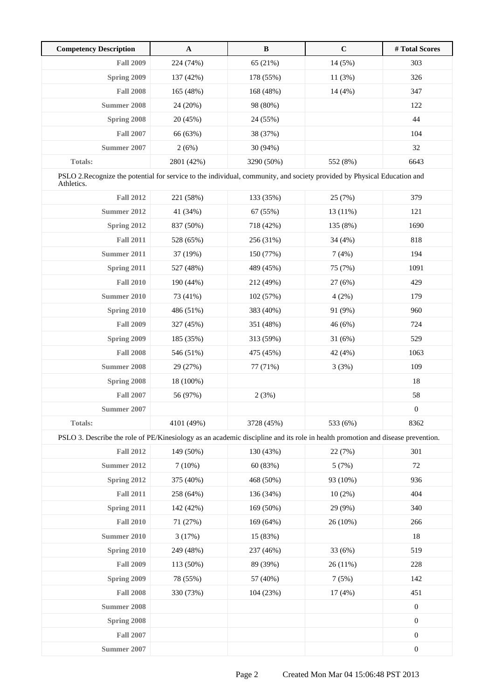| <b>Competency Description</b>                                                                                                         | $\mathbf A$ | $\, {\bf B}$ | $\mathbf C$ | # Total Scores   |
|---------------------------------------------------------------------------------------------------------------------------------------|-------------|--------------|-------------|------------------|
| <b>Fall 2009</b>                                                                                                                      | 224 (74%)   | 65 (21%)     | 14 (5%)     | 303              |
| Spring 2009                                                                                                                           | 137 (42%)   | 178 (55%)    | 11(3%)      | 326              |
| <b>Fall 2008</b>                                                                                                                      | 165 (48%)   | 168 (48%)    | 14(4%)      | 347              |
| <b>Summer 2008</b>                                                                                                                    | 24 (20%)    | 98 (80%)     |             | 122              |
| Spring 2008                                                                                                                           | 20 (45%)    | 24 (55%)     |             | 44               |
| <b>Fall 2007</b>                                                                                                                      | 66 (63%)    | 38 (37%)     |             | 104              |
| <b>Summer 2007</b>                                                                                                                    | 2(6%)       | 30 (94%)     |             | 32               |
| Totals:                                                                                                                               | 2801 (42%)  | 3290 (50%)   | 552 (8%)    | 6643             |
| PSLO 2.Recognize the potential for service to the individual, community, and society provided by Physical Education and<br>Athletics. |             |              |             |                  |
| <b>Fall 2012</b>                                                                                                                      | 221 (58%)   | 133 (35%)    | 25 (7%)     | 379              |
| <b>Summer 2012</b>                                                                                                                    | 41 (34%)    | 67 (55%)     | 13 (11%)    | 121              |
| Spring 2012                                                                                                                           | 837 (50%)   | 718 (42%)    | 135 (8%)    | 1690             |
| <b>Fall 2011</b>                                                                                                                      | 528 (65%)   | 256 (31%)    | 34 (4%)     | 818              |
| <b>Summer 2011</b>                                                                                                                    | 37 (19%)    | 150 (77%)    | 7(4%)       | 194              |
| Spring 2011                                                                                                                           | 527 (48%)   | 489 (45%)    | 75 (7%)     | 1091             |
| <b>Fall 2010</b>                                                                                                                      | 190 (44%)   | 212 (49%)    | 27(6%)      | 429              |
| <b>Summer 2010</b>                                                                                                                    | 73 (41%)    | 102 (57%)    | 4(2%)       | 179              |
| Spring 2010                                                                                                                           | 486 (51%)   | 383 (40%)    | 91 (9%)     | 960              |
| <b>Fall 2009</b>                                                                                                                      | 327 (45%)   | 351 (48%)    | 46 (6%)     | 724              |
| Spring 2009                                                                                                                           | 185 (35%)   | 313 (59%)    | 31(6%)      | 529              |
| <b>Fall 2008</b>                                                                                                                      | 546 (51%)   | 475 (45%)    | 42 (4%)     | 1063             |
| <b>Summer 2008</b>                                                                                                                    | 29 (27%)    | 77 (71%)     | 3(3%)       | 109              |
| Spring 2008                                                                                                                           | 18 (100%)   |              |             | 18               |
| <b>Fall 2007</b>                                                                                                                      | 56 (97%)    | 2(3%)        |             | 58               |
| <b>Summer 2007</b>                                                                                                                    |             |              |             | $\boldsymbol{0}$ |
| Totals:                                                                                                                               | 4101 (49%)  | 3728 (45%)   | 533 (6%)    | 8362             |
| PSLO 3. Describe the role of PE/Kinesiology as an academic discipline and its role in health promotion and disease prevention.        |             |              |             |                  |
| <b>Fall 2012</b>                                                                                                                      | 149 (50%)   | 130 (43%)    | 22 (7%)     | 301              |
| <b>Summer 2012</b>                                                                                                                    | 7(10%)      | 60 (83%)     | 5(7%)       | $72\,$           |
| Spring 2012                                                                                                                           | 375 (40%)   | 468 (50%)    | 93 (10%)    | 936              |
| <b>Fall 2011</b>                                                                                                                      | 258 (64%)   | 136 (34%)    | $10(2\%)$   | 404              |
| Spring 2011                                                                                                                           | 142 (42%)   | 169 (50%)    | 29 (9%)     | 340              |
| <b>Fall 2010</b>                                                                                                                      | 71 (27%)    | 169 (64%)    | 26 (10%)    | 266              |
| <b>Summer 2010</b>                                                                                                                    | 3(17%)      | 15 (83%)     |             | $18\,$           |
| Spring 2010                                                                                                                           | 249 (48%)   | 237 (46%)    | 33 (6%)     | 519              |
| <b>Fall 2009</b>                                                                                                                      | 113 (50%)   | 89 (39%)     | 26 (11%)    | 228              |
| Spring 2009                                                                                                                           | 78 (55%)    | 57 (40%)     | 7(5%)       | 142              |
| <b>Fall 2008</b>                                                                                                                      | 330 (73%)   | 104 (23%)    | 17(4%)      | 451              |
| <b>Summer 2008</b>                                                                                                                    |             |              |             | $\boldsymbol{0}$ |
| Spring 2008                                                                                                                           |             |              |             | $\boldsymbol{0}$ |
| <b>Fall 2007</b>                                                                                                                      |             |              |             | $\boldsymbol{0}$ |
| <b>Summer 2007</b>                                                                                                                    |             |              |             | $\boldsymbol{0}$ |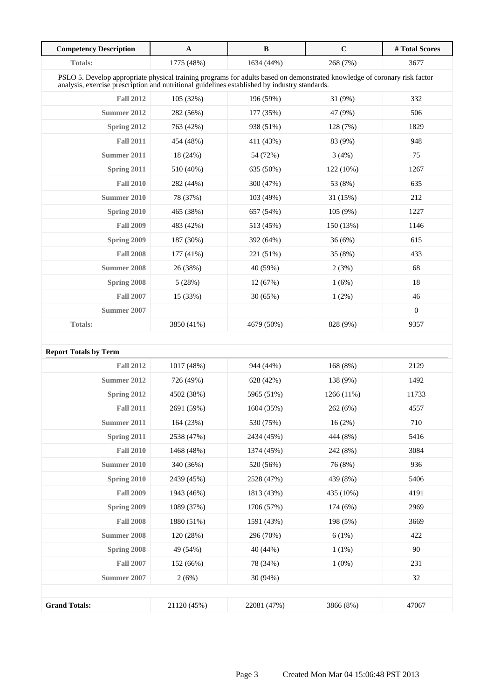| <b>Competency Description</b>                                                                                                                                                                                              | $\mathbf A$ | $\, {\bf B}$ | $\mathbf C$ | #Total Scores    |
|----------------------------------------------------------------------------------------------------------------------------------------------------------------------------------------------------------------------------|-------------|--------------|-------------|------------------|
| <b>Totals:</b>                                                                                                                                                                                                             | 1775 (48%)  | 1634 (44%)   | 268 (7%)    | 3677             |
| PSLO 5. Develop appropriate physical training programs for adults based on demonstrated knowledge of coronary risk factor<br>analysis, exercise prescription and nutritional guidelines established by industry standards. |             |              |             |                  |
| <b>Fall 2012</b>                                                                                                                                                                                                           | 105(32%)    | 196 (59%)    | 31 (9%)     | 332              |
| Summer 2012                                                                                                                                                                                                                | 282 (56%)   | 177 (35%)    | 47 (9%)     | 506              |
| Spring 2012                                                                                                                                                                                                                | 763 (42%)   | 938 (51%)    | 128 (7%)    | 1829             |
| <b>Fall 2011</b>                                                                                                                                                                                                           | 454 (48%)   | 411 (43%)    | 83 (9%)     | 948              |
| Summer 2011                                                                                                                                                                                                                | 18 (24%)    | 54 (72%)     | 3(4%)       | 75               |
| Spring 2011                                                                                                                                                                                                                | 510 (40%)   | 635 (50%)    | 122 (10%)   | 1267             |
| <b>Fall 2010</b>                                                                                                                                                                                                           | 282 (44%)   | 300 (47%)    | 53 (8%)     | 635              |
| <b>Summer 2010</b>                                                                                                                                                                                                         | 78 (37%)    | 103 (49%)    | 31 (15%)    | 212              |
| Spring 2010                                                                                                                                                                                                                | 465 (38%)   | 657 (54%)    | 105(9%)     | 1227             |
| <b>Fall 2009</b>                                                                                                                                                                                                           | 483 (42%)   | 513 (45%)    | 150 (13%)   | 1146             |
| Spring 2009                                                                                                                                                                                                                | 187 (30%)   | 392 (64%)    | 36(6%)      | 615              |
| <b>Fall 2008</b>                                                                                                                                                                                                           | $177(41\%)$ | 221 (51%)    | 35 (8%)     | 433              |
| <b>Summer 2008</b>                                                                                                                                                                                                         | 26 (38%)    | 40 (59%)     | 2(3%)       | 68               |
| Spring 2008                                                                                                                                                                                                                | 5(28%)      | 12(67%)      | 1(6%)       | 18               |
| <b>Fall 2007</b>                                                                                                                                                                                                           | 15 (33%)    | 30(65%)      | 1(2%)       | 46               |
| Summer 2007                                                                                                                                                                                                                |             |              |             | $\boldsymbol{0}$ |
| Totals:                                                                                                                                                                                                                    | 3850 (41%)  | 4679 (50%)   | 828 (9%)    | 9357             |
|                                                                                                                                                                                                                            |             |              |             |                  |
| <b>Report Totals by Term</b>                                                                                                                                                                                               |             |              |             |                  |
| <b>Fall 2012</b>                                                                                                                                                                                                           | 1017 (48%)  | 944 (44%)    | 168 (8%)    | 2129             |
| <b>Summer 2012</b>                                                                                                                                                                                                         | 726 (49%)   | 628 (42%)    | 138 (9%)    | 1492             |
| Spring 2012                                                                                                                                                                                                                | 4502 (38%)  | 5965 (51%)   | 1266 (11%)  | 11733            |
| <b>Fall 2011</b>                                                                                                                                                                                                           | 2691 (59%)  | 1604 (35%)   | 262 (6%)    | 4557             |
| <b>Summer 2011</b>                                                                                                                                                                                                         | 164 (23%)   | 530 (75%)    | 16(2%)      | 710              |
| Spring 2011                                                                                                                                                                                                                | 2538 (47%)  | 2434 (45%)   | 444 (8%)    | 5416             |
| <b>Fall 2010</b>                                                                                                                                                                                                           | 1468 (48%)  | 1374 (45%)   | 242 (8%)    | 3084             |
| <b>Summer 2010</b>                                                                                                                                                                                                         | 340 (36%)   | 520 (56%)    | 76 (8%)     | 936              |
| Spring 2010                                                                                                                                                                                                                | 2439 (45%)  | 2528 (47%)   | 439 (8%)    | 5406             |
| <b>Fall 2009</b>                                                                                                                                                                                                           | 1943 (46%)  | 1813 (43%)   | 435 (10%)   | 4191             |
| Spring 2009                                                                                                                                                                                                                | 1089 (37%)  | 1706 (57%)   | 174(6%)     | 2969             |
| <b>Fall 2008</b>                                                                                                                                                                                                           | 1880 (51%)  | 1591 (43%)   | 198 (5%)    | 3669             |
| <b>Summer 2008</b>                                                                                                                                                                                                         | 120 (28%)   | 296 (70%)    | 6(1%)       | 422              |
| Spring 2008                                                                                                                                                                                                                | 49 (54%)    | 40 (44%)     | 1(1%)       | 90               |
| <b>Fall 2007</b>                                                                                                                                                                                                           | 152 (66%)   | 78 (34%)     | $1(0\%)$    | 231              |
| <b>Summer 2007</b>                                                                                                                                                                                                         | 2(6%)       | 30 (94%)     |             | 32               |
|                                                                                                                                                                                                                            |             |              |             |                  |
| <b>Grand Totals:</b>                                                                                                                                                                                                       | 21120 (45%) | 22081 (47%)  | 3866 (8%)   | 47067            |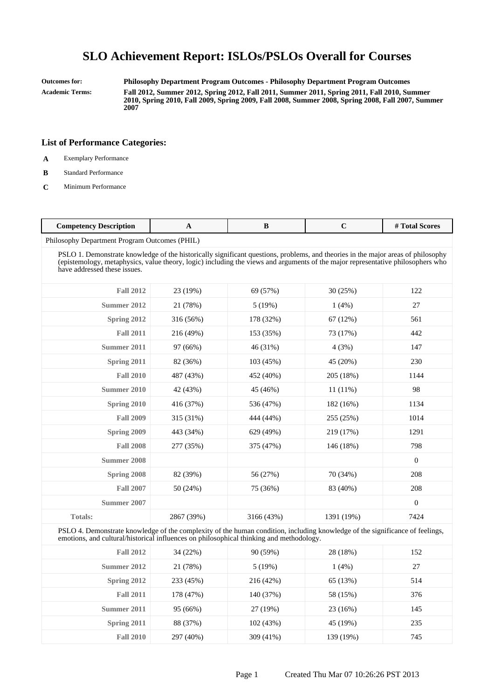**Outcomes for: Philosophy Department Program Outcomes - Philosophy Department Program Outcomes Academic Terms: Fall 2012, Summer 2012, Spring 2012, Fall 2011, Summer 2011, Spring 2011, Fall 2010, Summer 2010, Spring 2010, Fall 2009, Spring 2009, Fall 2008, Summer 2008, Spring 2008, Fall 2007, Summer**

**List of Performance Categories:**

**2007**

- **A** Exemplary Performance
- **B** Standard Performance
- **C** Minimum Performance

| $\mathcal{L}$ ompetency<br>Description | . . |  | rotal '<br><b>Scores</b> |
|----------------------------------------|-----|--|--------------------------|
|                                        |     |  |                          |

Philosophy Department Program Outcomes (PHIL)

PSLO 1. Demonstrate knowledge of the historically significant questions, problems, and theories in the major areas of philosophy (epistemology, metaphysics, value theory, logic) including the views and arguments of the major representative philosophers who have addressed these issues.

| <b>Fall 2012</b> | 23 (19%)   | 69 (57%)   | 30(25%)    | 122              |
|------------------|------------|------------|------------|------------------|
| Summer 2012      | 21 (78%)   | 5(19%)     | 1(4%)      | 27               |
| Spring 2012      | 316 (56%)  | 178 (32%)  | 67 (12%)   | 561              |
| <b>Fall 2011</b> | 216 (49%)  | 153 (35%)  | 73 (17%)   | 442              |
| Summer 2011      | 97 (66%)   | 46 (31%)   | 4(3%)      | 147              |
| Spring 2011      | 82 (36%)   | 103 (45%)  | 45 (20%)   | 230              |
| <b>Fall 2010</b> | 487 (43%)  | 452 (40%)  | 205 (18%)  | 1144             |
| Summer 2010      | 42 (43%)   | 45 (46%)   | $11(11\%)$ | 98               |
| Spring 2010      | 416 (37%)  | 536 (47%)  | 182 (16%)  | 1134             |
| <b>Fall 2009</b> | 315 (31%)  | 444 (44%)  | 255 (25%)  | 1014             |
| Spring 2009      | 443 (34%)  | 629 (49%)  | 219 (17%)  | 1291             |
| <b>Fall 2008</b> | 277 (35%)  | 375 (47%)  | 146 (18%)  | 798              |
| Summer 2008      |            |            |            | $\mathbf{0}$     |
| Spring 2008      | 82 (39%)   | 56 (27%)   | 70 (34%)   | 208              |
| <b>Fall 2007</b> | 50 (24%)   | 75 (36%)   | 83 (40%)   | 208              |
| Summer 2007      |            |            |            | $\boldsymbol{0}$ |
| <b>Totals:</b>   | 2867 (39%) | 3166 (43%) | 1391 (19%) | 7424             |

PSLO 4. Demonstrate knowledge of the complexity of the human condition, including knowledge of the significance of feelings, emotions, and cultural/historical influences on philosophical thinking and methodology.

| <b>Fall 2012</b> | 34(22%)   | 90 (59%)  | 28 (18%)  | 152 |
|------------------|-----------|-----------|-----------|-----|
| Summer 2012      | 21 (78%)  | 5(19%)    | 1(4%)     | 27  |
| Spring 2012      | 233 (45%) | 216 (42%) | 65 (13%)  | 514 |
| <b>Fall 2011</b> | 178 (47%) | 140 (37%) | 58 (15%)  | 376 |
| Summer 2011      | 95 (66%)  | 27 (19%)  | 23 (16%)  | 145 |
| Spring 2011      | 88 (37%)  | 102(43%)  | 45 (19%)  | 235 |
| <b>Fall 2010</b> | 297 (40%) | 309 (41%) | 139 (19%) | 745 |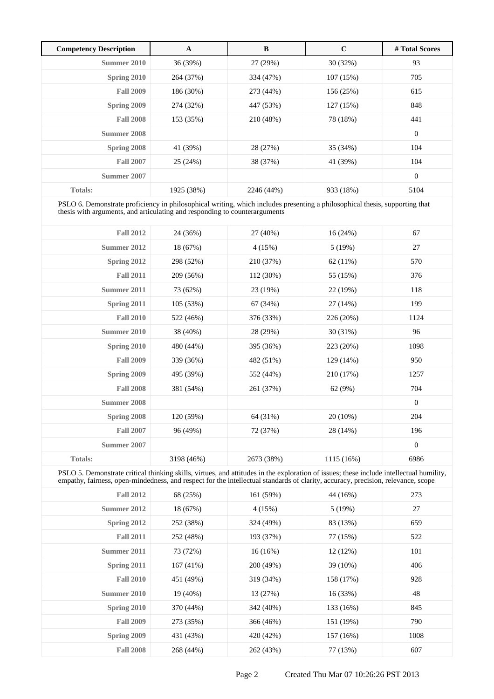| <b>Competency Description</b> | A          | B          | $\mathbf C$ | # Total Scores |
|-------------------------------|------------|------------|-------------|----------------|
| Summer 2010                   | 36 (39%)   | 27 (29%)   | 30(32%)     | 93             |
| Spring 2010                   | 264 (37%)  | 334 (47%)  | 107 (15%)   | 705            |
| <b>Fall 2009</b>              | 186 (30%)  | 273 (44%)  | 156 (25%)   | 615            |
| Spring 2009                   | 274 (32%)  | 447 (53%)  | 127 (15%)   | 848            |
| <b>Fall 2008</b>              | 153 (35%)  | 210 (48%)  | 78 (18%)    | 441            |
| Summer 2008                   |            |            |             | $\mathbf{0}$   |
| Spring 2008                   | 41 (39%)   | 28 (27%)   | 35 (34%)    | 104            |
| <b>Fall 2007</b>              | 25 (24%)   | 38 (37%)   | 41 (39%)    | 104            |
| Summer 2007                   |            |            |             | $\overline{0}$ |
| <b>Totals:</b>                | 1925 (38%) | 2246 (44%) | 933 (18%)   | 5104           |

PSLO 6. Demonstrate proficiency in philosophical writing, which includes presenting a philosophical thesis, supporting that thesis with arguments, and articulating and responding to counterarguments

| <b>Fall 2012</b> | 24 (36%)   | 27 (40%)   | 16(24%)    | 67             |
|------------------|------------|------------|------------|----------------|
| Summer 2012      | 18 (67%)   | 4(15%)     | 5(19%)     | 27             |
| Spring 2012      | 298 (52%)  | 210 (37%)  | $62(11\%)$ | 570            |
| <b>Fall 2011</b> | 209 (56%)  | 112 (30%)  | 55 (15%)   | 376            |
| Summer 2011      | 73 (62%)   | 23 (19%)   | 22 (19%)   | 118            |
| Spring 2011      | 105 (53%)  | 67 (34%)   | 27 (14%)   | 199            |
| <b>Fall 2010</b> | 522 (46%)  | 376 (33%)  | 226 (20%)  | 1124           |
| Summer 2010      | 38 (40%)   | 28 (29%)   | $30(31\%)$ | 96             |
| Spring 2010      | 480 (44%)  | 395 (36%)  | 223 (20%)  | 1098           |
| <b>Fall 2009</b> | 339 (36%)  | 482 (51%)  | 129 (14%)  | 950            |
| Spring 2009      | 495 (39%)  | 552 (44%)  | 210 (17%)  | 1257           |
| <b>Fall 2008</b> | 381 (54%)  | 261 (37%)  | 62 (9%)    | 704            |
| Summer 2008      |            |            |            | $\overline{0}$ |
| Spring 2008      | 120 (59%)  | 64 (31%)   | $20(10\%)$ | 204            |
| <b>Fall 2007</b> | 96 (49%)   | 72 (37%)   | 28 (14%)   | 196            |
| Summer 2007      |            |            |            | $\overline{0}$ |
| <b>Totals:</b>   | 3198 (46%) | 2673 (38%) | 1115 (16%) | 6986           |

PSLO 5. Demonstrate critical thinking skills, virtues, and attitudes in the exploration of issues; these include intellectual humility, empathy, fairness, open-mindedness, and respect for the intellectual standards of clarity, accuracy, precision, relevance, scope

| <b>Fall 2012</b> | 68 (25%)  | 161 (59%) | 44 (16%)  | 273  |
|------------------|-----------|-----------|-----------|------|
| Summer 2012      | 18 (67%)  | 4(15%)    | 5(19%)    | 27   |
| Spring 2012      | 252 (38%) | 324 (49%) | 83 (13%)  | 659  |
| <b>Fall 2011</b> | 252 (48%) | 193 (37%) | 77 (15%)  | 522  |
| Summer 2011      | 73 (72%)  | 16(16%)   | 12(12%)   | 101  |
| Spring 2011      | 167(41%)  | 200 (49%) | 39 (10%)  | 406  |
| <b>Fall 2010</b> | 451 (49%) | 319 (34%) | 158 (17%) | 928  |
| Summer 2010      | 19 (40%)  | 13 (27%)  | 16(33%)   | 48   |
| Spring 2010      | 370 (44%) | 342 (40%) | 133 (16%) | 845  |
| <b>Fall 2009</b> | 273 (35%) | 366 (46%) | 151 (19%) | 790  |
| Spring 2009      | 431 (43%) | 420 (42%) | 157 (16%) | 1008 |
| <b>Fall 2008</b> | 268 (44%) | 262 (43%) | 77 (13%)  | 607  |
|                  |           |           |           |      |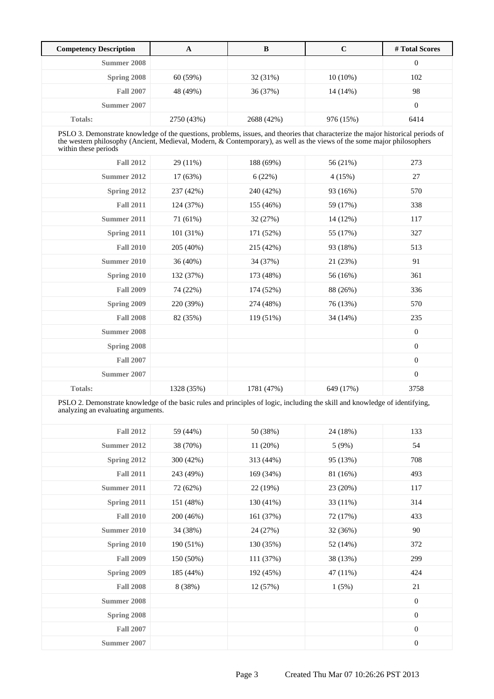| <b>Competency Description</b>                                                                                                                                                                                                                                                       | $\mathbf{A}$ | $\bf{B}$   | $\mathbf C$ | #Total Scores    |
|-------------------------------------------------------------------------------------------------------------------------------------------------------------------------------------------------------------------------------------------------------------------------------------|--------------|------------|-------------|------------------|
| <b>Summer 2008</b>                                                                                                                                                                                                                                                                  |              |            |             | $\mathbf{0}$     |
| Spring 2008                                                                                                                                                                                                                                                                         | 60(59%)      | 32 (31%)   | $10(10\%)$  | 102              |
| <b>Fall 2007</b>                                                                                                                                                                                                                                                                    | 48 (49%)     | 36 (37%)   | $14(14\%)$  | 98               |
| Summer 2007                                                                                                                                                                                                                                                                         |              |            |             | $\boldsymbol{0}$ |
| <b>Totals:</b>                                                                                                                                                                                                                                                                      | 2750 (43%)   | 2688 (42%) | 976 (15%)   | 6414             |
| PSLO 3. Demonstrate knowledge of the questions, problems, issues, and theories that characterize the major historical periods of<br>the western philosophy (Ancient, Medieval, Modern, & Contemporary), as well as the views of the some major philosophers<br>within these periods |              |            |             |                  |
| <b>Fall 2012</b>                                                                                                                                                                                                                                                                    | 29 (11%)     | 188 (69%)  | 56 (21%)    | 273              |
| Summer 2012                                                                                                                                                                                                                                                                         | 17 (63%)     | 6(22%)     | 4(15%)      | 27               |
| Spring 2012                                                                                                                                                                                                                                                                         | 237 (42%)    | 240 (42%)  | 93 (16%)    | 570              |
| <b>Fall 2011</b>                                                                                                                                                                                                                                                                    | 124 (37%)    | 155 (46%)  | 59 (17%)    | 338              |
| Summer 2011                                                                                                                                                                                                                                                                         | 71 (61%)     | 32 (27%)   | 14 (12%)    | 117              |
| Spring 2011                                                                                                                                                                                                                                                                         | 101 (31%)    | 171 (52%)  | 55 (17%)    | 327              |
| <b>Fall 2010</b>                                                                                                                                                                                                                                                                    | 205 (40%)    | 215 (42%)  | 93 (18%)    | 513              |
| Summer 2010                                                                                                                                                                                                                                                                         | 36 (40%)     | 34 (37%)   | 21(23%)     | 91               |
| Spring 2010                                                                                                                                                                                                                                                                         | 132 (37%)    | 173 (48%)  | 56 (16%)    | 361              |
| <b>Fall 2009</b>                                                                                                                                                                                                                                                                    | 74 (22%)     | 174 (52%)  | 88 (26%)    | 336              |
| Spring 2009                                                                                                                                                                                                                                                                         | 220 (39%)    | 274 (48%)  | 76 (13%)    | 570              |
| <b>Fall 2008</b>                                                                                                                                                                                                                                                                    | 82 (35%)     | 119 (51%)  | 34 (14%)    | 235              |
| Summer 2008                                                                                                                                                                                                                                                                         |              |            |             | $\boldsymbol{0}$ |
| Spring 2008                                                                                                                                                                                                                                                                         |              |            |             | $\boldsymbol{0}$ |
| <b>Fall 2007</b>                                                                                                                                                                                                                                                                    |              |            |             | $\boldsymbol{0}$ |
| Summer 2007                                                                                                                                                                                                                                                                         |              |            |             | $\Omega$         |
| <b>Totals:</b>                                                                                                                                                                                                                                                                      | 1328 (35%)   | 1781 (47%) | 649 (17%)   | 3758             |

PSLO 2. Demonstrate knowledge of the basic rules and principles of logic, including the skill and knowledge of identifying, analyzing an evaluating arguments.

| <b>Fall 2012</b>   | 59 (44%)  | 50 (38%)  | 24 (18%) | 133              |
|--------------------|-----------|-----------|----------|------------------|
| Summer 2012        | 38 (70%)  | 11(20%)   | 5(9%)    | 54               |
| Spring 2012        | 300 (42%) | 313 (44%) | 95 (13%) | 708              |
| <b>Fall 2011</b>   | 243 (49%) | 169 (34%) | 81 (16%) | 493              |
| Summer 2011        | 72 (62%)  | 22 (19%)  | 23 (20%) | 117              |
| Spring 2011        | 151 (48%) | 130 (41%) | 33 (11%) | 314              |
| <b>Fall 2010</b>   | 200 (46%) | 161 (37%) | 72 (17%) | 433              |
| Summer 2010        | 34 (38%)  | 24 (27%)  | 32 (36%) | 90               |
| Spring 2010        | 190 (51%) | 130 (35%) | 52 (14%) | 372              |
| <b>Fall 2009</b>   | 150 (50%) | 111 (37%) | 38 (13%) | 299              |
| Spring 2009        | 185 (44%) | 192 (45%) | 47 (11%) | 424              |
| <b>Fall 2008</b>   | 8 (38%)   | 12(57%)   | 1(5%)    | 21               |
| <b>Summer 2008</b> |           |           |          | $\boldsymbol{0}$ |
| Spring 2008        |           |           |          | $\boldsymbol{0}$ |
| <b>Fall 2007</b>   |           |           |          | $\boldsymbol{0}$ |
| Summer 2007        |           |           |          | $\boldsymbol{0}$ |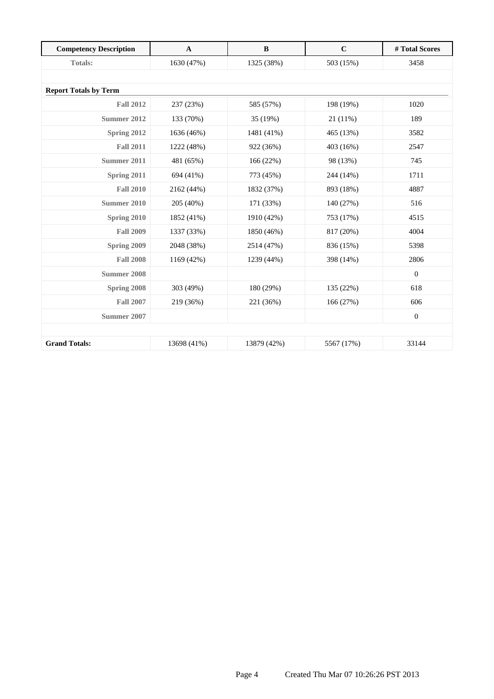| <b>Competency Description</b> | $\mathbf{A}$ | $\bf{B}$    | $\mathbf C$ | # Total Scores   |
|-------------------------------|--------------|-------------|-------------|------------------|
| Totals:                       | 1630 (47%)   | 1325 (38%)  | 503 (15%)   | 3458             |
|                               |              |             |             |                  |
| <b>Report Totals by Term</b>  |              |             |             |                  |
| <b>Fall 2012</b>              | 237 (23%)    | 585 (57%)   | 198 (19%)   | 1020             |
| Summer 2012                   | 133 (70%)    | 35 (19%)    | $21(11\%)$  | 189              |
| Spring 2012                   | 1636 (46%)   | 1481 (41%)  | 465 (13%)   | 3582             |
| <b>Fall 2011</b>              | 1222 (48%)   | 922 (36%)   | 403 (16%)   | 2547             |
| Summer 2011                   | 481 (65%)    | 166 (22%)   | 98 (13%)    | 745              |
| Spring 2011                   | 694 (41%)    | 773 (45%)   | 244 (14%)   | 1711             |
| <b>Fall 2010</b>              | 2162 (44%)   | 1832 (37%)  | 893 (18%)   | 4887             |
| Summer 2010                   | 205 (40%)    | 171 (33%)   | 140 (27%)   | 516              |
| Spring 2010                   | 1852 (41%)   | 1910 (42%)  | 753 (17%)   | 4515             |
| <b>Fall 2009</b>              | 1337 (33%)   | 1850 (46%)  | 817 (20%)   | 4004             |
| Spring 2009                   | 2048 (38%)   | 2514 (47%)  | 836 (15%)   | 5398             |
| <b>Fall 2008</b>              | 1169 (42%)   | 1239 (44%)  | 398 (14%)   | 2806             |
| <b>Summer 2008</b>            |              |             |             | $\boldsymbol{0}$ |
| Spring 2008                   | 303 (49%)    | 180 (29%)   | 135 (22%)   | 618              |
| <b>Fall 2007</b>              | 219 (36%)    | 221 (36%)   | 166 (27%)   | 606              |
| Summer 2007                   |              |             |             | $\boldsymbol{0}$ |
|                               |              |             |             |                  |
| <b>Grand Totals:</b>          | 13698 (41%)  | 13879 (42%) | 5567 (17%)  | 33144            |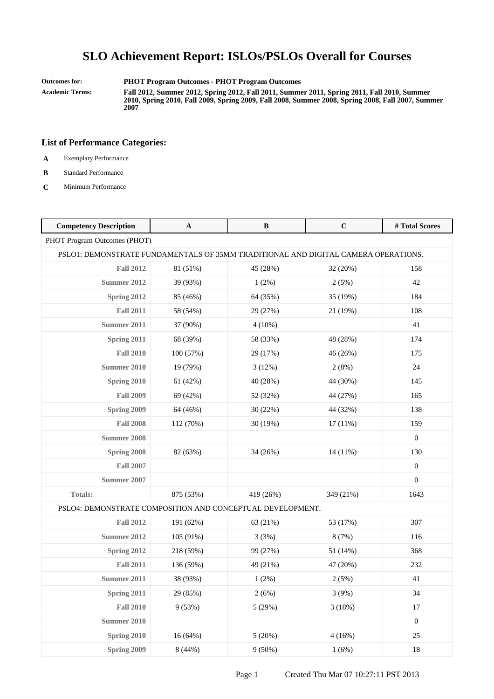#### **Outcomes for: PHOT Program Outcomes - PHOT Program Outcomes**

**Academic Terms: Fall 2012, Summer 2012, Spring 2012, Fall 2011, Summer 2011, Spring 2011, Fall 2010, Summer 2010, Spring 2010, Fall 2009, Spring 2009, Fall 2008, Summer 2008, Spring 2008, Fall 2007, Summer 2007**

- **A** Exemplary Performance
- **B** Standard Performance
- **C** Minimum Performance

| <b>Competency Description</b>                                                      | $\mathbf A$ | B         | $\mathbf C$ | #Total Scores    |  |
|------------------------------------------------------------------------------------|-------------|-----------|-------------|------------------|--|
| PHOT Program Outcomes (PHOT)                                                       |             |           |             |                  |  |
| PSLO1: DEMONSTRATE FUNDAMENTALS OF 35MM TRADITIONAL AND DIGITAL CAMERA OPERATIONS. |             |           |             |                  |  |
| <b>Fall 2012</b>                                                                   | 81 (51%)    | 45 (28%)  | 32 (20%)    | 158              |  |
| <b>Summer 2012</b>                                                                 | 39 (93%)    | 1(2%)     | 2(5%)       | 42               |  |
| Spring 2012                                                                        | 85 (46%)    | 64 (35%)  | 35 (19%)    | 184              |  |
| <b>Fall 2011</b>                                                                   | 58 (54%)    | 29 (27%)  | 21 (19%)    | 108              |  |
| Summer 2011                                                                        | 37 (90%)    | $4(10\%)$ |             | 41               |  |
| Spring 2011                                                                        | 68 (39%)    | 58 (33%)  | 48 (28%)    | 174              |  |
| <b>Fall 2010</b>                                                                   | 100 (57%)   | 29 (17%)  | 46 (26%)    | 175              |  |
| Summer 2010                                                                        | 19 (79%)    | 3(12%)    | 2(8%)       | 24               |  |
| Spring 2010                                                                        | 61 (42%)    | 40 (28%)  | 44 (30%)    | 145              |  |
| <b>Fall 2009</b>                                                                   | 69 (42%)    | 52 (32%)  | 44 (27%)    | 165              |  |
| Spring 2009                                                                        | 64 (46%)    | 30 (22%)  | 44 (32%)    | 138              |  |
| <b>Fall 2008</b>                                                                   | 112 (70%)   | 30 (19%)  | 17(11%)     | 159              |  |
| <b>Summer 2008</b>                                                                 |             |           |             | $\overline{0}$   |  |
| Spring 2008                                                                        | 82 (63%)    | 34 (26%)  | 14 (11%)    | 130              |  |
| <b>Fall 2007</b>                                                                   |             |           |             | $\boldsymbol{0}$ |  |
| <b>Summer 2007</b>                                                                 |             |           |             | $\overline{0}$   |  |
| Totals:                                                                            | 875 (53%)   | 419 (26%) | 349 (21%)   | 1643             |  |
| PSLO4: DEMONSTRATE COMPOSITION AND CONCEPTUAL DEVELOPMENT.                         |             |           |             |                  |  |
| <b>Fall 2012</b>                                                                   | 191 (62%)   | 63 (21%)  | 53 (17%)    | 307              |  |
| Summer 2012                                                                        | 105 (91%)   | 3(3%)     | 8(7%)       | 116              |  |
| Spring 2012                                                                        | 218 (59%)   | 99 (27%)  | 51 (14%)    | 368              |  |
| <b>Fall 2011</b>                                                                   | 136 (59%)   | 49 (21%)  | 47 (20%)    | 232              |  |
| <b>Summer 2011</b>                                                                 | 38 (93%)    | 1(2%)     | 2(5%)       | 41               |  |
| Spring 2011                                                                        | 29 (85%)    | 2(6%)     | 3(9%)       | 34               |  |
| <b>Fall 2010</b>                                                                   | 9(53%)      | 5(29%)    | 3(18%)      | $17\,$           |  |
| <b>Summer 2010</b>                                                                 |             |           |             | $\boldsymbol{0}$ |  |
| Spring 2010                                                                        | 16 (64%)    | 5(20%)    | 4(16%)      | 25               |  |
| Spring 2009                                                                        | 8(44%)      | $9(50\%)$ | 1(6%)       | 18               |  |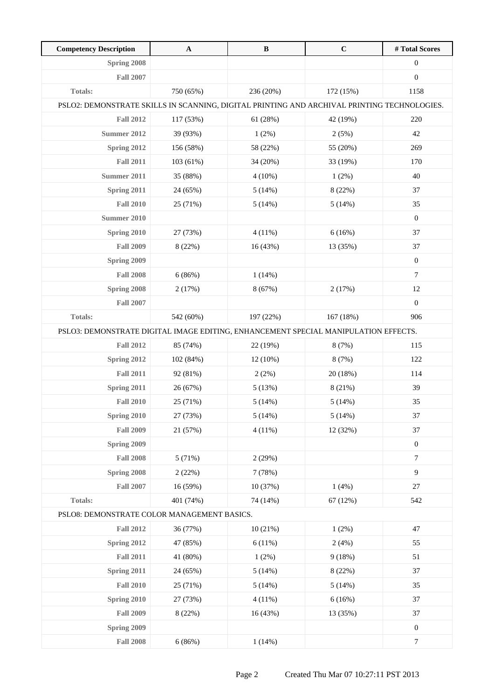| <b>Competency Description</b>                                                               | $\mathbf{A}$ | $\bf{B}$  | $\mathbf C$ | #Total Scores    |
|---------------------------------------------------------------------------------------------|--------------|-----------|-------------|------------------|
| Spring 2008                                                                                 |              |           |             | $\boldsymbol{0}$ |
| <b>Fall 2007</b>                                                                            |              |           |             | $\boldsymbol{0}$ |
| <b>Totals:</b>                                                                              | 750 (65%)    | 236 (20%) | 172 (15%)   | 1158             |
| PSLO2: DEMONSTRATE SKILLS IN SCANNING, DIGITAL PRINTING AND ARCHIVAL PRINTING TECHNOLOGIES. |              |           |             |                  |
| <b>Fall 2012</b>                                                                            | 117 (53%)    | 61 (28%)  | 42 (19%)    | 220              |
| Summer 2012                                                                                 | 39 (93%)     | $1(2\%)$  | 2(5%)       | 42               |
| Spring 2012                                                                                 | 156 (58%)    | 58 (22%)  | 55 (20%)    | 269              |
| <b>Fall 2011</b>                                                                            | 103 (61%)    | 34 (20%)  | 33 (19%)    | 170              |
| Summer 2011                                                                                 | 35 (88%)     | $4(10\%)$ | 1(2%)       | 40               |
| Spring 2011                                                                                 | 24 (65%)     | 5(14%)    | 8 (22%)     | 37               |
| <b>Fall 2010</b>                                                                            | 25 (71%)     | 5(14%)    | 5(14%)      | 35               |
| Summer 2010                                                                                 |              |           |             | $\mathbf{0}$     |
| Spring 2010                                                                                 | 27 (73%)     | 4(11%)    | 6(16%)      | 37               |
| <b>Fall 2009</b>                                                                            | 8 (22%)      | 16 (43%)  | 13 (35%)    | 37               |
| Spring 2009                                                                                 |              |           |             | $\boldsymbol{0}$ |
| <b>Fall 2008</b>                                                                            | 6(86%)       | 1(14%)    |             | $\tau$           |
| Spring 2008                                                                                 | 2(17%)       | 8(67%)    | 2(17%)      | 12               |
| <b>Fall 2007</b>                                                                            |              |           |             | $\mathbf{0}$     |
| <b>Totals:</b>                                                                              | 542 (60%)    | 197 (22%) | 167 (18%)   | 906              |
| PSLO3: DEMONSTRATE DIGITAL IMAGE EDITING, ENHANCEMENT SPECIAL MANIPULATION EFFECTS.         |              |           |             |                  |
| <b>Fall 2012</b>                                                                            | 85 (74%)     | 22 (19%)  | 8(7%)       | 115              |
| Spring 2012                                                                                 | 102 (84%)    | 12 (10%)  | 8(7%)       | 122              |
| <b>Fall 2011</b>                                                                            | 92 (81%)     | 2(2%)     | 20 (18%)    | 114              |
| Spring 2011                                                                                 | 26 (67%)     | 5(13%)    | 8 (21%)     | 39               |
| <b>Fall 2010</b>                                                                            | 25 (71%)     | 5(14%)    | 5(14%)      | 35               |
| Spring 2010                                                                                 | 27 (73%)     | 5(14%)    | 5(14%)      | 37               |
| <b>Fall 2009</b>                                                                            | 21 (57%)     | 4(11%)    | 12 (32%)    | 37               |
| Spring 2009                                                                                 |              |           |             | $\boldsymbol{0}$ |
| <b>Fall 2008</b>                                                                            | 5(71%)       | 2(29%)    |             | $\boldsymbol{7}$ |
| Spring 2008                                                                                 | 2(22%)       | 7(78%)    |             | 9                |
| <b>Fall 2007</b>                                                                            | 16 (59%)     | 10 (37%)  | 1(4%)       | 27               |
| Totals:                                                                                     | 401 (74%)    | 74 (14%)  | 67(12%)     | 542              |
| PSLO8: DEMONSTRATE COLOR MANAGEMENT BASICS.                                                 |              |           |             |                  |
| <b>Fall 2012</b>                                                                            | 36 (77%)     | 10(21%)   | 1(2%)       | 47               |
| Spring 2012                                                                                 | 47 (85%)     | 6(11%)    | 2(4%)       | 55               |
| <b>Fall 2011</b>                                                                            | 41 (80%)     | 1(2%)     | 9(18%)      | 51               |
| Spring 2011                                                                                 | 24 (65%)     | 5(14%)    | 8 (22%)     | 37               |
| <b>Fall 2010</b>                                                                            | 25 (71%)     | 5(14%)    | 5(14%)      | 35               |
| Spring 2010                                                                                 | 27 (73%)     | 4(11%)    | 6(16%)      | 37               |
| <b>Fall 2009</b>                                                                            | 8 (22%)      | 16 (43%)  | 13 (35%)    | 37               |
| Spring 2009                                                                                 |              |           |             | $\boldsymbol{0}$ |
| <b>Fall 2008</b>                                                                            | 6(86%)       | 1(14%)    |             | $\boldsymbol{7}$ |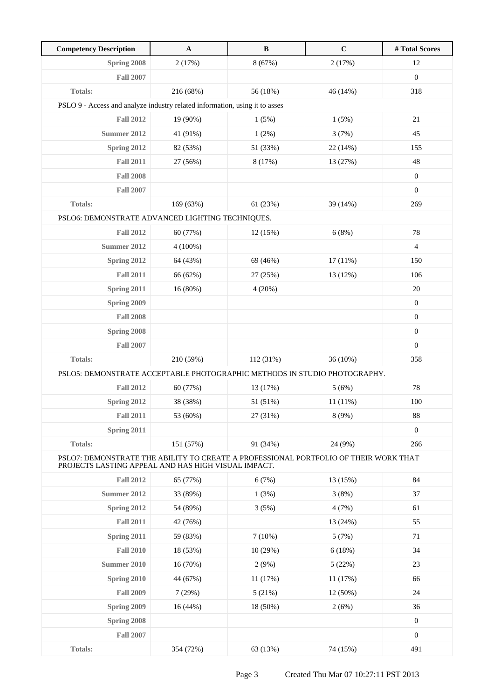| <b>Competency Description</b>                                                                                                               | $\mathbf{A}$ | $\, {\bf B}$ | $\mathbf C$ | #Total Scores    |
|---------------------------------------------------------------------------------------------------------------------------------------------|--------------|--------------|-------------|------------------|
| Spring 2008                                                                                                                                 | 2(17%)       | 8(67%)       | 2(17%)      | 12               |
| <b>Fall 2007</b>                                                                                                                            |              |              |             | $\boldsymbol{0}$ |
| <b>Totals:</b>                                                                                                                              | 216 (68%)    | 56 (18%)     | 46 (14%)    | 318              |
| PSLO 9 - Access and analyze industry related information, using it to asses                                                                 |              |              |             |                  |
| <b>Fall 2012</b>                                                                                                                            | 19 (90%)     | 1(5%)        | 1(5%)       | 21               |
| Summer 2012                                                                                                                                 | 41 (91%)     | 1(2%)        | 3(7%)       | 45               |
| Spring 2012                                                                                                                                 | 82 (53%)     | 51 (33%)     | 22 (14%)    | 155              |
| <b>Fall 2011</b>                                                                                                                            | 27 (56%)     | 8 (17%)      | 13 (27%)    | 48               |
| <b>Fall 2008</b>                                                                                                                            |              |              |             | $\boldsymbol{0}$ |
| <b>Fall 2007</b>                                                                                                                            |              |              |             | $\mathbf{0}$     |
| <b>Totals:</b>                                                                                                                              | 169 (63%)    | 61 (23%)     | 39 (14%)    | 269              |
| PSLO6: DEMONSTRATE ADVANCED LIGHTING TECHNIQUES.                                                                                            |              |              |             |                  |
| <b>Fall 2012</b>                                                                                                                            | 60 (77%)     | 12(15%)      | 6(8%)       | 78               |
| Summer 2012                                                                                                                                 | $4(100\%)$   |              |             | $\overline{4}$   |
| Spring 2012                                                                                                                                 | 64 (43%)     | 69 (46%)     | 17(11%)     | 150              |
| <b>Fall 2011</b>                                                                                                                            | 66 (62%)     | 27 (25%)     | 13 (12%)    | 106              |
| Spring 2011                                                                                                                                 | 16 (80%)     | 4(20%)       |             | 20               |
| Spring 2009                                                                                                                                 |              |              |             | $\boldsymbol{0}$ |
| <b>Fall 2008</b>                                                                                                                            |              |              |             | $\boldsymbol{0}$ |
| Spring 2008                                                                                                                                 |              |              |             | $\boldsymbol{0}$ |
| <b>Fall 2007</b>                                                                                                                            |              |              |             | $\boldsymbol{0}$ |
| <b>Totals:</b>                                                                                                                              | 210 (59%)    | 112 (31%)    | 36 (10%)    | 358              |
| PSLO5: DEMONSTRATE ACCEPTABLE PHOTOGRAPHIC METHODS IN STUDIO PHOTOGRAPHY.                                                                   |              |              |             |                  |
| <b>Fall 2012</b>                                                                                                                            | 60 (77%)     | 13 (17%)     | 5(6%)       | 78               |
| Spring 2012                                                                                                                                 | 38 (38%)     | 51 (51%)     | 11(11%)     | 100              |
| <b>Fall 2011</b>                                                                                                                            | 53 (60%)     | 27 (31%)     | 8(9%)       | 88               |
| Spring 2011                                                                                                                                 |              |              |             | $\boldsymbol{0}$ |
| <b>Totals:</b>                                                                                                                              | 151 (57%)    | 91 (34%)     | 24 (9%)     | 266              |
| PSLO7: DEMONSTRATE THE ABILITY TO CREATE A PROFESSIONAL PORTFOLIO OF THEIR WORK THAT<br>PROJECTS LASTING APPEAL AND HAS HIGH VISUAL IMPACT. |              |              |             |                  |
| <b>Fall 2012</b>                                                                                                                            | 65 (77%)     | 6(7%)        | 13 (15%)    | 84               |
| Summer 2012                                                                                                                                 | 33 (89%)     | 1(3%)        | 3(8%)       | 37               |
| Spring 2012                                                                                                                                 | 54 (89%)     | 3(5%)        | 4(7%)       | 61               |
| <b>Fall 2011</b>                                                                                                                            | 42 (76%)     |              | 13 (24%)    | 55               |
| Spring 2011                                                                                                                                 | 59 (83%)     | 7(10%)       | 5(7%)       | 71               |
| <b>Fall 2010</b>                                                                                                                            | 18 (53%)     | 10(29%)      | 6(18%)      | 34               |
| Summer 2010                                                                                                                                 | 16(70%)      | 2(9%)        | 5(22%)      | 23               |
| Spring 2010                                                                                                                                 | 44 (67%)     | 11(17%)      | 11 (17%)    | 66               |
| <b>Fall 2009</b>                                                                                                                            | 7(29%)       | 5(21%)       | 12 (50%)    | 24               |
| Spring 2009                                                                                                                                 | 16 (44%)     | 18 (50%)     | 2(6%)       | 36               |
| Spring 2008                                                                                                                                 |              |              |             | $\boldsymbol{0}$ |
| <b>Fall 2007</b>                                                                                                                            |              |              |             | $\boldsymbol{0}$ |
| Totals:                                                                                                                                     | 354 (72%)    | 63 (13%)     | 74 (15%)    | 491              |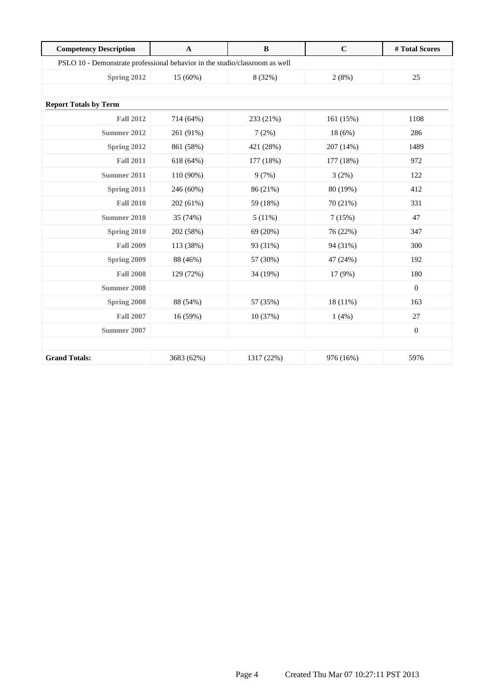| <b>Competency Description</b> | $\mathbf{A}$                                                                | $\, {\bf B}$ | $\mathbf C$ | #Total Scores    |  |  |
|-------------------------------|-----------------------------------------------------------------------------|--------------|-------------|------------------|--|--|
|                               | PSLO 10 - Demonstrate professional behavior in the studio/classroom as well |              |             |                  |  |  |
| Spring 2012                   | 15 (60%)                                                                    | 8 (32%)      | 2(8%)       | 25               |  |  |
|                               |                                                                             |              |             |                  |  |  |
| <b>Report Totals by Term</b>  |                                                                             |              |             |                  |  |  |
| <b>Fall 2012</b>              | 714 (64%)                                                                   | 233 (21%)    | 161(15%)    | 1108             |  |  |
| <b>Summer 2012</b>            | 261 (91%)                                                                   | 7(2%)        | 18(6%)      | 286              |  |  |
| Spring 2012                   | 861 (58%)                                                                   | 421 (28%)    | 207 (14%)   | 1489             |  |  |
| <b>Fall 2011</b>              | 618 (64%)                                                                   | 177 (18%)    | 177 (18%)   | 972              |  |  |
| Summer 2011                   | 110 (90%)                                                                   | 9(7%)        | 3(2%)       | 122              |  |  |
| Spring 2011                   | 246 (60%)                                                                   | 86 (21%)     | 80 (19%)    | 412              |  |  |
| <b>Fall 2010</b>              | 202 (61%)                                                                   | 59 (18%)     | 70 (21%)    | 331              |  |  |
| <b>Summer 2010</b>            | 35 (74%)                                                                    | 5(11%)       | 7(15%)      | 47               |  |  |
| Spring 2010                   | 202 (58%)                                                                   | 69 (20%)     | 76 (22%)    | 347              |  |  |
| <b>Fall 2009</b>              | 113 (38%)                                                                   | 93 (31%)     | 94 (31%)    | 300              |  |  |
| Spring 2009                   | 88 (46%)                                                                    | 57 (30%)     | 47 (24%)    | 192              |  |  |
| <b>Fall 2008</b>              | 129 (72%)                                                                   | 34 (19%)     | 17 (9%)     | 180              |  |  |
| <b>Summer 2008</b>            |                                                                             |              |             | $\mathbf{0}$     |  |  |
| Spring 2008                   | 88 (54%)                                                                    | 57 (35%)     | $18(11\%)$  | 163              |  |  |
| <b>Fall 2007</b>              | 16 (59%)                                                                    | 10 (37%)     | 1(4%)       | 27               |  |  |
| Summer 2007                   |                                                                             |              |             | $\boldsymbol{0}$ |  |  |
|                               |                                                                             |              |             |                  |  |  |
| <b>Grand Totals:</b>          | 3683 (62%)                                                                  | 1317 (22%)   | 976 (16%)   | 5976             |  |  |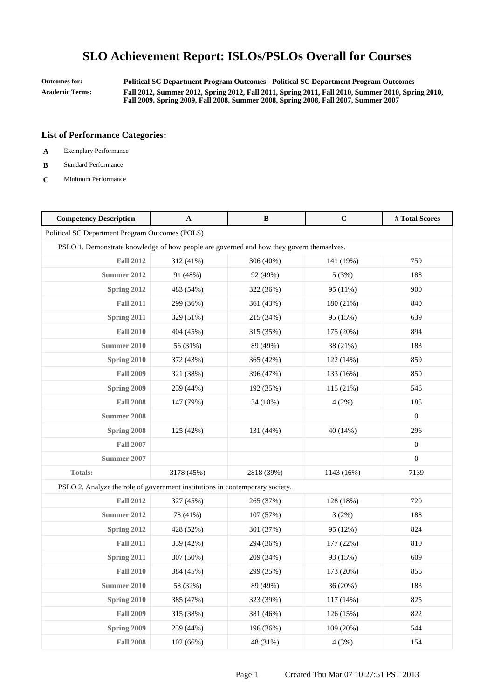**Outcomes for: Political SC Department Program Outcomes - Political SC Department Program Outcomes Academic Terms: Fall 2012, Summer 2012, Spring 2012, Fall 2011, Spring 2011, Fall 2010, Summer 2010, Spring 2010, Fall 2009, Spring 2009, Fall 2008, Summer 2008, Spring 2008, Fall 2007, Summer 2007**

- **A** Exemplary Performance
- **B** Standard Performance
- **C** Minimum Performance

| <b>Competency Description</b>                                                | A                                                                                        | $\bf{B}$   | $\mathbf C$ | #Total Scores    |  |  |
|------------------------------------------------------------------------------|------------------------------------------------------------------------------------------|------------|-------------|------------------|--|--|
| Political SC Department Program Outcomes (POLS)                              |                                                                                          |            |             |                  |  |  |
|                                                                              | PSLO 1. Demonstrate knowledge of how people are governed and how they govern themselves. |            |             |                  |  |  |
| <b>Fall 2012</b>                                                             | 312 (41%)                                                                                | 306 (40%)  | 141 (19%)   | 759              |  |  |
| <b>Summer 2012</b>                                                           | 91 (48%)                                                                                 | 92 (49%)   | 5(3%)       | 188              |  |  |
| Spring 2012                                                                  | 483 (54%)                                                                                | 322 (36%)  | 95 (11%)    | 900              |  |  |
| <b>Fall 2011</b>                                                             | 299 (36%)                                                                                | 361 (43%)  | 180 (21%)   | 840              |  |  |
| Spring 2011                                                                  | 329 (51%)                                                                                | 215 (34%)  | 95 (15%)    | 639              |  |  |
| <b>Fall 2010</b>                                                             | 404 (45%)                                                                                | 315 (35%)  | 175 (20%)   | 894              |  |  |
| <b>Summer 2010</b>                                                           | 56 (31%)                                                                                 | 89 (49%)   | 38 (21%)    | 183              |  |  |
| Spring 2010                                                                  | 372 (43%)                                                                                | 365 (42%)  | 122 (14%)   | 859              |  |  |
| <b>Fall 2009</b>                                                             | 321 (38%)                                                                                | 396 (47%)  | 133 (16%)   | 850              |  |  |
| Spring 2009                                                                  | 239 (44%)                                                                                | 192 (35%)  | 115 (21%)   | 546              |  |  |
| <b>Fall 2008</b>                                                             | 147 (79%)                                                                                | 34 (18%)   | 4(2%)       | 185              |  |  |
| Summer 2008                                                                  |                                                                                          |            |             | $\mathbf{0}$     |  |  |
| Spring 2008                                                                  | 125 (42%)                                                                                | 131 (44%)  | 40(14%)     | 296              |  |  |
| <b>Fall 2007</b>                                                             |                                                                                          |            |             | $\boldsymbol{0}$ |  |  |
| <b>Summer 2007</b>                                                           |                                                                                          |            |             | $\boldsymbol{0}$ |  |  |
| Totals:                                                                      | 3178 (45%)                                                                               | 2818 (39%) | 1143 (16%)  | 7139             |  |  |
| PSLO 2. Analyze the role of government institutions in contemporary society. |                                                                                          |            |             |                  |  |  |
| <b>Fall 2012</b>                                                             | 327 (45%)                                                                                | 265 (37%)  | 128 (18%)   | 720              |  |  |
| Summer 2012                                                                  | 78 (41%)                                                                                 | 107 (57%)  | 3(2%)       | 188              |  |  |
| Spring 2012                                                                  | 428 (52%)                                                                                | 301 (37%)  | 95 (12%)    | 824              |  |  |
| <b>Fall 2011</b>                                                             | 339 (42%)                                                                                | 294 (36%)  | 177 (22%)   | 810              |  |  |
| Spring 2011                                                                  | 307 (50%)                                                                                | 209 (34%)  | 93 (15%)    | 609              |  |  |
| <b>Fall 2010</b>                                                             | 384 (45%)                                                                                | 299 (35%)  | 173 (20%)   | 856              |  |  |
| <b>Summer 2010</b>                                                           | 58 (32%)                                                                                 | 89 (49%)   | 36 (20%)    | 183              |  |  |
| Spring 2010                                                                  | 385 (47%)                                                                                | 323 (39%)  | 117 (14%)   | 825              |  |  |
| <b>Fall 2009</b>                                                             | 315 (38%)                                                                                | 381 (46%)  | 126 (15%)   | 822              |  |  |
| Spring 2009                                                                  | 239 (44%)                                                                                | 196 (36%)  | 109 (20%)   | 544              |  |  |
| <b>Fall 2008</b>                                                             | 102 (66%)                                                                                | 48 (31%)   | 4(3%)       | 154              |  |  |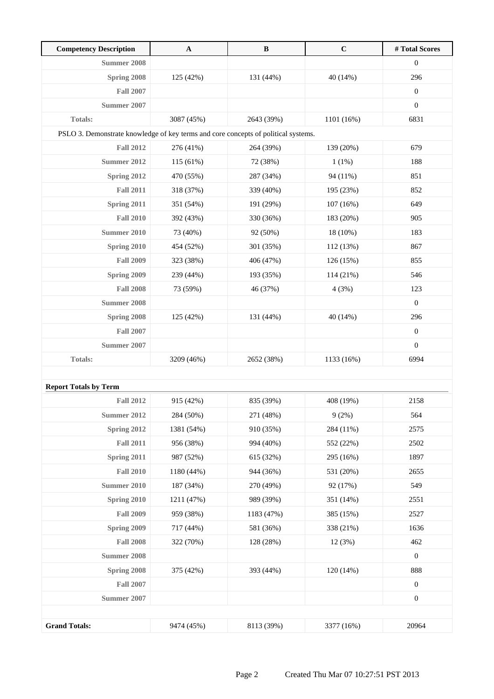| <b>Competency Description</b>                                                      | $\mathbf A$ | $\, {\bf B}$ | $\mathbf C$ | #Total Scores    |
|------------------------------------------------------------------------------------|-------------|--------------|-------------|------------------|
| Summer 2008                                                                        |             |              |             | $\boldsymbol{0}$ |
| Spring 2008                                                                        | 125 (42%)   | 131 (44%)    | 40 (14%)    | 296              |
| <b>Fall 2007</b>                                                                   |             |              |             | $\boldsymbol{0}$ |
| Summer 2007                                                                        |             |              |             | $\boldsymbol{0}$ |
| <b>Totals:</b>                                                                     | 3087 (45%)  | 2643 (39%)   | 1101 (16%)  | 6831             |
| PSLO 3. Demonstrate knowledge of key terms and core concepts of political systems. |             |              |             |                  |
| <b>Fall 2012</b>                                                                   | 276 (41%)   | 264 (39%)    | 139 (20%)   | 679              |
| <b>Summer 2012</b>                                                                 | 115 (61%)   | 72 (38%)     | 1(1%)       | 188              |
| Spring 2012                                                                        | 470 (55%)   | 287 (34%)    | 94 (11%)    | 851              |
| <b>Fall 2011</b>                                                                   | 318 (37%)   | 339 (40%)    | 195 (23%)   | 852              |
| Spring 2011                                                                        | 351 (54%)   | 191 (29%)    | 107 (16%)   | 649              |
| <b>Fall 2010</b>                                                                   | 392 (43%)   | 330 (36%)    | 183 (20%)   | 905              |
| <b>Summer 2010</b>                                                                 | 73 (40%)    | 92 (50%)     | 18 (10%)    | 183              |
| Spring 2010                                                                        | 454 (52%)   | 301 (35%)    | 112 (13%)   | 867              |
| <b>Fall 2009</b>                                                                   | 323 (38%)   | 406 (47%)    | 126 (15%)   | 855              |
| <b>Spring 2009</b>                                                                 | 239 (44%)   | 193 (35%)    | 114 (21%)   | 546              |
| <b>Fall 2008</b>                                                                   | 73 (59%)    | 46 (37%)     | 4(3%)       | 123              |
| <b>Summer 2008</b>                                                                 |             |              |             | $\boldsymbol{0}$ |
| Spring 2008                                                                        | 125 (42%)   | 131 (44%)    | 40 (14%)    | 296              |
| <b>Fall 2007</b>                                                                   |             |              |             | $\boldsymbol{0}$ |
| Summer 2007                                                                        |             |              |             | $\boldsymbol{0}$ |
| Totals:                                                                            | 3209 (46%)  | 2652 (38%)   | 1133 (16%)  | 6994             |
|                                                                                    |             |              |             |                  |
| <b>Report Totals by Term</b>                                                       |             |              |             |                  |
| <b>Fall 2012</b>                                                                   | 915 (42%)   | 835 (39%)    | 408 (19%)   | 2158             |
| <b>Summer 2012</b>                                                                 | 284 (50%)   | 271 (48%)    | 9(2%)       | 564              |
| Spring 2012                                                                        | 1381 (54%)  | 910 (35%)    | 284 (11%)   | 2575             |
| <b>Fall 2011</b>                                                                   | 956 (38%)   | 994 (40%)    | 552 (22%)   | 2502             |
| Spring 2011                                                                        | 987 (52%)   | 615 (32%)    | 295 (16%)   | 1897             |
| <b>Fall 2010</b>                                                                   | 1180 (44%)  | 944 (36%)    | 531 (20%)   | 2655             |
| <b>Summer 2010</b>                                                                 | 187 (34%)   | 270 (49%)    | 92 (17%)    | 549              |
| Spring 2010                                                                        | 1211 (47%)  | 989 (39%)    | 351 (14%)   | 2551             |
| <b>Fall 2009</b>                                                                   | 959 (38%)   | 1183 (47%)   | 385 (15%)   | 2527             |
| Spring 2009                                                                        | 717 (44%)   | 581 (36%)    | 338 (21%)   | 1636             |
| <b>Fall 2008</b>                                                                   | 322 (70%)   | 128 (28%)    | 12(3%)      | 462              |
| <b>Summer 2008</b>                                                                 |             |              |             | $\boldsymbol{0}$ |
| Spring 2008                                                                        | 375 (42%)   | 393 (44%)    | 120 (14%)   | 888              |
| <b>Fall 2007</b>                                                                   |             |              |             | $\boldsymbol{0}$ |
| <b>Summer 2007</b>                                                                 |             |              |             | $\boldsymbol{0}$ |
|                                                                                    |             |              |             |                  |
| <b>Grand Totals:</b>                                                               | 9474 (45%)  | 8113 (39%)   | 3377 (16%)  | 20964            |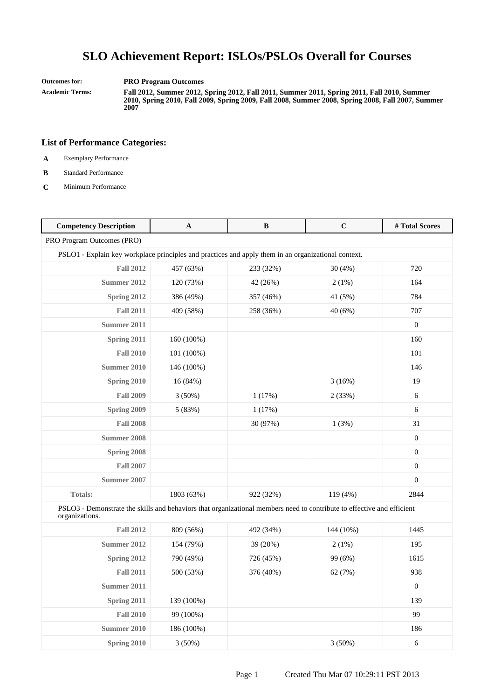**Outcomes for: PRO Program Outcomes**

**Academic Terms: Fall 2012, Summer 2012, Spring 2012, Fall 2011, Summer 2011, Spring 2011, Fall 2010, Summer 2010, Spring 2010, Fall 2009, Spring 2009, Fall 2008, Summer 2008, Spring 2008, Fall 2007, Summer 2007**

- **A** Exemplary Performance
- **B** Standard Performance
- **C** Minimum Performance

| <b>Competency Description</b>                                                                                                            | A          | B         | $\mathbf C$ | #Total Scores    |
|------------------------------------------------------------------------------------------------------------------------------------------|------------|-----------|-------------|------------------|
| PRO Program Outcomes (PRO)                                                                                                               |            |           |             |                  |
| PSLO1 - Explain key workplace principles and practices and apply them in an organizational context.                                      |            |           |             |                  |
| <b>Fall 2012</b>                                                                                                                         | 457 (63%)  | 233 (32%) | 30(4%)      | 720              |
| Summer 2012                                                                                                                              | 120 (73%)  | 42 (26%)  | 2(1%)       | 164              |
| Spring 2012                                                                                                                              | 386 (49%)  | 357 (46%) | 41 (5%)     | 784              |
| <b>Fall 2011</b>                                                                                                                         | 409 (58%)  | 258 (36%) | 40(6%)      | 707              |
| <b>Summer 2011</b>                                                                                                                       |            |           |             | $\boldsymbol{0}$ |
| Spring 2011                                                                                                                              | 160 (100%) |           |             | 160              |
| <b>Fall 2010</b>                                                                                                                         | 101 (100%) |           |             | 101              |
| <b>Summer 2010</b>                                                                                                                       | 146 (100%) |           |             | 146              |
| Spring 2010                                                                                                                              | 16(84%)    |           | 3(16%)      | 19               |
| <b>Fall 2009</b>                                                                                                                         | $3(50\%)$  | 1(17%)    | 2(33%)      | 6                |
| Spring 2009                                                                                                                              | 5 (83%)    | 1(17%)    |             | 6                |
| <b>Fall 2008</b>                                                                                                                         |            | 30 (97%)  | 1(3%)       | 31               |
| <b>Summer 2008</b>                                                                                                                       |            |           |             | $\boldsymbol{0}$ |
| Spring 2008                                                                                                                              |            |           |             | $\boldsymbol{0}$ |
| <b>Fall 2007</b>                                                                                                                         |            |           |             | $\boldsymbol{0}$ |
| <b>Summer 2007</b>                                                                                                                       |            |           |             | $\Omega$         |
| <b>Totals:</b>                                                                                                                           | 1803 (63%) | 922 (32%) | 119 (4%)    | 2844             |
| PSLO3 - Demonstrate the skills and behaviors that organizational members need to contribute to effective and efficient<br>organizations. |            |           |             |                  |
| <b>Fall 2012</b>                                                                                                                         | 809 (56%)  | 492 (34%) | 144 (10%)   | 1445             |
| <b>Summer 2012</b>                                                                                                                       | 154 (79%)  | 39 (20%)  | $2(1\%)$    | 195              |
| Spring 2012                                                                                                                              | 790 (49%)  | 726 (45%) | 99 (6%)     | 1615             |
| <b>Fall 2011</b>                                                                                                                         | 500 (53%)  | 376 (40%) | 62 (7%)     | 938              |
| Summer 2011                                                                                                                              |            |           |             | $\overline{0}$   |
| Spring 2011                                                                                                                              | 139 (100%) |           |             | 139              |
| <b>Fall 2010</b>                                                                                                                         | 99 (100%)  |           |             | 99               |
| <b>Summer 2010</b>                                                                                                                       | 186 (100%) |           |             | 186              |
| Spring 2010                                                                                                                              | 3(50%)     |           | 3(50%)      | 6                |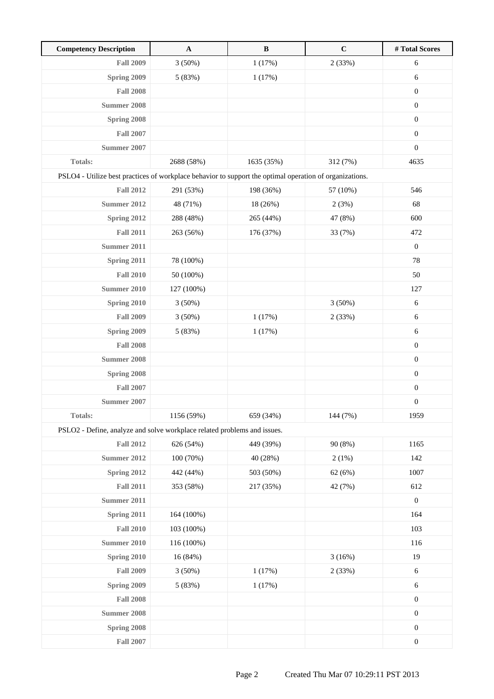| <b>Competency Description</b>                                                                           | $\mathbf{A}$ | $\, {\bf B}$ | $\mathbf C$ | #Total Scores    |
|---------------------------------------------------------------------------------------------------------|--------------|--------------|-------------|------------------|
| <b>Fall 2009</b>                                                                                        | 3(50%)       | 1(17%)       | 2(33%)      | 6                |
| Spring 2009                                                                                             | 5 (83%)      | 1(17%)       |             | 6                |
| <b>Fall 2008</b>                                                                                        |              |              |             | $\boldsymbol{0}$ |
| Summer 2008                                                                                             |              |              |             | $\boldsymbol{0}$ |
| Spring 2008                                                                                             |              |              |             | $\boldsymbol{0}$ |
| <b>Fall 2007</b>                                                                                        |              |              |             | $\boldsymbol{0}$ |
| <b>Summer 2007</b>                                                                                      |              |              |             | $\boldsymbol{0}$ |
| Totals:                                                                                                 | 2688 (58%)   | 1635 (35%)   | 312 (7%)    | 4635             |
| PSLO4 - Utilize best practices of workplace behavior to support the optimal operation of organizations. |              |              |             |                  |
| <b>Fall 2012</b>                                                                                        | 291 (53%)    | 198 (36%)    | 57 (10%)    | 546              |
| <b>Summer 2012</b>                                                                                      | 48 (71%)     | 18 (26%)     | 2(3%)       | 68               |
| Spring 2012                                                                                             | 288 (48%)    | 265 (44%)    | 47 (8%)     | 600              |
| <b>Fall 2011</b>                                                                                        | 263 (56%)    | 176 (37%)    | 33 (7%)     | 472              |
| <b>Summer 2011</b>                                                                                      |              |              |             | $\boldsymbol{0}$ |
| Spring 2011                                                                                             | 78 (100%)    |              |             | 78               |
| <b>Fall 2010</b>                                                                                        | 50 (100%)    |              |             | 50               |
| <b>Summer 2010</b>                                                                                      | 127 (100%)   |              |             | 127              |
| Spring 2010                                                                                             | 3(50%)       |              | 3(50%)      | 6                |
| <b>Fall 2009</b>                                                                                        | 3(50%)       | 1(17%)       | 2(33%)      | 6                |
| Spring 2009                                                                                             | 5 (83%)      | 1(17%)       |             | 6                |
| <b>Fall 2008</b>                                                                                        |              |              |             | $\boldsymbol{0}$ |
| <b>Summer 2008</b>                                                                                      |              |              |             | $\boldsymbol{0}$ |
| Spring 2008                                                                                             |              |              |             | $\boldsymbol{0}$ |
| <b>Fall 2007</b>                                                                                        |              |              |             | $\boldsymbol{0}$ |
| Summer 2007                                                                                             |              |              |             | $\boldsymbol{0}$ |
| <b>Totals:</b>                                                                                          | 1156 (59%)   | 659 (34%)    | 144 (7%)    | 1959             |
| PSLO2 - Define, analyze and solve workplace related problems and issues.                                |              |              |             |                  |
| <b>Fall 2012</b>                                                                                        | 626 (54%)    | 449 (39%)    | 90 (8%)     | 1165             |
| <b>Summer 2012</b>                                                                                      | 100 (70%)    | 40 (28%)     | 2(1%)       | 142              |
| <b>Spring 2012</b>                                                                                      | 442 (44%)    | 503 (50%)    | 62(6%)      | 1007             |
| <b>Fall 2011</b>                                                                                        | 353 (58%)    | 217 (35%)    | 42 (7%)     | 612              |
| <b>Summer 2011</b>                                                                                      |              |              |             | $\boldsymbol{0}$ |
| Spring 2011                                                                                             | 164 (100%)   |              |             | 164              |
| <b>Fall 2010</b>                                                                                        | 103 (100%)   |              |             | 103              |
| <b>Summer 2010</b>                                                                                      | 116 (100%)   |              |             | 116              |
| Spring 2010                                                                                             | 16 (84%)     |              | 3(16%)      | 19               |
| <b>Fall 2009</b>                                                                                        | 3(50%)       | 1(17%)       | 2(33%)      | $\sqrt{6}$       |
| Spring 2009                                                                                             | 5(83%)       | 1(17%)       |             | 6                |
| <b>Fall 2008</b>                                                                                        |              |              |             | $\boldsymbol{0}$ |
| <b>Summer 2008</b>                                                                                      |              |              |             | $\boldsymbol{0}$ |
| Spring 2008                                                                                             |              |              |             | $\boldsymbol{0}$ |
| <b>Fall 2007</b>                                                                                        |              |              |             | $\boldsymbol{0}$ |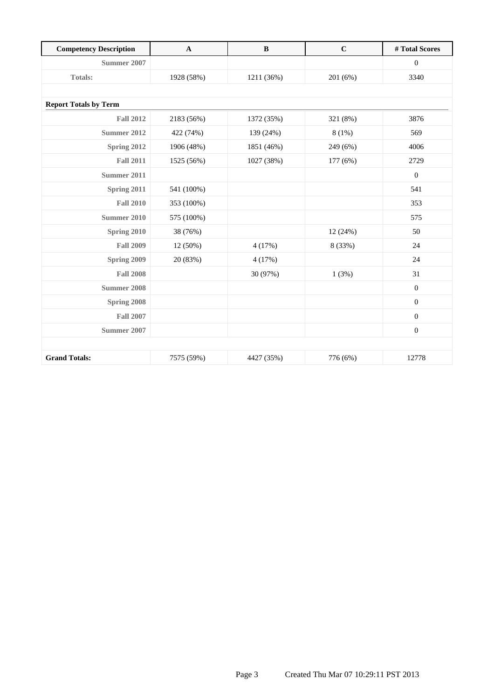| <b>Competency Description</b> | $\mathbf{A}$ | $\bf{B}$   | $\mathbf C$ | #Total Scores    |
|-------------------------------|--------------|------------|-------------|------------------|
| Summer 2007                   |              |            |             | $\mathbf{0}$     |
| <b>Totals:</b>                | 1928 (58%)   | 1211 (36%) | 201 (6%)    | 3340             |
|                               |              |            |             |                  |
| <b>Report Totals by Term</b>  |              |            |             |                  |
| <b>Fall 2012</b>              | 2183 (56%)   | 1372 (35%) | 321 (8%)    | 3876             |
| <b>Summer 2012</b>            | 422 (74%)    | 139 (24%)  | 8(1%)       | 569              |
| Spring 2012                   | 1906 (48%)   | 1851 (46%) | 249 (6%)    | 4006             |
| <b>Fall 2011</b>              | 1525 (56%)   | 1027 (38%) | 177 (6%)    | 2729             |
| Summer 2011                   |              |            |             | $\mathbf{0}$     |
| Spring 2011                   | 541 (100%)   |            |             | 541              |
| <b>Fall 2010</b>              | 353 (100%)   |            |             | 353              |
| <b>Summer 2010</b>            | 575 (100%)   |            |             | 575              |
| Spring 2010                   | 38 (76%)     |            | 12 (24%)    | 50               |
| <b>Fall 2009</b>              | 12 (50%)     | 4(17%)     | 8 (33%)     | 24               |
| Spring 2009                   | 20 (83%)     | 4(17%)     |             | 24               |
| <b>Fall 2008</b>              |              | 30 (97%)   | 1(3%)       | 31               |
| <b>Summer 2008</b>            |              |            |             | $\boldsymbol{0}$ |
| Spring 2008                   |              |            |             | $\mathbf{0}$     |
| <b>Fall 2007</b>              |              |            |             | $\boldsymbol{0}$ |
| <b>Summer 2007</b>            |              |            |             | $\boldsymbol{0}$ |
|                               |              |            |             |                  |
| <b>Grand Totals:</b>          | 7575 (59%)   | 4427 (35%) | 776 (6%)    | 12778            |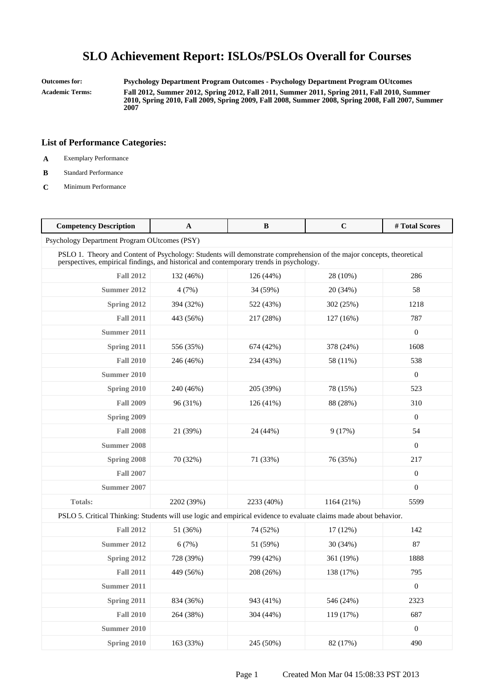**Outcomes for: Psychology Department Program Outcomes - Psychology Department Program OUtcomes Academic Terms: Fall 2012, Summer 2012, Spring 2012, Fall 2011, Summer 2011, Spring 2011, Fall 2010, Summer 2010, Spring 2010, Fall 2009, Spring 2009, Fall 2008, Summer 2008, Spring 2008, Fall 2007, Summer 2007**

- **A** Exemplary Performance
- **B** Standard Performance
- **C** Minimum Performance

| <b>Competency Description</b>                                                                                                                                                                                   | $\mathbf A$                                  | B           | $\mathbf C$ | # Total Scores   |  |  |
|-----------------------------------------------------------------------------------------------------------------------------------------------------------------------------------------------------------------|----------------------------------------------|-------------|-------------|------------------|--|--|
|                                                                                                                                                                                                                 | Psychology Department Program OUtcomes (PSY) |             |             |                  |  |  |
| PSLO 1. Theory and Content of Psychology: Students will demonstrate comprehension of the major concepts, theoretical<br>perspectives, empirical findings, and historical and contemporary trends in psychology. |                                              |             |             |                  |  |  |
| <b>Fall 2012</b>                                                                                                                                                                                                | 132 (46%)                                    | 126 (44%)   | 28 (10%)    | 286              |  |  |
| Summer 2012                                                                                                                                                                                                     | 4(7%)                                        | 34 (59%)    | 20 (34%)    | 58               |  |  |
| Spring 2012                                                                                                                                                                                                     | 394 (32%)                                    | 522 (43%)   | 302 (25%)   | 1218             |  |  |
| <b>Fall 2011</b>                                                                                                                                                                                                | 443 (56%)                                    | 217 (28%)   | 127 (16%)   | 787              |  |  |
| Summer 2011                                                                                                                                                                                                     |                                              |             |             | $\overline{0}$   |  |  |
| Spring 2011                                                                                                                                                                                                     | 556 (35%)                                    | 674 (42%)   | 378 (24%)   | 1608             |  |  |
| <b>Fall 2010</b>                                                                                                                                                                                                | 246 (46%)                                    | 234 (43%)   | 58 (11%)    | 538              |  |  |
| Summer 2010                                                                                                                                                                                                     |                                              |             |             | $\mathbf{0}$     |  |  |
| Spring 2010                                                                                                                                                                                                     | 240 (46%)                                    | 205 (39%)   | 78 (15%)    | 523              |  |  |
| <b>Fall 2009</b>                                                                                                                                                                                                | 96 (31%)                                     | $126(41\%)$ | 88 (28%)    | 310              |  |  |
| <b>Spring 2009</b>                                                                                                                                                                                              |                                              |             |             | $\overline{0}$   |  |  |
| <b>Fall 2008</b>                                                                                                                                                                                                | 21 (39%)                                     | 24 (44%)    | 9(17%)      | 54               |  |  |
| <b>Summer 2008</b>                                                                                                                                                                                              |                                              |             |             | $\Omega$         |  |  |
| Spring 2008                                                                                                                                                                                                     | 70 (32%)                                     | 71 (33%)    | 76 (35%)    | 217              |  |  |
| <b>Fall 2007</b>                                                                                                                                                                                                |                                              |             |             | $\mathbf{0}$     |  |  |
| Summer 2007                                                                                                                                                                                                     |                                              |             |             | $\boldsymbol{0}$ |  |  |
| <b>Totals:</b>                                                                                                                                                                                                  | 2202 (39%)                                   | 2233 (40%)  | 1164 (21%)  | 5599             |  |  |
| PSLO 5. Critical Thinking: Students will use logic and empirical evidence to evaluate claims made about behavior.                                                                                               |                                              |             |             |                  |  |  |
| <b>Fall 2012</b>                                                                                                                                                                                                | 51 (36%)                                     | 74 (52%)    | 17 (12%)    | 142              |  |  |
| Summer 2012                                                                                                                                                                                                     | 6(7%)                                        | 51 (59%)    | 30 (34%)    | 87               |  |  |
| Spring 2012                                                                                                                                                                                                     | 728 (39%)                                    | 799 (42%)   | 361 (19%)   | 1888             |  |  |
| <b>Fall 2011</b>                                                                                                                                                                                                | 449 (56%)                                    | 208 (26%)   | 138 (17%)   | 795              |  |  |
| <b>Summer 2011</b>                                                                                                                                                                                              |                                              |             |             | $\Omega$         |  |  |
| Spring 2011                                                                                                                                                                                                     | 834 (36%)                                    | 943 (41%)   | 546 (24%)   | 2323             |  |  |
| <b>Fall 2010</b>                                                                                                                                                                                                | 264 (38%)                                    | 304 (44%)   | 119 (17%)   | 687              |  |  |
| Summer 2010                                                                                                                                                                                                     |                                              |             |             | $\mathbf{0}$     |  |  |
| Spring 2010                                                                                                                                                                                                     | 163 (33%)                                    | 245 (50%)   | 82 (17%)    | 490              |  |  |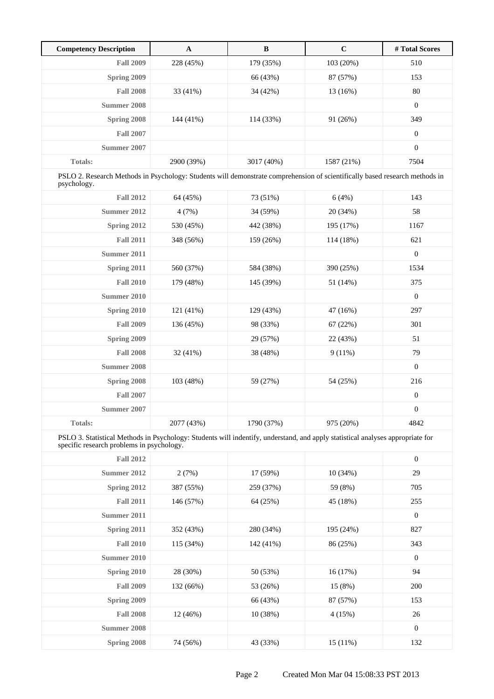| <b>Competency Description</b> | A          | B          | $\mathbf C$ | # Total Scores   |
|-------------------------------|------------|------------|-------------|------------------|
| <b>Fall 2009</b>              | 228 (45%)  | 179 (35%)  | 103 (20%)   | 510              |
| Spring 2009                   |            | 66 (43%)   | 87 (57%)    | 153              |
| <b>Fall 2008</b>              | 33 (41%)   | 34 (42%)   | 13 (16%)    | 80               |
| Summer 2008                   |            |            |             | $\boldsymbol{0}$ |
| Spring 2008                   | 144 (41%)  | 114 (33%)  | 91(26%)     | 349              |
| <b>Fall 2007</b>              |            |            |             | $\boldsymbol{0}$ |
| Summer 2007                   |            |            |             | $\boldsymbol{0}$ |
| <b>Totals:</b>                | 2900 (39%) | 3017 (40%) | 1587 (21%)  | 7504             |

PSLO 2. Research Methods in Psychology: Students will demonstrate comprehension of scientifically based research methods in psychology.

| <b>Fall 2012</b>   | 64 (45%)   | 73 (51%)   | 6(4%)     | 143            |
|--------------------|------------|------------|-----------|----------------|
| Summer 2012        | 4(7%)      | 34 (59%)   | 20 (34%)  | 58             |
| Spring 2012        | 530 (45%)  | 442 (38%)  | 195 (17%) | 1167           |
| <b>Fall 2011</b>   | 348 (56%)  | 159 (26%)  | 114 (18%) | 621            |
| Summer 2011        |            |            |           | $\mathbf{0}$   |
| Spring 2011        | 560 (37%)  | 584 (38%)  | 390 (25%) | 1534           |
| <b>Fall 2010</b>   | 179 (48%)  | 145 (39%)  | 51 (14%)  | 375            |
| Summer 2010        |            |            |           | $\mathbf{0}$   |
| Spring 2010        | 121 (41%)  | 129 (43%)  | 47 (16%)  | 297            |
| <b>Fall 2009</b>   | 136 (45%)  | 98 (33%)   | 67 (22%)  | 301            |
| Spring 2009        |            | 29 (57%)   | 22 (43%)  | 51             |
| <b>Fall 2008</b>   | 32(41%)    | 38 (48%)   | $9(11\%)$ | 79             |
| <b>Summer 2008</b> |            |            |           | $\mathbf{0}$   |
| Spring 2008        | 103(48%)   | 59 (27%)   | 54 (25%)  | 216            |
| <b>Fall 2007</b>   |            |            |           | $\overline{0}$ |
| Summer 2007        |            |            |           | $\overline{0}$ |
| Totals:            | 2077 (43%) | 1790 (37%) | 975 (20%) | 4842           |

PSLO 3. Statistical Methods in Psychology: Students will indentify, understand, and apply statistical analyses appropriate for specific research problems in psychology.

| <b>Fall 2012</b>   |           |           |            | $\boldsymbol{0}$ |
|--------------------|-----------|-----------|------------|------------------|
| <b>Summer 2012</b> | 2(7%)     | 17 (59%)  | 10(34%)    | 29               |
| Spring 2012        | 387 (55%) | 259 (37%) | 59 (8%)    | 705              |
| <b>Fall 2011</b>   | 146 (57%) | 64 (25%)  | 45 (18%)   | 255              |
| Summer 2011        |           |           |            | $\boldsymbol{0}$ |
| Spring 2011        | 352 (43%) | 280 (34%) | 195 (24%)  | 827              |
| <b>Fall 2010</b>   | 115(34%)  | 142 (41%) | 86 (25%)   | 343              |
| Summer 2010        |           |           |            | $\boldsymbol{0}$ |
| Spring 2010        | 28 (30%)  | 50 (53%)  | 16(17%)    | 94               |
| <b>Fall 2009</b>   | 132 (66%) | 53 (26%)  | 15(8%)     | 200              |
| Spring 2009        |           | 66 (43%)  | 87 (57%)   | 153              |
| <b>Fall 2008</b>   | 12 (46%)  | 10(38%)   | 4(15%)     | 26               |
| Summer 2008        |           |           |            | $\boldsymbol{0}$ |
| Spring 2008        | 74 (56%)  | 43 (33%)  | $15(11\%)$ | 132              |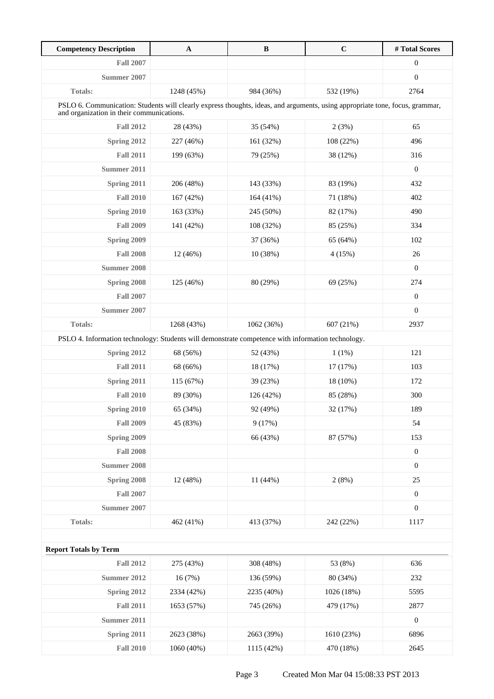| <b>Competency Description</b>                                                                                                                                             | $\mathbf A$ | $\, {\bf B}$ | $\mathbf C$ | #Total Scores    |
|---------------------------------------------------------------------------------------------------------------------------------------------------------------------------|-------------|--------------|-------------|------------------|
| <b>Fall 2007</b>                                                                                                                                                          |             |              |             | $\boldsymbol{0}$ |
| Summer 2007                                                                                                                                                               |             |              |             | $\boldsymbol{0}$ |
| <b>Totals:</b>                                                                                                                                                            | 1248 (45%)  | 984 (36%)    | 532 (19%)   | 2764             |
| PSLO 6. Communication: Students will clearly express thoughts, ideas, and arguments, using appropriate tone, focus, grammar,<br>and organization in their communications. |             |              |             |                  |
| <b>Fall 2012</b>                                                                                                                                                          | 28 (43%)    | 35 (54%)     | 2(3%)       | 65               |
| Spring 2012                                                                                                                                                               | 227 (46%)   | 161 (32%)    | 108 (22%)   | 496              |
| <b>Fall 2011</b>                                                                                                                                                          | 199 (63%)   | 79 (25%)     | 38 (12%)    | 316              |
| Summer 2011                                                                                                                                                               |             |              |             | $\boldsymbol{0}$ |
| Spring 2011                                                                                                                                                               | 206 (48%)   | 143 (33%)    | 83 (19%)    | 432              |
| <b>Fall 2010</b>                                                                                                                                                          | 167 (42%)   | 164 (41%)    | 71 (18%)    | 402              |
| Spring 2010                                                                                                                                                               | 163 (33%)   | 245 (50%)    | 82 (17%)    | 490              |
| <b>Fall 2009</b>                                                                                                                                                          | 141 (42%)   | 108 (32%)    | 85 (25%)    | 334              |
| Spring 2009                                                                                                                                                               |             | 37 (36%)     | 65 (64%)    | 102              |
| <b>Fall 2008</b>                                                                                                                                                          | 12 (46%)    | 10 (38%)     | 4(15%)      | $26\,$           |
| <b>Summer 2008</b>                                                                                                                                                        |             |              |             | $\boldsymbol{0}$ |
| Spring 2008                                                                                                                                                               | 125 (46%)   | 80 (29%)     | 69 (25%)    | 274              |
| <b>Fall 2007</b>                                                                                                                                                          |             |              |             | $\boldsymbol{0}$ |
| Summer 2007                                                                                                                                                               |             |              |             | $\boldsymbol{0}$ |
| <b>Totals:</b>                                                                                                                                                            | 1268 (43%)  | 1062 (36%)   | 607 (21%)   | 2937             |
| PSLO 4. Information technology: Students will demonstrate competence with information technology.                                                                         |             |              |             |                  |
| Spring 2012                                                                                                                                                               | 68 (56%)    | 52 (43%)     | 1(1%)       | 121              |
| <b>Fall 2011</b>                                                                                                                                                          | 68 (66%)    | 18 (17%)     | 17 (17%)    | 103              |
| Spring 2011                                                                                                                                                               | 115 (67%)   | 39 (23%)     | 18 (10%)    | 172              |
| <b>Fall 2010</b>                                                                                                                                                          | 89 (30%)    | 126 (42%)    | 85 (28%)    | 300              |
| Spring 2010                                                                                                                                                               | 65 (34%)    | 92 (49%)     | 32 (17%)    | 189              |
| <b>Fall 2009</b>                                                                                                                                                          | 45 (83%)    | 9(17%)       |             | 54               |
| Spring 2009                                                                                                                                                               |             | 66 (43%)     | 87 (57%)    | 153              |
| <b>Fall 2008</b>                                                                                                                                                          |             |              |             | $\boldsymbol{0}$ |
| <b>Summer 2008</b>                                                                                                                                                        |             |              |             | $\boldsymbol{0}$ |
| Spring 2008                                                                                                                                                               | 12 (48%)    | 11 (44%)     | 2(8%)       | 25               |
| <b>Fall 2007</b>                                                                                                                                                          |             |              |             | $\boldsymbol{0}$ |
| <b>Summer 2007</b>                                                                                                                                                        |             |              |             | $\boldsymbol{0}$ |
| <b>Totals:</b>                                                                                                                                                            | 462 (41%)   | 413 (37%)    | 242 (22%)   | 1117             |
|                                                                                                                                                                           |             |              |             |                  |
| <b>Report Totals by Term</b>                                                                                                                                              |             |              |             |                  |
| <b>Fall 2012</b>                                                                                                                                                          | 275 (43%)   | 308 (48%)    | 53 (8%)     | 636              |
| <b>Summer 2012</b>                                                                                                                                                        | 16(7%)      | 136 (59%)    | 80 (34%)    | 232              |
| Spring 2012                                                                                                                                                               | 2334 (42%)  | 2235 (40%)   | 1026 (18%)  | 5595             |
| <b>Fall 2011</b>                                                                                                                                                          | 1653 (57%)  | 745 (26%)    | 479 (17%)   | 2877             |
| <b>Summer 2011</b>                                                                                                                                                        |             |              |             | $\boldsymbol{0}$ |
| Spring 2011                                                                                                                                                               | 2623 (38%)  | 2663 (39%)   | 1610 (23%)  | 6896             |
| <b>Fall 2010</b>                                                                                                                                                          | 1060 (40%)  | 1115 (42%)   | 470 (18%)   | 2645             |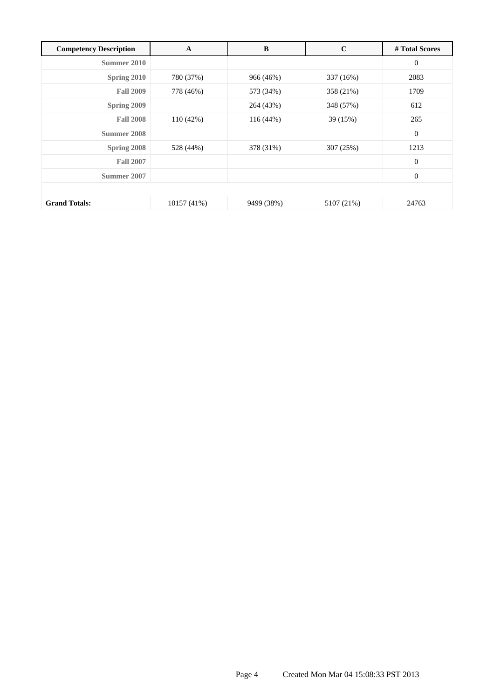| <b>Competency Description</b> | $\mathbf A$ | B           | $\mathbf C$ | # Total Scores   |
|-------------------------------|-------------|-------------|-------------|------------------|
| Summer 2010                   |             |             |             | $\boldsymbol{0}$ |
| Spring 2010                   | 780 (37%)   | 966 (46%)   | 337 (16%)   | 2083             |
| <b>Fall 2009</b>              | 778 (46%)   | 573 (34%)   | 358 (21%)   | 1709             |
| Spring 2009                   |             | 264 (43%)   | 348 (57%)   | 612              |
| <b>Fall 2008</b>              | 110 (42%)   | $116(44\%)$ | 39 (15%)    | 265              |
| Summer 2008                   |             |             |             | $\mathbf{0}$     |
| Spring 2008                   | 528 (44%)   | 378 (31%)   | 307 (25%)   | 1213             |
| <b>Fall 2007</b>              |             |             |             | $\mathbf{0}$     |
| Summer 2007                   |             |             |             | $\boldsymbol{0}$ |
|                               |             |             |             |                  |
| <b>Grand Totals:</b>          | 10157 (41%) | 9499 (38%)  | 5107 (21%)  | 24763            |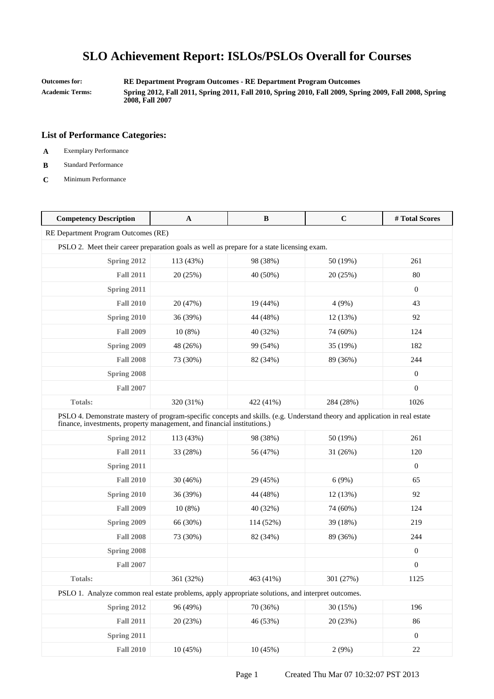**Outcomes for: RE Department Program Outcomes - RE Department Program Outcomes Academic Terms: Spring 2012, Fall 2011, Spring 2011, Fall 2010, Spring 2010, Fall 2009, Spring 2009, Fall 2008, Spring 2008, Fall 2007**

- **A** Exemplary Performance
- **B** Standard Performance
- **C** Minimum Performance

| <b>Competency Description</b>                                                                                                                                                                          | $\mathbf{A}$ | $\bf{B}$  | $\mathbf C$ | #Total Scores    |
|--------------------------------------------------------------------------------------------------------------------------------------------------------------------------------------------------------|--------------|-----------|-------------|------------------|
| RE Department Program Outcomes (RE)                                                                                                                                                                    |              |           |             |                  |
| PSLO 2. Meet their career preparation goals as well as prepare for a state licensing exam.                                                                                                             |              |           |             |                  |
| Spring 2012                                                                                                                                                                                            | 113 (43%)    | 98 (38%)  | 50 (19%)    | 261              |
| <b>Fall 2011</b>                                                                                                                                                                                       | 20 (25%)     | 40 (50%)  | 20 (25%)    | 80               |
| Spring 2011                                                                                                                                                                                            |              |           |             | $\mathbf{0}$     |
| <b>Fall 2010</b>                                                                                                                                                                                       | 20 (47%)     | 19 (44%)  | 4(9%)       | 43               |
| Spring 2010                                                                                                                                                                                            | 36 (39%)     | 44 (48%)  | 12 (13%)    | 92               |
| <b>Fall 2009</b>                                                                                                                                                                                       | 10(8%)       | 40 (32%)  | 74 (60%)    | 124              |
| Spring 2009                                                                                                                                                                                            | 48 (26%)     | 99 (54%)  | 35 (19%)    | 182              |
| <b>Fall 2008</b>                                                                                                                                                                                       | 73 (30%)     | 82 (34%)  | 89 (36%)    | 244              |
| Spring 2008                                                                                                                                                                                            |              |           |             | $\mathbf{0}$     |
| <b>Fall 2007</b>                                                                                                                                                                                       |              |           |             | $\boldsymbol{0}$ |
| <b>Totals:</b>                                                                                                                                                                                         | 320 (31%)    | 422 (41%) | 284 (28%)   | 1026             |
| PSLO 4. Demonstrate mastery of program-specific concepts and skills. (e.g. Understand theory and application in real estate<br>finance, investments, property management, and financial institutions.) |              |           |             |                  |
| Spring 2012                                                                                                                                                                                            | 113 (43%)    | 98 (38%)  | 50 (19%)    | 261              |
| <b>Fall 2011</b>                                                                                                                                                                                       | 33 (28%)     | 56 (47%)  | 31(26%)     | 120              |
| Spring 2011                                                                                                                                                                                            |              |           |             | $\overline{0}$   |
| <b>Fall 2010</b>                                                                                                                                                                                       | 30(46%)      | 29 (45%)  | 6(9%)       | 65               |
| Spring 2010                                                                                                                                                                                            | 36 (39%)     | 44 (48%)  | 12 (13%)    | 92               |
| <b>Fall 2009</b>                                                                                                                                                                                       | 10(8%)       | 40 (32%)  | 74 (60%)    | 124              |
| Spring 2009                                                                                                                                                                                            | 66 (30%)     | 114 (52%) | 39 (18%)    | 219              |
| <b>Fall 2008</b>                                                                                                                                                                                       | 73 (30%)     | 82 (34%)  | 89 (36%)    | 244              |
| Spring 2008                                                                                                                                                                                            |              |           |             | $\mathbf{0}$     |
| <b>Fall 2007</b>                                                                                                                                                                                       |              |           |             | $\boldsymbol{0}$ |
| Totals:                                                                                                                                                                                                | 361 (32%)    | 463 (41%) | 301 (27%)   | 1125             |
| PSLO 1. Analyze common real estate problems, apply appropriate solutions, and interpret outcomes.                                                                                                      |              |           |             |                  |
| Spring 2012                                                                                                                                                                                            | 96 (49%)     | 70 (36%)  | 30 (15%)    | 196              |
| <b>Fall 2011</b>                                                                                                                                                                                       | 20 (23%)     | 46 (53%)  | 20 (23%)    | 86               |
| Spring 2011                                                                                                                                                                                            |              |           |             | $\boldsymbol{0}$ |
| <b>Fall 2010</b>                                                                                                                                                                                       | 10 (45%)     | 10(45%)   | 2(9%)       | $22\,$           |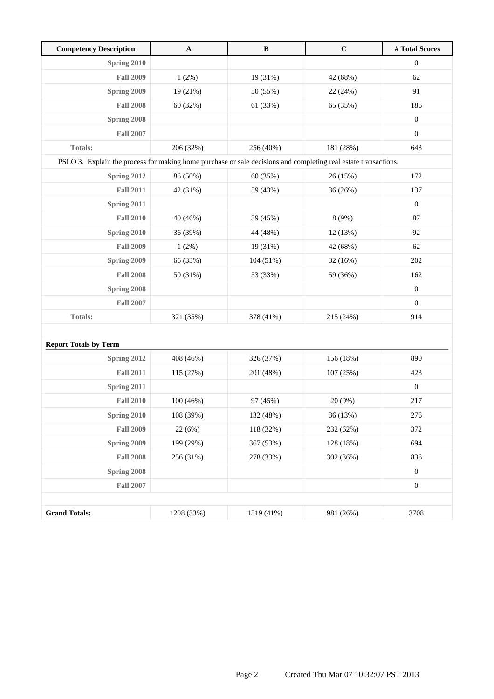| <b>Competency Description</b>                                                                                   | $\mathbf{A}$ | $\, {\bf B}$ | $\mathbf C$ | #Total Scores    |
|-----------------------------------------------------------------------------------------------------------------|--------------|--------------|-------------|------------------|
| <b>Spring 2010</b>                                                                                              |              |              |             | $\boldsymbol{0}$ |
| <b>Fall 2009</b>                                                                                                | 1(2%)        | 19 (31%)     | 42 (68%)    | 62               |
| Spring 2009                                                                                                     | 19 (21%)     | 50 (55%)     | 22 (24%)    | 91               |
| <b>Fall 2008</b>                                                                                                | 60 (32%)     | 61 (33%)     | 65 (35%)    | 186              |
| Spring 2008                                                                                                     |              |              |             | $\boldsymbol{0}$ |
| <b>Fall 2007</b>                                                                                                |              |              |             | $\boldsymbol{0}$ |
| Totals:                                                                                                         | 206 (32%)    | 256 (40%)    | 181 (28%)   | 643              |
| PSLO 3. Explain the process for making home purchase or sale decisions and completing real estate transactions. |              |              |             |                  |
| Spring 2012                                                                                                     | 86 (50%)     | 60 (35%)     | 26(15%)     | 172              |
| <b>Fall 2011</b>                                                                                                | 42 (31%)     | 59 (43%)     | 36(26%)     | 137              |
| Spring 2011                                                                                                     |              |              |             | $\boldsymbol{0}$ |
| <b>Fall 2010</b>                                                                                                | 40 (46%)     | 39 (45%)     | 8 (9%)      | 87               |
| Spring 2010                                                                                                     | 36 (39%)     | 44 (48%)     | 12 (13%)    | 92               |
| <b>Fall 2009</b>                                                                                                | 1(2%)        | 19 (31%)     | 42 (68%)    | 62               |
| Spring 2009                                                                                                     | 66 (33%)     | 104 (51%)    | 32 (16%)    | 202              |
| <b>Fall 2008</b>                                                                                                | 50 (31%)     | 53 (33%)     | 59 (36%)    | 162              |
| Spring 2008                                                                                                     |              |              |             | $\boldsymbol{0}$ |
| <b>Fall 2007</b>                                                                                                |              |              |             | $\boldsymbol{0}$ |
| <b>Totals:</b>                                                                                                  | 321 (35%)    | 378 (41%)    | 215 (24%)   | 914              |
|                                                                                                                 |              |              |             |                  |
| <b>Report Totals by Term</b>                                                                                    |              |              |             |                  |
| Spring 2012                                                                                                     | 408 (46%)    | 326 (37%)    | 156 (18%)   | 890              |
| <b>Fall 2011</b>                                                                                                | 115 (27%)    | 201 (48%)    | 107 (25%)   | 423              |
| Spring 2011                                                                                                     |              |              |             | $\boldsymbol{0}$ |
| <b>Fall 2010</b>                                                                                                | 100 (46%)    | 97 (45%)     | 20 (9%)     | 217              |
| Spring 2010                                                                                                     | 108 (39%)    | 132 (48%)    | 36 (13%)    | 276              |
| <b>Fall 2009</b>                                                                                                | 22 (6%)      | 118 (32%)    | 232 (62%)   | 372              |
| Spring 2009                                                                                                     | 199 (29%)    | 367 (53%)    | 128 (18%)   | 694              |
| <b>Fall 2008</b>                                                                                                | 256 (31%)    | 278 (33%)    | 302 (36%)   | 836              |
| Spring 2008                                                                                                     |              |              |             | $\boldsymbol{0}$ |
| <b>Fall 2007</b>                                                                                                |              |              |             | $\boldsymbol{0}$ |
|                                                                                                                 |              |              |             |                  |
| <b>Grand Totals:</b>                                                                                            | 1208 (33%)   | 1519 (41%)   | 981 (26%)   | 3708             |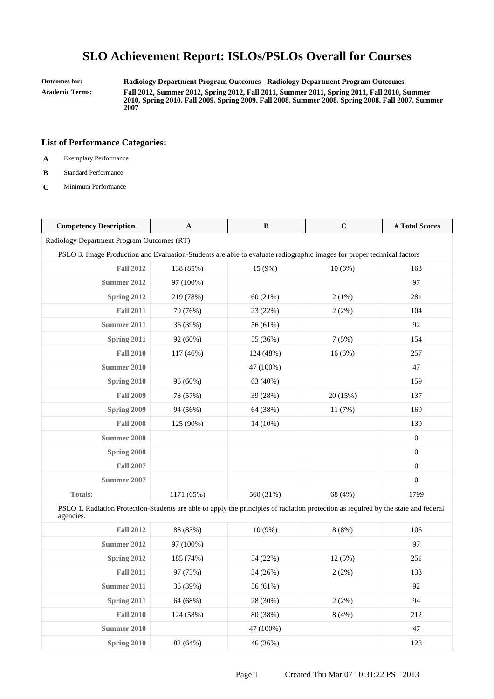**Outcomes for: Radiology Department Program Outcomes - Radiology Department Program Outcomes Academic Terms: Fall 2012, Summer 2012, Spring 2012, Fall 2011, Summer 2011, Spring 2011, Fall 2010, Summer 2010, Spring 2010, Fall 2009, Spring 2009, Fall 2008, Summer 2008, Spring 2008, Fall 2007, Summer 2007**

- **A** Exemplary Performance
- **B** Standard Performance
- **C** Minimum Performance

| <b>Competency Description</b>                                                                                                                    | $\mathbf A$ | $\bf{B}$  | $\mathbf C$ | #Total Scores    |
|--------------------------------------------------------------------------------------------------------------------------------------------------|-------------|-----------|-------------|------------------|
| Radiology Department Program Outcomes (RT)                                                                                                       |             |           |             |                  |
| PSLO 3. Image Production and Evaluation-Students are able to evaluate radiographic images for proper technical factors                           |             |           |             |                  |
| <b>Fall 2012</b>                                                                                                                                 | 138 (85%)   | 15 (9%)   | 10(6%)      | 163              |
| Summer 2012                                                                                                                                      | 97 (100%)   |           |             | 97               |
| Spring 2012                                                                                                                                      | 219 (78%)   | 60(21%)   | 2(1%)       | 281              |
| <b>Fall 2011</b>                                                                                                                                 | 79 (76%)    | 23 (22%)  | 2(2%)       | 104              |
| <b>Summer 2011</b>                                                                                                                               | 36 (39%)    | 56 (61%)  |             | 92               |
| <b>Spring 2011</b>                                                                                                                               | 92 (60%)    | 55 (36%)  | 7(5%)       | 154              |
| <b>Fall 2010</b>                                                                                                                                 | 117 (46%)   | 124 (48%) | 16(6%)      | 257              |
| <b>Summer 2010</b>                                                                                                                               |             | 47 (100%) |             | 47               |
| Spring 2010                                                                                                                                      | 96 (60%)    | 63 (40%)  |             | 159              |
| <b>Fall 2009</b>                                                                                                                                 | 78 (57%)    | 39 (28%)  | 20 (15%)    | 137              |
| Spring 2009                                                                                                                                      | 94 (56%)    | 64 (38%)  | 11(7%)      | 169              |
| <b>Fall 2008</b>                                                                                                                                 | 125 (90%)   | 14 (10%)  |             | 139              |
| <b>Summer 2008</b>                                                                                                                               |             |           |             | $\boldsymbol{0}$ |
| Spring 2008                                                                                                                                      |             |           |             | $\boldsymbol{0}$ |
| <b>Fall 2007</b>                                                                                                                                 |             |           |             | $\boldsymbol{0}$ |
| <b>Summer 2007</b>                                                                                                                               |             |           |             | $\boldsymbol{0}$ |
| <b>Totals:</b>                                                                                                                                   | 1171 (65%)  | 560 (31%) | 68 (4%)     | 1799             |
| PSLO 1. Radiation Protection-Students are able to apply the principles of radiation protection as required by the state and federal<br>agencies. |             |           |             |                  |
| <b>Fall 2012</b>                                                                                                                                 | 88 (83%)    | $10(9\%)$ | 8(8%)       | 106              |
| <b>Summer 2012</b>                                                                                                                               | 97 (100%)   |           |             | 97               |
| Spring 2012                                                                                                                                      | 185 (74%)   | 54 (22%)  | 12(5%)      | 251              |
| <b>Fall 2011</b>                                                                                                                                 | 97 (73%)    | 34 (26%)  | 2(2%)       | 133              |
| <b>Summer 2011</b>                                                                                                                               | 36 (39%)    | 56 (61%)  |             | 92               |
| Spring 2011                                                                                                                                      | 64 (68%)    | 28 (30%)  | 2(2%)       | 94               |
| <b>Fall 2010</b>                                                                                                                                 | 124 (58%)   | 80 (38%)  | 8(4%)       | 212              |
| <b>Summer 2010</b>                                                                                                                               |             | 47 (100%) |             | 47               |
| Spring 2010                                                                                                                                      | 82 (64%)    | 46 (36%)  |             | 128              |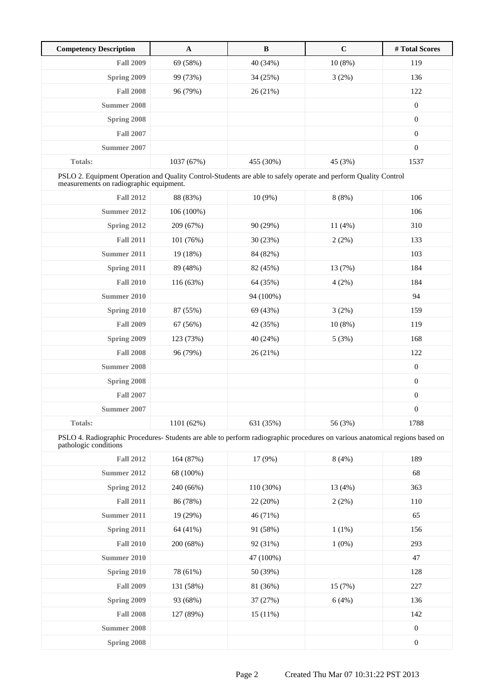| <b>Competency Description</b> | A          | B         | $\mathbf C$ | # Total Scores |
|-------------------------------|------------|-----------|-------------|----------------|
| <b>Fall 2009</b>              | 69 (58%)   | 40 (34%)  | $10(8\%)$   | 119            |
| Spring 2009                   | 99 (73%)   | 34 (25%)  | 3(2%)       | 136            |
| <b>Fall 2008</b>              | 96 (79%)   | 26(21%)   |             | 122            |
| Summer 2008                   |            |           |             | $\mathbf{0}$   |
| Spring 2008                   |            |           |             | $\theta$       |
| <b>Fall 2007</b>              |            |           |             | $\theta$       |
| Summer 2007                   |            |           |             | $\overline{0}$ |
| <b>Totals:</b>                | 1037 (67%) | 455 (30%) | 45 (3%)     | 1537           |

PSLO 2. Equipment Operation and Quality Control-Students are able to safely operate and perform Quality Control measurements on radiographic equipment.

| <b>Fall 2012</b>   | 88 (83%)   | 10(9%)    | 8(8%)   | 106              |
|--------------------|------------|-----------|---------|------------------|
| <b>Summer 2012</b> | 106 (100%) |           |         | 106              |
| Spring 2012        | 209 (67%)  | 90 (29%)  | 11(4%)  | 310              |
| <b>Fall 2011</b>   | 101 (76%)  | 30 (23%)  | 2(2%)   | 133              |
| Summer 2011        | 19 (18%)   | 84 (82%)  |         | 103              |
| Spring 2011        | 89 (48%)   | 82 (45%)  | 13 (7%) | 184              |
| <b>Fall 2010</b>   | 116 (63%)  | 64 (35%)  | 4(2%)   | 184              |
| <b>Summer 2010</b> |            | 94 (100%) |         | 94               |
| Spring 2010        | 87 (55%)   | 69 (43%)  | 3(2%)   | 159              |
| <b>Fall 2009</b>   | 67 (56%)   | 42 (35%)  | 10(8%)  | 119              |
| Spring 2009        | 123 (73%)  | 40 (24%)  | 5(3%)   | 168              |
| <b>Fall 2008</b>   | 96 (79%)   | 26(21%)   |         | 122              |
| Summer 2008        |            |           |         | $\boldsymbol{0}$ |
| Spring 2008        |            |           |         | $\boldsymbol{0}$ |
| <b>Fall 2007</b>   |            |           |         | $\boldsymbol{0}$ |
| <b>Summer 2007</b> |            |           |         | $\boldsymbol{0}$ |
| Totals:            | 1101 (62%) | 631 (35%) | 56 (3%) | 1788             |

PSLO 4. Radiographic Procedures- Students are able to perform radiographic procedures on various anatomical regions based on pathologic conditions

| <b>Fall 2012</b>   | 164 (87%) | 17 (9%)   | 8(4%)    | 189              |
|--------------------|-----------|-----------|----------|------------------|
| Summer 2012        | 68 (100%) |           |          | 68               |
| Spring 2012        | 240 (66%) | 110 (30%) | 13 (4%)  | 363              |
| <b>Fall 2011</b>   | 86 (78%)  | 22(20%)   | $2(2\%)$ | 110              |
| Summer 2011        | 19 (29%)  | 46 (71%)  |          | 65               |
| Spring 2011        | 64 (41%)  | 91 (58%)  | $1(1\%)$ | 156              |
| <b>Fall 2010</b>   | 200 (68%) | 92 (31%)  | $1(0\%)$ | 293              |
| Summer 2010        |           | 47 (100%) |          | 47               |
| Spring 2010        | 78 (61%)  | 50 (39%)  |          | 128              |
| <b>Fall 2009</b>   | 131 (58%) | 81 (36%)  | 15(7%)   | 227              |
| Spring 2009        | 93 (68%)  | 37 (27%)  | 6(4%)    | 136              |
| <b>Fall 2008</b>   | 127 (89%) | 15(11%)   |          | 142              |
| <b>Summer 2008</b> |           |           |          | $\boldsymbol{0}$ |
| Spring 2008        |           |           |          | $\boldsymbol{0}$ |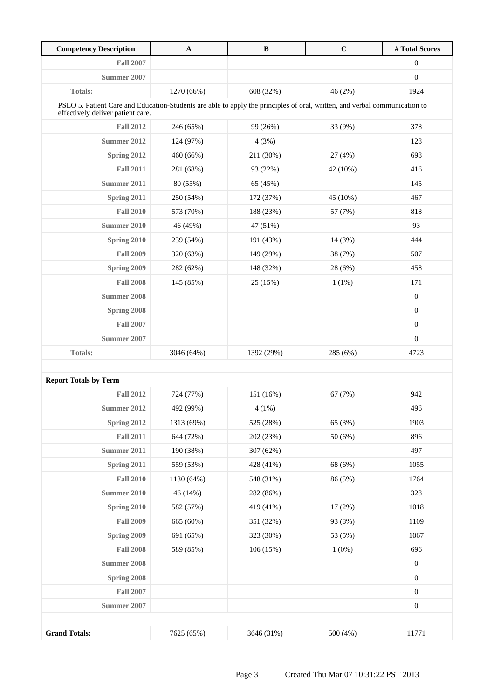| <b>Competency Description</b>                                                                                                                                   | A          | $\bf{B}$   | $\mathbf C$ | #Total Scores    |
|-----------------------------------------------------------------------------------------------------------------------------------------------------------------|------------|------------|-------------|------------------|
| <b>Fall 2007</b>                                                                                                                                                |            |            |             | $\boldsymbol{0}$ |
| Summer 2007                                                                                                                                                     |            |            |             | $\boldsymbol{0}$ |
| Totals:                                                                                                                                                         | 1270 (66%) | 608 (32%)  | 46 (2%)     | 1924             |
| PSLO 5. Patient Care and Education-Students are able to apply the principles of oral, written, and verbal communication to<br>effectively deliver patient care. |            |            |             |                  |
| <b>Fall 2012</b>                                                                                                                                                | 246 (65%)  | 99 (26%)   | 33 (9%)     | 378              |
| Summer 2012                                                                                                                                                     | 124 (97%)  | 4(3%)      |             | 128              |
| Spring 2012                                                                                                                                                     | 460 (66%)  | 211 (30%)  | 27 (4%)     | 698              |
| <b>Fall 2011</b>                                                                                                                                                | 281 (68%)  | 93 (22%)   | 42 (10%)    | 416              |
| Summer 2011                                                                                                                                                     | 80 (55%)   | 65 (45%)   |             | 145              |
| Spring 2011                                                                                                                                                     | 250 (54%)  | 172 (37%)  | 45 (10%)    | 467              |
| <b>Fall 2010</b>                                                                                                                                                | 573 (70%)  | 188 (23%)  | 57 (7%)     | 818              |
| Summer 2010                                                                                                                                                     | 46 (49%)   | 47 (51%)   |             | 93               |
| Spring 2010                                                                                                                                                     | 239 (54%)  | 191 (43%)  | 14(3%)      | 444              |
| <b>Fall 2009</b>                                                                                                                                                | 320 (63%)  | 149 (29%)  | 38 (7%)     | 507              |
| Spring 2009                                                                                                                                                     | 282 (62%)  | 148 (32%)  | 28 (6%)     | 458              |
| <b>Fall 2008</b>                                                                                                                                                | 145 (85%)  | 25 (15%)   | 1(1%)       | 171              |
| Summer 2008                                                                                                                                                     |            |            |             | $\mathbf{0}$     |
| Spring 2008                                                                                                                                                     |            |            |             | $\boldsymbol{0}$ |
| <b>Fall 2007</b>                                                                                                                                                |            |            |             | $\boldsymbol{0}$ |
| Summer 2007                                                                                                                                                     |            |            |             | $\boldsymbol{0}$ |
| <b>Totals:</b>                                                                                                                                                  | 3046 (64%) | 1392 (29%) | 285 (6%)    | 4723             |
|                                                                                                                                                                 |            |            |             |                  |
| <b>Report Totals by Term</b>                                                                                                                                    |            |            |             |                  |
| <b>Fall 2012</b>                                                                                                                                                | 724 (77%)  | 151 (16%)  | 67 (7%)     | 942              |
| Summer 2012                                                                                                                                                     | 492 (99%)  | $4(1\%)$   |             | 496              |
| Spring 2012                                                                                                                                                     | 1313 (69%) | 525 (28%)  | 65 (3%)     | 1903             |
| <b>Fall 2011</b>                                                                                                                                                | 644 (72%)  | 202 (23%)  | 50(6%)      | 896              |
| <b>Summer 2011</b>                                                                                                                                              | 190 (38%)  | 307 (62%)  |             | 497              |
| Spring 2011                                                                                                                                                     | 559 (53%)  | 428 (41%)  | 68 (6%)     | 1055             |
| <b>Fall 2010</b>                                                                                                                                                | 1130 (64%) | 548 (31%)  | 86 (5%)     | 1764             |
| <b>Summer 2010</b>                                                                                                                                              | 46 (14%)   | 282 (86%)  |             | 328              |
| Spring 2010                                                                                                                                                     | 582 (57%)  | 419 (41%)  | 17(2%)      | 1018             |
| <b>Fall 2009</b>                                                                                                                                                | 665 (60%)  | 351 (32%)  | 93 (8%)     | 1109             |
| Spring 2009                                                                                                                                                     | 691 (65%)  | 323 (30%)  | 53 (5%)     | 1067             |
| <b>Fall 2008</b>                                                                                                                                                | 589 (85%)  | 106 (15%)  | $1(0\%)$    | 696              |
| Summer 2008                                                                                                                                                     |            |            |             | $\boldsymbol{0}$ |
| Spring 2008                                                                                                                                                     |            |            |             | $\boldsymbol{0}$ |
| <b>Fall 2007</b>                                                                                                                                                |            |            |             | $\boldsymbol{0}$ |
| <b>Summer 2007</b>                                                                                                                                              |            |            |             | $\boldsymbol{0}$ |
|                                                                                                                                                                 |            |            |             |                  |
| <b>Grand Totals:</b>                                                                                                                                            | 7625 (65%) | 3646 (31%) | 500 (4%)    | 11771            |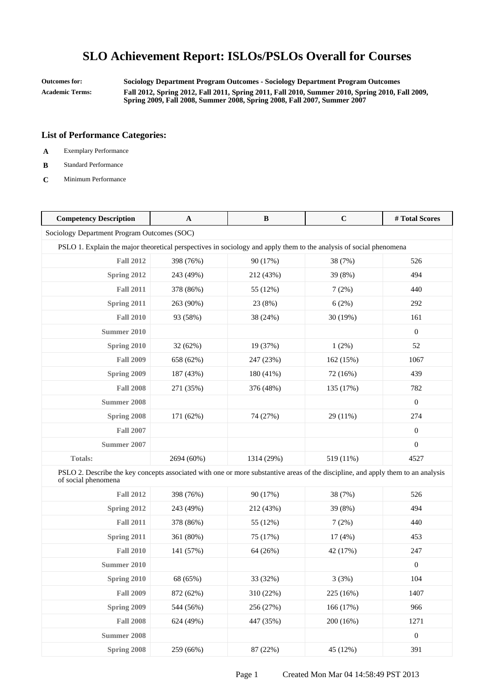**Outcomes for: Sociology Department Program Outcomes - Sociology Department Program Outcomes Academic Terms: Fall 2012, Spring 2012, Fall 2011, Spring 2011, Fall 2010, Summer 2010, Spring 2010, Fall 2009, Spring 2009, Fall 2008, Summer 2008, Spring 2008, Fall 2007, Summer 2007**

- **A** Exemplary Performance
- **B** Standard Performance
- **C** Minimum Performance

| <b>Competency Description</b>                                                                                                                           | $\mathbf{A}$ | $\bf{B}$   | $\mathbf C$ | #Total Scores    |  |
|---------------------------------------------------------------------------------------------------------------------------------------------------------|--------------|------------|-------------|------------------|--|
| Sociology Department Program Outcomes (SOC)                                                                                                             |              |            |             |                  |  |
| PSLO 1. Explain the major theoretical perspectives in sociology and apply them to the analysis of social phenomena                                      |              |            |             |                  |  |
| <b>Fall 2012</b>                                                                                                                                        | 398 (76%)    | 90 (17%)   | 38 (7%)     | 526              |  |
| Spring 2012                                                                                                                                             | 243 (49%)    | 212 (43%)  | 39 (8%)     | 494              |  |
| <b>Fall 2011</b>                                                                                                                                        | 378 (86%)    | 55 (12%)   | 7(2%)       | 440              |  |
| Spring 2011                                                                                                                                             | 263 (90%)    | 23 (8%)    | 6(2%)       | 292              |  |
| <b>Fall 2010</b>                                                                                                                                        | 93 (58%)     | 38 (24%)   | 30 (19%)    | 161              |  |
| <b>Summer 2010</b>                                                                                                                                      |              |            |             | $\boldsymbol{0}$ |  |
| Spring 2010                                                                                                                                             | 32 (62%)     | 19 (37%)   | 1(2%)       | 52               |  |
| <b>Fall 2009</b>                                                                                                                                        | 658 (62%)    | 247 (23%)  | 162 (15%)   | 1067             |  |
| Spring 2009                                                                                                                                             | 187 (43%)    | 180 (41%)  | 72 (16%)    | 439              |  |
| <b>Fall 2008</b>                                                                                                                                        | 271 (35%)    | 376 (48%)  | 135 (17%)   | 782              |  |
| <b>Summer 2008</b>                                                                                                                                      |              |            |             | $\boldsymbol{0}$ |  |
| Spring 2008                                                                                                                                             | 171 (62%)    | 74 (27%)   | 29 (11%)    | 274              |  |
| <b>Fall 2007</b>                                                                                                                                        |              |            |             | $\boldsymbol{0}$ |  |
| <b>Summer 2007</b>                                                                                                                                      |              |            |             | $\boldsymbol{0}$ |  |
| Totals:                                                                                                                                                 | 2694 (60%)   | 1314 (29%) | 519 (11%)   | 4527             |  |
| PSLO 2. Describe the key concepts associated with one or more substantive areas of the discipline, and apply them to an analysis<br>of social phenomena |              |            |             |                  |  |
| <b>Fall 2012</b>                                                                                                                                        | 398 (76%)    | 90 (17%)   | 38 (7%)     | 526              |  |
| Spring 2012                                                                                                                                             | 243 (49%)    | 212 (43%)  | 39 (8%)     | 494              |  |
| <b>Fall 2011</b>                                                                                                                                        | 378 (86%)    | 55 (12%)   | 7(2%)       | 440              |  |
| Spring 2011                                                                                                                                             | 361 (80%)    | 75 (17%)   | 17(4%)      | 453              |  |
| <b>Fall 2010</b>                                                                                                                                        | 141 (57%)    | 64 (26%)   | 42 (17%)    | 247              |  |
| <b>Summer 2010</b>                                                                                                                                      |              |            |             | $\boldsymbol{0}$ |  |
| Spring 2010                                                                                                                                             | 68 (65%)     | 33 (32%)   | 3(3%)       | 104              |  |
| <b>Fall 2009</b>                                                                                                                                        | 872 (62%)    | 310 (22%)  | 225 (16%)   | 1407             |  |
| Spring 2009                                                                                                                                             | 544 (56%)    | 256 (27%)  | 166 (17%)   | 966              |  |
| <b>Fall 2008</b>                                                                                                                                        | 624 (49%)    | 447 (35%)  | 200 (16%)   | 1271             |  |
| <b>Summer 2008</b>                                                                                                                                      |              |            |             | $\boldsymbol{0}$ |  |
| Spring 2008                                                                                                                                             | 259 (66%)    | 87 (22%)   | 45 (12%)    | 391              |  |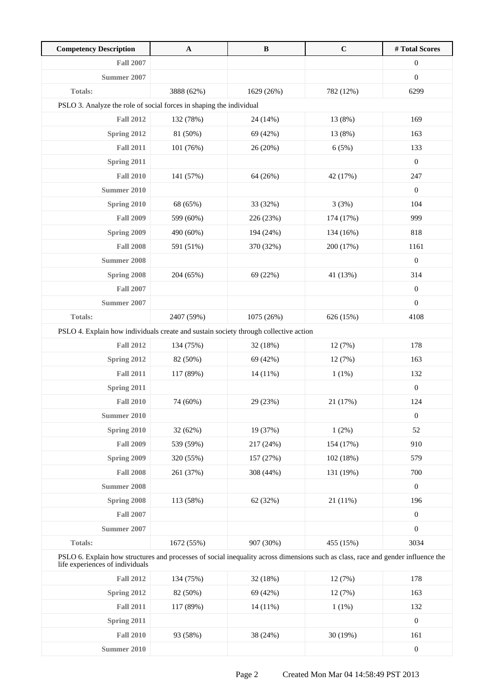| <b>Competency Description</b>                                                                                                                                       | $\mathbf A$ | $\, {\bf B}$ | $\mathbf C$ | #Total Scores    |  |
|---------------------------------------------------------------------------------------------------------------------------------------------------------------------|-------------|--------------|-------------|------------------|--|
| <b>Fall 2007</b>                                                                                                                                                    |             |              |             | $\boldsymbol{0}$ |  |
| Summer 2007                                                                                                                                                         |             |              |             | $\boldsymbol{0}$ |  |
| <b>Totals:</b>                                                                                                                                                      | 3888 (62%)  | 1629 (26%)   | 782 (12%)   | 6299             |  |
| PSLO 3. Analyze the role of social forces in shaping the individual                                                                                                 |             |              |             |                  |  |
| <b>Fall 2012</b>                                                                                                                                                    | 132 (78%)   | 24 (14%)     | 13 (8%)     | 169              |  |
| Spring 2012                                                                                                                                                         | 81 (50%)    | 69 (42%)     | 13 (8%)     | 163              |  |
| <b>Fall 2011</b>                                                                                                                                                    | 101 (76%)   | 26 (20%)     | 6(5%)       | 133              |  |
| Spring 2011                                                                                                                                                         |             |              |             | $\boldsymbol{0}$ |  |
| <b>Fall 2010</b>                                                                                                                                                    | 141 (57%)   | 64 (26%)     | 42 (17%)    | 247              |  |
| Summer 2010                                                                                                                                                         |             |              |             | $\boldsymbol{0}$ |  |
| Spring 2010                                                                                                                                                         | 68 (65%)    | 33 (32%)     | 3(3%)       | 104              |  |
| <b>Fall 2009</b>                                                                                                                                                    | 599 (60%)   | 226 (23%)    | 174 (17%)   | 999              |  |
| Spring 2009                                                                                                                                                         | 490 (60%)   | 194 (24%)    | 134 (16%)   | 818              |  |
| <b>Fall 2008</b>                                                                                                                                                    | 591 (51%)   | 370 (32%)    | 200 (17%)   | 1161             |  |
| <b>Summer 2008</b>                                                                                                                                                  |             |              |             | $\mathbf{0}$     |  |
| Spring 2008                                                                                                                                                         | 204 (65%)   | 69 (22%)     | 41 (13%)    | 314              |  |
| <b>Fall 2007</b>                                                                                                                                                    |             |              |             | $\boldsymbol{0}$ |  |
| <b>Summer 2007</b>                                                                                                                                                  |             |              |             | $\boldsymbol{0}$ |  |
| <b>Totals:</b>                                                                                                                                                      | 2407 (59%)  | 1075 (26%)   | 626 (15%)   | 4108             |  |
| PSLO 4. Explain how individuals create and sustain society through collective action                                                                                |             |              |             |                  |  |
| <b>Fall 2012</b>                                                                                                                                                    | 134 (75%)   | 32 (18%)     | 12(7%)      | 178              |  |
| Spring 2012                                                                                                                                                         | 82 (50%)    | 69 (42%)     | 12 (7%)     | 163              |  |
| <b>Fall 2011</b>                                                                                                                                                    | 117 (89%)   | 14 (11%)     | $1(1\%)$    | 132              |  |
| <b>Spring 2011</b>                                                                                                                                                  |             |              |             | $\boldsymbol{0}$ |  |
| <b>Fall 2010</b>                                                                                                                                                    | 74 (60%)    | 29 (23%)     | 21 (17%)    | 124              |  |
| <b>Summer 2010</b>                                                                                                                                                  |             |              |             | $\boldsymbol{0}$ |  |
| Spring 2010                                                                                                                                                         | 32 (62%)    | 19 (37%)     | 1(2%)       | 52               |  |
| <b>Fall 2009</b>                                                                                                                                                    | 539 (59%)   | 217 (24%)    | 154 (17%)   | 910              |  |
| Spring 2009                                                                                                                                                         | 320 (55%)   | 157 (27%)    | 102 (18%)   | 579              |  |
| <b>Fall 2008</b>                                                                                                                                                    | 261 (37%)   | 308 (44%)    | 131 (19%)   | 700              |  |
| <b>Summer 2008</b>                                                                                                                                                  |             |              |             | $\mathbf{0}$     |  |
| Spring 2008                                                                                                                                                         | 113 (58%)   | 62 (32%)     | 21 (11%)    | 196              |  |
| <b>Fall 2007</b>                                                                                                                                                    |             |              |             | $\boldsymbol{0}$ |  |
| <b>Summer 2007</b>                                                                                                                                                  |             |              |             | $\boldsymbol{0}$ |  |
| Totals:                                                                                                                                                             | 1672 (55%)  | 907 (30%)    | 455 (15%)   | 3034             |  |
| PSLO 6. Explain how structures and processes of social inequality across dimensions such as class, race and gender influence the<br>life experiences of individuals |             |              |             |                  |  |
| <b>Fall 2012</b>                                                                                                                                                    | 134 (75%)   | 32 (18%)     | 12 (7%)     | 178              |  |
| Spring 2012                                                                                                                                                         | 82 (50%)    | 69 (42%)     | 12(7%)      | 163              |  |
| <b>Fall 2011</b>                                                                                                                                                    | 117 (89%)   | 14 (11%)     | $1(1\%)$    | 132              |  |
| Spring 2011                                                                                                                                                         |             |              |             | $\mathbf{0}$     |  |
| <b>Fall 2010</b>                                                                                                                                                    | 93 (58%)    | 38 (24%)     | 30 (19%)    | 161              |  |
| <b>Summer 2010</b>                                                                                                                                                  |             |              |             | $\boldsymbol{0}$ |  |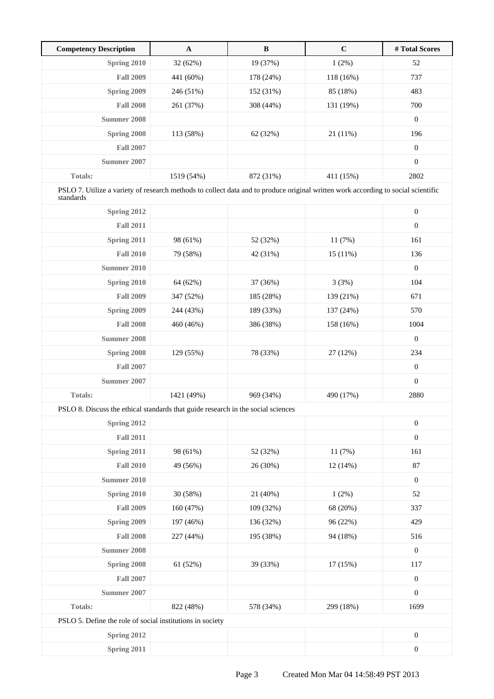| <b>Competency Description</b>                                                                                                                  | $\mathbf A$ | $\, {\bf B}$ | $\mathbf C$ | # Total Scores   |
|------------------------------------------------------------------------------------------------------------------------------------------------|-------------|--------------|-------------|------------------|
| Spring 2010                                                                                                                                    | 32 (62%)    | 19 (37%)     | 1(2%)       | 52               |
| <b>Fall 2009</b>                                                                                                                               | 441 (60%)   | 178 (24%)    | 118 (16%)   | 737              |
| Spring 2009                                                                                                                                    | 246 (51%)   | 152 (31%)    | 85 (18%)    | 483              |
| <b>Fall 2008</b>                                                                                                                               | 261 (37%)   | 308 (44%)    | 131 (19%)   | 700              |
| <b>Summer 2008</b>                                                                                                                             |             |              |             | $\boldsymbol{0}$ |
| Spring 2008                                                                                                                                    | 113 (58%)   | 62 (32%)     | 21 (11%)    | 196              |
| <b>Fall 2007</b>                                                                                                                               |             |              |             | $\boldsymbol{0}$ |
| Summer 2007                                                                                                                                    |             |              |             | $\boldsymbol{0}$ |
| <b>Totals:</b>                                                                                                                                 | 1519 (54%)  | 872 (31%)    | 411 (15%)   | 2802             |
| PSLO 7. Utilize a variety of research methods to collect data and to produce original written work according to social scientific<br>standards |             |              |             |                  |
| Spring 2012                                                                                                                                    |             |              |             | $\boldsymbol{0}$ |
| <b>Fall 2011</b>                                                                                                                               |             |              |             | $\boldsymbol{0}$ |
| Spring 2011                                                                                                                                    | 98 (61%)    | 52 (32%)     | 11(7%)      | 161              |
| <b>Fall 2010</b>                                                                                                                               | 79 (58%)    | 42 (31%)     | 15(11%)     | 136              |
| Summer 2010                                                                                                                                    |             |              |             | $\boldsymbol{0}$ |
| Spring 2010                                                                                                                                    | 64 (62%)    | 37 (36%)     | 3(3%)       | 104              |
| <b>Fall 2009</b>                                                                                                                               | 347 (52%)   | 185 (28%)    | 139 (21%)   | 671              |
| Spring 2009                                                                                                                                    | 244 (43%)   | 189 (33%)    | 137 (24%)   | 570              |
| <b>Fall 2008</b>                                                                                                                               | 460 (46%)   | 386 (38%)    | 158 (16%)   | 1004             |
| Summer 2008                                                                                                                                    |             |              |             | $\boldsymbol{0}$ |
| Spring 2008                                                                                                                                    | 129 (55%)   | 78 (33%)     | 27 (12%)    | 234              |
| <b>Fall 2007</b>                                                                                                                               |             |              |             | $\boldsymbol{0}$ |
| <b>Summer 2007</b>                                                                                                                             |             |              |             | $\boldsymbol{0}$ |
| <b>Totals:</b>                                                                                                                                 | 1421 (49%)  | 969 (34%)    | 490 (17%)   | 2880             |
| PSLO 8. Discuss the ethical standards that guide research in the social sciences                                                               |             |              |             |                  |
| Spring 2012                                                                                                                                    |             |              |             | $\boldsymbol{0}$ |
| <b>Fall 2011</b>                                                                                                                               |             |              |             | $\boldsymbol{0}$ |
| Spring 2011                                                                                                                                    | 98 (61%)    | 52 (32%)     | 11 (7%)     | 161              |
| <b>Fall 2010</b>                                                                                                                               | 49 (56%)    | 26 (30%)     | 12(14%)     | 87               |
| <b>Summer 2010</b>                                                                                                                             |             |              |             | $\boldsymbol{0}$ |
| Spring 2010                                                                                                                                    | 30 (58%)    | 21 (40%)     | 1(2%)       | 52               |
| <b>Fall 2009</b>                                                                                                                               | 160 (47%)   | 109 (32%)    | 68 (20%)    | 337              |
| <b>Spring 2009</b>                                                                                                                             | 197 (46%)   | 136 (32%)    | 96 (22%)    | 429              |
| <b>Fall 2008</b>                                                                                                                               | 227 (44%)   | 195 (38%)    | 94 (18%)    | 516              |
| <b>Summer 2008</b>                                                                                                                             |             |              |             | $\boldsymbol{0}$ |
| Spring 2008                                                                                                                                    | 61 (52%)    | 39 (33%)     | 17(15%)     | 117              |
| <b>Fall 2007</b>                                                                                                                               |             |              |             | $\boldsymbol{0}$ |
| <b>Summer 2007</b>                                                                                                                             |             |              |             | $\boldsymbol{0}$ |
| Totals:                                                                                                                                        | 822 (48%)   | 578 (34%)    | 299 (18%)   | 1699             |
| PSLO 5. Define the role of social institutions in society                                                                                      |             |              |             |                  |
| Spring 2012                                                                                                                                    |             |              |             | $\boldsymbol{0}$ |
| <b>Spring 2011</b>                                                                                                                             |             |              |             | $\boldsymbol{0}$ |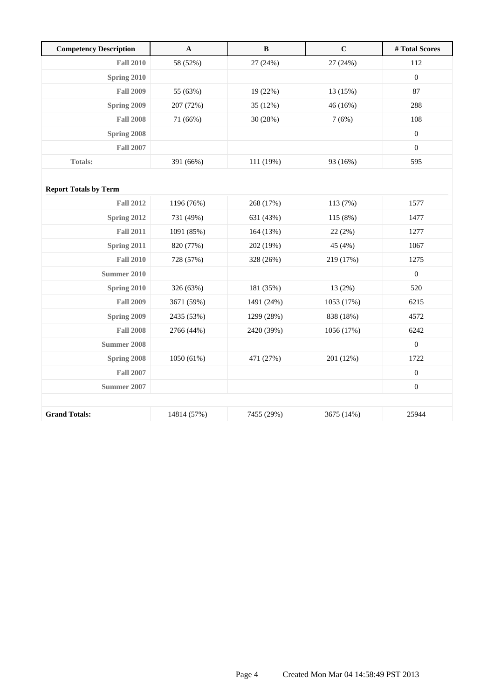| <b>Competency Description</b> | $\mathbf A$ | $\, {\bf B}$ | $\mathbf C$ | #Total Scores    |
|-------------------------------|-------------|--------------|-------------|------------------|
| <b>Fall 2010</b>              | 58 (52%)    | 27 (24%)     | 27 (24%)    | 112              |
| Spring 2010                   |             |              |             | $\boldsymbol{0}$ |
| <b>Fall 2009</b>              | 55 (63%)    | 19 (22%)     | 13 (15%)    | 87               |
| Spring 2009                   | 207 (72%)   | 35 (12%)     | 46 (16%)    | 288              |
| <b>Fall 2008</b>              | 71 (66%)    | 30 (28%)     | 7(6%)       | 108              |
| Spring 2008                   |             |              |             | $\boldsymbol{0}$ |
| <b>Fall 2007</b>              |             |              |             | $\mathbf{0}$     |
| <b>Totals:</b>                | 391 (66%)   | 111 (19%)    | 93 (16%)    | 595              |
|                               |             |              |             |                  |
| <b>Report Totals by Term</b>  |             |              |             |                  |
| <b>Fall 2012</b>              | 1196 (76%)  | 268 (17%)    | 113 (7%)    | 1577             |
| Spring 2012                   | 731 (49%)   | 631 (43%)    | 115 (8%)    | 1477             |
| <b>Fall 2011</b>              | 1091 (85%)  | 164 (13%)    | 22(2%)      | 1277             |
| Spring 2011                   | 820 (77%)   | 202 (19%)    | 45 (4%)     | 1067             |
| <b>Fall 2010</b>              | 728 (57%)   | 328 (26%)    | 219 (17%)   | 1275             |
| <b>Summer 2010</b>            |             |              |             | $\mathbf{0}$     |
| Spring 2010                   | 326 (63%)   | 181 (35%)    | 13 (2%)     | 520              |
| <b>Fall 2009</b>              | 3671 (59%)  | 1491 (24%)   | 1053 (17%)  | 6215             |
| Spring 2009                   | 2435 (53%)  | 1299 (28%)   | 838 (18%)   | 4572             |
| <b>Fall 2008</b>              | 2766 (44%)  | 2420 (39%)   | 1056 (17%)  | 6242             |
| <b>Summer 2008</b>            |             |              |             | $\boldsymbol{0}$ |
| Spring 2008                   | 1050 (61%)  | 471 (27%)    | 201 (12%)   | 1722             |
| <b>Fall 2007</b>              |             |              |             | $\boldsymbol{0}$ |
| Summer 2007                   |             |              |             | $\boldsymbol{0}$ |
|                               |             |              |             |                  |
| <b>Grand Totals:</b>          | 14814 (57%) | 7455 (29%)   | 3675 (14%)  | 25944            |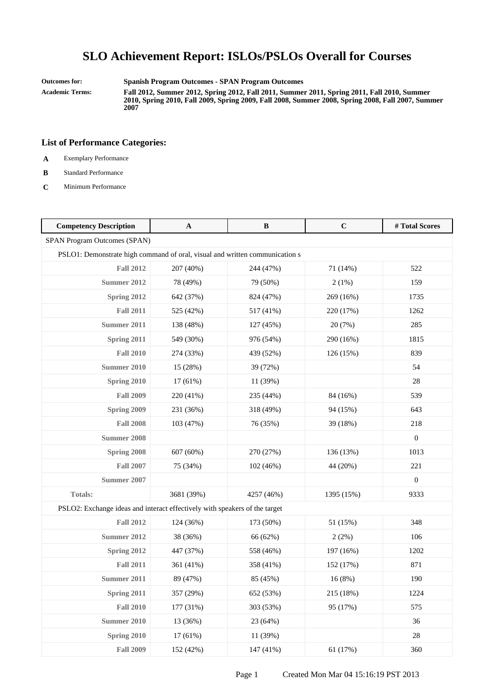**Outcomes for: Spanish Program Outcomes - SPAN Program Outcomes**

**Academic Terms: Fall 2012, Summer 2012, Spring 2012, Fall 2011, Summer 2011, Spring 2011, Fall 2010, Summer 2010, Spring 2010, Fall 2009, Spring 2009, Fall 2008, Summer 2008, Spring 2008, Fall 2007, Summer 2007**

- **A** Exemplary Performance
- **B** Standard Performance
- **C** Minimum Performance

| <b>Competency Description</b>                                               | A          | B          | $\mathbf C$ | #Total Scores    |
|-----------------------------------------------------------------------------|------------|------------|-------------|------------------|
| SPAN Program Outcomes (SPAN)                                                |            |            |             |                  |
| PSLO1: Demonstrate high command of oral, visual and written communication s |            |            |             |                  |
| <b>Fall 2012</b>                                                            | 207 (40%)  | 244 (47%)  | 71 (14%)    | 522              |
| <b>Summer 2012</b>                                                          | 78 (49%)   | 79 (50%)   | 2(1%)       | 159              |
| Spring 2012                                                                 | 642 (37%)  | 824 (47%)  | 269 (16%)   | 1735             |
| <b>Fall 2011</b>                                                            | 525 (42%)  | 517 (41%)  | 220 (17%)   | 1262             |
| <b>Summer 2011</b>                                                          | 138 (48%)  | 127 (45%)  | 20 (7%)     | 285              |
| Spring 2011                                                                 | 549 (30%)  | 976 (54%)  | 290 (16%)   | 1815             |
| <b>Fall 2010</b>                                                            | 274 (33%)  | 439 (52%)  | 126 (15%)   | 839              |
| <b>Summer 2010</b>                                                          | 15 (28%)   | 39 (72%)   |             | 54               |
| Spring 2010                                                                 | 17 (61%)   | 11 (39%)   |             | 28               |
| <b>Fall 2009</b>                                                            | 220 (41%)  | 235 (44%)  | 84 (16%)    | 539              |
| Spring 2009                                                                 | 231 (36%)  | 318 (49%)  | 94 (15%)    | 643              |
| <b>Fall 2008</b>                                                            | 103 (47%)  | 76 (35%)   | 39 (18%)    | 218              |
| <b>Summer 2008</b>                                                          |            |            |             | $\boldsymbol{0}$ |
| Spring 2008                                                                 | 607 (60%)  | 270 (27%)  | 136 (13%)   | 1013             |
| <b>Fall 2007</b>                                                            | 75 (34%)   | 102 (46%)  | 44 (20%)    | 221              |
| Summer 2007                                                                 |            |            |             | $\boldsymbol{0}$ |
| Totals:                                                                     | 3681 (39%) | 4257 (46%) | 1395 (15%)  | 9333             |
| PSLO2: Exchange ideas and interact effectively with speakers of the target  |            |            |             |                  |
| <b>Fall 2012</b>                                                            | 124 (36%)  | 173 (50%)  | 51 (15%)    | 348              |
| <b>Summer 2012</b>                                                          | 38 (36%)   | 66 (62%)   | 2(2%)       | 106              |
| Spring 2012                                                                 | 447 (37%)  | 558 (46%)  | 197 (16%)   | 1202             |
| <b>Fall 2011</b>                                                            | 361 (41%)  | 358 (41%)  | 152 (17%)   | 871              |
| <b>Summer 2011</b>                                                          | 89 (47%)   | 85 (45%)   | 16(8%)      | 190              |
| Spring 2011                                                                 | 357 (29%)  | 652 (53%)  | 215 (18%)   | 1224             |
| <b>Fall 2010</b>                                                            | 177 (31%)  | 303 (53%)  | 95 (17%)    | 575              |
| <b>Summer 2010</b>                                                          | 13 (36%)   | 23 (64%)   |             | 36               |
| Spring 2010                                                                 | 17 (61%)   | 11 (39%)   |             | $28\,$           |
| <b>Fall 2009</b>                                                            | 152 (42%)  | 147 (41%)  | 61 (17%)    | 360              |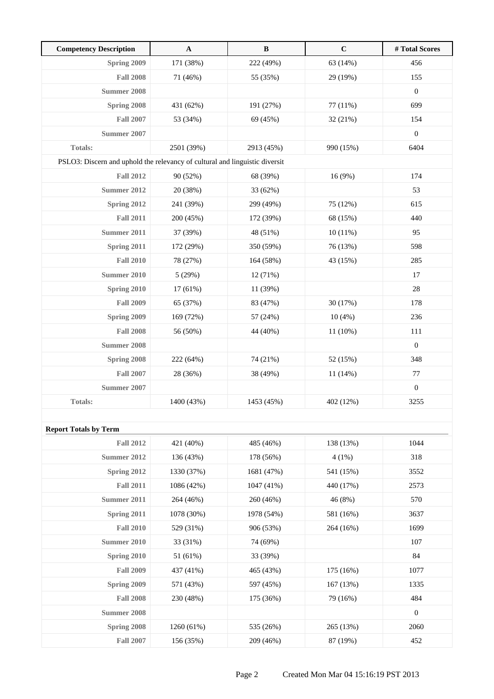| <b>Competency Description</b>                                               | $\mathbf{A}$ | $\, {\bf B}$ | $\mathbf C$ | # Total Scores   |
|-----------------------------------------------------------------------------|--------------|--------------|-------------|------------------|
| Spring 2009                                                                 | 171 (38%)    | 222 (49%)    | 63 (14%)    | 456              |
| <b>Fall 2008</b>                                                            | 71 (46%)     | 55 (35%)     | 29 (19%)    | 155              |
| <b>Summer 2008</b>                                                          |              |              |             | $\boldsymbol{0}$ |
| Spring 2008                                                                 | 431 (62%)    | 191 (27%)    | 77 (11%)    | 699              |
| <b>Fall 2007</b>                                                            | 53 (34%)     | 69 (45%)     | 32(21%)     | 154              |
| <b>Summer 2007</b>                                                          |              |              |             | $\boldsymbol{0}$ |
| Totals:                                                                     | 2501 (39%)   | 2913 (45%)   | 990 (15%)   | 6404             |
| PSLO3: Discern and uphold the relevancy of cultural and linguistic diversit |              |              |             |                  |
| <b>Fall 2012</b>                                                            | 90 (52%)     | 68 (39%)     | 16 (9%)     | 174              |
| <b>Summer 2012</b>                                                          | 20 (38%)     | 33 (62%)     |             | 53               |
| Spring 2012                                                                 | 241 (39%)    | 299 (49%)    | 75 (12%)    | 615              |
| <b>Fall 2011</b>                                                            | 200 (45%)    | 172 (39%)    | 68 (15%)    | 440              |
| <b>Summer 2011</b>                                                          | 37 (39%)     | 48 (51%)     | 10(11%)     | 95               |
| Spring 2011                                                                 | 172 (29%)    | 350 (59%)    | 76 (13%)    | 598              |
| <b>Fall 2010</b>                                                            | 78 (27%)     | 164 (58%)    | 43 (15%)    | 285              |
| <b>Summer 2010</b>                                                          | 5(29%)       | 12 (71%)     |             | 17               |
| <b>Spring 2010</b>                                                          | 17 (61%)     | 11 (39%)     |             | $28\,$           |
| <b>Fall 2009</b>                                                            | 65 (37%)     | 83 (47%)     | 30 (17%)    | 178              |
| Spring 2009                                                                 | 169 (72%)    | 57 (24%)     | 10(4%)      | 236              |
| <b>Fall 2008</b>                                                            | 56 (50%)     | 44 (40%)     | 11 (10%)    | 111              |
| <b>Summer 2008</b>                                                          |              |              |             | $\mathbf{0}$     |
| Spring 2008                                                                 | 222 (64%)    | 74 (21%)     | 52 (15%)    | 348              |
| <b>Fall 2007</b>                                                            | 28 (36%)     | 38 (49%)     | $11(14\%)$  | 77               |
| <b>Summer 2007</b>                                                          |              |              |             | $\boldsymbol{0}$ |
| <b>Totals:</b>                                                              | 1400 (43%)   | 1453 (45%)   | 402 (12%)   | 3255             |
|                                                                             |              |              |             |                  |
| <b>Report Totals by Term</b>                                                |              |              |             |                  |
| <b>Fall 2012</b>                                                            | 421 (40%)    | 485 (46%)    | 138 (13%)   | 1044             |
| <b>Summer 2012</b>                                                          | 136 (43%)    | 178 (56%)    | $4(1\%)$    | 318              |
| Spring 2012                                                                 | 1330 (37%)   | 1681 (47%)   | 541 (15%)   | 3552             |
| <b>Fall 2011</b>                                                            | 1086 (42%)   | $1047(41\%)$ | 440 (17%)   | 2573             |
| <b>Summer 2011</b>                                                          | 264 (46%)    | 260 (46%)    | 46 (8%)     | 570              |
| Spring 2011                                                                 | 1078 (30%)   | 1978 (54%)   | 581 (16%)   | 3637             |
| <b>Fall 2010</b>                                                            | 529 (31%)    | 906 (53%)    | 264 (16%)   | 1699             |
| <b>Summer 2010</b>                                                          | 33 (31%)     | 74 (69%)     |             | 107              |
| Spring 2010                                                                 | 51 (61%)     | 33 (39%)     |             | 84               |
| <b>Fall 2009</b>                                                            | 437 (41%)    | 465 (43%)    | 175 (16%)   | 1077             |
| Spring 2009                                                                 | 571 (43%)    | 597 (45%)    | 167 (13%)   | 1335             |
| <b>Fall 2008</b>                                                            | 230 (48%)    | 175 (36%)    | 79 (16%)    | 484              |
| <b>Summer 2008</b>                                                          |              |              |             | $\mathbf{0}$     |
| Spring 2008                                                                 | 1260 (61%)   | 535 (26%)    | 265 (13%)   | 2060             |
| <b>Fall 2007</b>                                                            | 156 (35%)    | 209 (46%)    | 87 (19%)    | 452              |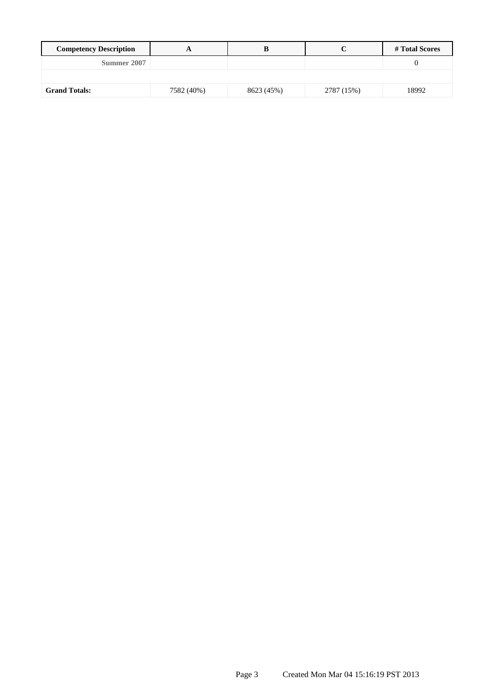| <b>Competency Description</b> |            |            |            | # Total Scores |
|-------------------------------|------------|------------|------------|----------------|
| Summer 2007                   |            |            |            |                |
|                               |            |            |            |                |
| <b>Grand Totals:</b>          | 7582 (40%) | 8623 (45%) | 2787 (15%) | 18992          |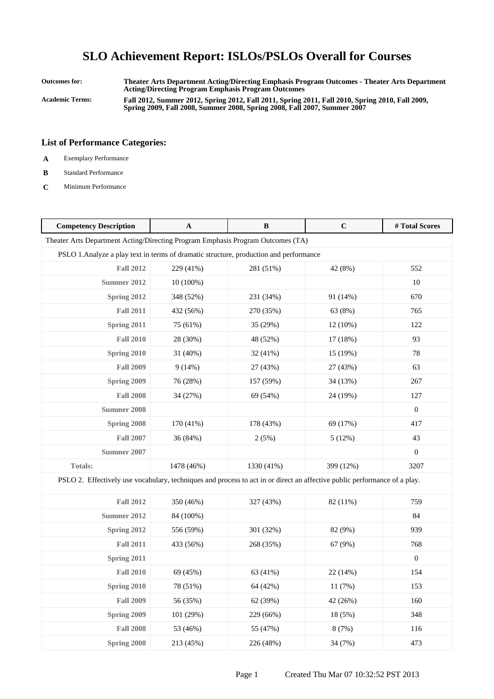## **SLO Achievement Report: ISLOs/PSLOs Overall for Courses**

**Outcomes for: Theater Arts Department Acting/Directing Emphasis Program Outcomes - Theater Arts Department Acting/Directing Program Emphasis Program Outcomes Academic Terms: Fall 2012, Summer 2012, Spring 2012, Fall 2011, Spring 2011, Fall 2010, Spring 2010, Fall 2009, Spring 2009, Fall 2008, Summer 2008, Spring 2008, Fall 2007, Summer 2007**

#### **List of Performance Categories:**

- **A** Exemplary Performance
- **B** Standard Performance
- **C** Minimum Performance

| <b>Competency Description</b>                                                                                             | $\mathbf{A}$ | B          | $\mathbf C$ | # Total Scores   |  |
|---------------------------------------------------------------------------------------------------------------------------|--------------|------------|-------------|------------------|--|
| Theater Arts Department Acting/Directing Program Emphasis Program Outcomes (TA)                                           |              |            |             |                  |  |
| PSLO 1. Analyze a play text in terms of dramatic structure, production and performance                                    |              |            |             |                  |  |
| <b>Fall 2012</b>                                                                                                          | 229 (41%)    | 281 (51%)  | 42 (8%)     | 552              |  |
| Summer 2012                                                                                                               | $10(100\%)$  |            |             | 10               |  |
| Spring 2012                                                                                                               | 348 (52%)    | 231 (34%)  | 91 (14%)    | 670              |  |
| <b>Fall 2011</b>                                                                                                          | 432 (56%)    | 270 (35%)  | 63 (8%)     | 765              |  |
| Spring 2011                                                                                                               | 75 (61%)     | 35 (29%)   | $12(10\%)$  | 122              |  |
| <b>Fall 2010</b>                                                                                                          | 28 (30%)     | 48 (52%)   | 17 (18%)    | 93               |  |
| Spring 2010                                                                                                               | 31 (40%)     | 32 (41%)   | 15 (19%)    | 78               |  |
| <b>Fall 2009</b>                                                                                                          | 9(14%)       | 27 (43%)   | 27 (43%)    | 63               |  |
| Spring 2009                                                                                                               | 76 (28%)     | 157 (59%)  | 34 (13%)    | 267              |  |
| <b>Fall 2008</b>                                                                                                          | 34 (27%)     | 69 (54%)   | 24 (19%)    | 127              |  |
| <b>Summer 2008</b>                                                                                                        |              |            |             | $\overline{0}$   |  |
| Spring 2008                                                                                                               | 170 (41%)    | 178 (43%)  | 69 (17%)    | 417              |  |
| <b>Fall 2007</b>                                                                                                          | 36 (84%)     | 2(5%)      | 5(12%)      | 43               |  |
| <b>Summer 2007</b>                                                                                                        |              |            |             | $\boldsymbol{0}$ |  |
| <b>Totals:</b>                                                                                                            | 1478 (46%)   | 1330 (41%) | 399 (12%)   | 3207             |  |
| PSLO 2. Effectively use vocabulary, techniques and process to act in or direct an affective public performance of a play. |              |            |             |                  |  |
| <b>Fall 2012</b>                                                                                                          | 350 (46%)    | 327 (43%)  | 82 (11%)    | 759              |  |
| <b>Summer 2012</b>                                                                                                        | 84 (100%)    |            |             | 84               |  |
| Spring 2012                                                                                                               | 556 (59%)    | 301 (32%)  | 82 (9%)     | 939              |  |
| <b>Fall 2011</b>                                                                                                          | 433 (56%)    | 268 (35%)  | 67 (9%)     | 768              |  |
| Spring 2011                                                                                                               |              |            |             | $\boldsymbol{0}$ |  |
| <b>Fall 2010</b>                                                                                                          | 69 (45%)     | 63 (41%)   | 22 (14%)    | 154              |  |
| Spring 2010                                                                                                               | 78 (51%)     | 64 (42%)   | 11(7%)      | 153              |  |
| <b>Fall 2009</b>                                                                                                          | 56 (35%)     | 62 (39%)   | 42 (26%)    | 160              |  |
| Spring 2009                                                                                                               | 101 (29%)    | 229 (66%)  | 18 (5%)     | 348              |  |
| <b>Fall 2008</b>                                                                                                          | 53 (46%)     | 55 (47%)   | 8 (7%)      | 116              |  |
| Spring 2008                                                                                                               | 213 (45%)    | 226 (48%)  | 34 (7%)     | 473              |  |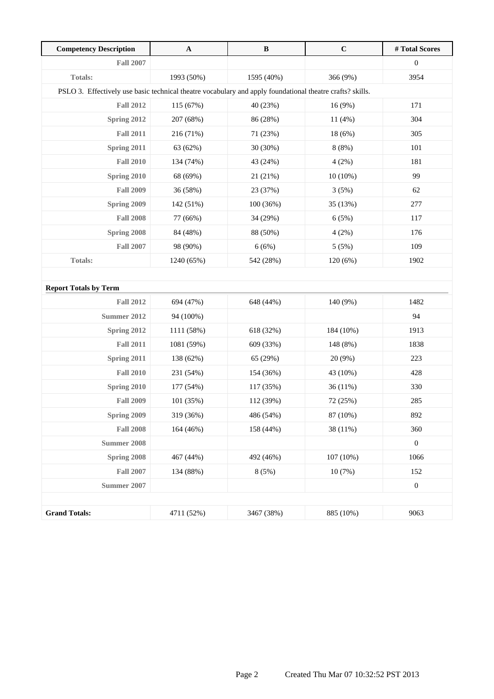| <b>Competency Description</b>                                                                             | $\mathbf{A}$ | $\, {\bf B}$ | $\mathbf C$ | # Total Scores   |  |
|-----------------------------------------------------------------------------------------------------------|--------------|--------------|-------------|------------------|--|
| <b>Fall 2007</b>                                                                                          |              |              |             | $\boldsymbol{0}$ |  |
| <b>Totals:</b>                                                                                            | 1993 (50%)   | 1595 (40%)   | 366 (9%)    | 3954             |  |
| PSLO 3. Effectively use basic technical theatre vocabulary and apply foundational theatre crafts? skills. |              |              |             |                  |  |
| <b>Fall 2012</b>                                                                                          | 115 (67%)    | 40 (23%)     | 16 (9%)     | 171              |  |
| Spring 2012                                                                                               | 207 (68%)    | 86 (28%)     | 11 (4%)     | 304              |  |
| <b>Fall 2011</b>                                                                                          | 216 (71%)    | 71 (23%)     | 18 (6%)     | 305              |  |
| Spring 2011                                                                                               | 63 (62%)     | 30 (30%)     | 8(8%)       | 101              |  |
| <b>Fall 2010</b>                                                                                          | 134 (74%)    | 43 (24%)     | 4(2%)       | 181              |  |
| Spring 2010                                                                                               | 68 (69%)     | 21 (21%)     | $10(10\%)$  | 99               |  |
| <b>Fall 2009</b>                                                                                          | 36 (58%)     | 23 (37%)     | 3(5%)       | 62               |  |
| Spring 2009                                                                                               | 142 (51%)    | 100 (36%)    | 35 (13%)    | 277              |  |
| <b>Fall 2008</b>                                                                                          | 77 (66%)     | 34 (29%)     | 6(5%)       | 117              |  |
| Spring 2008                                                                                               | 84 (48%)     | 88 (50%)     | 4(2%)       | 176              |  |
| <b>Fall 2007</b>                                                                                          | 98 (90%)     | 6(6%)        | 5(5%)       | 109              |  |
| <b>Totals:</b>                                                                                            | 1240 (65%)   | 542 (28%)    | 120(6%)     | 1902             |  |
|                                                                                                           |              |              |             |                  |  |
| <b>Report Totals by Term</b>                                                                              |              |              |             |                  |  |
| <b>Fall 2012</b>                                                                                          | 694 (47%)    | 648 (44%)    | 140 (9%)    | 1482             |  |
| <b>Summer 2012</b>                                                                                        | 94 (100%)    |              |             | 94               |  |
| Spring 2012                                                                                               | 1111 (58%)   | 618 (32%)    | 184 (10%)   | 1913             |  |
| <b>Fall 2011</b>                                                                                          | 1081 (59%)   | 609 (33%)    | 148 (8%)    | 1838             |  |
| <b>Spring 2011</b>                                                                                        | 138 (62%)    | 65 (29%)     | 20 (9%)     | 223              |  |
| <b>Fall 2010</b>                                                                                          | 231 (54%)    | 154 (36%)    | 43 (10%)    | 428              |  |
| Spring 2010                                                                                               | 177 (54%)    | 117 (35%)    | 36(11%)     | 330              |  |
| <b>Fall 2009</b>                                                                                          | 101 (35%)    | 112 (39%)    | 72 (25%)    | 285              |  |
| Spring 2009                                                                                               | 319 (36%)    | 486 (54%)    | 87 (10%)    | 892              |  |
| <b>Fall 2008</b>                                                                                          | 164 (46%)    | 158 (44%)    | 38 (11%)    | 360              |  |
| <b>Summer 2008</b>                                                                                        |              |              |             | $\boldsymbol{0}$ |  |
| Spring 2008                                                                                               | 467 (44%)    | 492 (46%)    | 107(10%)    | 1066             |  |
| <b>Fall 2007</b>                                                                                          | 134 (88%)    | 8(5%)        | 10(7%)      | 152              |  |
| <b>Summer 2007</b>                                                                                        |              |              |             | $\boldsymbol{0}$ |  |
|                                                                                                           |              |              |             |                  |  |
| <b>Grand Totals:</b>                                                                                      | 4711 (52%)   | 3467 (38%)   | 885 (10%)   | 9063             |  |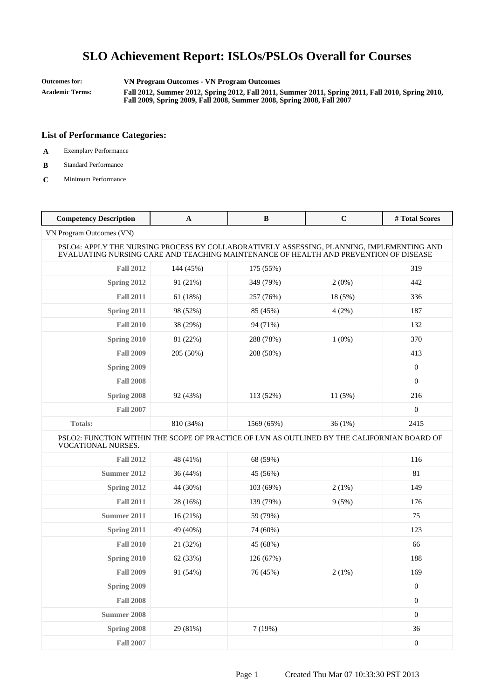## **SLO Achievement Report: ISLOs/PSLOs Overall for Courses**

**Outcomes for: VN Program Outcomes - VN Program Outcomes Academic Terms: Fall 2012, Summer 2012, Spring 2012, Fall 2011, Summer 2011, Spring 2011, Fall 2010, Spring 2010, Fall 2009, Spring 2009, Fall 2008, Summer 2008, Spring 2008, Fall 2007**

#### **List of Performance Categories:**

- **A** Exemplary Performance
- **B** Standard Performance
- **C** Minimum Performance

| <b>Competency Description</b>                                                                                                                                                     | $\mathbf A$ | B          | $\mathbf C$ | #Total Scores    |  |
|-----------------------------------------------------------------------------------------------------------------------------------------------------------------------------------|-------------|------------|-------------|------------------|--|
| VN Program Outcomes (VN)                                                                                                                                                          |             |            |             |                  |  |
| PSLO4: APPLY THE NURSING PROCESS BY COLLABORATIVELY ASSESSING, PLANNING, IMPLEMENTING AND<br>EVALUATING NURSING CARE AND TEACHING MAINTENANCE OF HEALTH AND PREVENTION OF DISEASE |             |            |             |                  |  |
| <b>Fall 2012</b>                                                                                                                                                                  | 144 (45%)   | 175 (55%)  |             | 319              |  |
| Spring 2012                                                                                                                                                                       | 91 (21%)    | 349 (79%)  | 2(0%)       | 442              |  |
| <b>Fall 2011</b>                                                                                                                                                                  | 61 (18%)    | 257 (76%)  | 18 (5%)     | 336              |  |
| Spring 2011                                                                                                                                                                       | 98 (52%)    | 85 (45%)   | 4(2%)       | 187              |  |
| <b>Fall 2010</b>                                                                                                                                                                  | 38 (29%)    | 94 (71%)   |             | 132              |  |
| Spring 2010                                                                                                                                                                       | 81 (22%)    | 288 (78%)  | $1(0\%)$    | 370              |  |
| <b>Fall 2009</b>                                                                                                                                                                  | 205 (50%)   | 208 (50%)  |             | 413              |  |
| Spring 2009                                                                                                                                                                       |             |            |             | $\boldsymbol{0}$ |  |
| <b>Fall 2008</b>                                                                                                                                                                  |             |            |             | $\boldsymbol{0}$ |  |
| Spring 2008                                                                                                                                                                       | 92 (43%)    | 113 (52%)  | 11(5%)      | 216              |  |
| <b>Fall 2007</b>                                                                                                                                                                  |             |            |             | $\overline{0}$   |  |
| <b>Totals:</b>                                                                                                                                                                    | 810 (34%)   | 1569 (65%) | 36(1%)      | 2415             |  |
| PSLO2: FUNCTION WITHIN THE SCOPE OF PRACTICE OF LVN AS OUTLINED BY THE CALIFORNIAN BOARD OF<br><b>VOCATIONAL NURSES.</b>                                                          |             |            |             |                  |  |
| <b>Fall 2012</b>                                                                                                                                                                  | 48 (41%)    | 68 (59%)   |             | 116              |  |
| <b>Summer 2012</b>                                                                                                                                                                | 36(44%)     | 45 (56%)   |             | 81               |  |
| Spring 2012                                                                                                                                                                       | 44 (30%)    | 103 (69%)  | $2(1\%)$    | 149              |  |
| <b>Fall 2011</b>                                                                                                                                                                  | 28 (16%)    | 139 (79%)  | 9(5%)       | 176              |  |
| Summer 2011                                                                                                                                                                       | 16(21%)     | 59 (79%)   |             | 75               |  |
| Spring 2011                                                                                                                                                                       | 49 (40%)    | 74 (60%)   |             | 123              |  |
| <b>Fall 2010</b>                                                                                                                                                                  | 21 (32%)    | 45 (68%)   |             | 66               |  |
| Spring 2010                                                                                                                                                                       | 62 (33%)    | 126 (67%)  |             | 188              |  |
| <b>Fall 2009</b>                                                                                                                                                                  | 91 (54%)    | 76 (45%)   | 2(1%)       | 169              |  |
| <b>Spring 2009</b>                                                                                                                                                                |             |            |             | $\boldsymbol{0}$ |  |
| <b>Fall 2008</b>                                                                                                                                                                  |             |            |             | $\boldsymbol{0}$ |  |
| <b>Summer 2008</b>                                                                                                                                                                |             |            |             | $\boldsymbol{0}$ |  |
| <b>Spring 2008</b>                                                                                                                                                                | 29 (81%)    | 7(19%)     |             | 36               |  |
| <b>Fall 2007</b>                                                                                                                                                                  |             |            |             | $\boldsymbol{0}$ |  |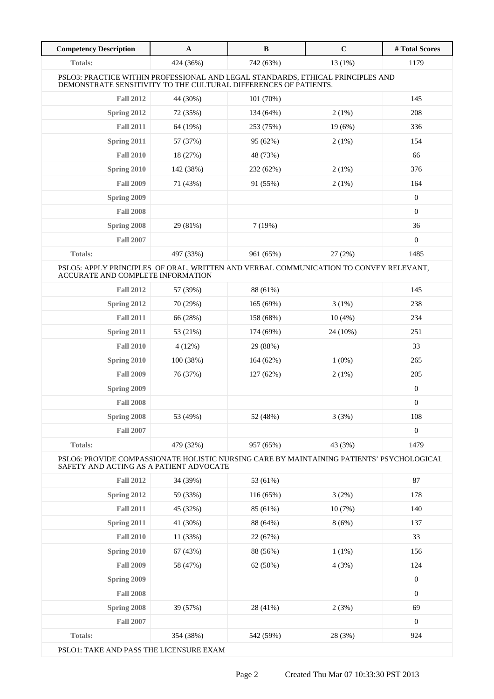| <b>Competency Description</b>                                                                                                                       | $\mathbf{A}$ | $\, {\bf B}$ | $\mathbf C$ | # Total Scores   |
|-----------------------------------------------------------------------------------------------------------------------------------------------------|--------------|--------------|-------------|------------------|
| <b>Totals:</b>                                                                                                                                      | 424 (36%)    | 742 (63%)    | 13 (1%)     | 1179             |
| PSLO3: PRACTICE WITHIN PROFESSIONAL AND LEGAL STANDARDS, ETHICAL PRINCIPLES AND<br>DEMONSTRATE SENSITIVITY TO THE CULTURAL DIFFERENCES OF PATIENTS. |              |              |             |                  |
| <b>Fall 2012</b>                                                                                                                                    | 44 (30%)     | 101 (70%)    |             | 145              |
| Spring 2012                                                                                                                                         | 72 (35%)     | 134 (64%)    | 2(1%)       | 208              |
| <b>Fall 2011</b>                                                                                                                                    | 64 (19%)     | 253 (75%)    | 19 (6%)     | 336              |
| Spring 2011                                                                                                                                         | 57 (37%)     | 95 (62%)     | $2(1\%)$    | 154              |
| <b>Fall 2010</b>                                                                                                                                    | 18 (27%)     | 48 (73%)     |             | 66               |
| Spring 2010                                                                                                                                         | 142 (38%)    | 232 (62%)    | 2(1%)       | 376              |
| <b>Fall 2009</b>                                                                                                                                    | 71 (43%)     | 91 (55%)     | 2(1%)       | 164              |
| Spring 2009                                                                                                                                         |              |              |             | $\mathbf{0}$     |
| <b>Fall 2008</b>                                                                                                                                    |              |              |             | $\mathbf{0}$     |
| Spring 2008                                                                                                                                         | 29 (81%)     | 7(19%)       |             | 36               |
| <b>Fall 2007</b>                                                                                                                                    |              |              |             | $\theta$         |
| Totals:                                                                                                                                             | 497 (33%)    | 961 (65%)    | 27(2%)      | 1485             |
| PSLO5: APPLY PRINCIPLES OF ORAL, WRITTEN AND VERBAL COMMUNICATION TO CONVEY RELEVANT,<br>ACCURATE AND COMPLETE INFORMATION                          |              |              |             |                  |
| <b>Fall 2012</b>                                                                                                                                    | 57 (39%)     | 88 (61%)     |             | 145              |
| Spring 2012                                                                                                                                         | 70 (29%)     | 165 (69%)    | 3(1%)       | 238              |
| <b>Fall 2011</b>                                                                                                                                    | 66 (28%)     | 158 (68%)    | 10(4%)      | 234              |
| Spring 2011                                                                                                                                         | 53 (21%)     | 174 (69%)    | 24 (10%)    | 251              |
| <b>Fall 2010</b>                                                                                                                                    | 4(12%)       | 29 (88%)     |             | 33               |
| Spring 2010                                                                                                                                         | 100 (38%)    | 164(62%)     | $1(0\%)$    | 265              |
| <b>Fall 2009</b>                                                                                                                                    | 76 (37%)     | 127(62%)     | 2(1%)       | 205              |
| Spring 2009                                                                                                                                         |              |              |             | $\boldsymbol{0}$ |
| <b>Fall 2008</b>                                                                                                                                    |              |              |             | $\boldsymbol{0}$ |
| Spring 2008                                                                                                                                         | 53 (49%)     | 52 (48%)     | 3(3%)       | 108              |
| <b>Fall 2007</b>                                                                                                                                    |              |              |             | $\boldsymbol{0}$ |
| <b>Totals:</b>                                                                                                                                      | 479 (32%)    | 957 (65%)    | 43 (3%)     | 1479             |
| PSLO6: PROVIDE COMPASSIONATE HOLISTIC NURSING CARE BY MAINTAINING PATIENTS' PSYCHOLOGICAL<br>SAFETY AND ACTING AS A PATIENT ADVOCATE                |              |              |             |                  |
| <b>Fall 2012</b>                                                                                                                                    | 34 (39%)     | 53 (61%)     |             | 87               |
| Spring 2012                                                                                                                                         | 59 (33%)     | 116(65%)     | 3(2%)       | 178              |
| <b>Fall 2011</b>                                                                                                                                    | 45 (32%)     | 85 (61%)     | 10(7%)      | 140              |
| Spring 2011                                                                                                                                         | 41 (30%)     | 88 (64%)     | 8(6%)       | 137              |
| <b>Fall 2010</b>                                                                                                                                    | 11 (33%)     | 22 (67%)     |             | 33               |
| Spring 2010                                                                                                                                         | 67 (43%)     | 88 (56%)     | $1(1\%)$    | 156              |
| <b>Fall 2009</b>                                                                                                                                    | 58 (47%)     | 62 (50%)     | 4(3%)       | 124              |
| Spring 2009                                                                                                                                         |              |              |             | $\boldsymbol{0}$ |
| <b>Fall 2008</b>                                                                                                                                    |              |              |             | $\boldsymbol{0}$ |
| Spring 2008                                                                                                                                         | 39 (57%)     | 28 (41%)     | 2(3%)       | 69               |
| <b>Fall 2007</b>                                                                                                                                    |              |              |             | $\mathbf{0}$     |
| <b>Totals:</b>                                                                                                                                      | 354 (38%)    | 542 (59%)    | 28 (3%)     | 924              |
| PSLO1: TAKE AND PASS THE LICENSURE EXAM                                                                                                             |              |              |             |                  |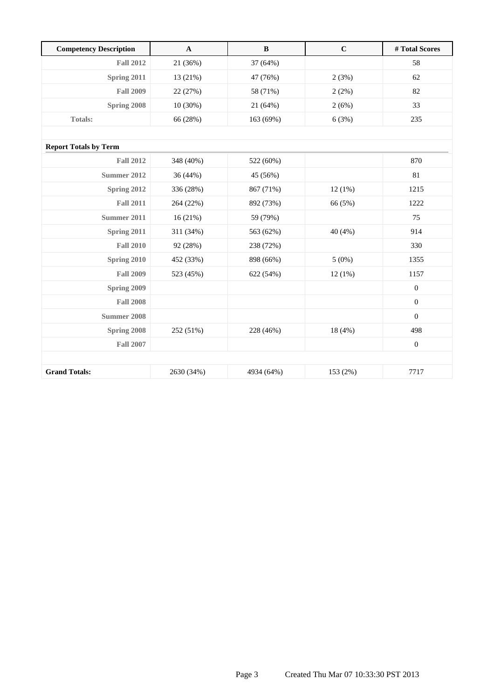| <b>Competency Description</b> | $\mathbf A$ | $\bf{B}$   | $\mathbf C$ | #Total Scores    |
|-------------------------------|-------------|------------|-------------|------------------|
| <b>Fall 2012</b>              | 21 (36%)    | 37 (64%)   |             | 58               |
| Spring 2011                   | 13 (21%)    | 47 (76%)   | 2(3%)       | 62               |
| <b>Fall 2009</b>              | 22 (27%)    | 58 (71%)   | 2(2%)       | 82               |
| Spring 2008                   | $10(30\%)$  | 21 (64%)   | 2(6%)       | 33               |
| <b>Totals:</b>                | 66 (28%)    | 163 (69%)  | 6(3%)       | 235              |
|                               |             |            |             |                  |
| <b>Report Totals by Term</b>  |             |            |             |                  |
| <b>Fall 2012</b>              | 348 (40%)   | 522 (60%)  |             | 870              |
| <b>Summer 2012</b>            | 36 (44%)    | 45 (56%)   |             | 81               |
| Spring 2012                   | 336 (28%)   | 867 (71%)  | 12(1%)      | 1215             |
| <b>Fall 2011</b>              | 264 (22%)   | 892 (73%)  | 66 (5%)     | 1222             |
| <b>Summer 2011</b>            | 16(21%)     | 59 (79%)   |             | 75               |
| Spring 2011                   | 311 (34%)   | 563 (62%)  | 40(4%)      | 914              |
| <b>Fall 2010</b>              | 92 (28%)    | 238 (72%)  |             | 330              |
| Spring 2010                   | 452 (33%)   | 898 (66%)  | 5(0%)       | 1355             |
| <b>Fall 2009</b>              | 523 (45%)   | 622 (54%)  | 12(1%)      | 1157             |
| Spring 2009                   |             |            |             | $\boldsymbol{0}$ |
| <b>Fall 2008</b>              |             |            |             | $\boldsymbol{0}$ |
| <b>Summer 2008</b>            |             |            |             | $\mathbf{0}$     |
| Spring 2008                   | 252 (51%)   | 228 (46%)  | 18 (4%)     | 498              |
| <b>Fall 2007</b>              |             |            |             | $\boldsymbol{0}$ |
|                               |             |            |             |                  |
| <b>Grand Totals:</b>          | 2630 (34%)  | 4934 (64%) | 153 (2%)    | 7717             |